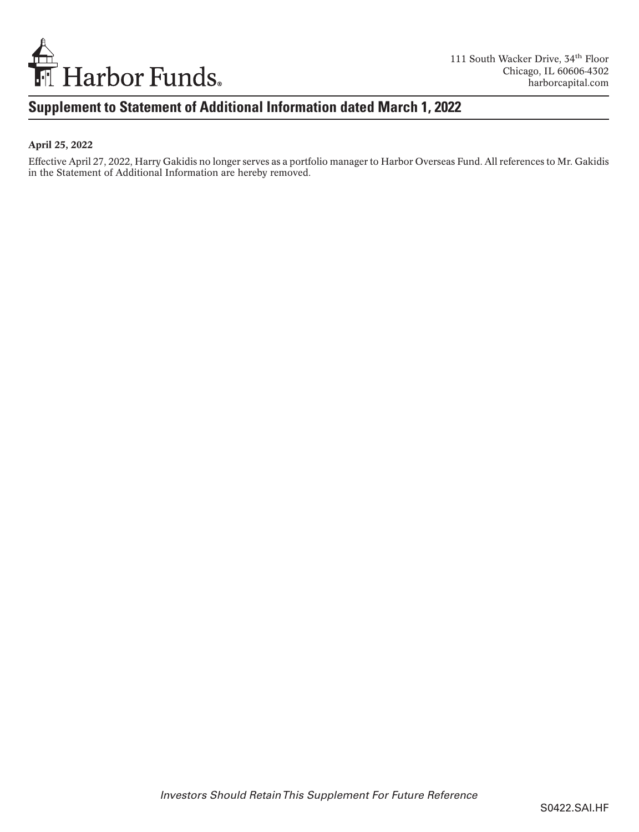

## **Supplement to Statement of Additional Information dated March 1, 2022**

#### April 25, 2022

Effective April 27, 2022, Harry Gakidis no longer serves as a portfolio manager to Harbor Overseas Fund. All references to Mr. Gakidis in the Statement of Additional Information are hereby removed.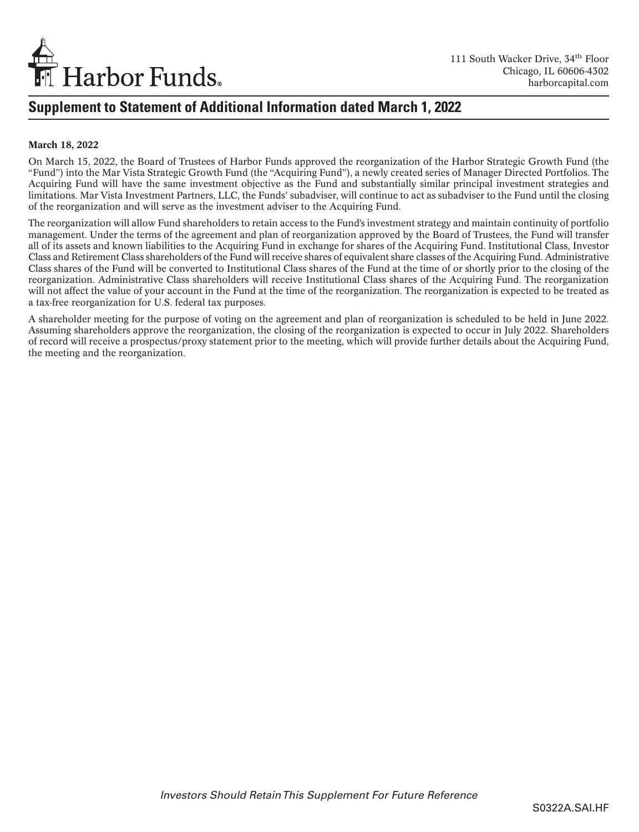

### **Supplement to Statement of Additional Information dated March 1, 2022**

#### March 18, 2022

On March 15, 2022, the Board of Trustees of Harbor Funds approved the reorganization of the Harbor Strategic Growth Fund (the "Fund") into the Mar Vista Strategic Growth Fund (the "Acquiring Fund"), a newly created series of Manager Directed Portfolios. The Acquiring Fund will have the same investment objective as the Fund and substantially similar principal investment strategies and limitations. Mar Vista Investment Partners, LLC, the Funds' subadviser, will continue to act as subadviser to the Fund until the closing of the reorganization and will serve as the investment adviser to the Acquiring Fund.

The reorganization will allow Fund shareholders to retain access to the Fund's investment strategy and maintain continuity of portfolio management. Under the terms of the agreement and plan of reorganization approved by the Board of Trustees, the Fund will transfer all of its assets and known liabilities to the Acquiring Fund in exchange for shares of the Acquiring Fund. Institutional Class, Investor Class and Retirement Class shareholders of the Fund will receive shares of equivalent share classes of the Acquiring Fund. Administrative Class shares of the Fund will be converted to Institutional Class shares of the Fund at the time of or shortly prior to the closing of the reorganization. Administrative Class shareholders will receive Institutional Class shares of the Acquiring Fund. The reorganization will not affect the value of your account in the Fund at the time of the reorganization. The reorganization is expected to be treated as a tax-free reorganization for U.S. federal tax purposes.

A shareholder meeting for the purpose of voting on the agreement and plan of reorganization is scheduled to be held in June 2022. Assuming shareholders approve the reorganization, the closing of the reorganization is expected to occur in July 2022. Shareholders of record will receive a prospectus/proxy statement prior to the meeting, which will provide further details about the Acquiring Fund, the meeting and the reorganization.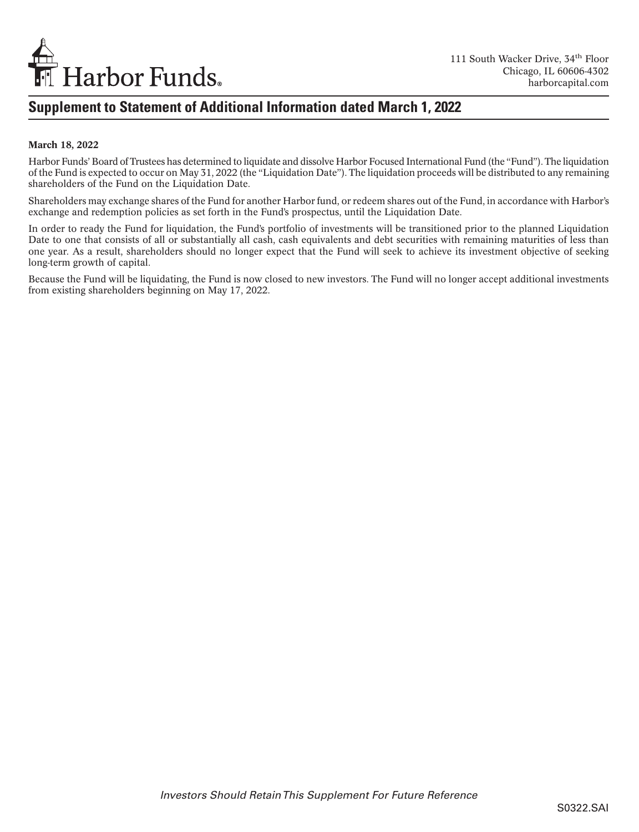

## **Supplement to Statement of Additional Information dated March 1, 2022**

#### March 18, 2022

Harbor Funds' Board of Trustees has determined to liquidate and dissolve Harbor Focused International Fund (the "Fund"). The liquidation of the Fund is expected to occur on May 31, 2022 (the "Liquidation Date"). The liquidation proceeds will be distributed to any remaining shareholders of the Fund on the Liquidation Date.

Shareholders may exchange shares of the Fund for another Harbor fund, or redeem shares out of the Fund, in accordance with Harbor's exchange and redemption policies as set forth in the Fund's prospectus, until the Liquidation Date.

In order to ready the Fund for liquidation, the Fund's portfolio of investments will be transitioned prior to the planned Liquidation Date to one that consists of all or substantially all cash, cash equivalents and debt securities with remaining maturities of less than one year. As a result, shareholders should no longer expect that the Fund will seek to achieve its investment objective of seeking long-term growth of capital.

Because the Fund will be liquidating, the Fund is now closed to new investors. The Fund will no longer accept additional investments from existing shareholders beginning on May 17, 2022.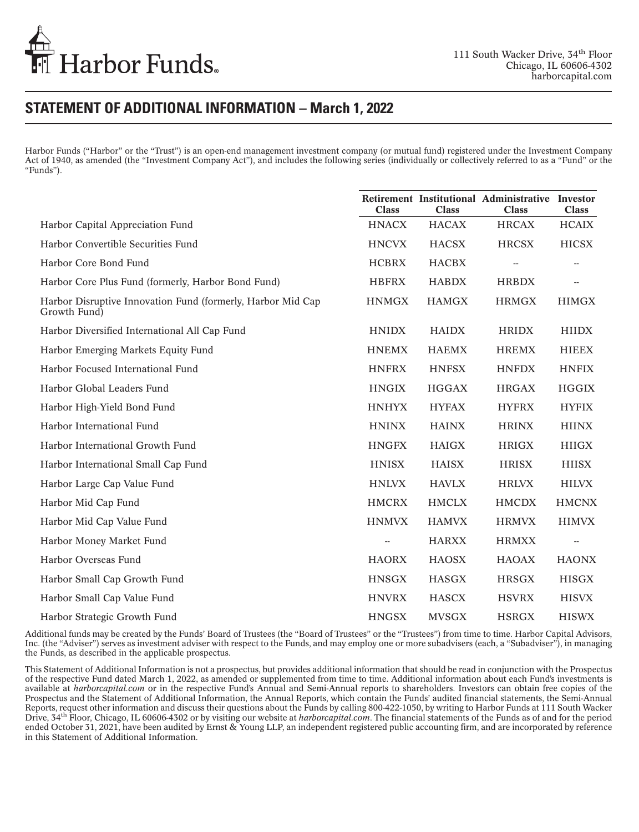

### **STATEMENT OF ADDITIONAL INFORMATION – March 1, 2022**

Harbor Funds ("Harbor" or the "Trust") is an open-end management investment company (or mutual fund) registered under the Investment Company Act of 1940, as amended (the "Investment Company Act"), and includes the following series (individually or collectively referred to as a "Fund" or the "Funds").

|                                                                             | <b>Class</b> | <b>Class</b> | Retirement Institutional Administrative Investor<br><b>Class</b> | <b>Class</b> |
|-----------------------------------------------------------------------------|--------------|--------------|------------------------------------------------------------------|--------------|
| Harbor Capital Appreciation Fund                                            | <b>HNACX</b> | <b>HACAX</b> | <b>HRCAX</b>                                                     | <b>HCAIX</b> |
| Harbor Convertible Securities Fund                                          | <b>HNCVX</b> | <b>HACSX</b> | <b>HRCSX</b>                                                     | <b>HICSX</b> |
| Harbor Core Bond Fund                                                       | <b>HCBRX</b> | <b>HACBX</b> |                                                                  |              |
| Harbor Core Plus Fund (formerly, Harbor Bond Fund)                          | <b>HBFRX</b> | <b>HABDX</b> | <b>HRBDX</b>                                                     |              |
| Harbor Disruptive Innovation Fund (formerly, Harbor Mid Cap<br>Growth Fund) | <b>HNMGX</b> | <b>HAMGX</b> | <b>HRMGX</b>                                                     | <b>HIMGX</b> |
| Harbor Diversified International All Cap Fund                               | <b>HNIDX</b> | <b>HAIDX</b> | <b>HRIDX</b>                                                     | <b>HIIDX</b> |
| Harbor Emerging Markets Equity Fund                                         | <b>HNEMX</b> | <b>HAEMX</b> | <b>HREMX</b>                                                     | <b>HIEEX</b> |
| Harbor Focused International Fund                                           | <b>HNFRX</b> | <b>HNFSX</b> | <b>HNFDX</b>                                                     | <b>HNFIX</b> |
| Harbor Global Leaders Fund                                                  | <b>HNGIX</b> | <b>HGGAX</b> | <b>HRGAX</b>                                                     | <b>HGGIX</b> |
| Harbor High-Yield Bond Fund                                                 | <b>HNHYX</b> | <b>HYFAX</b> | <b>HYFRX</b>                                                     | <b>HYFIX</b> |
| Harbor International Fund                                                   | <b>HNINX</b> | <b>HAINX</b> | <b>HRINX</b>                                                     | <b>HIINX</b> |
| Harbor International Growth Fund                                            | <b>HNGFX</b> | <b>HAIGX</b> | <b>HRIGX</b>                                                     | <b>HIIGX</b> |
| Harbor International Small Cap Fund                                         | <b>HNISX</b> | <b>HAISX</b> | <b>HRISX</b>                                                     | <b>HIISX</b> |
| Harbor Large Cap Value Fund                                                 | <b>HNLVX</b> | <b>HAVLX</b> | <b>HRLVX</b>                                                     | <b>HILVX</b> |
| Harbor Mid Cap Fund                                                         | <b>HMCRX</b> | <b>HMCLX</b> | <b>HMCDX</b>                                                     | <b>HMCNX</b> |
| Harbor Mid Cap Value Fund                                                   | <b>HNMVX</b> | <b>HAMVX</b> | <b>HRMVX</b>                                                     | <b>HIMVX</b> |
| Harbor Money Market Fund                                                    |              | <b>HARXX</b> | <b>HRMXX</b>                                                     |              |
| Harbor Overseas Fund                                                        | <b>HAORX</b> | <b>HAOSX</b> | <b>HAOAX</b>                                                     | <b>HAONX</b> |
| Harbor Small Cap Growth Fund                                                | <b>HNSGX</b> | <b>HASGX</b> | <b>HRSGX</b>                                                     | <b>HISGX</b> |
| Harbor Small Cap Value Fund                                                 | <b>HNVRX</b> | <b>HASCX</b> | <b>HSVRX</b>                                                     | <b>HISVX</b> |
| Harbor Strategic Growth Fund                                                | <b>HNGSX</b> | <b>MVSGX</b> | <b>HSRGX</b>                                                     | <b>HISWX</b> |

Additional funds may be created by the Funds' Board of Trustees (the "Board of Trustees" or the "Trustees") from time to time. Harbor Capital Advisors, Inc. (the "Adviser") serves as investment adviser with respect to the Funds, and may employ one or more subadvisers (each, a "Subadviser"), in managing the Funds, as described in the applicable prospectus.

This Statement of Additional Information is not a prospectus, but provides additional information that should be read in conjunction with the Prospectus of the respective Fund dated March 1, 2022, as amended or supplemented from time to time. Additional information about each Fund's investments is available at *harborcapital.com* or in the respective Fund's Annual and Semi-Annual reports to shareholders. Investors can obtain free copies of the Prospectus and the Statement of Additional Information, the Annual Reports, which contain the Funds' audited financial statements, the Semi-Annual Reports, request other information and discuss their questions about the Funds by calling 800-422-1050, by writing to Harbor Funds at 111 South Wacker Drive, 34th Floor, Chicago, IL 60606-4302 or by visiting our website at *harborcapital.com*. The financial statements of the Funds as of and for the period ended October 31, 2021, have been audited by Ernst & Young LLP, an independent registered public accounting firm, and are incorporated by reference in this Statement of Additional Information.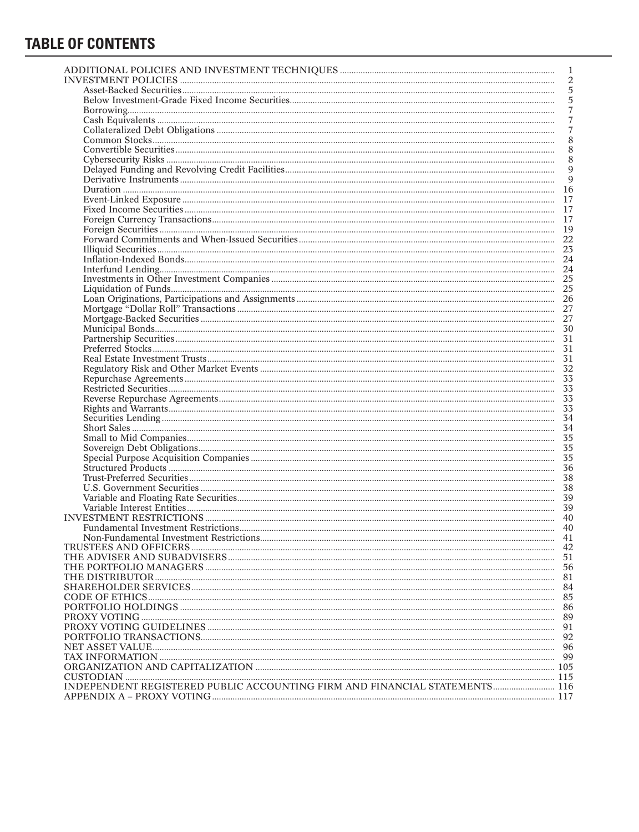## **TABLE OF CONTENTS**

|                                                                                                                                                                                                                                                                                                                                                                                                | 1              |
|------------------------------------------------------------------------------------------------------------------------------------------------------------------------------------------------------------------------------------------------------------------------------------------------------------------------------------------------------------------------------------------------|----------------|
|                                                                                                                                                                                                                                                                                                                                                                                                | $\overline{2}$ |
|                                                                                                                                                                                                                                                                                                                                                                                                | $\sqrt{5}$     |
|                                                                                                                                                                                                                                                                                                                                                                                                | $\sqrt{5}$     |
| $\textbf{Borrowing} \textit{} \textit{} \textit{} \textit{} \textit{} \textit{} \textit{} \textit{} \textit{} \textit{} \textit{} \textit{} \textit{} \textit{} \textit{} \textit{} \textit{} \textit{} \textit{} \textit{} \textit{} \textit{} \textit{} \textit{} \textit{} \textit{} \textit{} \textit{} \textit{} \textit{} \textit{} \textit{} \textit{} \textit{} \textit{} \text$       | $\overline{7}$ |
|                                                                                                                                                                                                                                                                                                                                                                                                | 7              |
|                                                                                                                                                                                                                                                                                                                                                                                                | 7              |
|                                                                                                                                                                                                                                                                                                                                                                                                | 8              |
|                                                                                                                                                                                                                                                                                                                                                                                                | 8              |
| $\label{prop:2} \textbf{Cyberscurity Risk} \textit{} \textit{} \textit{} \textit{} \textit{} \textit{} \textit{} \textit{} \textit{} \textit{} \textit{} \textit{} \textit{} \textit{} \textit{} \textit{} \textit{} \textit{} \textit{} \textit{} \textit{} \textit{} \textit{} \textit{} \textit{} \textit{} \textit{} \textit{} \textit{} \textit{} \textit{} \textit{} \textit{} \textit{$ | 8              |
|                                                                                                                                                                                                                                                                                                                                                                                                | $\overline{9}$ |
|                                                                                                                                                                                                                                                                                                                                                                                                |                |
|                                                                                                                                                                                                                                                                                                                                                                                                |                |
|                                                                                                                                                                                                                                                                                                                                                                                                |                |
|                                                                                                                                                                                                                                                                                                                                                                                                |                |
|                                                                                                                                                                                                                                                                                                                                                                                                |                |
|                                                                                                                                                                                                                                                                                                                                                                                                |                |
|                                                                                                                                                                                                                                                                                                                                                                                                |                |
|                                                                                                                                                                                                                                                                                                                                                                                                |                |
|                                                                                                                                                                                                                                                                                                                                                                                                |                |
|                                                                                                                                                                                                                                                                                                                                                                                                |                |
|                                                                                                                                                                                                                                                                                                                                                                                                |                |
|                                                                                                                                                                                                                                                                                                                                                                                                |                |
|                                                                                                                                                                                                                                                                                                                                                                                                |                |
|                                                                                                                                                                                                                                                                                                                                                                                                |                |
|                                                                                                                                                                                                                                                                                                                                                                                                |                |
| Liquidation of Funds model in the European Companies<br>Loan Originations, Participations and Assignments<br>Loan Originations, Participations and Assignments<br>27<br>Mortgage "Dollar Roll" Transactions                                                                                                                                                                                    |                |
|                                                                                                                                                                                                                                                                                                                                                                                                |                |
|                                                                                                                                                                                                                                                                                                                                                                                                |                |
|                                                                                                                                                                                                                                                                                                                                                                                                |                |
|                                                                                                                                                                                                                                                                                                                                                                                                |                |
|                                                                                                                                                                                                                                                                                                                                                                                                |                |
|                                                                                                                                                                                                                                                                                                                                                                                                |                |
|                                                                                                                                                                                                                                                                                                                                                                                                |                |
|                                                                                                                                                                                                                                                                                                                                                                                                |                |
|                                                                                                                                                                                                                                                                                                                                                                                                |                |
|                                                                                                                                                                                                                                                                                                                                                                                                |                |
|                                                                                                                                                                                                                                                                                                                                                                                                |                |
|                                                                                                                                                                                                                                                                                                                                                                                                |                |
|                                                                                                                                                                                                                                                                                                                                                                                                |                |
|                                                                                                                                                                                                                                                                                                                                                                                                |                |
|                                                                                                                                                                                                                                                                                                                                                                                                |                |
|                                                                                                                                                                                                                                                                                                                                                                                                |                |
|                                                                                                                                                                                                                                                                                                                                                                                                |                |
|                                                                                                                                                                                                                                                                                                                                                                                                |                |
|                                                                                                                                                                                                                                                                                                                                                                                                |                |
|                                                                                                                                                                                                                                                                                                                                                                                                | 42             |
|                                                                                                                                                                                                                                                                                                                                                                                                |                |
|                                                                                                                                                                                                                                                                                                                                                                                                | 56             |
|                                                                                                                                                                                                                                                                                                                                                                                                |                |
|                                                                                                                                                                                                                                                                                                                                                                                                | 84<br>85       |
|                                                                                                                                                                                                                                                                                                                                                                                                | 86             |
|                                                                                                                                                                                                                                                                                                                                                                                                | -89            |
|                                                                                                                                                                                                                                                                                                                                                                                                | 91             |
|                                                                                                                                                                                                                                                                                                                                                                                                | 92             |
|                                                                                                                                                                                                                                                                                                                                                                                                |                |
|                                                                                                                                                                                                                                                                                                                                                                                                |                |
|                                                                                                                                                                                                                                                                                                                                                                                                |                |
|                                                                                                                                                                                                                                                                                                                                                                                                |                |
|                                                                                                                                                                                                                                                                                                                                                                                                |                |
|                                                                                                                                                                                                                                                                                                                                                                                                |                |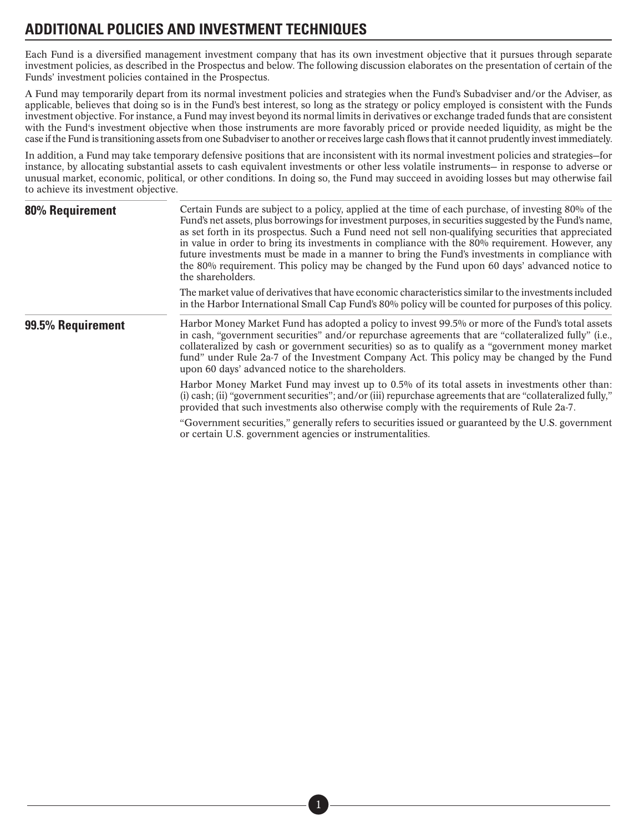## <span id="page-5-0"></span>**ADDITIONAL POLICIES AND INVESTMENT TECHNIQUES**

Each Fund is a diversified management investment company that has its own investment objective that it pursues through separate investment policies, as described in the Prospectus and below. The following discussion elaborates on the presentation of certain of the Funds' investment policies contained in the Prospectus.

A Fund may temporarily depart from its normal investment policies and strategies when the Fund's Subadviser and/or the Adviser, as applicable, believes that doing so is in the Fund's best interest, so long as the strategy or policy employed is consistent with the Funds investment objective. For instance, a Fund may invest beyond its normal limits in derivatives or exchange traded funds that are consistent with the Fund's investment objective when those instruments are more favorably priced or provide needed liquidity, as might be the case if the Fund is transitioning assets from one Subadviser to another or receives large cash flows that it cannot prudently invest immediately.

In addition, a Fund may take temporary defensive positions that are inconsistent with its normal investment policies and strategies—for instance, by allocating substantial assets to cash equivalent investments or other less volatile instruments— in response to adverse or unusual market, economic, political, or other conditions. In doing so, the Fund may succeed in avoiding losses but may otherwise fail to achieve its investment objective.

| 80% Requirement   | Certain Funds are subject to a policy, applied at the time of each purchase, of investing 80% of the<br>Fund's net assets, plus borrowings for investment purposes, in securities suggested by the Fund's name,<br>as set forth in its prospectus. Such a Fund need not sell non-qualifying securities that appreciated<br>in value in order to bring its investments in compliance with the 80% requirement. However, any<br>future investments must be made in a manner to bring the Fund's investments in compliance with<br>the 80% requirement. This policy may be changed by the Fund upon 60 days' advanced notice to<br>the shareholders. |
|-------------------|---------------------------------------------------------------------------------------------------------------------------------------------------------------------------------------------------------------------------------------------------------------------------------------------------------------------------------------------------------------------------------------------------------------------------------------------------------------------------------------------------------------------------------------------------------------------------------------------------------------------------------------------------|
|                   | The market value of derivatives that have economic characteristics similar to the investments included<br>in the Harbor International Small Cap Fund's 80% policy will be counted for purposes of this policy.                                                                                                                                                                                                                                                                                                                                                                                                                                    |
| 99.5% Requirement | Harbor Money Market Fund has adopted a policy to invest 99.5% or more of the Fund's total assets<br>in cash, "government securities" and/or repurchase agreements that are "collateralized fully" (i.e.,<br>collateralized by cash or government securities) so as to qualify as a "government money market"<br>fund" under Rule 2a-7 of the Investment Company Act. This policy may be changed by the Fund<br>upon 60 days' advanced notice to the shareholders.                                                                                                                                                                                 |
|                   | Harbor Money Market Fund may invest up to 0.5% of its total assets in investments other than:<br>(i) cash; (ii) "government securities"; and/or (iii) repurchase agreements that are "collateralized fully,"<br>provided that such investments also otherwise comply with the requirements of Rule 2a-7.                                                                                                                                                                                                                                                                                                                                          |
|                   | "Government securities," generally refers to securities issued or guaranteed by the U.S. government                                                                                                                                                                                                                                                                                                                                                                                                                                                                                                                                               |

or certain U.S. government agencies or instrumentalities.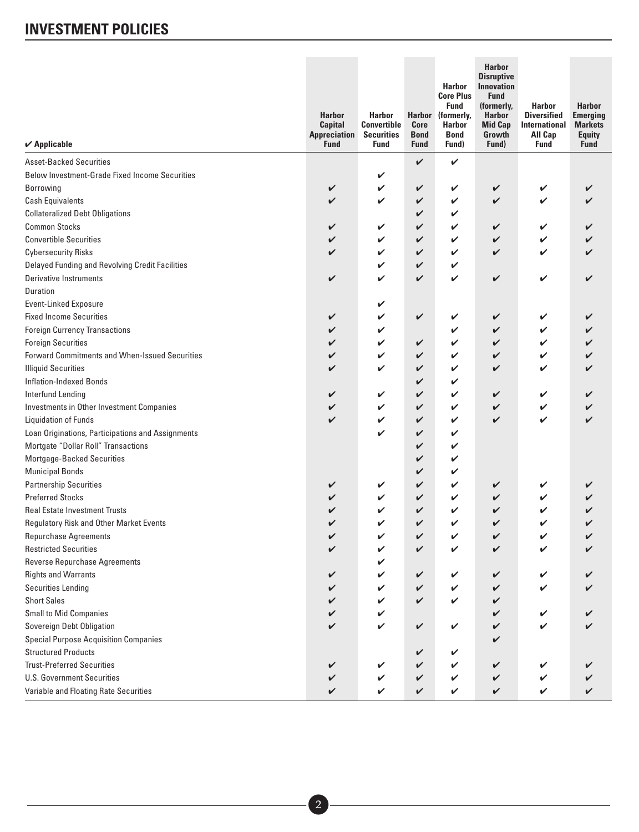<span id="page-6-0"></span>

| $\boldsymbol{\checkmark}$ Applicable                  | <b>Harbor</b><br><b>Capital</b><br><b>Appreciation</b><br><b>Fund</b> | <b>Harbor</b><br><b>Convertible</b><br><b>Securities</b><br><b>Fund</b> | <b>Core</b><br><b>Bond</b><br><b>Fund</b> | <b>Harbor</b><br><b>Core Plus</b><br><b>Fund</b><br>Harbor (formerly,<br><b>Harbor</b><br><b>Bond</b><br>Fund) | <b>Harbor</b><br><b>Disruptive</b><br><b>Innovation</b><br><b>Fund</b><br>(formerly,<br><b>Harbor</b><br><b>Mid Cap</b><br>Growth<br>Fund) | <b>Harbor</b><br><b>Diversified</b><br><b>International</b><br><b>All Cap</b><br><b>Fund</b> | <b>Harbor</b><br><b>Emerging</b><br><b>Markets</b><br><b>Equity</b><br><b>Fund</b> |
|-------------------------------------------------------|-----------------------------------------------------------------------|-------------------------------------------------------------------------|-------------------------------------------|----------------------------------------------------------------------------------------------------------------|--------------------------------------------------------------------------------------------------------------------------------------------|----------------------------------------------------------------------------------------------|------------------------------------------------------------------------------------|
| <b>Asset-Backed Securities</b>                        |                                                                       |                                                                         | V                                         | V                                                                                                              |                                                                                                                                            |                                                                                              |                                                                                    |
| <b>Below Investment-Grade Fixed Income Securities</b> |                                                                       | V                                                                       |                                           |                                                                                                                |                                                                                                                                            |                                                                                              |                                                                                    |
| Borrowing                                             | V                                                                     | V                                                                       | V                                         | V                                                                                                              | V                                                                                                                                          | V                                                                                            |                                                                                    |
| <b>Cash Equivalents</b>                               | V                                                                     | V                                                                       | V                                         | V                                                                                                              | V                                                                                                                                          | V                                                                                            |                                                                                    |
| <b>Collateralized Debt Obligations</b>                |                                                                       |                                                                         | V                                         | V                                                                                                              |                                                                                                                                            |                                                                                              |                                                                                    |
| <b>Common Stocks</b>                                  | V                                                                     | V                                                                       | V                                         | V                                                                                                              | V                                                                                                                                          | V                                                                                            |                                                                                    |
| <b>Convertible Securities</b>                         | V                                                                     | V                                                                       | V                                         | V                                                                                                              | V                                                                                                                                          |                                                                                              |                                                                                    |
| <b>Cybersecurity Risks</b>                            | V                                                                     | V                                                                       | V                                         | V                                                                                                              | V                                                                                                                                          | ✓                                                                                            |                                                                                    |
| Delayed Funding and Revolving Credit Facilities       |                                                                       | V                                                                       | V                                         | V                                                                                                              |                                                                                                                                            |                                                                                              |                                                                                    |
| <b>Derivative Instruments</b>                         | V                                                                     | V                                                                       | V                                         | V                                                                                                              | V                                                                                                                                          | V                                                                                            | V                                                                                  |
| Duration                                              |                                                                       |                                                                         |                                           |                                                                                                                |                                                                                                                                            |                                                                                              |                                                                                    |
| <b>Event-Linked Exposure</b>                          |                                                                       | V                                                                       |                                           |                                                                                                                |                                                                                                                                            |                                                                                              |                                                                                    |
| <b>Fixed Income Securities</b>                        | V                                                                     | V                                                                       | V                                         | V                                                                                                              | V                                                                                                                                          |                                                                                              |                                                                                    |
| <b>Foreign Currency Transactions</b>                  | V                                                                     | V                                                                       |                                           | V                                                                                                              | V                                                                                                                                          |                                                                                              |                                                                                    |
| <b>Foreign Securities</b>                             | V                                                                     | V                                                                       | V                                         | V                                                                                                              | V                                                                                                                                          |                                                                                              |                                                                                    |
| <b>Forward Commitments and When-Issued Securities</b> | V                                                                     | V                                                                       | V                                         | V                                                                                                              | V                                                                                                                                          | V                                                                                            |                                                                                    |
| <b>Illiquid Securities</b>                            | V                                                                     | V                                                                       | V                                         | V                                                                                                              | V                                                                                                                                          | V                                                                                            |                                                                                    |
| <b>Inflation-Indexed Bonds</b>                        |                                                                       |                                                                         | V                                         | V                                                                                                              |                                                                                                                                            |                                                                                              |                                                                                    |
| <b>Interfund Lending</b>                              | V                                                                     | V                                                                       | V                                         | V                                                                                                              | V                                                                                                                                          | V                                                                                            |                                                                                    |
| Investments in Other Investment Companies             | V                                                                     | V                                                                       | V                                         | V                                                                                                              | V                                                                                                                                          | V                                                                                            |                                                                                    |
| <b>Liquidation of Funds</b>                           | V                                                                     | V                                                                       | V                                         | V                                                                                                              | V                                                                                                                                          | V                                                                                            | ✓                                                                                  |
| Loan Originations, Participations and Assignments     |                                                                       | V                                                                       | V                                         | V                                                                                                              |                                                                                                                                            |                                                                                              |                                                                                    |
| Mortgate "Dollar Roll" Transactions                   |                                                                       |                                                                         | V                                         | V                                                                                                              |                                                                                                                                            |                                                                                              |                                                                                    |
| Mortgage-Backed Securities                            |                                                                       |                                                                         | V                                         | V                                                                                                              |                                                                                                                                            |                                                                                              |                                                                                    |
| <b>Municipal Bonds</b>                                |                                                                       |                                                                         | V                                         | V                                                                                                              |                                                                                                                                            |                                                                                              |                                                                                    |
| <b>Partnership Securities</b>                         | V                                                                     | V                                                                       | V                                         | V                                                                                                              | V                                                                                                                                          |                                                                                              |                                                                                    |
| <b>Preferred Stocks</b>                               | V                                                                     | V                                                                       | V                                         | V                                                                                                              | V                                                                                                                                          |                                                                                              |                                                                                    |
| <b>Real Estate Investment Trusts</b>                  | V                                                                     | V                                                                       | V                                         | V                                                                                                              | V                                                                                                                                          |                                                                                              |                                                                                    |
| Regulatory Risk and Other Market Events               | V                                                                     | V                                                                       | V                                         | V                                                                                                              | V                                                                                                                                          | V                                                                                            |                                                                                    |
| Repurchase Agreements                                 |                                                                       |                                                                         |                                           |                                                                                                                |                                                                                                                                            |                                                                                              |                                                                                    |
| <b>Restricted Securities</b>                          | V                                                                     | V                                                                       | V                                         |                                                                                                                | V                                                                                                                                          |                                                                                              |                                                                                    |
| <b>Reverse Repurchase Agreements</b>                  |                                                                       | V                                                                       |                                           |                                                                                                                |                                                                                                                                            |                                                                                              |                                                                                    |
| <b>Rights and Warrants</b>                            | V                                                                     | V                                                                       | V                                         | V                                                                                                              | V                                                                                                                                          | V                                                                                            |                                                                                    |
| <b>Securities Lending</b>                             | V                                                                     | V                                                                       | V                                         | V                                                                                                              | V                                                                                                                                          |                                                                                              |                                                                                    |
| <b>Short Sales</b>                                    | V                                                                     | V                                                                       | V                                         | V                                                                                                              | V                                                                                                                                          |                                                                                              |                                                                                    |
| <b>Small to Mid Companies</b>                         | V                                                                     | V                                                                       |                                           |                                                                                                                | V                                                                                                                                          |                                                                                              |                                                                                    |
| Sovereign Debt Obligation                             | $\checkmark$                                                          | V                                                                       | V                                         | V                                                                                                              | V                                                                                                                                          |                                                                                              |                                                                                    |
| <b>Special Purpose Acquisition Companies</b>          |                                                                       |                                                                         |                                           |                                                                                                                | V                                                                                                                                          |                                                                                              |                                                                                    |
| <b>Structured Products</b>                            |                                                                       |                                                                         | V                                         | V                                                                                                              |                                                                                                                                            |                                                                                              |                                                                                    |
| <b>Trust-Preferred Securities</b>                     | V                                                                     | V                                                                       | V                                         | V                                                                                                              | V                                                                                                                                          |                                                                                              |                                                                                    |
| <b>U.S. Government Securities</b>                     | V                                                                     | V                                                                       | V                                         | V                                                                                                              | V                                                                                                                                          |                                                                                              |                                                                                    |
| Variable and Floating Rate Securities                 | V                                                                     | V                                                                       | V                                         | V                                                                                                              | V                                                                                                                                          |                                                                                              |                                                                                    |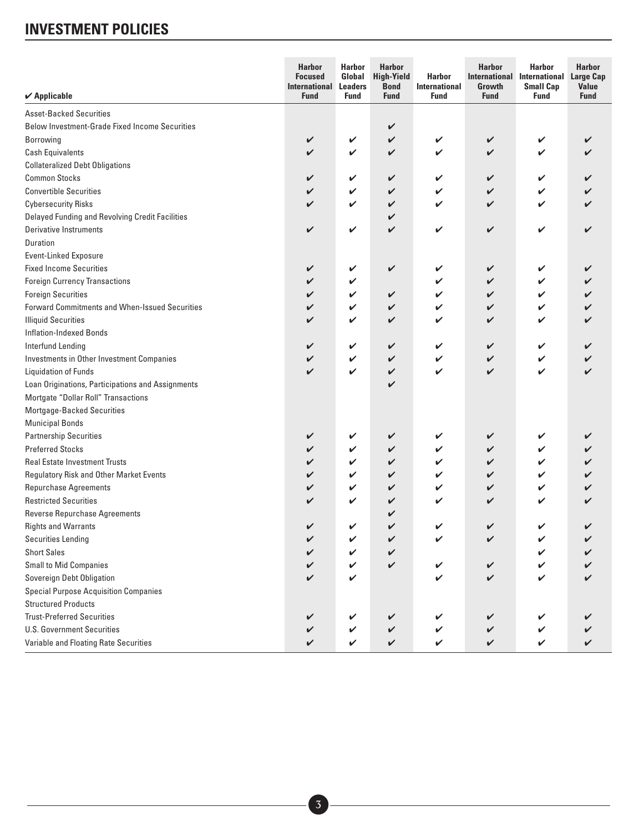| $\boldsymbol{\checkmark}$ Applicable              | <b>Harbor</b><br><b>Focused</b><br><b>International</b><br><b>Fund</b> | <b>Harbor</b><br>Global<br><b>Leaders</b><br><b>Fund</b> | <b>Harbor</b><br><b>High-Yield</b><br><b>Bond</b><br><b>Fund</b> | <b>Harbor</b><br><b>International</b><br><b>Fund</b> | <b>Harbor</b><br><b>International</b><br>Growth<br><b>Fund</b> | <b>Harbor</b><br>International<br><b>Small Cap</b><br><b>Fund</b> | <b>Harbor</b><br><b>Large Cap</b><br><b>Value</b><br><b>Fund</b> |
|---------------------------------------------------|------------------------------------------------------------------------|----------------------------------------------------------|------------------------------------------------------------------|------------------------------------------------------|----------------------------------------------------------------|-------------------------------------------------------------------|------------------------------------------------------------------|
| <b>Asset-Backed Securities</b>                    |                                                                        |                                                          |                                                                  |                                                      |                                                                |                                                                   |                                                                  |
| Below Investment-Grade Fixed Income Securities    |                                                                        |                                                          | $\checkmark$                                                     |                                                      |                                                                |                                                                   |                                                                  |
| <b>Borrowing</b>                                  | V                                                                      | V                                                        | $\checkmark$                                                     | V                                                    | V                                                              | V                                                                 | V                                                                |
| <b>Cash Equivalents</b>                           | V                                                                      | V                                                        | $\checkmark$                                                     | V                                                    | V                                                              | ✓                                                                 |                                                                  |
| <b>Collateralized Debt Obligations</b>            |                                                                        |                                                          |                                                                  |                                                      |                                                                |                                                                   |                                                                  |
| <b>Common Stocks</b>                              | V                                                                      | $\checkmark$                                             | $\checkmark$                                                     | V                                                    | V                                                              | V                                                                 |                                                                  |
| <b>Convertible Securities</b>                     | V                                                                      | V                                                        | V                                                                | V                                                    | V                                                              | V                                                                 |                                                                  |
| <b>Cybersecurity Risks</b>                        | V                                                                      | V                                                        | V                                                                | V                                                    | V                                                              | ✓                                                                 |                                                                  |
| Delayed Funding and Revolving Credit Facilities   |                                                                        |                                                          | V                                                                |                                                      |                                                                |                                                                   |                                                                  |
| <b>Derivative Instruments</b>                     | V                                                                      | V                                                        | $\checkmark$                                                     | V                                                    | V                                                              | V                                                                 | V                                                                |
| Duration                                          |                                                                        |                                                          |                                                                  |                                                      |                                                                |                                                                   |                                                                  |
| <b>Event-Linked Exposure</b>                      |                                                                        |                                                          |                                                                  |                                                      |                                                                |                                                                   |                                                                  |
| <b>Fixed Income Securities</b>                    | V                                                                      | V                                                        | $\checkmark$                                                     | V                                                    | V                                                              | V                                                                 | V                                                                |
| <b>Foreign Currency Transactions</b>              | V                                                                      | V                                                        |                                                                  | V                                                    | V                                                              | V                                                                 |                                                                  |
| <b>Foreign Securities</b>                         | V                                                                      | V                                                        | $\checkmark$                                                     | V                                                    | V                                                              | V                                                                 |                                                                  |
| Forward Commitments and When-Issued Securities    | V                                                                      | V                                                        | V                                                                | V                                                    | V                                                              | V                                                                 |                                                                  |
| <b>Illiquid Securities</b>                        | V                                                                      | V                                                        | $\checkmark$                                                     | V                                                    | V                                                              | ✓                                                                 |                                                                  |
| <b>Inflation-Indexed Bonds</b>                    |                                                                        |                                                          |                                                                  |                                                      |                                                                |                                                                   |                                                                  |
| Interfund Lending                                 | V                                                                      | V                                                        | $\checkmark$                                                     | V                                                    | V                                                              | V                                                                 |                                                                  |
| Investments in Other Investment Companies         | V                                                                      | V                                                        | $\checkmark$                                                     | V                                                    | V                                                              | V                                                                 |                                                                  |
| <b>Liquidation of Funds</b>                       | V                                                                      | V                                                        | $\checkmark$                                                     | V                                                    | V                                                              | V                                                                 | V                                                                |
| Loan Originations, Participations and Assignments |                                                                        |                                                          | V                                                                |                                                      |                                                                |                                                                   |                                                                  |
| Mortgate "Dollar Roll" Transactions               |                                                                        |                                                          |                                                                  |                                                      |                                                                |                                                                   |                                                                  |
| Mortgage-Backed Securities                        |                                                                        |                                                          |                                                                  |                                                      |                                                                |                                                                   |                                                                  |
| <b>Municipal Bonds</b>                            |                                                                        |                                                          |                                                                  |                                                      |                                                                |                                                                   |                                                                  |
| <b>Partnership Securities</b>                     | V                                                                      | $\checkmark$                                             | V                                                                | V                                                    | V                                                              | V                                                                 |                                                                  |
| <b>Preferred Stocks</b>                           | V                                                                      | V                                                        | $\checkmark$                                                     | V                                                    | V                                                              | V                                                                 |                                                                  |
| <b>Real Estate Investment Trusts</b>              | V                                                                      | V                                                        | V                                                                | V                                                    | V                                                              | V                                                                 |                                                                  |
| Regulatory Risk and Other Market Events           | V                                                                      | V                                                        | V                                                                | V                                                    | V                                                              | V                                                                 |                                                                  |
| <b>Repurchase Agreements</b>                      | V                                                                      | V                                                        | V                                                                | V                                                    | V                                                              | ✓                                                                 |                                                                  |
| <b>Restricted Securities</b>                      | V                                                                      | V                                                        | V                                                                | V                                                    | V                                                              | ✓                                                                 |                                                                  |
| Reverse Repurchase Agreements                     |                                                                        |                                                          | V                                                                |                                                      |                                                                |                                                                   |                                                                  |
| <b>Rights and Warrants</b>                        | V                                                                      | V                                                        | V                                                                | V                                                    | V                                                              | V                                                                 | V                                                                |
| <b>Securities Lending</b>                         |                                                                        |                                                          | $\overline{\mathcal{L}}$                                         |                                                      |                                                                |                                                                   |                                                                  |
| <b>Short Sales</b>                                | V                                                                      | V                                                        | V                                                                |                                                      |                                                                | V                                                                 |                                                                  |
| <b>Small to Mid Companies</b>                     | V                                                                      | V                                                        | V                                                                | V                                                    | $\checkmark$                                                   | V                                                                 |                                                                  |
| Sovereign Debt Obligation                         | V                                                                      | V                                                        |                                                                  | V                                                    | $\checkmark$                                                   | V                                                                 | ✓                                                                |
| <b>Special Purpose Acquisition Companies</b>      |                                                                        |                                                          |                                                                  |                                                      |                                                                |                                                                   |                                                                  |
| <b>Structured Products</b>                        |                                                                        |                                                          |                                                                  |                                                      |                                                                |                                                                   |                                                                  |
| <b>Trust-Preferred Securities</b>                 |                                                                        | V                                                        | $\checkmark$                                                     | V                                                    | V                                                              | V                                                                 |                                                                  |
| <b>U.S. Government Securities</b>                 | V                                                                      |                                                          |                                                                  |                                                      |                                                                |                                                                   |                                                                  |
|                                                   | V                                                                      | V                                                        | $\checkmark$                                                     | V                                                    | V                                                              | V                                                                 |                                                                  |
| Variable and Floating Rate Securities             | V                                                                      | V                                                        | $\checkmark$                                                     | V                                                    | $\checkmark$                                                   | V                                                                 | V                                                                |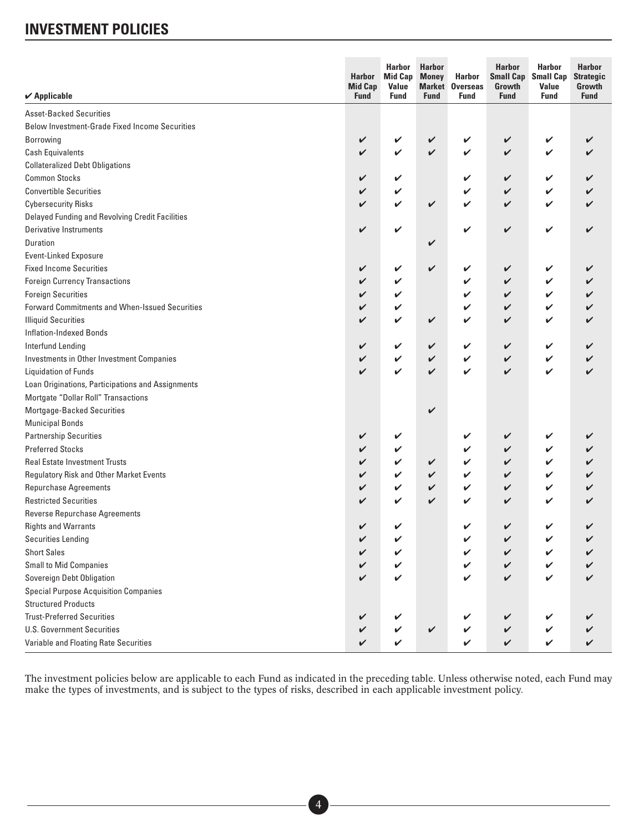| $\boldsymbol{\checkmark}$ Applicable              | <b>Harbor</b><br><b>Mid Cap</b><br><b>Fund</b> | <b>Harbor</b><br><b>Mid Cap</b><br>Value<br><b>Fund</b> | <b>Harbor</b><br><b>Money</b><br><b>Fund</b> | Harbor<br><b>Market Overseas</b><br><b>Fund</b> | <b>Harbor</b><br><b>Small Cap</b><br>Growth<br><b>Fund</b> | <b>Harbor</b><br><b>Small Cap</b><br>Value<br><b>Fund</b> | <b>Harbor</b><br><b>Strategic</b><br>Growth<br><b>Fund</b> |
|---------------------------------------------------|------------------------------------------------|---------------------------------------------------------|----------------------------------------------|-------------------------------------------------|------------------------------------------------------------|-----------------------------------------------------------|------------------------------------------------------------|
| <b>Asset-Backed Securities</b>                    |                                                |                                                         |                                              |                                                 |                                                            |                                                           |                                                            |
| Below Investment-Grade Fixed Income Securities    |                                                |                                                         |                                              |                                                 |                                                            |                                                           |                                                            |
| <b>Borrowing</b>                                  | V                                              | V                                                       | V                                            | V                                               | V                                                          | V                                                         |                                                            |
| <b>Cash Equivalents</b>                           | V                                              | V                                                       | $\checkmark$                                 | V                                               | V                                                          | V                                                         |                                                            |
| <b>Collateralized Debt Obligations</b>            |                                                |                                                         |                                              |                                                 |                                                            |                                                           |                                                            |
| <b>Common Stocks</b>                              | V                                              | V                                                       |                                              | V                                               | V                                                          | V                                                         |                                                            |
| <b>Convertible Securities</b>                     | V                                              | V                                                       |                                              | V                                               | V                                                          | V                                                         |                                                            |
| <b>Cybersecurity Risks</b>                        | V                                              | V                                                       | V                                            | V                                               | V                                                          | V                                                         |                                                            |
| Delayed Funding and Revolving Credit Facilities   |                                                |                                                         |                                              |                                                 |                                                            |                                                           |                                                            |
| Derivative Instruments                            | V                                              | V                                                       |                                              | V                                               | $\checkmark$                                               | V                                                         |                                                            |
| Duration                                          |                                                |                                                         | V                                            |                                                 |                                                            |                                                           |                                                            |
| <b>Event-Linked Exposure</b>                      |                                                |                                                         |                                              |                                                 |                                                            |                                                           |                                                            |
| <b>Fixed Income Securities</b>                    | V                                              | V                                                       | V                                            | V                                               | V                                                          | V                                                         |                                                            |
| <b>Foreign Currency Transactions</b>              | V                                              | V                                                       |                                              | V                                               | V                                                          | V                                                         |                                                            |
| <b>Foreign Securities</b>                         | V                                              | V                                                       |                                              | V                                               | V                                                          | V                                                         |                                                            |
| Forward Commitments and When-Issued Securities    | V                                              | V                                                       |                                              | V                                               | V                                                          | V                                                         |                                                            |
| <b>Illiquid Securities</b>                        | V                                              | V                                                       | V                                            | V                                               | V                                                          | V                                                         |                                                            |
| <b>Inflation-Indexed Bonds</b>                    |                                                |                                                         |                                              |                                                 |                                                            |                                                           |                                                            |
| Interfund Lending                                 | V                                              | V                                                       | V                                            | V                                               | V                                                          | V                                                         |                                                            |
| Investments in Other Investment Companies         | V                                              | V                                                       | V                                            | V                                               | V                                                          | V                                                         |                                                            |
| <b>Liquidation of Funds</b>                       | V                                              | V                                                       | V                                            | V                                               | V                                                          | ✓                                                         |                                                            |
| Loan Originations, Participations and Assignments |                                                |                                                         |                                              |                                                 |                                                            |                                                           |                                                            |
| Mortgate "Dollar Roll" Transactions               |                                                |                                                         |                                              |                                                 |                                                            |                                                           |                                                            |
| Mortgage-Backed Securities                        |                                                |                                                         | V                                            |                                                 |                                                            |                                                           |                                                            |
| <b>Municipal Bonds</b>                            |                                                |                                                         |                                              |                                                 |                                                            |                                                           |                                                            |
| <b>Partnership Securities</b>                     | V                                              | V                                                       |                                              | V                                               | V                                                          | V                                                         |                                                            |
| <b>Preferred Stocks</b>                           | V                                              | V                                                       |                                              | V                                               | V                                                          | V                                                         |                                                            |
| <b>Real Estate Investment Trusts</b>              | V                                              | V                                                       | V                                            | V                                               | V                                                          | V                                                         |                                                            |
| Regulatory Risk and Other Market Events           | V                                              | V                                                       | V                                            | V                                               | V                                                          | V                                                         |                                                            |
| <b>Repurchase Agreements</b>                      | V                                              | V                                                       | V                                            | V                                               | V                                                          | V                                                         |                                                            |
| <b>Restricted Securities</b>                      | V                                              | V                                                       | V                                            | V                                               | V                                                          | V                                                         |                                                            |
| Reverse Repurchase Agreements                     |                                                |                                                         |                                              |                                                 |                                                            |                                                           |                                                            |
| <b>Rights and Warrants</b>                        | V                                              | V                                                       |                                              | V                                               | V                                                          | V                                                         |                                                            |
| <b>Securities Lending</b>                         |                                                |                                                         |                                              |                                                 |                                                            |                                                           |                                                            |
| <b>Short Sales</b>                                | V                                              | ✓                                                       |                                              |                                                 | V                                                          | V                                                         |                                                            |
| <b>Small to Mid Companies</b>                     | V                                              | V                                                       |                                              | ✓                                               | V                                                          | V                                                         |                                                            |
| Sovereign Debt Obligation                         | V                                              | V                                                       |                                              | ✓                                               | V                                                          | V                                                         |                                                            |
| <b>Special Purpose Acquisition Companies</b>      |                                                |                                                         |                                              |                                                 |                                                            |                                                           |                                                            |
| <b>Structured Products</b>                        |                                                |                                                         |                                              |                                                 |                                                            |                                                           |                                                            |
| <b>Trust-Preferred Securities</b>                 | V                                              | V                                                       |                                              | V                                               | V                                                          | V                                                         |                                                            |
| U.S. Government Securities                        | V                                              | V                                                       | V                                            | ✓                                               | V                                                          | V                                                         |                                                            |
| Variable and Floating Rate Securities             | V                                              | V                                                       |                                              | V                                               | V                                                          | V                                                         |                                                            |
|                                                   |                                                |                                                         |                                              |                                                 |                                                            |                                                           |                                                            |

The investment policies below are applicable to each Fund as indicated in the preceding table. Unless otherwise noted, each Fund may make the types of investments, and is subject to the types of risks, described in each applicable investment policy.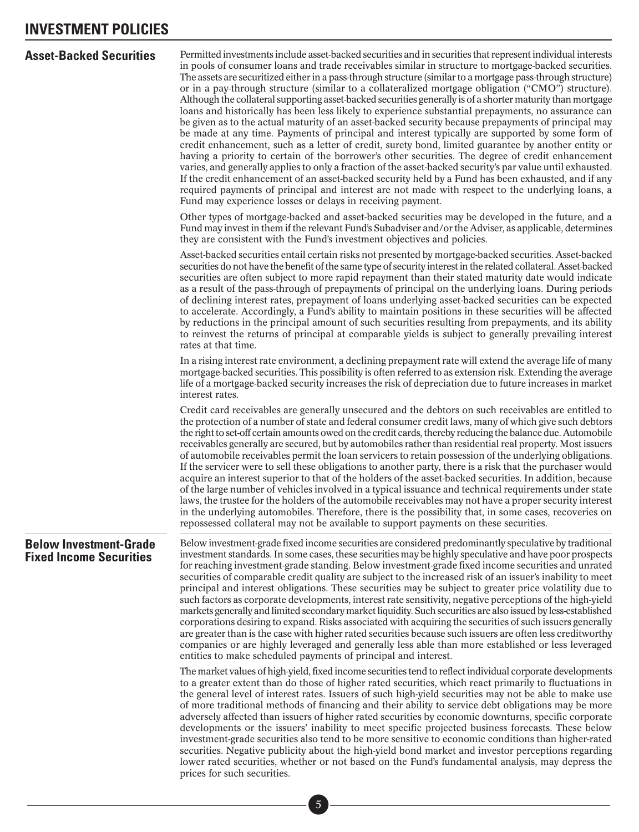<span id="page-9-0"></span>

|  |  | <b>Asset-Backed Securities</b> |  |
|--|--|--------------------------------|--|
|--|--|--------------------------------|--|

**Asset-Backed Securities** Permitted investments include asset-backed securities and in securities that represent individual interests in pools of consumer loans and trade receivables similar in structure to mortgage-backed securities. The assets are securitized either in a pass-through structure (similar to a mortgage pass-through structure) or in a pay-through structure (similar to a collateralized mortgage obligation ("CMO") structure). Although the collateral supporting asset-backed securities generally is of a shorter maturity than mortgage loans and historically has been less likely to experience substantial prepayments, no assurance can be given as to the actual maturity of an asset-backed security because prepayments of principal may be made at any time. Payments of principal and interest typically are supported by some form of credit enhancement, such as a letter of credit, surety bond, limited guarantee by another entity or having a priority to certain of the borrower's other securities. The degree of credit enhancement varies, and generally applies to only a fraction of the asset-backed security's par value until exhausted. If the credit enhancement of an asset-backed security held by a Fund has been exhausted, and if any required payments of principal and interest are not made with respect to the underlying loans, a Fund may experience losses or delays in receiving payment.

Other types of mortgage-backed and asset-backed securities may be developed in the future, and a Fund may invest in them if the relevant Fund's Subadviser and/or the Adviser, as applicable, determines they are consistent with the Fund's investment objectives and policies.

Asset-backed securities entail certain risks not presented by mortgage-backed securities. Asset-backed securities do not have the benefit of the same type of security interest in the related collateral. Asset-backed securities are often subject to more rapid repayment than their stated maturity date would indicate as a result of the pass-through of prepayments of principal on the underlying loans. During periods of declining interest rates, prepayment of loans underlying asset-backed securities can be expected to accelerate. Accordingly, a Fund's ability to maintain positions in these securities will be affected by reductions in the principal amount of such securities resulting from prepayments, and its ability to reinvest the returns of principal at comparable yields is subject to generally prevailing interest rates at that time.

In a rising interest rate environment, a declining prepayment rate will extend the average life of many mortgage-backed securities. This possibility is often referred to as extension risk. Extending the average life of a mortgage-backed security increases the risk of depreciation due to future increases in market interest rates.

Credit card receivables are generally unsecured and the debtors on such receivables are entitled to the protection of a number of state and federal consumer credit laws, many of which give such debtors the right to set-off certain amounts owed on the credit cards, thereby reducing the balance due. Automobile receivables generally are secured, but by automobiles rather than residential real property. Most issuers of automobile receivables permit the loan servicers to retain possession of the underlying obligations. If the servicer were to sell these obligations to another party, there is a risk that the purchaser would acquire an interest superior to that of the holders of the asset-backed securities. In addition, because of the large number of vehicles involved in a typical issuance and technical requirements under state laws, the trustee for the holders of the automobile receivables may not have a proper security interest in the underlying automobiles. Therefore, there is the possibility that, in some cases, recoveries on repossessed collateral may not be available to support payments on these securities.

### **Below Investment-Grade Fixed Income Securities**

Below investment-grade fixed income securities are considered predominantly speculative by traditional investment standards. In some cases, these securities may be highly speculative and have poor prospects for reaching investment-grade standing. Below investment-grade fixed income securities and unrated securities of comparable credit quality are subject to the increased risk of an issuer's inability to meet principal and interest obligations. These securities may be subject to greater price volatility due to such factors as corporate developments, interest rate sensitivity, negative perceptions of the high-yield markets generally and limited secondary market liquidity. Such securities are also issued by less-established corporations desiring to expand. Risks associated with acquiring the securities of such issuers generally are greater than is the case with higher rated securities because such issuers are often less creditworthy companies or are highly leveraged and generally less able than more established or less leveraged entities to make scheduled payments of principal and interest.

The market values of high-yield, fixed income securities tend to reflect individual corporate developments to a greater extent than do those of higher rated securities, which react primarily to fluctuations in the general level of interest rates. Issuers of such high-yield securities may not be able to make use of more traditional methods of financing and their ability to service debt obligations may be more adversely affected than issuers of higher rated securities by economic downturns, specific corporate developments or the issuers' inability to meet specific projected business forecasts. These below investment-grade securities also tend to be more sensitive to economic conditions than higher-rated securities. Negative publicity about the high-yield bond market and investor perceptions regarding lower rated securities, whether or not based on the Fund's fundamental analysis, may depress the prices for such securities.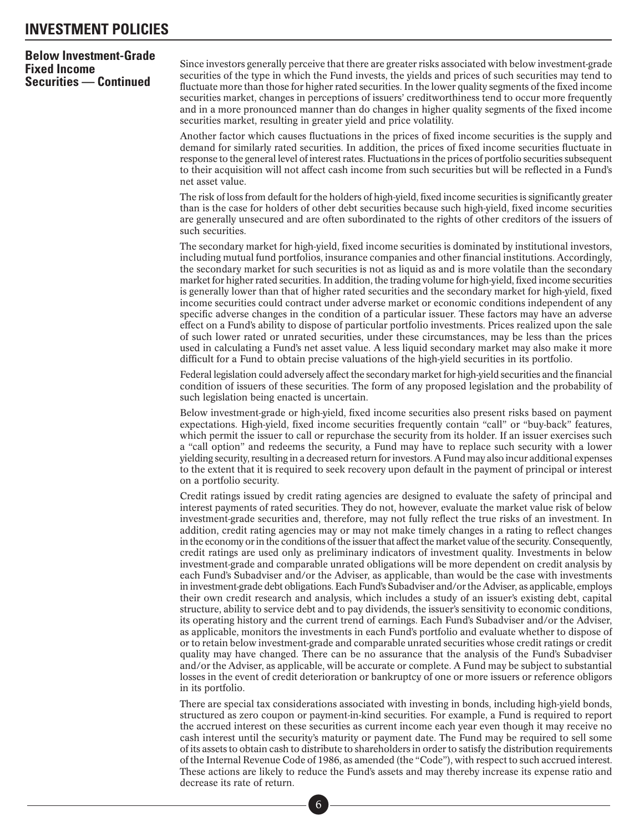### **Below Investment-Grade Fixed Income Securities — Continued**

Since investors generally perceive that there are greater risks associated with below investment-grade securities of the type in which the Fund invests, the yields and prices of such securities may tend to fluctuate more than those for higher rated securities. In the lower quality segments of the fixed income securities market, changes in perceptions of issuers' creditworthiness tend to occur more frequently and in a more pronounced manner than do changes in higher quality segments of the fixed income securities market, resulting in greater yield and price volatility.

Another factor which causes fluctuations in the prices of fixed income securities is the supply and demand for similarly rated securities. In addition, the prices of fixed income securities fluctuate in response to the general level of interest rates. Fluctuations in the prices of portfolio securities subsequent to their acquisition will not affect cash income from such securities but will be reflected in a Fund's net asset value.

The risk of loss from default for the holders of high-yield, fixed income securities is significantly greater than is the case for holders of other debt securities because such high-yield, fixed income securities are generally unsecured and are often subordinated to the rights of other creditors of the issuers of such securities.

The secondary market for high-yield, fixed income securities is dominated by institutional investors, including mutual fund portfolios, insurance companies and other financial institutions. Accordingly, the secondary market for such securities is not as liquid as and is more volatile than the secondary market for higher rated securities. In addition, the trading volume for high-yield, fixed income securities is generally lower than that of higher rated securities and the secondary market for high-yield, fixed income securities could contract under adverse market or economic conditions independent of any specific adverse changes in the condition of a particular issuer. These factors may have an adverse effect on a Fund's ability to dispose of particular portfolio investments. Prices realized upon the sale of such lower rated or unrated securities, under these circumstances, may be less than the prices used in calculating a Fund's net asset value. A less liquid secondary market may also make it more difficult for a Fund to obtain precise valuations of the high-yield securities in its portfolio.

Federal legislation could adversely affect the secondary market for high-yield securities and the financial condition of issuers of these securities. The form of any proposed legislation and the probability of such legislation being enacted is uncertain.

Below investment-grade or high-yield, fixed income securities also present risks based on payment expectations. High-yield, fixed income securities frequently contain "call" or "buy-back" features, which permit the issuer to call or repurchase the security from its holder. If an issuer exercises such a "call option" and redeems the security, a Fund may have to replace such security with a lower yielding security, resulting in a decreased return for investors. A Fund may also incur additional expenses to the extent that it is required to seek recovery upon default in the payment of principal or interest on a portfolio security.

Credit ratings issued by credit rating agencies are designed to evaluate the safety of principal and interest payments of rated securities. They do not, however, evaluate the market value risk of below investment-grade securities and, therefore, may not fully reflect the true risks of an investment. In addition, credit rating agencies may or may not make timely changes in a rating to reflect changes in the economy or in the conditions of the issuer that affect the market value of the security. Consequently, credit ratings are used only as preliminary indicators of investment quality. Investments in below investment-grade and comparable unrated obligations will be more dependent on credit analysis by each Fund's Subadviser and/or the Adviser, as applicable, than would be the case with investments in investment-grade debt obligations. Each Fund's Subadviser and/or the Adviser, as applicable, employs their own credit research and analysis, which includes a study of an issuer's existing debt, capital structure, ability to service debt and to pay dividends, the issuer's sensitivity to economic conditions, its operating history and the current trend of earnings. Each Fund's Subadviser and/or the Adviser, as applicable, monitors the investments in each Fund's portfolio and evaluate whether to dispose of or to retain below investment-grade and comparable unrated securities whose credit ratings or credit quality may have changed. There can be no assurance that the analysis of the Fund's Subadviser and/or the Adviser, as applicable, will be accurate or complete. A Fund may be subject to substantial losses in the event of credit deterioration or bankruptcy of one or more issuers or reference obligors in its portfolio.

There are special tax considerations associated with investing in bonds, including high-yield bonds, structured as zero coupon or payment-in-kind securities. For example, a Fund is required to report the accrued interest on these securities as current income each year even though it may receive no cash interest until the security's maturity or payment date. The Fund may be required to sell some of its assets to obtain cash to distribute to shareholders in order to satisfy the distribution requirements of the Internal Revenue Code of 1986, as amended (the "Code"), with respect to such accrued interest. These actions are likely to reduce the Fund's assets and may thereby increase its expense ratio and decrease its rate of return. ■•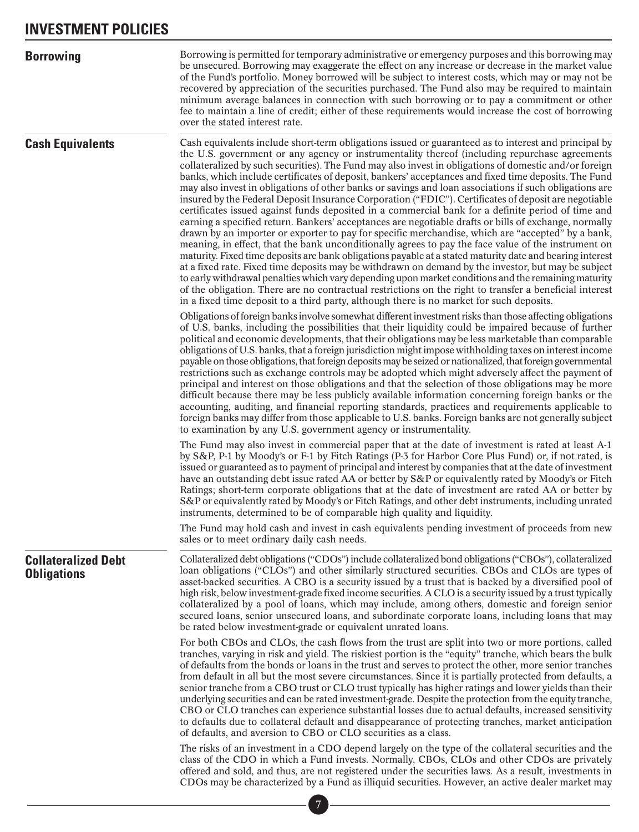<span id="page-11-0"></span>

| <b>Borrowing</b>                                 | Borrowing is permitted for temporary administrative or emergency purposes and this borrowing may<br>be unsecured. Borrowing may exaggerate the effect on any increase or decrease in the market value<br>of the Fund's portfolio. Money borrowed will be subject to interest costs, which may or may not be<br>recovered by appreciation of the securities purchased. The Fund also may be required to maintain<br>minimum average balances in connection with such borrowing or to pay a commitment or other<br>fee to maintain a line of credit; either of these requirements would increase the cost of borrowing<br>over the stated interest rate.                                                                                                                                                                                                                                                                                                                                                                                                                                                                                                                                                                                                                                                                                                                                                                                                                                                                                                                                                   |
|--------------------------------------------------|----------------------------------------------------------------------------------------------------------------------------------------------------------------------------------------------------------------------------------------------------------------------------------------------------------------------------------------------------------------------------------------------------------------------------------------------------------------------------------------------------------------------------------------------------------------------------------------------------------------------------------------------------------------------------------------------------------------------------------------------------------------------------------------------------------------------------------------------------------------------------------------------------------------------------------------------------------------------------------------------------------------------------------------------------------------------------------------------------------------------------------------------------------------------------------------------------------------------------------------------------------------------------------------------------------------------------------------------------------------------------------------------------------------------------------------------------------------------------------------------------------------------------------------------------------------------------------------------------------|
| <b>Cash Equivalents</b>                          | Cash equivalents include short-term obligations issued or guaranteed as to interest and principal by<br>the U.S. government or any agency or instrumentality thereof (including repurchase agreements<br>collateralized by such securities). The Fund may also invest in obligations of domestic and/or foreign<br>banks, which include certificates of deposit, bankers' acceptances and fixed time deposits. The Fund<br>may also invest in obligations of other banks or savings and loan associations if such obligations are<br>insured by the Federal Deposit Insurance Corporation ("FDIC"). Certificates of deposit are negotiable<br>certificates issued against funds deposited in a commercial bank for a definite period of time and<br>earning a specified return. Bankers' acceptances are negotiable drafts or bills of exchange, normally<br>drawn by an importer or exporter to pay for specific merchandise, which are "accepted" by a bank,<br>meaning, in effect, that the bank unconditionally agrees to pay the face value of the instrument on<br>maturity. Fixed time deposits are bank obligations payable at a stated maturity date and bearing interest<br>at a fixed rate. Fixed time deposits may be withdrawn on demand by the investor, but may be subject<br>to early withdrawal penalties which vary depending upon market conditions and the remaining maturity<br>of the obligation. There are no contractual restrictions on the right to transfer a beneficial interest<br>in a fixed time deposit to a third party, although there is no market for such deposits. |
|                                                  | Obligations of foreign banks involve somewhat different investment risks than those affecting obligations<br>of U.S. banks, including the possibilities that their liquidity could be impaired because of further<br>political and economic developments, that their obligations may be less marketable than comparable<br>obligations of U.S. banks, that a foreign jurisdiction might impose withholding taxes on interest income<br>payable on those obligations, that foreign deposits may be seized or nationalized, that foreign governmental<br>restrictions such as exchange controls may be adopted which might adversely affect the payment of<br>principal and interest on those obligations and that the selection of those obligations may be more<br>difficult because there may be less publicly available information concerning foreign banks or the<br>accounting, auditing, and financial reporting standards, practices and requirements applicable to<br>foreign banks may differ from those applicable to U.S. banks. Foreign banks are not generally subject<br>to examination by any U.S. government agency or instrumentality.                                                                                                                                                                                                                                                                                                                                                                                                                                                  |
|                                                  | The Fund may also invest in commercial paper that at the date of investment is rated at least A-1<br>by S&P, P-1 by Moody's or F-1 by Fitch Ratings (P-3 for Harbor Core Plus Fund) or, if not rated, is<br>issued or guaranteed as to payment of principal and interest by companies that at the date of investment<br>have an outstanding debt issue rated AA or better by S&P or equivalently rated by Moody's or Fitch<br>Ratings; short-term corporate obligations that at the date of investment are rated AA or better by<br>S&P or equivalently rated by Moody's or Fitch Ratings, and other debt instruments, including unrated<br>instruments, determined to be of comparable high quality and liquidity.<br>The Fund may hold cash and invest in cash equivalents pending investment of proceeds from new                                                                                                                                                                                                                                                                                                                                                                                                                                                                                                                                                                                                                                                                                                                                                                                     |
| <b>Collateralized Debt</b><br><b>Obligations</b> | sales or to meet ordinary daily cash needs.<br>Collateralized debt obligations ("CDOs") include collateralized bond obligations ("CBOs"), collateralized<br>loan obligations ("CLOs") and other similarly structured securities. CBOs and CLOs are types of<br>asset-backed securities. A CBO is a security issued by a trust that is backed by a diversified pool of<br>high risk, below investment-grade fixed income securities. A CLO is a security issued by a trust typically<br>collateralized by a pool of loans, which may include, among others, domestic and foreign senior<br>secured loans, senior unsecured loans, and subordinate corporate loans, including loans that may<br>be rated below investment-grade or equivalent unrated loans.                                                                                                                                                                                                                                                                                                                                                                                                                                                                                                                                                                                                                                                                                                                                                                                                                                               |
|                                                  | For both CBOs and CLOs, the cash flows from the trust are split into two or more portions, called<br>tranches, varying in risk and yield. The riskiest portion is the "equity" tranche, which bears the bulk<br>of defaults from the bonds or loans in the trust and serves to protect the other, more senior tranches<br>from default in all but the most severe circumstances. Since it is partially protected from defaults, a<br>senior tranche from a CBO trust or CLO trust typically has higher ratings and lower yields than their<br>underlying securities and can be rated investment-grade. Despite the protection from the equity tranche,<br>CBO or CLO tranches can experience substantial losses due to actual defaults, increased sensitivity<br>to defaults due to collateral default and disappearance of protecting tranches, market anticipation<br>of defaults, and aversion to CBO or CLO securities as a class.                                                                                                                                                                                                                                                                                                                                                                                                                                                                                                                                                                                                                                                                   |
|                                                  | The risks of an investment in a CDO depend largely on the type of the collateral securities and the<br>class of the CDO in which a Fund invests. Normally, CBOs, CLOs and other CDOs are privately<br>offered and sold, and thus, are not registered under the securities laws. As a result, investments in<br>CDOs may be characterized by a Fund as illiquid securities. However, an active dealer market may                                                                                                                                                                                                                                                                                                                                                                                                                                                                                                                                                                                                                                                                                                                                                                                                                                                                                                                                                                                                                                                                                                                                                                                          |
|                                                  |                                                                                                                                                                                                                                                                                                                                                                                                                                                                                                                                                                                                                                                                                                                                                                                                                                                                                                                                                                                                                                                                                                                                                                                                                                                                                                                                                                                                                                                                                                                                                                                                          |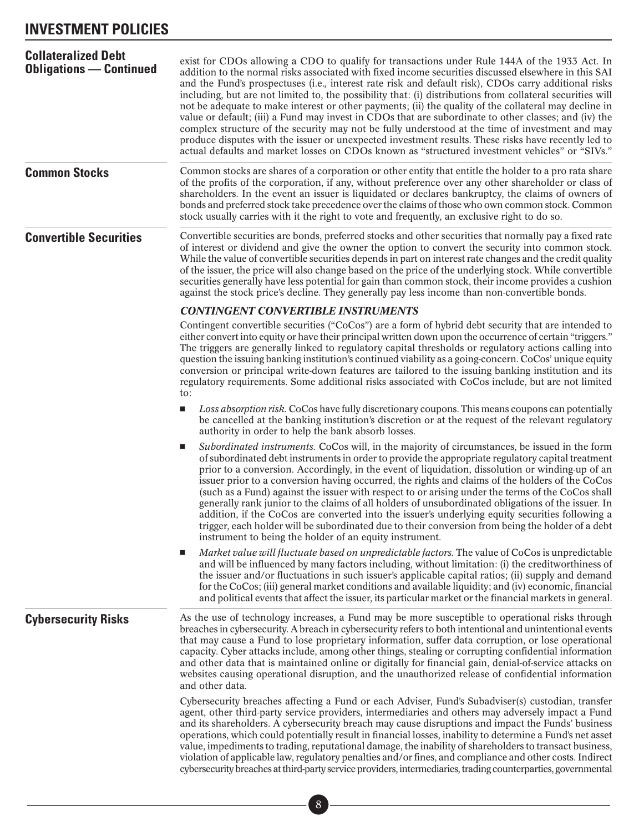<span id="page-12-0"></span>

| <b>Collateralized Debt</b><br><b>Obligations — Continued</b> | exist for CDOs allowing a CDO to qualify for transactions under Rule 144A of the 1933 Act. In<br>addition to the normal risks associated with fixed income securities discussed elsewhere in this SAI<br>and the Fund's prospectuses (i.e., interest rate risk and default risk), CDOs carry additional risks<br>including, but are not limited to, the possibility that: (i) distributions from collateral securities will<br>not be adequate to make interest or other payments; (ii) the quality of the collateral may decline in<br>value or default; (iii) a Fund may invest in CDOs that are subordinate to other classes; and (iv) the<br>complex structure of the security may not be fully understood at the time of investment and may<br>produce disputes with the issuer or unexpected investment results. These risks have recently led to<br>actual defaults and market losses on CDOs known as "structured investment vehicles" or "SIVs." |
|--------------------------------------------------------------|-----------------------------------------------------------------------------------------------------------------------------------------------------------------------------------------------------------------------------------------------------------------------------------------------------------------------------------------------------------------------------------------------------------------------------------------------------------------------------------------------------------------------------------------------------------------------------------------------------------------------------------------------------------------------------------------------------------------------------------------------------------------------------------------------------------------------------------------------------------------------------------------------------------------------------------------------------------|
| <b>Common Stocks</b>                                         | Common stocks are shares of a corporation or other entity that entitle the holder to a pro rata share<br>of the profits of the corporation, if any, without preference over any other shareholder or class of<br>shareholders. In the event an issuer is liquidated or declares bankruptcy, the claims of owners of<br>bonds and preferred stock take precedence over the claims of those who own common stock. Common<br>stock usually carries with it the right to vote and frequently, an exclusive right to do so.                                                                                                                                                                                                                                                                                                                                                                                                                                    |
| <b>Convertible Securities</b>                                | Convertible securities are bonds, preferred stocks and other securities that normally pay a fixed rate<br>of interest or dividend and give the owner the option to convert the security into common stock.<br>While the value of convertible securities depends in part on interest rate changes and the credit quality<br>of the issuer, the price will also change based on the price of the underlying stock. While convertible<br>securities generally have less potential for gain than common stock, their income provides a cushion<br>against the stock price's decline. They generally pay less income than non-convertible bonds.                                                                                                                                                                                                                                                                                                               |
|                                                              | <b>CONTINGENT CONVERTIBLE INSTRUMENTS</b>                                                                                                                                                                                                                                                                                                                                                                                                                                                                                                                                                                                                                                                                                                                                                                                                                                                                                                                 |
|                                                              | Contingent convertible securities ("CoCos") are a form of hybrid debt security that are intended to<br>either convert into equity or have their principal written down upon the occurrence of certain "triggers."<br>The triggers are generally linked to regulatory capital thresholds or regulatory actions calling into<br>question the issuing banking institution's continued viability as a going-concern. CoCos' unique equity<br>conversion or principal write-down features are tailored to the issuing banking institution and its<br>regulatory requirements. Some additional risks associated with CoCos include, but are not limited                                                                                                                                                                                                                                                                                                         |
|                                                              | to:<br>Loss absorption risk. CoCos have fully discretionary coupons. This means coupons can potentially<br>$\blacksquare$<br>be cancelled at the banking institution's discretion or at the request of the relevant regulatory<br>authority in order to help the bank absorb losses.                                                                                                                                                                                                                                                                                                                                                                                                                                                                                                                                                                                                                                                                      |
|                                                              | Subordinated instruments. CoCos will, in the majority of circumstances, be issued in the form<br>ш<br>of subordinated debt instruments in order to provide the appropriate regulatory capital treatment<br>prior to a conversion. Accordingly, in the event of liquidation, dissolution or winding-up of an<br>issuer prior to a conversion having occurred, the rights and claims of the holders of the CoCos<br>(such as a Fund) against the issuer with respect to or arising under the terms of the CoCos shall<br>generally rank junior to the claims of all holders of unsubordinated obligations of the issuer. In<br>addition, if the CoCos are converted into the issuer's underlying equity securities following a<br>trigger, each holder will be subordinated due to their conversion from being the holder of a debt<br>instrument to being the holder of an equity instrument.                                                              |
|                                                              | Market value will fluctuate based on unpredictable factors. The value of CoCos is unpredictable<br>o.<br>and will be influenced by many factors including, without limitation: (i) the creditworthiness of<br>the issuer and/or fluctuations in such issuer's applicable capital ratios; (ii) supply and demand<br>for the CoCos; (iii) general market conditions and available liquidity; and (iv) economic, financial<br>and political events that affect the issuer, its particular market or the financial markets in general.                                                                                                                                                                                                                                                                                                                                                                                                                        |
| <b>Cybersecurity Risks</b>                                   | As the use of technology increases, a Fund may be more susceptible to operational risks through<br>breaches in cybersecurity. A breach in cybersecurity refers to both intentional and unintentional events<br>that may cause a Fund to lose proprietary information, suffer data corruption, or lose operational<br>capacity. Cyber attacks include, among other things, stealing or corrupting confidential information<br>and other data that is maintained online or digitally for financial gain, denial-of-service attacks on<br>websites causing operational disruption, and the unauthorized release of confidential information<br>and other data.                                                                                                                                                                                                                                                                                               |
|                                                              | Cybersecurity breaches affecting a Fund or each Adviser, Fund's Subadviser(s) custodian, transfer<br>agent, other third-party service providers, intermediaries and others may adversely impact a Fund<br>and its shareholders. A cybersecurity breach may cause disruptions and impact the Funds' business<br>operations, which could potentially result in financial losses, inability to determine a Fund's net asset<br>value, impediments to trading, reputational damage, the inability of shareholders to transact business,<br>violation of applicable law, regulatory penalties and/or fines, and compliance and other costs. Indirect<br>cybersecurity breaches at third-party service providers, intermediaries, trading counterparties, governmental                                                                                                                                                                                          |
|                                                              | $\, 8$                                                                                                                                                                                                                                                                                                                                                                                                                                                                                                                                                                                                                                                                                                                                                                                                                                                                                                                                                    |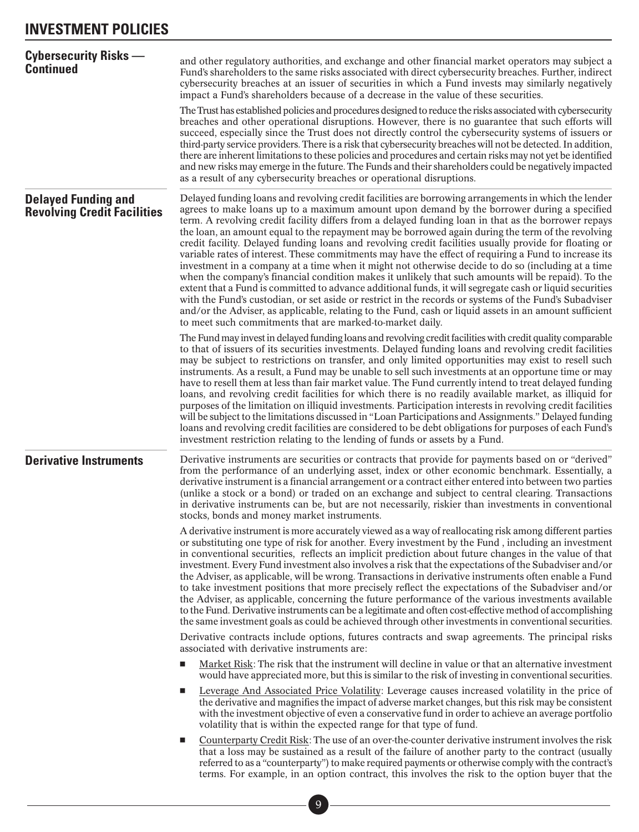<span id="page-13-0"></span>

| <b>Cybersecurity Risks -</b><br><b>Continued</b>                 | and other regulatory authorities, and exchange and other financial market operators may subject a<br>Fund's shareholders to the same risks associated with direct cybersecurity breaches. Further, indirect<br>cybersecurity breaches at an issuer of securities in which a Fund invests may similarly negatively<br>impact a Fund's shareholders because of a decrease in the value of these securities.                                                                                                                                                                                                                                                                                                                                                                                                                                                                                                                                                                                                                                                                                                                                                                                                                                   |
|------------------------------------------------------------------|---------------------------------------------------------------------------------------------------------------------------------------------------------------------------------------------------------------------------------------------------------------------------------------------------------------------------------------------------------------------------------------------------------------------------------------------------------------------------------------------------------------------------------------------------------------------------------------------------------------------------------------------------------------------------------------------------------------------------------------------------------------------------------------------------------------------------------------------------------------------------------------------------------------------------------------------------------------------------------------------------------------------------------------------------------------------------------------------------------------------------------------------------------------------------------------------------------------------------------------------|
|                                                                  | The Trust has established policies and procedures designed to reduce the risks associated with cybersecurity<br>breaches and other operational disruptions. However, there is no guarantee that such efforts will<br>succeed, especially since the Trust does not directly control the cybersecurity systems of issuers or<br>third-party service providers. There is a risk that cybersecurity breaches will not be detected. In addition,<br>there are inherent limitations to these policies and procedures and certain risks may not yet be identified<br>and new risks may emerge in the future. The Funds and their shareholders could be negatively impacted<br>as a result of any cybersecurity breaches or operational disruptions.                                                                                                                                                                                                                                                                                                                                                                                                                                                                                                |
| <b>Delayed Funding and</b><br><b>Revolving Credit Facilities</b> | Delayed funding loans and revolving credit facilities are borrowing arrangements in which the lender<br>agrees to make loans up to a maximum amount upon demand by the borrower during a specified<br>term. A revolving credit facility differs from a delayed funding loan in that as the borrower repays<br>the loan, an amount equal to the repayment may be borrowed again during the term of the revolving<br>credit facility. Delayed funding loans and revolving credit facilities usually provide for floating or<br>variable rates of interest. These commitments may have the effect of requiring a Fund to increase its<br>investment in a company at a time when it might not otherwise decide to do so (including at a time<br>when the company's financial condition makes it unlikely that such amounts will be repaid). To the<br>extent that a Fund is committed to advance additional funds, it will segregate cash or liquid securities<br>with the Fund's custodian, or set aside or restrict in the records or systems of the Fund's Subadviser<br>and/or the Adviser, as applicable, relating to the Fund, cash or liquid assets in an amount sufficient<br>to meet such commitments that are marked-to-market daily. |
|                                                                  | The Fund may invest in delayed funding loans and revolving credit facilities with credit quality comparable<br>to that of issuers of its securities investments. Delayed funding loans and revolving credit facilities<br>may be subject to restrictions on transfer, and only limited opportunities may exist to resell such<br>instruments. As a result, a Fund may be unable to sell such investments at an opportune time or may<br>have to resell them at less than fair market value. The Fund currently intend to treat delayed funding<br>loans, and revolving credit facilities for which there is no readily available market, as illiquid for<br>purposes of the limitation on illiquid investments. Participation interests in revolving credit facilities<br>will be subject to the limitations discussed in "Loan Participations and Assignments." Delayed funding<br>loans and revolving credit facilities are considered to be debt obligations for purposes of each Fund's<br>investment restriction relating to the lending of funds or assets by a Fund.                                                                                                                                                                 |
| <b>Derivative Instruments</b>                                    | Derivative instruments are securities or contracts that provide for payments based on or "derived"<br>from the performance of an underlying asset, index or other economic benchmark. Essentially, a<br>derivative instrument is a financial arrangement or a contract either entered into between two parties<br>(unlike a stock or a bond) or traded on an exchange and subject to central clearing. Transactions<br>in derivative instruments can be, but are not necessarily, riskier than investments in conventional<br>stocks, bonds and money market instruments.                                                                                                                                                                                                                                                                                                                                                                                                                                                                                                                                                                                                                                                                   |
|                                                                  | A derivative instrument is more accurately viewed as a way of reallocating risk among different parties<br>or substituting one type of risk for another. Every investment by the Fund, including an investment<br>in conventional securities, reflects an implicit prediction about future changes in the value of that<br>investment. Every Fund investment also involves a risk that the expectations of the Subadviser and/or<br>the Adviser, as applicable, will be wrong. Transactions in derivative instruments often enable a Fund<br>to take investment positions that more precisely reflect the expectations of the Subadviser and/or<br>the Adviser, as applicable, concerning the future performance of the various investments available<br>to the Fund. Derivative instruments can be a legitimate and often cost-effective method of accomplishing<br>the same investment goals as could be achieved through other investments in conventional securities.                                                                                                                                                                                                                                                                   |
|                                                                  | Derivative contracts include options, futures contracts and swap agreements. The principal risks<br>associated with derivative instruments are:                                                                                                                                                                                                                                                                                                                                                                                                                                                                                                                                                                                                                                                                                                                                                                                                                                                                                                                                                                                                                                                                                             |
|                                                                  | Market Risk: The risk that the instrument will decline in value or that an alternative investment<br>$\blacksquare$<br>would have appreciated more, but this is similar to the risk of investing in conventional securities.                                                                                                                                                                                                                                                                                                                                                                                                                                                                                                                                                                                                                                                                                                                                                                                                                                                                                                                                                                                                                |
|                                                                  | Leverage And Associated Price Volatility: Leverage causes increased volatility in the price of<br>$\blacksquare$<br>the derivative and magnifies the impact of adverse market changes, but this risk may be consistent<br>with the investment objective of even a conservative fund in order to achieve an average portfolio<br>volatility that is within the expected range for that type of fund.                                                                                                                                                                                                                                                                                                                                                                                                                                                                                                                                                                                                                                                                                                                                                                                                                                         |
|                                                                  | Counterparty Credit Risk: The use of an over-the-counter derivative instrument involves the risk<br>that a loss may be sustained as a result of the failure of another party to the contract (usually<br>referred to as a "counterparty") to make required payments or otherwise comply with the contract's<br>terms. For example, in an option contract, this involves the risk to the option buyer that the                                                                                                                                                                                                                                                                                                                                                                                                                                                                                                                                                                                                                                                                                                                                                                                                                               |
|                                                                  | $\overline{9}$                                                                                                                                                                                                                                                                                                                                                                                                                                                                                                                                                                                                                                                                                                                                                                                                                                                                                                                                                                                                                                                                                                                                                                                                                              |
|                                                                  |                                                                                                                                                                                                                                                                                                                                                                                                                                                                                                                                                                                                                                                                                                                                                                                                                                                                                                                                                                                                                                                                                                                                                                                                                                             |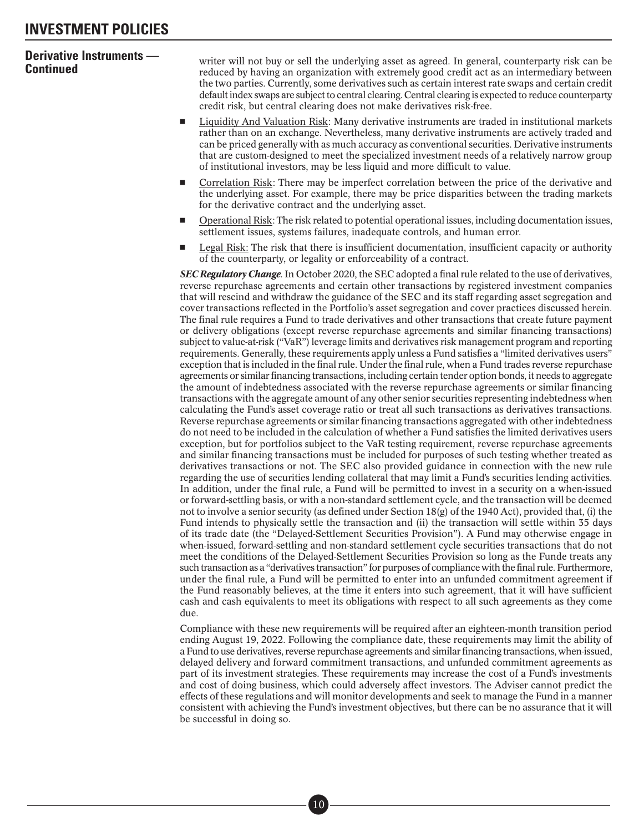**Continued instruments** — writer will not buy or sell the underlying asset as agreed. In general, counterparty risk can be reduced by having an organization with extremely good credit act as an intermediary between the two parties. Currently, some derivatives such as certain interest rate swaps and certain credit default index swaps are subject to central clearing. Central clearing is expected to reduce counterparty credit risk, but central clearing does not make derivatives risk-free.

- - Liquidity And Valuation Risk: Many derivative instruments are traded in institutional markets rather than on an exchange. Nevertheless, many derivative instruments are actively traded and can be priced generally with as much accuracy as conventional securities. Derivative instruments that are custom-designed to meet the specialized investment needs of a relatively narrow group of institutional investors, may be less liquid and more difficult to value.
- - Correlation Risk: There may be imperfect correlation between the price of the derivative and the underlying asset. For example, there may be price disparities between the trading markets for the derivative contract and the underlying asset.
- - Operational Risk: The risk related to potential operational issues, including documentation issues, settlement issues, systems failures, inadequate controls, and human error.
- - Legal Risk: The risk that there is insufficient documentation, insufficient capacity or authority of the counterparty, or legality or enforceability of a contract.

*SEC Regulatory Change*. In October 2020, the SEC adopted a final rule related to the use of derivatives, reverse repurchase agreements and certain other transactions by registered investment companies that will rescind and withdraw the guidance of the SEC and its staff regarding asset segregation and cover transactions reflected in the Portfolio's asset segregation and cover practices discussed herein. The final rule requires a Fund to trade derivatives and other transactions that create future payment or delivery obligations (except reverse repurchase agreements and similar financing transactions) subject to value-at-risk ("VaR") leverage limits and derivatives risk management program and reporting requirements. Generally, these requirements apply unless a Fund satisfies a "limited derivatives users" exception that is included in the final rule. Under the final rule, when a Fund trades reverse repurchase agreements or similar financing transactions, including certain tender option bonds, it needs to aggregate the amount of indebtedness associated with the reverse repurchase agreements or similar financing transactions with the aggregate amount of any other senior securities representing indebtedness when calculating the Fund's asset coverage ratio or treat all such transactions as derivatives transactions. Reverse repurchase agreements or similar financing transactions aggregated with other indebtedness do not need to be included in the calculation of whether a Fund satisfies the limited derivatives users exception, but for portfolios subject to the VaR testing requirement, reverse repurchase agreements and similar financing transactions must be included for purposes of such testing whether treated as derivatives transactions or not. The SEC also provided guidance in connection with the new rule regarding the use of securities lending collateral that may limit a Fund's securities lending activities. In addition, under the final rule, a Fund will be permitted to invest in a security on a when-issued or forward-settling basis, or with a non-standard settlement cycle, and the transaction will be deemed not to involve a senior security (as defined under Section 18(g) of the 1940 Act), provided that, (i) the Fund intends to physically settle the transaction and (ii) the transaction will settle within 35 days of its trade date (the "Delayed-Settlement Securities Provision"). A Fund may otherwise engage in when-issued, forward-settling and non-standard settlement cycle securities transactions that do not meet the conditions of the Delayed-Settlement Securities Provision so long as the Funde treats any such transaction as a "derivatives transaction" for purposes of compliance with the final rule. Furthermore, under the final rule, a Fund will be permitted to enter into an unfunded commitment agreement if the Fund reasonably believes, at the time it enters into such agreement, that it will have sufficient cash and cash equivalents to meet its obligations with respect to all such agreements as they come due.

Compliance with these new requirements will be required after an eighteen-month transition period ending August 19, 2022. Following the compliance date, these requirements may limit the ability of a Fund to use derivatives, reverse repurchase agreements and similar financing transactions, when-issued, delayed delivery and forward commitment transactions, and unfunded commitment agreements as part of its investment strategies. These requirements may increase the cost of a Fund's investments and cost of doing business, which could adversely affect investors. The Adviser cannot predict the effects of these regulations and will monitor developments and seek to manage the Fund in a manner consistent with achieving the Fund's investment objectives, but there can be no assurance that it will be successful in doing so.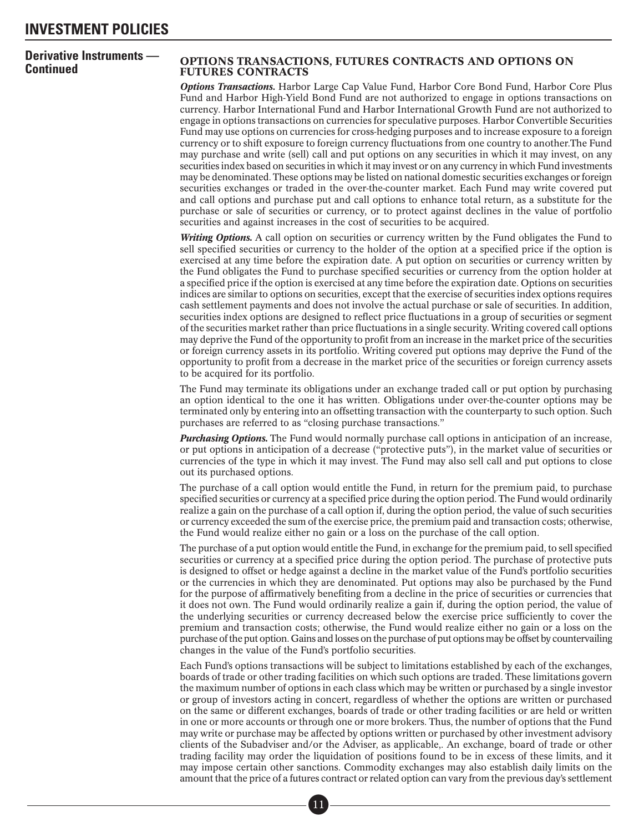#### **OPTIONS TRANSACTIONS, FUTURES CONTRACTS AND OPTIONS ON** FUTURES CONTRACTS

*Options Transactions*. Harbor Large Cap Value Fund, Harbor Core Bond Fund, Harbor Core Plus Fund and Harbor High-Yield Bond Fund are not authorized to engage in options transactions on currency. Harbor International Fund and Harbor International Growth Fund are not authorized to engage in options transactions on currencies for speculative purposes. Harbor Convertible Securities Fund may use options on currencies for cross-hedging purposes and to increase exposure to a foreign currency or to shift exposure to foreign currency fluctuations from one country to another.The Fund may purchase and write (sell) call and put options on any securities in which it may invest, on any securities index based on securities in which it may invest or on any currency in which Fund investments may be denominated. These options may be listed on national domestic securities exchanges or foreign securities exchanges or traded in the over-the-counter market. Each Fund may write covered put and call options and purchase put and call options to enhance total return, as a substitute for the purchase or sale of securities or currency, or to protect against declines in the value of portfolio securities and against increases in the cost of securities to be acquired.

*Writing Options.* A call option on securities or currency written by the Fund obligates the Fund to sell specified securities or currency to the holder of the option at a specified price if the option is exercised at any time before the expiration date. A put option on securities or currency written by the Fund obligates the Fund to purchase specified securities or currency from the option holder at a specified price if the option is exercised at any time before the expiration date. Options on securities indices are similar to options on securities, except that the exercise of securities index options requires cash settlement payments and does not involve the actual purchase or sale of securities. In addition, securities index options are designed to reflect price fluctuations in a group of securities or segment of the securities market rather than price fluctuations in a single security. Writing covered call options may deprive the Fund of the opportunity to profit from an increase in the market price of the securities or foreign currency assets in its portfolio. Writing covered put options may deprive the Fund of the opportunity to profit from a decrease in the market price of the securities or foreign currency assets to be acquired for its portfolio.

The Fund may terminate its obligations under an exchange traded call or put option by purchasing an option identical to the one it has written. Obligations under over-the-counter options may be terminated only by entering into an offsetting transaction with the counterparty to such option. Such purchases are referred to as "closing purchase transactions."

*Purchasing Options.* The Fund would normally purchase call options in anticipation of an increase, or put options in anticipation of a decrease ("protective puts"), in the market value of securities or currencies of the type in which it may invest. The Fund may also sell call and put options to close out its purchased options.

The purchase of a call option would entitle the Fund, in return for the premium paid, to purchase specified securities or currency at a specified price during the option period. The Fund would ordinarily realize a gain on the purchase of a call option if, during the option period, the value of such securities or currency exceeded the sum of the exercise price, the premium paid and transaction costs; otherwise, the Fund would realize either no gain or a loss on the purchase of the call option.

The purchase of a put option would entitle the Fund, in exchange for the premium paid, to sell specified securities or currency at a specified price during the option period. The purchase of protective puts is designed to offset or hedge against a decline in the market value of the Fund's portfolio securities or the currencies in which they are denominated. Put options may also be purchased by the Fund for the purpose of affirmatively benefiting from a decline in the price of securities or currencies that it does not own. The Fund would ordinarily realize a gain if, during the option period, the value of the underlying securities or currency decreased below the exercise price sufficiently to cover the premium and transaction costs; otherwise, the Fund would realize either no gain or a loss on the purchase of the put option. Gains and losses on the purchase of put options may be offset by countervailing changes in the value of the Fund's portfolio securities.

Each Fund's options transactions will be subject to limitations established by each of the exchanges, boards of trade or other trading facilities on which such options are traded. These limitations govern the maximum number of options in each class which may be written or purchased by a single investor or group of investors acting in concert, regardless of whether the options are written or purchased on the same or different exchanges, boards of trade or other trading facilities or are held or written in one or more accounts or through one or more brokers. Thus, the number of options that the Fund may write or purchase may be affected by options written or purchased by other investment advisory clients of the Subadviser and/or the Adviser, as applicable,. An exchange, board of trade or other trading facility may order the liquidation of positions found to be in excess of these limits, and it may impose certain other sanctions. Commodity exchanges may also establish daily limits on the amount that the price of a futures contract or related option can vary from the previous day's settlement res co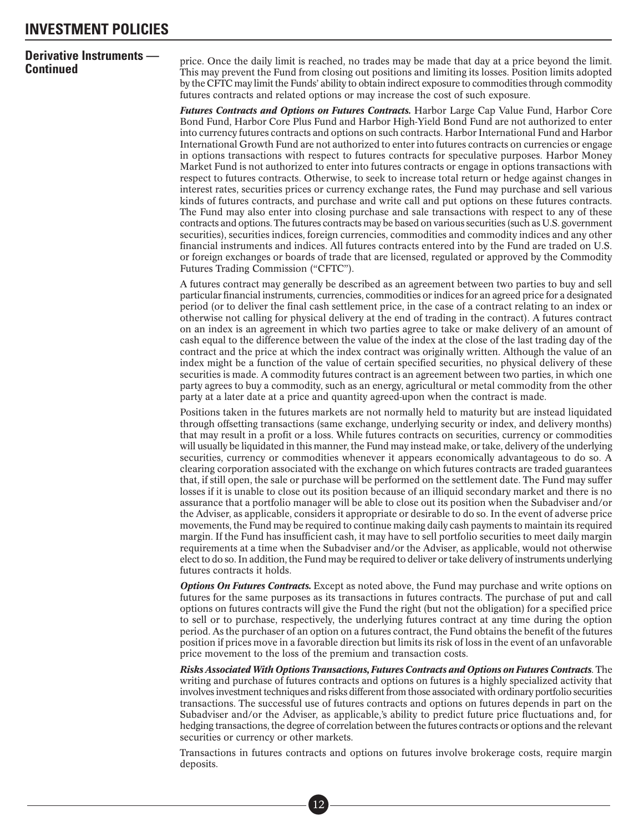**Continued instruments** — price. Once the daily limit is reached, no trades may be made that day at a price beyond the limit.<br>**Continued Continued** This may prevent the Fund from closing out positions and limiting its lo by the CFTC may limit the Funds' ability to obtain indirect exposure to commodities through commodity futures contracts and related options or may increase the cost of such exposure.

> *Futures Contracts and Options on Futures Contracts*. Harbor Large Cap Value Fund, Harbor Core Bond Fund, Harbor Core Plus Fund and Harbor High-Yield Bond Fund are not authorized to enter into currency futures contracts and options on such contracts. Harbor International Fund and Harbor International Growth Fund are not authorized to enter into futures contracts on currencies or engage in options transactions with respect to futures contracts for speculative purposes. Harbor Money Market Fund is not authorized to enter into futures contracts or engage in options transactions with respect to futures contracts. Otherwise, to seek to increase total return or hedge against changes in interest rates, securities prices or currency exchange rates, the Fund may purchase and sell various kinds of futures contracts, and purchase and write call and put options on these futures contracts. The Fund may also enter into closing purchase and sale transactions with respect to any of these contracts and options. The futures contracts may be based on various securities (such as U.S. government securities), securities indices, foreign currencies, commodities and commodity indices and any other financial instruments and indices. All futures contracts entered into by the Fund are traded on U.S. or foreign exchanges or boards of trade that are licensed, regulated or approved by the Commodity Futures Trading Commission ("CFTC").

> A futures contract may generally be described as an agreement between two parties to buy and sell particular financial instruments, currencies, commodities or indices for an agreed price for a designated period (or to deliver the final cash settlement price, in the case of a contract relating to an index or otherwise not calling for physical delivery at the end of trading in the contract). A futures contract on an index is an agreement in which two parties agree to take or make delivery of an amount of cash equal to the difference between the value of the index at the close of the last trading day of the contract and the price at which the index contract was originally written. Although the value of an index might be a function of the value of certain specified securities, no physical delivery of these securities is made. A commodity futures contract is an agreement between two parties, in which one party agrees to buy a commodity, such as an energy, agricultural or metal commodity from the other party at a later date at a price and quantity agreed-upon when the contract is made.

> Positions taken in the futures markets are not normally held to maturity but are instead liquidated through offsetting transactions (same exchange, underlying security or index, and delivery months) that may result in a profit or a loss. While futures contracts on securities, currency or commodities will usually be liquidated in this manner, the Fund may instead make, or take, delivery of the underlying securities, currency or commodities whenever it appears economically advantageous to do so. A clearing corporation associated with the exchange on which futures contracts are traded guarantees that, if still open, the sale or purchase will be performed on the settlement date. The Fund may suffer losses if it is unable to close out its position because of an illiquid secondary market and there is no assurance that a portfolio manager will be able to close out its position when the Subadviser and/or the Adviser, as applicable, considers it appropriate or desirable to do so. In the event of adverse price movements, the Fund may be required to continue making daily cash payments to maintain its required margin. If the Fund has insufficient cash, it may have to sell portfolio securities to meet daily margin requirements at a time when the Subadviser and/or the Adviser, as applicable, would not otherwise elect to do so. In addition, the Fund may be required to deliver or take delivery of instruments underlying futures contracts it holds.

> *Options On Futures Contracts.* Except as noted above, the Fund may purchase and write options on futures for the same purposes as its transactions in futures contracts. The purchase of put and call options on futures contracts will give the Fund the right (but not the obligation) for a specified price to sell or to purchase, respectively, the underlying futures contract at any time during the option period. As the purchaser of an option on a futures contract, the Fund obtains the benefit of the futures position if prices move in a favorable direction but limits its risk of loss in the event of an unfavorable price movement to the loss of the premium and transaction costs.

> *Risks Associated With Options Transactions, Futures Contracts and Options on Futures Contracts*. The writing and purchase of futures contracts and options on futures is a highly specialized activity that involves investment techniques and risks different from those associated with ordinary portfolio securities transactions. The successful use of futures contracts and options on futures depends in part on the Subadviser and/or the Adviser, as applicable,'s ability to predict future price fluctuations and, for hedging transactions, the degree of correlation between the futures contracts or options and the relevant securities or currency or other markets.

> Transactions in futures contracts and options on futures involve brokerage costs, require margin deposits.

> > ■• 12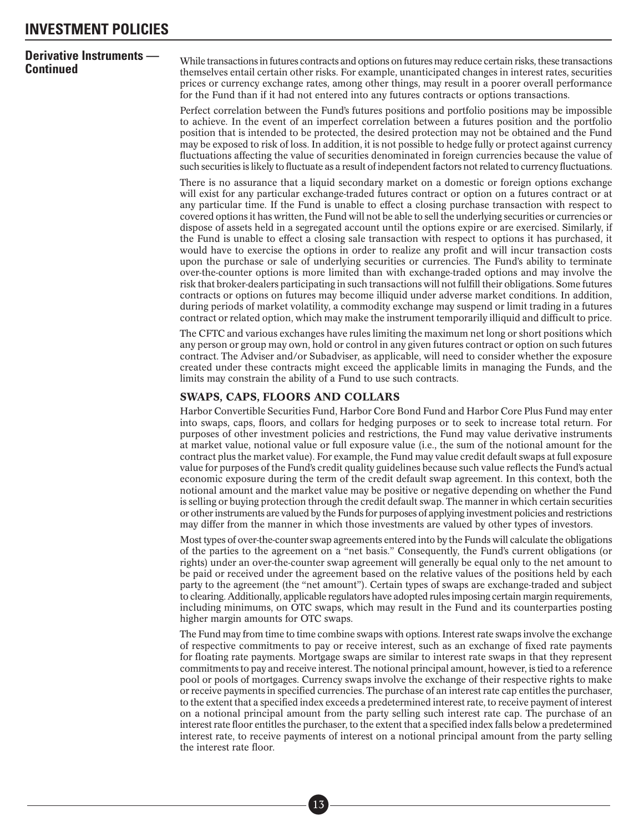**Derivative instruments** — While transactions in futures contracts and options on futures may reduce certain risks, these transactions themselves entail certain other risks. For example, unanticipated changes in interest r prices or currency exchange rates, among other things, may result in a poorer overall performance for the Fund than if it had not entered into any futures contracts or options transactions.

> Perfect correlation between the Fund's futures positions and portfolio positions may be impossible to achieve. In the event of an imperfect correlation between a futures position and the portfolio position that is intended to be protected, the desired protection may not be obtained and the Fund may be exposed to risk of loss. In addition, it is not possible to hedge fully or protect against currency fluctuations affecting the value of securities denominated in foreign currencies because the value of such securities is likely to fluctuate as a result of independent factors not related to currency fluctuations.

> There is no assurance that a liquid secondary market on a domestic or foreign options exchange will exist for any particular exchange-traded futures contract or option on a futures contract or at any particular time. If the Fund is unable to effect a closing purchase transaction with respect to covered options it has written, the Fund will not be able to sell the underlying securities or currencies or dispose of assets held in a segregated account until the options expire or are exercised. Similarly, if the Fund is unable to effect a closing sale transaction with respect to options it has purchased, it would have to exercise the options in order to realize any profit and will incur transaction costs upon the purchase or sale of underlying securities or currencies. The Fund's ability to terminate over-the-counter options is more limited than with exchange-traded options and may involve the risk that broker-dealers participating in such transactions will not fulfill their obligations. Some futures contracts or options on futures may become illiquid under adverse market conditions. In addition, during periods of market volatility, a commodity exchange may suspend or limit trading in a futures contract or related option, which may make the instrument temporarily illiquid and difficult to price.

> The CFTC and various exchanges have rules limiting the maximum net long or short positions which any person or group may own, hold or control in any given futures contract or option on such futures contract. The Adviser and/or Subadviser, as applicable, will need to consider whether the exposure created under these contracts might exceed the applicable limits in managing the Funds, and the limits may constrain the ability of a Fund to use such contracts.

#### SWAPS, CAPS, FLOORS AND COLLARS

Harbor Convertible Securities Fund, Harbor Core Bond Fund and Harbor Core Plus Fund may enter into swaps, caps, floors, and collars for hedging purposes or to seek to increase total return. For purposes of other investment policies and restrictions, the Fund may value derivative instruments at market value, notional value or full exposure value (i.e., the sum of the notional amount for the contract plus the market value). For example, the Fund may value credit default swaps at full exposure value for purposes of the Fund's credit quality guidelines because such value reflects the Fund's actual economic exposure during the term of the credit default swap agreement. In this context, both the notional amount and the market value may be positive or negative depending on whether the Fund is selling or buying protection through the credit default swap. The manner in which certain securities or other instruments are valued by the Funds for purposes of applying investment policies and restrictions may differ from the manner in which those investments are valued by other types of investors.

Most types of over-the-counter swap agreements entered into by the Funds will calculate the obligations of the parties to the agreement on a "net basis." Consequently, the Fund's current obligations (or rights) under an over-the-counter swap agreement will generally be equal only to the net amount to be paid or received under the agreement based on the relative values of the positions held by each party to the agreement (the "net amount"). Certain types of swaps are exchange-traded and subject to clearing. Additionally, applicable regulators have adopted rules imposing certain margin requirements, including minimums, on OTC swaps, which may result in the Fund and its counterparties posting higher margin amounts for OTC swaps.

The Fund may from time to time combine swaps with options. Interest rate swaps involve the exchange of respective commitments to pay or receive interest, such as an exchange of fixed rate payments for floating rate payments. Mortgage swaps are similar to interest rate swaps in that they represent commitments to pay and receive interest. The notional principal amount, however, is tied to a reference pool or pools of mortgages. Currency swaps involve the exchange of their respective rights to make or receive payments in specified currencies. The purchase of an interest rate cap entitles the purchaser, to the extent that a specified index exceeds a predetermined interest rate, to receive payment of interest on a notional principal amount from the party selling such interest rate cap. The purchase of an interest rate floor entitles the purchaser, to the extent that a specified index falls below a predetermined interest rate, to receive payments of interest on a notional principal amount from the party selling the interest rate floor.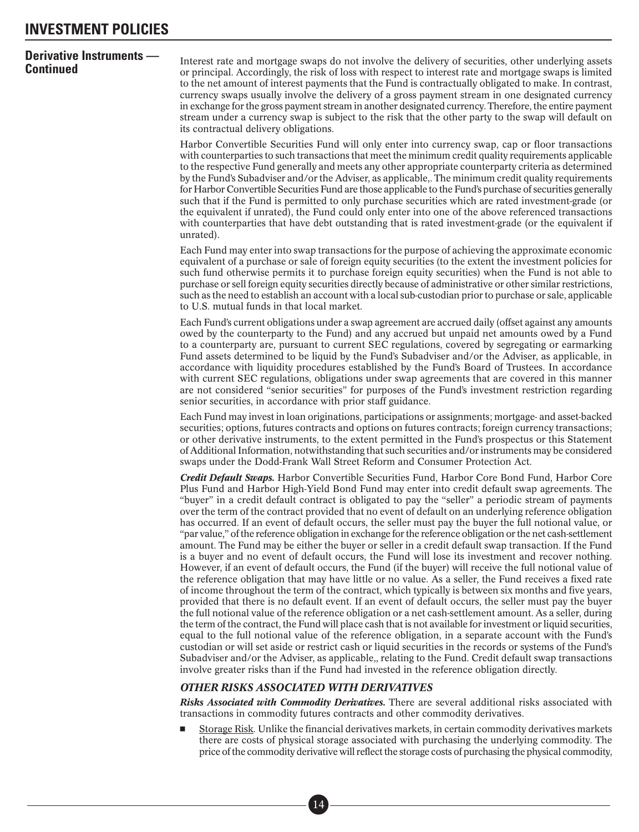**Continued Interest rate and mortgage swaps do not involve the delivery of securities, other underlying assets or principal. Accordingly, the risk of loss with respect to interest rate and mortgage swaps is limited <b>Cont** to the net amount of interest payments that the Fund is contractually obligated to make. In contrast, currency swaps usually involve the delivery of a gross payment stream in one designated currency in exchange for the gross payment stream in another designated currency. Therefore, the entire payment stream under a currency swap is subject to the risk that the other party to the swap will default on its contractual delivery obligations.

> Harbor Convertible Securities Fund will only enter into currency swap, cap or floor transactions with counterparties to such transactions that meet the minimum credit quality requirements applicable to the respective Fund generally and meets any other appropriate counterparty criteria as determined by the Fund's Subadviser and/or the Adviser, as applicable,. The minimum credit quality requirements for Harbor Convertible Securities Fund are those applicable to the Fund's purchase of securities generally such that if the Fund is permitted to only purchase securities which are rated investment-grade (or the equivalent if unrated), the Fund could only enter into one of the above referenced transactions with counterparties that have debt outstanding that is rated investment-grade (or the equivalent if unrated).

> Each Fund may enter into swap transactions for the purpose of achieving the approximate economic equivalent of a purchase or sale of foreign equity securities (to the extent the investment policies for such fund otherwise permits it to purchase foreign equity securities) when the Fund is not able to purchase or sell foreign equity securities directly because of administrative or other similar restrictions, such as the need to establish an account with a local sub-custodian prior to purchase or sale, applicable to U.S. mutual funds in that local market.

> Each Fund's current obligations under a swap agreement are accrued daily (offset against any amounts owed by the counterparty to the Fund) and any accrued but unpaid net amounts owed by a Fund to a counterparty are, pursuant to current SEC regulations, covered by segregating or earmarking Fund assets determined to be liquid by the Fund's Subadviser and/or the Adviser, as applicable, in accordance with liquidity procedures established by the Fund's Board of Trustees. In accordance with current SEC regulations, obligations under swap agreements that are covered in this manner are not considered "senior securities" for purposes of the Fund's investment restriction regarding senior securities, in accordance with prior staff guidance.

> Each Fund may invest in loan originations, participations or assignments; mortgage- and asset-backed securities; options, futures contracts and options on futures contracts; foreign currency transactions; or other derivative instruments, to the extent permitted in the Fund's prospectus or this Statement of Additional Information, notwithstanding that such securities and/or instruments may be considered swaps under the Dodd-Frank Wall Street Reform and Consumer Protection Act.

> *Credit Default Swaps*. Harbor Convertible Securities Fund, Harbor Core Bond Fund, Harbor Core Plus Fund and Harbor High-Yield Bond Fund may enter into credit default swap agreements. The "buyer" in a credit default contract is obligated to pay the "seller" a periodic stream of payments over the term of the contract provided that no event of default on an underlying reference obligation has occurred. If an event of default occurs, the seller must pay the buyer the full notional value, or "par value," of the reference obligation in exchange for the reference obligation or the net cash-settlement amount. The Fund may be either the buyer or seller in a credit default swap transaction. If the Fund is a buyer and no event of default occurs, the Fund will lose its investment and recover nothing. However, if an event of default occurs, the Fund (if the buyer) will receive the full notional value of the reference obligation that may have little or no value. As a seller, the Fund receives a fixed rate of income throughout the term of the contract, which typically is between six months and five years, provided that there is no default event. If an event of default occurs, the seller must pay the buyer the full notional value of the reference obligation or a net cash-settlement amount. As a seller, during the term of the contract, the Fund will place cash that is not available for investment or liquid securities, equal to the full notional value of the reference obligation, in a separate account with the Fund's custodian or will set aside or restrict cash or liquid securities in the records or systems of the Fund's Subadviser and/or the Adviser, as applicable,, relating to the Fund. Credit default swap transactions involve greater risks than if the Fund had invested in the reference obligation directly.

### *OTHER RISKS ASSOCIATED WITH DERIVATIVES*

■• 14

*Risks Associated with Commodity Derivatives*. There are several additional risks associated with transactions in commodity futures contracts and other commodity derivatives.

- Storage Risk*.* Unlike the financial derivatives markets, in certain commodity derivatives markets there are costs of physical storage associated with purchasing the underlying commodity. The price of the commodity derivative will reflect the storage costs of purchasing the physical commodity,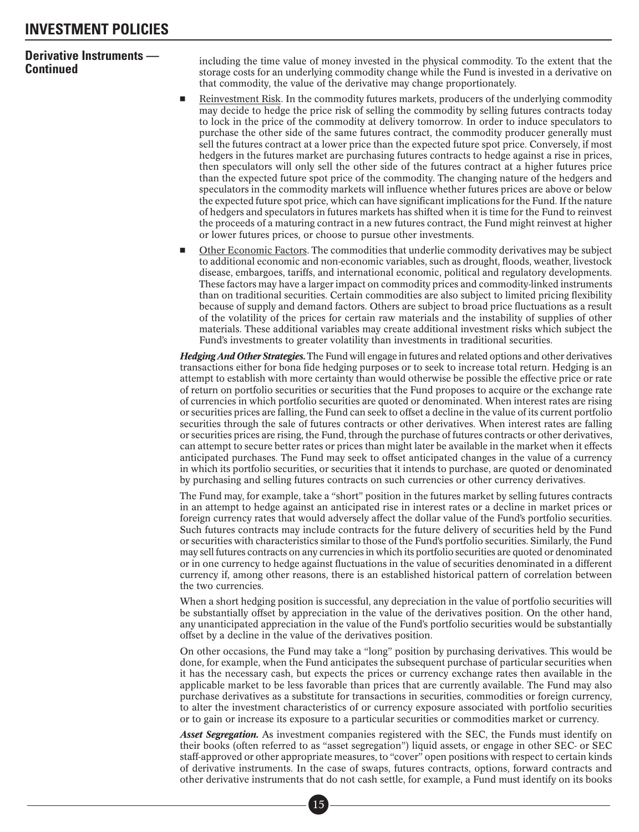**Continued instruments** — including the time value of money invested in the physical commodity. To the extent that the **Continued** storage costs for an underlying commodity change while the Fund is invested in a derivative that commodity, the value of the derivative may change proportionately.

- - Reinvestment Risk. In the commodity futures markets, producers of the underlying commodity may decide to hedge the price risk of selling the commodity by selling futures contracts today to lock in the price of the commodity at delivery tomorrow. In order to induce speculators to purchase the other side of the same futures contract, the commodity producer generally must sell the futures contract at a lower price than the expected future spot price. Conversely, if most hedgers in the futures market are purchasing futures contracts to hedge against a rise in prices, then speculators will only sell the other side of the futures contract at a higher futures price than the expected future spot price of the commodity. The changing nature of the hedgers and speculators in the commodity markets will influence whether futures prices are above or below the expected future spot price, which can have significant implications for the Fund. If the nature of hedgers and speculators in futures markets has shifted when it is time for the Fund to reinvest the proceeds of a maturing contract in a new futures contract, the Fund might reinvest at higher or lower futures prices, or choose to pursue other investments.
- - Other Economic Factors. The commodities that underlie commodity derivatives may be subject to additional economic and non-economic variables, such as drought, floods, weather, livestock disease, embargoes, tariffs, and international economic, political and regulatory developments. These factors may have a larger impact on commodity prices and commodity-linked instruments than on traditional securities. Certain commodities are also subject to limited pricing flexibility because of supply and demand factors. Others are subject to broad price fluctuations as a result of the volatility of the prices for certain raw materials and the instability of supplies of other materials. These additional variables may create additional investment risks which subject the Fund's investments to greater volatility than investments in traditional securities.

*Hedging And Other Strategies*. The Fund will engage in futures and related options and other derivatives transactions either for bona fide hedging purposes or to seek to increase total return. Hedging is an attempt to establish with more certainty than would otherwise be possible the effective price or rate of return on portfolio securities or securities that the Fund proposes to acquire or the exchange rate of currencies in which portfolio securities are quoted or denominated. When interest rates are rising or securities prices are falling, the Fund can seek to offset a decline in the value of its current portfolio securities through the sale of futures contracts or other derivatives. When interest rates are falling or securities prices are rising, the Fund, through the purchase of futures contracts or other derivatives, can attempt to secure better rates or prices than might later be available in the market when it effects anticipated purchases. The Fund may seek to offset anticipated changes in the value of a currency in which its portfolio securities, or securities that it intends to purchase, are quoted or denominated by purchasing and selling futures contracts on such currencies or other currency derivatives.

The Fund may, for example, take a "short" position in the futures market by selling futures contracts in an attempt to hedge against an anticipated rise in interest rates or a decline in market prices or foreign currency rates that would adversely affect the dollar value of the Fund's portfolio securities. Such futures contracts may include contracts for the future delivery of securities held by the Fund or securities with characteristics similar to those of the Fund's portfolio securities. Similarly, the Fund may sell futures contracts on any currencies in which its portfolio securities are quoted or denominated or in one currency to hedge against fluctuations in the value of securities denominated in a different currency if, among other reasons, there is an established historical pattern of correlation between the two currencies.

When a short hedging position is successful, any depreciation in the value of portfolio securities will be substantially offset by appreciation in the value of the derivatives position. On the other hand, any unanticipated appreciation in the value of the Fund's portfolio securities would be substantially offset by a decline in the value of the derivatives position.

On other occasions, the Fund may take a "long" position by purchasing derivatives. This would be done, for example, when the Fund anticipates the subsequent purchase of particular securities when it has the necessary cash, but expects the prices or currency exchange rates then available in the applicable market to be less favorable than prices that are currently available. The Fund may also purchase derivatives as a substitute for transactions in securities, commodities or foreign currency, to alter the investment characteristics of or currency exposure associated with portfolio securities or to gain or increase its exposure to a particular securities or commodities market or currency.

*Asset Segregation*. As investment companies registered with the SEC, the Funds must identify on their books (often referred to as "asset segregation") liquid assets, or engage in other SEC- or SEC staff-approved or other appropriate measures, to "cover" open positions with respect to certain kinds of derivative instruments. In the case of swaps, futures contracts, options, forward contracts and other derivative instruments that do not cash settle, for example, a Fund must identify on its books mat d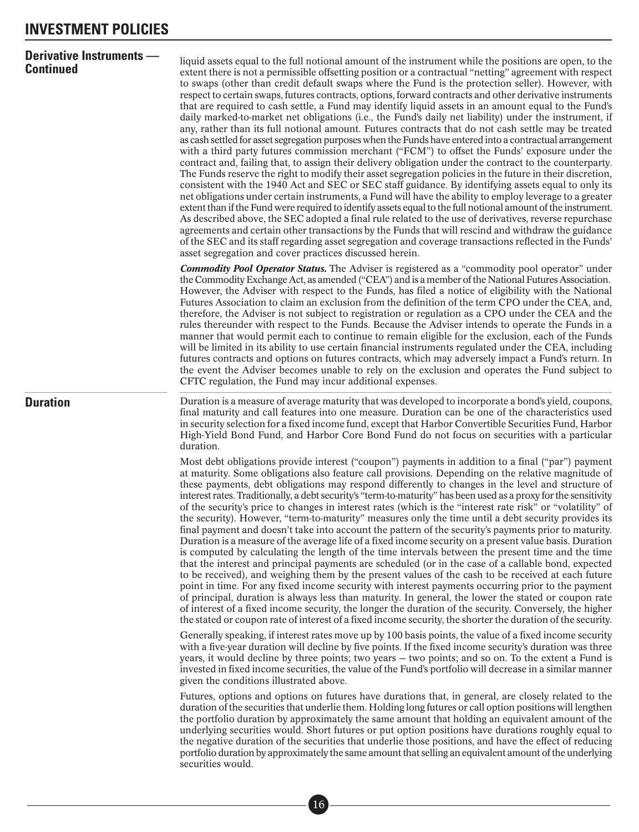<span id="page-20-0"></span>**Continued Continued Continued Continued Continued** in the sextent there is not a permissible offsetting position or a contractual "netting" agreement with respect **Continued Continued Continued Continued C** to swaps (other than credit default swaps where the Fund is the protection seller). However, with respect to certain swaps, futures contracts, options, forward contracts and other derivative instruments that are required to cash settle, a Fund may identify liquid assets in an amount equal to the Fund's daily marked-to-market net obligations (i.e., the Fund's daily net liability) under the instrument, if any, rather than its full notional amount. Futures contracts that do not cash settle may be treated as cash settled for asset segregation purposes when the Funds have entered into a contractual arrangement with a third party futures commission merchant ("FCM") to offset the Funds' exposure under the contract and, failing that, to assign their delivery obligation under the contract to the counterparty. The Funds reserve the right to modify their asset segregation policies in the future in their discretion, consistent with the 1940 Act and SEC or SEC staff guidance. By identifying assets equal to only its net obligations under certain instruments, a Fund will have the ability to employ leverage to a greater extent than if the Fund were required to identify assets equal to the full notional amount of the instrument. As described above, the SEC adopted a final rule related to the use of derivatives, reverse repurchase agreements and certain other transactions by the Funds that will rescind and withdraw the guidance of the SEC and its staff regarding asset segregation and coverage transactions reflected in the Funds' asset segregation and cover practices discussed herein.

> *Commodity Pool Operator Status.* The Adviser is registered as a "commodity pool operator" under the Commodity Exchange Act, as amended ("CEA") and is a member of the National Futures Association. However, the Adviser with respect to the Funds, has filed a notice of eligibility with the National Futures Association to claim an exclusion from the definition of the term CPO under the CEA, and, therefore, the Adviser is not subject to registration or regulation as a CPO under the CEA and the rules thereunder with respect to the Funds. Because the Adviser intends to operate the Funds in a manner that would permit each to continue to remain eligible for the exclusion, each of the Funds will be limited in its ability to use certain financial instruments regulated under the CEA, including futures contracts and options on futures contracts, which may adversely impact a Fund's return. In the event the Adviser becomes unable to rely on the exclusion and operates the Fund subject to CFTC regulation, the Fund may incur additional expenses.

**Duration** Duration is a measure of average maturity that was developed to incorporate a bond's yield, coupons, final maturity and call features into one measure. Duration can be one of the characteristics used in security selection for a fixed income fund, except that Harbor Convertible Securities Fund, Harbor High-Yield Bond Fund, and Harbor Core Bond Fund do not focus on securities with a particular duration.

> Most debt obligations provide interest ("coupon") payments in addition to a final ("par") payment at maturity. Some obligations also feature call provisions. Depending on the relative magnitude of these payments, debt obligations may respond differently to changes in the level and structure of interest rates. Traditionally, a debt security's "term-to-maturity" has been used as a proxy for the sensitivity of the security's price to changes in interest rates (which is the "interest rate risk" or "volatility" of the security). However, "term-to-maturity" measures only the time until a debt security provides its final payment and doesn't take into account the pattern of the security's payments prior to maturity. Duration is a measure of the average life of a fixed income security on a present value basis. Duration is computed by calculating the length of the time intervals between the present time and the time that the interest and principal payments are scheduled (or in the case of a callable bond, expected to be received), and weighing them by the present values of the cash to be received at each future point in time. For any fixed income security with interest payments occurring prior to the payment of principal, duration is always less than maturity. In general, the lower the stated or coupon rate of interest of a fixed income security, the longer the duration of the security. Conversely, the higher the stated or coupon rate of interest of a fixed income security, the shorter the duration of the security.

> Generally speaking, if interest rates move up by 100 basis points, the value of a fixed income security with a five-year duration will decline by five points. If the fixed income security's duration was three years, it would decline by three points; two years — two points; and so on. To the extent a Fund is invested in fixed income securities, the value of the Fund's portfolio will decrease in a similar manner given the conditions illustrated above.

> Futures, options and options on futures have durations that, in general, are closely related to the duration of the securities that underlie them. Holding long futures or call option positions will lengthen the portfolio duration by approximately the same amount that holding an equivalent amount of the underlying securities would. Short futures or put option positions have durations roughly equal to the negative duration of the securities that underlie those positions, and have the effect of reducing portfolio duration by approximately the same amount that selling an equivalent amount of the underlying securities would.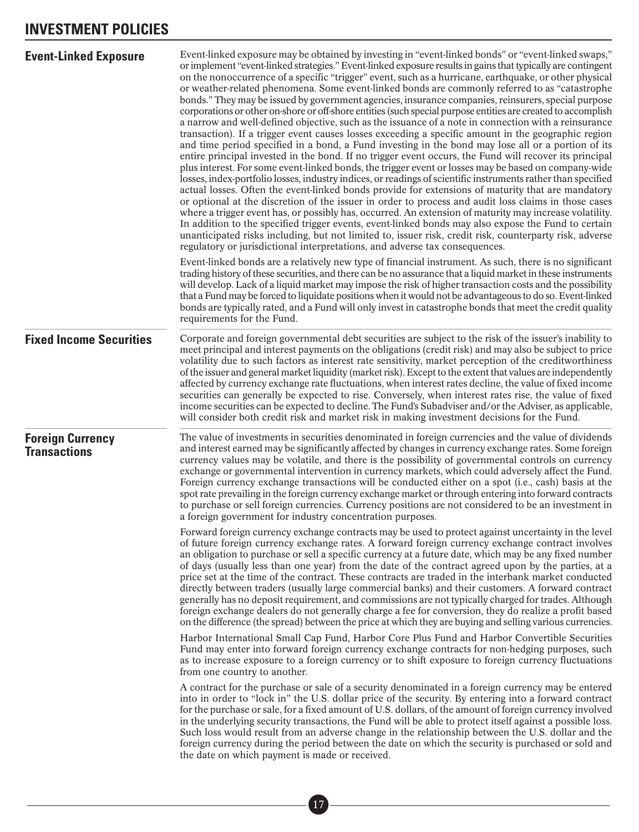<span id="page-21-0"></span>

| <b>Event-Linked Exposure</b>                   | Event-linked exposure may be obtained by investing in "event-linked bonds" or "event-linked swaps,"<br>or implement "event-linked strategies." Event-linked exposure results in gains that typically are contingent<br>on the nonoccurrence of a specific "trigger" event, such as a hurricane, earthquake, or other physical<br>or weather-related phenomena. Some event-linked bonds are commonly referred to as "catastrophe<br>bonds." They may be issued by government agencies, insurance companies, reinsurers, special purpose<br>corporations or other on-shore or off-shore entities (such special purpose entities are created to accomplish<br>a narrow and well-defined objective, such as the issuance of a note in connection with a reinsurance<br>transaction). If a trigger event causes losses exceeding a specific amount in the geographic region<br>and time period specified in a bond, a Fund investing in the bond may lose all or a portion of its<br>entire principal invested in the bond. If no trigger event occurs, the Fund will recover its principal<br>plus interest. For some event-linked bonds, the trigger event or losses may be based on company-wide<br>losses, index-portfolio losses, industry indices, or readings of scientific instruments rather than specified<br>actual losses. Often the event-linked bonds provide for extensions of maturity that are mandatory<br>or optional at the discretion of the issuer in order to process and audit loss claims in those cases<br>where a trigger event has, or possibly has, occurred. An extension of maturity may increase volatility.<br>In addition to the specified trigger events, event-linked bonds may also expose the Fund to certain<br>unanticipated risks including, but not limited to, issuer risk, credit risk, counterparty risk, adverse<br>regulatory or jurisdictional interpretations, and adverse tax consequences.<br>Event-linked bonds are a relatively new type of financial instrument. As such, there is no significant<br>trading history of these securities, and there can be no assurance that a liquid market in these instruments<br>will develop. Lack of a liquid market may impose the risk of higher transaction costs and the possibility<br>that a Fund may be forced to liquidate positions when it would not be advantageous to do so. Event-linked |
|------------------------------------------------|----------------------------------------------------------------------------------------------------------------------------------------------------------------------------------------------------------------------------------------------------------------------------------------------------------------------------------------------------------------------------------------------------------------------------------------------------------------------------------------------------------------------------------------------------------------------------------------------------------------------------------------------------------------------------------------------------------------------------------------------------------------------------------------------------------------------------------------------------------------------------------------------------------------------------------------------------------------------------------------------------------------------------------------------------------------------------------------------------------------------------------------------------------------------------------------------------------------------------------------------------------------------------------------------------------------------------------------------------------------------------------------------------------------------------------------------------------------------------------------------------------------------------------------------------------------------------------------------------------------------------------------------------------------------------------------------------------------------------------------------------------------------------------------------------------------------------------------------------------------------------------------------------------------------------------------------------------------------------------------------------------------------------------------------------------------------------------------------------------------------------------------------------------------------------------------------------------------------------------------------------------------------------------------------------------------------------------------------------------------------------------------------|
|                                                | bonds are typically rated, and a Fund will only invest in catastrophe bonds that meet the credit quality<br>requirements for the Fund.                                                                                                                                                                                                                                                                                                                                                                                                                                                                                                                                                                                                                                                                                                                                                                                                                                                                                                                                                                                                                                                                                                                                                                                                                                                                                                                                                                                                                                                                                                                                                                                                                                                                                                                                                                                                                                                                                                                                                                                                                                                                                                                                                                                                                                                       |
| <b>Fixed Income Securities</b>                 | Corporate and foreign governmental debt securities are subject to the risk of the issuer's inability to<br>meet principal and interest payments on the obligations (credit risk) and may also be subject to price<br>volatility due to such factors as interest rate sensitivity, market perception of the creditworthiness<br>of the issuer and general market liquidity (market risk). Except to the extent that values are independently<br>affected by currency exchange rate fluctuations, when interest rates decline, the value of fixed income<br>securities can generally be expected to rise. Conversely, when interest rates rise, the value of fixed<br>income securities can be expected to decline. The Fund's Subadviser and/or the Adviser, as applicable,<br>will consider both credit risk and market risk in making investment decisions for the Fund.                                                                                                                                                                                                                                                                                                                                                                                                                                                                                                                                                                                                                                                                                                                                                                                                                                                                                                                                                                                                                                                                                                                                                                                                                                                                                                                                                                                                                                                                                                                    |
| <b>Foreign Currency</b><br><b>Transactions</b> | The value of investments in securities denominated in foreign currencies and the value of dividends<br>and interest earned may be significantly affected by changes in currency exchange rates. Some foreign<br>currency values may be volatile, and there is the possibility of governmental controls on currency<br>exchange or governmental intervention in currency markets, which could adversely affect the Fund.<br>Foreign currency exchange transactions will be conducted either on a spot (i.e., cash) basis at the<br>spot rate prevailing in the foreign currency exchange market or through entering into forward contracts<br>to purchase or sell foreign currencies. Currency positions are not considered to be an investment in<br>a foreign government for industry concentration purposes.                                                                                                                                                                                                                                                                                                                                                                                                                                                                                                                                                                                                                                                                                                                                                                                                                                                                                                                                                                                                                                                                                                                                                                                                                                                                                                                                                                                                                                                                                                                                                                               |
|                                                | Forward foreign currency exchange contracts may be used to protect against uncertainty in the level<br>of future foreign currency exchange rates. A forward foreign currency exchange contract involves<br>an obligation to purchase or sell a specific currency at a future date, which may be any fixed number<br>of days (usually less than one year) from the date of the contract agreed upon by the parties, at a<br>price set at the time of the contract. These contracts are traded in the interbank market conducted<br>directly between traders (usually large commercial banks) and their customers. A forward contract<br>generally has no deposit requirement, and commissions are not typically charged for trades. Although<br>foreign exchange dealers do not generally charge a fee for conversion, they do realize a profit based<br>on the difference (the spread) between the price at which they are buying and selling various currencies.                                                                                                                                                                                                                                                                                                                                                                                                                                                                                                                                                                                                                                                                                                                                                                                                                                                                                                                                                                                                                                                                                                                                                                                                                                                                                                                                                                                                                            |
|                                                | Harbor International Small Cap Fund, Harbor Core Plus Fund and Harbor Convertible Securities<br>Fund may enter into forward foreign currency exchange contracts for non-hedging purposes, such<br>as to increase exposure to a foreign currency or to shift exposure to foreign currency fluctuations<br>from one country to another.                                                                                                                                                                                                                                                                                                                                                                                                                                                                                                                                                                                                                                                                                                                                                                                                                                                                                                                                                                                                                                                                                                                                                                                                                                                                                                                                                                                                                                                                                                                                                                                                                                                                                                                                                                                                                                                                                                                                                                                                                                                        |
|                                                | A contract for the purchase or sale of a security denominated in a foreign currency may be entered<br>into in order to "lock in" the U.S. dollar price of the security. By entering into a forward contract<br>for the purchase or sale, for a fixed amount of U.S. dollars, of the amount of foreign currency involved<br>in the underlying security transactions, the Fund will be able to protect itself against a possible loss.<br>Such loss would result from an adverse change in the relationship between the U.S. dollar and the<br>foreign currency during the period between the date on which the security is purchased or sold and<br>the date on which payment is made or received.                                                                                                                                                                                                                                                                                                                                                                                                                                                                                                                                                                                                                                                                                                                                                                                                                                                                                                                                                                                                                                                                                                                                                                                                                                                                                                                                                                                                                                                                                                                                                                                                                                                                                            |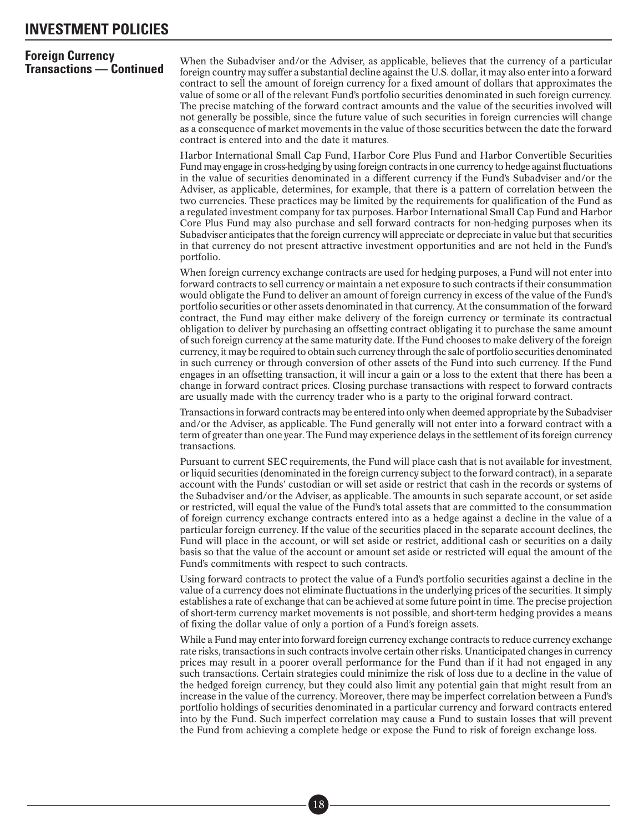## **Foreign Currency**

**Transactions — Continued** When the Subadviser and/or the Adviser, as applicable, believes that the currency of a particular<br>**Transactions — Continued** foreign country may suffer a substantial decline against the U.S. doll contract to sell the amount of foreign currency for a fixed amount of dollars that approximates the value of some or all of the relevant Fund's portfolio securities denominated in such foreign currency. The precise matching of the forward contract amounts and the value of the securities involved will not generally be possible, since the future value of such securities in foreign currencies will change as a consequence of market movements in the value of those securities between the date the forward contract is entered into and the date it matures.

> Harbor International Small Cap Fund, Harbor Core Plus Fund and Harbor Convertible Securities Fund may engage in cross-hedging by using foreign contracts in one currency to hedge against fluctuations in the value of securities denominated in a different currency if the Fund's Subadviser and/or the Adviser, as applicable, determines, for example, that there is a pattern of correlation between the two currencies. These practices may be limited by the requirements for qualification of the Fund as a regulated investment company for tax purposes. Harbor International Small Cap Fund and Harbor Core Plus Fund may also purchase and sell forward contracts for non-hedging purposes when its Subadviser anticipates that the foreign currency will appreciate or depreciate in value but that securities in that currency do not present attractive investment opportunities and are not held in the Fund's portfolio.

> When foreign currency exchange contracts are used for hedging purposes, a Fund will not enter into forward contracts to sell currency or maintain a net exposure to such contracts if their consummation would obligate the Fund to deliver an amount of foreign currency in excess of the value of the Fund's portfolio securities or other assets denominated in that currency. At the consummation of the forward contract, the Fund may either make delivery of the foreign currency or terminate its contractual obligation to deliver by purchasing an offsetting contract obligating it to purchase the same amount of such foreign currency at the same maturity date. If the Fund chooses to make delivery of the foreign currency, it may be required to obtain such currency through the sale of portfolio securities denominated in such currency or through conversion of other assets of the Fund into such currency. If the Fund engages in an offsetting transaction, it will incur a gain or a loss to the extent that there has been a change in forward contract prices. Closing purchase transactions with respect to forward contracts are usually made with the currency trader who is a party to the original forward contract.

> Transactions in forward contracts may be entered into only when deemed appropriate by the Subadviser and/or the Adviser, as applicable. The Fund generally will not enter into a forward contract with a term of greater than one year. The Fund may experience delays in the settlement of its foreign currency transactions.

> Pursuant to current SEC requirements, the Fund will place cash that is not available for investment, or liquid securities (denominated in the foreign currency subject to the forward contract), in a separate account with the Funds' custodian or will set aside or restrict that cash in the records or systems of the Subadviser and/or the Adviser, as applicable. The amounts in such separate account, or set aside or restricted, will equal the value of the Fund's total assets that are committed to the consummation of foreign currency exchange contracts entered into as a hedge against a decline in the value of a particular foreign currency. If the value of the securities placed in the separate account declines, the Fund will place in the account, or will set aside or restrict, additional cash or securities on a daily basis so that the value of the account or amount set aside or restricted will equal the amount of the Fund's commitments with respect to such contracts.

> Using forward contracts to protect the value of a Fund's portfolio securities against a decline in the value of a currency does not eliminate fluctuations in the underlying prices of the securities. It simply establishes a rate of exchange that can be achieved at some future point in time. The precise projection of short-term currency market movements is not possible, and short-term hedging provides a means of fixing the dollar value of only a portion of a Fund's foreign assets.

> While a Fund may enter into forward foreign currency exchange contracts to reduce currency exchange rate risks, transactions in such contracts involve certain other risks. Unanticipated changes in currency prices may result in a poorer overall performance for the Fund than if it had not engaged in any such transactions. Certain strategies could minimize the risk of loss due to a decline in the value of the hedged foreign currency, but they could also limit any potential gain that might result from an increase in the value of the currency. Moreover, there may be imperfect correlation between a Fund's portfolio holdings of securities denominated in a particular currency and forward contracts entered into by the Fund. Such imperfect correlation may cause a Fund to sustain losses that will prevent the Fund from achieving a complete hedge or expose the Fund to risk of foreign exchange loss.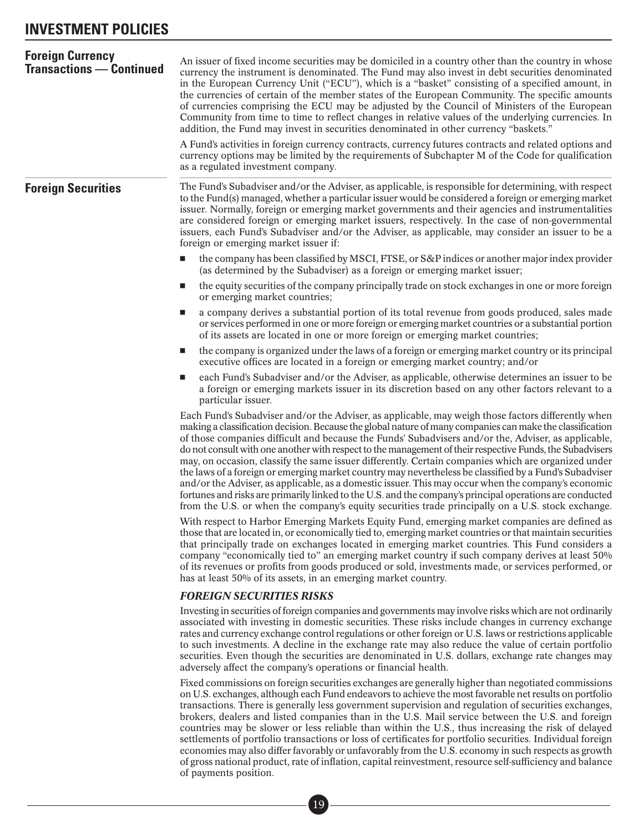<span id="page-23-0"></span>

| <b>Foreign Currency</b><br><b>Transactions — Continued</b> | An issuer of fixed income securities may be domiciled in a country other than the country in whose<br>currency the instrument is denominated. The Fund may also invest in debt securities denominated<br>in the European Currency Unit ("ECU"), which is a "basket" consisting of a specified amount, in<br>the currencies of certain of the member states of the European Community. The specific amounts<br>of currencies comprising the ECU may be adjusted by the Council of Ministers of the European<br>Community from time to time to reflect changes in relative values of the underlying currencies. In<br>addition, the Fund may invest in securities denominated in other currency "baskets."                                                                                                                                                                                                                                                                     |
|------------------------------------------------------------|------------------------------------------------------------------------------------------------------------------------------------------------------------------------------------------------------------------------------------------------------------------------------------------------------------------------------------------------------------------------------------------------------------------------------------------------------------------------------------------------------------------------------------------------------------------------------------------------------------------------------------------------------------------------------------------------------------------------------------------------------------------------------------------------------------------------------------------------------------------------------------------------------------------------------------------------------------------------------|
|                                                            | A Fund's activities in foreign currency contracts, currency futures contracts and related options and<br>currency options may be limited by the requirements of Subchapter M of the Code for qualification<br>as a regulated investment company.                                                                                                                                                                                                                                                                                                                                                                                                                                                                                                                                                                                                                                                                                                                             |
| <b>Foreign Securities</b>                                  | The Fund's Subadviser and/or the Adviser, as applicable, is responsible for determining, with respect<br>to the Fund(s) managed, whether a particular issuer would be considered a foreign or emerging market<br>issuer. Normally, foreign or emerging market governments and their agencies and instrumentalities<br>are considered foreign or emerging market issuers, respectively. In the case of non-governmental<br>issuers, each Fund's Subadviser and/or the Adviser, as applicable, may consider an issuer to be a<br>foreign or emerging market issuer if:                                                                                                                                                                                                                                                                                                                                                                                                         |
|                                                            | the company has been classified by MSCI, FTSE, or S&P indices or another major index provider<br>(as determined by the Subadviser) as a foreign or emerging market issuer;                                                                                                                                                                                                                                                                                                                                                                                                                                                                                                                                                                                                                                                                                                                                                                                                   |
|                                                            | the equity securities of the company principally trade on stock exchanges in one or more foreign<br><b>The State</b><br>or emerging market countries;                                                                                                                                                                                                                                                                                                                                                                                                                                                                                                                                                                                                                                                                                                                                                                                                                        |
|                                                            | a company derives a substantial portion of its total revenue from goods produced, sales made<br>ш<br>or services performed in one or more foreign or emerging market countries or a substantial portion<br>of its assets are located in one or more foreign or emerging market countries;                                                                                                                                                                                                                                                                                                                                                                                                                                                                                                                                                                                                                                                                                    |
|                                                            | the company is organized under the laws of a foreign or emerging market country or its principal<br>ш<br>executive offices are located in a foreign or emerging market country; and/or                                                                                                                                                                                                                                                                                                                                                                                                                                                                                                                                                                                                                                                                                                                                                                                       |
|                                                            | each Fund's Subadviser and/or the Adviser, as applicable, otherwise determines an issuer to be<br>ш<br>a foreign or emerging markets issuer in its discretion based on any other factors relevant to a<br>particular issuer.                                                                                                                                                                                                                                                                                                                                                                                                                                                                                                                                                                                                                                                                                                                                                 |
|                                                            | Each Fund's Subadviser and/or the Adviser, as applicable, may weigh those factors differently when<br>making a classification decision. Because the global nature of many companies can make the classification<br>of those companies difficult and because the Funds' Subadvisers and/or the, Adviser, as applicable,<br>do not consult with one another with respect to the management of their respective Funds, the Subadvisers<br>may, on occasion, classify the same issuer differently. Certain companies which are organized under<br>the laws of a foreign or emerging market country may nevertheless be classified by a Fund's Subadviser<br>and/or the Adviser, as applicable, as a domestic issuer. This may occur when the company's economic<br>fortunes and risks are primarily linked to the U.S. and the company's principal operations are conducted<br>from the U.S. or when the company's equity securities trade principally on a U.S. stock exchange. |
|                                                            | With respect to Harbor Emerging Markets Equity Fund, emerging market companies are defined as<br>those that are located in, or economically tied to, emerging market countries or that maintain securities<br>that principally trade on exchanges located in emerging market countries. This Fund considers a<br>company "economically tied to" an emerging market country if such company derives at least 50%<br>of its revenues or profits from goods produced or sold, investments made, or services performed, or<br>has at least 50% of its assets, in an emerging market country.                                                                                                                                                                                                                                                                                                                                                                                     |
|                                                            | <b>FOREIGN SECURITIES RISKS</b>                                                                                                                                                                                                                                                                                                                                                                                                                                                                                                                                                                                                                                                                                                                                                                                                                                                                                                                                              |
|                                                            | Investing in securities of foreign companies and governments may involve risks which are not ordinarily<br>associated with investing in domestic securities. These risks include changes in currency exchange<br>rates and currency exchange control regulations or other foreign or U.S. laws or restrictions applicable<br>to such investments. A decline in the exchange rate may also reduce the value of certain portfolio<br>securities. Even though the securities are denominated in U.S. dollars, exchange rate changes may<br>adversely affect the company's operations or financial health.                                                                                                                                                                                                                                                                                                                                                                       |
|                                                            | Fixed commissions on foreign securities exchanges are generally higher than negotiated commissions<br>on U.S. exchanges, although each Fund endeavors to achieve the most favorable net results on portfolio<br>transactions. There is generally less government supervision and regulation of securities exchanges,                                                                                                                                                                                                                                                                                                                                                                                                                                                                                                                                                                                                                                                         |

brokers, dealers and listed companies than in the U.S. Mail service between the U.S. and foreign countries may be slower or less reliable than within the U.S., thus increasing the risk of delayed settlements of portfolio transactions or loss of certificates for portfolio securities. Individual foreign economies may also differ favorably or unfavorably from the U.S. economy in such respects as growth of gross national product, rate of inflation, capital reinvestment, resource self-sufficiency and balance of payments position.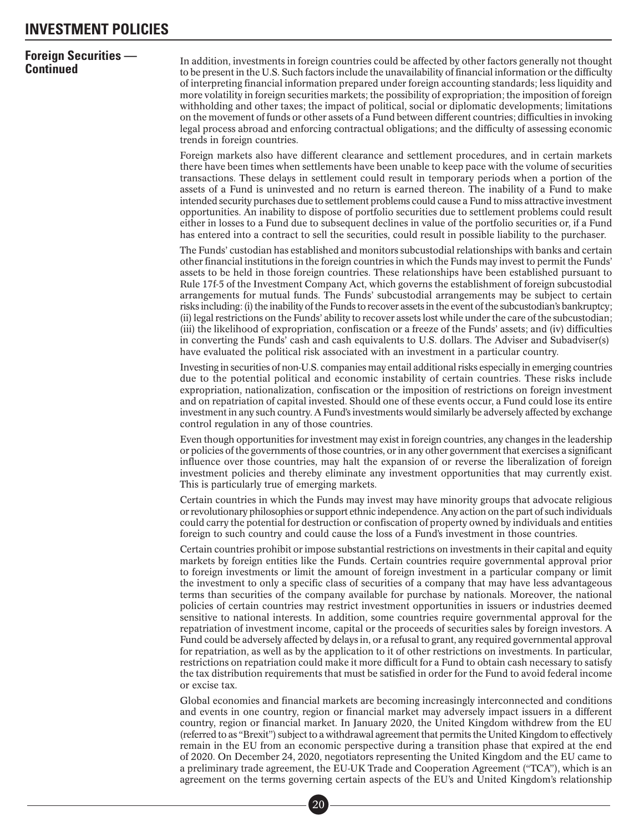## **Foreign Securities —**

**Continued** The addition, investments in foreign countries could be affected by other factors generally not thought<br>**Continued** to be present in the U.S. Such factors include the unavailability of financial information or of interpreting financial information prepared under foreign accounting standards; less liquidity and more volatility in foreign securities markets; the possibility of expropriation; the imposition of foreign withholding and other taxes; the impact of political, social or diplomatic developments; limitations on the movement of funds or other assets of a Fund between different countries; difficulties in invoking legal process abroad and enforcing contractual obligations; and the difficulty of assessing economic trends in foreign countries.

> Foreign markets also have different clearance and settlement procedures, and in certain markets there have been times when settlements have been unable to keep pace with the volume of securities transactions. These delays in settlement could result in temporary periods when a portion of the assets of a Fund is uninvested and no return is earned thereon. The inability of a Fund to make intended security purchases due to settlement problems could cause a Fund to miss attractive investment opportunities. An inability to dispose of portfolio securities due to settlement problems could result either in losses to a Fund due to subsequent declines in value of the portfolio securities or, if a Fund has entered into a contract to sell the securities, could result in possible liability to the purchaser.

> The Funds' custodian has established and monitors subcustodial relationships with banks and certain other financial institutions in the foreign countries in which the Funds may invest to permit the Funds' assets to be held in those foreign countries. These relationships have been established pursuant to Rule 17f-5 of the Investment Company Act, which governs the establishment of foreign subcustodial arrangements for mutual funds. The Funds' subcustodial arrangements may be subject to certain risks including: (i) the inability of the Funds to recover assets in the event of the subcustodian's bankruptcy; (ii) legal restrictions on the Funds' ability to recover assets lost while under the care of the subcustodian; (iii) the likelihood of expropriation, confiscation or a freeze of the Funds' assets; and (iv) difficulties in converting the Funds' cash and cash equivalents to U.S. dollars. The Adviser and Subadviser(s) have evaluated the political risk associated with an investment in a particular country.

> Investing in securities of non-U.S. companies may entail additional risks especially in emerging countries due to the potential political and economic instability of certain countries. These risks include expropriation, nationalization, confiscation or the imposition of restrictions on foreign investment and on repatriation of capital invested. Should one of these events occur, a Fund could lose its entire investment in any such country. A Fund's investments would similarly be adversely affected by exchange control regulation in any of those countries.

> Even though opportunities for investment may exist in foreign countries, any changes in the leadership or policies of the governments of those countries, or in any other government that exercises a significant influence over those countries, may halt the expansion of or reverse the liberalization of foreign investment policies and thereby eliminate any investment opportunities that may currently exist. This is particularly true of emerging markets.

> Certain countries in which the Funds may invest may have minority groups that advocate religious or revolutionary philosophies or support ethnic independence. Any action on the part of such individuals could carry the potential for destruction or confiscation of property owned by individuals and entities foreign to such country and could cause the loss of a Fund's investment in those countries.

> Certain countries prohibit or impose substantial restrictions on investments in their capital and equity markets by foreign entities like the Funds. Certain countries require governmental approval prior to foreign investments or limit the amount of foreign investment in a particular company or limit the investment to only a specific class of securities of a company that may have less advantageous terms than securities of the company available for purchase by nationals. Moreover, the national policies of certain countries may restrict investment opportunities in issuers or industries deemed sensitive to national interests. In addition, some countries require governmental approval for the repatriation of investment income, capital or the proceeds of securities sales by foreign investors. A Fund could be adversely affected by delays in, or a refusal to grant, any required governmental approval for repatriation, as well as by the application to it of other restrictions on investments. In particular, restrictions on repatriation could make it more difficult for a Fund to obtain cash necessary to satisfy the tax distribution requirements that must be satisfied in order for the Fund to avoid federal income or excise tax.

> Global economies and financial markets are becoming increasingly interconnected and conditions and events in one country, region or financial market may adversely impact issuers in a different country, region or financial market. In January 2020, the United Kingdom withdrew from the EU (referred to as "Brexit") subject to a withdrawal agreement that permits the United Kingdom to effectively remain in the EU from an economic perspective during a transition phase that expired at the end of 2020. On December 24, 2020, negotiators representing the United Kingdom and the EU came to a preliminary trade agreement, the EU-UK Trade and Cooperation Agreement ("TCA"), which is an agreement on the terms governing certain aspects of the EU's and United Kingdom's relationship erning<br>20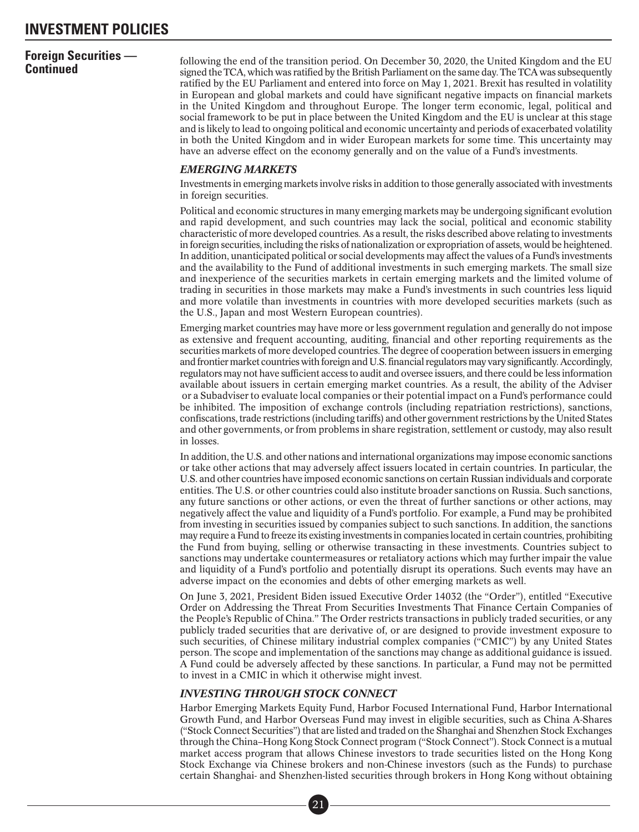## **Foreign Securities —**

**Continued** following the end of the transition period. On December 30, 2020, the United Kingdom and the EU signed the TCA, which was ratified by the British Parliament on the same day. The TCA was subsequently ratified by the EU Parliament and entered into force on May 1, 2021. Brexit has resulted in volatility in European and global markets and could have significant negative impacts on financial markets in the United Kingdom and throughout Europe. The longer term economic, legal, political and social framework to be put in place between the United Kingdom and the EU is unclear at this stage and is likely to lead to ongoing political and economic uncertainty and periods of exacerbated volatility in both the United Kingdom and in wider European markets for some time. This uncertainty may have an adverse effect on the economy generally and on the value of a Fund's investments.

#### *EMERGING MARKETS*

Investments in emerging markets involve risks in addition to those generally associated with investments in foreign securities.

Political and economic structures in many emerging markets may be undergoing significant evolution and rapid development, and such countries may lack the social, political and economic stability characteristic of more developed countries. As a result, the risks described above relating to investments in foreign securities, including the risks of nationalization or expropriation of assets, would be heightened. In addition, unanticipated political or social developments may affect the values of a Fund's investments and the availability to the Fund of additional investments in such emerging markets. The small size and inexperience of the securities markets in certain emerging markets and the limited volume of trading in securities in those markets may make a Fund's investments in such countries less liquid and more volatile than investments in countries with more developed securities markets (such as the U.S., Japan and most Western European countries).

Emerging market countries may have more or less government regulation and generally do not impose as extensive and frequent accounting, auditing, financial and other reporting requirements as the securities markets of more developed countries. The degree of cooperation between issuers in emerging and frontier market countries with foreign and U.S. financial regulators may vary significantly. Accordingly, regulators may not have sufficient access to audit and oversee issuers, and there could be less information available about issuers in certain emerging market countries. As a result, the ability of the Adviser or a Subadviser to evaluate local companies or their potential impact on a Fund's performance could be inhibited. The imposition of exchange controls (including repatriation restrictions), sanctions, confiscations, trade restrictions (including tariffs) and other government restrictions by the United States and other governments, or from problems in share registration, settlement or custody, may also result in losses.

In addition, the U.S. and other nations and international organizations may impose economic sanctions or take other actions that may adversely affect issuers located in certain countries. In particular, the U.S. and other countries have imposed economic sanctions on certain Russian individuals and corporate entities. The U.S. or other countries could also institute broader sanctions on Russia. Such sanctions, any future sanctions or other actions, or even the threat of further sanctions or other actions, may negatively affect the value and liquidity of a Fund's portfolio. For example, a Fund may be prohibited from investing in securities issued by companies subject to such sanctions. In addition, the sanctions may require a Fund to freeze its existing investments in companies located in certain countries, prohibiting the Fund from buying, selling or otherwise transacting in these investments. Countries subject to sanctions may undertake countermeasures or retaliatory actions which may further impair the value and liquidity of a Fund's portfolio and potentially disrupt its operations. Such events may have an adverse impact on the economies and debts of other emerging markets as well.

On June 3, 2021, President Biden issued Executive Order 14032 (the "Order"), entitled "Executive Order on Addressing the Threat From Securities Investments That Finance Certain Companies of the People's Republic of China." The Order restricts transactions in publicly traded securities, or any publicly traded securities that are derivative of, or are designed to provide investment exposure to such securities, of Chinese military industrial complex companies ("CMIC") by any United States person. The scope and implementation of the sanctions may change as additional guidance is issued. A Fund could be adversely affected by these sanctions. In particular, a Fund may not be permitted to invest in a CMIC in which it otherwise might invest.

### *INVESTING THROUGH STOCK CONNECT*

Harbor Emerging Markets Equity Fund, Harbor Focused International Fund, Harbor International Growth Fund, and Harbor Overseas Fund may invest in eligible securities, such as China A-Shares ("Stock Connect Securities") that are listed and traded on the Shanghai and Shenzhen Stock Exchanges through the China–Hong Kong Stock Connect program ("Stock Connect"). Stock Connect is a mutual market access program that allows Chinese investors to trade securities listed on the Hong Kong Stock Exchange via Chinese brokers and non-Chinese investors (such as the Funds) to purchase certain Shanghai- and Shenzhen-listed securities through brokers in Hong Kong without obtaining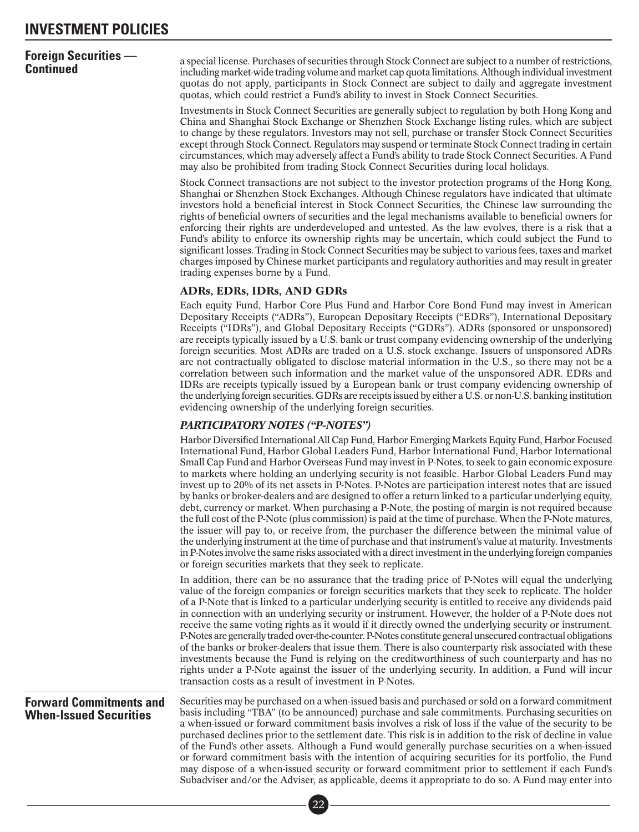## <span id="page-26-0"></span>**Foreign Securities —**

**Continued** a special license. Purchases of securities through Stock Connect are subject to a number of restrictions,<br>**Continued** investment including market-wide trading volume and market cap quota limitations. Although i quotas do not apply, participants in Stock Connect are subject to daily and aggregate investment quotas, which could restrict a Fund's ability to invest in Stock Connect Securities.

> Investments in Stock Connect Securities are generally subject to regulation by both Hong Kong and China and Shanghai Stock Exchange or Shenzhen Stock Exchange listing rules, which are subject to change by these regulators. Investors may not sell, purchase or transfer Stock Connect Securities except through Stock Connect. Regulators may suspend or terminate Stock Connect trading in certain circumstances, which may adversely affect a Fund's ability to trade Stock Connect Securities. A Fund may also be prohibited from trading Stock Connect Securities during local holidays.

> Stock Connect transactions are not subject to the investor protection programs of the Hong Kong, Shanghai or Shenzhen Stock Exchanges. Although Chinese regulators have indicated that ultimate investors hold a beneficial interest in Stock Connect Securities, the Chinese law surrounding the rights of beneficial owners of securities and the legal mechanisms available to beneficial owners for enforcing their rights are underdeveloped and untested. As the law evolves, there is a risk that a Fund's ability to enforce its ownership rights may be uncertain, which could subject the Fund to significant losses. Trading in Stock Connect Securities may be subject to various fees, taxes and market charges imposed by Chinese market participants and regulatory authorities and may result in greater trading expenses borne by a Fund.

#### ADRs, EDRs, IDRs, AND GDRs

Each equity Fund, Harbor Core Plus Fund and Harbor Core Bond Fund may invest in American Depositary Receipts ("ADRs"), European Depositary Receipts ("EDRs"), International Depositary Receipts ("IDRs"), and Global Depositary Receipts ("GDRs"). ADRs (sponsored or unsponsored) are receipts typically issued by a U.S. bank or trust company evidencing ownership of the underlying foreign securities. Most ADRs are traded on a U.S. stock exchange. Issuers of unsponsored ADRs are not contractually obligated to disclose material information in the U.S., so there may not be a correlation between such information and the market value of the unsponsored ADR. EDRs and IDRs are receipts typically issued by a European bank or trust company evidencing ownership of the underlying foreign securities. GDRs are receipts issued by either a U.S. or non-U.S. banking institution evidencing ownership of the underlying foreign securities.

#### *PARTICIPATORY NOTES ("P-NOTES")*

Harbor Diversified International All Cap Fund, Harbor Emerging Markets Equity Fund, Harbor Focused International Fund, Harbor Global Leaders Fund, Harbor International Fund, Harbor International Small Cap Fund and Harbor Overseas Fund may invest in P-Notes, to seek to gain economic exposure to markets where holding an underlying security is not feasible. Harbor Global Leaders Fund may invest up to 20% of its net assets in P-Notes. P-Notes are participation interest notes that are issued by banks or broker-dealers and are designed to offer a return linked to a particular underlying equity, debt, currency or market. When purchasing a P-Note, the posting of margin is not required because the full cost of the P-Note (plus commission) is paid at the time of purchase. When the P-Note matures, the issuer will pay to, or receive from, the purchaser the difference between the minimal value of the underlying instrument at the time of purchase and that instrument's value at maturity. Investments in P-Notes involve the same risks associated with a direct investment in the underlying foreign companies or foreign securities markets that they seek to replicate.

In addition, there can be no assurance that the trading price of P-Notes will equal the underlying value of the foreign companies or foreign securities markets that they seek to replicate. The holder of a P-Note that is linked to a particular underlying security is entitled to receive any dividends paid in connection with an underlying security or instrument. However, the holder of a P-Note does not receive the same voting rights as it would if it directly owned the underlying security or instrument. P-Notes are generally traded over-the-counter. P-Notes constitute general unsecured contractual obligations of the banks or broker-dealers that issue them. There is also counterparty risk associated with these investments because the Fund is relying on the creditworthiness of such counterparty and has no rights under a P-Note against the issuer of the underlying security. In addition, a Fund will incur transaction costs as a result of investment in P-Notes.

### **Forward Commitments and When-Issued Securities**

Securities may be purchased on a when-issued basis and purchased or sold on a forward commitment basis including "TBA" (to be announced) purchase and sale commitments. Purchasing securities on a when-issued or forward commitment basis involves a risk of loss if the value of the security to be purchased declines prior to the settlement date. This risk is in addition to the risk of decline in value of the Fund's other assets. Although a Fund would generally purchase securities on a when-issued or forward commitment basis with the intention of acquiring securities for its portfolio, the Fund may dispose of a when-issued security or forward commitment prior to settlement if each Fund's Subadviser and/or the Adviser, as applicable, deems it appropriate to do so. A Fund may enter into ■•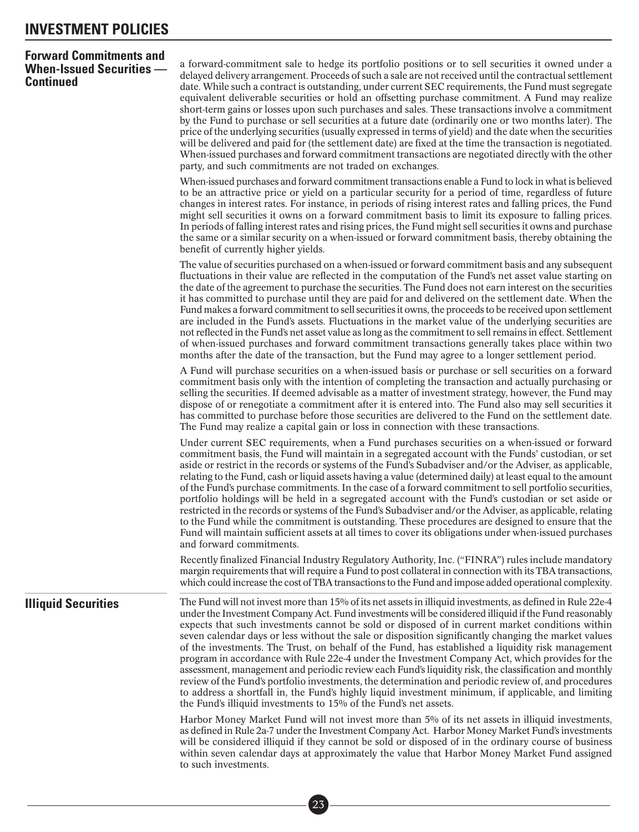### <span id="page-27-0"></span>**Forward Commitments and When-Issued Securities — Continued**

a forward-commitment sale to hedge its portfolio positions or to sell securities it owned under a delayed delivery arrangement. Proceeds of such a sale are not received until the contractual settlement date. While such a contract is outstanding, under current SEC requirements, the Fund must segregate equivalent deliverable securities or hold an offsetting purchase commitment. A Fund may realize short-term gains or losses upon such purchases and sales. These transactions involve a commitment by the Fund to purchase or sell securities at a future date (ordinarily one or two months later). The price of the underlying securities (usually expressed in terms of yield) and the date when the securities will be delivered and paid for (the settlement date) are fixed at the time the transaction is negotiated. When-issued purchases and forward commitment transactions are negotiated directly with the other party, and such commitments are not traded on exchanges.

When-issued purchases and forward commitment transactions enable a Fund to lock in what is believed to be an attractive price or yield on a particular security for a period of time, regardless of future changes in interest rates. For instance, in periods of rising interest rates and falling prices, the Fund might sell securities it owns on a forward commitment basis to limit its exposure to falling prices. In periods of falling interest rates and rising prices, the Fund might sell securities it owns and purchase the same or a similar security on a when-issued or forward commitment basis, thereby obtaining the benefit of currently higher yields.

The value of securities purchased on a when-issued or forward commitment basis and any subsequent fluctuations in their value are reflected in the computation of the Fund's net asset value starting on the date of the agreement to purchase the securities. The Fund does not earn interest on the securities it has committed to purchase until they are paid for and delivered on the settlement date. When the Fund makes a forward commitment to sell securities it owns, the proceeds to be received upon settlement are included in the Fund's assets. Fluctuations in the market value of the underlying securities are not reflected in the Fund's net asset value as long as the commitment to sell remains in effect. Settlement of when-issued purchases and forward commitment transactions generally takes place within two months after the date of the transaction, but the Fund may agree to a longer settlement period.

A Fund will purchase securities on a when-issued basis or purchase or sell securities on a forward commitment basis only with the intention of completing the transaction and actually purchasing or selling the securities. If deemed advisable as a matter of investment strategy, however, the Fund may dispose of or renegotiate a commitment after it is entered into. The Fund also may sell securities it has committed to purchase before those securities are delivered to the Fund on the settlement date. The Fund may realize a capital gain or loss in connection with these transactions.

Under current SEC requirements, when a Fund purchases securities on a when-issued or forward commitment basis, the Fund will maintain in a segregated account with the Funds' custodian, or set aside or restrict in the records or systems of the Fund's Subadviser and/or the Adviser, as applicable, relating to the Fund, cash or liquid assets having a value (determined daily) at least equal to the amount of the Fund's purchase commitments. In the case of a forward commitment to sell portfolio securities, portfolio holdings will be held in a segregated account with the Fund's custodian or set aside or restricted in the records or systems of the Fund's Subadviser and/or the Adviser, as applicable, relating to the Fund while the commitment is outstanding. These procedures are designed to ensure that the Fund will maintain sufficient assets at all times to cover its obligations under when-issued purchases and forward commitments.

Recently finalized Financial Industry Regulatory Authority, Inc. ("FINRA") rules include mandatory margin requirements that will require a Fund to post collateral in connection with its TBA transactions, which could increase the cost of TBA transactions to the Fund and impose added operational complexity.

**Illiquid Securities** The Fund will not invest more than 15% of its net assets in illiquid investments, as defined in Rule 22e-4 under the Investment Company Act. Fund investments will be considered illiquid if the Fund reasonably expects that such investments cannot be sold or disposed of in current market conditions within seven calendar days or less without the sale or disposition significantly changing the market values of the investments. The Trust, on behalf of the Fund, has established a liquidity risk management program in accordance with Rule 22e-4 under the Investment Company Act, which provides for the assessment, management and periodic review each Fund's liquidity risk, the classification and monthly review of the Fund's portfolio investments, the determination and periodic review of, and procedures to address a shortfall in, the Fund's highly liquid investment minimum, if applicable, and limiting the Fund's illiquid investments to 15% of the Fund's net assets.

> Harbor Money Market Fund will not invest more than 5% of its net assets in illiquid investments, as defined in Rule 2a-7 under the Investment Company Act. Harbor Money Market Fund's investments will be considered illiquid if they cannot be sold or disposed of in the ordinary course of business within seven calendar days at approximately the value that Harbor Money Market Fund assigned to such investments.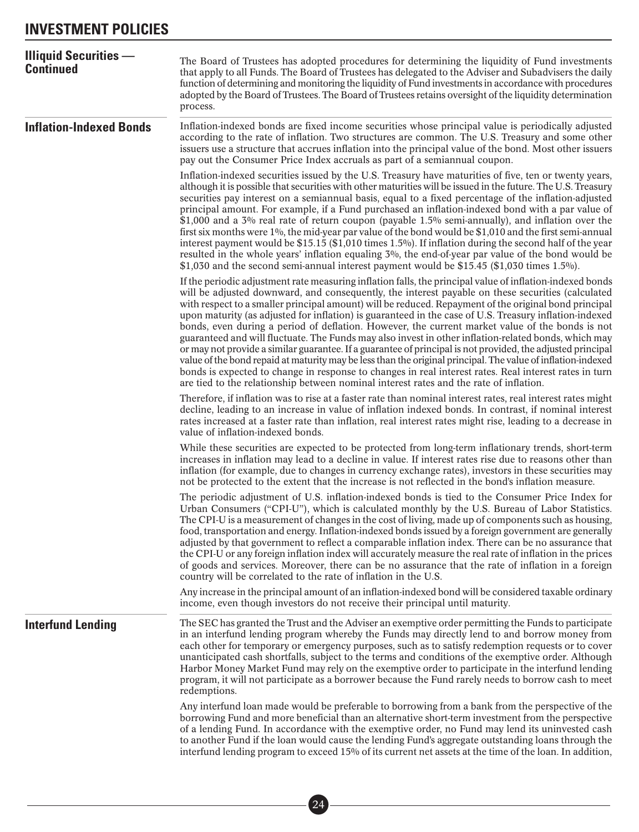<span id="page-28-0"></span>

| <b>Illiquid Securities —</b><br><b>Continued</b> | The Board of Trustees has adopted procedures for determining the liquidity of Fund investments<br>that apply to all Funds. The Board of Trustees has delegated to the Adviser and Subadvisers the daily<br>function of determining and monitoring the liquidity of Fund investments in accordance with procedures<br>adopted by the Board of Trustees. The Board of Trustees retains oversight of the liquidity determination<br>process.                                                                                                                                                                                                                                                                                                                                                                                                                                                                                                                                                                                                                                       |
|--------------------------------------------------|---------------------------------------------------------------------------------------------------------------------------------------------------------------------------------------------------------------------------------------------------------------------------------------------------------------------------------------------------------------------------------------------------------------------------------------------------------------------------------------------------------------------------------------------------------------------------------------------------------------------------------------------------------------------------------------------------------------------------------------------------------------------------------------------------------------------------------------------------------------------------------------------------------------------------------------------------------------------------------------------------------------------------------------------------------------------------------|
| <b>Inflation-Indexed Bonds</b>                   | Inflation-indexed bonds are fixed income securities whose principal value is periodically adjusted<br>according to the rate of inflation. Two structures are common. The U.S. Treasury and some other<br>issuers use a structure that accrues inflation into the principal value of the bond. Most other issuers<br>pay out the Consumer Price Index accruals as part of a semiannual coupon.                                                                                                                                                                                                                                                                                                                                                                                                                                                                                                                                                                                                                                                                                   |
|                                                  | Inflation-indexed securities issued by the U.S. Treasury have maturities of five, ten or twenty years,<br>although it is possible that securities with other maturities will be issued in the future. The U.S. Treasury<br>securities pay interest on a semiannual basis, equal to a fixed percentage of the inflation-adjusted<br>principal amount. For example, if a Fund purchased an inflation-indexed bond with a par value of<br>\$1,000 and a $3\%$ real rate of return coupon (payable 1.5% semi-annually), and inflation over the<br>first six months were 1%, the mid-year par value of the bond would be \$1,010 and the first semi-annual<br>interest payment would be \$15.15 (\$1,010 times 1.5%). If inflation during the second half of the year<br>resulted in the whole years' inflation equaling 3%, the end-of-year par value of the bond would be<br>\$1,030 and the second semi-annual interest payment would be \$15.45 (\$1,030 times 1.5%).                                                                                                            |
|                                                  | If the periodic adjustment rate measuring inflation falls, the principal value of inflation-indexed bonds<br>will be adjusted downward, and consequently, the interest payable on these securities (calculated<br>with respect to a smaller principal amount) will be reduced. Repayment of the original bond principal<br>upon maturity (as adjusted for inflation) is guaranteed in the case of U.S. Treasury inflation-indexed<br>bonds, even during a period of deflation. However, the current market value of the bonds is not<br>guaranteed and will fluctuate. The Funds may also invest in other inflation-related bonds, which may<br>or may not provide a similar guarantee. If a guarantee of principal is not provided, the adjusted principal<br>value of the bond repaid at maturity may be less than the original principal. The value of inflation-indexed<br>bonds is expected to change in response to changes in real interest rates. Real interest rates in turn<br>are tied to the relationship between nominal interest rates and the rate of inflation. |
|                                                  | Therefore, if inflation was to rise at a faster rate than nominal interest rates, real interest rates might<br>decline, leading to an increase in value of inflation indexed bonds. In contrast, if nominal interest<br>rates increased at a faster rate than inflation, real interest rates might rise, leading to a decrease in<br>value of inflation-indexed bonds.                                                                                                                                                                                                                                                                                                                                                                                                                                                                                                                                                                                                                                                                                                          |
|                                                  | While these securities are expected to be protected from long-term inflationary trends, short-term<br>increases in inflation may lead to a decline in value. If interest rates rise due to reasons other than<br>inflation (for example, due to changes in currency exchange rates), investors in these securities may<br>not be protected to the extent that the increase is not reflected in the bond's inflation measure.                                                                                                                                                                                                                                                                                                                                                                                                                                                                                                                                                                                                                                                    |
|                                                  | The periodic adjustment of U.S. inflation-indexed bonds is tied to the Consumer Price Index for<br>Urban Consumers ("CPI-U"), which is calculated monthly by the U.S. Bureau of Labor Statistics.<br>The CPI-U is a measurement of changes in the cost of living, made up of components such as housing,<br>food, transportation and energy. Inflation-indexed bonds issued by a foreign government are generally<br>adjusted by that government to reflect a comparable inflation index. There can be no assurance that<br>the CPI-U or any foreign inflation index will accurately measure the real rate of inflation in the prices<br>of goods and services. Moreover, there can be no assurance that the rate of inflation in a foreign<br>country will be correlated to the rate of inflation in the U.S.                                                                                                                                                                                                                                                                  |
|                                                  | Any increase in the principal amount of an inflation-indexed bond will be considered taxable ordinary<br>income, even though investors do not receive their principal until maturity.                                                                                                                                                                                                                                                                                                                                                                                                                                                                                                                                                                                                                                                                                                                                                                                                                                                                                           |
| <b>Interfund Lending</b>                         | The SEC has granted the Trust and the Adviser an exemptive order permitting the Funds to participate<br>in an interfund lending program whereby the Funds may directly lend to and borrow money from<br>each other for temporary or emergency purposes, such as to satisfy redemption requests or to cover<br>unanticipated cash shortfalls, subject to the terms and conditions of the exemptive order. Although<br>Harbor Money Market Fund may rely on the exemptive order to participate in the interfund lending<br>program, it will not participate as a borrower because the Fund rarely needs to borrow cash to meet<br>redemptions.                                                                                                                                                                                                                                                                                                                                                                                                                                    |
|                                                  | Any interfund loan made would be preferable to borrowing from a bank from the perspective of the<br>borrowing Fund and more beneficial than an alternative short-term investment from the perspective<br>of a lending Fund. In accordance with the exemptive order, no Fund may lend its uninvested cash<br>to another Fund if the loan would cause the lending Fund's aggregate outstanding loans through the<br>interfund lending program to exceed 15% of its current net assets at the time of the loan. In addition,                                                                                                                                                                                                                                                                                                                                                                                                                                                                                                                                                       |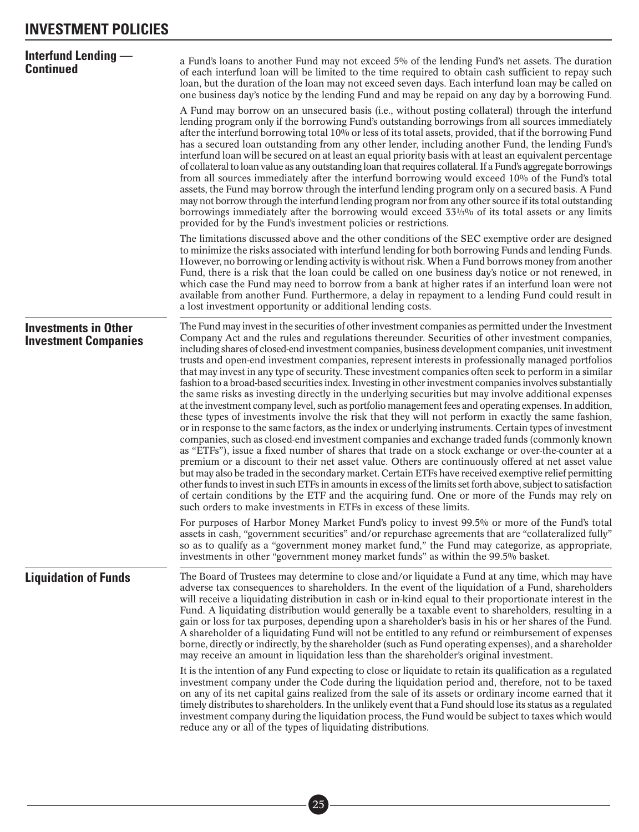<span id="page-29-0"></span>

| <b>Interfund Lending —</b><br><b>Continued</b>             | a Fund's loans to another Fund may not exceed 5% of the lending Fund's net assets. The duration<br>of each interfund loan will be limited to the time required to obtain cash sufficient to repay such<br>loan, but the duration of the loan may not exceed seven days. Each interfund loan may be called on<br>one business day's notice by the lending Fund and may be repaid on any day by a borrowing Fund.<br>A Fund may borrow on an unsecured basis (i.e., without posting collateral) through the interfund<br>lending program only if the borrowing Fund's outstanding borrowings from all sources immediately<br>after the interfund borrowing total 10% or less of its total assets, provided, that if the borrowing Fund<br>has a secured loan outstanding from any other lender, including another Fund, the lending Fund's<br>interfund loan will be secured on at least an equal priority basis with at least an equivalent percentage<br>of collateral to loan value as any outstanding loan that requires collateral. If a Fund's aggregate borrowings<br>from all sources immediately after the interfund borrowing would exceed 10% of the Fund's total<br>assets, the Fund may borrow through the interfund lending program only on a secured basis. A Fund<br>may not borrow through the interfund lending program nor from any other source if its total outstanding<br>borrowings immediately after the borrowing would exceed 331/5% of its total assets or any limits<br>provided for by the Fund's investment policies or restrictions.                                                                                                                                                                                                                                  |
|------------------------------------------------------------|----------------------------------------------------------------------------------------------------------------------------------------------------------------------------------------------------------------------------------------------------------------------------------------------------------------------------------------------------------------------------------------------------------------------------------------------------------------------------------------------------------------------------------------------------------------------------------------------------------------------------------------------------------------------------------------------------------------------------------------------------------------------------------------------------------------------------------------------------------------------------------------------------------------------------------------------------------------------------------------------------------------------------------------------------------------------------------------------------------------------------------------------------------------------------------------------------------------------------------------------------------------------------------------------------------------------------------------------------------------------------------------------------------------------------------------------------------------------------------------------------------------------------------------------------------------------------------------------------------------------------------------------------------------------------------------------------------------------------------------------------------------------------------------------------|
|                                                            | The limitations discussed above and the other conditions of the SEC exemptive order are designed<br>to minimize the risks associated with interfund lending for both borrowing Funds and lending Funds.<br>However, no borrowing or lending activity is without risk. When a Fund borrows money from another<br>Fund, there is a risk that the loan could be called on one business day's notice or not renewed, in<br>which case the Fund may need to borrow from a bank at higher rates if an interfund loan were not<br>available from another Fund. Furthermore, a delay in repayment to a lending Fund could result in<br>a lost investment opportunity or additional lending costs.                                                                                                                                                                                                                                                                                                                                                                                                                                                                                                                                                                                                                                                                                                                                                                                                                                                                                                                                                                                                                                                                                                          |
| <b>Investments in Other</b><br><b>Investment Companies</b> | The Fund may invest in the securities of other investment companies as permitted under the Investment<br>Company Act and the rules and regulations thereunder. Securities of other investment companies,<br>including shares of closed-end investment companies, business development companies, unit investment<br>trusts and open-end investment companies, represent interests in professionally managed portfolios<br>that may invest in any type of security. These investment companies often seek to perform in a similar<br>fashion to a broad-based securities index. Investing in other investment companies involves substantially<br>the same risks as investing directly in the underlying securities but may involve additional expenses<br>at the investment company level, such as portfolio management fees and operating expenses. In addition,<br>these types of investments involve the risk that they will not perform in exactly the same fashion,<br>or in response to the same factors, as the index or underlying instruments. Certain types of investment<br>companies, such as closed-end investment companies and exchange traded funds (commonly known<br>as "ETFs"), issue a fixed number of shares that trade on a stock exchange or over-the-counter at a<br>premium or a discount to their net asset value. Others are continuously offered at net asset value<br>but may also be traded in the secondary market. Certain ETFs have received exemptive relief permitting<br>other funds to invest in such ETFs in amounts in excess of the limits set forth above, subject to satisfaction<br>of certain conditions by the ETF and the acquiring fund. One or more of the Funds may rely on<br>such orders to make investments in ETFs in excess of these limits. |
|                                                            | For purposes of Harbor Money Market Fund's policy to invest 99.5% or more of the Fund's total<br>assets in cash, "government securities" and/or repurchase agreements that are "collateralized fully"<br>so as to qualify as a "government money market fund," the Fund may categorize, as appropriate,<br>investments in other "government money market funds" as within the 99.5% basket.                                                                                                                                                                                                                                                                                                                                                                                                                                                                                                                                                                                                                                                                                                                                                                                                                                                                                                                                                                                                                                                                                                                                                                                                                                                                                                                                                                                                        |
| <b>Liquidation of Funds</b>                                | The Board of Trustees may determine to close and/or liquidate a Fund at any time, which may have<br>adverse tax consequences to shareholders. In the event of the liquidation of a Fund, shareholders<br>will receive a liquidating distribution in cash or in-kind equal to their proportionate interest in the<br>Fund. A liquidating distribution would generally be a taxable event to shareholders, resulting in a<br>gain or loss for tax purposes, depending upon a shareholder's basis in his or her shares of the Fund.<br>A shareholder of a liquidating Fund will not be entitled to any refund or reimbursement of expenses<br>borne, directly or indirectly, by the shareholder (such as Fund operating expenses), and a shareholder<br>may receive an amount in liquidation less than the shareholder's original investment.                                                                                                                                                                                                                                                                                                                                                                                                                                                                                                                                                                                                                                                                                                                                                                                                                                                                                                                                                         |
|                                                            | It is the intention of any Fund expecting to close or liquidate to retain its qualification as a regulated<br>investment company under the Code during the liquidation period and, therefore, not to be taxed<br>on any of its net capital gains realized from the sale of its assets or ordinary income earned that it<br>timely distributes to shareholders. In the unlikely event that a Fund should lose its status as a regulated<br>investment company during the liquidation process, the Fund would be subject to taxes which would<br>reduce any or all of the types of liquidating distributions.                                                                                                                                                                                                                                                                                                                                                                                                                                                                                                                                                                                                                                                                                                                                                                                                                                                                                                                                                                                                                                                                                                                                                                                        |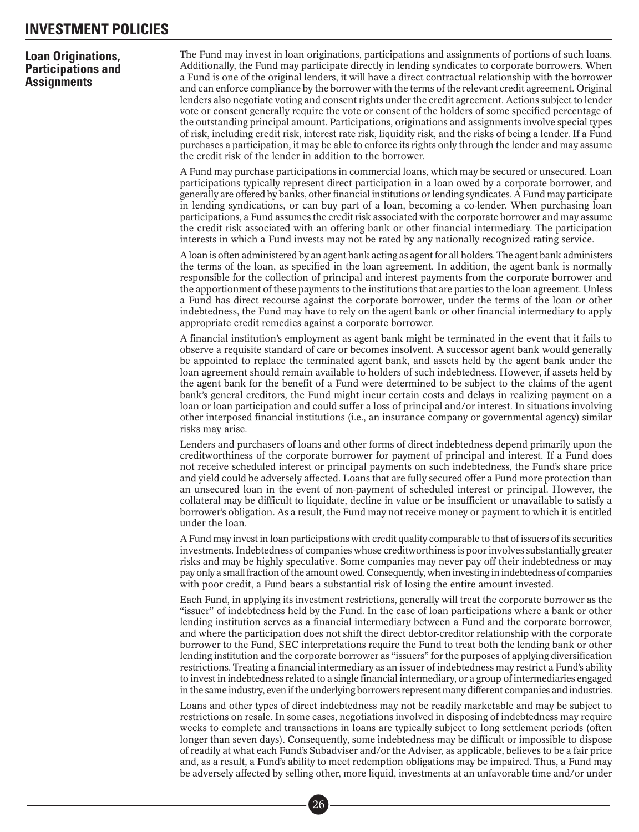### <span id="page-30-0"></span>**Loan Originations, Participations and Assignments**

The Fund may invest in loan originations, participations and assignments of portions of such loans. Additionally, the Fund may participate directly in lending syndicates to corporate borrowers. When a Fund is one of the original lenders, it will have a direct contractual relationship with the borrower and can enforce compliance by the borrower with the terms of the relevant credit agreement. Original lenders also negotiate voting and consent rights under the credit agreement. Actions subject to lender vote or consent generally require the vote or consent of the holders of some specified percentage of the outstanding principal amount. Participations, originations and assignments involve special types of risk, including credit risk, interest rate risk, liquidity risk, and the risks of being a lender. If a Fund purchases a participation, it may be able to enforce its rights only through the lender and may assume the credit risk of the lender in addition to the borrower.

A Fund may purchase participations in commercial loans, which may be secured or unsecured. Loan participations typically represent direct participation in a loan owed by a corporate borrower, and generally are offered by banks, other financial institutions or lending syndicates. A Fund may participate in lending syndications, or can buy part of a loan, becoming a co-lender. When purchasing loan participations, a Fund assumes the credit risk associated with the corporate borrower and may assume the credit risk associated with an offering bank or other financial intermediary. The participation interests in which a Fund invests may not be rated by any nationally recognized rating service.

A loan is often administered by an agent bank acting as agent for all holders. The agent bank administers the terms of the loan, as specified in the loan agreement. In addition, the agent bank is normally responsible for the collection of principal and interest payments from the corporate borrower and the apportionment of these payments to the institutions that are parties to the loan agreement. Unless a Fund has direct recourse against the corporate borrower, under the terms of the loan or other indebtedness, the Fund may have to rely on the agent bank or other financial intermediary to apply appropriate credit remedies against a corporate borrower.

A financial institution's employment as agent bank might be terminated in the event that it fails to observe a requisite standard of care or becomes insolvent. A successor agent bank would generally be appointed to replace the terminated agent bank, and assets held by the agent bank under the loan agreement should remain available to holders of such indebtedness. However, if assets held by the agent bank for the benefit of a Fund were determined to be subject to the claims of the agent bank's general creditors, the Fund might incur certain costs and delays in realizing payment on a loan or loan participation and could suffer a loss of principal and/or interest. In situations involving other interposed financial institutions (i.e., an insurance company or governmental agency) similar risks may arise.

Lenders and purchasers of loans and other forms of direct indebtedness depend primarily upon the creditworthiness of the corporate borrower for payment of principal and interest. If a Fund does not receive scheduled interest or principal payments on such indebtedness, the Fund's share price and yield could be adversely affected. Loans that are fully secured offer a Fund more protection than an unsecured loan in the event of non-payment of scheduled interest or principal. However, the collateral may be difficult to liquidate, decline in value or be insufficient or unavailable to satisfy a borrower's obligation. As a result, the Fund may not receive money or payment to which it is entitled under the loan.

A Fund may invest in loan participations with credit quality comparable to that of issuers of its securities investments. Indebtedness of companies whose creditworthiness is poor involves substantially greater risks and may be highly speculative. Some companies may never pay off their indebtedness or may pay only a small fraction of the amount owed. Consequently, when investing in indebtedness of companies with poor credit, a Fund bears a substantial risk of losing the entire amount invested.

Each Fund, in applying its investment restrictions, generally will treat the corporate borrower as the "issuer" of indebtedness held by the Fund. In the case of loan participations where a bank or other lending institution serves as a financial intermediary between a Fund and the corporate borrower, and where the participation does not shift the direct debtor-creditor relationship with the corporate borrower to the Fund, SEC interpretations require the Fund to treat both the lending bank or other lending institution and the corporate borrower as "issuers" for the purposes of applying diversification restrictions. Treating a financial intermediary as an issuer of indebtedness may restrict a Fund's ability to invest in indebtedness related to a single financial intermediary, or a group of intermediaries engaged in the same industry, even if the underlying borrowers represent many different companies and industries.

Loans and other types of direct indebtedness may not be readily marketable and may be subject to restrictions on resale. In some cases, negotiations involved in disposing of indebtedness may require weeks to complete and transactions in loans are typically subject to long settlement periods (often longer than seven days). Consequently, some indebtedness may be difficult or impossible to dispose of readily at what each Fund's Subadviser and/or the Adviser, as applicable, believes to be a fair price and, as a result, a Fund's ability to meet redemption obligations may be impaired. Thus, a Fund may be adversely affected by selling other, more liquid, investments at an unfavorable time and/or under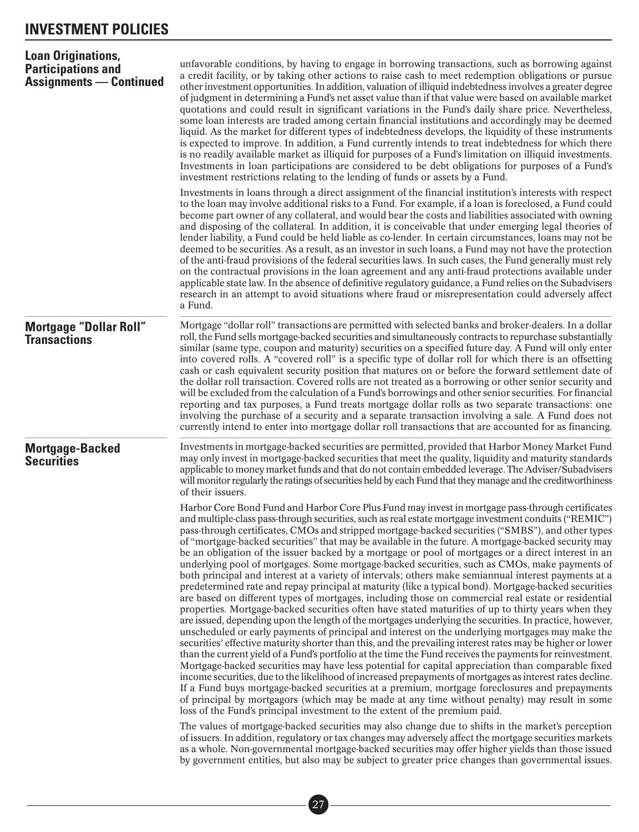<span id="page-31-0"></span>

| <b>Loan Originations,</b><br><b>Participations and</b><br><b>Assignments — Continued</b> | unfavorable conditions, by having to engage in borrowing transactions, such as borrowing against<br>a credit facility, or by taking other actions to raise cash to meet redemption obligations or pursue<br>other investment opportunities. In addition, valuation of illiquid indebtedness involves a greater degree<br>of judgment in determining a Fund's net asset value than if that value were based on available market<br>quotations and could result in significant variations in the Fund's daily share price. Nevertheless,<br>some loan interests are traded among certain financial institutions and accordingly may be deemed<br>liquid. As the market for different types of indebtedness develops, the liquidity of these instruments<br>is expected to improve. In addition, a Fund currently intends to treat indebtedness for which there<br>is no readily available market as illiquid for purposes of a Fund's limitation on illiquid investments.<br>Investments in loan participations are considered to be debt obligations for purposes of a Fund's<br>investment restrictions relating to the lending of funds or assets by a Fund.                                                                                                                                                                                                                                                                                                                                                                                                                  |
|------------------------------------------------------------------------------------------|--------------------------------------------------------------------------------------------------------------------------------------------------------------------------------------------------------------------------------------------------------------------------------------------------------------------------------------------------------------------------------------------------------------------------------------------------------------------------------------------------------------------------------------------------------------------------------------------------------------------------------------------------------------------------------------------------------------------------------------------------------------------------------------------------------------------------------------------------------------------------------------------------------------------------------------------------------------------------------------------------------------------------------------------------------------------------------------------------------------------------------------------------------------------------------------------------------------------------------------------------------------------------------------------------------------------------------------------------------------------------------------------------------------------------------------------------------------------------------------------------------------------------------------------------------------------------------|
|                                                                                          | Investments in loans through a direct assignment of the financial institution's interests with respect<br>to the loan may involve additional risks to a Fund. For example, if a loan is foreclosed, a Fund could<br>become part owner of any collateral, and would bear the costs and liabilities associated with owning<br>and disposing of the collateral. In addition, it is conceivable that under emerging legal theories of<br>lender liability, a Fund could be held liable as co-lender. In certain circumstances, loans may not be<br>deemed to be securities. As a result, as an investor in such loans, a Fund may not have the protection<br>of the anti-fraud provisions of the federal securities laws. In such cases, the Fund generally must rely<br>on the contractual provisions in the loan agreement and any anti-fraud protections available under<br>applicable state law. In the absence of definitive regulatory guidance, a Fund relies on the Subadvisers<br>research in an attempt to avoid situations where fraud or misrepresentation could adversely affect<br>a Fund.                                                                                                                                                                                                                                                                                                                                                                                                                                                                           |
| <b>Mortgage "Dollar Roll"</b><br><b>Transactions</b>                                     | Mortgage "dollar roll" transactions are permitted with selected banks and broker-dealers. In a dollar<br>roll, the Fund sells mortgage-backed securities and simultaneously contracts to repurchase substantially<br>similar (same type, coupon and maturity) securities on a specified future day. A Fund will only enter<br>into covered rolls. A "covered roll" is a specific type of dollar roll for which there is an offsetting<br>cash or cash equivalent security position that matures on or before the forward settlement date of<br>the dollar roll transaction. Covered rolls are not treated as a borrowing or other senior security and<br>will be excluded from the calculation of a Fund's borrowings and other senior securities. For financial<br>reporting and tax purposes, a Fund treats mortgage dollar rolls as two separate transactions: one<br>involving the purchase of a security and a separate transaction involving a sale. A Fund does not<br>currently intend to enter into mortgage dollar roll transactions that are accounted for as financing.                                                                                                                                                                                                                                                                                                                                                                                                                                                                                            |
| <b>Mortgage-Backed</b><br><b>Securities</b>                                              | Investments in mortgage-backed securities are permitted, provided that Harbor Money Market Fund<br>may only invest in mortgage-backed securities that meet the quality, liquidity and maturity standards<br>applicable to money market funds and that do not contain embedded leverage. The Adviser/Subadvisers<br>will monitor regularly the ratings of securities held by each Fund that they manage and the creditworthiness<br>of their issuers.<br>Harbor Core Bond Fund and Harbor Core Plus Fund may invest in mortgage pass-through certificates<br>and multiple-class pass-through securities, such as real estate mortgage investment conduits ("REMIC")<br>pass-through certificates, CMOs and stripped mortgage-backed securities ("SMBS"), and other types<br>of "mortgage-backed securities" that may be available in the future. A mortgage-backed security may                                                                                                                                                                                                                                                                                                                                                                                                                                                                                                                                                                                                                                                                                                 |
|                                                                                          | be an obligation of the issuer backed by a mortgage or pool of mortgages or a direct interest in an<br>underlying pool of mortgages. Some mortgage-backed securities, such as CMOs, make payments of<br>both principal and interest at a variety of intervals; others make semiannual interest payments at a<br>predetermined rate and repay principal at maturity (like a typical bond). Mortgage-backed securities<br>are based on different types of mortgages, including those on commercial real estate or residential<br>properties. Mortgage-backed securities often have stated maturities of up to thirty years when they<br>are issued, depending upon the length of the mortgages underlying the securities. In practice, however,<br>unscheduled or early payments of principal and interest on the underlying mortgages may make the<br>securities' effective maturity shorter than this, and the prevailing interest rates may be higher or lower<br>than the current yield of a Fund's portfolio at the time the Fund receives the payments for reinvestment.<br>Mortgage-backed securities may have less potential for capital appreciation than comparable fixed<br>income securities, due to the likelihood of increased prepayments of mortgages as interest rates decline.<br>If a Fund buys mortgage-backed securities at a premium, mortgage foreclosures and prepayments<br>of principal by mortgagors (which may be made at any time without penalty) may result in some<br>loss of the Fund's principal investment to the extent of the premium paid. |
|                                                                                          | The values of mortgage-backed securities may also change due to shifts in the market's perception<br>of issuers. In addition, regulatory or tax changes may adversely affect the mortgage securities markets<br>as a whole. Non-governmental mortgage-backed securities may offer higher yields than those issued<br>by government entities, but also may be subject to greater price changes than governmental issues.                                                                                                                                                                                                                                                                                                                                                                                                                                                                                                                                                                                                                                                                                                                                                                                                                                                                                                                                                                                                                                                                                                                                                        |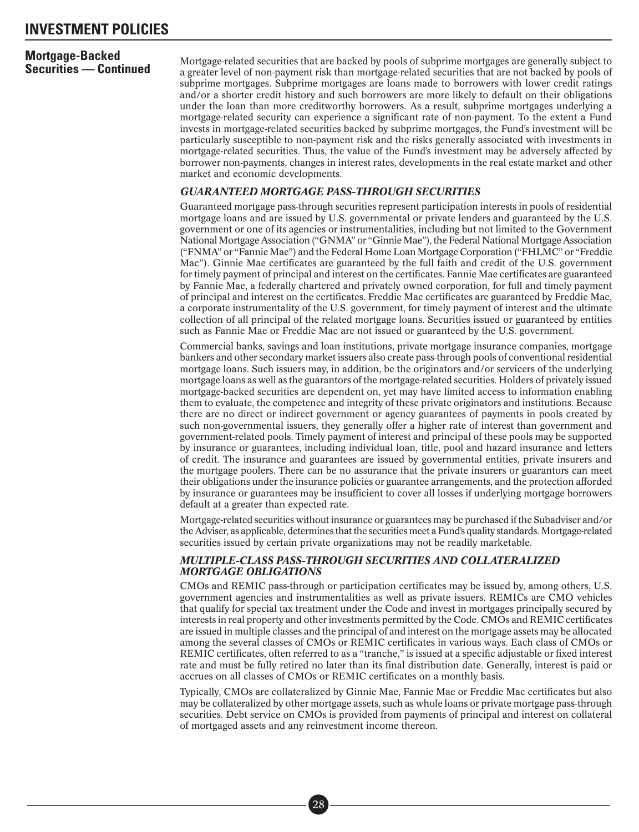## **Mortgage-Backed**

**Securities — Continued** Mortgage-related securities that are backed by pools of subprime mortgages are generally subject to<br>**Securities — Continued** a greater level of non-payment risk than mortgage-related securities tha subprime mortgages. Subprime mortgages are loans made to borrowers with lower credit ratings and/or a shorter credit history and such borrowers are more likely to default on their obligations under the loan than more creditworthy borrowers. As a result, subprime mortgages underlying a mortgage-related security can experience a significant rate of non-payment. To the extent a Fund invests in mortgage-related securities backed by subprime mortgages, the Fund's investment will be particularly susceptible to non-payment risk and the risks generally associated with investments in mortgage-related securities. Thus, the value of the Fund's investment may be adversely affected by borrower non-payments, changes in interest rates, developments in the real estate market and other market and economic developments.

#### *GUARANTEED MORTGAGE PASS-THROUGH SECURITIES*

Guaranteed mortgage pass-through securities represent participation interests in pools of residential mortgage loans and are issued by U.S. governmental or private lenders and guaranteed by the U.S. government or one of its agencies or instrumentalities, including but not limited to the Government National Mortgage Association ("GNMA" or "Ginnie Mae"), the Federal National Mortgage Association ("FNMA" or "Fannie Mae") and the Federal Home Loan Mortgage Corporation ("FHLMC" or "Freddie Mac"). Ginnie Mae certificates are guaranteed by the full faith and credit of the U.S. government for timely payment of principal and interest on the certificates. Fannie Mae certificates are guaranteed by Fannie Mae, a federally chartered and privately owned corporation, for full and timely payment of principal and interest on the certificates. Freddie Mac certificates are guaranteed by Freddie Mac, a corporate instrumentality of the U.S. government, for timely payment of interest and the ultimate collection of all principal of the related mortgage loans. Securities issued or guaranteed by entities such as Fannie Mae or Freddie Mac are not issued or guaranteed by the U.S. government.

Commercial banks, savings and loan institutions, private mortgage insurance companies, mortgage bankers and other secondary market issuers also create pass-through pools of conventional residential mortgage loans. Such issuers may, in addition, be the originators and/or servicers of the underlying mortgage loans as well as the guarantors of the mortgage-related securities. Holders of privately issued mortgage-backed securities are dependent on, yet may have limited access to information enabling them to evaluate, the competence and integrity of these private originators and institutions. Because there are no direct or indirect government or agency guarantees of payments in pools created by such non-governmental issuers, they generally offer a higher rate of interest than government and government-related pools. Timely payment of interest and principal of these pools may be supported by insurance or guarantees, including individual loan, title, pool and hazard insurance and letters of credit. The insurance and guarantees are issued by governmental entities, private insurers and the mortgage poolers. There can be no assurance that the private insurers or guarantors can meet their obligations under the insurance policies or guarantee arrangements, and the protection afforded by insurance or guarantees may be insufficient to cover all losses if underlying mortgage borrowers default at a greater than expected rate.

Mortgage-related securities without insurance or guarantees may be purchased if the Subadviser and/or the Adviser, as applicable, determines that the securities meet a Fund's quality standards.Mortgage-related securities issued by certain private organizations may not be readily marketable.

#### *MULTIPLE-CLASS PASS-THROUGH SECURITIES AND COLLATERALIZED MORTGAGE OBLIGATIONS*

CMOs and REMIC pass-through or participation certificates may be issued by, among others, U.S. government agencies and instrumentalities as well as private issuers. REMICs are CMO vehicles that qualify for special tax treatment under the Code and invest in mortgages principally secured by interests in real property and other investments permitted by the Code. CMOs and REMIC certificates are issued in multiple classes and the principal of and interest on the mortgage assets may be allocated among the several classes of CMOs or REMIC certificates in various ways. Each class of CMOs or REMIC certificates, often referred to as a "tranche," is issued at a specific adjustable or fixed interest rate and must be fully retired no later than its final distribution date. Generally, interest is paid or accrues on all classes of CMOs or REMIC certificates on a monthly basis.

Typically, CMOs are collateralized by Ginnie Mae, Fannie Mae or Freddie Mac certificates but also may be collateralized by other mortgage assets, such as whole loans or private mortgage pass-through securities. Debt service on CMOs is provided from payments of principal and interest on collateral of mortgaged assets and any reinvestment income thereon.

> ■• 28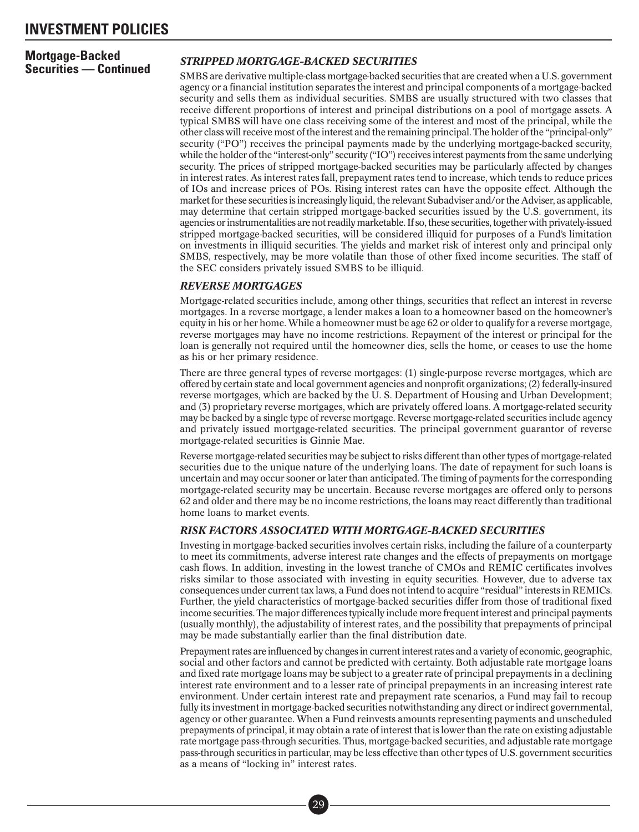## **Mortgage-Backed**

#### **Securities — Continued** *STRIPPED MORTGAGE-BACKED SECURITIES*

SMBS are derivative multiple-class mortgage-backed securities that are created when a U.S. government agency or a financial institution separates the interest and principal components of a mortgage-backed security and sells them as individual securities. SMBS are usually structured with two classes that receive different proportions of interest and principal distributions on a pool of mortgage assets. A typical SMBS will have one class receiving some of the interest and most of the principal, while the other class will receive most of the interest and the remaining principal. The holder of the "principal-only" security ("PO") receives the principal payments made by the underlying mortgage-backed security, while the holder of the "interest-only" security ("IO") receives interest payments from the same underlying security. The prices of stripped mortgage-backed securities may be particularly affected by changes in interest rates. As interest rates fall, prepayment rates tend to increase, which tends to reduce prices of IOs and increase prices of POs. Rising interest rates can have the opposite effect. Although the market for these securities is increasingly liquid, the relevant Subadviser and/or the Adviser, as applicable, may determine that certain stripped mortgage-backed securities issued by the U.S. government, its agencies orinstrumentalities are not readilymarketable. If so, these securities, together with privately-issued stripped mortgage-backed securities, will be considered illiquid for purposes of a Fund's limitation on investments in illiquid securities. The yields and market risk of interest only and principal only SMBS, respectively, may be more volatile than those of other fixed income securities. The staff of the SEC considers privately issued SMBS to be illiquid.

#### *REVERSE MORTGAGES*

Mortgage-related securities include, among other things, securities that reflect an interest in reverse mortgages. In a reverse mortgage, a lender makes a loan to a homeowner based on the homeowner's equity in his or her home. While a homeowner must be age 62 or older to qualify for a reverse mortgage, reverse mortgages may have no income restrictions. Repayment of the interest or principal for the loan is generally not required until the homeowner dies, sells the home, or ceases to use the home as his or her primary residence.

There are three general types of reverse mortgages: (1) single-purpose reverse mortgages, which are offered by certain state and local government agencies and nonprofit organizations; (2) federally-insured reverse mortgages, which are backed by the U. S. Department of Housing and Urban Development; and (3) proprietary reverse mortgages, which are privately offered loans. A mortgage-related security may be backed by a single type of reverse mortgage. Reverse mortgage-related securities include agency and privately issued mortgage-related securities. The principal government guarantor of reverse mortgage-related securities is Ginnie Mae.

Reverse mortgage-related securities may be subject to risks different than other types of mortgage-related securities due to the unique nature of the underlying loans. The date of repayment for such loans is uncertain and may occur sooner or later than anticipated. The timing of payments for the corresponding mortgage-related security may be uncertain. Because reverse mortgages are offered only to persons 62 and older and there may be no income restrictions, the loans may react differently than traditional home loans to market events.

#### *RISK FACTORS ASSOCIATED WITH MORTGAGE-BACKED SECURITIES*

Investing in mortgage-backed securities involves certain risks, including the failure of a counterparty to meet its commitments, adverse interest rate changes and the effects of prepayments on mortgage cash flows. In addition, investing in the lowest tranche of CMOs and REMIC certificates involves risks similar to those associated with investing in equity securities. However, due to adverse tax consequences under current tax laws, a Fund does not intend to acquire "residual" interests in REMICs. Further, the yield characteristics of mortgage-backed securities differ from those of traditional fixed income securities. The major differences typically include more frequent interest and principal payments (usually monthly), the adjustability of interest rates, and the possibility that prepayments of principal may be made substantially earlier than the final distribution date.

Prepayment rates are influenced by changes in current interest rates and a variety of economic, geographic, social and other factors and cannot be predicted with certainty. Both adjustable rate mortgage loans and fixed rate mortgage loans may be subject to a greater rate of principal prepayments in a declining interest rate environment and to a lesser rate of principal prepayments in an increasing interest rate environment. Under certain interest rate and prepayment rate scenarios, a Fund may fail to recoup fully its investment in mortgage-backed securities notwithstanding any direct or indirect governmental, agency or other guarantee. When a Fund reinvests amounts representing payments and unscheduled prepayments of principal, it may obtain a rate of interest that is lower than the rate on existing adjustable rate mortgage pass-through securities. Thus, mortgage-backed securities, and adjustable rate mortgage pass-through securities in particular, may be less effective than other types of U.S. government securities as a means of "locking in" interest rates.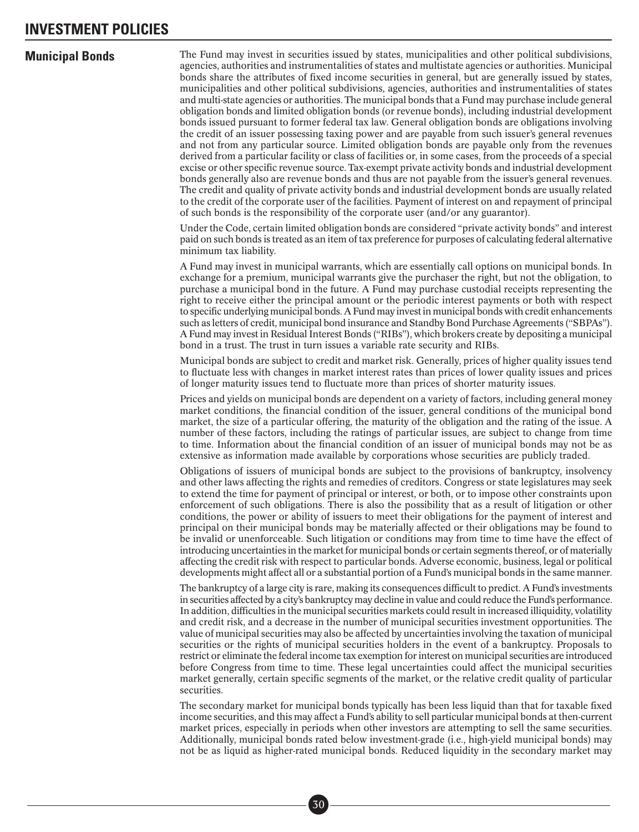<span id="page-34-0"></span>**Municipal Bonds** The Fund may invest in securities issued by states, municipalities and other political subdivisions, agencies, authorities and instrumentalities of states and multistate agencies or authorities. Municipal bonds share the attributes of fixed income securities in general, but are generally issued by states, municipalities and other political subdivisions, agencies, authorities and instrumentalities of states and multi-state agencies or authorities. The municipal bonds that a Fund may purchase include general obligation bonds and limited obligation bonds (or revenue bonds), including industrial development bonds issued pursuant to former federal tax law. General obligation bonds are obligations involving the credit of an issuer possessing taxing power and are payable from such issuer's general revenues and not from any particular source. Limited obligation bonds are payable only from the revenues derived from a particular facility or class of facilities or, in some cases, from the proceeds of a special excise or other specific revenue source. Tax-exempt private activity bonds and industrial development bonds generally also are revenue bonds and thus are not payable from the issuer's general revenues. The credit and quality of private activity bonds and industrial development bonds are usually related to the credit of the corporate user of the facilities. Payment of interest on and repayment of principal of such bonds is the responsibility of the corporate user (and/or any guarantor).

> Under the Code, certain limited obligation bonds are considered "private activity bonds" and interest paid on such bonds is treated as an item of tax preference for purposes of calculating federal alternative minimum tax liability.

> A Fund may invest in municipal warrants, which are essentially call options on municipal bonds. In exchange for a premium, municipal warrants give the purchaser the right, but not the obligation, to purchase a municipal bond in the future. A Fund may purchase custodial receipts representing the right to receive either the principal amount or the periodic interest payments or both with respect to specific underlying municipal bonds. A Fund may invest in municipal bonds with credit enhancements such as letters of credit, municipal bond insurance and Standby Bond Purchase Agreements ("SBPAs"). A Fund may invest in Residual Interest Bonds ("RIBs"), which brokers create by depositing a municipal bond in a trust. The trust in turn issues a variable rate security and RIBs.

> Municipal bonds are subject to credit and market risk. Generally, prices of higher quality issues tend to fluctuate less with changes in market interest rates than prices of lower quality issues and prices of longer maturity issues tend to fluctuate more than prices of shorter maturity issues.

> Prices and yields on municipal bonds are dependent on a variety of factors, including general money market conditions, the financial condition of the issuer, general conditions of the municipal bond market, the size of a particular offering, the maturity of the obligation and the rating of the issue. A number of these factors, including the ratings of particular issues, are subject to change from time to time. Information about the financial condition of an issuer of municipal bonds may not be as extensive as information made available by corporations whose securities are publicly traded.

> Obligations of issuers of municipal bonds are subject to the provisions of bankruptcy, insolvency and other laws affecting the rights and remedies of creditors. Congress or state legislatures may seek to extend the time for payment of principal or interest, or both, or to impose other constraints upon enforcement of such obligations. There is also the possibility that as a result of litigation or other conditions, the power or ability of issuers to meet their obligations for the payment of interest and principal on their municipal bonds may be materially affected or their obligations may be found to be invalid or unenforceable. Such litigation or conditions may from time to time have the effect of introducing uncertainties in the market for municipal bonds or certain segments thereof, or of materially affecting the credit risk with respect to particular bonds. Adverse economic, business, legal or political developments might affect all or a substantial portion of a Fund's municipal bonds in the same manner.

> The bankruptcy of a large city is rare, making its consequences difficult to predict. A Fund's investments in securities affected by a city's bankruptcy may decline in value and could reduce the Fund's performance. In addition, difficulties in the municipal securities markets could result in increased illiquidity, volatility and credit risk, and a decrease in the number of municipal securities investment opportunities. The value of municipal securities may also be affected by uncertainties involving the taxation of municipal securities or the rights of municipal securities holders in the event of a bankruptcy. Proposals to restrict or eliminate the federal income tax exemption for interest on municipal securities are introduced before Congress from time to time. These legal uncertainties could affect the municipal securities market generally, certain specific segments of the market, or the relative credit quality of particular securities.

> The secondary market for municipal bonds typically has been less liquid than that for taxable fixed income securities, and this may affect a Fund's ability to sell particular municipal bonds at then-current market prices, especially in periods when other investors are attempting to sell the same securities. Additionally, municipal bonds rated below investment-grade (i.e., high-yield municipal bonds) may not be as liquid as higher-rated municipal bonds. Reduced liquidity in the secondary market may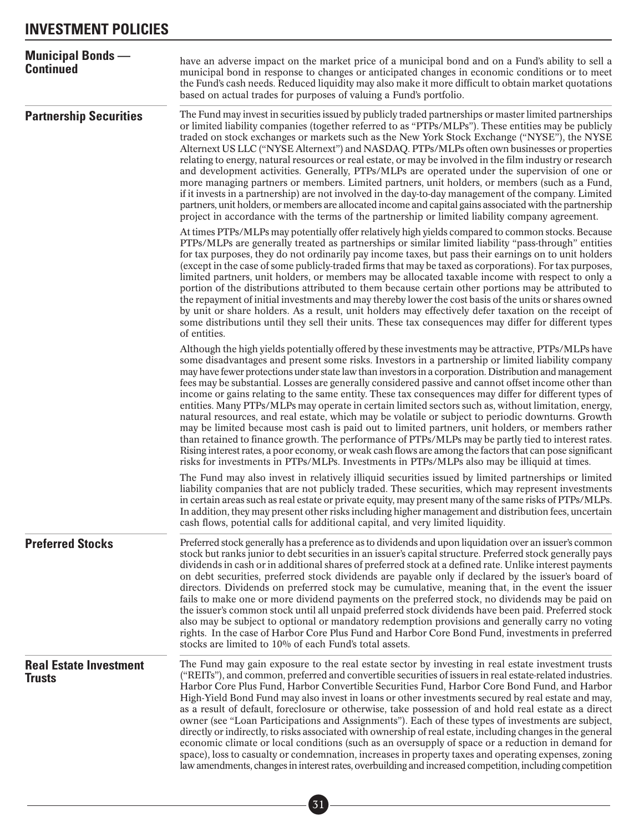<span id="page-35-0"></span>

| <b>Municipal Bonds</b> —<br><b>Continued</b>   | have an adverse impact on the market price of a municipal bond and on a Fund's ability to sell a<br>municipal bond in response to changes or anticipated changes in economic conditions or to meet<br>the Fund's cash needs. Reduced liquidity may also make it more difficult to obtain market quotations<br>based on actual trades for purposes of valuing a Fund's portfolio.                                                                                                                                                                                                                                                                                                                                                                                                                                                                                                                                                                                                                                                                                                                                                                                            |
|------------------------------------------------|-----------------------------------------------------------------------------------------------------------------------------------------------------------------------------------------------------------------------------------------------------------------------------------------------------------------------------------------------------------------------------------------------------------------------------------------------------------------------------------------------------------------------------------------------------------------------------------------------------------------------------------------------------------------------------------------------------------------------------------------------------------------------------------------------------------------------------------------------------------------------------------------------------------------------------------------------------------------------------------------------------------------------------------------------------------------------------------------------------------------------------------------------------------------------------|
| <b>Partnership Securities</b>                  | The Fund may invest in securities issued by publicly traded partnerships or master limited partnerships<br>or limited liability companies (together referred to as "PTPs/MLPs"). These entities may be publicly<br>traded on stock exchanges or markets such as the New York Stock Exchange ("NYSE"), the NYSE<br>Alternext US LLC ("NYSE Alternext") and NASDAQ. PTPs/MLPs often own businesses or properties<br>relating to energy, natural resources or real estate, or may be involved in the film industry or research<br>and development activities. Generally, PTPs/MLPs are operated under the supervision of one or<br>more managing partners or members. Limited partners, unit holders, or members (such as a Fund,<br>if it invests in a partnership) are not involved in the day-to-day management of the company. Limited<br>partners, unit holders, or members are allocated income and capital gains associated with the partnership<br>project in accordance with the terms of the partnership or limited liability company agreement.                                                                                                                     |
|                                                | At times PTPs/MLPs may potentially offer relatively high yields compared to common stocks. Because<br>PTPs/MLPs are generally treated as partnerships or similar limited liability "pass-through" entities<br>for tax purposes, they do not ordinarily pay income taxes, but pass their earnings on to unit holders<br>(except in the case of some publicly-traded firms that may be taxed as corporations). For tax purposes,<br>limited partners, unit holders, or members may be allocated taxable income with respect to only a<br>portion of the distributions attributed to them because certain other portions may be attributed to<br>the repayment of initial investments and may thereby lower the cost basis of the units or shares owned<br>by unit or share holders. As a result, unit holders may effectively defer taxation on the receipt of<br>some distributions until they sell their units. These tax consequences may differ for different types<br>of entities.                                                                                                                                                                                       |
|                                                | Although the high yields potentially offered by these investments may be attractive, PTPs/MLPs have<br>some disadvantages and present some risks. Investors in a partnership or limited liability company<br>may have fewer protections under state law than investors in a corporation. Distribution and management<br>fees may be substantial. Losses are generally considered passive and cannot offset income other than<br>income or gains relating to the same entity. These tax consequences may differ for different types of<br>entities. Many PTPs/MLPs may operate in certain limited sectors such as, without limitation, energy,<br>natural resources, and real estate, which may be volatile or subject to periodic downturns. Growth<br>may be limited because most cash is paid out to limited partners, unit holders, or members rather<br>than retained to finance growth. The performance of PTPs/MLPs may be partly tied to interest rates.<br>Rising interest rates, a poor economy, or weak cash flows are among the factors that can pose significant<br>risks for investments in PTPs/MLPs. Investments in PTPs/MLPs also may be illiquid at times. |
|                                                | The Fund may also invest in relatively illiquid securities issued by limited partnerships or limited<br>liability companies that are not publicly traded. These securities, which may represent investments<br>in certain areas such as real estate or private equity, may present many of the same risks of PTPs/MLPs.<br>In addition, they may present other risks including higher management and distribution fees, uncertain<br>cash flows, potential calls for additional capital, and very limited liquidity.                                                                                                                                                                                                                                                                                                                                                                                                                                                                                                                                                                                                                                                        |
| <b>Preferred Stocks</b>                        | Preferred stock generally has a preference as to dividends and upon liquidation over an issuer's common<br>stock but ranks junior to debt securities in an issuer's capital structure. Preferred stock generally pays<br>dividends in cash or in additional shares of preferred stock at a defined rate. Unlike interest payments<br>on debt securities, preferred stock dividends are payable only if declared by the issuer's board of<br>directors. Dividends on preferred stock may be cumulative, meaning that, in the event the issuer<br>fails to make one or more dividend payments on the preferred stock, no dividends may be paid on<br>the issuer's common stock until all unpaid preferred stock dividends have been paid. Preferred stock<br>also may be subject to optional or mandatory redemption provisions and generally carry no voting<br>rights. In the case of Harbor Core Plus Fund and Harbor Core Bond Fund, investments in preferred<br>stocks are limited to 10% of each Fund's total assets.                                                                                                                                                   |
| <b>Real Estate Investment</b><br><b>Trusts</b> | The Fund may gain exposure to the real estate sector by investing in real estate investment trusts<br>("REITs"), and common, preferred and convertible securities of issuers in real estate-related industries.<br>Harbor Core Plus Fund, Harbor Convertible Securities Fund, Harbor Core Bond Fund, and Harbor<br>High-Yield Bond Fund may also invest in loans or other investments secured by real estate and may,<br>as a result of default, foreclosure or otherwise, take possession of and hold real estate as a direct<br>owner (see "Loan Participations and Assignments"). Each of these types of investments are subject,<br>directly or indirectly, to risks associated with ownership of real estate, including changes in the general<br>economic climate or local conditions (such as an oversupply of space or a reduction in demand for<br>space), loss to casualty or condemnation, increases in property taxes and operating expenses, zoning<br>law amendments, changes in interest rates, overbuilding and increased competition, including competition                                                                                                |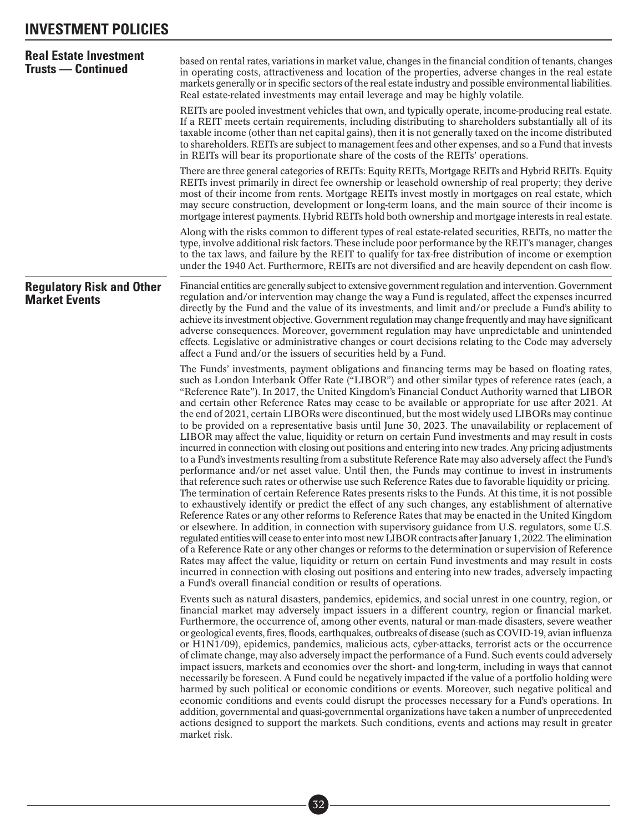### **INVESTMENT POLICIES**

| <b>Real Estate Investment</b><br><b>Trusts — Continued</b> | based on rental rates, variations in market value, changes in the financial condition of tenants, changes<br>in operating costs, attractiveness and location of the properties, adverse changes in the real estate<br>markets generally or in specific sectors of the real estate industry and possible environmental liabilities.<br>Real estate-related investments may entail leverage and may be highly volatile.<br>REITs are pooled investment vehicles that own, and typically operate, income-producing real estate.<br>If a REIT meets certain requirements, including distributing to shareholders substantially all of its<br>taxable income (other than net capital gains), then it is not generally taxed on the income distributed                                                                                                                                                                                                                                                                                                                                                                                                                                                                                                                                                                                                                                                                                                                                                                                                                                                                                                                                                                                                                                                                                                                                                                                                                                                                                                                                                     |
|------------------------------------------------------------|------------------------------------------------------------------------------------------------------------------------------------------------------------------------------------------------------------------------------------------------------------------------------------------------------------------------------------------------------------------------------------------------------------------------------------------------------------------------------------------------------------------------------------------------------------------------------------------------------------------------------------------------------------------------------------------------------------------------------------------------------------------------------------------------------------------------------------------------------------------------------------------------------------------------------------------------------------------------------------------------------------------------------------------------------------------------------------------------------------------------------------------------------------------------------------------------------------------------------------------------------------------------------------------------------------------------------------------------------------------------------------------------------------------------------------------------------------------------------------------------------------------------------------------------------------------------------------------------------------------------------------------------------------------------------------------------------------------------------------------------------------------------------------------------------------------------------------------------------------------------------------------------------------------------------------------------------------------------------------------------------------------------------------------------------------------------------------------------------|
|                                                            | to shareholders. REITs are subject to management fees and other expenses, and so a Fund that invests<br>in REITs will bear its proportionate share of the costs of the REITs' operations.<br>There are three general categories of REITs: Equity REITs, Mortgage REITs and Hybrid REITs. Equity<br>REITs invest primarily in direct fee ownership or leasehold ownership of real property; they derive                                                                                                                                                                                                                                                                                                                                                                                                                                                                                                                                                                                                                                                                                                                                                                                                                                                                                                                                                                                                                                                                                                                                                                                                                                                                                                                                                                                                                                                                                                                                                                                                                                                                                               |
|                                                            | most of their income from rents. Mortgage REITs invest mostly in mortgages on real estate, which<br>may secure construction, development or long-term loans, and the main source of their income is<br>mortgage interest payments. Hybrid REITs hold both ownership and mortgage interests in real estate.                                                                                                                                                                                                                                                                                                                                                                                                                                                                                                                                                                                                                                                                                                                                                                                                                                                                                                                                                                                                                                                                                                                                                                                                                                                                                                                                                                                                                                                                                                                                                                                                                                                                                                                                                                                           |
|                                                            | Along with the risks common to different types of real estate-related securities, REITs, no matter the<br>type, involve additional risk factors. These include poor performance by the REIT's manager, changes<br>to the tax laws, and failure by the REIT to qualify for tax-free distribution of income or exemption<br>under the 1940 Act. Furthermore, REITs are not diversified and are heavily dependent on cash flow.                                                                                                                                                                                                                                                                                                                                                                                                                                                                                                                                                                                                                                                                                                                                                                                                                                                                                                                                                                                                                                                                                                                                                                                                                                                                                                                                                                                                                                                                                                                                                                                                                                                                         |
| <b>Regulatory Risk and Other</b><br><b>Market Events</b>   | Financial entities are generally subject to extensive government regulation and intervention. Government<br>regulation and/or intervention may change the way a Fund is regulated, affect the expenses incurred<br>directly by the Fund and the value of its investments, and limit and/or preclude a Fund's ability to<br>achieve its investment objective. Government regulation may change frequently and may have significant<br>adverse consequences. Moreover, government regulation may have unpredictable and unintended<br>effects. Legislative or administrative changes or court decisions relating to the Code may adversely<br>affect a Fund and/or the issuers of securities held by a Fund.                                                                                                                                                                                                                                                                                                                                                                                                                                                                                                                                                                                                                                                                                                                                                                                                                                                                                                                                                                                                                                                                                                                                                                                                                                                                                                                                                                                           |
|                                                            | The Funds' investments, payment obligations and financing terms may be based on floating rates,<br>such as London Interbank Offer Rate ("LIBOR") and other similar types of reference rates (each, a<br>"Reference Rate"). In 2017, the United Kingdom's Financial Conduct Authority warned that LIBOR<br>and certain other Reference Rates may cease to be available or appropriate for use after 2021. At<br>the end of 2021, certain LIBORs were discontinued, but the most widely used LIBORs may continue<br>to be provided on a representative basis until June 30, 2023. The unavailability or replacement of<br>LIBOR may affect the value, liquidity or return on certain Fund investments and may result in costs<br>incurred in connection with closing out positions and entering into new trades. Any pricing adjustments<br>to a Fund's investments resulting from a substitute Reference Rate may also adversely affect the Fund's<br>performance and/or net asset value. Until then, the Funds may continue to invest in instruments<br>that reference such rates or otherwise use such Reference Rates due to favorable liquidity or pricing.<br>The termination of certain Reference Rates presents risks to the Funds. At this time, it is not possible<br>to exhaustively identify or predict the effect of any such changes, any establishment of alternative<br>Reference Rates or any other reforms to Reference Rates that may be enacted in the United Kingdom<br>or elsewhere. In addition, in connection with supervisory guidance from U.S. regulators, some U.S.<br>regulated entities will cease to enter into most new LIBOR contracts after January 1, 2022. The elimination<br>of a Reference Rate or any other changes or reforms to the determination or supervision of Reference<br>Rates may affect the value, liquidity or return on certain Fund investments and may result in costs<br>incurred in connection with closing out positions and entering into new trades, adversely impacting<br>a Fund's overall financial condition or results of operations. |
|                                                            | Events such as natural disasters, pandemics, epidemics, and social unrest in one country, region, or<br>financial market may adversely impact issuers in a different country, region or financial market.<br>Furthermore, the occurrence of, among other events, natural or man-made disasters, severe weather<br>or geological events, fires, floods, earthquakes, outbreaks of disease (such as COVID-19, avian influenza<br>or H1N1/09), epidemics, pandemics, malicious acts, cyber-attacks, terrorist acts or the occurrence<br>of climate change, may also adversely impact the performance of a Fund. Such events could adversely<br>impact issuers, markets and economies over the short- and long-term, including in ways that cannot<br>necessarily be foreseen. A Fund could be negatively impacted if the value of a portfolio holding were<br>harmed by such political or economic conditions or events. Moreover, such negative political and<br>economic conditions and events could disrupt the processes necessary for a Fund's operations. In<br>addition, governmental and quasi-governmental organizations have taken a number of unprecedented<br>actions designed to support the markets. Such conditions, events and actions may result in greater<br>market risk.                                                                                                                                                                                                                                                                                                                                                                                                                                                                                                                                                                                                                                                                                                                                                                                                            |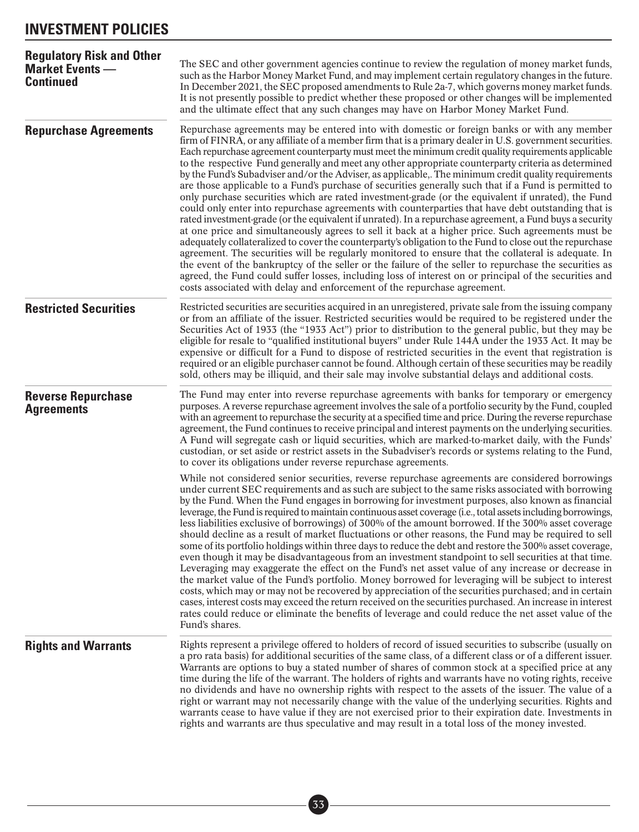### **INVESTMENT POLICIES**

| <b>Regulatory Risk and Other</b><br><b>Market Events</b> –<br><b>Continued</b> | The SEC and other government agencies continue to review the regulation of money market funds,<br>such as the Harbor Money Market Fund, and may implement certain regulatory changes in the future.<br>In December 2021, the SEC proposed amendments to Rule 2a-7, which governs money market funds.<br>It is not presently possible to predict whether these proposed or other changes will be implemented<br>and the ultimate effect that any such changes may have on Harbor Money Market Fund.                                                                                                                                                                                                                                                                                                                                                                                                                                                                                                                                                                                                                                                                                                                                                                                                                                                                                                                                                                                                                                                                                     |  |
|--------------------------------------------------------------------------------|----------------------------------------------------------------------------------------------------------------------------------------------------------------------------------------------------------------------------------------------------------------------------------------------------------------------------------------------------------------------------------------------------------------------------------------------------------------------------------------------------------------------------------------------------------------------------------------------------------------------------------------------------------------------------------------------------------------------------------------------------------------------------------------------------------------------------------------------------------------------------------------------------------------------------------------------------------------------------------------------------------------------------------------------------------------------------------------------------------------------------------------------------------------------------------------------------------------------------------------------------------------------------------------------------------------------------------------------------------------------------------------------------------------------------------------------------------------------------------------------------------------------------------------------------------------------------------------|--|
| <b>Repurchase Agreements</b>                                                   | Repurchase agreements may be entered into with domestic or foreign banks or with any member<br>firm of FINRA, or any affiliate of a member firm that is a primary dealer in U.S. government securities.<br>Each repurchase agreement counterparty must meet the minimum credit quality requirements applicable<br>to the respective Fund generally and meet any other appropriate counterparty criteria as determined<br>by the Fund's Subadviser and/or the Adviser, as applicable,. The minimum credit quality requirements<br>are those applicable to a Fund's purchase of securities generally such that if a Fund is permitted to<br>only purchase securities which are rated investment-grade (or the equivalent if unrated), the Fund<br>could only enter into repurchase agreements with counterparties that have debt outstanding that is<br>rated investment-grade (or the equivalent if unrated). In a repurchase agreement, a Fund buys a security<br>at one price and simultaneously agrees to sell it back at a higher price. Such agreements must be<br>adequately collateralized to cover the counterparty's obligation to the Fund to close out the repurchase<br>agreement. The securities will be regularly monitored to ensure that the collateral is adequate. In<br>the event of the bankruptcy of the seller or the failure of the seller to repurchase the securities as<br>agreed, the Fund could suffer losses, including loss of interest on or principal of the securities and<br>costs associated with delay and enforcement of the repurchase agreement. |  |
| <b>Restricted Securities</b>                                                   | Restricted securities are securities acquired in an unregistered, private sale from the issuing company<br>or from an affiliate of the issuer. Restricted securities would be required to be registered under the<br>Securities Act of 1933 (the "1933 Act") prior to distribution to the general public, but they may be<br>eligible for resale to "qualified institutional buyers" under Rule 144A under the 1933 Act. It may be<br>expensive or difficult for a Fund to dispose of restricted securities in the event that registration is<br>required or an eligible purchaser cannot be found. Although certain of these securities may be readily<br>sold, others may be illiquid, and their sale may involve substantial delays and additional costs.                                                                                                                                                                                                                                                                                                                                                                                                                                                                                                                                                                                                                                                                                                                                                                                                                           |  |
| <b>Reverse Repurchase</b><br><b>Agreements</b>                                 | The Fund may enter into reverse repurchase agreements with banks for temporary or emergency<br>purposes. A reverse repurchase agreement involves the sale of a portfolio security by the Fund, coupled<br>with an agreement to repurchase the security at a specified time and price. During the reverse repurchase<br>agreement, the Fund continues to receive principal and interest payments on the underlying securities.<br>A Fund will segregate cash or liquid securities, which are marked-to-market daily, with the Funds'<br>custodian, or set aside or restrict assets in the Subadviser's records or systems relating to the Fund,<br>to cover its obligations under reverse repurchase agreements.                                                                                                                                                                                                                                                                                                                                                                                                                                                                                                                                                                                                                                                                                                                                                                                                                                                                        |  |
|                                                                                | While not considered senior securities, reverse repurchase agreements are considered borrowings<br>under current SEC requirements and as such are subject to the same risks associated with borrowing<br>by the Fund. When the Fund engages in borrowing for investment purposes, also known as financial<br>leverage, the Fund is required to maintain continuous asset coverage (i.e., total assets including borrowings,<br>less liabilities exclusive of borrowings) of 300% of the amount borrowed. If the 300% asset coverage<br>should decline as a result of market fluctuations or other reasons, the Fund may be required to sell<br>some of its portfolio holdings within three days to reduce the debt and restore the 300% asset coverage,<br>even though it may be disadvantageous from an investment standpoint to sell securities at that time.<br>Leveraging may exaggerate the effect on the Fund's net asset value of any increase or decrease in<br>the market value of the Fund's portfolio. Money borrowed for leveraging will be subject to interest<br>costs, which may or may not be recovered by appreciation of the securities purchased; and in certain<br>cases, interest costs may exceed the return received on the securities purchased. An increase in interest<br>rates could reduce or eliminate the benefits of leverage and could reduce the net asset value of the<br>Fund's shares.                                                                                                                                                             |  |
| <b>Rights and Warrants</b>                                                     | Rights represent a privilege offered to holders of record of issued securities to subscribe (usually on<br>a pro rata basis) for additional securities of the same class, of a different class or of a different issuer.<br>Warrants are options to buy a stated number of shares of common stock at a specified price at any<br>time during the life of the warrant. The holders of rights and warrants have no voting rights, receive<br>no dividends and have no ownership rights with respect to the assets of the issuer. The value of a<br>right or warrant may not necessarily change with the value of the underlying securities. Rights and<br>warrants cease to have value if they are not exercised prior to their expiration date. Investments in<br>rights and warrants are thus speculative and may result in a total loss of the money invested.                                                                                                                                                                                                                                                                                                                                                                                                                                                                                                                                                                                                                                                                                                                        |  |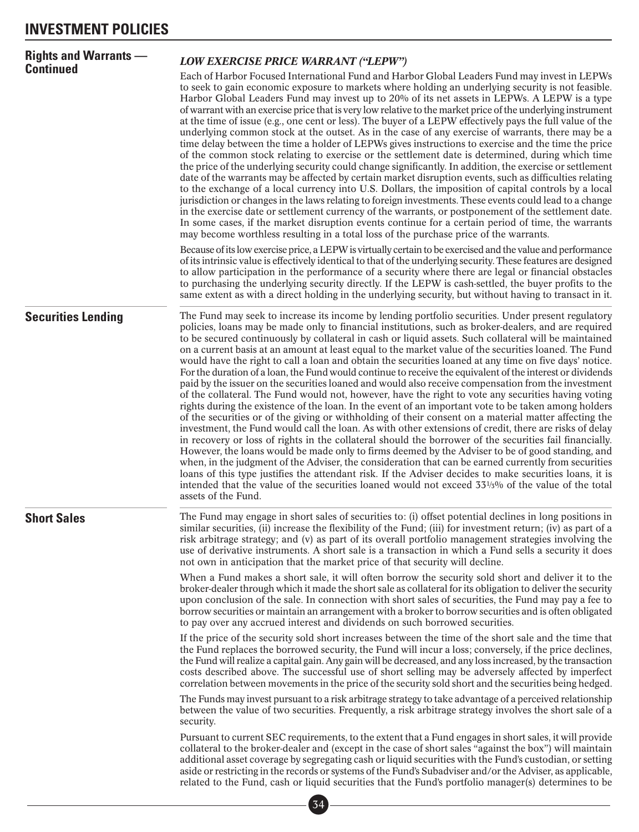| <b>Rights and Warrants —</b><br><b>Continued</b> | <b>LOW EXERCISE PRICE WARRANT ("LEPW")</b>                                                                                                                                                                                                                                                                                                                                                                                                                                                                                                                                                                                                                                                                                                                                                                                                                                                                                                                                                                                                                                                                                                                                                                                                                                                                                                                                                                                                                                                                                                                                                                                                                                                                                                                              |
|--------------------------------------------------|-------------------------------------------------------------------------------------------------------------------------------------------------------------------------------------------------------------------------------------------------------------------------------------------------------------------------------------------------------------------------------------------------------------------------------------------------------------------------------------------------------------------------------------------------------------------------------------------------------------------------------------------------------------------------------------------------------------------------------------------------------------------------------------------------------------------------------------------------------------------------------------------------------------------------------------------------------------------------------------------------------------------------------------------------------------------------------------------------------------------------------------------------------------------------------------------------------------------------------------------------------------------------------------------------------------------------------------------------------------------------------------------------------------------------------------------------------------------------------------------------------------------------------------------------------------------------------------------------------------------------------------------------------------------------------------------------------------------------------------------------------------------------|
|                                                  | Each of Harbor Focused International Fund and Harbor Global Leaders Fund may invest in LEPWs<br>to seek to gain economic exposure to markets where holding an underlying security is not feasible.<br>Harbor Global Leaders Fund may invest up to 20% of its net assets in LEPWs. A LEPW is a type<br>of warrant with an exercise price that is very low relative to the market price of the underlying instrument<br>at the time of issue (e.g., one cent or less). The buyer of a LEPW effectively pays the full value of the<br>underlying common stock at the outset. As in the case of any exercise of warrants, there may be a<br>time delay between the time a holder of LEPWs gives instructions to exercise and the time the price<br>of the common stock relating to exercise or the settlement date is determined, during which time<br>the price of the underlying security could change significantly. In addition, the exercise or settlement<br>date of the warrants may be affected by certain market disruption events, such as difficulties relating<br>to the exchange of a local currency into U.S. Dollars, the imposition of capital controls by a local<br>jurisdiction or changes in the laws relating to foreign investments. These events could lead to a change<br>in the exercise date or settlement currency of the warrants, or postponement of the settlement date.<br>In some cases, if the market disruption events continue for a certain period of time, the warrants<br>may become worthless resulting in a total loss of the purchase price of the warrants.                                                                                                                                                                       |
|                                                  | Because of its low exercise price, a LEPW is virtually certain to be exercised and the value and performance<br>of its intrinsic value is effectively identical to that of the underlying security. These features are designed<br>to allow participation in the performance of a security where there are legal or financial obstacles<br>to purchasing the underlying security directly. If the LEPW is cash-settled, the buyer profits to the<br>same extent as with a direct holding in the underlying security, but without having to transact in it.                                                                                                                                                                                                                                                                                                                                                                                                                                                                                                                                                                                                                                                                                                                                                                                                                                                                                                                                                                                                                                                                                                                                                                                                              |
| <b>Securities Lending</b>                        | The Fund may seek to increase its income by lending portfolio securities. Under present regulatory<br>policies, loans may be made only to financial institutions, such as broker-dealers, and are required<br>to be secured continuously by collateral in cash or liquid assets. Such collateral will be maintained<br>on a current basis at an amount at least equal to the market value of the securities loaned. The Fund<br>would have the right to call a loan and obtain the securities loaned at any time on five days' notice.<br>For the duration of a loan, the Fund would continue to receive the equivalent of the interest or dividends<br>paid by the issuer on the securities loaned and would also receive compensation from the investment<br>of the collateral. The Fund would not, however, have the right to vote any securities having voting<br>rights during the existence of the loan. In the event of an important vote to be taken among holders<br>of the securities or of the giving or withholding of their consent on a material matter affecting the<br>investment, the Fund would call the loan. As with other extensions of credit, there are risks of delay<br>in recovery or loss of rights in the collateral should the borrower of the securities fail financially.<br>However, the loans would be made only to firms deemed by the Adviser to be of good standing, and<br>when, in the judgment of the Adviser, the consideration that can be earned currently from securities<br>loans of this type justifies the attendant risk. If the Adviser decides to make securities loans, it is<br>intended that the value of the securities loaned would not exceed $33\frac{1}{3}\%$ of the value of the total<br>assets of the Fund. |
| <b>Short Sales</b>                               | The Fund may engage in short sales of securities to: (i) offset potential declines in long positions in<br>similar securities, (ii) increase the flexibility of the Fund; (iii) for investment return; (iv) as part of a<br>risk arbitrage strategy; and (v) as part of its overall portfolio management strategies involving the<br>use of derivative instruments. A short sale is a transaction in which a Fund sells a security it does<br>not own in anticipation that the market price of that security will decline.                                                                                                                                                                                                                                                                                                                                                                                                                                                                                                                                                                                                                                                                                                                                                                                                                                                                                                                                                                                                                                                                                                                                                                                                                                              |
|                                                  | When a Fund makes a short sale, it will often borrow the security sold short and deliver it to the<br>broker-dealer through which it made the short sale as collateral for its obligation to deliver the security<br>upon conclusion of the sale. In connection with short sales of securities, the Fund may pay a fee to<br>borrow securities or maintain an arrangement with a broker to borrow securities and is often obligated<br>to pay over any accrued interest and dividends on such borrowed securities.                                                                                                                                                                                                                                                                                                                                                                                                                                                                                                                                                                                                                                                                                                                                                                                                                                                                                                                                                                                                                                                                                                                                                                                                                                                      |
|                                                  | If the price of the security sold short increases between the time of the short sale and the time that<br>the Fund replaces the borrowed security, the Fund will incur a loss; conversely, if the price declines,<br>the Fund will realize a capital gain. Any gain will be decreased, and any loss increased, by the transaction<br>costs described above. The successful use of short selling may be adversely affected by imperfect<br>correlation between movements in the price of the security sold short and the securities being hedged.                                                                                                                                                                                                                                                                                                                                                                                                                                                                                                                                                                                                                                                                                                                                                                                                                                                                                                                                                                                                                                                                                                                                                                                                                        |
|                                                  | The Funds may invest pursuant to a risk arbitrage strategy to take advantage of a perceived relationship<br>between the value of two securities. Frequently, a risk arbitrage strategy involves the short sale of a<br>security.                                                                                                                                                                                                                                                                                                                                                                                                                                                                                                                                                                                                                                                                                                                                                                                                                                                                                                                                                                                                                                                                                                                                                                                                                                                                                                                                                                                                                                                                                                                                        |
|                                                  | Pursuant to current SEC requirements, to the extent that a Fund engages in short sales, it will provide<br>collateral to the broker-dealer and (except in the case of short sales "against the box") will maintain<br>additional asset coverage by segregating cash or liquid securities with the Fund's custodian, or setting<br>aside or restricting in the records or systems of the Fund's Subadviser and/or the Adviser, as applicable,<br>related to the Fund, cash or liquid securities that the Fund's portfolio manager(s) determines to be                                                                                                                                                                                                                                                                                                                                                                                                                                                                                                                                                                                                                                                                                                                                                                                                                                                                                                                                                                                                                                                                                                                                                                                                                    |
|                                                  |                                                                                                                                                                                                                                                                                                                                                                                                                                                                                                                                                                                                                                                                                                                                                                                                                                                                                                                                                                                                                                                                                                                                                                                                                                                                                                                                                                                                                                                                                                                                                                                                                                                                                                                                                                         |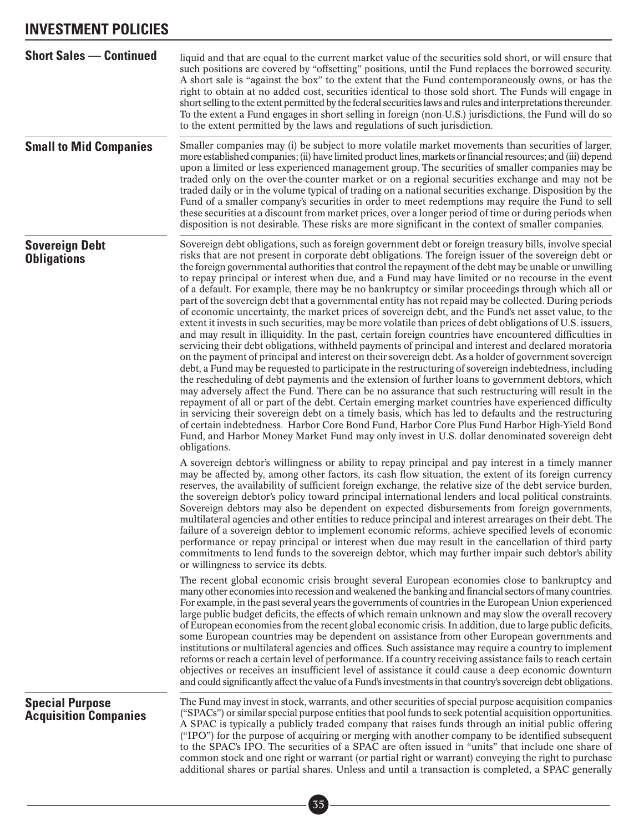### **INVESTMENT POLICIES**

| <b>Short Sales - Continued</b>                         | liquid and that are equal to the current market value of the securities sold short, or will ensure that<br>such positions are covered by "offsetting" positions, until the Fund replaces the borrowed security.<br>A short sale is "against the box" to the extent that the Fund contemporaneously owns, or has the<br>right to obtain at no added cost, securities identical to those sold short. The Funds will engage in<br>short selling to the extent permitted by the federal securities laws and rules and interpretations thereunder.<br>To the extent a Fund engages in short selling in foreign (non-U.S.) jurisdictions, the Fund will do so<br>to the extent permitted by the laws and regulations of such jurisdiction.                                                                                                                                                                                                                                                                                                                                                                                                                                                                                                                                                                                                                                                                                                                                                                                                                                                                                                                                                                                                                                                                                                                                                                                                               |
|--------------------------------------------------------|----------------------------------------------------------------------------------------------------------------------------------------------------------------------------------------------------------------------------------------------------------------------------------------------------------------------------------------------------------------------------------------------------------------------------------------------------------------------------------------------------------------------------------------------------------------------------------------------------------------------------------------------------------------------------------------------------------------------------------------------------------------------------------------------------------------------------------------------------------------------------------------------------------------------------------------------------------------------------------------------------------------------------------------------------------------------------------------------------------------------------------------------------------------------------------------------------------------------------------------------------------------------------------------------------------------------------------------------------------------------------------------------------------------------------------------------------------------------------------------------------------------------------------------------------------------------------------------------------------------------------------------------------------------------------------------------------------------------------------------------------------------------------------------------------------------------------------------------------------------------------------------------------------------------------------------------------|
| <b>Small to Mid Companies</b>                          | Smaller companies may (i) be subject to more volatile market movements than securities of larger,<br>more established companies; (ii) have limited product lines, markets or financial resources; and (iii) depend<br>upon a limited or less experienced management group. The securities of smaller companies may be<br>traded only on the over-the-counter market or on a regional securities exchange and may not be<br>traded daily or in the volume typical of trading on a national securities exchange. Disposition by the<br>Fund of a smaller company's securities in order to meet redemptions may require the Fund to sell<br>these securities at a discount from market prices, over a longer period of time or during periods when<br>disposition is not desirable. These risks are more significant in the context of smaller companies.                                                                                                                                                                                                                                                                                                                                                                                                                                                                                                                                                                                                                                                                                                                                                                                                                                                                                                                                                                                                                                                                                             |
| <b>Sovereign Debt</b><br><b>Obligations</b>            | Sovereign debt obligations, such as foreign government debt or foreign treasury bills, involve special<br>risks that are not present in corporate debt obligations. The foreign issuer of the sovereign debt or<br>the foreign governmental authorities that control the repayment of the debt may be unable or unwilling<br>to repay principal or interest when due, and a Fund may have limited or no recourse in the event<br>of a default. For example, there may be no bankruptcy or similar proceedings through which all or<br>part of the sovereign debt that a governmental entity has not repaid may be collected. During periods<br>of economic uncertainty, the market prices of sovereign debt, and the Fund's net asset value, to the<br>extent it invests in such securities, may be more volatile than prices of debt obligations of U.S. issuers,<br>and may result in illiquidity. In the past, certain foreign countries have encountered difficulties in<br>servicing their debt obligations, withheld payments of principal and interest and declared moratoria<br>on the payment of principal and interest on their sovereign debt. As a holder of government sovereign<br>debt, a Fund may be requested to participate in the restructuring of sovereign indebtedness, including<br>the rescheduling of debt payments and the extension of further loans to government debtors, which<br>may adversely affect the Fund. There can be no assurance that such restructuring will result in the<br>repayment of all or part of the debt. Certain emerging market countries have experienced difficulty<br>in servicing their sovereign debt on a timely basis, which has led to defaults and the restructuring<br>of certain indebtedness. Harbor Core Bond Fund, Harbor Core Plus Fund Harbor High-Yield Bond<br>Fund, and Harbor Money Market Fund may only invest in U.S. dollar denominated sovereign debt<br>obligations. |
|                                                        | A sovereign debtor's willingness or ability to repay principal and pay interest in a timely manner<br>may be affected by, among other factors, its cash flow situation, the extent of its foreign currency<br>reserves, the availability of sufficient foreign exchange, the relative size of the debt service burden,<br>the sovereign debtor's policy toward principal international lenders and local political constraints.<br>Sovereign debtors may also be dependent on expected disbursements from foreign governments,<br>multilateral agencies and other entities to reduce principal and interest arrearages on their debt. The<br>failure of a sovereign debtor to implement economic reforms, achieve specified levels of economic<br>performance or repay principal or interest when due may result in the cancellation of third party<br>commitments to lend funds to the sovereign debtor, which may further impair such debtor's ability<br>or willingness to service its debts.                                                                                                                                                                                                                                                                                                                                                                                                                                                                                                                                                                                                                                                                                                                                                                                                                                                                                                                                                   |
|                                                        | The recent global economic crisis brought several European economies close to bankruptcy and<br>many other economies into recession and weakened the banking and financial sectors of many countries.<br>For example, in the past several years the governments of countries in the European Union experienced<br>large public budget deficits, the effects of which remain unknown and may slow the overall recovery<br>of European economies from the recent global economic crisis. In addition, due to large public deficits,<br>some European countries may be dependent on assistance from other European governments and<br>institutions or multilateral agencies and offices. Such assistance may require a country to implement<br>reforms or reach a certain level of performance. If a country receiving assistance fails to reach certain<br>objectives or receives an insufficient level of assistance it could cause a deep economic downturn<br>and could significantly affect the value of a Fund's investments in that country's sovereign debt obligations.                                                                                                                                                                                                                                                                                                                                                                                                                                                                                                                                                                                                                                                                                                                                                                                                                                                                      |
| <b>Special Purpose</b><br><b>Acquisition Companies</b> | The Fund may invest in stock, warrants, and other securities of special purpose acquisition companies<br>("SPACs") or similar special purpose entities that pool funds to seek potential acquisition opportunities.<br>A SPAC is typically a publicly traded company that raises funds through an initial public offering<br>("IPO") for the purpose of acquiring or merging with another company to be identified subsequent<br>to the SPAC's IPO. The securities of a SPAC are often issued in "units" that include one share of<br>common stock and one right or warrant (or partial right or warrant) conveying the right to purchase<br>additional shares or partial shares. Unless and until a transaction is completed, a SPAC generally                                                                                                                                                                                                                                                                                                                                                                                                                                                                                                                                                                                                                                                                                                                                                                                                                                                                                                                                                                                                                                                                                                                                                                                                    |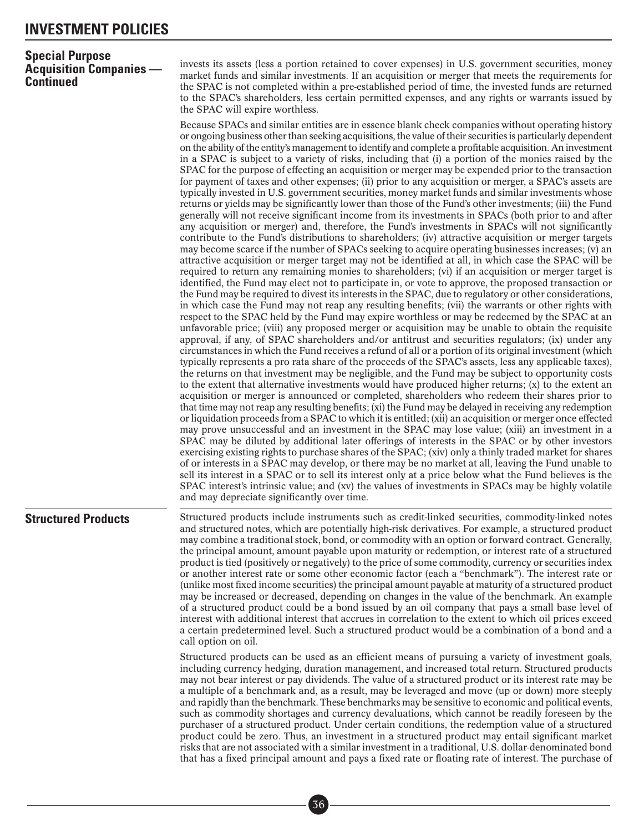### **Special Purpose Acquisition Companies — Continued**

invests its assets (less a portion retained to cover expenses) in U.S. government securities, money market funds and similar investments. If an acquisition or merger that meets the requirements for the SPAC is not completed within a pre-established period of time, the invested funds are returned to the SPAC's shareholders, less certain permitted expenses, and any rights or warrants issued by the SPAC will expire worthless.

Because SPACs and similar entities are in essence blank check companies without operating history or ongoing business other than seeking acquisitions, the value of their securities is particularly dependent on the ability of the entity's management to identify and complete a profitable acquisition. An investment in a SPAC is subject to a variety of risks, including that (i) a portion of the monies raised by the SPAC for the purpose of effecting an acquisition or merger may be expended prior to the transaction for payment of taxes and other expenses; (ii) prior to any acquisition or merger, a SPAC's assets are typically invested in U.S. government securities, money market funds and similar investments whose returns or yields may be significantly lower than those of the Fund's other investments; (iii) the Fund generally will not receive significant income from its investments in SPACs (both prior to and after any acquisition or merger) and, therefore, the Fund's investments in SPACs will not significantly contribute to the Fund's distributions to shareholders; (iv) attractive acquisition or merger targets may become scarce if the number of SPACs seeking to acquire operating businesses increases; (v) an attractive acquisition or merger target may not be identified at all, in which case the SPAC will be required to return any remaining monies to shareholders; (vi) if an acquisition or merger target is identified, the Fund may elect not to participate in, or vote to approve, the proposed transaction or the Fund may be required to divest its interests in the SPAC, due to regulatory or other considerations, in which case the Fund may not reap any resulting benefits; (vii) the warrants or other rights with respect to the SPAC held by the Fund may expire worthless or may be redeemed by the SPAC at an unfavorable price; (viii) any proposed merger or acquisition may be unable to obtain the requisite approval, if any, of SPAC shareholders and/or antitrust and securities regulators; (ix) under any circumstances in which the Fund receives a refund of all or a portion of its original investment (which typically represents a pro rata share of the proceeds of the SPAC's assets, less any applicable taxes), the returns on that investment may be negligible, and the Fund may be subject to opportunity costs to the extent that alternative investments would have produced higher returns; (x) to the extent an acquisition or merger is announced or completed, shareholders who redeem their shares prior to that time may not reap any resulting benefits; (xi) the Fund may be delayed in receiving any redemption or liquidation proceeds from a SPAC to which it is entitled; (xii) an acquisition or merger once effected may prove unsuccessful and an investment in the SPAC may lose value; (xiii) an investment in a SPAC may be diluted by additional later offerings of interests in the SPAC or by other investors exercising existing rights to purchase shares of the SPAC; (xiv) only a thinly traded market for shares of or interests in a SPAC may develop, or there may be no market at all, leaving the Fund unable to sell its interest in a SPAC or to sell its interest only at a price below what the Fund believes is the SPAC interest's intrinsic value; and (xv) the values of investments in SPACs may be highly volatile and may depreciate significantly over time.

**Structured Products** Structured products include instruments such as credit-linked securities, commodity-linked notes and structured notes, which are potentially high-risk derivatives. For example, a structured product may combine a traditional stock, bond, or commodity with an option or forward contract. Generally, the principal amount, amount payable upon maturity or redemption, or interest rate of a structured product is tied (positively or negatively) to the price of some commodity, currency or securities index or another interest rate or some other economic factor (each a "benchmark"). The interest rate or (unlike most fixed income securities) the principal amount payable at maturity of a structured product may be increased or decreased, depending on changes in the value of the benchmark. An example of a structured product could be a bond issued by an oil company that pays a small base level of interest with additional interest that accrues in correlation to the extent to which oil prices exceed a certain predetermined level. Such a structured product would be a combination of a bond and a call option on oil.

> Structured products can be used as an efficient means of pursuing a variety of investment goals, including currency hedging, duration management, and increased total return. Structured products may not bear interest or pay dividends. The value of a structured product or its interest rate may be a multiple of a benchmark and, as a result, may be leveraged and move (up or down) more steeply and rapidly than the benchmark. These benchmarks may be sensitive to economic and political events, such as commodity shortages and currency devaluations, which cannot be readily foreseen by the purchaser of a structured product. Under certain conditions, the redemption value of a structured product could be zero. Thus, an investment in a structured product may entail significant market risks that are not associated with a similar investment in a traditional, U.S. dollar-denominated bond that has a fixed principal amount and pays a fixed rate or floating rate of interest. The purchase of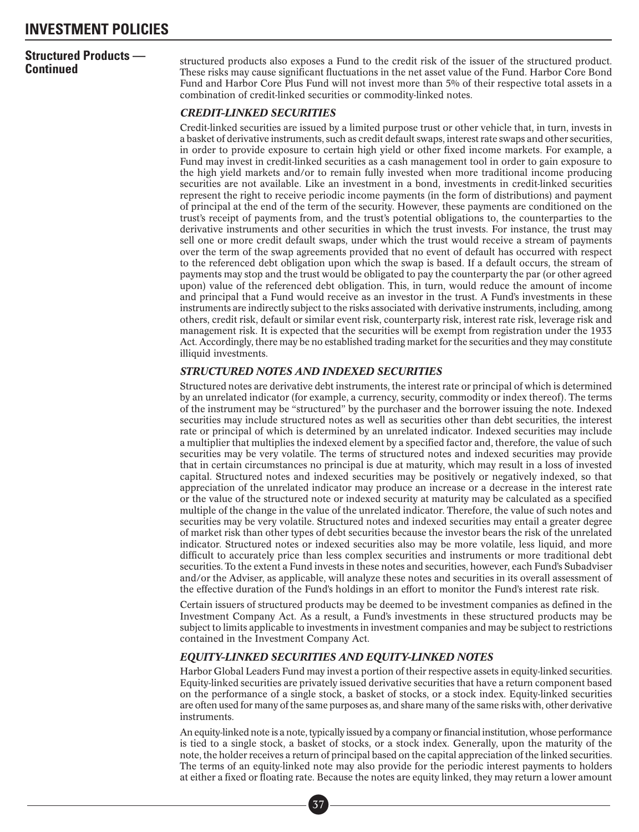# **Structured Products —**

**Continued Trouticis** — structured products also exposes a Fund to the credit risk of the issuer of the structured product.<br>**Continued Continued** These risks may cause significant fluctuations in the net asset value of t Fund and Harbor Core Plus Fund will not invest more than 5% of their respective total assets in a combination of credit-linked securities or commodity-linked notes.

#### *CREDIT-LINKED SECURITIES*

Credit-linked securities are issued by a limited purpose trust or other vehicle that, in turn, invests in a basket of derivative instruments, such as credit default swaps, interest rate swaps and other securities, in order to provide exposure to certain high yield or other fixed income markets. For example, a Fund may invest in credit-linked securities as a cash management tool in order to gain exposure to the high yield markets and/or to remain fully invested when more traditional income producing securities are not available. Like an investment in a bond, investments in credit-linked securities represent the right to receive periodic income payments (in the form of distributions) and payment of principal at the end of the term of the security. However, these payments are conditioned on the trust's receipt of payments from, and the trust's potential obligations to, the counterparties to the derivative instruments and other securities in which the trust invests. For instance, the trust may sell one or more credit default swaps, under which the trust would receive a stream of payments over the term of the swap agreements provided that no event of default has occurred with respect to the referenced debt obligation upon which the swap is based. If a default occurs, the stream of payments may stop and the trust would be obligated to pay the counterparty the par (or other agreed upon) value of the referenced debt obligation. This, in turn, would reduce the amount of income and principal that a Fund would receive as an investor in the trust. A Fund's investments in these instruments are indirectly subject to the risks associated with derivative instruments, including, among others, credit risk, default or similar event risk, counterparty risk, interest rate risk, leverage risk and management risk. It is expected that the securities will be exempt from registration under the 1933 Act. Accordingly, there may be no established trading market for the securities and they may constitute illiquid investments.

#### *STRUCTURED NOTES AND INDEXED SECURITIES*

Structured notes are derivative debt instruments, the interest rate or principal of which is determined by an unrelated indicator (for example, a currency, security, commodity or index thereof). The terms of the instrument may be "structured" by the purchaser and the borrower issuing the note. Indexed securities may include structured notes as well as securities other than debt securities, the interest rate or principal of which is determined by an unrelated indicator. Indexed securities may include a multiplier that multiplies the indexed element by a specified factor and, therefore, the value of such securities may be very volatile. The terms of structured notes and indexed securities may provide that in certain circumstances no principal is due at maturity, which may result in a loss of invested capital. Structured notes and indexed securities may be positively or negatively indexed, so that appreciation of the unrelated indicator may produce an increase or a decrease in the interest rate or the value of the structured note or indexed security at maturity may be calculated as a specified multiple of the change in the value of the unrelated indicator. Therefore, the value of such notes and securities may be very volatile. Structured notes and indexed securities may entail a greater degree of market risk than other types of debt securities because the investor bears the risk of the unrelated indicator. Structured notes or indexed securities also may be more volatile, less liquid, and more difficult to accurately price than less complex securities and instruments or more traditional debt securities. To the extent a Fund invests in these notes and securities, however, each Fund's Subadviser and/or the Adviser, as applicable, will analyze these notes and securities in its overall assessment of the effective duration of the Fund's holdings in an effort to monitor the Fund's interest rate risk.

Certain issuers of structured products may be deemed to be investment companies as defined in the Investment Company Act. As a result, a Fund's investments in these structured products may be subject to limits applicable to investments in investment companies and may be subject to restrictions contained in the Investment Company Act.

#### *EQUITY-LINKED SECURITIES AND EQUITY-LINKED NOTES*

Harbor Global Leaders Fund may invest a portion of their respective assets in equity-linked securities. Equity-linked securities are privately issued derivative securities that have a return component based on the performance of a single stock, a basket of stocks, or a stock index. Equity-linked securities are often used for many of the same purposes as, and share many of the same risks with, other derivative instruments.

An equity-linked note is a note, typically issued by a company or financial institution, whose performance is tied to a single stock, a basket of stocks, or a stock index. Generally, upon the maturity of the note, the holder receives a return of principal based on the capital appreciation of the linked securities. The terms of an equity-linked note may also provide for the periodic interest payments to holders at either a fixed or floating rate. Because the notes are equity linked, they may return a lower amount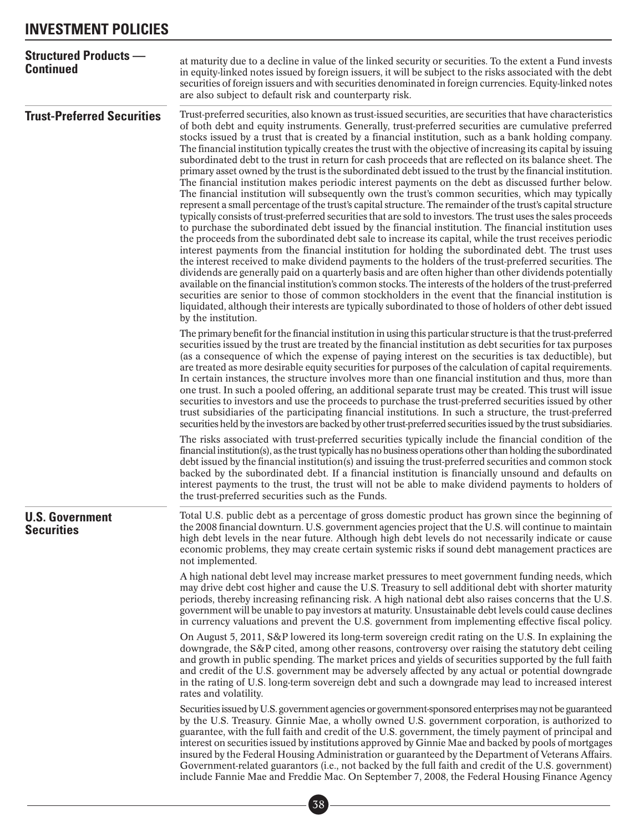| <b>Structured Products --</b><br><b>Continued</b> | at maturity due to a decline in value of the linked security or securities. To the extent a Fund invests<br>in equity-linked notes issued by foreign issuers, it will be subject to the risks associated with the debt<br>securities of foreign issuers and with securities denominated in foreign currencies. Equity-linked notes<br>are also subject to default risk and counterparty risk.                                                                                                                                                                                                                                                                                                                                                                                                                                                                                                                                                                                                                                                                                                                                                                                                                                                                                                                                                                                                                                                                                                                                                                                                                                                                                                                                                                                                                                                                                                                                                                                                                                |
|---------------------------------------------------|------------------------------------------------------------------------------------------------------------------------------------------------------------------------------------------------------------------------------------------------------------------------------------------------------------------------------------------------------------------------------------------------------------------------------------------------------------------------------------------------------------------------------------------------------------------------------------------------------------------------------------------------------------------------------------------------------------------------------------------------------------------------------------------------------------------------------------------------------------------------------------------------------------------------------------------------------------------------------------------------------------------------------------------------------------------------------------------------------------------------------------------------------------------------------------------------------------------------------------------------------------------------------------------------------------------------------------------------------------------------------------------------------------------------------------------------------------------------------------------------------------------------------------------------------------------------------------------------------------------------------------------------------------------------------------------------------------------------------------------------------------------------------------------------------------------------------------------------------------------------------------------------------------------------------------------------------------------------------------------------------------------------------|
| <b>Trust-Preferred Securities</b>                 | Trust-preferred securities, also known as trust-issued securities, are securities that have characteristics<br>of both debt and equity instruments. Generally, trust-preferred securities are cumulative preferred<br>stocks issued by a trust that is created by a financial institution, such as a bank holding company.<br>The financial institution typically creates the trust with the objective of increasing its capital by issuing<br>subordinated debt to the trust in return for cash proceeds that are reflected on its balance sheet. The<br>primary asset owned by the trust is the subordinated debt issued to the trust by the financial institution.<br>The financial institution makes periodic interest payments on the debt as discussed further below.<br>The financial institution will subsequently own the trust's common securities, which may typically<br>represent a small percentage of the trust's capital structure. The remainder of the trust's capital structure<br>typically consists of trust-preferred securities that are sold to investors. The trust uses the sales proceeds<br>to purchase the subordinated debt issued by the financial institution. The financial institution uses<br>the proceeds from the subordinated debt sale to increase its capital, while the trust receives periodic<br>interest payments from the financial institution for holding the subordinated debt. The trust uses<br>the interest received to make dividend payments to the holders of the trust-preferred securities. The<br>dividends are generally paid on a quarterly basis and are often higher than other dividends potentially<br>available on the financial institution's common stocks. The interests of the holders of the trust-preferred<br>securities are senior to those of common stockholders in the event that the financial institution is<br>liquidated, although their interests are typically subordinated to those of holders of other debt issued<br>by the institution. |
|                                                   | The primary benefit for the financial institution in using this particular structure is that the trust-preferred<br>securities issued by the trust are treated by the financial institution as debt securities for tax purposes<br>(as a consequence of which the expense of paying interest on the securities is tax deductible), but<br>are treated as more desirable equity securities for purposes of the calculation of capital requirements.<br>In certain instances, the structure involves more than one financial institution and thus, more than<br>one trust. In such a pooled offering, an additional separate trust may be created. This trust will issue<br>securities to investors and use the proceeds to purchase the trust-preferred securities issued by other<br>trust subsidiaries of the participating financial institutions. In such a structure, the trust-preferred<br>securities held by the investors are backed by other trust-preferred securities issued by the trust subsidiaries.                                                                                                                                                                                                                                                                                                                                                                                                                                                                                                                                                                                                                                                                                                                                                                                                                                                                                                                                                                                                           |
|                                                   | The risks associated with trust-preferred securities typically include the financial condition of the<br>financial institution(s), as the trust typically has no business operations other than holding the subordinated<br>debt issued by the financial institution(s) and issuing the trust-preferred securities and common stock<br>backed by the subordinated debt. If a financial institution is financially unsound and defaults on<br>interest payments to the trust, the trust will not be able to make dividend payments to holders of<br>the trust-preferred securities such as the Funds.                                                                                                                                                                                                                                                                                                                                                                                                                                                                                                                                                                                                                                                                                                                                                                                                                                                                                                                                                                                                                                                                                                                                                                                                                                                                                                                                                                                                                         |
| <b>U.S. Government</b><br><b>Securities</b>       | Total U.S. public debt as a percentage of gross domestic product has grown since the beginning of<br>the 2008 financial downturn. U.S. government agencies project that the U.S. will continue to maintain<br>high debt levels in the near future. Although high debt levels do not necessarily indicate or cause<br>economic problems, they may create certain systemic risks if sound debt management practices are<br>not implemented.                                                                                                                                                                                                                                                                                                                                                                                                                                                                                                                                                                                                                                                                                                                                                                                                                                                                                                                                                                                                                                                                                                                                                                                                                                                                                                                                                                                                                                                                                                                                                                                    |
|                                                   | A high national debt level may increase market pressures to meet government funding needs, which<br>may drive debt cost higher and cause the U.S. Treasury to sell additional debt with shorter maturity<br>periods, thereby increasing refinancing risk. A high national debt also raises concerns that the U.S.<br>government will be unable to pay investors at maturity. Unsustainable debt levels could cause declines<br>in currency valuations and prevent the U.S. government from implementing effective fiscal policy.                                                                                                                                                                                                                                                                                                                                                                                                                                                                                                                                                                                                                                                                                                                                                                                                                                                                                                                                                                                                                                                                                                                                                                                                                                                                                                                                                                                                                                                                                             |
|                                                   | On August 5, 2011, S&P lowered its long-term sovereign credit rating on the U.S. In explaining the<br>downgrade, the S&P cited, among other reasons, controversy over raising the statutory debt ceiling<br>and growth in public spending. The market prices and yields of securities supported by the full faith<br>and credit of the U.S. government may be adversely affected by any actual or potential downgrade<br>in the rating of U.S. long-term sovereign debt and such a downgrade may lead to increased interest<br>rates and volatility.                                                                                                                                                                                                                                                                                                                                                                                                                                                                                                                                                                                                                                                                                                                                                                                                                                                                                                                                                                                                                                                                                                                                                                                                                                                                                                                                                                                                                                                                         |
|                                                   | Securities issued by U.S. government agencies or government-sponsored enterprises may not be guaranteed<br>by the U.S. Treasury. Ginnie Mae, a wholly owned U.S. government corporation, is authorized to<br>guarantee, with the full faith and credit of the U.S. government, the timely payment of principal and<br>interest on securities issued by institutions approved by Ginnie Mae and backed by pools of mortgages<br>insured by the Federal Housing Administration or guaranteed by the Department of Veterans Affairs.<br>Government-related guarantors (i.e., not backed by the full faith and credit of the U.S. government)<br>include Fannie Mae and Freddie Mac. On September 7, 2008, the Federal Housing Finance Agency                                                                                                                                                                                                                                                                                                                                                                                                                                                                                                                                                                                                                                                                                                                                                                                                                                                                                                                                                                                                                                                                                                                                                                                                                                                                                    |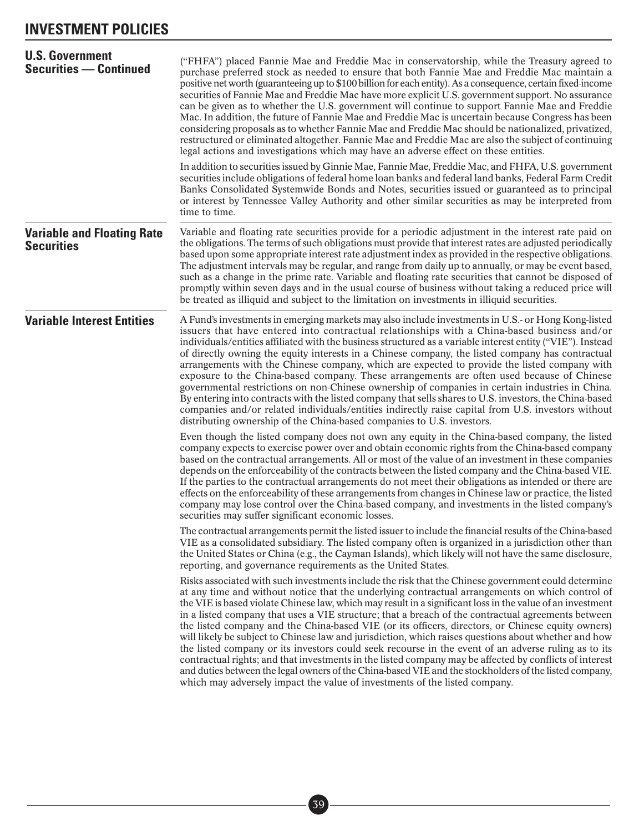### **INVESTMENT POLICIES**

| <b>U.S. Government</b><br><b>Securities - Continued</b> | ("FHFA") placed Fannie Mae and Freddie Mac in conservatorship, while the Treasury agreed to<br>purchase preferred stock as needed to ensure that both Fannie Mae and Freddie Mac maintain a<br>positive net worth (guaranteeing up to \$100 billion for each entity). As a consequence, certain fixed-income<br>securities of Fannie Mae and Freddie Mac have more explicit U.S. government support. No assurance<br>can be given as to whether the U.S. government will continue to support Fannie Mae and Freddie<br>Mac. In addition, the future of Fannie Mae and Freddie Mac is uncertain because Congress has been<br>considering proposals as to whether Fannie Mae and Freddie Mac should be nationalized, privatized,<br>restructured or eliminated altogether. Fannie Mae and Freddie Mac are also the subject of continuing<br>legal actions and investigations which may have an adverse effect on these entities.<br>In addition to securities issued by Ginnie Mae, Fannie Mae, Freddie Mac, and FHFA, U.S. government<br>securities include obligations of federal home loan banks and federal land banks, Federal Farm Credit<br>Banks Consolidated Systemwide Bonds and Notes, securities issued or guaranteed as to principal<br>or interest by Tennessee Valley Authority and other similar securities as may be interpreted from<br>time to time. |
|---------------------------------------------------------|-----------------------------------------------------------------------------------------------------------------------------------------------------------------------------------------------------------------------------------------------------------------------------------------------------------------------------------------------------------------------------------------------------------------------------------------------------------------------------------------------------------------------------------------------------------------------------------------------------------------------------------------------------------------------------------------------------------------------------------------------------------------------------------------------------------------------------------------------------------------------------------------------------------------------------------------------------------------------------------------------------------------------------------------------------------------------------------------------------------------------------------------------------------------------------------------------------------------------------------------------------------------------------------------------------------------------------------------------------------------------|
| <b>Variable and Floating Rate</b><br><b>Securities</b>  | Variable and floating rate securities provide for a periodic adjustment in the interest rate paid on<br>the obligations. The terms of such obligations must provide that interest rates are adjusted periodically<br>based upon some appropriate interest rate adjustment index as provided in the respective obligations.<br>The adjustment intervals may be regular, and range from daily up to annually, or may be event based,<br>such as a change in the prime rate. Variable and floating rate securities that cannot be disposed of<br>promptly within seven days and in the usual course of business without taking a reduced price will<br>be treated as illiquid and subject to the limitation on investments in illiquid securities.                                                                                                                                                                                                                                                                                                                                                                                                                                                                                                                                                                                                                       |
| <b>Variable Interest Entities</b>                       | A Fund's investments in emerging markets may also include investments in U.S.- or Hong Kong-listed<br>issuers that have entered into contractual relationships with a China-based business and/or<br>individuals/entities affiliated with the business structured as a variable interest entity ("VIE"). Instead<br>of directly owning the equity interests in a Chinese company, the listed company has contractual<br>arrangements with the Chinese company, which are expected to provide the listed company with<br>exposure to the China-based company. These arrangements are often used because of Chinese<br>governmental restrictions on non-Chinese ownership of companies in certain industries in China.<br>By entering into contracts with the listed company that sells shares to U.S. investors, the China-based<br>companies and/or related individuals/entities indirectly raise capital from U.S. investors without<br>distributing ownership of the China-based companies to U.S. investors.                                                                                                                                                                                                                                                                                                                                                       |
|                                                         | Even though the listed company does not own any equity in the China-based company, the listed<br>company expects to exercise power over and obtain economic rights from the China-based company<br>based on the contractual arrangements. All or most of the value of an investment in these companies<br>depends on the enforceability of the contracts between the listed company and the China-based VIE.<br>If the parties to the contractual arrangements do not meet their obligations as intended or there are<br>effects on the enforceability of these arrangements from changes in Chinese law or practice, the listed<br>company may lose control over the China-based company, and investments in the listed company's<br>securities may suffer significant economic losses.                                                                                                                                                                                                                                                                                                                                                                                                                                                                                                                                                                              |
|                                                         | The contractual arrangements permit the listed issuer to include the financial results of the China-based<br>VIE as a consolidated subsidiary. The listed company often is organized in a jurisdiction other than<br>the United States or China (e.g., the Cayman Islands), which likely will not have the same disclosure,<br>reporting, and governance requirements as the United States.                                                                                                                                                                                                                                                                                                                                                                                                                                                                                                                                                                                                                                                                                                                                                                                                                                                                                                                                                                           |
|                                                         | Risks associated with such investments include the risk that the Chinese government could determine<br>at any time and without notice that the underlying contractual arrangements on which control of<br>the VIE is based violate Chinese law, which may result in a significant loss in the value of an investment<br>in a listed company that uses a VIE structure; that a breach of the contractual agreements between<br>the listed company and the China-based VIE (or its officers, directors, or Chinese equity owners)<br>will likely be subject to Chinese law and jurisdiction, which raises questions about whether and how<br>the listed company or its investors could seek recourse in the event of an adverse ruling as to its<br>contractual rights; and that investments in the listed company may be affected by conflicts of interest<br>and duties between the legal owners of the China-based VIE and the stockholders of the listed company,<br>which may adversely impact the value of investments of the listed company.                                                                                                                                                                                                                                                                                                                     |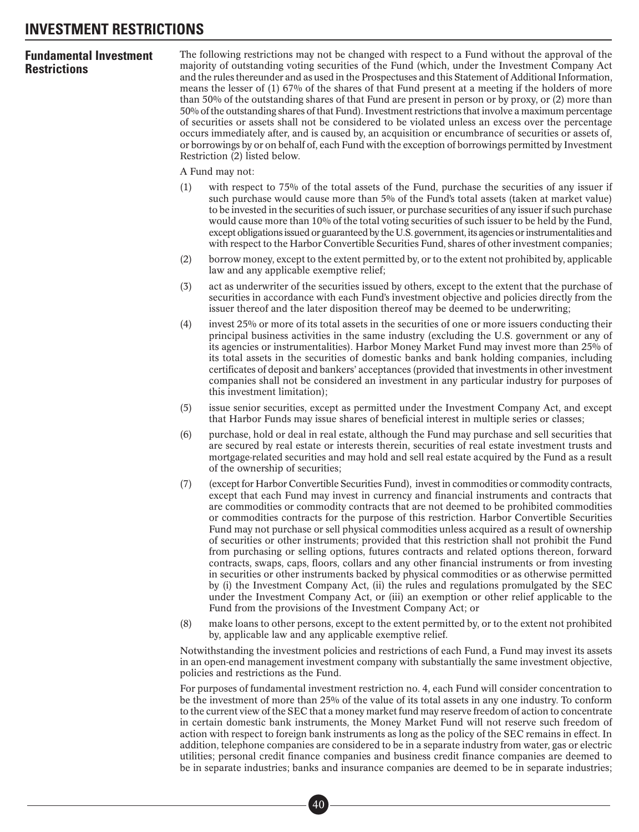### **INVESTMENT RESTRICTIONS**

### **Fundamental Investment Restrictions**

The following restrictions may not be changed with respect to a Fund without the approval of the majority of outstanding voting securities of the Fund (which, under the Investment Company Act and the rules thereunder and as used in the Prospectuses and this Statement of Additional Information, means the lesser of (1) 67% of the shares of that Fund present at a meeting if the holders of more than 50% of the outstanding shares of that Fund are present in person or by proxy, or (2) more than 50% of the outstanding shares of that Fund). Investment restrictions that involve a maximum percentage of securities or assets shall not be considered to be violated unless an excess over the percentage occurs immediately after, and is caused by, an acquisition or encumbrance of securities or assets of, or borrowings by or on behalf of, each Fund with the exception of borrowings permitted by Investment Restriction (2) listed below.

A Fund may not:

- (1) with respect to 75% of the total assets of the Fund, purchase the securities of any issuer if such purchase would cause more than 5% of the Fund's total assets (taken at market value) to be invested in the securities of such issuer, or purchase securities of any issuer if such purchase would cause more than 10% of the total voting securities of such issuer to be held by the Fund, except obligations issued or guaranteed by the U.S. government, its agencies or instrumentalities and with respect to the Harbor Convertible Securities Fund, shares of other investment companies;
- (2) borrow money, except to the extent permitted by, or to the extent not prohibited by, applicable law and any applicable exemptive relief;
- (3) act as underwriter of the securities issued by others, except to the extent that the purchase of securities in accordance with each Fund's investment objective and policies directly from the issuer thereof and the later disposition thereof may be deemed to be underwriting;
- (4) invest 25% or more of its total assets in the securities of one or more issuers conducting their principal business activities in the same industry (excluding the U.S. government or any of its agencies or instrumentalities). Harbor Money Market Fund may invest more than 25% of its total assets in the securities of domestic banks and bank holding companies, including certificates of deposit and bankers' acceptances (provided that investments in other investment companies shall not be considered an investment in any particular industry for purposes of this investment limitation);
- (5) issue senior securities, except as permitted under the Investment Company Act, and except that Harbor Funds may issue shares of beneficial interest in multiple series or classes;
- (6) purchase, hold or deal in real estate, although the Fund may purchase and sell securities that are secured by real estate or interests therein, securities of real estate investment trusts and mortgage-related securities and may hold and sell real estate acquired by the Fund as a result of the ownership of securities;
- (7) (except for Harbor Convertible Securities Fund), invest in commodities or commodity contracts, except that each Fund may invest in currency and financial instruments and contracts that are commodities or commodity contracts that are not deemed to be prohibited commodities or commodities contracts for the purpose of this restriction. Harbor Convertible Securities Fund may not purchase or sell physical commodities unless acquired as a result of ownership of securities or other instruments; provided that this restriction shall not prohibit the Fund from purchasing or selling options, futures contracts and related options thereon, forward contracts, swaps, caps, floors, collars and any other financial instruments or from investing in securities or other instruments backed by physical commodities or as otherwise permitted by (i) the Investment Company Act, (ii) the rules and regulations promulgated by the SEC under the Investment Company Act, or (iii) an exemption or other relief applicable to the Fund from the provisions of the Investment Company Act; or
- (8) make loans to other persons, except to the extent permitted by, or to the extent not prohibited by, applicable law and any applicable exemptive relief.

Notwithstanding the investment policies and restrictions of each Fund, a Fund may invest its assets in an open-end management investment company with substantially the same investment objective, policies and restrictions as the Fund.

For purposes of fundamental investment restriction no. 4, each Fund will consider concentration to be the investment of more than 25% of the value of its total assets in any one industry. To conform to the current view of the SEC that a money market fund may reserve freedom of action to concentrate in certain domestic bank instruments, the Money Market Fund will not reserve such freedom of action with respect to foreign bank instruments as long as the policy of the SEC remains in effect. In addition, telephone companies are considered to be in a separate industry from water, gas or electric utilities; personal credit finance companies and business credit finance companies are deemed to be in separate industries; banks and insurance companies are deemed to be in separate industries;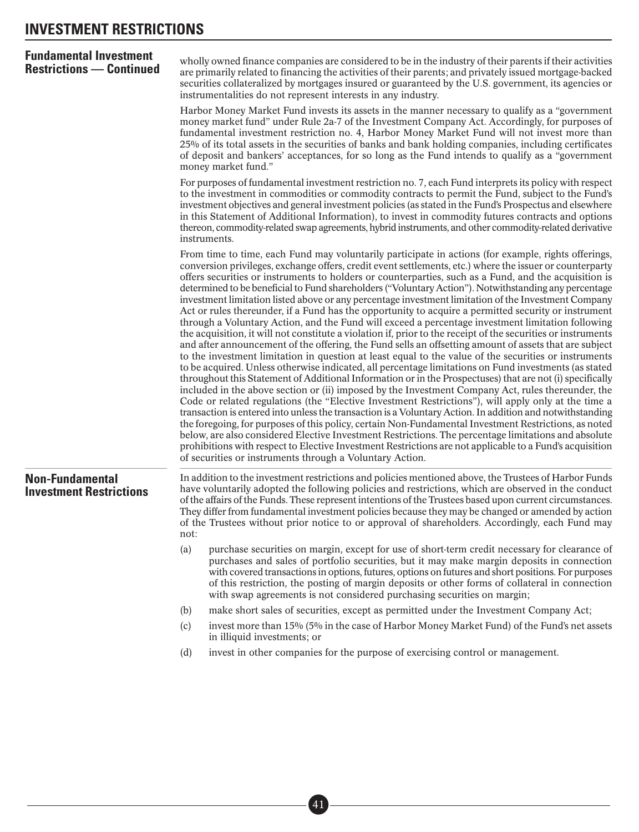| <b>Fundamental Investment</b><br><b>Restrictions — Continued</b> | wholly owned finance companies are considered to be in the industry of their parents if their activities<br>are primarily related to financing the activities of their parents; and privately issued mortgage-backed<br>securities collateralized by mortgages insured or guaranteed by the U.S. government, its agencies or<br>instrumentalities do not represent interests in any industry.                                                                                                                                                                                                                                                                                                                                                                                                                                                                                                                                                                                                                                                                                                                                                                                                                                                                                                                                                                                                                                                                                                                                                                                                                                                                                                                                                                                                                                                                                                                                                                                                                                       |  |  |  |  |
|------------------------------------------------------------------|-------------------------------------------------------------------------------------------------------------------------------------------------------------------------------------------------------------------------------------------------------------------------------------------------------------------------------------------------------------------------------------------------------------------------------------------------------------------------------------------------------------------------------------------------------------------------------------------------------------------------------------------------------------------------------------------------------------------------------------------------------------------------------------------------------------------------------------------------------------------------------------------------------------------------------------------------------------------------------------------------------------------------------------------------------------------------------------------------------------------------------------------------------------------------------------------------------------------------------------------------------------------------------------------------------------------------------------------------------------------------------------------------------------------------------------------------------------------------------------------------------------------------------------------------------------------------------------------------------------------------------------------------------------------------------------------------------------------------------------------------------------------------------------------------------------------------------------------------------------------------------------------------------------------------------------------------------------------------------------------------------------------------------------|--|--|--|--|
|                                                                  | Harbor Money Market Fund invests its assets in the manner necessary to qualify as a "government"<br>money market fund" under Rule 2a-7 of the Investment Company Act. Accordingly, for purposes of<br>fundamental investment restriction no. 4, Harbor Money Market Fund will not invest more than<br>25% of its total assets in the securities of banks and bank holding companies, including certificates<br>of deposit and bankers' acceptances, for so long as the Fund intends to qualify as a "government<br>money market fund."                                                                                                                                                                                                                                                                                                                                                                                                                                                                                                                                                                                                                                                                                                                                                                                                                                                                                                                                                                                                                                                                                                                                                                                                                                                                                                                                                                                                                                                                                              |  |  |  |  |
|                                                                  | For purposes of fundamental investment restriction no. 7, each Fund interprets its policy with respect<br>to the investment in commodities or commodity contracts to permit the Fund, subject to the Fund's<br>investment objectives and general investment policies (as stated in the Fund's Prospectus and elsewhere<br>in this Statement of Additional Information), to invest in commodity futures contracts and options<br>thereon, commodity-related swap agreements, hybrid instruments, and other commodity-related derivative<br>instruments.                                                                                                                                                                                                                                                                                                                                                                                                                                                                                                                                                                                                                                                                                                                                                                                                                                                                                                                                                                                                                                                                                                                                                                                                                                                                                                                                                                                                                                                                              |  |  |  |  |
|                                                                  | From time to time, each Fund may voluntarily participate in actions (for example, rights offerings,<br>conversion privileges, exchange offers, credit event settlements, etc.) where the issuer or counterparty<br>offers securities or instruments to holders or counterparties, such as a Fund, and the acquisition is<br>determined to be beneficial to Fund shareholders ("Voluntary Action"). Notwithstanding any percentage<br>investment limitation listed above or any percentage investment limitation of the Investment Company<br>Act or rules thereunder, if a Fund has the opportunity to acquire a permitted security or instrument<br>through a Voluntary Action, and the Fund will exceed a percentage investment limitation following<br>the acquisition, it will not constitute a violation if, prior to the receipt of the securities or instruments<br>and after announcement of the offering, the Fund sells an offsetting amount of assets that are subject<br>to the investment limitation in question at least equal to the value of the securities or instruments<br>to be acquired. Unless otherwise indicated, all percentage limitations on Fund investments (as stated<br>throughout this Statement of Additional Information or in the Prospectuses) that are not (i) specifically<br>included in the above section or (ii) imposed by the Investment Company Act, rules thereunder, the<br>Code or related regulations (the "Elective Investment Restrictions"), will apply only at the time a<br>transaction is entered into unless the transaction is a Voluntary Action. In addition and notwithstanding<br>the foregoing, for purposes of this policy, certain Non-Fundamental Investment Restrictions, as noted<br>below, are also considered Elective Investment Restrictions. The percentage limitations and absolute<br>prohibitions with respect to Elective Investment Restrictions are not applicable to a Fund's acquisition<br>of securities or instruments through a Voluntary Action. |  |  |  |  |
| <b>Non-Fundamental</b><br><b>Investment Restrictions</b>         | In addition to the investment restrictions and policies mentioned above, the Trustees of Harbor Funds<br>have voluntarily adopted the following policies and restrictions, which are observed in the conduct<br>of the affairs of the Funds. These represent intentions of the Trustees based upon current circumstances.<br>They differ from fundamental investment policies because they may be changed or amended by action<br>of the Trustees without prior notice to or approval of shareholders. Accordingly, each Fund may<br>not:                                                                                                                                                                                                                                                                                                                                                                                                                                                                                                                                                                                                                                                                                                                                                                                                                                                                                                                                                                                                                                                                                                                                                                                                                                                                                                                                                                                                                                                                                           |  |  |  |  |
|                                                                  | (a)<br>purchase securities on margin, except for use of short-term credit necessary for clearance of<br>purchases and sales of portfolio securities, but it may make margin deposits in connection<br>with covered transactions in options, futures, options on futures and short positions. For purposes<br>of this restriction, the posting of margin deposits or other forms of collateral in connection<br>with swap agreements is not considered purchasing securities on margin;                                                                                                                                                                                                                                                                                                                                                                                                                                                                                                                                                                                                                                                                                                                                                                                                                                                                                                                                                                                                                                                                                                                                                                                                                                                                                                                                                                                                                                                                                                                                              |  |  |  |  |
|                                                                  | make short sales of securities, except as permitted under the Investment Company Act;<br>(b)                                                                                                                                                                                                                                                                                                                                                                                                                                                                                                                                                                                                                                                                                                                                                                                                                                                                                                                                                                                                                                                                                                                                                                                                                                                                                                                                                                                                                                                                                                                                                                                                                                                                                                                                                                                                                                                                                                                                        |  |  |  |  |
|                                                                  | invest more than 15% (5% in the case of Harbor Money Market Fund) of the Fund's net assets<br>(c)<br>in illiquid investments; or                                                                                                                                                                                                                                                                                                                                                                                                                                                                                                                                                                                                                                                                                                                                                                                                                                                                                                                                                                                                                                                                                                                                                                                                                                                                                                                                                                                                                                                                                                                                                                                                                                                                                                                                                                                                                                                                                                    |  |  |  |  |
|                                                                  | invest in other companies for the purpose of exercising control or management.<br>(d)                                                                                                                                                                                                                                                                                                                                                                                                                                                                                                                                                                                                                                                                                                                                                                                                                                                                                                                                                                                                                                                                                                                                                                                                                                                                                                                                                                                                                                                                                                                                                                                                                                                                                                                                                                                                                                                                                                                                               |  |  |  |  |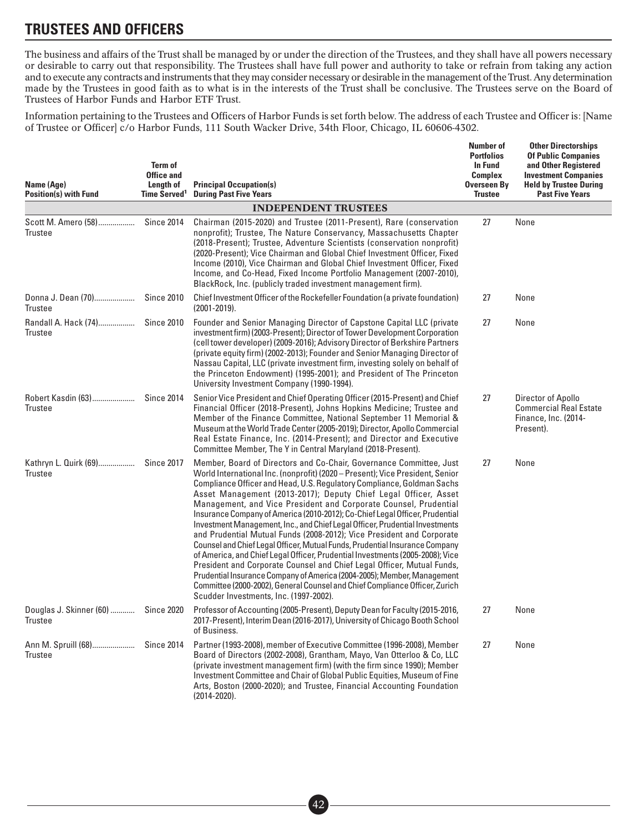The business and affairs of the Trust shall be managed by or under the direction of the Trustees, and they shall have all powers necessary or desirable to carry out that responsibility. The Trustees shall have full power and authority to take or refrain from taking any action and to execute any contracts and instruments that they may consider necessary or desirable in the management of the Trust. Any determination made by the Trustees in good faith as to what is in the interests of the Trust shall be conclusive. The Trustees serve on the Board of Trustees of Harbor Funds and Harbor ETF Trust.

Information pertaining to the Trustees and Officers of Harbor Funds is set forth below. The address of each Trustee and Officer is: [Name of Trustee or Officer] c/o Harbor Funds, 111 South Wacker Drive, 34th Floor, Chicago, IL 60606-4302.

| Name (Age)<br><b>Position(s) with Fund</b> | Term of<br><b>Office and</b><br>Length of<br>Time Served <sup>1</sup> | <b>Principal Occupation(s)</b><br><b>During Past Five Years</b>                                                                                                                                                                                                                                                                                                                                                                                                                                                                                                                                                                                                                                                                                                                                                                                                                                                                                                                                                                                              | <b>Number of</b><br><b>Portfolios</b><br><b>In Fund</b><br><b>Complex</b><br><b>Overseen By</b><br><b>Trustee</b> | <b>Other Directorships</b><br><b>Of Public Companies</b><br>and Other Registered<br><b>Investment Companies</b><br><b>Held by Trustee During</b><br><b>Past Five Years</b> |
|--------------------------------------------|-----------------------------------------------------------------------|--------------------------------------------------------------------------------------------------------------------------------------------------------------------------------------------------------------------------------------------------------------------------------------------------------------------------------------------------------------------------------------------------------------------------------------------------------------------------------------------------------------------------------------------------------------------------------------------------------------------------------------------------------------------------------------------------------------------------------------------------------------------------------------------------------------------------------------------------------------------------------------------------------------------------------------------------------------------------------------------------------------------------------------------------------------|-------------------------------------------------------------------------------------------------------------------|----------------------------------------------------------------------------------------------------------------------------------------------------------------------------|
|                                            |                                                                       | <b>INDEPENDENT TRUSTEES</b>                                                                                                                                                                                                                                                                                                                                                                                                                                                                                                                                                                                                                                                                                                                                                                                                                                                                                                                                                                                                                                  |                                                                                                                   |                                                                                                                                                                            |
| Scott M. Amero (58)<br><b>Trustee</b>      | <b>Since 2014</b>                                                     | Chairman (2015-2020) and Trustee (2011-Present), Rare (conservation<br>nonprofit); Trustee, The Nature Conservancy, Massachusetts Chapter<br>(2018-Present); Trustee, Adventure Scientists (conservation nonprofit)<br>(2020-Present); Vice Chairman and Global Chief Investment Officer, Fixed<br>Income (2010), Vice Chairman and Global Chief Investment Officer, Fixed<br>Income, and Co-Head, Fixed Income Portfolio Management (2007-2010),<br>BlackRock, Inc. (publicly traded investment management firm).                                                                                                                                                                                                                                                                                                                                                                                                                                                                                                                                           | 27                                                                                                                | None                                                                                                                                                                       |
| Donna J. Dean (70)<br><b>Trustee</b>       | <b>Since 2010</b>                                                     | Chief Investment Officer of the Rockefeller Foundation (a private foundation)<br>$(2001 - 2019)$ .                                                                                                                                                                                                                                                                                                                                                                                                                                                                                                                                                                                                                                                                                                                                                                                                                                                                                                                                                           | 27                                                                                                                | None                                                                                                                                                                       |
| Randall A. Hack (74)<br><b>Trustee</b>     | <b>Since 2010</b>                                                     | Founder and Senior Managing Director of Capstone Capital LLC (private<br>investment firm) (2003-Present); Director of Tower Development Corporation<br>(cell tower developer) (2009-2016); Advisory Director of Berkshire Partners<br>(private equity firm) (2002-2013); Founder and Senior Managing Director of<br>Nassau Capital, LLC (private investment firm, investing solely on behalf of<br>the Princeton Endowment) (1995-2001); and President of The Princeton<br>University Investment Company (1990-1994).                                                                                                                                                                                                                                                                                                                                                                                                                                                                                                                                        | 27                                                                                                                | None                                                                                                                                                                       |
| Robert Kasdin (63)<br><b>Trustee</b>       | <b>Since 2014</b>                                                     | Senior Vice President and Chief Operating Officer (2015-Present) and Chief<br>Financial Officer (2018-Present), Johns Hopkins Medicine; Trustee and<br>Member of the Finance Committee, National September 11 Memorial &<br>Museum at the World Trade Center (2005-2019); Director, Apollo Commercial<br>Real Estate Finance, Inc. (2014-Present); and Director and Executive<br>Committee Member, The Y in Central Maryland (2018-Present).                                                                                                                                                                                                                                                                                                                                                                                                                                                                                                                                                                                                                 | 27                                                                                                                | Director of Apollo<br><b>Commercial Real Estate</b><br>Finance, Inc. (2014-<br>Present).                                                                                   |
| Kathryn L. Quirk (69)<br><b>Trustee</b>    | <b>Since 2017</b>                                                     | Member, Board of Directors and Co-Chair, Governance Committee, Just<br>World International Inc. (nonprofit) (2020 – Present); Vice President, Senior<br>Compliance Officer and Head, U.S. Regulatory Compliance, Goldman Sachs<br>Asset Management (2013-2017); Deputy Chief Legal Officer, Asset<br>Management, and Vice President and Corporate Counsel, Prudential<br>Insurance Company of America (2010-2012); Co-Chief Legal Officer, Prudential<br>Investment Management, Inc., and Chief Legal Officer, Prudential Investments<br>and Prudential Mutual Funds (2008-2012); Vice President and Corporate<br>Counsel and Chief Legal Officer, Mutual Funds, Prudential Insurance Company<br>of America, and Chief Legal Officer, Prudential Investments (2005-2008); Vice<br>President and Corporate Counsel and Chief Legal Officer, Mutual Funds,<br>Prudential Insurance Company of America (2004-2005); Member, Management<br>Committee (2000-2002), General Counsel and Chief Compliance Officer, Zurich<br>Scudder Investments, Inc. (1997-2002). | 27                                                                                                                | None                                                                                                                                                                       |
| Douglas J. Skinner (60)<br><b>Trustee</b>  | <b>Since 2020</b>                                                     | Professor of Accounting (2005-Present), Deputy Dean for Faculty (2015-2016,<br>2017-Present), Interim Dean (2016-2017), University of Chicago Booth School<br>of Business.                                                                                                                                                                                                                                                                                                                                                                                                                                                                                                                                                                                                                                                                                                                                                                                                                                                                                   | 27                                                                                                                | None                                                                                                                                                                       |
| Ann M. Spruill (68)<br><b>Trustee</b>      | <b>Since 2014</b>                                                     | Partner (1993-2008), member of Executive Committee (1996-2008), Member<br>Board of Directors (2002-2008), Grantham, Mayo, Van Otterloo & Co, LLC<br>(private investment management firm) (with the firm since 1990); Member<br>Investment Committee and Chair of Global Public Equities, Museum of Fine<br>Arts, Boston (2000-2020); and Trustee, Financial Accounting Foundation<br>$(2014 - 2020)$ .                                                                                                                                                                                                                                                                                                                                                                                                                                                                                                                                                                                                                                                       | 27                                                                                                                | None                                                                                                                                                                       |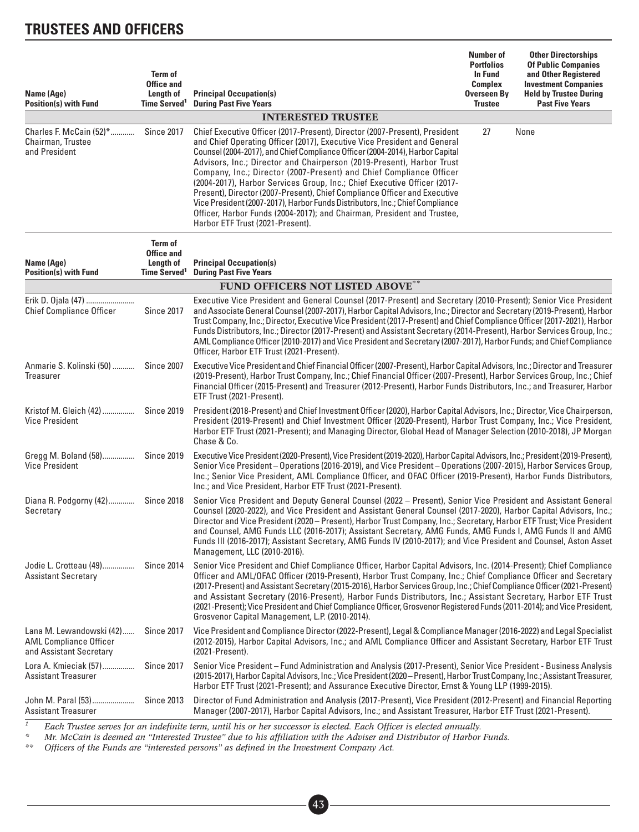| Name (Age)<br><b>Position(s) with Fund</b>                                           | Term of<br><b>Office and</b><br>Length of<br>Time Served <sup>1</sup> | <b>Principal Occupation(s)</b><br><b>During Past Five Years</b>                                                                                                                                                                                                                                                                                                                                                                                                                                                                                                                                                                                                                                                                                  | <b>Number of</b><br><b>Portfolios</b><br><b>In Fund</b><br><b>Complex</b><br>Overseen By<br><b>Trustee</b> | <b>Other Directorships</b><br><b>Of Public Companies</b><br>and Other Registered<br><b>Investment Companies</b><br><b>Held by Trustee During</b><br><b>Past Five Years</b> |
|--------------------------------------------------------------------------------------|-----------------------------------------------------------------------|--------------------------------------------------------------------------------------------------------------------------------------------------------------------------------------------------------------------------------------------------------------------------------------------------------------------------------------------------------------------------------------------------------------------------------------------------------------------------------------------------------------------------------------------------------------------------------------------------------------------------------------------------------------------------------------------------------------------------------------------------|------------------------------------------------------------------------------------------------------------|----------------------------------------------------------------------------------------------------------------------------------------------------------------------------|
|                                                                                      |                                                                       | <b>INTERESTED TRUSTEE</b>                                                                                                                                                                                                                                                                                                                                                                                                                                                                                                                                                                                                                                                                                                                        |                                                                                                            |                                                                                                                                                                            |
| Charles F. McCain (52)*<br>Chairman, Trustee<br>and President                        | <b>Since 2017</b>                                                     | Chief Executive Officer (2017-Present), Director (2007-Present), President<br>and Chief Operating Officer (2017), Executive Vice President and General<br>Counsel (2004-2017), and Chief Compliance Officer (2004-2014), Harbor Capital<br>Advisors, Inc.; Director and Chairperson (2019-Present), Harbor Trust<br>Company, Inc.; Director (2007-Present) and Chief Compliance Officer<br>(2004-2017), Harbor Services Group, Inc.; Chief Executive Officer (2017-<br>Present), Director (2007-Present), Chief Compliance Officer and Executive<br>Vice President (2007-2017), Harbor Funds Distributors, Inc.; Chief Compliance<br>Officer, Harbor Funds (2004-2017); and Chairman, President and Trustee,<br>Harbor ETF Trust (2021-Present). | 27                                                                                                         | None                                                                                                                                                                       |
| Name (Age)<br><b>Position(s) with Fund</b>                                           | Term of<br><b>Office and</b><br>Length of<br>Time Served <sup>1</sup> | <b>Principal Occupation(s)</b><br><b>During Past Five Years</b>                                                                                                                                                                                                                                                                                                                                                                                                                                                                                                                                                                                                                                                                                  |                                                                                                            |                                                                                                                                                                            |
|                                                                                      |                                                                       | <b>FUND OFFICERS NOT LISTED ABOVE**</b>                                                                                                                                                                                                                                                                                                                                                                                                                                                                                                                                                                                                                                                                                                          |                                                                                                            |                                                                                                                                                                            |
| Erik D. Ojala (47)<br><b>Chief Compliance Officer</b>                                | <b>Since 2017</b>                                                     | Executive Vice President and General Counsel (2017-Present) and Secretary (2010-Present); Senior Vice President<br>and Associate General Counsel (2007-2017), Harbor Capital Advisors, Inc.; Director and Secretary (2019-Present), Harbor<br>Trust Company, Inc.; Director, Executive Vice President (2017-Present) and Chief Compliance Officer (2017-2021), Harbor<br>Funds Distributors, Inc.; Director (2017-Present) and Assistant Secretary (2014-Present), Harbor Services Group, Inc.;<br>AML Compliance Officer (2010-2017) and Vice President and Secretary (2007-2017), Harbor Funds; and Chief Compliance<br>Officer, Harbor ETF Trust (2021-Present).                                                                              |                                                                                                            |                                                                                                                                                                            |
| Anmarie S. Kolinski (50)<br>Treasurer                                                | <b>Since 2007</b>                                                     | Executive Vice President and Chief Financial Officer (2007-Present), Harbor Capital Advisors, Inc.; Director and Treasurer<br>(2019-Present), Harbor Trust Company, Inc.; Chief Financial Officer (2007-Present), Harbor Services Group, Inc.; Chief<br>Financial Officer (2015-Present) and Treasurer (2012-Present), Harbor Funds Distributors, Inc.; and Treasurer, Harbor<br>ETF Trust (2021-Present).                                                                                                                                                                                                                                                                                                                                       |                                                                                                            |                                                                                                                                                                            |
| Kristof M. Gleich (42)<br><b>Vice President</b>                                      | <b>Since 2019</b>                                                     | President (2018-Present) and Chief Investment Officer (2020), Harbor Capital Advisors, Inc.; Director, Vice Chairperson,<br>President (2019-Present) and Chief Investment Officer (2020-Present), Harbor Trust Company, Inc.; Vice President,<br>Harbor ETF Trust (2021-Present); and Managing Director, Global Head of Manager Selection (2010-2018), JP Morgan<br>Chase & Co.                                                                                                                                                                                                                                                                                                                                                                  |                                                                                                            |                                                                                                                                                                            |
| Gregg M. Boland (58)<br><b>Vice President</b>                                        | <b>Since 2019</b>                                                     | Executive Vice President (2020-Present), Vice President (2019-2020), Harbor Capital Advisors, Inc.; President (2019-Present),<br>Senior Vice President - Operations (2016-2019), and Vice President - Operations (2007-2015), Harbor Services Group,<br>Inc.; Senior Vice President, AML Compliance Officer, and OFAC Officer (2019-Present), Harbor Funds Distributors,<br>Inc.; and Vice President, Harbor ETF Trust (2021-Present).                                                                                                                                                                                                                                                                                                           |                                                                                                            |                                                                                                                                                                            |
| Diana R. Podgorny (42)<br>Secretary                                                  | Since 2018                                                            | Senior Vice President and Deputy General Counsel (2022 – Present), Senior Vice President and Assistant General<br>Counsel (2020-2022), and Vice President and Assistant General Counsel (2017-2020), Harbor Capital Advisors, Inc.;<br>Director and Vice President (2020 - Present), Harbor Trust Company, Inc.; Secretary, Harbor ETF Trust; Vice President<br>and Counsel, AMG Funds LLC (2016-2017); Assistant Secretary, AMG Funds, AMG Funds I, AMG Funds II and AMG<br>Funds III (2016-2017); Assistant Secretary, AMG Funds IV (2010-2017); and Vice President and Counsel, Aston Asset<br>Management, LLC (2010-2016).                                                                                                                   |                                                                                                            |                                                                                                                                                                            |
| Jodie L. Crotteau (49)<br><b>Assistant Secretary</b>                                 | Since 2014                                                            | Senior Vice President and Chief Compliance Officer, Harbor Capital Advisors, Inc. (2014-Present); Chief Compliance<br>Officer and AML/OFAC Officer (2019-Present), Harbor Trust Company, Inc.; Chief Compliance Officer and Secretary<br>(2017-Present) and Assistant Secretary (2015-2016), Harbor Services Group, Inc.; Chief Compliance Officer (2021-Present)<br>and Assistant Secretary (2016-Present), Harbor Funds Distributors, Inc.; Assistant Secretary, Harbor ETF Trust<br>(2021-Present); Vice President and Chief Compliance Officer, Grosvenor Registered Funds (2011-2014); and Vice President,<br>Grosvenor Capital Management, L.P. (2010-2014).                                                                               |                                                                                                            |                                                                                                                                                                            |
| Lana M. Lewandowski (42)<br><b>AML Compliance Officer</b><br>and Assistant Secretary | <b>Since 2017</b>                                                     | Vice President and Compliance Director (2022-Present), Legal & Compliance Manager (2016-2022) and Legal Specialist<br>(2012-2015), Harbor Capital Advisors, Inc.; and AML Compliance Officer and Assistant Secretary, Harbor ETF Trust<br>(2021-Present).                                                                                                                                                                                                                                                                                                                                                                                                                                                                                        |                                                                                                            |                                                                                                                                                                            |
| Lora A. Kmieciak (57)<br>Assistant Treasurer                                         | <b>Since 2017</b>                                                     | Senior Vice President – Fund Administration and Analysis (2017-Present), Senior Vice President - Business Analysis<br>(2015-2017), Harbor Capital Advisors, Inc.; Vice President (2020 – Present), Harbor Trust Company, Inc.; Assistant Treasurer,<br>Harbor ETF Trust (2021-Present); and Assurance Executive Director, Ernst & Young LLP (1999-2015).                                                                                                                                                                                                                                                                                                                                                                                         |                                                                                                            |                                                                                                                                                                            |
| John M. Paral (53)<br><b>Assistant Treasurer</b>                                     | <b>Since 2013</b><br>$\mathbf{r}$ and $\mathbf{r}$ and $\mathbf{r}$   | Director of Fund Administration and Analysis (2017-Present), Vice President (2012-Present) and Financial Reporting<br>Manager (2007-2017), Harbor Capital Advisors, Inc.; and Assistant Treasurer, Harbor ETF Trust (2021-Present).<br>town with his or how greenesser is closted. Each Officer is closted groundly                                                                                                                                                                                                                                                                                                                                                                                                                              |                                                                                                            |                                                                                                                                                                            |

*<sup>1</sup> Each Trustee serves for an indefinite term, until his or her successor is elected. Each Officer is elected annually.*

*\* Mr. McCain is deemed an "Interested Trustee" due to his affiliation with the Adviser and Distributor of Harbor Funds.*

*\*\* Officers of the Funds are "interested persons" as defined in the Investment Company Act.*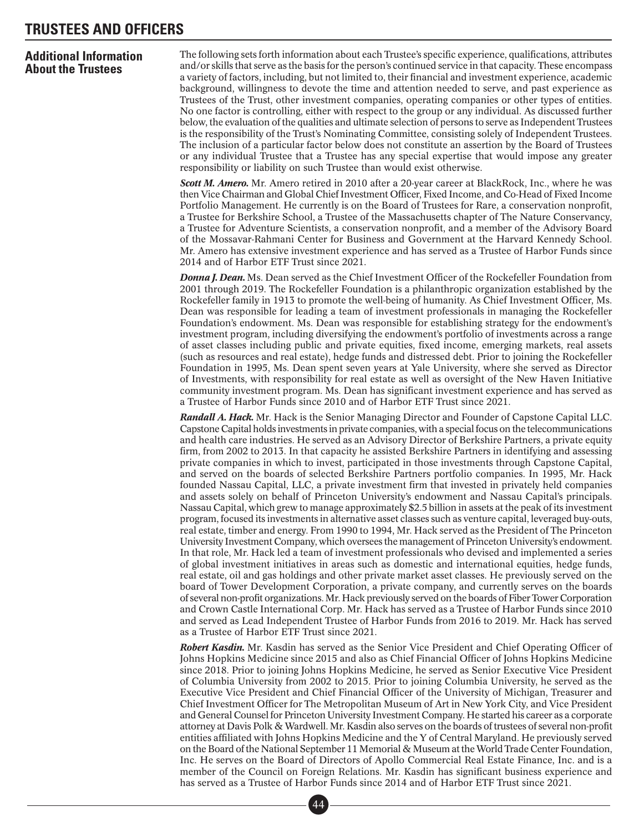### **Additional Information About the Trustees**

The following sets forth information about each Trustee's specific experience, qualifications, attributes and/or skills that serve as the basis for the person's continued service in that capacity. These encompass a variety of factors, including, but not limited to, their financial and investment experience, academic background, willingness to devote the time and attention needed to serve, and past experience as Trustees of the Trust, other investment companies, operating companies or other types of entities. No one factor is controlling, either with respect to the group or any individual. As discussed further below, the evaluation of the qualities and ultimate selection of persons to serve as Independent Trustees is the responsibility of the Trust's Nominating Committee, consisting solely of Independent Trustees. The inclusion of a particular factor below does not constitute an assertion by the Board of Trustees or any individual Trustee that a Trustee has any special expertise that would impose any greater responsibility or liability on such Trustee than would exist otherwise.

*Scott M. Amero.* Mr. Amero retired in 2010 after a 20-year career at BlackRock, Inc., where he was then Vice Chairman and Global Chief Investment Officer, Fixed Income, and Co-Head of Fixed Income Portfolio Management. He currently is on the Board of Trustees for Rare, a conservation nonprofit, a Trustee for Berkshire School, a Trustee of the Massachusetts chapter of The Nature Conservancy, a Trustee for Adventure Scientists, a conservation nonprofit, and a member of the Advisory Board of the Mossavar-Rahmani Center for Business and Government at the Harvard Kennedy School. Mr. Amero has extensive investment experience and has served as a Trustee of Harbor Funds since 2014 and of Harbor ETF Trust since 2021.

*Donna J. Dean.* Ms. Dean served as the Chief Investment Officer of the Rockefeller Foundation from 2001 through 2019. The Rockefeller Foundation is a philanthropic organization established by the Rockefeller family in 1913 to promote the well-being of humanity. As Chief Investment Officer, Ms. Dean was responsible for leading a team of investment professionals in managing the Rockefeller Foundation's endowment. Ms. Dean was responsible for establishing strategy for the endowment's investment program, including diversifying the endowment's portfolio of investments across a range of asset classes including public and private equities, fixed income, emerging markets, real assets (such as resources and real estate), hedge funds and distressed debt. Prior to joining the Rockefeller Foundation in 1995, Ms. Dean spent seven years at Yale University, where she served as Director of Investments, with responsibility for real estate as well as oversight of the New Haven Initiative community investment program. Ms. Dean has significant investment experience and has served as a Trustee of Harbor Funds since 2010 and of Harbor ETF Trust since 2021.

*Randall A. Hack.* Mr. Hack is the Senior Managing Director and Founder of Capstone Capital LLC. Capstone Capital holds investments in private companies, with a special focus on the telecommunications and health care industries. He served as an Advisory Director of Berkshire Partners, a private equity firm, from 2002 to 2013. In that capacity he assisted Berkshire Partners in identifying and assessing private companies in which to invest, participated in those investments through Capstone Capital, and served on the boards of selected Berkshire Partners portfolio companies. In 1995, Mr. Hack founded Nassau Capital, LLC, a private investment firm that invested in privately held companies and assets solely on behalf of Princeton University's endowment and Nassau Capital's principals. Nassau Capital, which grew to manage approximately \$2.5 billion in assets at the peak of its investment program, focused its investments in alternative asset classes such as venture capital, leveraged buy-outs, real estate, timber and energy. From 1990 to 1994, Mr. Hack served as the President of The Princeton University Investment Company, which oversees the management of Princeton University's endowment. In that role, Mr. Hack led a team of investment professionals who devised and implemented a series of global investment initiatives in areas such as domestic and international equities, hedge funds, real estate, oil and gas holdings and other private market asset classes. He previously served on the board of Tower Development Corporation, a private company, and currently serves on the boards of several non-profit organizations.Mr. Hack previously served on the boards of Fiber Tower Corporation and Crown Castle International Corp. Mr. Hack has served as a Trustee of Harbor Funds since 2010 and served as Lead Independent Trustee of Harbor Funds from 2016 to 2019. Mr. Hack has served as a Trustee of Harbor ETF Trust since 2021.

*Robert Kasdin.* Mr. Kasdin has served as the Senior Vice President and Chief Operating Officer of Johns Hopkins Medicine since 2015 and also as Chief Financial Officer of Johns Hopkins Medicine since 2018. Prior to joining Johns Hopkins Medicine, he served as Senior Executive Vice President of Columbia University from 2002 to 2015. Prior to joining Columbia University, he served as the Executive Vice President and Chief Financial Officer of the University of Michigan, Treasurer and Chief Investment Officer for The Metropolitan Museum of Art in New York City, and Vice President and General Counsel for Princeton University Investment Company. He started his career as a corporate attorney at Davis Polk & Wardwell. Mr. Kasdin also serves on the boards of trustees of several non-profit entities affiliated with Johns Hopkins Medicine and the Y of Central Maryland. He previously served on the Board of the National September 11 Memorial & Museum at theWorld Trade Center Foundation, Inc. He serves on the Board of Directors of Apollo Commercial Real Estate Finance, Inc. and is a member of the Council on Foreign Relations. Mr. Kasdin has significant business experience and has served as a Trustee of Harbor Funds since 2014 and of Harbor ETF Trust since 2021.<br>
44

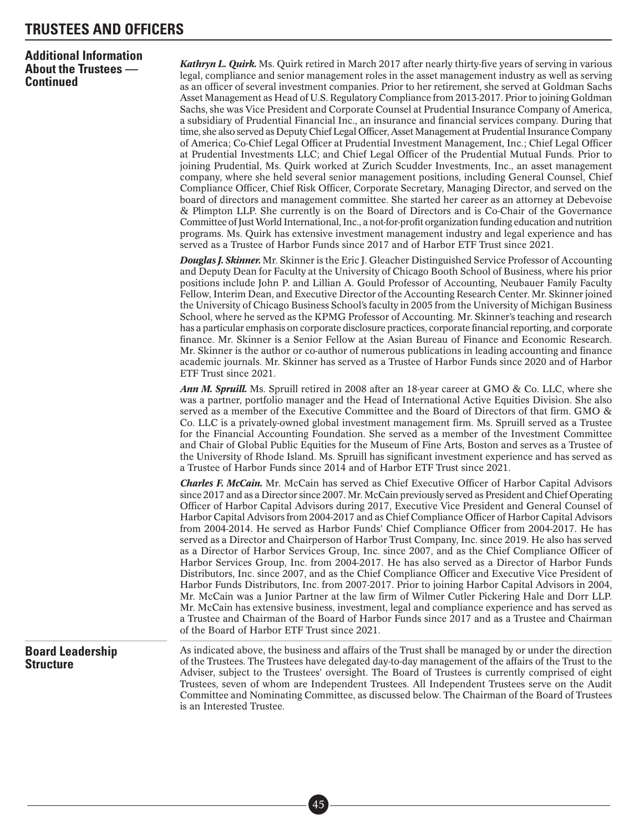### **Additional Information About the Trustees — Continued**

*Kathryn L. Quirk.* Ms. Quirk retired in March 2017 after nearly thirty-five years of serving in various legal, compliance and senior management roles in the asset management industry as well as serving as an officer of several investment companies. Prior to her retirement, she served at Goldman Sachs Asset Management as Head of U.S. Regulatory Compliance from 2013-2017. Prior to joining Goldman Sachs, she was Vice President and Corporate Counsel at Prudential Insurance Company of America, a subsidiary of Prudential Financial Inc., an insurance and financial services company. During that time, she also served as Deputy Chief Legal Officer, AssetManagement at Prudential Insurance Company of America; Co-Chief Legal Officer at Prudential Investment Management, Inc.; Chief Legal Officer at Prudential Investments LLC; and Chief Legal Officer of the Prudential Mutual Funds. Prior to joining Prudential, Ms. Quirk worked at Zurich Scudder Investments, Inc., an asset management company, where she held several senior management positions, including General Counsel, Chief Compliance Officer, Chief Risk Officer, Corporate Secretary, Managing Director, and served on the board of directors and management committee. She started her career as an attorney at Debevoise & Plimpton LLP. She currently is on the Board of Directors and is Co-Chair of the Governance Committee of JustWorld International, Inc., a not-for-profit organization funding education and nutrition programs. Ms. Quirk has extensive investment management industry and legal experience and has served as a Trustee of Harbor Funds since 2017 and of Harbor ETF Trust since 2021.

*Douglas J. Skinner.* Mr. Skinner is the Eric J. Gleacher Distinguished Service Professor of Accounting and Deputy Dean for Faculty at the University of Chicago Booth School of Business, where his prior positions include John P. and Lillian A. Gould Professor of Accounting, Neubauer Family Faculty Fellow, Interim Dean, and Executive Director of the Accounting Research Center. Mr. Skinner joined the University of Chicago Business School's faculty in 2005 from the University of Michigan Business School, where he served as the KPMG Professor of Accounting. Mr. Skinner's teaching and research has a particular emphasis on corporate disclosure practices, corporate financial reporting, and corporate finance. Mr. Skinner is a Senior Fellow at the Asian Bureau of Finance and Economic Research. Mr. Skinner is the author or co-author of numerous publications in leading accounting and finance academic journals. Mr. Skinner has served as a Trustee of Harbor Funds since 2020 and of Harbor ETF Trust since 2021.

*Ann M. Spruill.* Ms. Spruill retired in 2008 after an 18-year career at GMO & Co. LLC, where she was a partner, portfolio manager and the Head of International Active Equities Division. She also served as a member of the Executive Committee and the Board of Directors of that firm. GMO & Co. LLC is a privately-owned global investment management firm. Ms. Spruill served as a Trustee for the Financial Accounting Foundation. She served as a member of the Investment Committee and Chair of Global Public Equities for the Museum of Fine Arts, Boston and serves as a Trustee of the University of Rhode Island. Ms. Spruill has significant investment experience and has served as a Trustee of Harbor Funds since 2014 and of Harbor ETF Trust since 2021.

*Charles F. McCain.* Mr. McCain has served as Chief Executive Officer of Harbor Capital Advisors since 2017 and as a Director since 2007. Mr. McCain previously served as President and Chief Operating Officer of Harbor Capital Advisors during 2017, Executive Vice President and General Counsel of Harbor Capital Advisors from 2004-2017 and as Chief Compliance Officer of Harbor Capital Advisors from 2004-2014. He served as Harbor Funds' Chief Compliance Officer from 2004-2017. He has served as a Director and Chairperson of Harbor Trust Company, Inc. since 2019. He also has served as a Director of Harbor Services Group, Inc. since 2007, and as the Chief Compliance Officer of Harbor Services Group, Inc. from 2004-2017. He has also served as a Director of Harbor Funds Distributors, Inc. since 2007, and as the Chief Compliance Officer and Executive Vice President of Harbor Funds Distributors, Inc. from 2007-2017. Prior to joining Harbor Capital Advisors in 2004, Mr. McCain was a Junior Partner at the law firm of Wilmer Cutler Pickering Hale and Dorr LLP. Mr. McCain has extensive business, investment, legal and compliance experience and has served as a Trustee and Chairman of the Board of Harbor Funds since 2017 and as a Trustee and Chairman of the Board of Harbor ETF Trust since 2021.

### **Board Leadership Structure**

As indicated above, the business and affairs of the Trust shall be managed by or under the direction of the Trustees. The Trustees have delegated day-to-day management of the affairs of the Trust to the Adviser, subject to the Trustees' oversight. The Board of Trustees is currently comprised of eight Trustees, seven of whom are Independent Trustees. All Independent Trustees serve on the Audit Committee and Nominating Committee, as discussed below. The Chairman of the Board of Trustees is an Interested Trustee.

> ■• 45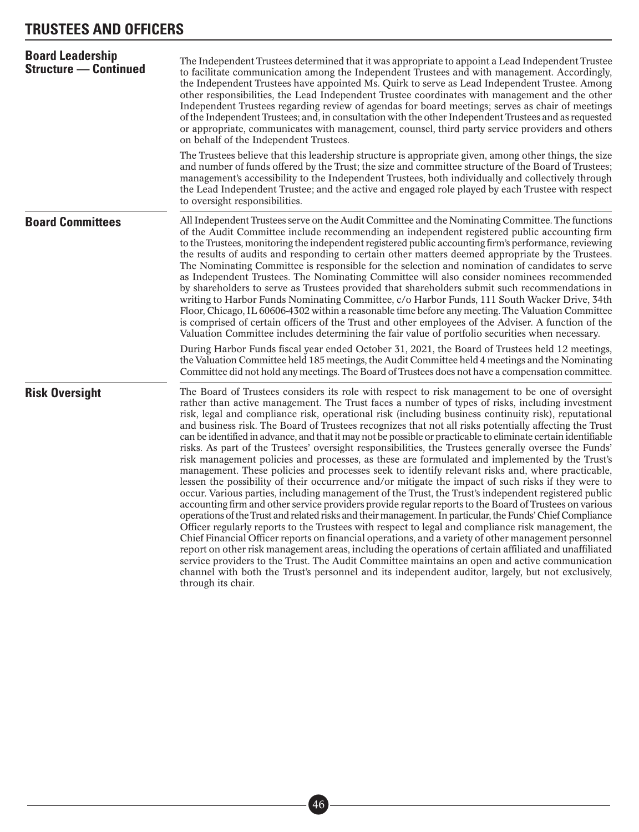| <b>Board Leadership</b><br><b>Structure - Continued</b> | The Independent Trustees determined that it was appropriate to appoint a Lead Independent Trustee<br>to facilitate communication among the Independent Trustees and with management. Accordingly,<br>the Independent Trustees have appointed Ms. Quirk to serve as Lead Independent Trustee. Among<br>other responsibilities, the Lead Independent Trustee coordinates with management and the other<br>Independent Trustees regarding review of agendas for board meetings; serves as chair of meetings<br>of the Independent Trustees; and, in consultation with the other Independent Trustees and as requested<br>or appropriate, communicates with management, counsel, third party service providers and others<br>on behalf of the Independent Trustees.                                                                                                                                                                                                                                                                                                                                                                                                                                                                                                                                                                                                                                                                                                                                                                                                                                                                                                                                                                                                                                                                                      |  |  |  |
|---------------------------------------------------------|------------------------------------------------------------------------------------------------------------------------------------------------------------------------------------------------------------------------------------------------------------------------------------------------------------------------------------------------------------------------------------------------------------------------------------------------------------------------------------------------------------------------------------------------------------------------------------------------------------------------------------------------------------------------------------------------------------------------------------------------------------------------------------------------------------------------------------------------------------------------------------------------------------------------------------------------------------------------------------------------------------------------------------------------------------------------------------------------------------------------------------------------------------------------------------------------------------------------------------------------------------------------------------------------------------------------------------------------------------------------------------------------------------------------------------------------------------------------------------------------------------------------------------------------------------------------------------------------------------------------------------------------------------------------------------------------------------------------------------------------------------------------------------------------------------------------------------------------------|--|--|--|
|                                                         | The Trustees believe that this leadership structure is appropriate given, among other things, the size<br>and number of funds offered by the Trust; the size and committee structure of the Board of Trustees;<br>management's accessibility to the Independent Trustees, both individually and collectively through<br>the Lead Independent Trustee; and the active and engaged role played by each Trustee with respect<br>to oversight responsibilities.                                                                                                                                                                                                                                                                                                                                                                                                                                                                                                                                                                                                                                                                                                                                                                                                                                                                                                                                                                                                                                                                                                                                                                                                                                                                                                                                                                                          |  |  |  |
| <b>Board Committees</b>                                 | All Independent Trustees serve on the Audit Committee and the Nominating Committee. The functions<br>of the Audit Committee include recommending an independent registered public accounting firm<br>to the Trustees, monitoring the independent registered public accounting firm's performance, reviewing<br>the results of audits and responding to certain other matters deemed appropriate by the Trustees.<br>The Nominating Committee is responsible for the selection and nomination of candidates to serve<br>as Independent Trustees. The Nominating Committee will also consider nominees recommended<br>by shareholders to serve as Trustees provided that shareholders submit such recommendations in<br>writing to Harbor Funds Nominating Committee, c/o Harbor Funds, 111 South Wacker Drive, 34th<br>Floor, Chicago, IL 60606-4302 within a reasonable time before any meeting. The Valuation Committee<br>is comprised of certain officers of the Trust and other employees of the Adviser. A function of the<br>Valuation Committee includes determining the fair value of portfolio securities when necessary.<br>During Harbor Funds fiscal year ended October 31, 2021, the Board of Trustees held 12 meetings,<br>the Valuation Committee held 185 meetings, the Audit Committee held 4 meetings and the Nominating<br>Committee did not hold any meetings. The Board of Trustees does not have a compensation committee.                                                                                                                                                                                                                                                                                                                                                                                                     |  |  |  |
| <b>Risk Oversight</b>                                   | The Board of Trustees considers its role with respect to risk management to be one of oversight<br>rather than active management. The Trust faces a number of types of risks, including investment<br>risk, legal and compliance risk, operational risk (including business continuity risk), reputational<br>and business risk. The Board of Trustees recognizes that not all risks potentially affecting the Trust<br>can be identified in advance, and that it may not be possible or practicable to eliminate certain identifiable<br>risks. As part of the Trustees' oversight responsibilities, the Trustees generally oversee the Funds'<br>risk management policies and processes, as these are formulated and implemented by the Trust's<br>management. These policies and processes seek to identify relevant risks and, where practicable,<br>lessen the possibility of their occurrence and/or mitigate the impact of such risks if they were to<br>occur. Various parties, including management of the Trust, the Trust's independent registered public<br>accounting firm and other service providers provide regular reports to the Board of Trustees on various<br>operations of the Trust and related risks and their management. In particular, the Funds' Chief Compliance<br>Officer regularly reports to the Trustees with respect to legal and compliance risk management, the<br>Chief Financial Officer reports on financial operations, and a variety of other management personnel<br>report on other risk management areas, including the operations of certain affiliated and unaffiliated<br>service providers to the Trust. The Audit Committee maintains an open and active communication<br>channel with both the Trust's personnel and its independent auditor, largely, but not exclusively,<br>through its chair. |  |  |  |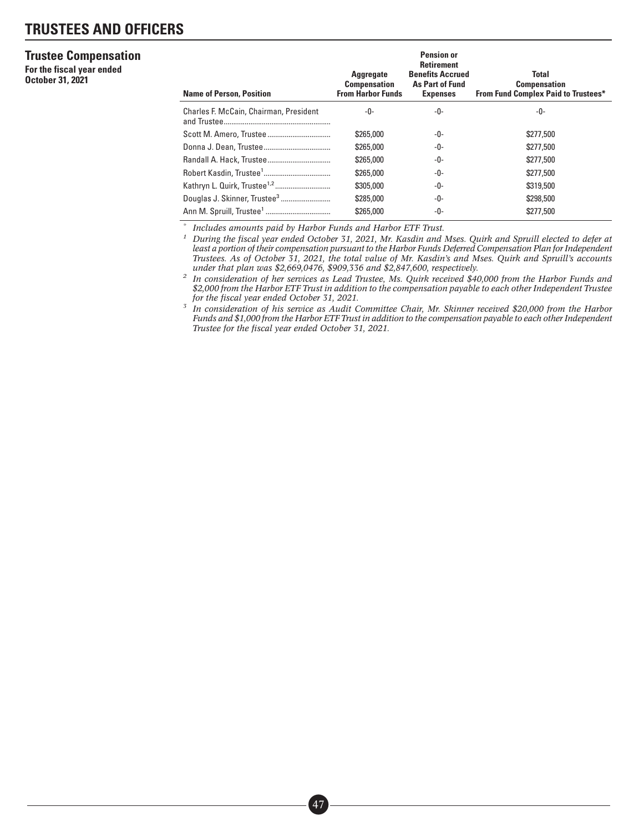#### **Trustee Compensation**

**For the fiscal year ended October 31, 2021**

| <b>Name of Person, Position</b>        | <b>Aggregate</b><br><b>Compensation</b><br><b>From Harbor Funds</b> | <b>Pension or</b><br><b>Retirement</b><br><b>Benefits Accrued</b><br>As Part of Fund<br><b>Expenses</b> | <b>Total</b><br><b>Compensation</b><br><b>From Fund Complex Paid to Trustees*</b> |
|----------------------------------------|---------------------------------------------------------------------|---------------------------------------------------------------------------------------------------------|-----------------------------------------------------------------------------------|
| Charles F. McCain, Chairman, President | -0-                                                                 | -0-                                                                                                     | -0-                                                                               |
|                                        | \$265,000                                                           | -0-                                                                                                     | \$277,500                                                                         |
|                                        | \$265,000                                                           | -0-                                                                                                     | \$277,500                                                                         |
|                                        | \$265,000                                                           | -0-                                                                                                     | \$277,500                                                                         |
|                                        | \$265,000                                                           | -0-                                                                                                     | \$277,500                                                                         |
|                                        | \$305,000                                                           | -0-                                                                                                     | \$319,500                                                                         |
|                                        | \$285,000                                                           | -0-                                                                                                     | \$298,500                                                                         |
|                                        | \$265,000                                                           | -0-                                                                                                     | \$277,500                                                                         |

*\* Includes amounts paid by Harbor Funds and Harbor ETF Trust.*

*<sup>1</sup> During the fiscal year ended October 31, 2021, Mr. Kasdin and Mses. Quirk and Spruill elected to defer at least a portion of their compensation pursuant to the Harbor Funds Deferred Compensation Plan for Independent Trustees. As of October 31, 2021, the total value of Mr. Kasdin's and Mses. Quirk and Spruill's accounts under that plan was \$2,669,0476, \$909,336 and \$2,847,600, respectively.*

*<sup>2</sup> In consideration of her services as Lead Trustee, Ms. Quirk received \$40,000 from the Harbor Funds and \$2,000 from the Harbor ETF Trust in addition to the compensation payable to each other Independent Trustee for the fiscal year ended October 31, 2021.*

*<sup>3</sup> In consideration of his service as Audit Committee Chair, Mr. Skinner received \$20,000 from the Harbor Funds and \$1,000 from the Harbor ETF Trust in addition to the compensation payable to each other Independent Trustee for the fiscal year ended October 31, 2021.*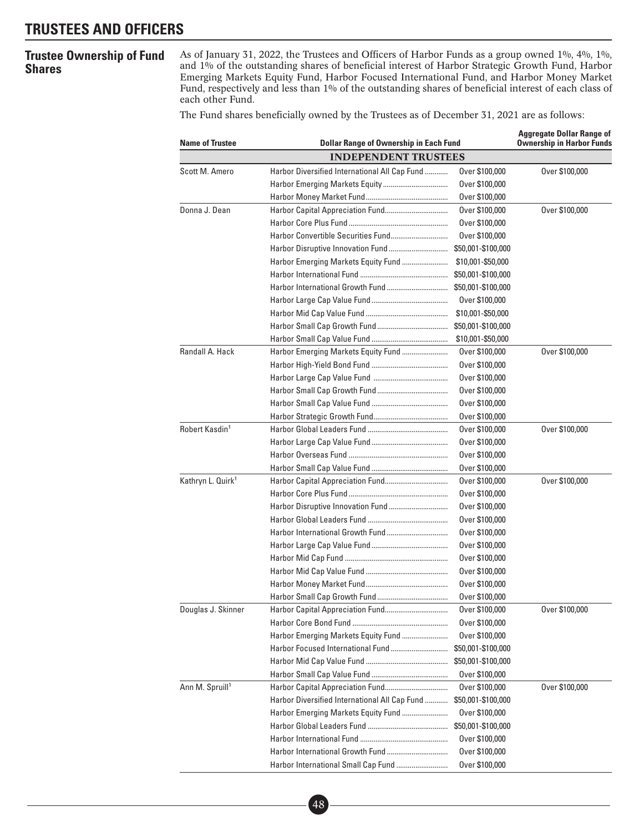### **Trustee Ownership of Fund Shares**

As of January 31, 2022, the Trustees and Officers of Harbor Funds as a group owned 1%, 4%, 1%, and 1% of the outstanding shares of beneficial interest of Harbor Strategic Growth Fund, Harbor Emerging Markets Equity Fund, Harbor Focused International Fund, and Harbor Money Market Fund, respectively and less than 1% of the outstanding shares of beneficial interest of each class of each other Fund.

The Fund shares beneficially owned by the Trustees as of December 31, 2021 are as follows:

| <b>Name of Trustee</b>        | <b>Dollar Range of Ownership in Each Fund</b> | <b>Aggregate Dollar Range of</b><br><b>Ownership in Harbor Funds</b> |                |
|-------------------------------|-----------------------------------------------|----------------------------------------------------------------------|----------------|
|                               | <b>INDEPENDENT TRUSTEES</b>                   |                                                                      |                |
| Scott M. Amero                | Harbor Diversified International All Cap Fund | Over \$100,000                                                       | Over \$100,000 |
|                               |                                               | Over \$100,000                                                       |                |
|                               |                                               | Over \$100,000                                                       |                |
| Donna J. Dean                 |                                               | Over \$100,000                                                       | Over \$100,000 |
|                               |                                               | Over \$100,000                                                       |                |
|                               |                                               | Over \$100,000                                                       |                |
|                               |                                               | \$50,001-\$100,000                                                   |                |
|                               |                                               | \$10,001-\$50,000                                                    |                |
|                               |                                               | \$50,001-\$100,000                                                   |                |
|                               |                                               | \$50,001-\$100,000                                                   |                |
|                               |                                               | Over \$100,000                                                       |                |
|                               |                                               | \$10,001-\$50,000                                                    |                |
|                               |                                               | \$50,001-\$100,000                                                   |                |
|                               |                                               | \$10,001-\$50,000                                                    |                |
| Randall A. Hack               |                                               | Over \$100,000                                                       | Over \$100,000 |
|                               |                                               | Over \$100,000                                                       |                |
|                               |                                               | Over \$100,000                                                       |                |
|                               |                                               | Over \$100,000                                                       |                |
|                               |                                               | Over \$100,000                                                       |                |
|                               |                                               | Over \$100,000                                                       |                |
| Robert Kasdin <sup>1</sup>    |                                               | Over \$100,000                                                       | Over \$100,000 |
|                               |                                               | Over \$100,000                                                       |                |
|                               |                                               | Over \$100,000                                                       |                |
|                               |                                               | Over \$100,000                                                       |                |
| Kathryn L. Quirk <sup>1</sup> |                                               | Over \$100,000                                                       | Over \$100,000 |
|                               |                                               | Over \$100,000                                                       |                |
|                               |                                               | Over \$100,000                                                       |                |
|                               |                                               | Over \$100,000                                                       |                |
|                               |                                               | Over \$100,000                                                       |                |
|                               |                                               | Over \$100,000                                                       |                |
|                               |                                               | Over \$100,000                                                       |                |
|                               |                                               | Over \$100,000                                                       |                |
|                               |                                               | Over \$100,000                                                       |                |
|                               |                                               | Over \$100,000                                                       |                |
| Douglas J. Skinner            |                                               | Over \$100,000                                                       | Over \$100,000 |
|                               |                                               | Over \$100,000                                                       |                |
|                               |                                               | Over \$100,000                                                       |                |
|                               |                                               | \$50,001-\$100,000                                                   |                |
|                               |                                               | \$50,001-\$100,000                                                   |                |
|                               |                                               | Over \$100,000                                                       |                |
| Ann M. Spruill <sup>1</sup>   |                                               | Over \$100,000                                                       | Over \$100,000 |
|                               | Harbor Diversified International All Cap Fund | \$50,001-\$100,000                                                   |                |
|                               | Harbor Emerging Markets Equity Fund           | Over \$100,000                                                       |                |
|                               |                                               | \$50,001-\$100,000                                                   |                |
|                               |                                               | Over \$100,000                                                       |                |
|                               |                                               | Over \$100,000                                                       |                |
|                               |                                               | Over \$100,000                                                       |                |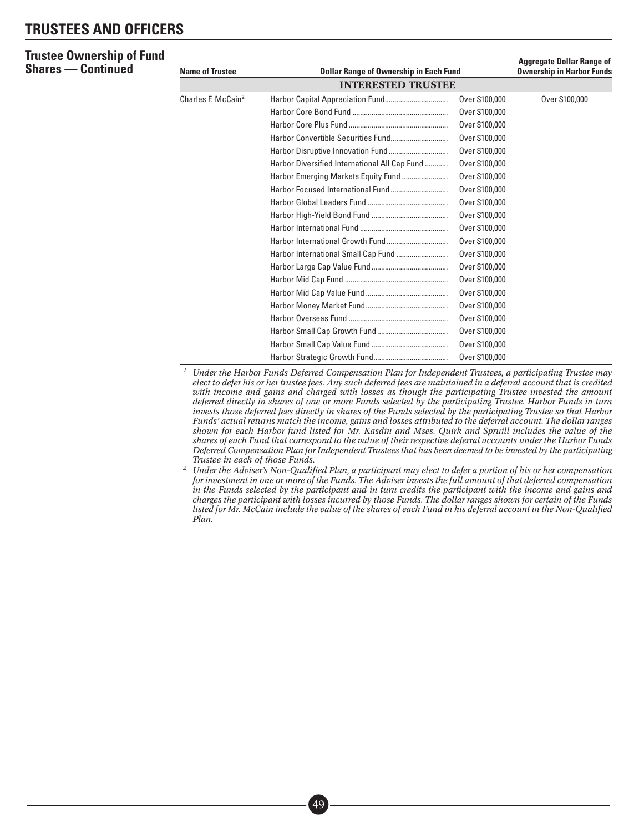#### **Trustee Ownership of Fund Shares — Continued**

| <b>Name of Trustee</b>         | <b>Dollar Range of Ownership in Each Fund</b> | <b>Aggregate Dollar Range of</b><br><b>Ownership in Harbor Funds</b> |                |
|--------------------------------|-----------------------------------------------|----------------------------------------------------------------------|----------------|
|                                | <b>INTERESTED TRUSTEE</b>                     |                                                                      |                |
| Charles F. McCain <sup>2</sup> |                                               | Over \$100,000                                                       | Over \$100,000 |
|                                |                                               | Over \$100,000                                                       |                |
|                                |                                               | Over \$100,000                                                       |                |
|                                |                                               | Over \$100,000                                                       |                |
|                                |                                               | Over \$100,000                                                       |                |
|                                | Harbor Diversified International All Cap Fund | Over \$100,000                                                       |                |
|                                |                                               | Over \$100,000                                                       |                |
|                                |                                               | Over \$100,000                                                       |                |
|                                |                                               | Over \$100,000                                                       |                |
|                                |                                               | Over \$100,000                                                       |                |
|                                |                                               | Over \$100,000                                                       |                |
|                                |                                               | Over \$100,000                                                       |                |
|                                |                                               | Over \$100,000                                                       |                |
|                                |                                               | Over \$100,000                                                       |                |
|                                |                                               | Over \$100,000                                                       |                |
|                                |                                               | Over \$100,000                                                       |                |
|                                |                                               | Over \$100,000                                                       |                |
|                                |                                               | Over \$100,000                                                       |                |
|                                |                                               | Over \$100,000                                                       |                |
|                                |                                               | Over \$100,000                                                       |                |
|                                |                                               | Over \$100,000                                                       |                |

*<sup>1</sup> Under the Harbor Funds Deferred Compensation Plan for Independent Trustees, a participating Trustee may elect to defer his or her trustee fees. Any such deferred fees are maintained in a deferral account that is credited with income and gains and charged with losses as though the participating Trustee invested the amount deferred directly in shares of one or more Funds selected by the participating Trustee. Harbor Funds in turn invests those deferred fees directly in shares of the Funds selected by the participating Trustee so that Harbor Funds' actual returns match the income, gains and losses attributed to the deferral account. The dollar ranges shown for each Harbor fund listed for Mr. Kasdin and Mses. Quirk and Spruill includes the value of the shares of each Fund that correspond to the value of their respective deferral accounts under the Harbor Funds Deferred Compensation Plan for Independent Trustees that has been deemed to be invested by the participating Trustee in each of those Funds.*

*<sup>2</sup> Under the Adviser's Non-Qualified Plan, a participant may elect to defer a portion of his or her compensation for investment in one or more of the Funds. The Adviser invests the full amount of that deferred compensation in the Funds selected by the participant and in turn credits the participant with the income and gains and charges the participant with losses incurred by those Funds. The dollar ranges shown for certain of the Funds listed for Mr. McCain include the value of the shares of each Fund in his deferral account in the Non-Qualified Plan.*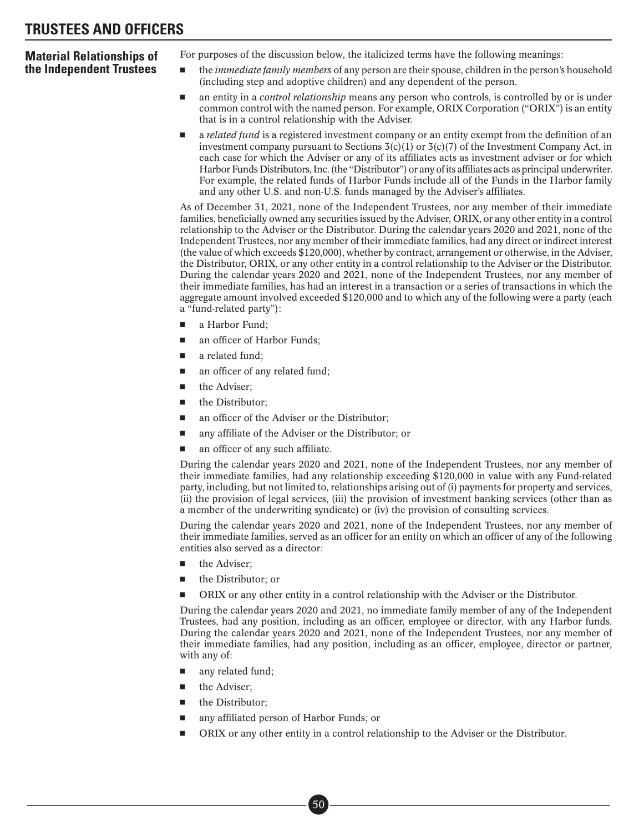### **Material Relationships of the Independent Trustees**

For purposes of the discussion below, the italicized terms have the following meanings:

- the *immediate family members* of any person are their spouse, children in the person's household (including step and adoptive children) and any dependent of the person.
- an entity in a *control relationship* means any person who controls, is controlled by or is under common control with the named person. For example, ORIX Corporation ("ORIX") is an entity that is in a control relationship with the Adviser.
- a *related fund* is a registered investment company or an entity exempt from the definition of an investment company pursuant to Sections  $3(c)(1)$  or  $3(c)(7)$  of the Investment Company Act, in each case for which the Adviser or any of its affiliates acts as investment adviser or for which Harbor Funds Distributors, Inc. (the "Distributor") or any of its affiliates acts as principal underwriter. For example, the related funds of Harbor Funds include all of the Funds in the Harbor family and any other U.S. and non-U.S. funds managed by the Adviser's affiliates.

As of December 31, 2021, none of the Independent Trustees, nor any member of their immediate families, beneficially owned any securities issued by the Adviser, ORIX, or any other entity in a control relationship to the Adviser or the Distributor. During the calendar years 2020 and 2021, none of the Independent Trustees, nor any member of their immediate families, had any direct or indirect interest (the value of which exceeds \$120,000), whether by contract, arrangement or otherwise, in the Adviser, the Distributor, ORIX, or any other entity in a control relationship to the Adviser or the Distributor. During the calendar years 2020 and 2021, none of the Independent Trustees, nor any member of their immediate families, has had an interest in a transaction or a series of transactions in which the aggregate amount involved exceeded \$120,000 and to which any of the following were a party (each a "fund-related party"):

- a Harbor Fund;
- an officer of Harbor Funds;
- a related fund;
- an officer of any related fund;
- the Adviser;
- the Distributor;
- an officer of the Adviser or the Distributor;
- any affiliate of the Adviser or the Distributor; or
- an officer of any such affiliate.

During the calendar years 2020 and 2021, none of the Independent Trustees, nor any member of their immediate families, had any relationship exceeding \$120,000 in value with any Fund-related party, including, but not limited to, relationships arising out of (i) payments for property and services, (ii) the provision of legal services, (iii) the provision of investment banking services (other than as a member of the underwriting syndicate) or (iv) the provision of consulting services.

During the calendar years 2020 and 2021, none of the Independent Trustees, nor any member of their immediate families, served as an officer for an entity on which an officer of any of the following entities also served as a director:

- the Adviser;
- the Distributor; or
- -ORIX or any other entity in a control relationship with the Adviser or the Distributor.

During the calendar years 2020 and 2021, no immediate family member of any of the Independent Trustees, had any position, including as an officer, employee or director, with any Harbor funds. During the calendar years 2020 and 2021, none of the Independent Trustees, nor any member of their immediate families, had any position, including as an officer, employee, director or partner, with any of:

- any related fund;
- the Adviser;
- the Distributor;
- any affiliated person of Harbor Funds; or

■• 50

-ORIX or any other entity in a control relationship to the Adviser or the Distributor.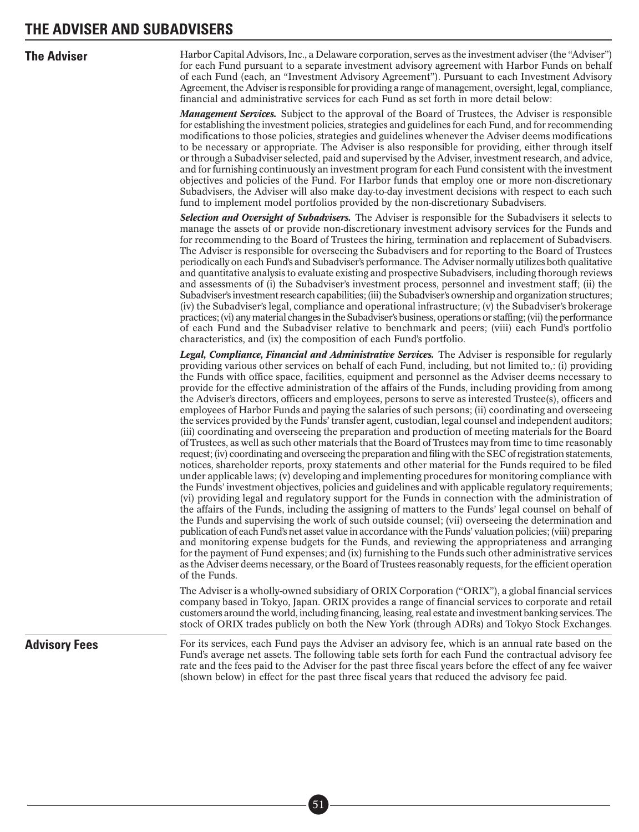**The Adviser** Harbor Capital Advisors, Inc., a Delaware corporation, serves as the investment adviser (the "Adviser") for each Fund pursuant to a separate investment advisory agreement with Harbor Funds on behalf of each Fund (each, an "Investment Advisory Agreement"). Pursuant to each Investment Advisory Agreement, the Adviser is responsible for providing a range of management, oversight, legal, compliance, financial and administrative services for each Fund as set forth in more detail below:

> *Management Services.* Subject to the approval of the Board of Trustees, the Adviser is responsible for establishing the investment policies, strategies and guidelines for each Fund, and for recommending modifications to those policies, strategies and guidelines whenever the Adviser deems modifications to be necessary or appropriate. The Adviser is also responsible for providing, either through itself or through a Subadviser selected, paid and supervised by the Adviser, investment research, and advice, and for furnishing continuously an investment program for each Fund consistent with the investment objectives and policies of the Fund. For Harbor funds that employ one or more non-discretionary Subadvisers, the Adviser will also make day-to-day investment decisions with respect to each such fund to implement model portfolios provided by the non-discretionary Subadvisers.

> *Selection and Oversight of Subadvisers.* The Adviser is responsible for the Subadvisers it selects to manage the assets of or provide non-discretionary investment advisory services for the Funds and for recommending to the Board of Trustees the hiring, termination and replacement of Subadvisers. The Adviser is responsible for overseeing the Subadvisers and for reporting to the Board of Trustees periodically on each Fund's and Subadviser's performance. The Adviser normally utilizes both qualitative and quantitative analysis to evaluate existing and prospective Subadvisers, including thorough reviews and assessments of (i) the Subadviser's investment process, personnel and investment staff; (ii) the Subadviser's investment research capabilities; (iii) the Subadviser's ownership and organization structures; (iv) the Subadviser's legal, compliance and operational infrastructure; (v) the Subadviser's brokerage practices; (vi) anymaterial changesin the Subadviser's business, operations or staffing; (vii) the performance of each Fund and the Subadviser relative to benchmark and peers; (viii) each Fund's portfolio characteristics, and (ix) the composition of each Fund's portfolio.

> *Legal, Compliance, Financial and Administrative Services.* The Adviser is responsible for regularly providing various other services on behalf of each Fund, including, but not limited to,: (i) providing the Funds with office space, facilities, equipment and personnel as the Adviser deems necessary to provide for the effective administration of the affairs of the Funds, including providing from among the Adviser's directors, officers and employees, persons to serve as interested Trustee(s), officers and employees of Harbor Funds and paying the salaries of such persons; (ii) coordinating and overseeing the services provided by the Funds' transfer agent, custodian, legal counsel and independent auditors; (iii) coordinating and overseeing the preparation and production of meeting materials for the Board of Trustees, as well as such other materials that the Board of Trustees may from time to time reasonably request; (iv) coordinating and overseeing the preparation and filing with the SEC of registration statements, notices, shareholder reports, proxy statements and other material for the Funds required to be filed under applicable laws; (v) developing and implementing procedures for monitoring compliance with the Funds' investment objectives, policies and guidelines and with applicable regulatory requirements; (vi) providing legal and regulatory support for the Funds in connection with the administration of the affairs of the Funds, including the assigning of matters to the Funds' legal counsel on behalf of the Funds and supervising the work of such outside counsel; (vii) overseeing the determination and publication of each Fund's net asset value in accordance with the Funds' valuation policies; (viii) preparing and monitoring expense budgets for the Funds, and reviewing the appropriateness and arranging for the payment of Fund expenses; and (ix) furnishing to the Funds such other administrative services as the Adviser deems necessary, or the Board of Trustees reasonably requests, for the efficient operation of the Funds.

> The Adviser is a wholly-owned subsidiary of ORIX Corporation ("ORIX"), a global financial services company based in Tokyo, Japan. ORIX provides a range of financial services to corporate and retail customers around the world, including financing, leasing, real estate and investment banking services. The stock of ORIX trades publicly on both the New York (through ADRs) and Tokyo Stock Exchanges.

Advisory Fees For its services, each Fund pays the Adviser an advisory fee, which is an annual rate based on the Fund's average net assets. The following table sets forth for each Fund the contractual advisory fee rate and the fees paid to the Adviser for the past three fiscal years before the effect of any fee waiver (shown below) in effect for the past three fiscal years that reduced the advisory fee paid.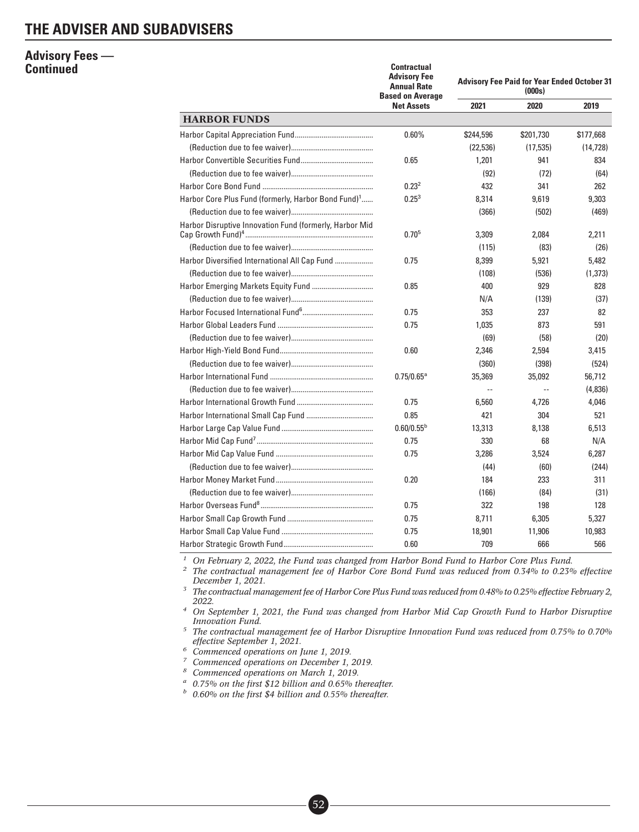### **Advisory Fees — Continued**

|                                                                 | <b>Contractual</b><br><b>Advisory Fee</b><br><b>Annual Rate</b><br><b>Based on Average</b> | <b>Advisory Fee Paid for Year Ended October 31</b><br>(000s) |           |           |  |
|-----------------------------------------------------------------|--------------------------------------------------------------------------------------------|--------------------------------------------------------------|-----------|-----------|--|
|                                                                 | <b>Net Assets</b>                                                                          | 2021                                                         | 2020      | 2019      |  |
| <b>HARBOR FUNDS</b>                                             |                                                                                            |                                                              |           |           |  |
|                                                                 | 0.60%                                                                                      | \$244,596                                                    | \$201,730 | \$177,668 |  |
|                                                                 |                                                                                            | (22, 536)                                                    | (17, 535) | (14, 728) |  |
|                                                                 | 0.65                                                                                       | 1,201                                                        | 941       | 834       |  |
|                                                                 |                                                                                            | (92)                                                         | (72)      | (64)      |  |
|                                                                 | 0.23 <sup>2</sup>                                                                          | 432                                                          | 341       | 262       |  |
| Harbor Core Plus Fund (formerly, Harbor Bond Fund) <sup>1</sup> | $0.25^{3}$                                                                                 | 8,314                                                        | 9,619     | 9,303     |  |
|                                                                 |                                                                                            | (366)                                                        | (502)     | (469)     |  |
| Harbor Disruptive Innovation Fund (formerly, Harbor Mid         | $0.70^{5}$                                                                                 | 3,309                                                        | 2,084     | 2.211     |  |
|                                                                 |                                                                                            | (115)                                                        | (83)      | (26)      |  |
| Harbor Diversified International All Cap Fund                   | 0.75                                                                                       | 8,399                                                        | 5,921     | 5,482     |  |
|                                                                 |                                                                                            | (108)                                                        | (536)     | (1,373)   |  |
|                                                                 | 0.85                                                                                       | 400                                                          | 929       | 828       |  |
|                                                                 |                                                                                            | N/A                                                          | (139)     | (37)      |  |
|                                                                 | 0.75                                                                                       | 353                                                          | 237       | 82        |  |
|                                                                 | 0.75                                                                                       | 1,035                                                        | 873       | 591       |  |
|                                                                 |                                                                                            | (69)                                                         | (58)      | (20)      |  |
|                                                                 | 0.60                                                                                       | 2,346                                                        | 2,594     | 3,415     |  |
|                                                                 |                                                                                            | (360)                                                        | (398)     | (524)     |  |
|                                                                 | $0.75/0.65^{\circ}$                                                                        | 35,369                                                       | 35,092    | 56,712    |  |
|                                                                 |                                                                                            | $\sim$                                                       | $\ddotsc$ | (4,836)   |  |
|                                                                 | 0.75                                                                                       | 6.560                                                        | 4.726     | 4.046     |  |
|                                                                 | 0.85                                                                                       | 421                                                          | 304       | 521       |  |
|                                                                 | $0.60/0.55^{b}$                                                                            | 13,313                                                       | 8,138     | 6,513     |  |
|                                                                 | 0.75                                                                                       | 330                                                          | 68        | N/A       |  |
|                                                                 | 0.75                                                                                       | 3.286                                                        | 3.524     | 6,287     |  |
|                                                                 |                                                                                            | (44)                                                         | (60)      | (244)     |  |
|                                                                 | 0.20                                                                                       | 184                                                          | 233       | 311       |  |
|                                                                 |                                                                                            | (166)                                                        | (84)      | (31)      |  |
|                                                                 | 0.75                                                                                       | 322                                                          | 198       | 128       |  |
|                                                                 | 0.75                                                                                       | 8,711                                                        | 6,305     | 5,327     |  |
|                                                                 | 0.75                                                                                       | 18,901                                                       | 11,906    | 10,983    |  |
|                                                                 | 0.60                                                                                       | 709                                                          | 666       | 566       |  |

*<sup>1</sup> On February 2, 2022, the Fund was changed from Harbor Bond Fund to Harbor Core Plus Fund.*

*<sup>2</sup> The contractual management fee of Harbor Core Bond Fund was reduced from 0.34% to 0.23% effective December 1, 2021.*

*<sup>3</sup> The contractual management fee of Harbor Core Plus Fund was reduced from 0.48% to 0.25% effective February 2, 2022.*

*<sup>4</sup> On September 1, 2021, the Fund was changed from Harbor Mid Cap Growth Fund to Harbor Disruptive Innovation Fund.*

*<sup>5</sup> The contractual management fee of Harbor Disruptive Innovation Fund was reduced from 0.75% to 0.70% effective September 1, 2021.*

*<sup>6</sup> Commenced operations on June 1, 2019.*

*<sup>7</sup> Commenced operations on December 1, 2019.*

*<sup>8</sup> Commenced operations on March 1, 2019.*

*<sup>a</sup> 0.75% on the first \$12 billion and 0.65% thereafter.*

■• 52

*<sup>b</sup> 0.60% on the first \$4 billion and 0.55% thereafter.*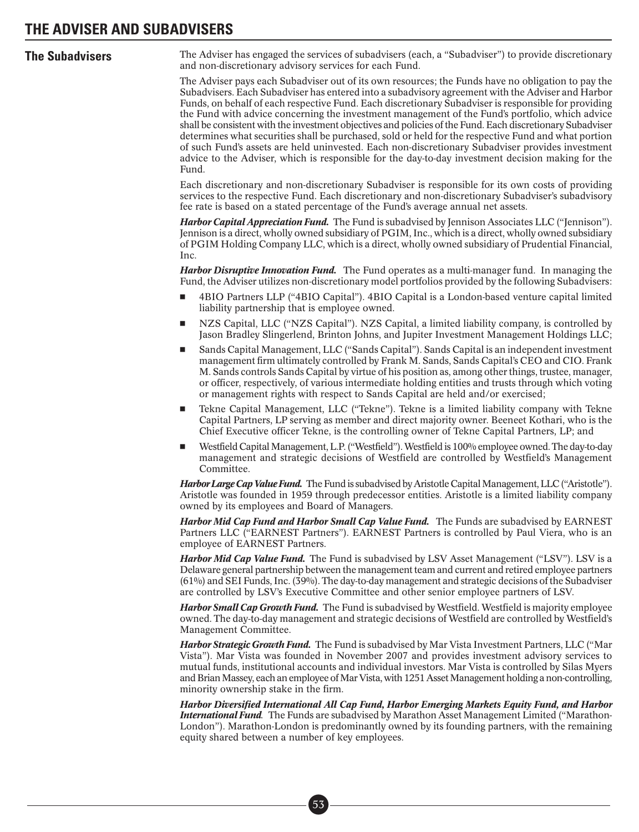**The Subadvisers** The Adviser has engaged the services of subadvisers (each, a "Subadviser") to provide discretionary and non-discretionary advisory services for each Fund.

> The Adviser pays each Subadviser out of its own resources; the Funds have no obligation to pay the Subadvisers. Each Subadviser has entered into a subadvisory agreement with the Adviser and Harbor Funds, on behalf of each respective Fund. Each discretionary Subadviser is responsible for providing the Fund with advice concerning the investment management of the Fund's portfolio, which advice shall be consistent with the investment objectives and policies of the Fund. Each discretionary Subadviser determines what securities shall be purchased, sold or held for the respective Fund and what portion of such Fund's assets are held uninvested. Each non-discretionary Subadviser provides investment advice to the Adviser, which is responsible for the day-to-day investment decision making for the Fund.

> Each discretionary and non-discretionary Subadviser is responsible for its own costs of providing services to the respective Fund. Each discretionary and non-discretionary Subadviser's subadvisory fee rate is based on a stated percentage of the Fund's average annual net assets.

> *Harbor Capital Appreciation Fund.* The Fund is subadvised by Jennison Associates LLC ("Jennison"). Jennison is a direct, wholly owned subsidiary of PGIM, Inc., which is a direct, wholly owned subsidiary of PGIM Holding Company LLC, which is a direct, wholly owned subsidiary of Prudential Financial, Inc.

> *Harbor Disruptive Innovation Fund.* The Fund operates as a multi-manager fund. In managing the Fund, the Adviser utilizes non-discretionary model portfolios provided by the following Subadvisers:

- - 4BIO Partners LLP ("4BIO Capital"). 4BIO Capital is a London-based venture capital limited liability partnership that is employee owned.
- - NZS Capital, LLC ("NZS Capital"). NZS Capital, a limited liability company, is controlled by Jason Bradley Slingerlend, Brinton Johns, and Jupiter Investment Management Holdings LLC;
- - Sands Capital Management, LLC ("Sands Capital"). Sands Capital is an independent investment management firm ultimately controlled by Frank M. Sands, Sands Capital's CEO and CIO. Frank M. Sands controls Sands Capital by virtue of his position as, among other things, trustee, manager, or officer, respectively, of various intermediate holding entities and trusts through which voting or management rights with respect to Sands Capital are held and/or exercised;
- - Tekne Capital Management, LLC ("Tekne"). Tekne is a limited liability company with Tekne Capital Partners, LP serving as member and direct majority owner. Beeneet Kothari, who is the Chief Executive officer Tekne, is the controlling owner of Tekne Capital Partners, LP; and
- -Westfield Capital Management, L.P. ("Westfield"). Westfield is 100% employee owned. The day-to-day management and strategic decisions of Westfield are controlled by Westfield's Management Committee.

Harbor Large Cap Value Fund. The Fund is subadvised by Aristotle Capital Management, LLC ("Aristotle"). Aristotle was founded in 1959 through predecessor entities. Aristotle is a limited liability company owned by its employees and Board of Managers.

*Harbor Mid Cap Fund and Harbor Small Cap Value Fund.* The Funds are subadvised by EARNEST Partners LLC ("EARNEST Partners"). EARNEST Partners is controlled by Paul Viera, who is an employee of EARNEST Partners.

*Harbor Mid Cap Value Fund.* The Fund is subadvised by LSV Asset Management ("LSV"). LSV is a Delaware general partnership between the management team and current and retired employee partners (61%) and SEI Funds, Inc. (39%). The day-to-day management and strategic decisions of the Subadviser are controlled by LSV's Executive Committee and other senior employee partners of LSV.

*Harbor Small Cap Growth Fund.* The Fund is subadvised by Westfield. Westfield is majority employee owned. The day-to-day management and strategic decisions of Westfield are controlled by Westfield's Management Committee.

*Harbor Strategic Growth Fund.* The Fund is subadvised by Mar Vista Investment Partners, LLC ("Mar Vista"). Mar Vista was founded in November 2007 and provides investment advisory services to mutual funds, institutional accounts and individual investors. Mar Vista is controlled by Silas Myers and Brian Massey, each an employee of Mar Vista, with 1251 Asset Management holding a non-controlling, minority ownership stake in the firm.

*Harbor Diversified International All Cap Fund, Harbor Emerging Markets Equity Fund, and Harbor International Fund.* The Funds are subadvised by Marathon Asset Management Limited ("Marathon-London"). Marathon-London is predominantly owned by its founding partners, with the remaining equity shared between a number of key employees.

> ■• 53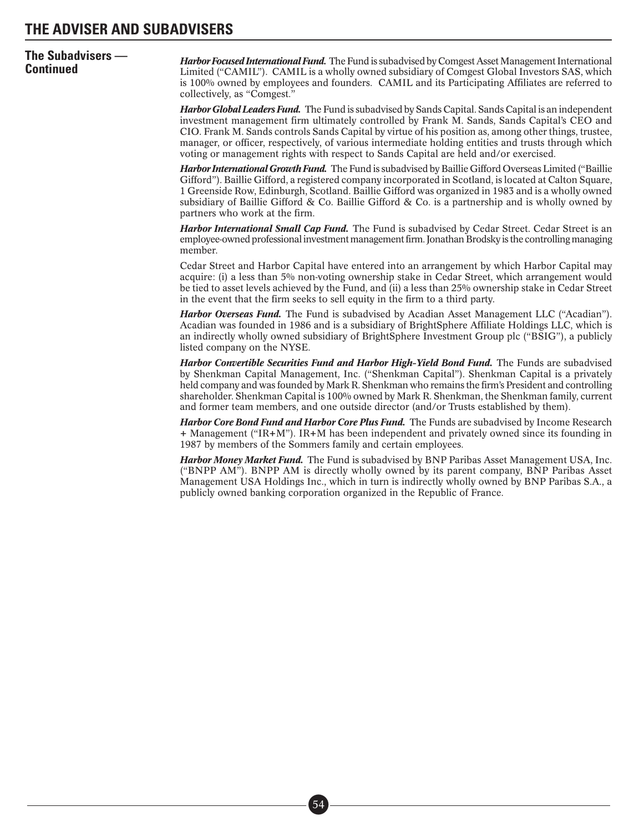# **The Subadvisers —**

**Continued Harbor Focused International Fund**. The Fund is subadvised by Comgest Asset Management International<br>**Continued Exam** Limited ("CAMIL"). CAMIL is a wholly owned subsidiary of Comgest Global Investors SAS, wh is 100% owned by employees and founders. CAMIL and its Participating Affiliates are referred to collectively, as "Comgest."

> *Harbor Global Leaders Fund.* The Fund is subadvised by Sands Capital. Sands Capital is an independent investment management firm ultimately controlled by Frank M. Sands, Sands Capital's CEO and CIO. Frank M. Sands controls Sands Capital by virtue of his position as, among other things, trustee, manager, or officer, respectively, of various intermediate holding entities and trusts through which voting or management rights with respect to Sands Capital are held and/or exercised.

> *Harbor International Growth Fund.* The Fund is subadvised by Baillie Gifford Overseas Limited ("Baillie Gifford"). Baillie Gifford, a registered company incorporated in Scotland, is located at Calton Square, 1 Greenside Row, Edinburgh, Scotland. Baillie Gifford was organized in 1983 and is a wholly owned subsidiary of Baillie Gifford & Co. Baillie Gifford & Co. is a partnership and is wholly owned by partners who work at the firm.

> *Harbor International Small Cap Fund.* The Fund is subadvised by Cedar Street. Cedar Street is an employee-owned professional investment management firm. Jonathan Brodsky is the controlling managing member.

> Cedar Street and Harbor Capital have entered into an arrangement by which Harbor Capital may acquire: (i) a less than 5% non-voting ownership stake in Cedar Street, which arrangement would be tied to asset levels achieved by the Fund, and (ii) a less than 25% ownership stake in Cedar Street in the event that the firm seeks to sell equity in the firm to a third party.

> *Harbor Overseas Fund.* The Fund is subadvised by Acadian Asset Management LLC ("Acadian"). Acadian was founded in 1986 and is a subsidiary of BrightSphere Affiliate Holdings LLC, which is an indirectly wholly owned subsidiary of BrightSphere Investment Group plc ("BSIG"), a publicly listed company on the NYSE.

> *Harbor Convertible Securities Fund and Harbor High-Yield Bond Fund.* The Funds are subadvised by Shenkman Capital Management, Inc. ("Shenkman Capital"). Shenkman Capital is a privately held company and was founded by Mark R. Shenkman who remains the firm's President and controlling shareholder. Shenkman Capital is 100% owned by Mark R. Shenkman, the Shenkman family, current and former team members, and one outside director (and/or Trusts established by them).

> *Harbor Core Bond Fund and Harbor Core Plus Fund.* The Funds are subadvised by Income Research + Management ("IR+M"). IR+M has been independent and privately owned since its founding in 1987 by members of the Sommers family and certain employees.

> *Harbor Money Market Fund.* The Fund is subadvised by BNP Paribas Asset Management USA, Inc. ("BNPP AM"). BNPP AM is directly wholly owned by its parent company, BNP Paribas Asset Management USA Holdings Inc., which in turn is indirectly wholly owned by BNP Paribas S.A., a publicly owned banking corporation organized in the Republic of France.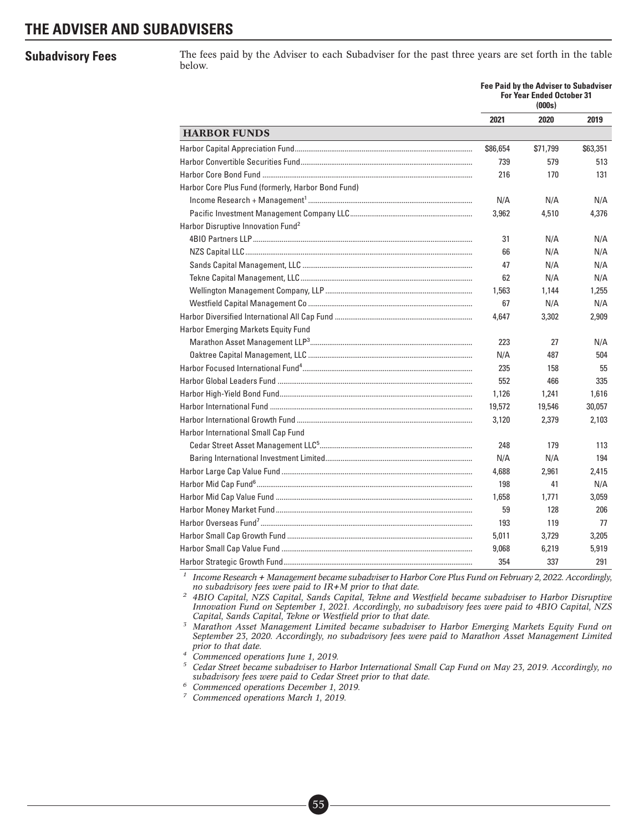**Subadvisory Fees** The fees paid by the Adviser to each Subadviser for the past three years are set forth in the table below.

|                                                               |          | <b>Fee Paid by the Adviser to Subadviser</b><br><b>For Year Ended October 31</b><br>(000s) |          |
|---------------------------------------------------------------|----------|--------------------------------------------------------------------------------------------|----------|
|                                                               | 2021     | 2020                                                                                       | 2019     |
| <b>HARBOR FUNDS</b>                                           |          |                                                                                            |          |
|                                                               | \$86,654 | \$71,799                                                                                   | \$63,351 |
|                                                               | 739      | 579                                                                                        | 513      |
|                                                               | 216      | 170                                                                                        | 131      |
| Harbor Core Plus Fund (formerly, Harbor Bond Fund)            |          |                                                                                            |          |
|                                                               | N/A      | N/A                                                                                        | N/A      |
|                                                               | 3,962    | 4,510                                                                                      | 4,376    |
| Harbor Disruptive Innovation Fund <sup>2</sup>                |          |                                                                                            |          |
|                                                               | 31       | N/A                                                                                        | N/A      |
|                                                               | 66       | N/A                                                                                        | N/A      |
|                                                               | 47       | N/A                                                                                        | N/A      |
|                                                               | 62       | N/A                                                                                        | N/A      |
|                                                               | 1,563    | 1,144                                                                                      | 1,255    |
|                                                               | 67       | N/A                                                                                        | N/A      |
|                                                               | 4,647    | 3,302                                                                                      | 2,909    |
| Harbor Emerging Markets Equity Fund                           |          |                                                                                            |          |
|                                                               | 223      | 27                                                                                         | N/A      |
|                                                               | N/A      | 487                                                                                        | 504      |
|                                                               | 235      | 158                                                                                        | 55       |
| Harbor Global Leaders Fund ………………………………………………………………………………………… | 552      | 466                                                                                        | 335      |
|                                                               | 1,126    | 1,241                                                                                      | 1,616    |
|                                                               | 19,572   | 19,546                                                                                     | 30,057   |
|                                                               | 3.120    | 2,379                                                                                      | 2,103    |
| Harbor International Small Cap Fund                           |          |                                                                                            |          |
|                                                               | 248      | 179                                                                                        | 113      |
|                                                               | N/A      | N/A                                                                                        | 194      |
|                                                               | 4,688    | 2,961                                                                                      | 2,415    |
|                                                               | 198      | 41                                                                                         | N/A      |
|                                                               | 1,658    | 1,771                                                                                      | 3,059    |
|                                                               | 59       | 128                                                                                        | 206      |
|                                                               | 193      | 119                                                                                        | 77       |
|                                                               | 5,011    | 3,729                                                                                      | 3,205    |
|                                                               | 9,068    | 6,219                                                                                      | 5,919    |
|                                                               | 354      | 337                                                                                        | 291      |

*<sup>1</sup> Income Research + Management became subadviser to Harbor Core Plus Fund on February 2, 2022. Accordingly, no subadvisory fees were paid to IR+M prior to that date.*

*<sup>2</sup> 4BIO Capital, NZS Capital, Sands Capital, Tekne and Westfield became subadviser to Harbor Disruptive Innovation Fund on September 1, 2021. Accordingly, no subadvisory fees were paid to 4BIO Capital, NZS Capital, Sands Capital, Tekne or Westfield prior to that date.*

*<sup>3</sup> Marathon Asset Management Limited became subadviser to Harbor Emerging Markets Equity Fund on September 23, 2020. Accordingly, no subadvisory fees were paid to Marathon Asset Management Limited prior to that date.*

*<sup>4</sup> Commenced operations June 1, 2019.*

*<sup>5</sup> Cedar Street became subadviser to Harbor International Small Cap Fund on May 23, 2019. Accordingly, no subadvisory fees were paid to Cedar Street prior to that date.*

*<sup>6</sup> Commenced operations December 1, 2019.*

■• 55

*<sup>7</sup> Commenced operations March 1, 2019.*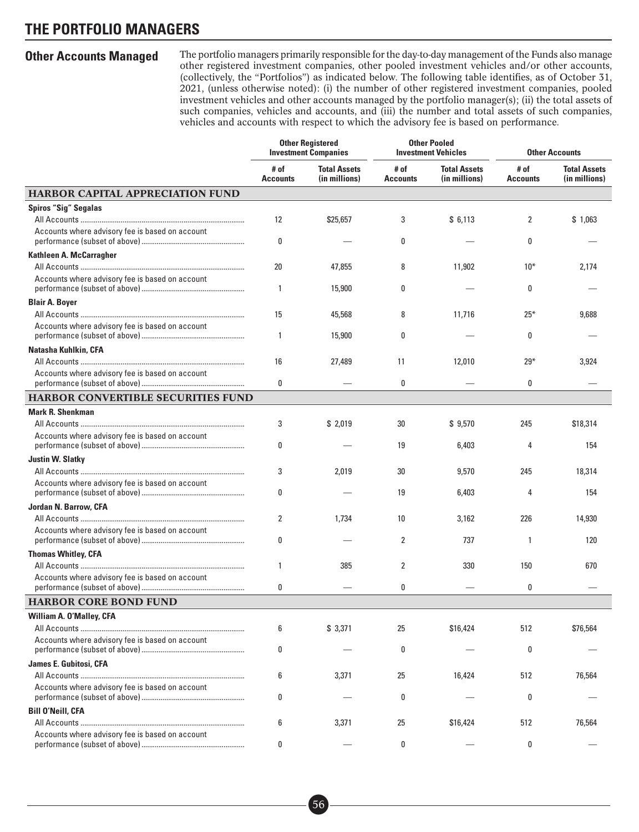**Other Accounts Managed** The portfolio managers primarily responsible for the day-to-day management of the Funds also manage other registered investment companies, other pooled investment vehicles and/or other accounts, (collectively, the "Portfolios") as indicated below. The following table identifies, as of October 31, 2021, (unless otherwise noted): (i) the number of other registered investment companies, pooled investment vehicles and other accounts managed by the portfolio manager(s); (ii) the total assets of such companies, vehicles and accounts, and (iii) the number and total assets of such companies, vehicles and accounts with respect to which the advisory fee is based on performance.

|                                                 |                         | <b>Other Registered</b><br><b>Investment Companies</b> |                         | <b>Other Pooled</b><br><b>Investment Vehicles</b> |                         | <b>Other Accounts</b>                |  |
|-------------------------------------------------|-------------------------|--------------------------------------------------------|-------------------------|---------------------------------------------------|-------------------------|--------------------------------------|--|
|                                                 | # of<br><b>Accounts</b> | <b>Total Assets</b><br>(in millions)                   | # of<br><b>Accounts</b> | <b>Total Assets</b><br>(in millions)              | # of<br><b>Accounts</b> | <b>Total Assets</b><br>(in millions) |  |
| <b>HARBOR CAPITAL APPRECIATION FUND</b>         |                         |                                                        |                         |                                                   |                         |                                      |  |
| <b>Spiros "Sig" Segalas</b>                     | $12 \overline{ }$       | \$25,657                                               | 3                       | \$6,113                                           | 2                       | \$1,063                              |  |
| Accounts where advisory fee is based on account | 0                       |                                                        | 0                       |                                                   | 0                       |                                      |  |
| Kathleen A. McCarragher                         |                         |                                                        |                         |                                                   |                         |                                      |  |
| Accounts where advisory fee is based on account | 20<br>1                 | 47,855<br>15,900                                       | 8<br>0                  | 11,902                                            | $10*$<br>0              | 2,174                                |  |
| <b>Blair A. Boyer</b>                           |                         |                                                        |                         |                                                   |                         |                                      |  |
|                                                 | 15                      | 45,568                                                 | 8                       | 11,716                                            | $25*$                   | 9,688                                |  |
| Accounts where advisory fee is based on account | $\mathbf{1}$            | 15,900                                                 | 0                       |                                                   | 0                       |                                      |  |
| Natasha Kuhlkin, CFA                            |                         |                                                        |                         |                                                   |                         |                                      |  |
| Accounts where advisory fee is based on account | 16                      | 27,489                                                 | 11                      | 12,010                                            | $29*$                   | 3,924                                |  |
|                                                 | $\bf{0}$                |                                                        | 0                       |                                                   | 0                       |                                      |  |
| <b>HARBOR CONVERTIBLE SECURITIES FUND</b>       |                         |                                                        |                         |                                                   |                         |                                      |  |
| <b>Mark R. Shenkman</b>                         |                         |                                                        |                         |                                                   |                         |                                      |  |
|                                                 | 3                       | \$2,019                                                | 30                      | \$9,570                                           | 245                     | \$18,314                             |  |
| Accounts where advisory fee is based on account | 0                       |                                                        | 19                      | 6,403                                             | 4                       | 154                                  |  |
| <b>Justin W. Slatky</b>                         |                         |                                                        |                         |                                                   |                         |                                      |  |
|                                                 | 3                       | 2,019                                                  | 30                      | 9,570                                             | 245                     | 18,314                               |  |
| Accounts where advisory fee is based on account | 0                       |                                                        | 19                      | 6,403                                             | 4                       | 154                                  |  |
| Jordan N. Barrow, CFA                           |                         |                                                        |                         |                                                   |                         |                                      |  |
|                                                 | 2                       | 1,734                                                  | 10                      | 3,162                                             | 226                     | 14,930                               |  |
| Accounts where advisory fee is based on account | 0                       |                                                        | 2                       | 737                                               | $\mathbf{1}$            | 120                                  |  |
| <b>Thomas Whitley, CFA</b>                      |                         |                                                        |                         |                                                   |                         |                                      |  |
|                                                 | 1                       | 385                                                    | 2                       | 330                                               | 150                     | 670                                  |  |
| Accounts where advisory fee is based on account | 0                       |                                                        | 0                       |                                                   | 0                       |                                      |  |
| <b>HARBOR CORE BOND FUND</b>                    |                         |                                                        |                         |                                                   |                         |                                      |  |
| <b>William A. O'Malley, CFA</b>                 |                         |                                                        |                         |                                                   |                         |                                      |  |
|                                                 | 6                       | \$3,371                                                | 25                      | \$16,424                                          | 512                     | \$76,564                             |  |
| Accounts where advisory fee is based on account | 0                       |                                                        | 0                       |                                                   | 0                       |                                      |  |
| James E. Gubitosi, CFA                          |                         |                                                        |                         |                                                   |                         |                                      |  |
|                                                 | 6                       | 3,371                                                  | 25                      | 16,424                                            | 512                     | 76,564                               |  |
| Accounts where advisory fee is based on account | 0                       |                                                        | 0                       |                                                   | 0                       |                                      |  |
| <b>Bill O'Neill, CFA</b>                        |                         |                                                        |                         |                                                   |                         |                                      |  |
|                                                 | 6                       | 3,371                                                  | 25                      | \$16,424                                          | 512                     | 76,564                               |  |
| Accounts where advisory fee is based on account | 0                       |                                                        | 0                       |                                                   | 0                       |                                      |  |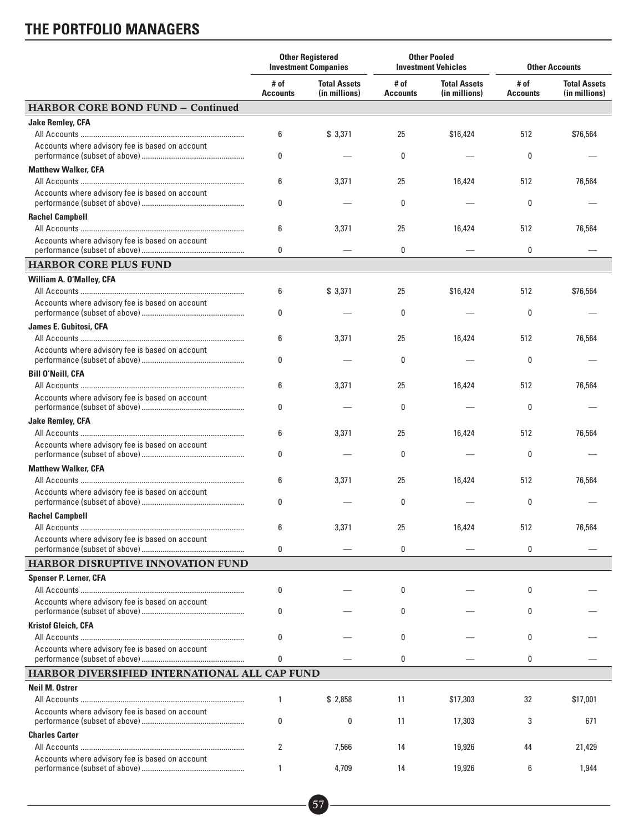|                                                 | <b>Other Registered</b><br><b>Investment Companies</b> |                                      | <b>Other Pooled</b><br><b>Investment Vehicles</b> |                                      | <b>Other Accounts</b>   |                                      |
|-------------------------------------------------|--------------------------------------------------------|--------------------------------------|---------------------------------------------------|--------------------------------------|-------------------------|--------------------------------------|
|                                                 | # of<br><b>Accounts</b>                                | <b>Total Assets</b><br>(in millions) | # of<br><b>Accounts</b>                           | <b>Total Assets</b><br>(in millions) | # of<br><b>Accounts</b> | <b>Total Assets</b><br>(in millions) |
| <b>HARBOR CORE BOND FUND - Continued</b>        |                                                        |                                      |                                                   |                                      |                         |                                      |
| <b>Jake Remley, CFA</b>                         |                                                        |                                      |                                                   |                                      |                         |                                      |
|                                                 | 6                                                      | \$3,371                              | 25                                                | \$16,424                             | 512                     | \$76,564                             |
| Accounts where advisory fee is based on account | 0                                                      |                                      | 0                                                 |                                      | 0                       |                                      |
| <b>Matthew Walker, CFA</b>                      |                                                        |                                      |                                                   |                                      |                         |                                      |
|                                                 | 6                                                      | 3,371                                | 25                                                | 16,424                               | 512                     | 76,564                               |
| Accounts where advisory fee is based on account | 0                                                      |                                      | 0                                                 |                                      | 0                       |                                      |
| <b>Rachel Campbell</b>                          |                                                        |                                      |                                                   |                                      |                         |                                      |
| Accounts where advisory fee is based on account | 6                                                      | 3,371                                | 25                                                | 16,424                               | 512                     | 76,564                               |
|                                                 | 0                                                      |                                      | 0                                                 |                                      | 0                       |                                      |
| <b>HARBOR CORE PLUS FUND</b>                    |                                                        |                                      |                                                   |                                      |                         |                                      |
| William A. O'Malley, CFA                        |                                                        |                                      |                                                   |                                      |                         |                                      |
|                                                 | 6                                                      | \$3,371                              | 25                                                | \$16,424                             | 512                     | \$76,564                             |
| Accounts where advisory fee is based on account | 0                                                      |                                      | 0                                                 |                                      | 0                       |                                      |
| <b>James E. Gubitosi, CFA</b>                   |                                                        |                                      |                                                   |                                      |                         |                                      |
|                                                 | 6                                                      | 3,371                                | 25                                                | 16,424                               | 512                     | 76,564                               |
| Accounts where advisory fee is based on account | 0                                                      |                                      | 0                                                 |                                      | 0                       |                                      |
| <b>Bill O'Neill, CFA</b>                        |                                                        |                                      |                                                   |                                      |                         |                                      |
|                                                 | 6                                                      | 3,371                                | 25                                                | 16,424                               | 512                     | 76,564                               |
| Accounts where advisory fee is based on account | 0                                                      |                                      | 0                                                 |                                      | 0                       |                                      |
| <b>Jake Remley, CFA</b>                         |                                                        |                                      |                                                   |                                      |                         |                                      |
|                                                 | 6                                                      | 3,371                                | 25                                                | 16,424                               | 512                     | 76,564                               |
| Accounts where advisory fee is based on account | 0                                                      |                                      | 0                                                 |                                      | 0                       |                                      |
| <b>Matthew Walker, CFA</b>                      |                                                        |                                      |                                                   |                                      |                         |                                      |
|                                                 | 6                                                      | 3,371                                | 25                                                | 16,424                               | 512                     | 76,564                               |
| Accounts where advisory fee is based on account | 0                                                      |                                      | 0                                                 |                                      | 0                       |                                      |
| <b>Rachel Campbell</b>                          |                                                        |                                      |                                                   |                                      |                         |                                      |
|                                                 | 6                                                      | 3,371                                | 25                                                | 16,424                               | 512                     | 76,564                               |
| Accounts where advisory fee is based on account | 0                                                      |                                      | 0                                                 |                                      | 0                       |                                      |
| <b>HARBOR DISRUPTIVE INNOVATION FUND</b>        |                                                        |                                      |                                                   |                                      |                         |                                      |
| <b>Spenser P. Lerner, CFA</b>                   |                                                        |                                      |                                                   |                                      |                         |                                      |
|                                                 | 0                                                      |                                      | 0                                                 |                                      | 0                       |                                      |
| Accounts where advisory fee is based on account | 0                                                      |                                      | 0                                                 |                                      | 0                       |                                      |
| <b>Kristof Gleich, CFA</b>                      |                                                        |                                      |                                                   |                                      |                         |                                      |
|                                                 | 0                                                      |                                      | 0                                                 |                                      | 0                       |                                      |
| Accounts where advisory fee is based on account | 0                                                      |                                      | 0                                                 |                                      | 0                       |                                      |
| HARBOR DIVERSIFIED INTERNATIONAL ALL CAP FUND   |                                                        |                                      |                                                   |                                      |                         |                                      |
| <b>Neil M. Ostrer</b>                           |                                                        |                                      |                                                   |                                      |                         |                                      |
|                                                 | 1                                                      | \$2,858                              | 11                                                | \$17,303                             | 32                      | \$17,001                             |
| Accounts where advisory fee is based on account | 0                                                      | 0                                    | 11                                                | 17,303                               | 3                       | 671                                  |
| <b>Charles Carter</b>                           |                                                        |                                      |                                                   |                                      |                         |                                      |
|                                                 | 2                                                      | 7,566                                | 14                                                | 19,926                               | 44                      | 21,429                               |
| Accounts where advisory fee is based on account |                                                        | 4,709                                | 14                                                | 19,926                               | 6                       | 1,944                                |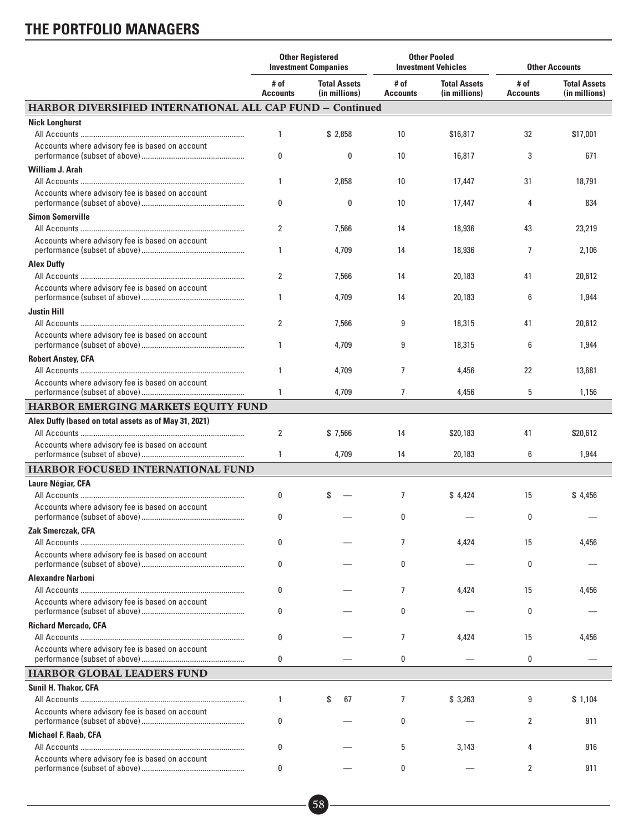|                                                                  | <b>Other Registered</b><br><b>Investment Companies</b> |                                      | <b>Other Pooled</b><br><b>Investment Vehicles</b> |                                      | <b>Other Accounts</b>   |                                      |
|------------------------------------------------------------------|--------------------------------------------------------|--------------------------------------|---------------------------------------------------|--------------------------------------|-------------------------|--------------------------------------|
|                                                                  | # of<br><b>Accounts</b>                                | <b>Total Assets</b><br>(in millions) | # of<br><b>Accounts</b>                           | <b>Total Assets</b><br>(in millions) | # of<br><b>Accounts</b> | <b>Total Assets</b><br>(in millions) |
| <b>HARBOR DIVERSIFIED INTERNATIONAL ALL CAP FUND - Continued</b> |                                                        |                                      |                                                   |                                      |                         |                                      |
| <b>Nick Longhurst</b>                                            |                                                        |                                      |                                                   |                                      |                         |                                      |
|                                                                  | 1                                                      | \$2,858                              | 10                                                | \$16,817                             | 32                      | \$17,001                             |
| Accounts where advisory fee is based on account                  | 0                                                      | 0                                    | 10                                                | 16,817                               | 3                       | 671                                  |
| <b>William J. Arah</b>                                           |                                                        |                                      |                                                   |                                      |                         |                                      |
|                                                                  | $\mathbf{1}$                                           | 2,858                                | 10                                                | 17,447                               | 31                      | 18,791                               |
| Accounts where advisory fee is based on account                  | 0                                                      | 0                                    | 10                                                | 17,447                               | 4                       | 834                                  |
| <b>Simon Somerville</b>                                          |                                                        |                                      |                                                   |                                      |                         |                                      |
|                                                                  | $\overline{2}$                                         | 7,566                                | 14                                                | 18,936                               | 43                      | 23,219                               |
| Accounts where advisory fee is based on account                  | $\mathbf{1}$                                           | 4,709                                | 14                                                | 18,936                               | 7                       | 2,106                                |
| <b>Alex Duffy</b>                                                |                                                        |                                      |                                                   |                                      |                         |                                      |
|                                                                  | $\overline{2}$                                         | 7,566                                | 14                                                | 20,183                               | 41                      | 20,612                               |
| Accounts where advisory fee is based on account                  | $\mathbf{1}$                                           | 4,709                                | 14                                                | 20,183                               | 6                       | 1,944                                |
| <b>Justin Hill</b>                                               |                                                        |                                      |                                                   |                                      |                         |                                      |
|                                                                  | 2                                                      | 7,566                                | 9                                                 | 18,315                               | 41                      | 20,612                               |
| Accounts where advisory fee is based on account                  | $\mathbf{1}$                                           | 4,709                                | 9                                                 | 18,315                               | 6                       | 1,944                                |
| <b>Robert Anstey, CFA</b>                                        |                                                        |                                      |                                                   |                                      |                         |                                      |
|                                                                  | $\mathbf{1}$                                           | 4,709                                | 7                                                 | 4,456                                | 22                      | 13,681                               |
| Accounts where advisory fee is based on account                  | $\mathbf{1}$                                           | 4,709                                | $\overline{7}$                                    | 4,456                                | 5                       | 1,156                                |
| HARBOR EMERGING MARKETS EQUITY FUND                              |                                                        |                                      |                                                   |                                      |                         |                                      |
| Alex Duffy (based on total assets as of May 31, 2021)            |                                                        |                                      |                                                   |                                      |                         |                                      |
|                                                                  | 2                                                      | \$7,566                              | 14                                                | \$20,183                             | 41                      | \$20,612                             |
| Accounts where advisory fee is based on account                  | 1                                                      | 4,709                                | 14                                                | 20,183                               | 6                       | 1,944                                |
| HARBOR FOCUSED INTERNATIONAL FUND                                |                                                        |                                      |                                                   |                                      |                         |                                      |
| <b>Laure Négiar, CFA</b>                                         |                                                        |                                      |                                                   |                                      |                         |                                      |
|                                                                  | 0                                                      | S                                    | 7                                                 | \$4,424                              | 15                      | \$4,456                              |
| Accounts where advisory fee is based on account                  | 0                                                      |                                      | 0                                                 |                                      | 0                       |                                      |
| Zak Smerczak, CFA                                                |                                                        |                                      |                                                   |                                      |                         |                                      |
|                                                                  | 0                                                      |                                      | 7                                                 | 4,424                                | 15                      | 4,456                                |
| Accounts where advisory fee is based on account                  | 0                                                      |                                      | 0                                                 |                                      | 0                       |                                      |
| <b>Alexandre Narboni</b>                                         |                                                        |                                      |                                                   |                                      |                         |                                      |
|                                                                  | 0                                                      |                                      | $\overline{7}$                                    | 4,424                                | 15                      | 4,456                                |
| Accounts where advisory fee is based on account                  | 0                                                      |                                      | 0                                                 |                                      | 0                       |                                      |
| <b>Richard Mercado, CFA</b>                                      |                                                        |                                      |                                                   |                                      |                         |                                      |
| Accounts where advisory fee is based on account                  | 0                                                      |                                      | 7                                                 | 4,424                                | 15                      | 4,456                                |
|                                                                  | 0                                                      |                                      | 0                                                 |                                      | 0                       |                                      |
| HARBOR GLOBAL LEADERS FUND                                       |                                                        |                                      |                                                   |                                      |                         |                                      |
| <b>Sunil H. Thakor, CFA</b>                                      |                                                        |                                      |                                                   |                                      |                         |                                      |
|                                                                  | $\mathbf{1}$                                           | 67<br>S                              | 7                                                 | \$3,263                              | 9                       | \$1,104                              |
| Accounts where advisory fee is based on account                  | 0                                                      |                                      | 0                                                 |                                      | 2                       | 911                                  |
| <b>Michael F. Raab, CFA</b>                                      |                                                        |                                      |                                                   |                                      |                         |                                      |
|                                                                  | 0                                                      |                                      | 5                                                 | 3,143                                | 4                       | 916                                  |
| Accounts where advisory fee is based on account                  | 0                                                      |                                      | 0                                                 |                                      | $\overline{2}$          | 911                                  |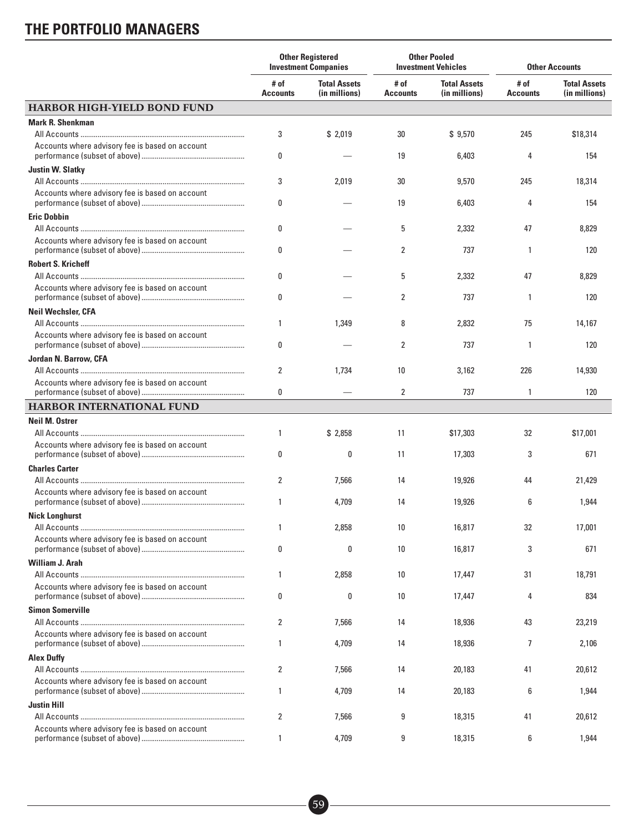|                                                 | <b>Other Registered</b><br><b>Investment Companies</b> |                                      | <b>Other Pooled</b><br><b>Investment Vehicles</b> |                                      | <b>Other Accounts</b>   |                                      |
|-------------------------------------------------|--------------------------------------------------------|--------------------------------------|---------------------------------------------------|--------------------------------------|-------------------------|--------------------------------------|
|                                                 | # of<br><b>Accounts</b>                                | <b>Total Assets</b><br>(in millions) | # of<br><b>Accounts</b>                           | <b>Total Assets</b><br>(in millions) | # of<br><b>Accounts</b> | <b>Total Assets</b><br>(in millions) |
| <b>HARBOR HIGH-YIELD BOND FUND</b>              |                                                        |                                      |                                                   |                                      |                         |                                      |
| <b>Mark R. Shenkman</b>                         |                                                        |                                      |                                                   |                                      |                         |                                      |
|                                                 | 3                                                      | \$2,019                              | 30                                                | \$9,570                              | 245                     | \$18,314                             |
| Accounts where advisory fee is based on account | 0                                                      |                                      | 19                                                | 6,403                                | 4                       | 154                                  |
| <b>Justin W. Slatkv</b>                         |                                                        |                                      |                                                   |                                      |                         |                                      |
|                                                 | 3                                                      | 2,019                                | 30                                                | 9,570                                | 245                     | 18,314                               |
| Accounts where advisory fee is based on account | 0                                                      |                                      | 19                                                | 6,403                                | 4                       | 154                                  |
| <b>Eric Dobbin</b>                              |                                                        |                                      |                                                   |                                      |                         |                                      |
|                                                 | 0                                                      |                                      | 5                                                 | 2,332                                | 47                      | 8,829                                |
| Accounts where advisory fee is based on account | 0                                                      |                                      | 2                                                 | 737                                  | 1                       | 120                                  |
| <b>Robert S. Kricheff</b>                       |                                                        |                                      |                                                   |                                      |                         |                                      |
|                                                 | 0                                                      |                                      | 5                                                 | 2,332                                | 47                      | 8,829                                |
| Accounts where advisory fee is based on account | 0                                                      |                                      | 2                                                 | 737                                  | 1                       | 120                                  |
| <b>Neil Wechsler, CFA</b>                       |                                                        |                                      |                                                   |                                      |                         |                                      |
|                                                 | 1                                                      | 1,349                                | 8                                                 | 2,832                                | 75                      | 14,167                               |
| Accounts where advisory fee is based on account | 0                                                      |                                      | $\overline{2}$                                    | 737                                  | 1                       | 120                                  |
| Jordan N. Barrow, CFA                           |                                                        |                                      |                                                   |                                      |                         |                                      |
|                                                 | 2                                                      | 1,734                                | 10                                                | 3,162                                | 226                     | 14,930                               |
| Accounts where advisory fee is based on account |                                                        |                                      |                                                   |                                      |                         |                                      |
|                                                 | 0                                                      |                                      | 2                                                 | 737                                  | 1                       | 120                                  |
| HARBOR INTERNATIONAL FUND                       |                                                        |                                      |                                                   |                                      |                         |                                      |
| <b>Neil M. Ostrer</b>                           |                                                        |                                      |                                                   |                                      |                         |                                      |
|                                                 | 1                                                      | \$2,858                              | 11                                                | \$17,303                             | 32                      | \$17,001                             |
| Accounts where advisory fee is based on account | 0                                                      | 0                                    | 11                                                | 17,303                               | 3                       | 671                                  |
| <b>Charles Carter</b>                           |                                                        |                                      |                                                   |                                      |                         |                                      |
|                                                 | $\overline{2}$                                         | 7,566                                | 14                                                | 19,926                               | 44                      | 21,429                               |
| Accounts where advisory fee is based on account | 1                                                      | 4,709                                | 14                                                | 19,926                               | 6                       | 1,944                                |
| <b>Nick Longhurst</b>                           |                                                        |                                      |                                                   |                                      |                         |                                      |
|                                                 | 1                                                      | 2,858                                | 10                                                | 16,817                               | 32                      | 17,001                               |
| Accounts where advisory fee is based on account | 0                                                      | 0                                    | 10                                                | 16,817                               | 3                       | 671                                  |
| <b>William J. Arah</b>                          |                                                        |                                      |                                                   |                                      |                         |                                      |
| Accounts where advisory fee is based on account | 1                                                      | 2,858                                | 10                                                | 17,447                               | 31                      | 18,791                               |
|                                                 | 0                                                      | 0                                    | 10                                                | 17,447                               | 4                       | 834                                  |
| <b>Simon Somerville</b>                         |                                                        |                                      |                                                   |                                      |                         |                                      |
|                                                 | 2                                                      | 7,566                                | 14                                                | 18,936                               | 43                      | 23,219                               |
| Accounts where advisory fee is based on account | 1                                                      | 4,709                                | 14                                                | 18,936                               | $\overline{7}$          | 2,106                                |
| <b>Alex Duffy</b>                               |                                                        |                                      |                                                   |                                      |                         |                                      |
|                                                 | $\overline{2}$                                         | 7,566                                | 14                                                | 20,183                               | 41                      | 20,612                               |
| Accounts where advisory fee is based on account | 1                                                      | 4,709                                | 14                                                | 20,183                               | 6                       | 1,944                                |
| Justin Hill                                     |                                                        |                                      |                                                   |                                      |                         |                                      |
|                                                 | $\overline{2}$                                         | 7,566                                | 9                                                 | 18,315                               | 41                      | 20,612                               |
| Accounts where advisory fee is based on account | 1                                                      | 4,709                                | 9                                                 | 18,315                               | 6                       | 1,944                                |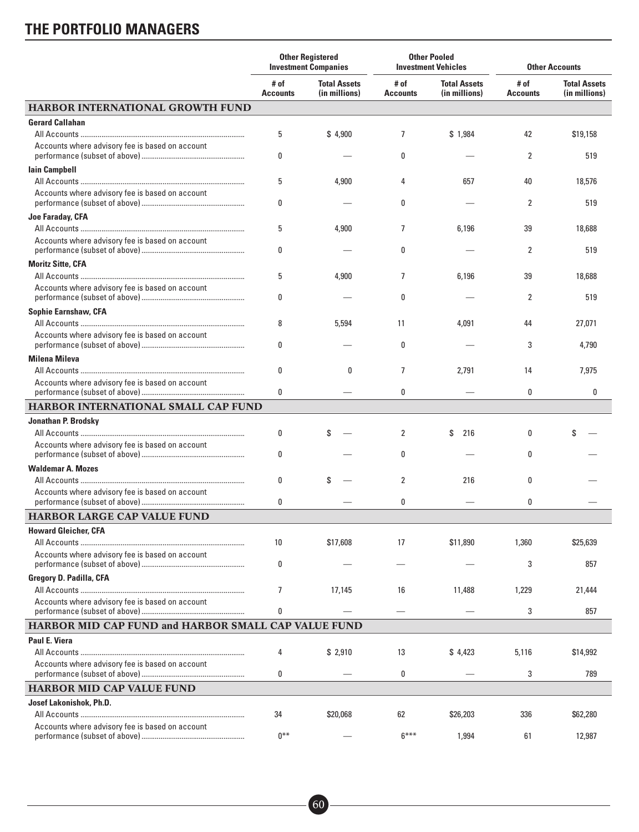|                                                     | <b>Other Registered</b><br><b>Investment Companies</b> |                                      | <b>Other Pooled</b><br><b>Investment Vehicles</b> |                                      | <b>Other Accounts</b>   |                                      |
|-----------------------------------------------------|--------------------------------------------------------|--------------------------------------|---------------------------------------------------|--------------------------------------|-------------------------|--------------------------------------|
|                                                     | # of<br><b>Accounts</b>                                | <b>Total Assets</b><br>(in millions) | # of<br><b>Accounts</b>                           | <b>Total Assets</b><br>(in millions) | # of<br><b>Accounts</b> | <b>Total Assets</b><br>(in millions) |
| <b>HARBOR INTERNATIONAL GROWTH FUND</b>             |                                                        |                                      |                                                   |                                      |                         |                                      |
| <b>Gerard Callahan</b>                              |                                                        |                                      |                                                   |                                      |                         |                                      |
|                                                     | 5                                                      | \$4,900                              | 7                                                 | \$1,984                              | 42                      | \$19,158                             |
| Accounts where advisory fee is based on account     | 0                                                      |                                      | 0                                                 |                                      | $\overline{2}$          | 519                                  |
| <b>lain Campbell</b>                                |                                                        |                                      |                                                   |                                      |                         |                                      |
| Accounts where advisory fee is based on account     | 5<br>0                                                 | 4,900                                | 4<br>0                                            | 657                                  | 40<br>2                 | 18,576<br>519                        |
| Joe Faraday, CFA                                    |                                                        |                                      |                                                   |                                      |                         |                                      |
|                                                     | 5                                                      | 4,900                                | 7                                                 | 6,196                                | 39                      | 18,688                               |
| Accounts where advisory fee is based on account     | 0                                                      |                                      | 0                                                 |                                      | $\overline{2}$          | 519                                  |
| <b>Moritz Sitte, CFA</b>                            |                                                        |                                      |                                                   |                                      |                         |                                      |
|                                                     | 5                                                      | 4,900                                | 7                                                 | 6,196                                | 39                      | 18,688                               |
| Accounts where advisory fee is based on account     | 0                                                      |                                      | 0                                                 |                                      | $\overline{2}$          | 519                                  |
| <b>Sophie Earnshaw, CFA</b>                         |                                                        |                                      |                                                   |                                      |                         |                                      |
|                                                     | 8                                                      | 5,594                                | 11                                                | 4,091                                | 44                      | 27,071                               |
| Accounts where advisory fee is based on account     | 0                                                      |                                      | 0                                                 |                                      | 3                       | 4,790                                |
| <b>Milena Mileva</b>                                |                                                        |                                      |                                                   |                                      |                         |                                      |
|                                                     | 0                                                      | 0                                    | $\overline{7}$                                    | 2,791                                | 14                      | 7,975                                |
| Accounts where advisory fee is based on account     | 0                                                      |                                      | 0                                                 |                                      | 0                       | 0                                    |
| HARBOR INTERNATIONAL SMALL CAP FUND                 |                                                        |                                      |                                                   |                                      |                         |                                      |
| Jonathan P. Brodsky                                 |                                                        |                                      |                                                   |                                      |                         |                                      |
|                                                     | 0                                                      |                                      | 2                                                 | 216<br>\$                            | 0                       |                                      |
| Accounts where advisory fee is based on account     | 0                                                      |                                      | 0                                                 |                                      | 0                       |                                      |
| <b>Waldemar A. Mozes</b>                            |                                                        |                                      |                                                   |                                      |                         |                                      |
|                                                     | 0                                                      | \$                                   | 2                                                 | 216                                  | 0                       |                                      |
| Accounts where advisory fee is based on account     | 0                                                      |                                      | 0                                                 |                                      | 0                       |                                      |
| <b>HARBOR LARGE CAP VALUE FUND</b>                  |                                                        |                                      |                                                   |                                      |                         |                                      |
| <b>Howard Gleicher, CFA</b>                         |                                                        |                                      |                                                   |                                      |                         |                                      |
|                                                     | 10                                                     | \$17,608                             | 17                                                | \$11,890                             | 1,360                   | \$25,639                             |
| Accounts where advisory fee is based on account     |                                                        |                                      |                                                   |                                      |                         |                                      |
|                                                     | 0                                                      |                                      |                                                   |                                      | 3                       | 857                                  |
| <b>Gregory D. Padilla, CFA</b>                      |                                                        |                                      |                                                   |                                      |                         |                                      |
|                                                     | $\overline{7}$                                         | 17,145                               | 16                                                | 11,488                               | 1,229                   | 21,444                               |
| Accounts where advisory fee is based on account     | 0                                                      |                                      |                                                   |                                      | 3                       | 857                                  |
| HARBOR MID CAP FUND and HARBOR SMALL CAP VALUE FUND |                                                        |                                      |                                                   |                                      |                         |                                      |
| <b>Paul E. Viera</b>                                |                                                        |                                      |                                                   |                                      |                         |                                      |
|                                                     | 4                                                      | \$2,910                              | 13                                                | \$4,423                              | 5,116                   | \$14,992                             |
| Accounts where advisory fee is based on account     | 0                                                      |                                      | 0                                                 |                                      | 3                       | 789                                  |
| <b>HARBOR MID CAP VALUE FUND</b>                    |                                                        |                                      |                                                   |                                      |                         |                                      |
| Josef Lakonishok, Ph.D.                             |                                                        |                                      |                                                   |                                      |                         |                                      |
|                                                     | 34                                                     | \$20,068                             | 62                                                | \$26,203                             | 336                     | \$62,280                             |
| Accounts where advisory fee is based on account     | $0***$                                                 |                                      | $6***$                                            | 1,994                                | 61                      | 12,987                               |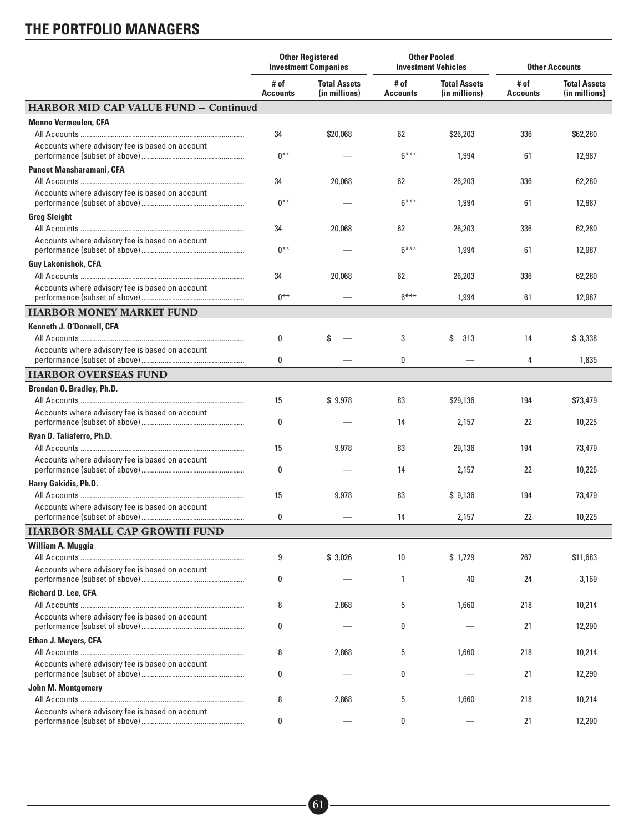|                                                 | <b>Other Registered</b><br><b>Investment Companies</b> |                                      | <b>Other Pooled</b><br><b>Investment Vehicles</b> |                                      | <b>Other Accounts</b>   |                                      |
|-------------------------------------------------|--------------------------------------------------------|--------------------------------------|---------------------------------------------------|--------------------------------------|-------------------------|--------------------------------------|
|                                                 | # of<br><b>Accounts</b>                                | <b>Total Assets</b><br>(in millions) | # of<br><b>Accounts</b>                           | <b>Total Assets</b><br>(in millions) | # of<br><b>Accounts</b> | <b>Total Assets</b><br>(in millions) |
| <b>HARBOR MID CAP VALUE FUND - Continued</b>    |                                                        |                                      |                                                   |                                      |                         |                                      |
| <b>Menno Vermeulen, CFA</b>                     |                                                        |                                      |                                                   |                                      |                         |                                      |
|                                                 | 34                                                     | \$20,068                             | 62                                                | \$26,203                             | 336                     | \$62,280                             |
| Accounts where advisory fee is based on account | $0***$                                                 |                                      | $6***$                                            | 1,994                                | 61                      | 12,987                               |
| <b>Puneet Mansharamani, CFA</b>                 |                                                        |                                      |                                                   |                                      |                         |                                      |
|                                                 | 34                                                     | 20,068                               | 62                                                | 26,203                               | 336                     | 62,280                               |
| Accounts where advisory fee is based on account | $0***$                                                 |                                      | $6***$                                            | 1,994                                | 61                      | 12,987                               |
| <b>Greg Sleight</b>                             |                                                        |                                      |                                                   |                                      |                         |                                      |
|                                                 | 34                                                     | 20,068                               | 62                                                | 26,203                               | 336                     | 62,280                               |
| Accounts where advisory fee is based on account | $0***$                                                 |                                      | $6***$                                            | 1,994                                | 61                      | 12,987                               |
| <b>Guy Lakonishok, CFA</b>                      |                                                        |                                      |                                                   |                                      |                         |                                      |
|                                                 | 34                                                     | 20,068                               | 62                                                | 26,203                               | 336                     | 62,280                               |
| Accounts where advisory fee is based on account | $0***$                                                 |                                      | $6***$                                            | 1,994                                | 61                      | 12,987                               |
| <b>HARBOR MONEY MARKET FUND</b>                 |                                                        |                                      |                                                   |                                      |                         |                                      |
| Kenneth J. O'Donnell, CFA                       |                                                        |                                      |                                                   |                                      |                         |                                      |
|                                                 | 0                                                      | S                                    | 3                                                 | S<br>313                             | 14                      | \$3,338                              |
| Accounts where advisory fee is based on account | 0                                                      |                                      | 0                                                 |                                      | 4                       | 1,835                                |
| <b>HARBOR OVERSEAS FUND</b>                     |                                                        |                                      |                                                   |                                      |                         |                                      |
| Brendan O. Bradley, Ph.D.                       |                                                        |                                      |                                                   |                                      |                         |                                      |
|                                                 | 15                                                     | \$9,978                              | 83                                                | \$29,136                             | 194                     | \$73,479                             |
| Accounts where advisory fee is based on account | 0                                                      |                                      | 14                                                | 2,157                                | 22                      | 10,225                               |
| Ryan D. Taliaferro, Ph.D.                       |                                                        |                                      |                                                   |                                      |                         |                                      |
|                                                 | 15                                                     | 9,978                                | 83                                                | 29,136                               | 194                     | 73,479                               |
| Accounts where advisory fee is based on account | 0                                                      |                                      | 14                                                | 2,157                                | 22                      | 10,225                               |
| Harry Gakidis, Ph.D.                            |                                                        |                                      |                                                   |                                      |                         |                                      |
|                                                 | 15                                                     | 9,978                                | 83                                                | \$9,136                              | 194                     | 73,479                               |
| Accounts where advisory fee is based on account | 0                                                      |                                      | 14                                                | 2,157                                | 22                      | 10,225                               |
| HARBOR SMALL CAP GROWTH FUND                    |                                                        |                                      |                                                   |                                      |                         |                                      |
| William A. Muggia                               |                                                        |                                      |                                                   |                                      |                         |                                      |
|                                                 | 9                                                      | \$3,026                              | 10                                                | \$1.729                              | 267                     | \$11,683                             |
| Accounts where advisory fee is based on account | 0                                                      |                                      | 1                                                 | 40                                   | 24                      | 3,169                                |
| <b>Richard D. Lee, CFA</b>                      |                                                        |                                      |                                                   |                                      |                         |                                      |
|                                                 | 8                                                      | 2,868                                | 5                                                 | 1,660                                | 218                     | 10,214                               |
| Accounts where advisory fee is based on account | 0                                                      |                                      | 0                                                 |                                      | 21                      | 12,290                               |
| <b>Ethan J. Meyers, CFA</b>                     |                                                        |                                      |                                                   |                                      |                         |                                      |
|                                                 | 8                                                      | 2,868                                | 5                                                 | 1,660                                | 218                     | 10,214                               |
| Accounts where advisory fee is based on account | 0                                                      |                                      | 0                                                 |                                      | 21                      | 12,290                               |
| John M. Montgomery                              |                                                        |                                      |                                                   |                                      |                         |                                      |
|                                                 | 8                                                      | 2,868                                | 5                                                 | 1,660                                | 218                     | 10,214                               |
| Accounts where advisory fee is based on account | 0                                                      |                                      | 0                                                 |                                      | 21                      | 12,290                               |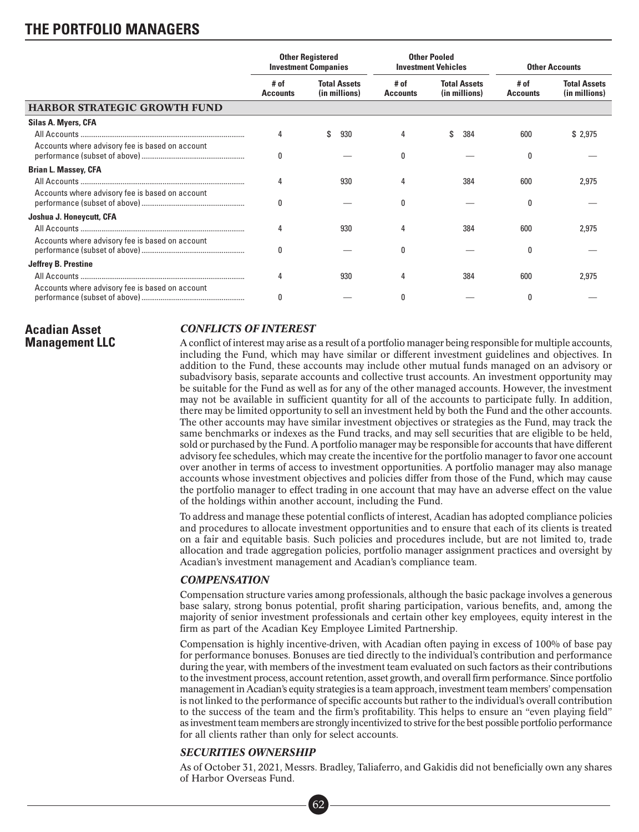|                                                 | <b>Other Registered</b><br><b>Investment Companies</b> |                                      | <b>Other Pooled</b><br><b>Investment Vehicles</b> |                                      | <b>Other Accounts</b>   |                                      |
|-------------------------------------------------|--------------------------------------------------------|--------------------------------------|---------------------------------------------------|--------------------------------------|-------------------------|--------------------------------------|
|                                                 | # of<br><b>Accounts</b>                                | <b>Total Assets</b><br>(in millions) | # of<br><b>Accounts</b>                           | <b>Total Assets</b><br>(in millions) | # of<br><b>Accounts</b> | <b>Total Assets</b><br>(in millions) |
| <b>HARBOR STRATEGIC GROWTH FUND</b>             |                                                        |                                      |                                                   |                                      |                         |                                      |
| Silas A. Myers, CFA                             |                                                        |                                      |                                                   |                                      |                         |                                      |
|                                                 | 4                                                      | 930                                  |                                                   | 384                                  | 600                     | \$2,975                              |
| Accounts where advisory fee is based on account | 0                                                      |                                      | O                                                 |                                      | 0                       |                                      |
| <b>Brian L. Massey, CFA</b>                     |                                                        |                                      |                                                   |                                      |                         |                                      |
|                                                 | 4                                                      | 930                                  | 4                                                 | 384                                  | 600                     | 2,975                                |
| Accounts where advisory fee is based on account | 0                                                      |                                      | n                                                 |                                      | 0                       |                                      |
| Joshua J. Honeycutt, CFA                        |                                                        |                                      |                                                   |                                      |                         |                                      |
|                                                 | 4                                                      | 930                                  |                                                   | 384                                  | 600                     | 2,975                                |
| Accounts where advisory fee is based on account | 0                                                      |                                      | O                                                 |                                      | 0                       |                                      |
| <b>Jeffrey B. Prestine</b>                      |                                                        |                                      |                                                   |                                      |                         |                                      |
|                                                 | 4                                                      | 930                                  |                                                   | 384                                  | 600                     | 2,975                                |
| Accounts where advisory fee is based on account |                                                        |                                      |                                                   |                                      | 0                       |                                      |

### **Acadian Asset Management LLC**

### *CONFLICTS OF INTEREST*

A conflict of interest may arise as a result of a portfolio manager being responsible for multiple accounts, including the Fund, which may have similar or different investment guidelines and objectives. In addition to the Fund, these accounts may include other mutual funds managed on an advisory or subadvisory basis, separate accounts and collective trust accounts. An investment opportunity may be suitable for the Fund as well as for any of the other managed accounts. However, the investment may not be available in sufficient quantity for all of the accounts to participate fully. In addition, there may be limited opportunity to sell an investment held by both the Fund and the other accounts. The other accounts may have similar investment objectives or strategies as the Fund, may track the same benchmarks or indexes as the Fund tracks, and may sell securities that are eligible to be held, sold or purchased by the Fund. A portfolio manager may be responsible for accounts that have different advisory fee schedules, which may create the incentive for the portfolio manager to favor one account over another in terms of access to investment opportunities. A portfolio manager may also manage accounts whose investment objectives and policies differ from those of the Fund, which may cause the portfolio manager to effect trading in one account that may have an adverse effect on the value of the holdings within another account, including the Fund.

To address and manage these potential conflicts of interest, Acadian has adopted compliance policies and procedures to allocate investment opportunities and to ensure that each of its clients is treated on a fair and equitable basis. Such policies and procedures include, but are not limited to, trade allocation and trade aggregation policies, portfolio manager assignment practices and oversight by Acadian's investment management and Acadian's compliance team.

### *COMPENSATION*

Compensation structure varies among professionals, although the basic package involves a generous base salary, strong bonus potential, profit sharing participation, various benefits, and, among the majority of senior investment professionals and certain other key employees, equity interest in the firm as part of the Acadian Key Employee Limited Partnership.

Compensation is highly incentive-driven, with Acadian often paying in excess of 100% of base pay for performance bonuses. Bonuses are tied directly to the individual's contribution and performance during the year, with members of the investment team evaluated on such factors as their contributions to the investment process, account retention, asset growth, and overall firm performance. Since portfolio management in Acadian's equity strategies is a team approach, investment team members' compensation is not linked to the performance of specific accounts but rather to the individual's overall contribution to the success of the team and the firm's profitability. This helps to ensure an "even playing field" as investment team members are strongly incentivized to strive for the best possible portfolio performance for all clients rather than only for select accounts.

### *SECURITIES OWNERSHIP*

As of October 31, 2021, Messrs. Bradley, Taliaferro, and Gakidis did not beneficially own any shares of Harbor Overseas Fund. ■•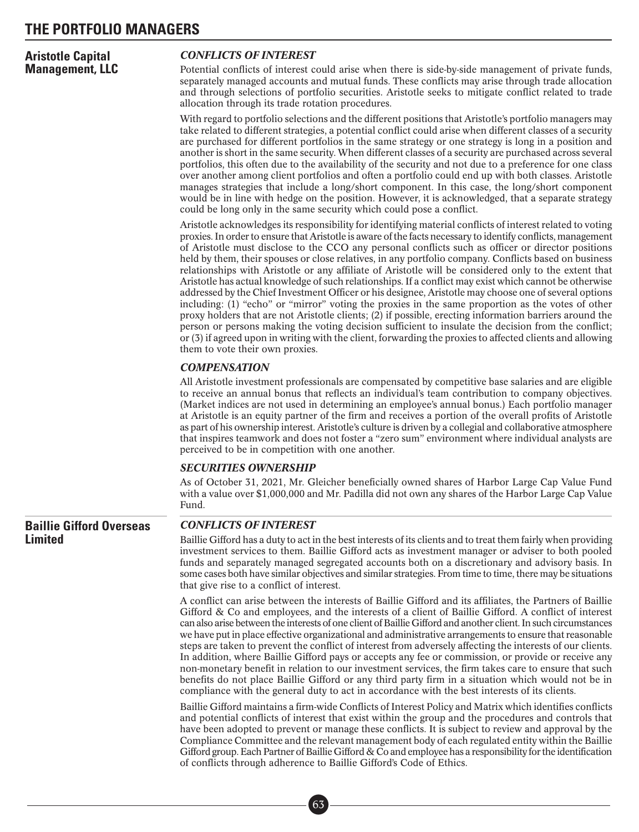| <b>Aristotle Capital</b> | <b>CONFLICTS OF INTEREST</b>                                                                                                                                                                                                                                                                                                                                                                                                                                                                                                                                                                                                                                                                                                                                                                                                                                                                                                                                                                                                                                                                   |
|--------------------------|------------------------------------------------------------------------------------------------------------------------------------------------------------------------------------------------------------------------------------------------------------------------------------------------------------------------------------------------------------------------------------------------------------------------------------------------------------------------------------------------------------------------------------------------------------------------------------------------------------------------------------------------------------------------------------------------------------------------------------------------------------------------------------------------------------------------------------------------------------------------------------------------------------------------------------------------------------------------------------------------------------------------------------------------------------------------------------------------|
| <b>Management, LLC</b>   | Potential conflicts of interest could arise when there is side-by-side management of private funds,<br>separately managed accounts and mutual funds. These conflicts may arise through trade allocation<br>and through selections of portfolio securities. Aristotle seeks to mitigate conflict related to trade<br>allocation through its trade rotation procedures.                                                                                                                                                                                                                                                                                                                                                                                                                                                                                                                                                                                                                                                                                                                          |
|                          | With regard to portfolio selections and the different positions that Aristotle's portfolio managers may<br>take related to different strategies, a potential conflict could arise when different classes of a security<br>are purchased for different portfolios in the same strategy or one strategy is long in a position and<br>another is short in the same security. When different classes of a security are purchased across several<br>portfolios, this often due to the availability of the security and not due to a preference for one class<br>over another among client portfolios and often a portfolio could end up with both classes. Aristotle<br>manages strategies that include a long/short component. In this case, the long/short component<br>would be in line with hedge on the position. However, it is acknowledged, that a separate strategy<br>could be long only in the same security which could pose a conflict.                                                                                                                                                |
|                          | Aristotle acknowledges its responsibility for identifying material conflicts of interest related to voting<br>proxies. In order to ensure that Aristotle is aware of the facts necessary to identify conflicts, management<br>of Aristotle must disclose to the CCO any personal conflicts such as officer or director positions<br>held by them, their spouses or close relatives, in any portfolio company. Conflicts based on business<br>relationships with Aristotle or any affiliate of Aristotle will be considered only to the extent that<br>Aristotle has actual knowledge of such relationships. If a conflict may exist which cannot be otherwise<br>addressed by the Chief Investment Officer or his designee, Aristotle may choose one of several options<br>including: (1) "echo" or "mirror" voting the proxies in the same proportion as the votes of other<br>proxy holders that are not Aristotle clients; (2) if possible, erecting information barriers around the<br>person or persons making the voting decision sufficient to insulate the decision from the conflict: |

lict may exist which cannot be otherwise istotle may choose one of several options same proportion as the votes of other recting information barriers around the insulate the decision from the conflict; or (3) if agreed upon in writing with the client, forwarding the proxies to affected clients and allowing them to vote their own proxies.

#### *COMPENSATION*

All Aristotle investment professionals are compensated by competitive base salaries and are eligible to receive an annual bonus that reflects an individual's team contribution to company objectives. (Market indices are not used in determining an employee's annual bonus.) Each portfolio manager at Aristotle is an equity partner of the firm and receives a portion of the overall profits of Aristotle as part of his ownership interest. Aristotle's culture is driven by a collegial and collaborative atmosphere that inspires teamwork and does not foster a "zero sum" environment where individual analysts are perceived to be in competition with one another.

#### *SECURITIES OWNERSHIP*

As of October 31, 2021, Mr. Gleicher beneficially owned shares of Harbor Large Cap Value Fund with a value over \$1,000,000 and Mr. Padilla did not own any shares of the Harbor Large Cap Value Fund.

**Baillie Gifford Overseas Limited**

#### *CONFLICTS OF INTEREST*

Baillie Gifford has a duty to act in the best interests of its clients and to treat them fairly when providing investment services to them. Baillie Gifford acts as investment manager or adviser to both pooled funds and separately managed segregated accounts both on a discretionary and advisory basis. In some cases both have similar objectives and similar strategies. From time to time, there may be situations that give rise to a conflict of interest.

A conflict can arise between the interests of Baillie Gifford and its affiliates, the Partners of Baillie Gifford & Co and employees, and the interests of a client of Baillie Gifford. A conflict of interest can also arise between the interests of one client of Baillie Gifford and another client. In such circumstances we have put in place effective organizational and administrative arrangements to ensure that reasonable steps are taken to prevent the conflict of interest from adversely affecting the interests of our clients. In addition, where Baillie Gifford pays or accepts any fee or commission, or provide or receive any non-monetary benefit in relation to our investment services, the firm takes care to ensure that such benefits do not place Baillie Gifford or any third party firm in a situation which would not be in compliance with the general duty to act in accordance with the best interests of its clients.

Baillie Gifford maintains a firm-wide Conflicts of Interest Policy and Matrix which identifies conflicts and potential conflicts of interest that exist within the group and the procedures and controls that have been adopted to prevent or manage these conflicts. It is subject to review and approval by the Compliance Committee and the relevant management body of each regulated entity within the Baillie Gifford group. Each Partner of Baillie Gifford & Co and employee has a responsibility for the identification of conflicts through adherence to Baillie Gifford's Code of Ethics.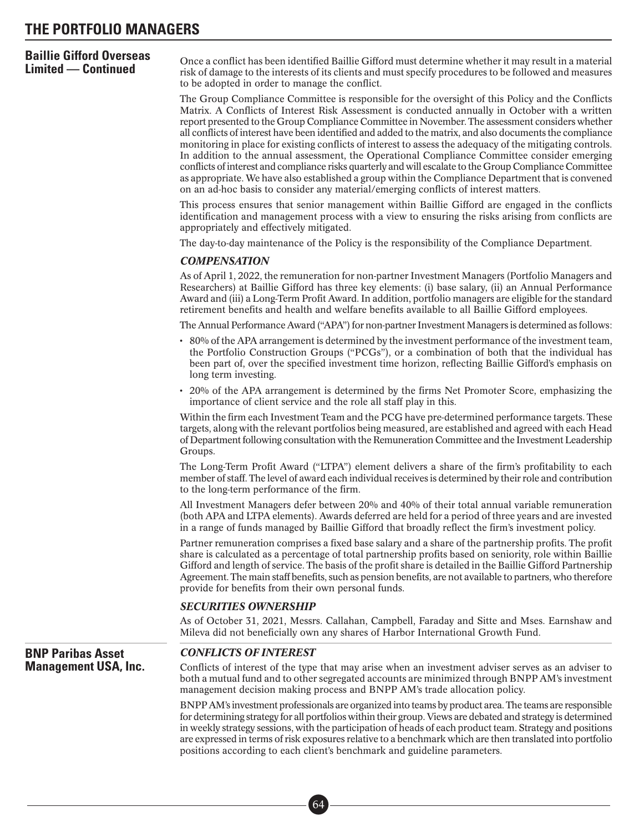# **Baillie Gifford Overseas**

**Limited — Continued**<br>**Limited — Continued** risk of damage to the interests of its clients and must specify procedures to be followed and measures to be adopted in order to manage the conflict.

> The Group Compliance Committee is responsible for the oversight of this Policy and the Conflicts Matrix. A Conflicts of Interest Risk Assessment is conducted annually in October with a written report presented to the Group Compliance Committee in November. The assessment considers whether all conflicts of interest have been identified and added to the matrix, and also documents the compliance monitoring in place for existing conflicts of interest to assess the adequacy of the mitigating controls. In addition to the annual assessment, the Operational Compliance Committee consider emerging conflicts of interest and compliance risks quarterly and will escalate to the Group Compliance Committee as appropriate. We have also established a group within the Compliance Department that is convened on an ad-hoc basis to consider any material/emerging conflicts of interest matters.

> This process ensures that senior management within Baillie Gifford are engaged in the conflicts identification and management process with a view to ensuring the risks arising from conflicts are appropriately and effectively mitigated.

The day-to-day maintenance of the Policy is the responsibility of the Compliance Department.

#### *COMPENSATION*

As of April 1, 2022, the remuneration for non-partner Investment Managers (Portfolio Managers and Researchers) at Baillie Gifford has three key elements: (i) base salary, (ii) an Annual Performance Award and (iii) a Long-Term Profit Award. In addition, portfolio managers are eligible for the standard retirement benefits and health and welfare benefits available to all Baillie Gifford employees.

The Annual Performance Award ("APA") for non-partner Investment Managers is determined as follows:

- 80% of the APA arrangement is determined by the investment performance of the investment team, the Portfolio Construction Groups ("PCGs"), or a combination of both that the individual has been part of, over the specified investment time horizon, reflecting Baillie Gifford's emphasis on long term investing.
- 20% of the APA arrangement is determined by the firms Net Promoter Score, emphasizing the importance of client service and the role all staff play in this.

Within the firm each Investment Team and the PCG have pre-determined performance targets. These targets, along with the relevant portfolios being measured, are established and agreed with each Head of Department following consultation with the Remuneration Committee and the Investment Leadership Groups.

The Long-Term Profit Award ("LTPA") element delivers a share of the firm's profitability to each member of staff. The level of award each individual receives is determined by their role and contribution to the long-term performance of the firm.

All Investment Managers defer between 20% and 40% of their total annual variable remuneration (both APA and LTPA elements). Awards deferred are held for a period of three years and are invested in a range of funds managed by Baillie Gifford that broadly reflect the firm's investment policy.

Partner remuneration comprises a fixed base salary and a share of the partnership profits. The profit share is calculated as a percentage of total partnership profits based on seniority, role within Baillie Gifford and length of service. The basis of the profit share is detailed in the Baillie Gifford Partnership Agreement. The main staff benefits, such as pension benefits, are not available to partners, who therefore provide for benefits from their own personal funds.

#### *SECURITIES OWNERSHIP*

As of October 31, 2021, Messrs. Callahan, Campbell, Faraday and Sitte and Mses. Earnshaw and Mileva did not beneficially own any shares of Harbor International Growth Fund.

**BNP Paribas Asset Management USA, Inc.**

#### *CONFLICTS OF INTEREST*

Conflicts of interest of the type that may arise when an investment adviser serves as an adviser to both a mutual fund and to other segregated accounts are minimized through BNPP AM's investment management decision making process and BNPP AM's trade allocation policy.

BNPP AM's investment professionals are organized into teams by product area. The teams are responsible for determining strategy for all portfolios within their group. Views are debated and strategy is determined in weekly strategy sessions, with the participation of heads of each product team. Strategy and positions are expressed in terms of risk exposures relative to a benchmark which are then translated into portfolio positions according to each client's benchmark and guideline parameters.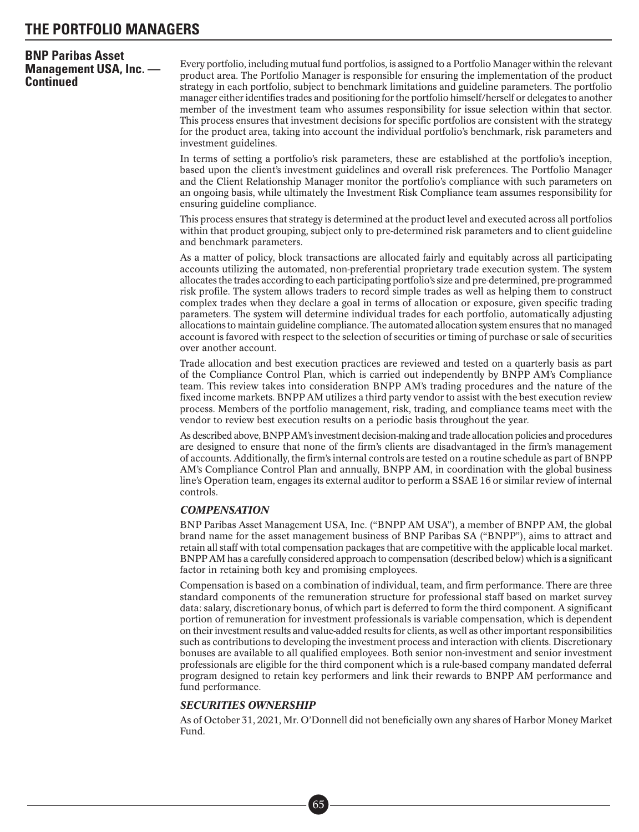### **BNP Paribas Asset Management USA, Inc. — Continued**

Every portfolio, including mutual fund portfolios, is assigned to a Portfolio Manager within the relevant product area. The Portfolio Manager is responsible for ensuring the implementation of the product strategy in each portfolio, subject to benchmark limitations and guideline parameters. The portfolio manager either identifies trades and positioning for the portfolio himself/herself or delegates to another member of the investment team who assumes responsibility for issue selection within that sector. This process ensures that investment decisions for specific portfolios are consistent with the strategy for the product area, taking into account the individual portfolio's benchmark, risk parameters and investment guidelines.

In terms of setting a portfolio's risk parameters, these are established at the portfolio's inception, based upon the client's investment guidelines and overall risk preferences. The Portfolio Manager and the Client Relationship Manager monitor the portfolio's compliance with such parameters on an ongoing basis, while ultimately the Investment Risk Compliance team assumes responsibility for ensuring guideline compliance.

This process ensures that strategy is determined at the product level and executed across all portfolios within that product grouping, subject only to pre-determined risk parameters and to client guideline and benchmark parameters.

As a matter of policy, block transactions are allocated fairly and equitably across all participating accounts utilizing the automated, non-preferential proprietary trade execution system. The system allocates the trades according to each participating portfolio's size and pre-determined, pre-programmed risk profile. The system allows traders to record simple trades as well as helping them to construct complex trades when they declare a goal in terms of allocation or exposure, given specific trading parameters. The system will determine individual trades for each portfolio, automatically adjusting allocations to maintain guideline compliance. The automated allocation system ensures that no managed account is favored with respect to the selection of securities or timing of purchase or sale of securities over another account.

Trade allocation and best execution practices are reviewed and tested on a quarterly basis as part of the Compliance Control Plan, which is carried out independently by BNPP AM's Compliance team. This review takes into consideration BNPP AM's trading procedures and the nature of the fixed income markets. BNPP AM utilizes a third party vendor to assist with the best execution review process. Members of the portfolio management, risk, trading, and compliance teams meet with the vendor to review best execution results on a periodic basis throughout the year.

As described above, BNPP AM's investment decision-making and trade allocation policies and procedures are designed to ensure that none of the firm's clients are disadvantaged in the firm's management of accounts. Additionally, the firm's internal controls are tested on a routine schedule as part of BNPP AM's Compliance Control Plan and annually, BNPP AM, in coordination with the global business line's Operation team, engages its external auditor to perform a SSAE 16 or similar review of internal controls.

#### *COMPENSATION*

BNP Paribas Asset Management USA, Inc. ("BNPP AM USA"), a member of BNPP AM, the global brand name for the asset management business of BNP Paribas SA ("BNPP"), aims to attract and retain all staff with total compensation packages that are competitive with the applicable local market. BNPP AM has a carefully considered approach to compensation (described below) which is a significant factor in retaining both key and promising employees.

Compensation is based on a combination of individual, team, and firm performance. There are three standard components of the remuneration structure for professional staff based on market survey data: salary, discretionary bonus, of which part is deferred to form the third component. A significant portion of remuneration for investment professionals is variable compensation, which is dependent on their investment results and value-added results for clients, as well as other important responsibilities such as contributions to developing the investment process and interaction with clients. Discretionary bonuses are available to all qualified employees. Both senior non-investment and senior investment professionals are eligible for the third component which is a rule-based company mandated deferral program designed to retain key performers and link their rewards to BNPP AM performance and fund performance.

#### *SECURITIES OWNERSHIP*

■• 65

As of October 31, 2021, Mr. O'Donnell did not beneficially own any shares of Harbor Money Market Fund.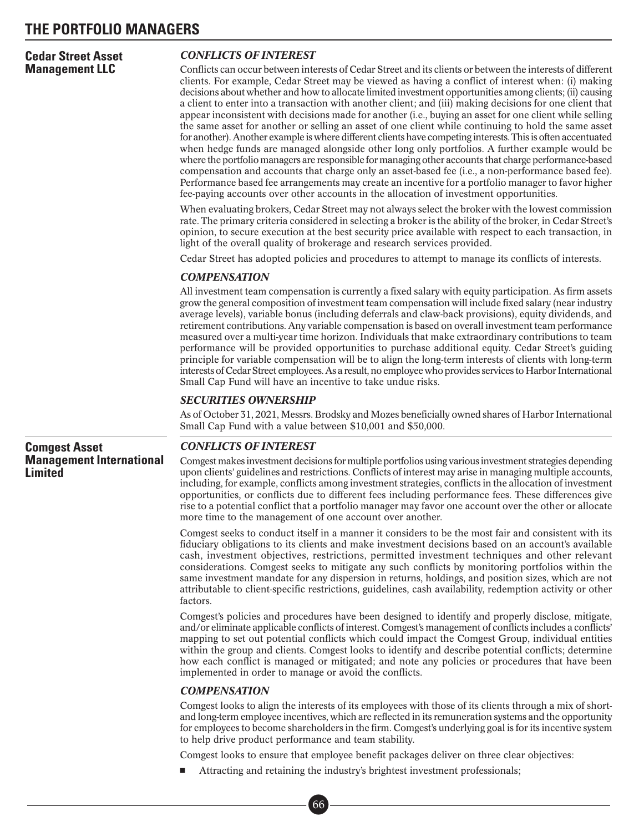#### **Cedar Street Asset Management LLC**

### *CONFLICTS OF INTEREST*

Conflicts can occur between interests of Cedar Street and its clients or between the interests of different clients. For example, Cedar Street may be viewed as having a conflict of interest when: (i) making decisions about whether and how to allocate limited investment opportunities among clients; (ii) causing a client to enter into a transaction with another client; and (iii) making decisions for one client that appear inconsistent with decisions made for another (i.e., buying an asset for one client while selling the same asset for another or selling an asset of one client while continuing to hold the same asset for another). Another example is where different clients have competing interests. This is often accentuated when hedge funds are managed alongside other long only portfolios. A further example would be where the portfolio managers are responsible for managing other accounts that charge performance-based compensation and accounts that charge only an asset-based fee (i.e., a non-performance based fee). Performance based fee arrangements may create an incentive for a portfolio manager to favor higher fee-paying accounts over other accounts in the allocation of investment opportunities.

When evaluating brokers, Cedar Street may not always select the broker with the lowest commission rate. The primary criteria considered in selecting a broker is the ability of the broker, in Cedar Street's opinion, to secure execution at the best security price available with respect to each transaction, in light of the overall quality of brokerage and research services provided.

Cedar Street has adopted policies and procedures to attempt to manage its conflicts of interests.

### *COMPENSATION*

All investment team compensation is currently a fixed salary with equity participation. As firm assets grow the general composition of investment team compensation will include fixed salary (near industry average levels), variable bonus (including deferrals and claw-back provisions), equity dividends, and retirement contributions. Any variable compensation is based on overall investment team performance measured over a multi-year time horizon. Individuals that make extraordinary contributions to team performance will be provided opportunities to purchase additional equity. Cedar Street's guiding principle for variable compensation will be to align the long-term interests of clients with long-term interests of Cedar Street employees. As a result, no employee who provides services to Harbor International Small Cap Fund will have an incentive to take undue risks.

#### *SECURITIES OWNERSHIP*

As of October 31, 2021, Messrs. Brodsky and Mozes beneficially owned shares of Harbor International Small Cap Fund with a value between \$10,001 and \$50,000.

### **Comgest Asset Management International Limited**

### *CONFLICTS OF INTEREST*

Comgest makes investment decisions for multiple portfolios using various investment strategies depending upon clients' guidelines and restrictions. Conflicts of interest may arise in managing multiple accounts, including, for example, conflicts among investment strategies, conflicts in the allocation of investment opportunities, or conflicts due to different fees including performance fees. These differences give rise to a potential conflict that a portfolio manager may favor one account over the other or allocate more time to the management of one account over another.

Comgest seeks to conduct itself in a manner it considers to be the most fair and consistent with its fiduciary obligations to its clients and make investment decisions based on an account's available cash, investment objectives, restrictions, permitted investment techniques and other relevant considerations. Comgest seeks to mitigate any such conflicts by monitoring portfolios within the same investment mandate for any dispersion in returns, holdings, and position sizes, which are not attributable to client-specific restrictions, guidelines, cash availability, redemption activity or other factors.

Comgest's policies and procedures have been designed to identify and properly disclose, mitigate, and/or eliminate applicable conflicts of interest. Comgest's management of conflicts includes a conflicts' mapping to set out potential conflicts which could impact the Comgest Group, individual entities within the group and clients. Comgest looks to identify and describe potential conflicts; determine how each conflict is managed or mitigated; and note any policies or procedures that have been implemented in order to manage or avoid the conflicts.

#### *COMPENSATION*

Comgest looks to align the interests of its employees with those of its clients through a mix of shortand long-term employee incentives, which are reflected in its remuneration systems and the opportunity for employees to become shareholders in the firm. Comgest's underlying goal is for its incentive system to help drive product performance and team stability.

Comgest looks to ensure that employee benefit packages deliver on three clear objectives:

-Attracting and retaining the industry's brightest investment professionals;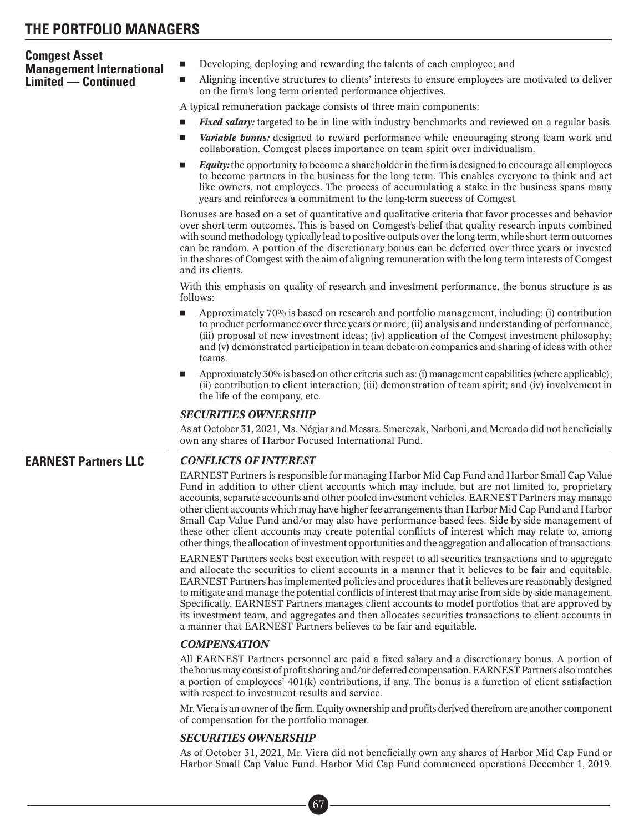| <b>Comgest Asset</b>                                          | Developing, deploying and rewarding the talents of each employee; and<br>$\blacksquare$                                                                                                                                                                                                                                                                                                                                                                                                                                                                                                                                                                                                                                   |  |  |  |  |  |  |
|---------------------------------------------------------------|---------------------------------------------------------------------------------------------------------------------------------------------------------------------------------------------------------------------------------------------------------------------------------------------------------------------------------------------------------------------------------------------------------------------------------------------------------------------------------------------------------------------------------------------------------------------------------------------------------------------------------------------------------------------------------------------------------------------------|--|--|--|--|--|--|
| <b>Management International</b><br><b>Limited — Continued</b> | Aligning incentive structures to clients' interests to ensure employees are motivated to deliver<br>ш                                                                                                                                                                                                                                                                                                                                                                                                                                                                                                                                                                                                                     |  |  |  |  |  |  |
|                                                               | on the firm's long term-oriented performance objectives.                                                                                                                                                                                                                                                                                                                                                                                                                                                                                                                                                                                                                                                                  |  |  |  |  |  |  |
|                                                               | A typical remuneration package consists of three main components:                                                                                                                                                                                                                                                                                                                                                                                                                                                                                                                                                                                                                                                         |  |  |  |  |  |  |
|                                                               | <b>Fixed salary:</b> targeted to be in line with industry benchmarks and reviewed on a regular basis.<br>$\blacksquare$                                                                                                                                                                                                                                                                                                                                                                                                                                                                                                                                                                                                   |  |  |  |  |  |  |
|                                                               | Variable bonus: designed to reward performance while encouraging strong team work and<br>ш<br>collaboration. Comgest places importance on team spirit over individualism.                                                                                                                                                                                                                                                                                                                                                                                                                                                                                                                                                 |  |  |  |  |  |  |
|                                                               | <b>Equity:</b> the opportunity to become a shareholder in the firm is designed to encourage all employees<br>ш<br>to become partners in the business for the long term. This enables everyone to think and act<br>like owners, not employees. The process of accumulating a stake in the business spans many<br>years and reinforces a commitment to the long-term success of Comgest.                                                                                                                                                                                                                                                                                                                                    |  |  |  |  |  |  |
|                                                               | Bonuses are based on a set of quantitative and qualitative criteria that favor processes and behavior<br>over short-term outcomes. This is based on Comgest's belief that quality research inputs combined<br>with sound methodology typically lead to positive outputs over the long-term, while short-term outcomes<br>can be random. A portion of the discretionary bonus can be deferred over three years or invested<br>in the shares of Comgest with the aim of aligning remuneration with the long-term interests of Comgest<br>and its clients.                                                                                                                                                                   |  |  |  |  |  |  |
|                                                               | With this emphasis on quality of research and investment performance, the bonus structure is as<br>follows:                                                                                                                                                                                                                                                                                                                                                                                                                                                                                                                                                                                                               |  |  |  |  |  |  |
|                                                               | Approximately 70% is based on research and portfolio management, including: (i) contribution<br>ш<br>to product performance over three years or more; (ii) analysis and understanding of performance;<br>(iii) proposal of new investment ideas; (iv) application of the Comgest investment philosophy;<br>and (v) demonstrated participation in team debate on companies and sharing of ideas with other<br>teams.                                                                                                                                                                                                                                                                                                       |  |  |  |  |  |  |
|                                                               | Approximately 30% is based on other criteria such as: (i) management capabilities (where applicable);<br>ш<br>(ii) contribution to client interaction; (iii) demonstration of team spirit; and (iv) involvement in<br>the life of the company, etc.                                                                                                                                                                                                                                                                                                                                                                                                                                                                       |  |  |  |  |  |  |
|                                                               | <b>SECURITIES OWNERSHIP</b>                                                                                                                                                                                                                                                                                                                                                                                                                                                                                                                                                                                                                                                                                               |  |  |  |  |  |  |
|                                                               | As at October 31, 2021, Ms. Négiar and Messrs. Smerczak, Narboni, and Mercado did not beneficially<br>own any shares of Harbor Focused International Fund.                                                                                                                                                                                                                                                                                                                                                                                                                                                                                                                                                                |  |  |  |  |  |  |
| <b>EARNEST Partners LLC</b>                                   | <b>CONFLICTS OF INTEREST</b>                                                                                                                                                                                                                                                                                                                                                                                                                                                                                                                                                                                                                                                                                              |  |  |  |  |  |  |
|                                                               | EARNEST Partners is responsible for managing Harbor Mid Cap Fund and Harbor Small Cap Value<br>Fund in addition to other client accounts which may include, but are not limited to, proprietary<br>accounts, separate accounts and other pooled investment vehicles. EARNEST Partners may manage<br>other client accounts which may have higher fee arrangements than Harbor Mid Cap Fund and Harbor<br>Small Cap Value Fund and/or may also have performance-based fees. Side-by-side management of<br>these other client accounts may create potential conflicts of interest which may relate to, among<br>other things, the allocation of investment opportunities and the aggregation and allocation of transactions. |  |  |  |  |  |  |
|                                                               | EARNEST Partners seeks best execution with respect to all securities transactions and to aggregate<br>and allocate the securities to client accounts in a manner that it believes to be fair and equitable.<br>EARNEST Partners has implemented policies and procedures that it believes are reasonably designed<br>to mitigate and manage the potential conflicts of interest that may arise from side-by-side management.<br>Specifically, EARNEST Partners manages client accounts to model portfolios that are approved by<br>its investment team, and aggregates and then allocates securities transactions to client accounts in<br>a manner that EARNEST Partners believes to be fair and equitable.               |  |  |  |  |  |  |

#### *COMPENSATION*

All EARNEST Partners personnel are paid a fixed salary and a discretionary bonus. A portion of the bonus may consist of profit sharing and/or deferred compensation. EARNEST Partners also matches a portion of employees' 401(k) contributions, if any. The bonus is a function of client satisfaction with respect to investment results and service.

Mr. Viera is an owner of the firm. Equity ownership and profits derived therefrom are another component of compensation for the portfolio manager.

#### *SECURITIES OWNERSHIP*

As of October 31, 2021, Mr. Viera did not beneficially own any shares of Harbor Mid Cap Fund or Harbor Small Cap Value Fund. Harbor Mid Cap Fund commenced operations December 1, 2019.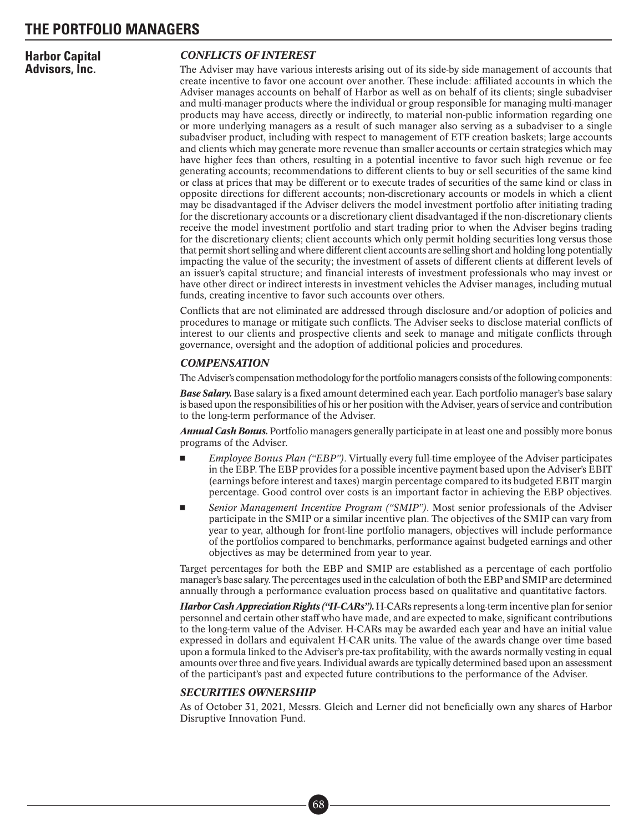**Harbor Capital Advisors, Inc.**

### *CONFLICTS OF INTEREST*

The Adviser may have various interests arising out of its side-by side management of accounts that create incentive to favor one account over another. These include: affiliated accounts in which the Adviser manages accounts on behalf of Harbor as well as on behalf of its clients; single subadviser and multi-manager products where the individual or group responsible for managing multi-manager products may have access, directly or indirectly, to material non-public information regarding one or more underlying managers as a result of such manager also serving as a subadviser to a single subadviser product, including with respect to management of ETF creation baskets; large accounts and clients which may generate more revenue than smaller accounts or certain strategies which may have higher fees than others, resulting in a potential incentive to favor such high revenue or fee generating accounts; recommendations to different clients to buy or sell securities of the same kind or class at prices that may be different or to execute trades of securities of the same kind or class in opposite directions for different accounts; non-discretionary accounts or models in which a client may be disadvantaged if the Adviser delivers the model investment portfolio after initiating trading for the discretionary accounts or a discretionary client disadvantaged if the non-discretionary clients receive the model investment portfolio and start trading prior to when the Adviser begins trading for the discretionary clients; client accounts which only permit holding securities long versus those that permit short selling and where different client accounts are selling short and holding long potentially impacting the value of the security; the investment of assets of different clients at different levels of an issuer's capital structure; and financial interests of investment professionals who may invest or have other direct or indirect interests in investment vehicles the Adviser manages, including mutual funds, creating incentive to favor such accounts over others.

Conflicts that are not eliminated are addressed through disclosure and/or adoption of policies and procedures to manage or mitigate such conflicts. The Adviser seeks to disclose material conflicts of interest to our clients and prospective clients and seek to manage and mitigate conflicts through governance, oversight and the adoption of additional policies and procedures.

#### *COMPENSATION*

The Adviser's compensation methodology for the portfolio managers consists of the following components:

*Base Salary.* Base salary is a fixed amount determined each year. Each portfolio manager's base salary is based upon the responsibilities of his or her position with the Adviser, years of service and contribution to the long-term performance of the Adviser.

*Annual Cash Bonus.* Portfolio managers generally participate in at least one and possibly more bonus programs of the Adviser.

- - *Employee Bonus Plan ("EBP")*. Virtually every full-time employee of the Adviser participates in the EBP. The EBP provides for a possible incentive payment based upon the Adviser's EBIT (earnings before interest and taxes) margin percentage compared to its budgeted EBIT margin percentage. Good control over costs is an important factor in achieving the EBP objectives.
- - *Senior Management Incentive Program ("SMIP")*. Most senior professionals of the Adviser participate in the SMIP or a similar incentive plan. The objectives of the SMIP can vary from year to year, although for front-line portfolio managers, objectives will include performance of the portfolios compared to benchmarks, performance against budgeted earnings and other objectives as may be determined from year to year.

Target percentages for both the EBP and SMIP are established as a percentage of each portfolio manager's base salary. The percentages used in the calculation of both the EBP and SMIP are determined annually through a performance evaluation process based on qualitative and quantitative factors.

*Harbor Cash Appreciation Rights ("H-CARs").* H-CARs represents a long-term incentive plan for senior personnel and certain other staff who have made, and are expected to make, significant contributions to the long-term value of the Adviser. H-CARs may be awarded each year and have an initial value expressed in dollars and equivalent H-CAR units. The value of the awards change over time based upon a formula linked to the Adviser's pre-tax profitability, with the awards normally vesting in equal amounts over three and five years. Individual awards are typically determined based upon an assessment of the participant's past and expected future contributions to the performance of the Adviser.

#### *SECURITIES OWNERSHIP*

As of October 31, 2021, Messrs. Gleich and Lerner did not beneficially own any shares of Harbor Disruptive Innovation Fund.

> ■• 68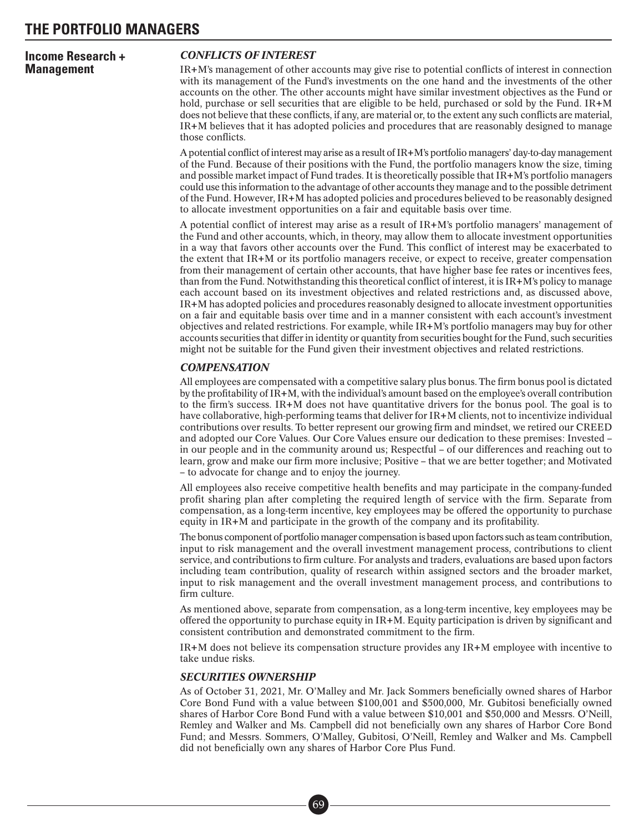### **Income Research + Management**

### *CONFLICTS OF INTEREST*

IR+M's management of other accounts may give rise to potential conflicts of interest in connection with its management of the Fund's investments on the one hand and the investments of the other accounts on the other. The other accounts might have similar investment objectives as the Fund or hold, purchase or sell securities that are eligible to be held, purchased or sold by the Fund. IR+M does not believe that these conflicts, if any, are material or, to the extent any such conflicts are material, IR+M believes that it has adopted policies and procedures that are reasonably designed to manage those conflicts.

A potential conflict of interest may arise as a result of IR+M's portfolio managers' day-to-day management of the Fund. Because of their positions with the Fund, the portfolio managers know the size, timing and possible market impact of Fund trades. It is theoretically possible that IR+M's portfolio managers could use this information to the advantage of other accounts they manage and to the possible detriment of the Fund. However, IR+M has adopted policies and procedures believed to be reasonably designed to allocate investment opportunities on a fair and equitable basis over time.

A potential conflict of interest may arise as a result of IR+M's portfolio managers' management of the Fund and other accounts, which, in theory, may allow them to allocate investment opportunities in a way that favors other accounts over the Fund. This conflict of interest may be exacerbated to the extent that IR+M or its portfolio managers receive, or expect to receive, greater compensation from their management of certain other accounts, that have higher base fee rates or incentives fees, than from the Fund. Notwithstanding this theoretical conflict of interest, it is IR+M's policy to manage each account based on its investment objectives and related restrictions and, as discussed above, IR+M has adopted policies and procedures reasonably designed to allocate investment opportunities on a fair and equitable basis over time and in a manner consistent with each account's investment objectives and related restrictions. For example, while IR+M's portfolio managers may buy for other accounts securities that differ in identity or quantity from securities bought for the Fund, such securities might not be suitable for the Fund given their investment objectives and related restrictions.

### *COMPENSATION*

All employees are compensated with a competitive salary plus bonus. The firm bonus pool is dictated by the profitability of IR+M, with the individual's amount based on the employee's overall contribution to the firm's success.  $IR+M$  does not have quantitative drivers for the bonus pool. The goal is to have collaborative, high-performing teams that deliver for IR+M clients, not to incentivize individual contributions over results. To better represent our growing firm and mindset, we retired our CREED and adopted our Core Values. Our Core Values ensure our dedication to these premises: Invested – in our people and in the community around us; Respectful – of our differences and reaching out to learn, grow and make our firm more inclusive; Positive – that we are better together; and Motivated – to advocate for change and to enjoy the journey.

All employees also receive competitive health benefits and may participate in the company-funded profit sharing plan after completing the required length of service with the firm. Separate from compensation, as a long-term incentive, key employees may be offered the opportunity to purchase equity in IR+M and participate in the growth of the company and its profitability.

The bonus component of portfolio manager compensation is based upon factors such as team contribution, input to risk management and the overall investment management process, contributions to client service, and contributions to firm culture. For analysts and traders, evaluations are based upon factors including team contribution, quality of research within assigned sectors and the broader market, input to risk management and the overall investment management process, and contributions to firm culture.

As mentioned above, separate from compensation, as a long-term incentive, key employees may be offered the opportunity to purchase equity in IR+M. Equity participation is driven by significant and consistent contribution and demonstrated commitment to the firm.

IR+M does not believe its compensation structure provides any IR+M employee with incentive to take undue risks.

#### *SECURITIES OWNERSHIP*

As of October 31, 2021, Mr. O'Malley and Mr. Jack Sommers beneficially owned shares of Harbor Core Bond Fund with a value between \$100,001 and \$500,000, Mr. Gubitosi beneficially owned shares of Harbor Core Bond Fund with a value between \$10,001 and \$50,000 and Messrs. O'Neill, Remley and Walker and Ms. Campbell did not beneficially own any shares of Harbor Core Bond Fund; and Messrs. Sommers, O'Malley, Gubitosi, O'Neill, Remley and Walker and Ms. Campbell did not beneficially own any shares of Harbor Core Plus Fund.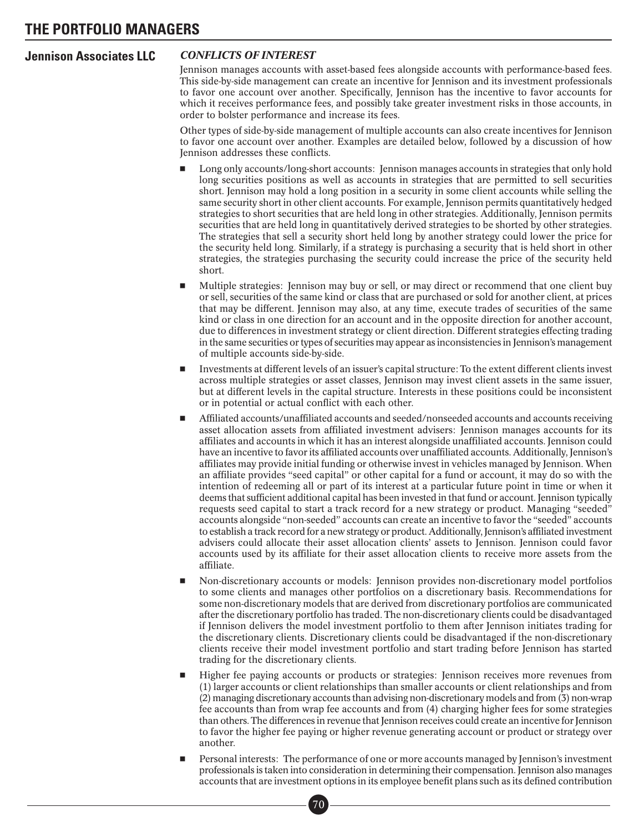### **Jennison Associates LLC** *CONFLICTS OF INTEREST*

Jennison manages accounts with asset-based fees alongside accounts with performance-based fees. This side-by-side management can create an incentive for Jennison and its investment professionals to favor one account over another. Specifically, Jennison has the incentive to favor accounts for which it receives performance fees, and possibly take greater investment risks in those accounts, in order to bolster performance and increase its fees.

Other types of side-by-side management of multiple accounts can also create incentives for Jennison to favor one account over another. Examples are detailed below, followed by a discussion of how Jennison addresses these conflicts.

- - Long only accounts/long-short accounts: Jennison manages accounts in strategies that only hold long securities positions as well as accounts in strategies that are permitted to sell securities short. Jennison may hold a long position in a security in some client accounts while selling the same security short in other client accounts. For example, Jennison permits quantitatively hedged strategies to short securities that are held long in other strategies. Additionally, Jennison permits securities that are held long in quantitatively derived strategies to be shorted by other strategies. The strategies that sell a security short held long by another strategy could lower the price for the security held long. Similarly, if a strategy is purchasing a security that is held short in other strategies, the strategies purchasing the security could increase the price of the security held short.
- - Multiple strategies: Jennison may buy or sell, or may direct or recommend that one client buy or sell, securities of the same kind or class that are purchased or sold for another client, at prices that may be different. Jennison may also, at any time, execute trades of securities of the same kind or class in one direction for an account and in the opposite direction for another account, due to differences in investment strategy or client direction. Different strategies effecting trading in the same securities or types of securities may appear as inconsistencies in Jennison's management of multiple accounts side-by-side.
- - Investments at different levels of an issuer's capital structure: To the extent different clients invest across multiple strategies or asset classes, Jennison may invest client assets in the same issuer, but at different levels in the capital structure. Interests in these positions could be inconsistent or in potential or actual conflict with each other.
- - Affiliated accounts/unaffiliated accounts and seeded/nonseeded accounts and accounts receiving asset allocation assets from affiliated investment advisers: Jennison manages accounts for its affiliates and accounts in which it has an interest alongside unaffiliated accounts. Jennison could have an incentive to favor its affiliated accounts over unaffiliated accounts. Additionally, Jennison's affiliates may provide initial funding or otherwise invest in vehicles managed by Jennison. When an affiliate provides "seed capital" or other capital for a fund or account, it may do so with the intention of redeeming all or part of its interest at a particular future point in time or when it deems that sufficient additional capital has been invested in that fund or account. Jennison typically requests seed capital to start a track record for a new strategy or product. Managing "seeded" accounts alongside "non-seeded" accounts can create an incentive to favor the "seeded" accounts to establish a track record for a new strategy or product. Additionally, Jennison's affiliated investment advisers could allocate their asset allocation clients' assets to Jennison. Jennison could favor accounts used by its affiliate for their asset allocation clients to receive more assets from the affiliate.
- - Non-discretionary accounts or models: Jennison provides non-discretionary model portfolios to some clients and manages other portfolios on a discretionary basis. Recommendations for some non-discretionary models that are derived from discretionary portfolios are communicated after the discretionary portfolio has traded. The non-discretionary clients could be disadvantaged if Jennison delivers the model investment portfolio to them after Jennison initiates trading for the discretionary clients. Discretionary clients could be disadvantaged if the non-discretionary clients receive their model investment portfolio and start trading before Jennison has started trading for the discretionary clients.
- - Higher fee paying accounts or products or strategies: Jennison receives more revenues from (1) larger accounts or client relationships than smaller accounts or client relationships and from (2) managing discretionary accounts than advising non-discretionary models and from (3) non-wrap fee accounts than from wrap fee accounts and from (4) charging higher fees for some strategies than others. The differences in revenue that Jennison receives could create an incentive for Jennison to favor the higher fee paying or higher revenue generating account or product or strategy over another.
- - Personal interests: The performance of one or more accounts managed by Jennison's investment professionals is taken into consideration in determining their compensation. Jennison also manages accounts that are investment options in its employee benefit plans such as its defined contribution ■•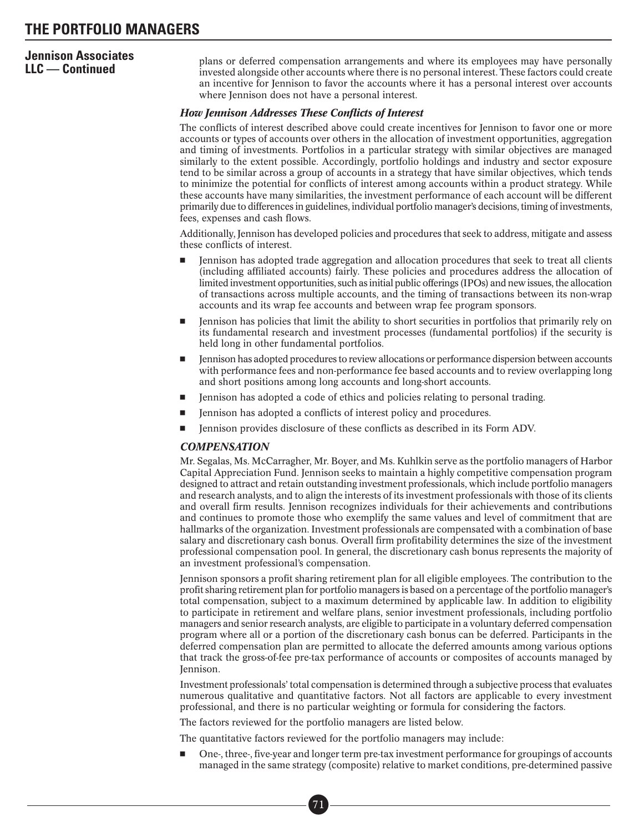# **Jennison Associates**

**LLC — Continued** plans or deferred compensation arrangements and where its employees may have personally invested alongside other accounts where there is no personal interest. These factors could create an incentive for Jennison to favor the accounts where it has a personal interest over accounts where Jennison does not have a personal interest.

### *How Jennison Addresses These Conflicts of Interest*

The conflicts of interest described above could create incentives for Jennison to favor one or more accounts or types of accounts over others in the allocation of investment opportunities, aggregation and timing of investments. Portfolios in a particular strategy with similar objectives are managed similarly to the extent possible. Accordingly, portfolio holdings and industry and sector exposure tend to be similar across a group of accounts in a strategy that have similar objectives, which tends to minimize the potential for conflicts of interest among accounts within a product strategy. While these accounts have many similarities, the investment performance of each account will be different primarily due to differences in guidelines, individual portfolio manager's decisions, timing of investments, fees, expenses and cash flows.

Additionally, Jennison has developed policies and procedures that seek to address, mitigate and assess these conflicts of interest.

- - Jennison has adopted trade aggregation and allocation procedures that seek to treat all clients (including affiliated accounts) fairly. These policies and procedures address the allocation of limited investment opportunities, such as initial public offerings (IPOs) and new issues, the allocation of transactions across multiple accounts, and the timing of transactions between its non-wrap accounts and its wrap fee accounts and between wrap fee program sponsors.
- - Jennison has policies that limit the ability to short securities in portfolios that primarily rely on its fundamental research and investment processes (fundamental portfolios) if the security is held long in other fundamental portfolios.
- - Jennison has adopted procedures to review allocations or performance dispersion between accounts with performance fees and non-performance fee based accounts and to review overlapping long and short positions among long accounts and long-short accounts.
- -Jennison has adopted a code of ethics and policies relating to personal trading.
- -Jennison has adopted a conflicts of interest policy and procedures.
- -Jennison provides disclosure of these conflicts as described in its Form ADV.

#### *COMPENSATION*

Mr. Segalas, Ms. McCarragher, Mr. Boyer, and Ms. Kuhlkin serve as the portfolio managers of Harbor Capital Appreciation Fund. Jennison seeks to maintain a highly competitive compensation program designed to attract and retain outstanding investment professionals, which include portfolio managers and research analysts, and to align the interests of its investment professionals with those of its clients and overall firm results. Jennison recognizes individuals for their achievements and contributions and continues to promote those who exemplify the same values and level of commitment that are hallmarks of the organization. Investment professionals are compensated with a combination of base salary and discretionary cash bonus. Overall firm profitability determines the size of the investment professional compensation pool. In general, the discretionary cash bonus represents the majority of an investment professional's compensation.

Jennison sponsors a profit sharing retirement plan for all eligible employees. The contribution to the profit sharing retirement plan for portfolio managers is based on a percentage of the portfolio manager's total compensation, subject to a maximum determined by applicable law. In addition to eligibility to participate in retirement and welfare plans, senior investment professionals, including portfolio managers and senior research analysts, are eligible to participate in a voluntary deferred compensation program where all or a portion of the discretionary cash bonus can be deferred. Participants in the deferred compensation plan are permitted to allocate the deferred amounts among various options that track the gross-of-fee pre-tax performance of accounts or composites of accounts managed by Jennison.

Investment professionals' total compensation is determined through a subjective process that evaluates numerous qualitative and quantitative factors. Not all factors are applicable to every investment professional, and there is no particular weighting or formula for considering the factors.

The factors reviewed for the portfolio managers are listed below.

The quantitative factors reviewed for the portfolio managers may include:

- One-, three-, five-year and longer term pre-tax investment performance for groupings of accounts managed in the same strategy (composite) relative to market conditions, pre-determined passive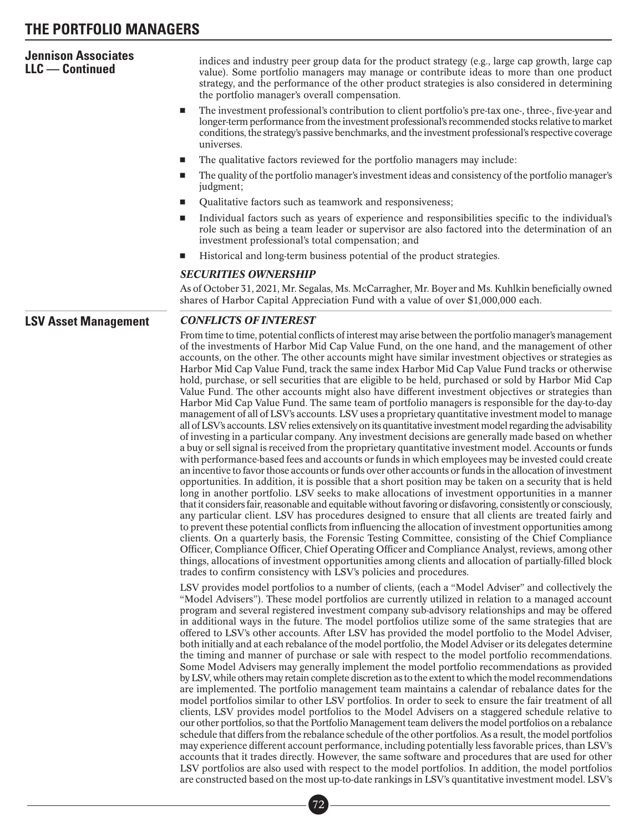### **THE PORTFOLIO MANAGERS**

| <b>Jennison Associates</b><br>$LLC -$ Continued | indices and industry peer group data for the product strategy (e.g., large cap growth, large cap<br>value). Some portfolio managers may manage or contribute ideas to more than one product<br>strategy, and the performance of the other product strategies is also considered in determining<br>the portfolio manager's overall compensation.                                                                                                                                                                                                                                                                                                                                                                                                                                                                                                                                                                                                                                                                                                                                                                                                                                                                                                                                                                                                                                                                                                                                                                                                                                                                                                                                                                                                                                                                                                                                                                                                                                                                                                                                                                                                                                                                                                                                                                                            |  |  |  |  |  |
|-------------------------------------------------|--------------------------------------------------------------------------------------------------------------------------------------------------------------------------------------------------------------------------------------------------------------------------------------------------------------------------------------------------------------------------------------------------------------------------------------------------------------------------------------------------------------------------------------------------------------------------------------------------------------------------------------------------------------------------------------------------------------------------------------------------------------------------------------------------------------------------------------------------------------------------------------------------------------------------------------------------------------------------------------------------------------------------------------------------------------------------------------------------------------------------------------------------------------------------------------------------------------------------------------------------------------------------------------------------------------------------------------------------------------------------------------------------------------------------------------------------------------------------------------------------------------------------------------------------------------------------------------------------------------------------------------------------------------------------------------------------------------------------------------------------------------------------------------------------------------------------------------------------------------------------------------------------------------------------------------------------------------------------------------------------------------------------------------------------------------------------------------------------------------------------------------------------------------------------------------------------------------------------------------------------------------------------------------------------------------------------------------------|--|--|--|--|--|
|                                                 | The investment professional's contribution to client portfolio's pre-tax one-, three-, five-year and<br>ш<br>longer-term performance from the investment professional's recommended stocks relative to market<br>conditions, the strategy's passive benchmarks, and the investment professional's respective coverage<br>universes.                                                                                                                                                                                                                                                                                                                                                                                                                                                                                                                                                                                                                                                                                                                                                                                                                                                                                                                                                                                                                                                                                                                                                                                                                                                                                                                                                                                                                                                                                                                                                                                                                                                                                                                                                                                                                                                                                                                                                                                                        |  |  |  |  |  |
|                                                 | The qualitative factors reviewed for the portfolio managers may include:<br>ш                                                                                                                                                                                                                                                                                                                                                                                                                                                                                                                                                                                                                                                                                                                                                                                                                                                                                                                                                                                                                                                                                                                                                                                                                                                                                                                                                                                                                                                                                                                                                                                                                                                                                                                                                                                                                                                                                                                                                                                                                                                                                                                                                                                                                                                              |  |  |  |  |  |
|                                                 | The quality of the portfolio manager's investment ideas and consistency of the portfolio manager's<br>ш<br>judgment;                                                                                                                                                                                                                                                                                                                                                                                                                                                                                                                                                                                                                                                                                                                                                                                                                                                                                                                                                                                                                                                                                                                                                                                                                                                                                                                                                                                                                                                                                                                                                                                                                                                                                                                                                                                                                                                                                                                                                                                                                                                                                                                                                                                                                       |  |  |  |  |  |
|                                                 | Qualitative factors such as teamwork and responsiveness;<br>ш                                                                                                                                                                                                                                                                                                                                                                                                                                                                                                                                                                                                                                                                                                                                                                                                                                                                                                                                                                                                                                                                                                                                                                                                                                                                                                                                                                                                                                                                                                                                                                                                                                                                                                                                                                                                                                                                                                                                                                                                                                                                                                                                                                                                                                                                              |  |  |  |  |  |
|                                                 | Individual factors such as years of experience and responsibilities specific to the individual's<br>ш<br>role such as being a team leader or supervisor are also factored into the determination of an<br>investment professional's total compensation; and                                                                                                                                                                                                                                                                                                                                                                                                                                                                                                                                                                                                                                                                                                                                                                                                                                                                                                                                                                                                                                                                                                                                                                                                                                                                                                                                                                                                                                                                                                                                                                                                                                                                                                                                                                                                                                                                                                                                                                                                                                                                                |  |  |  |  |  |
|                                                 | Historical and long-term business potential of the product strategies.<br>ш                                                                                                                                                                                                                                                                                                                                                                                                                                                                                                                                                                                                                                                                                                                                                                                                                                                                                                                                                                                                                                                                                                                                                                                                                                                                                                                                                                                                                                                                                                                                                                                                                                                                                                                                                                                                                                                                                                                                                                                                                                                                                                                                                                                                                                                                |  |  |  |  |  |
|                                                 | <b>SECURITIES OWNERSHIP</b>                                                                                                                                                                                                                                                                                                                                                                                                                                                                                                                                                                                                                                                                                                                                                                                                                                                                                                                                                                                                                                                                                                                                                                                                                                                                                                                                                                                                                                                                                                                                                                                                                                                                                                                                                                                                                                                                                                                                                                                                                                                                                                                                                                                                                                                                                                                |  |  |  |  |  |
|                                                 | As of October 31, 2021, Mr. Segalas, Ms. McCarragher, Mr. Boyer and Ms. Kuhlkin beneficially owned<br>shares of Harbor Capital Appreciation Fund with a value of over \$1,000,000 each.                                                                                                                                                                                                                                                                                                                                                                                                                                                                                                                                                                                                                                                                                                                                                                                                                                                                                                                                                                                                                                                                                                                                                                                                                                                                                                                                                                                                                                                                                                                                                                                                                                                                                                                                                                                                                                                                                                                                                                                                                                                                                                                                                    |  |  |  |  |  |
| <b>LSV Asset Management</b>                     | <b>CONFLICTS OF INTEREST</b>                                                                                                                                                                                                                                                                                                                                                                                                                                                                                                                                                                                                                                                                                                                                                                                                                                                                                                                                                                                                                                                                                                                                                                                                                                                                                                                                                                                                                                                                                                                                                                                                                                                                                                                                                                                                                                                                                                                                                                                                                                                                                                                                                                                                                                                                                                               |  |  |  |  |  |
|                                                 | From time to time, potential conflicts of interest may arise between the portfolio manager's management<br>of the investments of Harbor Mid Cap Value Fund, on the one hand, and the management of other<br>accounts, on the other. The other accounts might have similar investment objectives or strategies as<br>Harbor Mid Cap Value Fund, track the same index Harbor Mid Cap Value Fund tracks or otherwise<br>hold, purchase, or sell securities that are eligible to be held, purchased or sold by Harbor Mid Cap<br>Value Fund. The other accounts might also have different investment objectives or strategies than<br>Harbor Mid Cap Value Fund. The same team of portfolio managers is responsible for the day-to-day<br>management of all of LSV's accounts. LSV uses a proprietary quantitative investment model to manage<br>all of LSV's accounts. LSV relies extensively on its quantitative investment model regarding the advisability<br>of investing in a particular company. Any investment decisions are generally made based on whether<br>a buy or sell signal is received from the proprietary quantitative investment model. Accounts or funds<br>with performance-based fees and accounts or funds in which employees may be invested could create<br>an incentive to favor those accounts or funds over other accounts or funds in the allocation of investment<br>opportunities. In addition, it is possible that a short position may be taken on a security that is held<br>long in another portfolio. LSV seeks to make allocations of investment opportunities in a manner<br>that it considers fair, reasonable and equitable without favoring or disfavoring, consistently or consciously,<br>any particular client. LSV has procedures designed to ensure that all clients are treated fairly and<br>to prevent these potential conflicts from influencing the allocation of investment opportunities among<br>clients. On a quarterly basis, the Forensic Testing Committee, consisting of the Chief Compliance<br>Officer, Compliance Officer, Chief Operating Officer and Compliance Analyst, reviews, among other<br>things, allocations of investment opportunities among clients and allocation of partially-filled block<br>trades to confirm consistency with LSV's policies and procedures. |  |  |  |  |  |
|                                                 | LSV provides model portfolios to a number of clients, (each a "Model Adviser" and collectively the<br>"Model Advisers"). These model portfolios are currently utilized in relation to a managed account<br>program and several registered investment company sub-advisory relationships and may be offered<br>in additional ways in the future. The model portfolios utilize some of the same strategies that are                                                                                                                                                                                                                                                                                                                                                                                                                                                                                                                                                                                                                                                                                                                                                                                                                                                                                                                                                                                                                                                                                                                                                                                                                                                                                                                                                                                                                                                                                                                                                                                                                                                                                                                                                                                                                                                                                                                          |  |  |  |  |  |

in additional ways in the future. The model portfolios utilize some of the same strategies that are offered to LSV's other accounts. After LSV has provided the model portfolio to the Model Adviser, both initially and at each rebalance of the model portfolio, the Model Adviser or its delegates determine the timing and manner of purchase or sale with respect to the model portfolio recommendations. Some Model Advisers may generally implement the model portfolio recommendations as provided by LSV, while others may retain complete discretion as to the extent to which the model recommendations are implemented. The portfolio management team maintains a calendar of rebalance dates for the model portfolios similar to other LSV portfolios. In order to seek to ensure the fair treatment of all clients, LSV provides model portfolios to the Model Advisers on a staggered schedule relative to our other portfolios, so that the Portfolio Management team delivers the model portfolios on a rebalance schedule that differs from the rebalance schedule of the other portfolios. As a result, the model portfolios may experience different account performance, including potentially less favorable prices, than LSV's accounts that it trades directly. However, the same software and procedures that are used for other LSV portfolios are also used with respect to the model portfolios. In addition, the model portfolios are constructed based on the most up-to-date rankings in LSV's quantitative investment model. LSV's ■•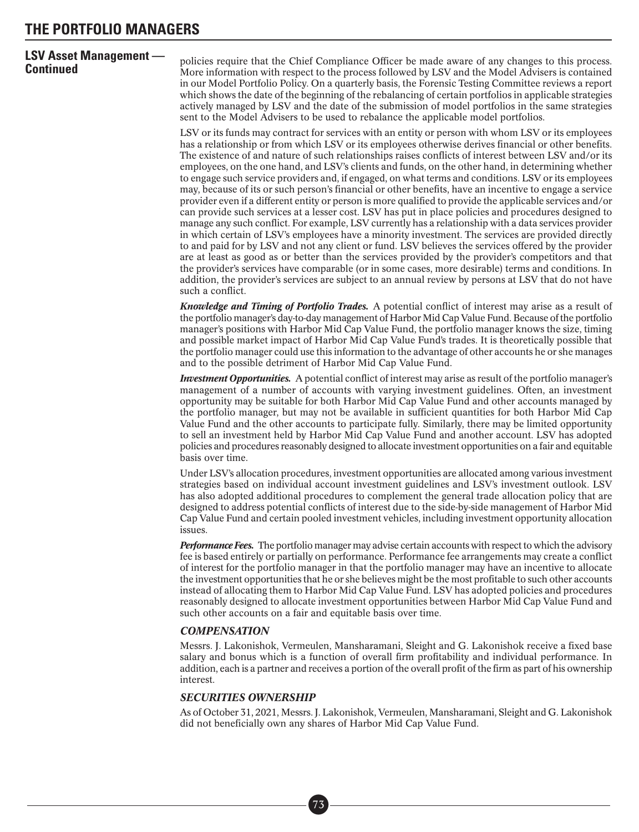# **LSV Asset Management —**

**Continued Continued Continued Continued Continued Continued Continued Continued Continued Continued Continued Continued Continued Continued Continued Continued Continued Continued Conti** in our Model Portfolio Policy. On a quarterly basis, the Forensic Testing Committee reviews a report which shows the date of the beginning of the rebalancing of certain portfolios in applicable strategies actively managed by LSV and the date of the submission of model portfolios in the same strategies sent to the Model Advisers to be used to rebalance the applicable model portfolios.

> LSV or its funds may contract for services with an entity or person with whom LSV or its employees has a relationship or from which LSV or its employees otherwise derives financial or other benefits. The existence of and nature of such relationships raises conflicts of interest between LSV and/or its employees, on the one hand, and LSV's clients and funds, on the other hand, in determining whether to engage such service providers and, if engaged, on what terms and conditions. LSV or its employees may, because of its or such person's financial or other benefits, have an incentive to engage a service provider even if a different entity or person is more qualified to provide the applicable services and/or can provide such services at a lesser cost. LSV has put in place policies and procedures designed to manage any such conflict. For example, LSV currently has a relationship with a data services provider in which certain of LSV's employees have a minority investment. The services are provided directly to and paid for by LSV and not any client or fund. LSV believes the services offered by the provider are at least as good as or better than the services provided by the provider's competitors and that the provider's services have comparable (or in some cases, more desirable) terms and conditions. In addition, the provider's services are subject to an annual review by persons at LSV that do not have such a conflict.

> *Knowledge and Timing of Portfolio Trades.* A potential conflict of interest may arise as a result of the portfolio manager's day-to-day management of Harbor Mid Cap Value Fund. Because of the portfolio manager's positions with Harbor Mid Cap Value Fund, the portfolio manager knows the size, timing and possible market impact of Harbor Mid Cap Value Fund's trades. It is theoretically possible that the portfolio manager could use this information to the advantage of other accounts he or she manages and to the possible detriment of Harbor Mid Cap Value Fund.

> *Investment Opportunities.* A potential conflict of interest may arise as result of the portfolio manager's management of a number of accounts with varying investment guidelines. Often, an investment opportunity may be suitable for both Harbor Mid Cap Value Fund and other accounts managed by the portfolio manager, but may not be available in sufficient quantities for both Harbor Mid Cap Value Fund and the other accounts to participate fully. Similarly, there may be limited opportunity to sell an investment held by Harbor Mid Cap Value Fund and another account. LSV has adopted policies and procedures reasonably designed to allocate investment opportunities on a fair and equitable basis over time.

> Under LSV's allocation procedures, investment opportunities are allocated among various investment strategies based on individual account investment guidelines and LSV's investment outlook. LSV has also adopted additional procedures to complement the general trade allocation policy that are designed to address potential conflicts of interest due to the side-by-side management of Harbor Mid Cap Value Fund and certain pooled investment vehicles, including investment opportunity allocation issues.

> *Performance Fees.* The portfolio manager may advise certain accounts with respect to which the advisory fee is based entirely or partially on performance. Performance fee arrangements may create a conflict of interest for the portfolio manager in that the portfolio manager may have an incentive to allocate the investment opportunities that he or she believes might be the most profitable to such other accounts instead of allocating them to Harbor Mid Cap Value Fund. LSV has adopted policies and procedures reasonably designed to allocate investment opportunities between Harbor Mid Cap Value Fund and such other accounts on a fair and equitable basis over time.

### *COMPENSATION*

Messrs. J. Lakonishok, Vermeulen, Mansharamani, Sleight and G. Lakonishok receive a fixed base salary and bonus which is a function of overall firm profitability and individual performance. In addition, each is a partner and receives a portion of the overall profit of the firm as part of his ownership interest.

#### *SECURITIES OWNERSHIP*

■• 73

As of October 31, 2021, Messrs. J. Lakonishok, Vermeulen, Mansharamani, Sleight and G. Lakonishok did not beneficially own any shares of Harbor Mid Cap Value Fund.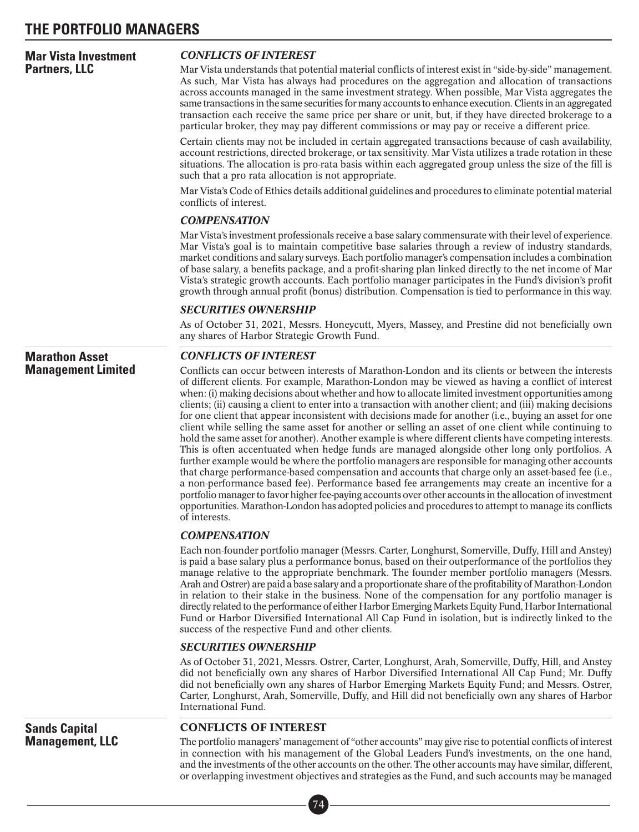### **Mar Vista Investment Partners, LLC**

### *CONFLICTS OF INTEREST*

Mar Vista understands that potential material conflicts of interest exist in "side-by-side" management. As such, Mar Vista has always had procedures on the aggregation and allocation of transactions across accounts managed in the same investment strategy. When possible, Mar Vista aggregates the same transactions in the same securities for many accounts to enhance execution. Clients in an aggregated transaction each receive the same price per share or unit, but, if they have directed brokerage to a particular broker, they may pay different commissions or may pay or receive a different price.

Certain clients may not be included in certain aggregated transactions because of cash availability, account restrictions, directed brokerage, or tax sensitivity. Mar Vista utilizes a trade rotation in these situations. The allocation is pro-rata basis within each aggregated group unless the size of the fill is such that a pro rata allocation is not appropriate.

Mar Vista's Code of Ethics details additional guidelines and procedures to eliminate potential material conflicts of interest.

### *COMPENSATION*

Mar Vista's investment professionals receive a base salary commensurate with their level of experience. Mar Vista's goal is to maintain competitive base salaries through a review of industry standards, market conditions and salary surveys. Each portfolio manager's compensation includes a combination of base salary, a benefits package, and a profit-sharing plan linked directly to the net income of Mar Vista's strategic growth accounts. Each portfolio manager participates in the Fund's division's profit growth through annual profit (bonus) distribution. Compensation is tied to performance in this way.

### *SECURITIES OWNERSHIP*

As of October 31, 2021, Messrs. Honeycutt, Myers, Massey, and Prestine did not beneficially own any shares of Harbor Strategic Growth Fund.

### **Marathon Asset Management Limited**

**Sands Capital Management, LLC**

### *CONFLICTS OF INTEREST*

Conflicts can occur between interests of Marathon-London and its clients or between the interests of different clients. For example, Marathon-London may be viewed as having a conflict of interest when: (i) making decisions about whether and how to allocate limited investment opportunities among clients; (ii) causing a client to enter into a transaction with another client; and (iii) making decisions for one client that appear inconsistent with decisions made for another (i.e., buying an asset for one client while selling the same asset for another or selling an asset of one client while continuing to hold the same asset for another). Another example is where different clients have competing interests. This is often accentuated when hedge funds are managed alongside other long only portfolios. A further example would be where the portfolio managers are responsible for managing other accounts that charge performance-based compensation and accounts that charge only an asset-based fee (i.e., a non-performance based fee). Performance based fee arrangements may create an incentive for a portfolio manager to favor higher fee-paying accounts over other accounts in the allocation of investment opportunities. Marathon-London has adopted policies and procedures to attempt to manage its conflicts of interests.

### *COMPENSATION*

Each non-founder portfolio manager (Messrs. Carter, Longhurst, Somerville, Duffy, Hill and Anstey) is paid a base salary plus a performance bonus, based on their outperformance of the portfolios they manage relative to the appropriate benchmark. The founder member portfolio managers (Messrs. Arah and Ostrer) are paid a base salary and a proportionate share of the profitability of Marathon-London in relation to their stake in the business. None of the compensation for any portfolio manager is directly related to the performance of either Harbor EmergingMarkets Equity Fund, Harbor International Fund or Harbor Diversified International All Cap Fund in isolation, but is indirectly linked to the success of the respective Fund and other clients.

### *SECURITIES OWNERSHIP*

As of October 31, 2021, Messrs. Ostrer, Carter, Longhurst, Arah, Somerville, Duffy, Hill, and Anstey did not beneficially own any shares of Harbor Diversified International All Cap Fund; Mr. Duffy did not beneficially own any shares of Harbor Emerging Markets Equity Fund; and Messrs. Ostrer, Carter, Longhurst, Arah, Somerville, Duffy, and Hill did not beneficially own any shares of Harbor International Fund.

### CONFLICTS OF INTEREST

The portfolio managers' management of "other accounts" may give rise to potential conflicts of interest in connection with his management of the Global Leaders Fund's investments, on the one hand, and the investments of the other accounts on the other. The other accounts may have similar, different, or overlapping investment objectives and strategies as the Fund, and such accounts may be managed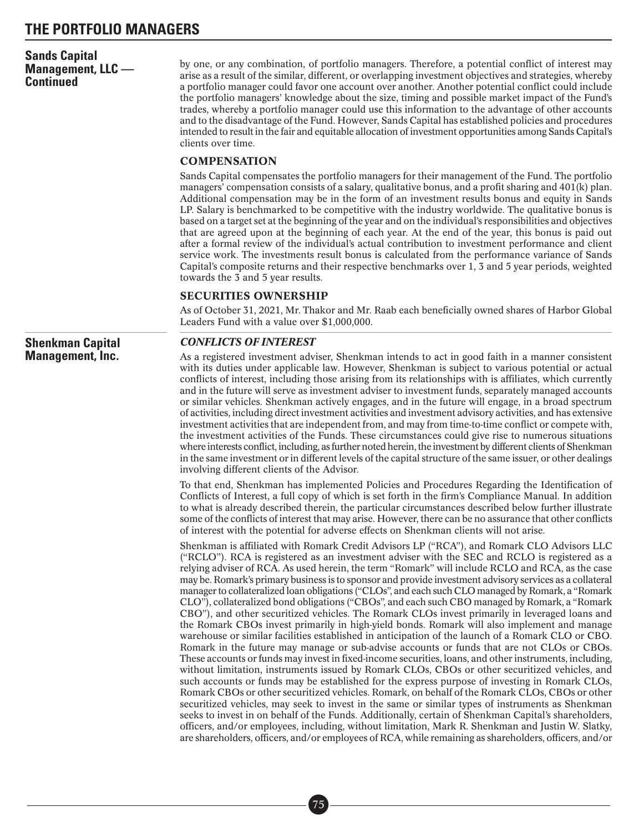### **Sands Capital Management, LLC — Continued**

by one, or any combination, of portfolio managers. Therefore, a potential conflict of interest may arise as a result of the similar, different, or overlapping investment objectives and strategies, whereby a portfolio manager could favor one account over another. Another potential conflict could include the portfolio managers' knowledge about the size, timing and possible market impact of the Fund's trades, whereby a portfolio manager could use this information to the advantage of other accounts and to the disadvantage of the Fund. However, Sands Capital has established policies and procedures intended to result in the fair and equitable allocation of investment opportunities among Sands Capital's clients over time.

### **COMPENSATION**

Sands Capital compensates the portfolio managers for their management of the Fund. The portfolio managers' compensation consists of a salary, qualitative bonus, and a profit sharing and 401(k) plan. Additional compensation may be in the form of an investment results bonus and equity in Sands LP. Salary is benchmarked to be competitive with the industry worldwide. The qualitative bonus is based on a target set at the beginning of the year and on the individual's responsibilities and objectives that are agreed upon at the beginning of each year. At the end of the year, this bonus is paid out after a formal review of the individual's actual contribution to investment performance and client service work. The investments result bonus is calculated from the performance variance of Sands Capital's composite returns and their respective benchmarks over 1, 3 and 5 year periods, weighted towards the 3 and 5 year results.

### SECURITIES OWNERSHIP

As of October 31, 2021, Mr. Thakor and Mr. Raab each beneficially owned shares of Harbor Global Leaders Fund with a value over \$1,000,000.

### *CONFLICTS OF INTEREST*

As a registered investment adviser, Shenkman intends to act in good faith in a manner consistent with its duties under applicable law. However, Shenkman is subject to various potential or actual conflicts of interest, including those arising from its relationships with is affiliates, which currently and in the future will serve as investment adviser to investment funds, separately managed accounts or similar vehicles. Shenkman actively engages, and in the future will engage, in a broad spectrum of activities, including direct investment activities and investment advisory activities, and has extensive investment activities that are independent from, and may from time-to-time conflict or compete with, the investment activities of the Funds. These circumstances could give rise to numerous situations where interests conflict, including, as further noted herein, the investment by different clients of Shenkman in the same investment or in different levels of the capital structure of the same issuer, or other dealings involving different clients of the Advisor.

To that end, Shenkman has implemented Policies and Procedures Regarding the Identification of Conflicts of Interest, a full copy of which is set forth in the firm's Compliance Manual. In addition to what is already described therein, the particular circumstances described below further illustrate some of the conflicts of interest that may arise. However, there can be no assurance that other conflicts of interest with the potential for adverse effects on Shenkman clients will not arise.

Shenkman is affiliated with Romark Credit Advisors LP ("RCA"), and Romark CLO Advisors LLC ("RCLO"). RCA is registered as an investment adviser with the SEC and RCLO is registered as a relying adviser of RCA. As used herein, the term "Romark" will include RCLO and RCA, as the case may be. Romark's primary business is to sponsor and provide investment advisory services as a collateral manager to collateralized loan obligations ("CLOs", and each such CLO managed by Romark, a "Romark CLO"), collateralized bond obligations ("CBOs", and each such CBO managed by Romark, a "Romark CBO"), and other securitized vehicles. The Romark CLOs invest primarily in leveraged loans and the Romark CBOs invest primarily in high-yield bonds. Romark will also implement and manage warehouse or similar facilities established in anticipation of the launch of a Romark CLO or CBO. Romark in the future may manage or sub-advise accounts or funds that are not CLOs or CBOs. These accounts or funds may invest in fixed-income securities, loans, and other instruments, including, without limitation, instruments issued by Romark CLOs, CBOs or other securitized vehicles, and such accounts or funds may be established for the express purpose of investing in Romark CLOs, Romark CBOs or other securitized vehicles. Romark, on behalf of the Romark CLOs, CBOs or other securitized vehicles, may seek to invest in the same or similar types of instruments as Shenkman seeks to invest in on behalf of the Funds. Additionally, certain of Shenkman Capital's shareholders, officers, and/or employees, including, without limitation, Mark R. Shenkman and Justin W. Slatky, are shareholders, officers, and/or employees of RCA, while remaining as shareholders, officers, and/or

**Shenkman Capital Management, Inc.**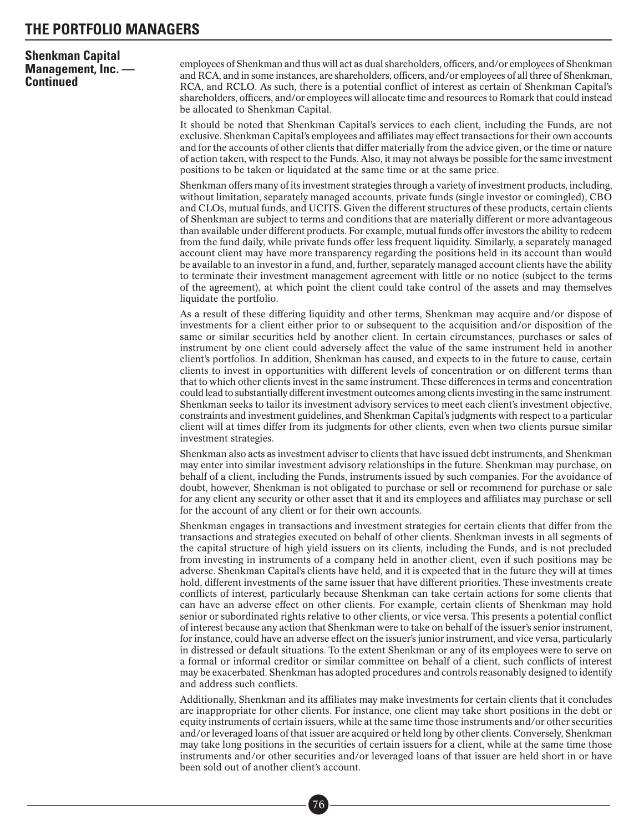### **Shenkman Capital Management, Inc. — Continued**

employees of Shenkman and thus will act as dual shareholders, officers, and/or employees of Shenkman and RCA, and in some instances, are shareholders, officers, and/or employees of all three of Shenkman, RCA, and RCLO. As such, there is a potential conflict of interest as certain of Shenkman Capital's shareholders, officers, and/or employees will allocate time and resources to Romark that could instead be allocated to Shenkman Capital.

It should be noted that Shenkman Capital's services to each client, including the Funds, are not exclusive. Shenkman Capital's employees and affiliates may effect transactions for their own accounts and for the accounts of other clients that differ materially from the advice given, or the time or nature of action taken, with respect to the Funds. Also, it may not always be possible for the same investment positions to be taken or liquidated at the same time or at the same price.

Shenkman offers many of its investment strategies through a variety of investment products, including, without limitation, separately managed accounts, private funds (single investor or comingled), CBO and CLOs, mutual funds, and UCITS. Given the different structures of these products, certain clients of Shenkman are subject to terms and conditions that are materially different or more advantageous than available under different products. For example, mutual funds offer investors the ability to redeem from the fund daily, while private funds offer less frequent liquidity. Similarly, a separately managed account client may have more transparency regarding the positions held in its account than would be available to an investor in a fund, and, further, separately managed account clients have the ability to terminate their investment management agreement with little or no notice (subject to the terms of the agreement), at which point the client could take control of the assets and may themselves liquidate the portfolio.

As a result of these differing liquidity and other terms, Shenkman may acquire and/or dispose of investments for a client either prior to or subsequent to the acquisition and/or disposition of the same or similar securities held by another client. In certain circumstances, purchases or sales of instrument by one client could adversely affect the value of the same instrument held in another client's portfolios. In addition, Shenkman has caused, and expects to in the future to cause, certain clients to invest in opportunities with different levels of concentration or on different terms than that to which other clients invest in the same instrument. These differences in terms and concentration could lead to substantially different investment outcomes among clients investing in the same instrument. Shenkman seeks to tailor its investment advisory services to meet each client's investment objective, constraints and investment guidelines, and Shenkman Capital's judgments with respect to a particular client will at times differ from its judgments for other clients, even when two clients pursue similar investment strategies.

Shenkman also acts as investment adviser to clients that have issued debt instruments, and Shenkman may enter into similar investment advisory relationships in the future. Shenkman may purchase, on behalf of a client, including the Funds, instruments issued by such companies. For the avoidance of doubt, however, Shenkman is not obligated to purchase or sell or recommend for purchase or sale for any client any security or other asset that it and its employees and affiliates may purchase or sell for the account of any client or for their own accounts.

Shenkman engages in transactions and investment strategies for certain clients that differ from the transactions and strategies executed on behalf of other clients. Shenkman invests in all segments of the capital structure of high yield issuers on its clients, including the Funds, and is not precluded from investing in instruments of a company held in another client, even if such positions may be adverse. Shenkman Capital's clients have held, and it is expected that in the future they will at times hold, different investments of the same issuer that have different priorities. These investments create conflicts of interest, particularly because Shenkman can take certain actions for some clients that can have an adverse effect on other clients. For example, certain clients of Shenkman may hold senior or subordinated rights relative to other clients, or vice versa. This presents a potential conflict of interest because any action that Shenkman were to take on behalf of the issuer's senior instrument, for instance, could have an adverse effect on the issuer's junior instrument, and vice versa, particularly in distressed or default situations. To the extent Shenkman or any of its employees were to serve on a formal or informal creditor or similar committee on behalf of a client, such conflicts of interest may be exacerbated. Shenkman has adopted procedures and controls reasonably designed to identify and address such conflicts.

Additionally, Shenkman and its affiliates may make investments for certain clients that it concludes are inappropriate for other clients. For instance, one client may take short positions in the debt or equity instruments of certain issuers, while at the same time those instruments and/or other securities and/or leveraged loans of that issuer are acquired or held long by other clients. Conversely, Shenkman may take long positions in the securities of certain issuers for a client, while at the same time those instruments and/or other securities and/or leveraged loans of that issuer are held short in or have been sold out of another client's account.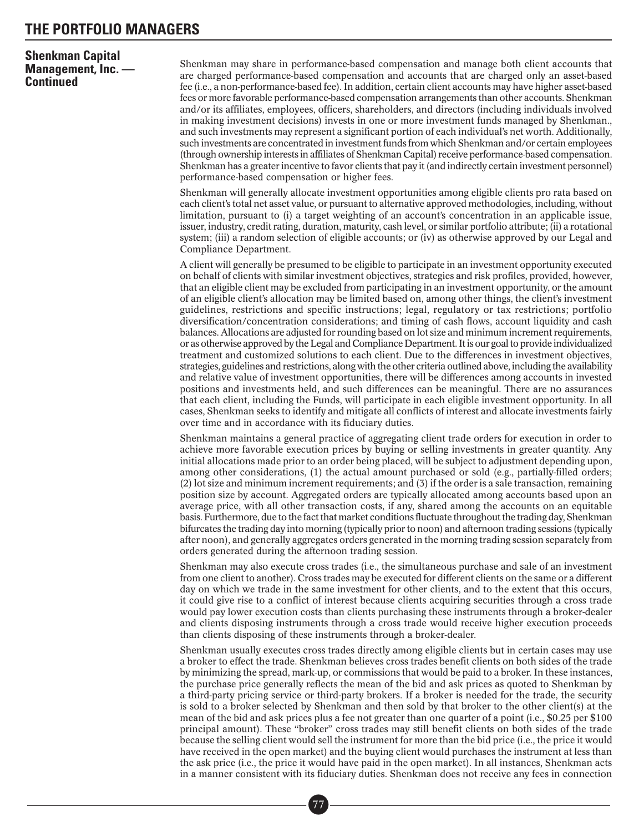### **Shenkman Capital Management, Inc. — Continued**

Shenkman may share in performance-based compensation and manage both client accounts that are charged performance-based compensation and accounts that are charged only an asset-based fee (i.e., a non-performance-based fee). In addition, certain client accounts may have higher asset-based fees or more favorable performance-based compensation arrangements than other accounts. Shenkman and/or its affiliates, employees, officers, shareholders, and directors (including individuals involved in making investment decisions) invests in one or more investment funds managed by Shenkman., and such investments may represent a significant portion of each individual's net worth. Additionally, such investments are concentrated in investment funds from which Shenkman and/or certain employees (through ownership interests in affiliates of Shenkman Capital) receive performance-based compensation. Shenkman has a greater incentive to favor clients that pay it (and indirectly certain investment personnel) performance-based compensation or higher fees.

Shenkman will generally allocate investment opportunities among eligible clients pro rata based on each client's total net asset value, or pursuant to alternative approved methodologies, including, without limitation, pursuant to (i) a target weighting of an account's concentration in an applicable issue, issuer, industry, credit rating, duration, maturity, cash level, or similar portfolio attribute; (ii) a rotational system; (iii) a random selection of eligible accounts; or (iv) as otherwise approved by our Legal and Compliance Department.

A client will generally be presumed to be eligible to participate in an investment opportunity executed on behalf of clients with similar investment objectives, strategies and risk profiles, provided, however, that an eligible client may be excluded from participating in an investment opportunity, or the amount of an eligible client's allocation may be limited based on, among other things, the client's investment guidelines, restrictions and specific instructions; legal, regulatory or tax restrictions; portfolio diversification/concentration considerations; and timing of cash flows, account liquidity and cash balances. Allocations are adjusted for rounding based on lot size and minimum increment requirements, or as otherwise approved by the Legal and Compliance Department. It is our goal to provide individualized treatment and customized solutions to each client. Due to the differences in investment objectives, strategies, guidelines and restrictions, along with the other criteria outlined above, including the availability and relative value of investment opportunities, there will be differences among accounts in invested positions and investments held, and such differences can be meaningful. There are no assurances that each client, including the Funds, will participate in each eligible investment opportunity. In all cases, Shenkman seeks to identify and mitigate all conflicts of interest and allocate investments fairly over time and in accordance with its fiduciary duties.

Shenkman maintains a general practice of aggregating client trade orders for execution in order to achieve more favorable execution prices by buying or selling investments in greater quantity. Any initial allocations made prior to an order being placed, will be subject to adjustment depending upon, among other considerations, (1) the actual amount purchased or sold (e.g., partially-filled orders; (2) lot size and minimum increment requirements; and (3) if the order is a sale transaction, remaining position size by account. Aggregated orders are typically allocated among accounts based upon an average price, with all other transaction costs, if any, shared among the accounts on an equitable basis. Furthermore, due to the fact that market conditions fluctuate throughout the trading day, Shenkman bifurcates the trading day into morning (typically prior to noon) and afternoon trading sessions (typically after noon), and generally aggregates orders generated in the morning trading session separately from orders generated during the afternoon trading session.

Shenkman may also execute cross trades (i.e., the simultaneous purchase and sale of an investment from one client to another). Cross trades may be executed for different clients on the same or a different day on which we trade in the same investment for other clients, and to the extent that this occurs, it could give rise to a conflict of interest because clients acquiring securities through a cross trade would pay lower execution costs than clients purchasing these instruments through a broker-dealer and clients disposing instruments through a cross trade would receive higher execution proceeds than clients disposing of these instruments through a broker-dealer.

Shenkman usually executes cross trades directly among eligible clients but in certain cases may use a broker to effect the trade. Shenkman believes cross trades benefit clients on both sides of the trade by minimizing the spread, mark-up, or commissions that would be paid to a broker. In these instances, the purchase price generally reflects the mean of the bid and ask prices as quoted to Shenkman by a third-party pricing service or third-party brokers. If a broker is needed for the trade, the security is sold to a broker selected by Shenkman and then sold by that broker to the other client(s) at the mean of the bid and ask prices plus a fee not greater than one quarter of a point (i.e., \$0.25 per \$100 principal amount). These "broker" cross trades may still benefit clients on both sides of the trade because the selling client would sell the instrument for more than the bid price (i.e., the price it would have received in the open market) and the buying client would purchases the instrument at less than the ask price (i.e., the price it would have paid in the open market). In all instances, Shenkman acts in a manner consistent with its fiduciary duties. Shenkman does not receive any fees in connection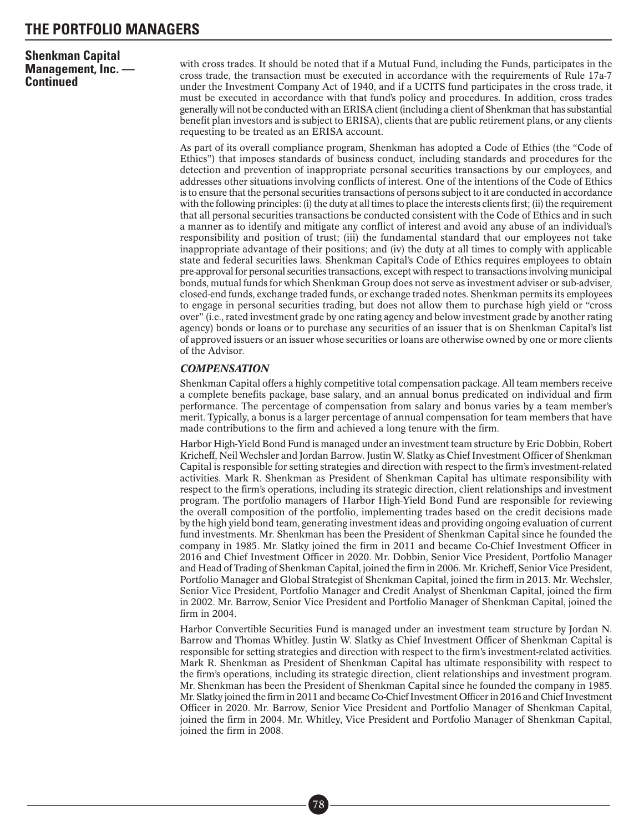### **Shenkman Capital Management, Inc. — Continued**

with cross trades. It should be noted that if a Mutual Fund, including the Funds, participates in the cross trade, the transaction must be executed in accordance with the requirements of Rule 17a-7 under the Investment Company Act of 1940, and if a UCITS fund participates in the cross trade, it must be executed in accordance with that fund's policy and procedures. In addition, cross trades generally will not be conducted with an ERISA client (including a client of Shenkman that has substantial benefit plan investors and is subject to ERISA), clients that are public retirement plans, or any clients requesting to be treated as an ERISA account.

As part of its overall compliance program, Shenkman has adopted a Code of Ethics (the "Code of Ethics") that imposes standards of business conduct, including standards and procedures for the detection and prevention of inappropriate personal securities transactions by our employees, and addresses other situations involving conflicts of interest. One of the intentions of the Code of Ethics is to ensure that the personal securities transactions of persons subject to it are conducted in accordance with the following principles: (i) the duty at all times to place the interests clients first; (ii) the requirement that all personal securities transactions be conducted consistent with the Code of Ethics and in such a manner as to identify and mitigate any conflict of interest and avoid any abuse of an individual's responsibility and position of trust; (iii) the fundamental standard that our employees not take inappropriate advantage of their positions; and (iv) the duty at all times to comply with applicable state and federal securities laws. Shenkman Capital's Code of Ethics requires employees to obtain pre-approval for personal securities transactions, except with respect to transactions involving municipal bonds, mutual funds for which Shenkman Group does not serve as investment adviser or sub-adviser, closed-end funds, exchange traded funds, or exchange traded notes. Shenkman permits its employees to engage in personal securities trading, but does not allow them to purchase high yield or "cross over" (i.e., rated investment grade by one rating agency and below investment grade by another rating agency) bonds or loans or to purchase any securities of an issuer that is on Shenkman Capital's list of approved issuers or an issuer whose securities or loans are otherwise owned by one or more clients of the Advisor.

### *COMPENSATION*

Shenkman Capital offers a highly competitive total compensation package. All team members receive a complete benefits package, base salary, and an annual bonus predicated on individual and firm performance. The percentage of compensation from salary and bonus varies by a team member's merit. Typically, a bonus is a larger percentage of annual compensation for team members that have made contributions to the firm and achieved a long tenure with the firm.

Harbor High-Yield Bond Fund is managed under an investment team structure by Eric Dobbin, Robert Kricheff, Neil Wechsler and Jordan Barrow. Justin W. Slatky as Chief Investment Officer of Shenkman Capital is responsible for setting strategies and direction with respect to the firm's investment-related activities. Mark R. Shenkman as President of Shenkman Capital has ultimate responsibility with respect to the firm's operations, including its strategic direction, client relationships and investment program. The portfolio managers of Harbor High-Yield Bond Fund are responsible for reviewing the overall composition of the portfolio, implementing trades based on the credit decisions made by the high yield bond team, generating investment ideas and providing ongoing evaluation of current fund investments. Mr. Shenkman has been the President of Shenkman Capital since he founded the company in 1985. Mr. Slatky joined the firm in 2011 and became Co-Chief Investment Officer in 2016 and Chief Investment Officer in 2020. Mr. Dobbin, Senior Vice President, Portfolio Manager and Head of Trading of Shenkman Capital, joined the firm in 2006. Mr. Kricheff, Senior Vice President, Portfolio Manager and Global Strategist of Shenkman Capital, joined the firm in 2013. Mr. Wechsler, Senior Vice President, Portfolio Manager and Credit Analyst of Shenkman Capital, joined the firm in 2002. Mr. Barrow, Senior Vice President and Portfolio Manager of Shenkman Capital, joined the firm in 2004.

Harbor Convertible Securities Fund is managed under an investment team structure by Jordan N. Barrow and Thomas Whitley. Justin W. Slatky as Chief Investment Officer of Shenkman Capital is responsible for setting strategies and direction with respect to the firm's investment-related activities. Mark R. Shenkman as President of Shenkman Capital has ultimate responsibility with respect to the firm's operations, including its strategic direction, client relationships and investment program. Mr. Shenkman has been the President of Shenkman Capital since he founded the company in 1985. Mr. Slatky joined the firm in 2011 and became Co-Chief Investment Officer in 2016 and Chief Investment Officer in 2020. Mr. Barrow, Senior Vice President and Portfolio Manager of Shenkman Capital, joined the firm in 2004. Mr. Whitley, Vice President and Portfolio Manager of Shenkman Capital, joined the firm in 2008.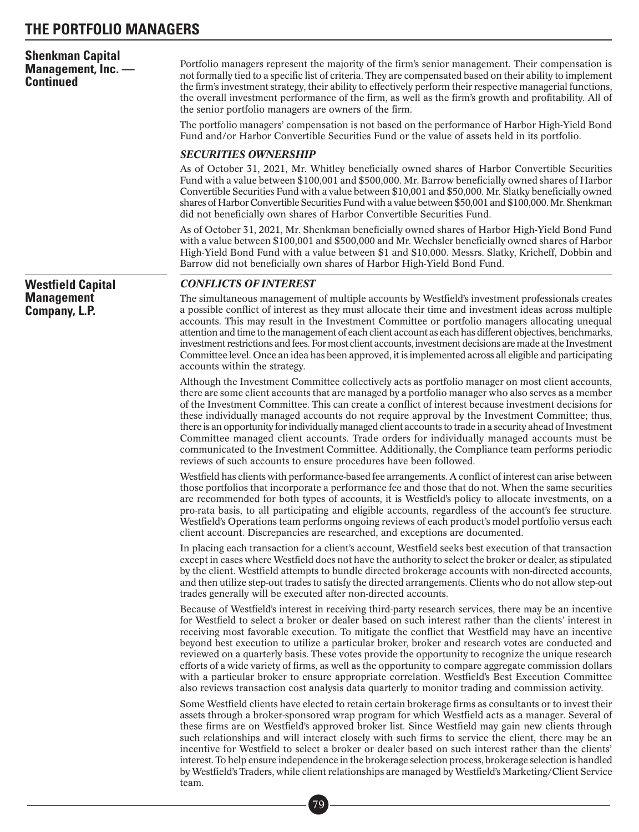| <b>Shenkman Capital</b><br>Management, Inc. -<br><b>Continued</b> | Portfolio managers represent the majority of the firm's senior management. Their compensation is<br>not formally tied to a specific list of criteria. They are compensated based on their ability to implement<br>the firm's investment strategy, their ability to effectively perform their respective managerial functions,<br>the overall investment performance of the firm, as well as the firm's growth and profitability. All of<br>the senior portfolio managers are owners of the firm.                                                                                                                                                                                                                                                                                                                                                    |
|-------------------------------------------------------------------|-----------------------------------------------------------------------------------------------------------------------------------------------------------------------------------------------------------------------------------------------------------------------------------------------------------------------------------------------------------------------------------------------------------------------------------------------------------------------------------------------------------------------------------------------------------------------------------------------------------------------------------------------------------------------------------------------------------------------------------------------------------------------------------------------------------------------------------------------------|
|                                                                   | The portfolio managers' compensation is not based on the performance of Harbor High-Yield Bond<br>Fund and/or Harbor Convertible Securities Fund or the value of assets held in its portfolio.                                                                                                                                                                                                                                                                                                                                                                                                                                                                                                                                                                                                                                                      |
|                                                                   | <b>SECURITIES OWNERSHIP</b>                                                                                                                                                                                                                                                                                                                                                                                                                                                                                                                                                                                                                                                                                                                                                                                                                         |
|                                                                   | As of October 31, 2021, Mr. Whitley beneficially owned shares of Harbor Convertible Securities<br>Fund with a value between \$100,001 and \$500,000. Mr. Barrow beneficially owned shares of Harbor<br>Convertible Securities Fund with a value between \$10,001 and \$50,000. Mr. Slatky beneficially owned<br>shares of Harbor Convertible Securities Fund with a value between \$50,001 and \$100,000. Mr. Shenkman<br>did not beneficially own shares of Harbor Convertible Securities Fund.                                                                                                                                                                                                                                                                                                                                                    |
|                                                                   | As of October 31, 2021, Mr. Shenkman beneficially owned shares of Harbor High-Yield Bond Fund<br>with a value between \$100,001 and \$500,000 and Mr. Wechsler beneficially owned shares of Harbor<br>High-Yield Bond Fund with a value between \$1 and \$10,000. Messrs. Slatky, Kricheff, Dobbin and<br>Barrow did not beneficially own shares of Harbor High-Yield Bond Fund.                                                                                                                                                                                                                                                                                                                                                                                                                                                                    |
| <b>Westfield Capital</b>                                          | <b>CONFLICTS OF INTEREST</b>                                                                                                                                                                                                                                                                                                                                                                                                                                                                                                                                                                                                                                                                                                                                                                                                                        |
| <b>Management</b><br>Company, L.P.                                | The simultaneous management of multiple accounts by Westfield's investment professionals creates<br>a possible conflict of interest as they must allocate their time and investment ideas across multiple                                                                                                                                                                                                                                                                                                                                                                                                                                                                                                                                                                                                                                           |
|                                                                   | accounts. This may result in the Investment Committee or portfolio managers allocating unequal<br>attention and time to the management of each client account as each has different objectives, benchmarks,<br>investment restrictions and fees. For most client accounts, investment decisions are made at the Investment<br>Committee level. Once an idea has been approved, it is implemented across all eligible and participating<br>accounts within the strategy.                                                                                                                                                                                                                                                                                                                                                                             |
|                                                                   | Although the Investment Committee collectively acts as portfolio manager on most client accounts,<br>there are some client accounts that are managed by a portfolio manager who also serves as a member<br>of the Investment Committee. This can create a conflict of interest because investment decisions for<br>these individually managed accounts do not require approval by the Investment Committee; thus,<br>there is an opportunity for individually managed client accounts to trade in a security ahead of Investment<br>Committee managed client accounts. Trade orders for individually managed accounts must be<br>communicated to the Investment Committee. Additionally, the Compliance team performs periodic<br>reviews of such accounts to ensure procedures have been followed.                                                 |
|                                                                   | Westfield has clients with performance-based fee arrangements. A conflict of interest can arise between<br>those portfolios that incorporate a performance fee and those that do not. When the same securities<br>are recommended for both types of accounts, it is Westfield's policy to allocate investments, on a<br>pro-rata basis, to all participating and eligible accounts, regardless of the account's fee structure.<br>Westfield's Operations team performs ongoing reviews of each product's model portfolio versus each<br>client account. Discrepancies are researched, and exceptions are documented.                                                                                                                                                                                                                                |
|                                                                   | In placing each transaction for a client's account, Westfield seeks best execution of that transaction<br>except in cases where Westfield does not have the authority to select the broker or dealer, as stipulated<br>by the client. Westfield attempts to bundle directed brokerage accounts with non-directed accounts,<br>and then utilize step-out trades to satisfy the directed arrangements. Clients who do not allow step-out<br>trades generally will be executed after non-directed accounts.                                                                                                                                                                                                                                                                                                                                            |
|                                                                   | Because of Westfield's interest in receiving third-party research services, there may be an incentive<br>for Westfield to select a broker or dealer based on such interest rather than the clients' interest in<br>receiving most favorable execution. To mitigate the conflict that Westfield may have an incentive<br>beyond best execution to utilize a particular broker, broker and research votes are conducted and<br>reviewed on a quarterly basis. These votes provide the opportunity to recognize the unique research<br>efforts of a wide variety of firms, as well as the opportunity to compare aggregate commission dollars<br>with a particular broker to ensure appropriate correlation. Westfield's Best Execution Committee<br>also reviews transaction cost analysis data quarterly to monitor trading and commission activity. |
|                                                                   | Some Westfield clients have elected to retain certain brokerage firms as consultants or to invest their<br>assets through a broker-sponsored wrap program for which Westfield acts as a manager. Several of<br>these firms are on Westfield's approved broker list. Since Westfield may gain new clients through<br>such relationships and will interact closely with such firms to service the client, there may be an<br>incentive for Westfield to select a broker or dealer based on such interest rather than the clients'<br>interest. To help ensure independence in the brokerage selection process, brokerage selection is handled<br>by Westfield's Traders, while client relationships are managed by Westfield's Marketing/Client Service<br>team.                                                                                      |
|                                                                   | 79                                                                                                                                                                                                                                                                                                                                                                                                                                                                                                                                                                                                                                                                                                                                                                                                                                                  |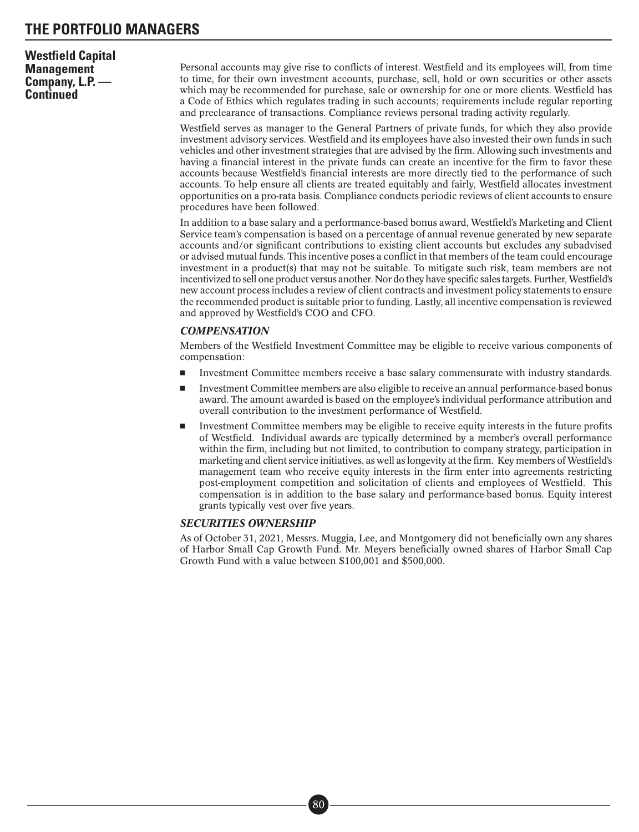### **Westfield Capital Management Company, L.P. — Continued**

Personal accounts may give rise to conflicts of interest. Westfield and its employees will, from time to time, for their own investment accounts, purchase, sell, hold or own securities or other assets which may be recommended for purchase, sale or ownership for one or more clients. Westfield has a Code of Ethics which regulates trading in such accounts; requirements include regular reporting and preclearance of transactions. Compliance reviews personal trading activity regularly.

Westfield serves as manager to the General Partners of private funds, for which they also provide investment advisory services. Westfield and its employees have also invested their own funds in such vehicles and other investment strategies that are advised by the firm. Allowing such investments and having a financial interest in the private funds can create an incentive for the firm to favor these accounts because Westfield's financial interests are more directly tied to the performance of such accounts. To help ensure all clients are treated equitably and fairly, Westfield allocates investment opportunities on a pro-rata basis. Compliance conducts periodic reviews of client accounts to ensure procedures have been followed.

In addition to a base salary and a performance-based bonus award, Westfield's Marketing and Client Service team's compensation is based on a percentage of annual revenue generated by new separate accounts and/or significant contributions to existing client accounts but excludes any subadvised or advised mutual funds. This incentive poses a conflict in that members of the team could encourage investment in a product(s) that may not be suitable. To mitigate such risk, team members are not incentivized to sell one product versus another. Nor do they have specific sales targets. Further, Westfield's new account process includes a review of client contracts and investment policy statements to ensure the recommended product is suitable prior to funding. Lastly, all incentive compensation is reviewed and approved by Westfield's COO and CFO.

### *COMPENSATION*

Members of the Westfield Investment Committee may be eligible to receive various components of compensation:

- -Investment Committee members receive a base salary commensurate with industry standards.
- - Investment Committee members are also eligible to receive an annual performance-based bonus award. The amount awarded is based on the employee's individual performance attribution and overall contribution to the investment performance of Westfield.
- - Investment Committee members may be eligible to receive equity interests in the future profits of Westfield. Individual awards are typically determined by a member's overall performance within the firm, including but not limited, to contribution to company strategy, participation in marketing and client service initiatives, as well as longevity at the firm. Key members of Westfield's management team who receive equity interests in the firm enter into agreements restricting post-employment competition and solicitation of clients and employees of Westfield. This compensation is in addition to the base salary and performance-based bonus. Equity interest grants typically vest over five years.

### *SECURITIES OWNERSHIP*

As of October 31, 2021, Messrs. Muggia, Lee, and Montgomery did not beneficially own any shares of Harbor Small Cap Growth Fund. Mr. Meyers beneficially owned shares of Harbor Small Cap Growth Fund with a value between \$100,001 and \$500,000.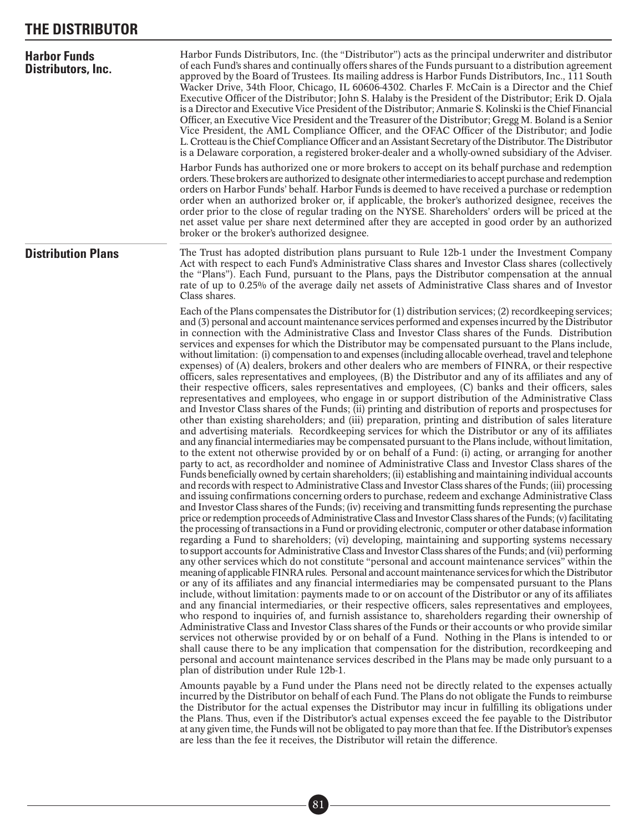## **THE DISTRIBUTOR**

| <b>Harbor Funds</b><br>Distributors, Inc. | Harbor Funds Distributors, Inc. (the "Distributor") acts as the principal underwriter and distributor<br>of each Fund's shares and continually offers shares of the Funds pursuant to a distribution agreement<br>approved by the Board of Trustees. Its mailing address is Harbor Funds Distributors, Inc., 111 South<br>Wacker Drive, 34th Floor, Chicago, IL 60606-4302. Charles F. McCain is a Director and the Chief<br>Executive Officer of the Distributor; John S. Halaby is the President of the Distributor; Erik D. Ojala<br>is a Director and Executive Vice President of the Distributor; Anmarie S. Kolinski is the Chief Financial<br>Officer, an Executive Vice President and the Treasurer of the Distributor; Gregg M. Boland is a Senior<br>Vice President, the AML Compliance Officer, and the OFAC Officer of the Distributor; and Jodie<br>L. Crotteau is the Chief Compliance Officer and an Assistant Secretary of the Distributor. The Distributor<br>is a Delaware corporation, a registered broker-dealer and a wholly-owned subsidiary of the Adviser.                                                                                                                                                                                                                                                                                                                                                                                                                                                                                                                                                                                                                                                                                                                                                                                                                                                                                                                                                                                                                                                                                                                                                                                                                                                                                                                                                                                                                                                                                                                                                                                                                                                                                                                                                                                                                                                                                                                                                                                                                                                                                                                                                                                                                                                                                                                                                                                                                                                                                                                                                                                                                                         |
|-------------------------------------------|----------------------------------------------------------------------------------------------------------------------------------------------------------------------------------------------------------------------------------------------------------------------------------------------------------------------------------------------------------------------------------------------------------------------------------------------------------------------------------------------------------------------------------------------------------------------------------------------------------------------------------------------------------------------------------------------------------------------------------------------------------------------------------------------------------------------------------------------------------------------------------------------------------------------------------------------------------------------------------------------------------------------------------------------------------------------------------------------------------------------------------------------------------------------------------------------------------------------------------------------------------------------------------------------------------------------------------------------------------------------------------------------------------------------------------------------------------------------------------------------------------------------------------------------------------------------------------------------------------------------------------------------------------------------------------------------------------------------------------------------------------------------------------------------------------------------------------------------------------------------------------------------------------------------------------------------------------------------------------------------------------------------------------------------------------------------------------------------------------------------------------------------------------------------------------------------------------------------------------------------------------------------------------------------------------------------------------------------------------------------------------------------------------------------------------------------------------------------------------------------------------------------------------------------------------------------------------------------------------------------------------------------------------------------------------------------------------------------------------------------------------------------------------------------------------------------------------------------------------------------------------------------------------------------------------------------------------------------------------------------------------------------------------------------------------------------------------------------------------------------------------------------------------------------------------------------------------------------------------------------------------------------------------------------------------------------------------------------------------------------------------------------------------------------------------------------------------------------------------------------------------------------------------------------------------------------------------------------------------------------------------------------------------------------------------------------------------------------------|
|                                           | Harbor Funds has authorized one or more brokers to accept on its behalf purchase and redemption<br>orders. These brokers are authorized to designate other intermediaries to accept purchase and redemption<br>orders on Harbor Funds' behalf. Harbor Funds is deemed to have received a purchase or redemption<br>order when an authorized broker or, if applicable, the broker's authorized designee, receives the<br>order prior to the close of regular trading on the NYSE. Shareholders' orders will be priced at the<br>net asset value per share next determined after they are accepted in good order by an authorized<br>broker or the broker's authorized designee.                                                                                                                                                                                                                                                                                                                                                                                                                                                                                                                                                                                                                                                                                                                                                                                                                                                                                                                                                                                                                                                                                                                                                                                                                                                                                                                                                                                                                                                                                                                                                                                                                                                                                                                                                                                                                                                                                                                                                                                                                                                                                                                                                                                                                                                                                                                                                                                                                                                                                                                                                                                                                                                                                                                                                                                                                                                                                                                                                                                                                                             |
| <b>Distribution Plans</b>                 | The Trust has adopted distribution plans pursuant to Rule 12b-1 under the Investment Company<br>Act with respect to each Fund's Administrative Class shares and Investor Class shares (collectively<br>the "Plans"). Each Fund, pursuant to the Plans, pays the Distributor compensation at the annual<br>rate of up to 0.25% of the average daily net assets of Administrative Class shares and of Investor<br>Class shares.                                                                                                                                                                                                                                                                                                                                                                                                                                                                                                                                                                                                                                                                                                                                                                                                                                                                                                                                                                                                                                                                                                                                                                                                                                                                                                                                                                                                                                                                                                                                                                                                                                                                                                                                                                                                                                                                                                                                                                                                                                                                                                                                                                                                                                                                                                                                                                                                                                                                                                                                                                                                                                                                                                                                                                                                                                                                                                                                                                                                                                                                                                                                                                                                                                                                                              |
|                                           | Each of the Plans compensates the Distributor for (1) distribution services; (2) record keeping services;<br>and (3) personal and account maintenance services performed and expenses incurred by the Distributor<br>in connection with the Administrative Class and Investor Class shares of the Funds. Distribution<br>services and expenses for which the Distributor may be compensated pursuant to the Plans include,<br>without limitation: (i) compensation to and expenses (including allocable overhead, travel and telephone<br>expenses) of (A) dealers, brokers and other dealers who are members of FINRA, or their respective<br>officers, sales representatives and employees, (B) the Distributor and any of its affiliates and any of<br>their respective officers, sales representatives and employees, (C) banks and their officers, sales<br>representatives and employees, who engage in or support distribution of the Administrative Class<br>and Investor Class shares of the Funds; (ii) printing and distribution of reports and prospectuses for<br>other than existing shareholders; and (iii) preparation, printing and distribution of sales literature<br>and advertising materials. Recordkeeping services for which the Distributor or any of its affiliates<br>and any financial intermediaries may be compensated pursuant to the Plans include, without limitation,<br>to the extent not otherwise provided by or on behalf of a Fund: (i) acting, or arranging for another<br>party to act, as recordholder and nominee of Administrative Class and Investor Class shares of the<br>Funds beneficially owned by certain shareholders; (ii) establishing and maintaining individual accounts<br>and records with respect to Administrative Class and Investor Class shares of the Funds; (iii) processing<br>and issuing confirmations concerning orders to purchase, redeem and exchange Administrative Class<br>and Investor Class shares of the Funds; (iv) receiving and transmitting funds representing the purchase<br>price or redemption proceeds of Administrative Class and Investor Class shares of the Funds; (v) facilitating<br>the processing of transactions in a Fund or providing electronic, computer or other database information<br>regarding a Fund to shareholders; (vi) developing, maintaining and supporting systems necessary<br>to support accounts for Administrative Class and Investor Class shares of the Funds; and (vii) performing<br>any other services which do not constitute "personal and account maintenance services" within the<br>meaning of applicable FINRA rules. Personal and account maintenance services for which the Distributor<br>or any of its affiliates and any financial intermediaries may be compensated pursuant to the Plans<br>include, without limitation: payments made to or on account of the Distributor or any of its affiliates<br>and any financial intermediaries, or their respective officers, sales representatives and employees,<br>who respond to inquiries of, and furnish assistance to, shareholders regarding their ownership of<br>Administrative Class and Investor Class shares of the Funds or their accounts or who provide similar<br>services not otherwise provided by or on behalf of a Fund. Nothing in the Plans is intended to or<br>shall cause there to be any implication that compensation for the distribution, record keeping and<br>personal and account maintenance services described in the Plans may be made only pursuant to a<br>plan of distribution under Rule 12b-1.<br>Amounts payable by a Fund under the Plans need not be directly related to the expenses actually |
|                                           | incurred by the Distributor on behalf of each Fund. The Plans do not obligate the Funds to reimburse<br>the Distributor for the actual expenses the Distributor may incur in fulfilling its obligations under                                                                                                                                                                                                                                                                                                                                                                                                                                                                                                                                                                                                                                                                                                                                                                                                                                                                                                                                                                                                                                                                                                                                                                                                                                                                                                                                                                                                                                                                                                                                                                                                                                                                                                                                                                                                                                                                                                                                                                                                                                                                                                                                                                                                                                                                                                                                                                                                                                                                                                                                                                                                                                                                                                                                                                                                                                                                                                                                                                                                                                                                                                                                                                                                                                                                                                                                                                                                                                                                                                              |

the Distributor for the actual expenses the Distributor may incur in fulfilling its obligations under the Plans. Thus, even if the Distributor's actual expenses exceed the fee payable to the Distributor at any given time, the Funds will not be obligated to pay more than that fee. If the Distributor's expenses are less than the fee it receives, the Distributor will retain the difference.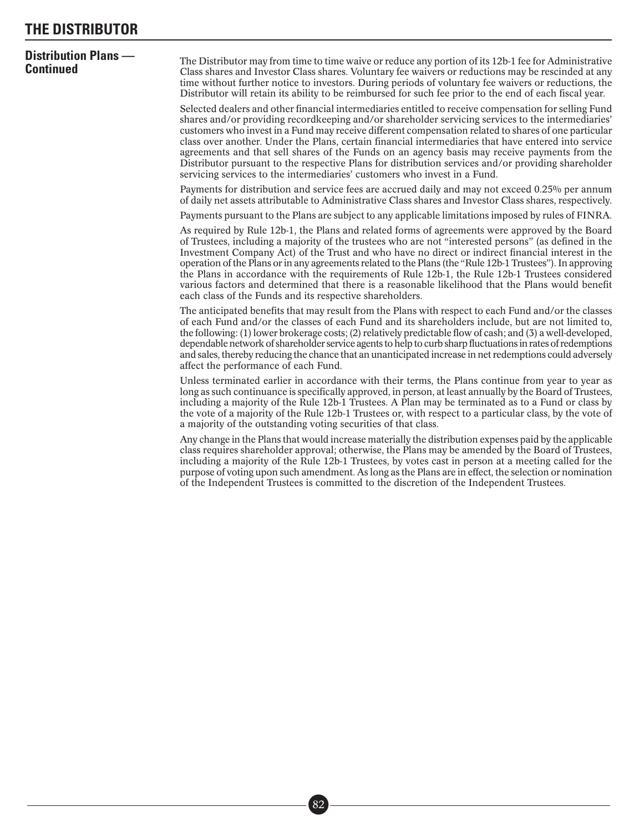### **THE DISTRIBUTOR**

# **Distribution Plans —**

**Continuation Fians** — The Distributor may from time to time waive or reduce any portion of its 12b-1 fee for Administrative Class shares and Investor Class shares. Voluntary fee waivers or reductions may be rescinded at a time without further notice to investors. During periods of voluntary fee waivers or reductions, the Distributor will retain its ability to be reimbursed for such fee prior to the end of each fiscal year.

> Selected dealers and other financial intermediaries entitled to receive compensation for selling Fund shares and/or providing recordkeeping and/or shareholder servicing services to the intermediaries' customers who invest in a Fund may receive different compensation related to shares of one particular class over another. Under the Plans, certain financial intermediaries that have entered into service agreements and that sell shares of the Funds on an agency basis may receive payments from the Distributor pursuant to the respective Plans for distribution services and/or providing shareholder servicing services to the intermediaries' customers who invest in a Fund.

> Payments for distribution and service fees are accrued daily and may not exceed 0.25% per annum of daily net assets attributable to Administrative Class shares and Investor Class shares, respectively.

> Payments pursuant to the Plans are subject to any applicable limitations imposed by rules of FINRA.

As required by Rule 12b-1, the Plans and related forms of agreements were approved by the Board of Trustees, including a majority of the trustees who are not "interested persons" (as defined in the Investment Company Act) of the Trust and who have no direct or indirect financial interest in the operation of the Plans or in any agreements related to the Plans (the "Rule 12b-1 Trustees"). In approving the Plans in accordance with the requirements of Rule 12b-1, the Rule 12b-1 Trustees considered various factors and determined that there is a reasonable likelihood that the Plans would benefit each class of the Funds and its respective shareholders.

The anticipated benefits that may result from the Plans with respect to each Fund and/or the classes of each Fund and/or the classes of each Fund and its shareholders include, but are not limited to, the following: (1) lower brokerage costs; (2) relatively predictable flow of cash; and (3) a well-developed, dependable network of shareholder service agents to help to curb sharp fluctuations in rates of redemptions and sales, thereby reducing the chance that an unanticipated increase in net redemptions could adversely affect the performance of each Fund.

Unless terminated earlier in accordance with their terms, the Plans continue from year to year as long as such continuance is specifically approved, in person, at least annually by the Board of Trustees, including a majority of the Rule 12b-1 Trustees. A Plan may be terminated as to a Fund or class by the vote of a majority of the Rule 12b-1 Trustees or, with respect to a particular class, by the vote of a majority of the outstanding voting securities of that class.

Any change in the Plans that would increase materially the distribution expenses paid by the applicable class requires shareholder approval; otherwise, the Plans may be amended by the Board of Trustees, including a majority of the Rule 12b-1 Trustees, by votes cast in person at a meeting called for the purpose of voting upon such amendment. As long as the Plans are in effect, the selection or nomination of the Independent Trustees is committed to the discretion of the Independent Trustees.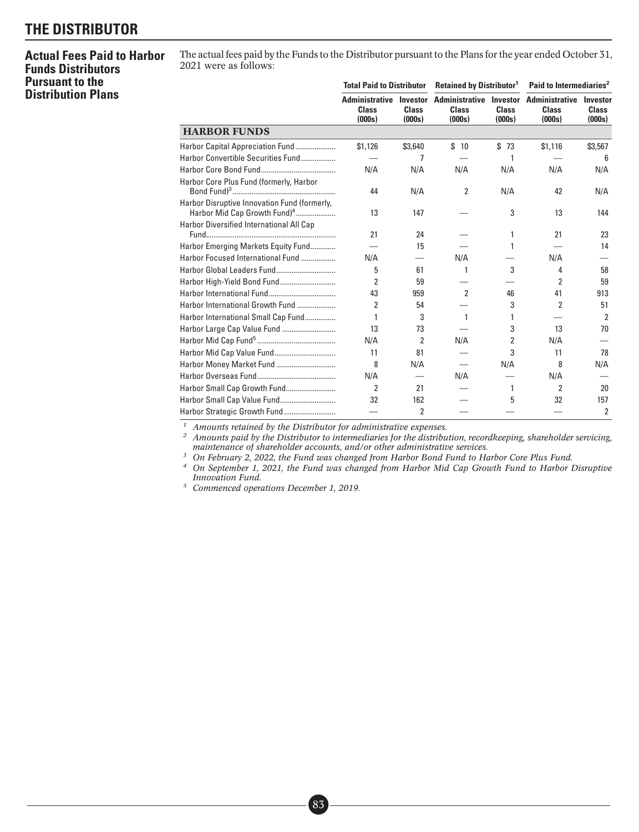## **THE DISTRIBUTOR**

### **Actual Fees Paid to Harbor Funds Distributors Pursuant to the Distribution Plans**

The actual fees paid by the Funds to the Distributor pursuant to the Plans for the year ended October 31, 2021 were as follows:

|                                                                                          | <b>Total Paid to Distributor</b>                |                                    | <b>Retained by Distributor<sup>1</sup></b>      |                                    | Paid to Intermediaries <sup>2</sup>             |                                    |  |
|------------------------------------------------------------------------------------------|-------------------------------------------------|------------------------------------|-------------------------------------------------|------------------------------------|-------------------------------------------------|------------------------------------|--|
|                                                                                          | <b>Administrative</b><br><b>Class</b><br>(000s) | Investor<br><b>Class</b><br>(000s) | <b>Administrative</b><br><b>Class</b><br>(000s) | Investor<br><b>Class</b><br>(000s) | <b>Administrative</b><br><b>Class</b><br>(000s) | Investor<br><b>Class</b><br>(000s) |  |
| <b>HARBOR FUNDS</b>                                                                      |                                                 |                                    |                                                 |                                    |                                                 |                                    |  |
| Harbor Capital Appreciation Fund                                                         | \$1,126                                         | \$3,640                            | \$10                                            | \$73                               | \$1,116                                         | \$3,567                            |  |
| Harbor Convertible Securities Fund                                                       |                                                 | 7                                  |                                                 | 1                                  |                                                 | 6                                  |  |
|                                                                                          | N/A                                             | N/A                                | N/A                                             | N/A                                | N/A                                             | N/A                                |  |
| Harbor Core Plus Fund (formerly, Harbor                                                  | 44                                              | N/A                                | 2                                               | N/A                                | 42                                              | N/A                                |  |
| Harbor Disruptive Innovation Fund (formerly,<br>Harbor Mid Cap Growth Fund) <sup>4</sup> | 13                                              | 147                                |                                                 | 3                                  | 13                                              | 144                                |  |
| Harbor Diversified International All Cap                                                 | 21                                              | 24                                 |                                                 | 1                                  | 21                                              | 23                                 |  |
| Harbor Emerging Markets Equity Fund                                                      |                                                 | 15                                 |                                                 | 1                                  |                                                 | 14                                 |  |
| Harbor Focused International Fund                                                        | N/A                                             |                                    | N/A                                             |                                    | N/A                                             |                                    |  |
|                                                                                          | 5                                               | 61                                 | 1                                               | 3                                  | 4                                               | 58                                 |  |
|                                                                                          | 2                                               | 59                                 |                                                 |                                    | 2                                               | 59                                 |  |
|                                                                                          | 43                                              | 959                                | $\overline{2}$                                  | 46                                 | 41                                              | 913                                |  |
| Harbor International Growth Fund                                                         | 2                                               | 54                                 |                                                 | 3                                  | 2                                               | 51                                 |  |
| Harbor International Small Cap Fund                                                      | 1                                               | 3                                  | 1                                               | 1                                  |                                                 | $\overline{2}$                     |  |
| Harbor Large Cap Value Fund                                                              | 13                                              | 73                                 |                                                 | 3                                  | 13                                              | 70                                 |  |
|                                                                                          | N/A                                             | 2                                  | N/A                                             | 2                                  | N/A                                             |                                    |  |
|                                                                                          | 11                                              | 81                                 |                                                 | 3                                  | 11                                              | 78                                 |  |
|                                                                                          | 8                                               | N/A                                |                                                 | N/A                                | 8                                               | N/A                                |  |
|                                                                                          | N/A                                             |                                    | N/A                                             |                                    | N/A                                             |                                    |  |
| Harbor Small Cap Growth Fund                                                             | 2                                               | 21                                 |                                                 | 1                                  | 2                                               | 20                                 |  |
| Harbor Small Cap Value Fund                                                              | 32                                              | 162                                |                                                 | 5                                  | 32                                              | 157                                |  |
|                                                                                          |                                                 | 2                                  |                                                 |                                    |                                                 | 2                                  |  |

*<sup>1</sup> Amounts retained by the Distributor for administrative expenses.*

*<sup>2</sup> Amounts paid by the Distributor to intermediaries for the distribution, recordkeeping, shareholder servicing, maintenance of shareholder accounts, and/or other administrative services.*

*<sup>3</sup> On February 2, 2022, the Fund was changed from Harbor Bond Fund to Harbor Core Plus Fund.*

*<sup>4</sup> On September 1, 2021, the Fund was changed from Harbor Mid Cap Growth Fund to Harbor Disruptive Innovation Fund.*

*<sup>5</sup> Commenced operations December 1, 2019.*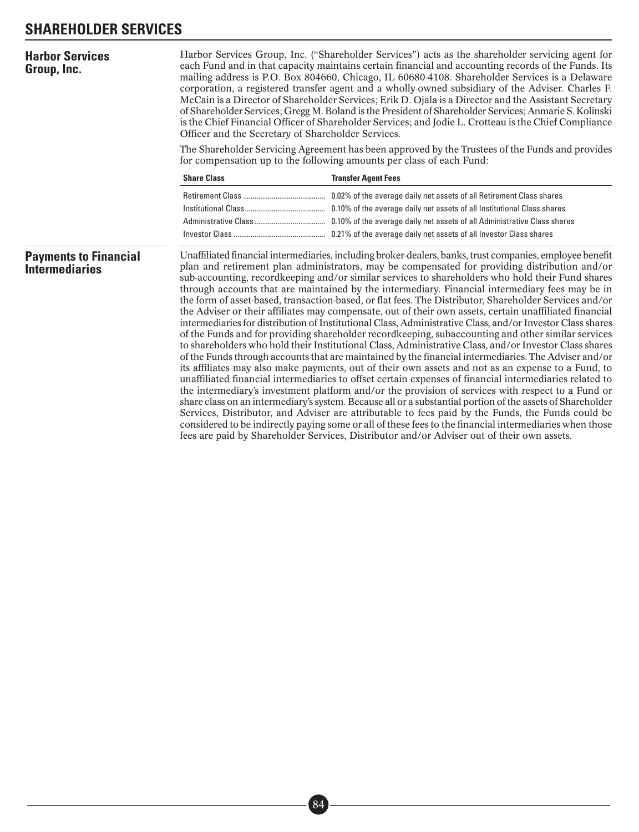## **SHAREHOLDER SERVICES**

| <b>Harbor Services</b><br>Group, Inc.                 | Harbor Services Group, Inc. ("Shareholder Services") acts as the shareholder servicing agent for<br>each Fund and in that capacity maintains certain financial and accounting records of the Funds. Its<br>mailing address is P.O. Box 804660, Chicago, IL 60680-4108. Shareholder Services is a Delaware<br>corporation, a registered transfer agent and a wholly-owned subsidiary of the Adviser. Charles F.<br>McCain is a Director of Shareholder Services; Erik D. Ojala is a Director and the Assistant Secretary<br>of Shareholder Services; Gregg M. Boland is the President of Shareholder Services; Anmarie S. Kolinski<br>is the Chief Financial Officer of Shareholder Services; and Jodie L. Crotteau is the Chief Compliance<br>Officer and the Secretary of Shareholder Services. |                                                                                                                                                                                                                                                                                                                                                                                                                                                                                                                                                                                                                                                                                                                                                                                                                                                                                                                                                                                                                                                                                                                                                                                                                                                                                                                                                                                                                                                                                                                                                                                                                                                                                                                                                                                                                                  |  |  |  |  |  |  |
|-------------------------------------------------------|--------------------------------------------------------------------------------------------------------------------------------------------------------------------------------------------------------------------------------------------------------------------------------------------------------------------------------------------------------------------------------------------------------------------------------------------------------------------------------------------------------------------------------------------------------------------------------------------------------------------------------------------------------------------------------------------------------------------------------------------------------------------------------------------------|----------------------------------------------------------------------------------------------------------------------------------------------------------------------------------------------------------------------------------------------------------------------------------------------------------------------------------------------------------------------------------------------------------------------------------------------------------------------------------------------------------------------------------------------------------------------------------------------------------------------------------------------------------------------------------------------------------------------------------------------------------------------------------------------------------------------------------------------------------------------------------------------------------------------------------------------------------------------------------------------------------------------------------------------------------------------------------------------------------------------------------------------------------------------------------------------------------------------------------------------------------------------------------------------------------------------------------------------------------------------------------------------------------------------------------------------------------------------------------------------------------------------------------------------------------------------------------------------------------------------------------------------------------------------------------------------------------------------------------------------------------------------------------------------------------------------------------|--|--|--|--|--|--|
|                                                       | The Shareholder Servicing Agreement has been approved by the Trustees of the Funds and provides<br>for compensation up to the following amounts per class of each Fund:                                                                                                                                                                                                                                                                                                                                                                                                                                                                                                                                                                                                                          |                                                                                                                                                                                                                                                                                                                                                                                                                                                                                                                                                                                                                                                                                                                                                                                                                                                                                                                                                                                                                                                                                                                                                                                                                                                                                                                                                                                                                                                                                                                                                                                                                                                                                                                                                                                                                                  |  |  |  |  |  |  |
|                                                       | <b>Share Class</b>                                                                                                                                                                                                                                                                                                                                                                                                                                                                                                                                                                                                                                                                                                                                                                               | <b>Transfer Agent Fees</b>                                                                                                                                                                                                                                                                                                                                                                                                                                                                                                                                                                                                                                                                                                                                                                                                                                                                                                                                                                                                                                                                                                                                                                                                                                                                                                                                                                                                                                                                                                                                                                                                                                                                                                                                                                                                       |  |  |  |  |  |  |
|                                                       |                                                                                                                                                                                                                                                                                                                                                                                                                                                                                                                                                                                                                                                                                                                                                                                                  | 0.02% of the average daily net assets of all Retirement Class shares<br>0.10% of the average daily net assets of all Institutional Class shares                                                                                                                                                                                                                                                                                                                                                                                                                                                                                                                                                                                                                                                                                                                                                                                                                                                                                                                                                                                                                                                                                                                                                                                                                                                                                                                                                                                                                                                                                                                                                                                                                                                                                  |  |  |  |  |  |  |
| <b>Payments to Financial</b><br><b>Intermediaries</b> |                                                                                                                                                                                                                                                                                                                                                                                                                                                                                                                                                                                                                                                                                                                                                                                                  | Unaffiliated financial intermediaries, including broker-dealers, banks, trust companies, employee benefit<br>plan and retirement plan administrators, may be compensated for providing distribution and/or<br>sub-accounting, recordkeeping and/or similar services to shareholders who hold their Fund shares<br>through accounts that are maintained by the intermediary. Financial intermediary fees may be in<br>the form of asset-based, transaction-based, or flat fees. The Distributor, Shareholder Services and/or<br>the Adviser or their affiliates may compensate, out of their own assets, certain unaffiliated financial<br>intermediaries for distribution of Institutional Class, Administrative Class, and/or Investor Class shares<br>of the Funds and for providing shareholder record keeping, subaccounting and other similar services<br>to shareholders who hold their Institutional Class, Administrative Class, and/or Investor Class shares<br>of the Funds through accounts that are maintained by the financial intermediaries. The Adviser and/or<br>its affiliates may also make payments, out of their own assets and not as an expense to a Fund, to<br>unaffiliated financial intermediaries to offset certain expenses of financial intermediaries related to<br>the intermediary's investment platform and/or the provision of services with respect to a Fund or<br>share class on an intermediary's system. Because all or a substantial portion of the assets of Shareholder<br>Services, Distributor, and Adviser are attributable to fees paid by the Funds, the Funds could be<br>considered to be indirectly paying some or all of these fees to the financial intermediaries when those<br>fees are paid by Shareholder Services, Distributor and/or Adviser out of their own assets. |  |  |  |  |  |  |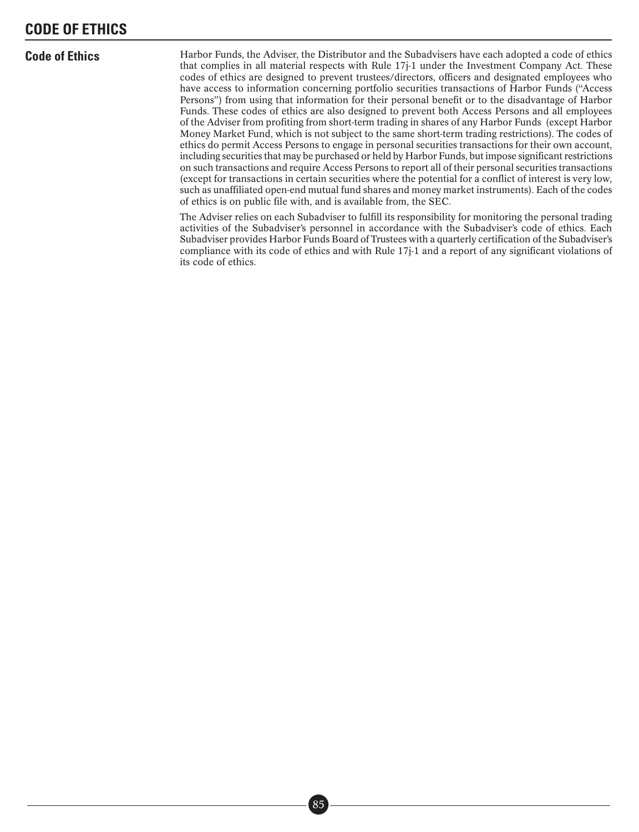### **CODE OF ETHICS**

**Code of Ethics** Harbor Funds, the Adviser, the Distributor and the Subadvisers have each adopted a code of ethics that complies in all material respects with Rule 17j-1 under the Investment Company Act. These codes of ethics are designed to prevent trustees/directors, officers and designated employees who have access to information concerning portfolio securities transactions of Harbor Funds ("Access Persons") from using that information for their personal benefit or to the disadvantage of Harbor Funds. These codes of ethics are also designed to prevent both Access Persons and all employees of the Adviser from profiting from short-term trading in shares of any Harbor Funds (except Harbor Money Market Fund, which is not subject to the same short-term trading restrictions). The codes of ethics do permit Access Persons to engage in personal securities transactions for their own account, including securities that may be purchased or held by Harbor Funds, but impose significant restrictions on such transactions and require Access Persons to report all of their personal securities transactions (except for transactions in certain securities where the potential for a conflict of interest is very low, such as unaffiliated open-end mutual fund shares and money market instruments). Each of the codes of ethics is on public file with, and is available from, the SEC.

> The Adviser relies on each Subadviser to fulfill its responsibility for monitoring the personal trading activities of the Subadviser's personnel in accordance with the Subadviser's code of ethics. Each Subadviser provides Harbor Funds Board of Trustees with a quarterly certification of the Subadviser's compliance with its code of ethics and with Rule 17j-1 and a report of any significant violations of its code of ethics.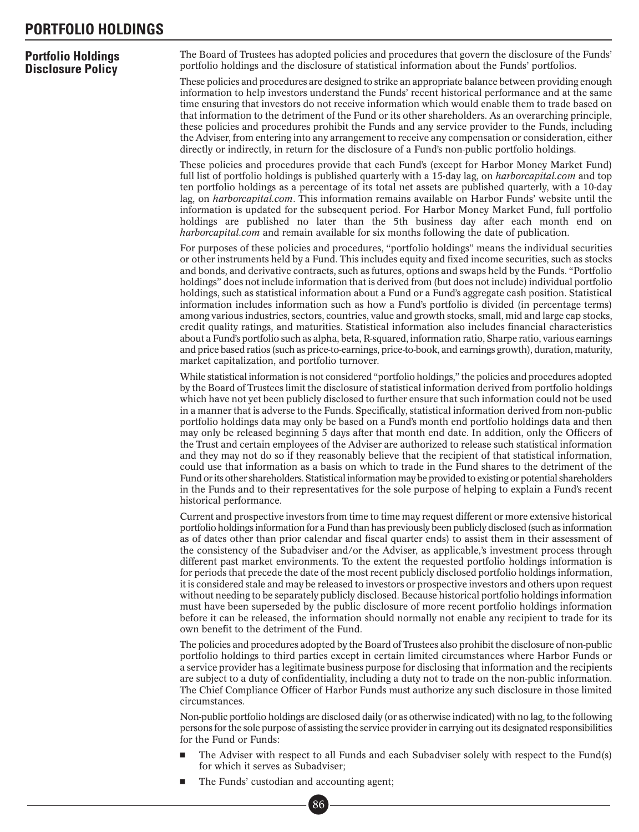### **PORTFOLIO HOLDINGS**

#### **Portfolio Holdings Disclosure Policy** The Board of Trustees has adopted policies and procedures that govern the disclosure of the Funds' portfolio holdings and the disclosure of statistical information about the Funds' portfolios.

These policies and procedures are designed to strike an appropriate balance between providing enough information to help investors understand the Funds' recent historical performance and at the same time ensuring that investors do not receive information which would enable them to trade based on that information to the detriment of the Fund or its other shareholders. As an overarching principle, these policies and procedures prohibit the Funds and any service provider to the Funds, including the Adviser, from entering into any arrangement to receive any compensation or consideration, either directly or indirectly, in return for the disclosure of a Fund's non-public portfolio holdings.

These policies and procedures provide that each Fund's (except for Harbor Money Market Fund) full list of portfolio holdings is published quarterly with a 15-day lag, on *harborcapital.com* and top ten portfolio holdings as a percentage of its total net assets are published quarterly, with a 10-day lag, on *harborcapital.com*. This information remains available on Harbor Funds' website until the information is updated for the subsequent period. For Harbor Money Market Fund, full portfolio holdings are published no later than the 5th business day after each month end on *harborcapital.com* and remain available for six months following the date of publication.

For purposes of these policies and procedures, "portfolio holdings" means the individual securities or other instruments held by a Fund. This includes equity and fixed income securities, such as stocks and bonds, and derivative contracts, such as futures, options and swaps held by the Funds. "Portfolio holdings" does not include information that is derived from (but does not include) individual portfolio holdings, such as statistical information about a Fund or a Fund's aggregate cash position. Statistical information includes information such as how a Fund's portfolio is divided (in percentage terms) among various industries, sectors, countries, value and growth stocks, small, mid and large cap stocks, credit quality ratings, and maturities. Statistical information also includes financial characteristics about a Fund's portfolio such as alpha, beta, R-squared, information ratio, Sharpe ratio, various earnings and price based ratios (such as price-to-earnings, price-to-book, and earnings growth), duration, maturity, market capitalization, and portfolio turnover.

While statistical information is not considered "portfolio holdings," the policies and procedures adopted by the Board of Trustees limit the disclosure of statistical information derived from portfolio holdings which have not yet been publicly disclosed to further ensure that such information could not be used in a manner that is adverse to the Funds. Specifically, statistical information derived from non-public portfolio holdings data may only be based on a Fund's month end portfolio holdings data and then may only be released beginning 5 days after that month end date. In addition, only the Officers of the Trust and certain employees of the Adviser are authorized to release such statistical information and they may not do so if they reasonably believe that the recipient of that statistical information, could use that information as a basis on which to trade in the Fund shares to the detriment of the Fund or its other shareholders. Statistical information may be provided to existing or potential shareholders in the Funds and to their representatives for the sole purpose of helping to explain a Fund's recent historical performance.

Current and prospective investors from time to time may request different or more extensive historical portfolio holdings information for a Fund than has previously been publicly disclosed (such as information as of dates other than prior calendar and fiscal quarter ends) to assist them in their assessment of the consistency of the Subadviser and/or the Adviser, as applicable,'s investment process through different past market environments. To the extent the requested portfolio holdings information is for periods that precede the date of the most recent publicly disclosed portfolio holdings information, it is considered stale and may be released to investors or prospective investors and others upon request without needing to be separately publicly disclosed. Because historical portfolio holdings information must have been superseded by the public disclosure of more recent portfolio holdings information before it can be released, the information should normally not enable any recipient to trade for its own benefit to the detriment of the Fund.

The policies and procedures adopted by the Board of Trustees also prohibit the disclosure of non-public portfolio holdings to third parties except in certain limited circumstances where Harbor Funds or a service provider has a legitimate business purpose for disclosing that information and the recipients are subject to a duty of confidentiality, including a duty not to trade on the non-public information. The Chief Compliance Officer of Harbor Funds must authorize any such disclosure in those limited circumstances.

Non-public portfolio holdings are disclosed daily (or as otherwise indicated) with no lag, to the following persons for the sole purpose of assisting the service provider in carrying out its designated responsibilities for the Fund or Funds:

- - The Adviser with respect to all Funds and each Subadviser solely with respect to the Fund(s) for which it serves as Subadviser;
- -The Funds' custodian and accounting agent;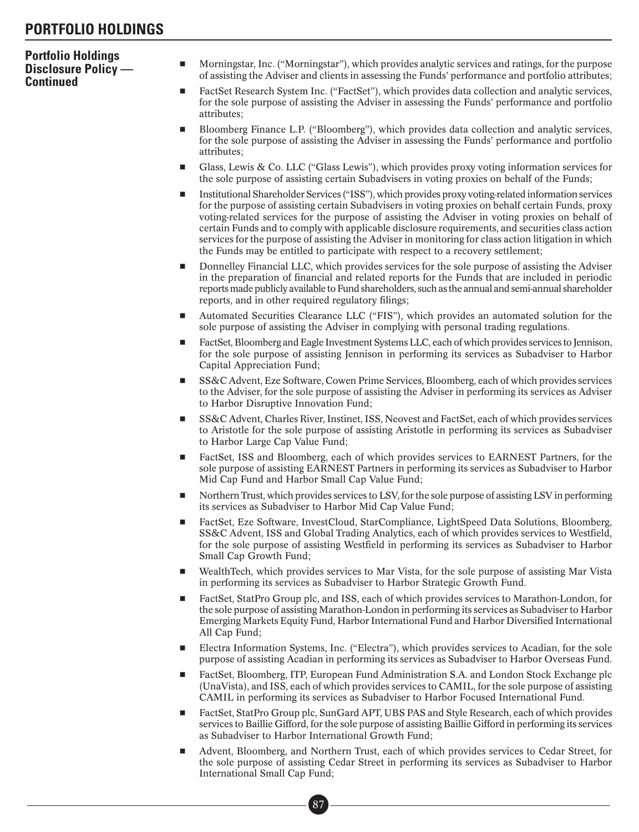### **Portfolio Holdings Disclosure Policy — Continued**

- - Morningstar, Inc. ("Morningstar"), which provides analytic services and ratings, for the purpose of assisting the Adviser and clients in assessing the Funds' performance and portfolio attributes;
- - FactSet Research System Inc. ("FactSet"), which provides data collection and analytic services, for the sole purpose of assisting the Adviser in assessing the Funds' performance and portfolio attributes;
- - Bloomberg Finance L.P. ("Bloomberg"), which provides data collection and analytic services, for the sole purpose of assisting the Adviser in assessing the Funds' performance and portfolio attributes;
- - Glass, Lewis & Co. LLC ("Glass Lewis"), which provides proxy voting information services for the sole purpose of assisting certain Subadvisers in voting proxies on behalf of the Funds;
- - Institutional Shareholder Services ("ISS"), which provides proxy voting-related information services for the purpose of assisting certain Subadvisers in voting proxies on behalf certain Funds, proxy voting-related services for the purpose of assisting the Adviser in voting proxies on behalf of certain Funds and to comply with applicable disclosure requirements, and securities class action services for the purpose of assisting the Adviser in monitoring for class action litigation in which the Funds may be entitled to participate with respect to a recovery settlement;
- - Donnelley Financial LLC, which provides services for the sole purpose of assisting the Adviser in the preparation of financial and related reports for the Funds that are included in periodic reports made publicly available to Fund shareholders, such as the annual and semi-annual shareholder reports, and in other required regulatory filings;
- - Automated Securities Clearance LLC ("FIS"), which provides an automated solution for the sole purpose of assisting the Adviser in complying with personal trading regulations.
- - FactSet, Bloomberg and Eagle Investment Systems LLC, each of which provides services to Jennison, for the sole purpose of assisting Jennison in performing its services as Subadviser to Harbor Capital Appreciation Fund;
- - SS&C Advent, Eze Software, Cowen Prime Services, Bloomberg, each of which provides services to the Adviser, for the sole purpose of assisting the Adviser in performing its services as Adviser to Harbor Disruptive Innovation Fund;
- - SS&C Advent, Charles River, Instinet, ISS, Neovest and FactSet, each of which provides services to Aristotle for the sole purpose of assisting Aristotle in performing its services as Subadviser to Harbor Large Cap Value Fund;
- - FactSet, ISS and Bloomberg, each of which provides services to EARNEST Partners, for the sole purpose of assisting EARNEST Partners in performing its services as Subadviser to Harbor Mid Cap Fund and Harbor Small Cap Value Fund;
- - Northern Trust, which provides services to LSV, for the sole purpose of assisting LSV in performing its services as Subadviser to Harbor Mid Cap Value Fund;
- - FactSet, Eze Software, InvestCloud, StarCompliance, LightSpeed Data Solutions, Bloomberg, SS&C Advent, ISS and Global Trading Analytics, each of which provides services to Westfield, for the sole purpose of assisting Westfield in performing its services as Subadviser to Harbor Small Cap Growth Fund;
- - WealthTech, which provides services to Mar Vista, for the sole purpose of assisting Mar Vista in performing its services as Subadviser to Harbor Strategic Growth Fund.
- - FactSet, StatPro Group plc, and ISS, each of which provides services to Marathon-London, for the sole purpose of assisting Marathon-London in performing its services as Subadviser to Harbor Emerging Markets Equity Fund, Harbor International Fund and Harbor Diversified International All Cap Fund;
- - Electra Information Systems, Inc. ("Electra"), which provides services to Acadian, for the sole purpose of assisting Acadian in performing its services as Subadviser to Harbor Overseas Fund.
- - FactSet, Bloomberg, ITP, European Fund Administration S.A. and London Stock Exchange plc (UnaVista), and ISS, each of which provides services to CAMIL, for the sole purpose of assisting CAMIL in performing its services as Subadviser to Harbor Focused International Fund.
- - FactSet, StatPro Group plc, SunGard APT, UBS PAS and Style Research, each of which provides services to Baillie Gifford, for the sole purpose of assisting Baillie Gifford in performing its services as Subadviser to Harbor International Growth Fund;
- - Advent, Bloomberg, and Northern Trust, each of which provides services to Cedar Street, for the sole purpose of assisting Cedar Street in performing its services as Subadviser to Harbor International Small Cap Fund;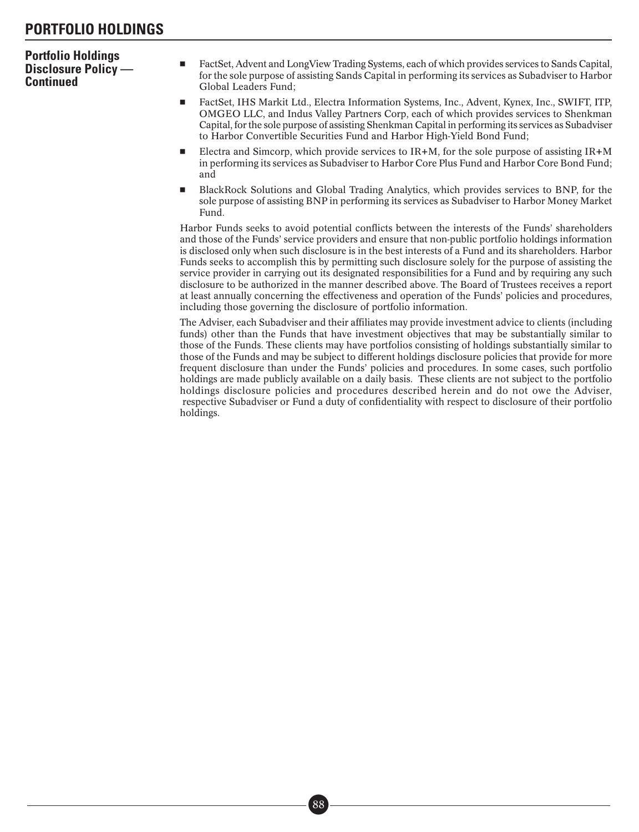### **Portfolio Holdings Disclosure Policy — Continued**

- - FactSet, Advent and LongView Trading Systems, each of which provides services to Sands Capital, for the sole purpose of assisting Sands Capital in performing its services as Subadviser to Harbor Global Leaders Fund;
- - FactSet, IHS Markit Ltd., Electra Information Systems, Inc., Advent, Kynex, Inc., SWIFT, ITP, OMGEO LLC, and Indus Valley Partners Corp, each of which provides services to Shenkman Capital, for the sole purpose of assisting Shenkman Capital in performing its services as Subadviser to Harbor Convertible Securities Fund and Harbor High-Yield Bond Fund;
- -Electra and Simcorp, which provide services to  $IR+M$ , for the sole purpose of assisting  $IR+M$ in performing its services as Subadviser to Harbor Core Plus Fund and Harbor Core Bond Fund; and
- - BlackRock Solutions and Global Trading Analytics, which provides services to BNP, for the sole purpose of assisting BNP in performing its services as Subadviser to Harbor Money Market Fund.

Harbor Funds seeks to avoid potential conflicts between the interests of the Funds' shareholders and those of the Funds' service providers and ensure that non-public portfolio holdings information is disclosed only when such disclosure is in the best interests of a Fund and its shareholders. Harbor Funds seeks to accomplish this by permitting such disclosure solely for the purpose of assisting the service provider in carrying out its designated responsibilities for a Fund and by requiring any such disclosure to be authorized in the manner described above. The Board of Trustees receives a report at least annually concerning the effectiveness and operation of the Funds' policies and procedures, including those governing the disclosure of portfolio information.

The Adviser, each Subadviser and their affiliates may provide investment advice to clients (including funds) other than the Funds that have investment objectives that may be substantially similar to those of the Funds. These clients may have portfolios consisting of holdings substantially similar to those of the Funds and may be subject to different holdings disclosure policies that provide for more frequent disclosure than under the Funds' policies and procedures. In some cases, such portfolio holdings are made publicly available on a daily basis. These clients are not subject to the portfolio holdings disclosure policies and procedures described herein and do not owe the Adviser, respective Subadviser or Fund a duty of confidentiality with respect to disclosure of their portfolio holdings.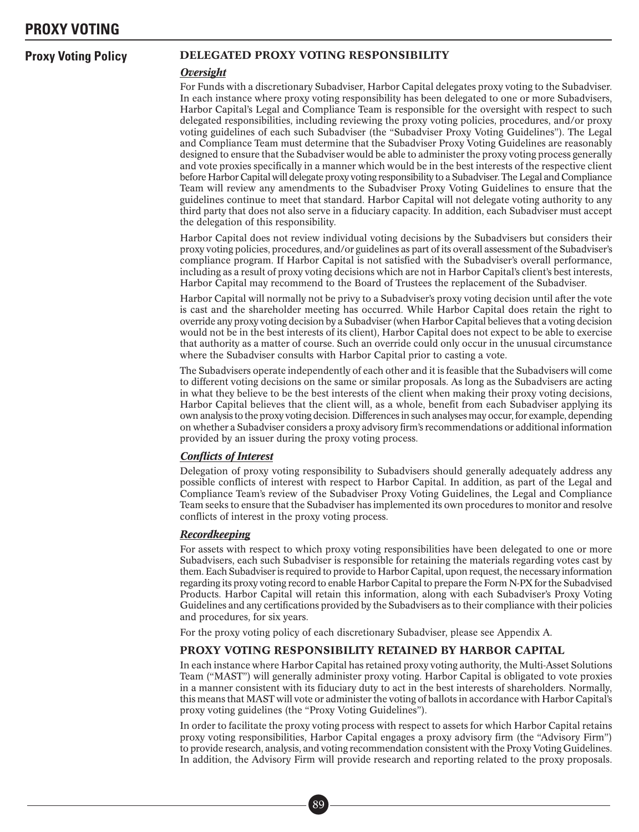### **Proxy Voting Policy** DELEGATED PROXY VOTING RESPONSIBILITY

#### *Oversight*

For Funds with a discretionary Subadviser, Harbor Capital delegates proxy voting to the Subadviser. In each instance where proxy voting responsibility has been delegated to one or more Subadvisers, Harbor Capital's Legal and Compliance Team is responsible for the oversight with respect to such delegated responsibilities, including reviewing the proxy voting policies, procedures, and/or proxy voting guidelines of each such Subadviser (the "Subadviser Proxy Voting Guidelines"). The Legal and Compliance Team must determine that the Subadviser Proxy Voting Guidelines are reasonably designed to ensure that the Subadviser would be able to administer the proxy voting process generally and vote proxies specifically in a manner which would be in the best interests of the respective client before Harbor Capital will delegate proxy voting responsibility to a Subadviser. The Legal and Compliance Team will review any amendments to the Subadviser Proxy Voting Guidelines to ensure that the guidelines continue to meet that standard. Harbor Capital will not delegate voting authority to any third party that does not also serve in a fiduciary capacity. In addition, each Subadviser must accept the delegation of this responsibility.

Harbor Capital does not review individual voting decisions by the Subadvisers but considers their proxy voting policies, procedures, and/or guidelines as part of its overall assessment of the Subadviser's compliance program. If Harbor Capital is not satisfied with the Subadviser's overall performance, including as a result of proxy voting decisions which are not in Harbor Capital's client's best interests, Harbor Capital may recommend to the Board of Trustees the replacement of the Subadviser.

Harbor Capital will normally not be privy to a Subadviser's proxy voting decision until after the vote is cast and the shareholder meeting has occurred. While Harbor Capital does retain the right to override any proxy voting decision by a Subadviser (when Harbor Capital believes that a voting decision would not be in the best interests of its client), Harbor Capital does not expect to be able to exercise that authority as a matter of course. Such an override could only occur in the unusual circumstance where the Subadviser consults with Harbor Capital prior to casting a vote.

The Subadvisers operate independently of each other and it is feasible that the Subadvisers will come to different voting decisions on the same or similar proposals. As long as the Subadvisers are acting in what they believe to be the best interests of the client when making their proxy voting decisions, Harbor Capital believes that the client will, as a whole, benefit from each Subadviser applying its own analysis to the proxy voting decision. Differences in such analyses may occur, for example, depending on whether a Subadviser considers a proxy advisory firm's recommendations or additional information provided by an issuer during the proxy voting process.

### *Conflicts of Interest*

Delegation of proxy voting responsibility to Subadvisers should generally adequately address any possible conflicts of interest with respect to Harbor Capital. In addition, as part of the Legal and Compliance Team's review of the Subadviser Proxy Voting Guidelines, the Legal and Compliance Team seeks to ensure that the Subadviser has implemented its own procedures to monitor and resolve conflicts of interest in the proxy voting process.

#### *Recordkeeping*

For assets with respect to which proxy voting responsibilities have been delegated to one or more Subadvisers, each such Subadviser is responsible for retaining the materials regarding votes cast by them. Each Subadviser is required to provide to Harbor Capital, upon request, the necessary information regarding its proxy voting record to enable Harbor Capital to prepare the Form N-PX for the Subadvised Products. Harbor Capital will retain this information, along with each Subadviser's Proxy Voting Guidelines and any certifications provided by the Subadvisers as to their compliance with their policies and procedures, for six years.

For the proxy voting policy of each discretionary Subadviser, please see Appendix A.

### PROXY VOTING RESPONSIBILITY RETAINED BY HARBOR CAPITAL

In each instance where Harbor Capital has retained proxy voting authority, the Multi-Asset Solutions Team ("MAST") will generally administer proxy voting. Harbor Capital is obligated to vote proxies in a manner consistent with its fiduciary duty to act in the best interests of shareholders. Normally, this means that MAST will vote or administer the voting of ballots in accordance with Harbor Capital's proxy voting guidelines (the "Proxy Voting Guidelines").

In order to facilitate the proxy voting process with respect to assets for which Harbor Capital retains proxy voting responsibilities, Harbor Capital engages a proxy advisory firm (the "Advisory Firm") to provide research, analysis, and voting recommendation consistent with the Proxy Voting Guidelines. In addition, the Advisory Firm will provide research and reporting related to the proxy proposals.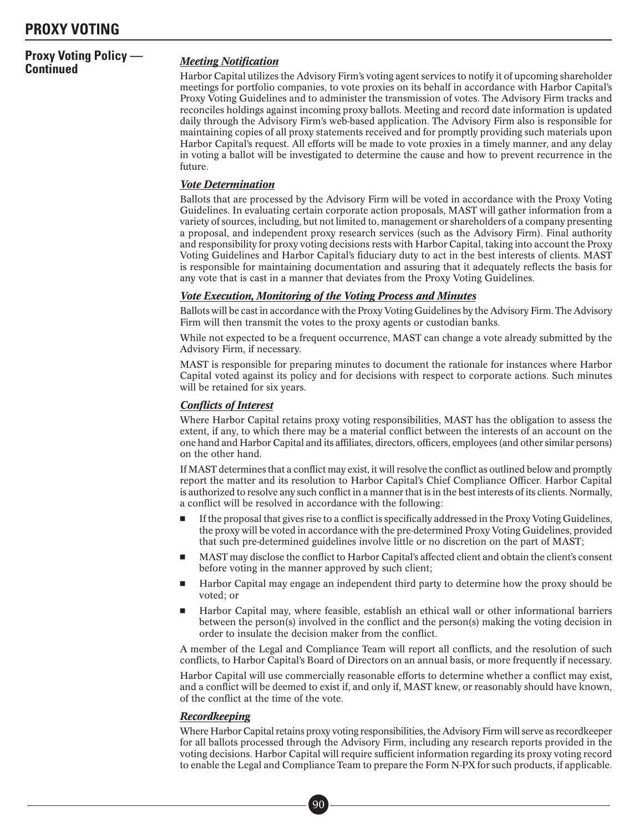### **PROXY VOTING**

# **Proxy Voting Policy —**

### **Meeting Notification**

Harbor Capital utilizes the Advisory Firm's voting agent services to notify it of upcoming shareholder meetings for portfolio companies, to vote proxies on its behalf in accordance with Harbor Capital's Proxy Voting Guidelines and to administer the transmission of votes. The Advisory Firm tracks and reconciles holdings against incoming proxy ballots. Meeting and record date information is updated daily through the Advisory Firm's web-based application. The Advisory Firm also is responsible for maintaining copies of all proxy statements received and for promptly providing such materials upon Harbor Capital's request. All efforts will be made to vote proxies in a timely manner, and any delay in voting a ballot will be investigated to determine the cause and how to prevent recurrence in the future.

### *Vote Determination*

Ballots that are processed by the Advisory Firm will be voted in accordance with the Proxy Voting Guidelines. In evaluating certain corporate action proposals, MAST will gather information from a variety of sources, including, but not limited to, management or shareholders of a company presenting a proposal, and independent proxy research services (such as the Advisory Firm). Final authority and responsibility for proxy voting decisions rests with Harbor Capital, taking into account the Proxy Voting Guidelines and Harbor Capital's fiduciary duty to act in the best interests of clients. MAST is responsible for maintaining documentation and assuring that it adequately reflects the basis for any vote that is cast in a manner that deviates from the Proxy Voting Guidelines.

### *Vote Execution, Monitoring of the Voting Process and Minutes*

Ballots will be cast in accordance with the Proxy Voting Guidelines by the Advisory Firm. The Advisory Firm will then transmit the votes to the proxy agents or custodian banks.

While not expected to be a frequent occurrence, MAST can change a vote already submitted by the Advisory Firm, if necessary.

MAST is responsible for preparing minutes to document the rationale for instances where Harbor Capital voted against its policy and for decisions with respect to corporate actions. Such minutes will be retained for six years.

### *Conflicts of Interest*

Where Harbor Capital retains proxy voting responsibilities, MAST has the obligation to assess the extent, if any, to which there may be a material conflict between the interests of an account on the one hand and Harbor Capital and its affiliates, directors, officers, employees (and other similar persons) on the other hand.

If MAST determines that a conflict may exist, it will resolve the conflict as outlined below and promptly report the matter and its resolution to Harbor Capital's Chief Compliance Officer. Harbor Capital is authorized to resolve any such conflict in a manner that is in the best interests of its clients. Normally, a conflict will be resolved in accordance with the following:

- - If the proposal that gives rise to a conflict is specifically addressed in the Proxy Voting Guidelines, the proxy will be voted in accordance with the pre-determined Proxy Voting Guidelines, provided that such pre-determined guidelines involve little or no discretion on the part of MAST;
- - MAST may disclose the conflict to Harbor Capital's affected client and obtain the client's consent before voting in the manner approved by such client;
- - Harbor Capital may engage an independent third party to determine how the proxy should be voted; or
- - Harbor Capital may, where feasible, establish an ethical wall or other informational barriers between the person(s) involved in the conflict and the person(s) making the voting decision in order to insulate the decision maker from the conflict.

A member of the Legal and Compliance Team will report all conflicts, and the resolution of such conflicts, to Harbor Capital's Board of Directors on an annual basis, or more frequently if necessary.

Harbor Capital will use commercially reasonable efforts to determine whether a conflict may exist, and a conflict will be deemed to exist if, and only if, MAST knew, or reasonably should have known, of the conflict at the time of the vote.

### *Recordkeeping*

Where Harbor Capital retains proxy voting responsibilities, the Advisory Firm will serve as recordkeeper for all ballots processed through the Advisory Firm, including any research reports provided in the voting decisions. Harbor Capital will require sufficient information regarding its proxy voting record to enable the Legal and Compliance Team to prepare the Form N-PX for such products, if applicable.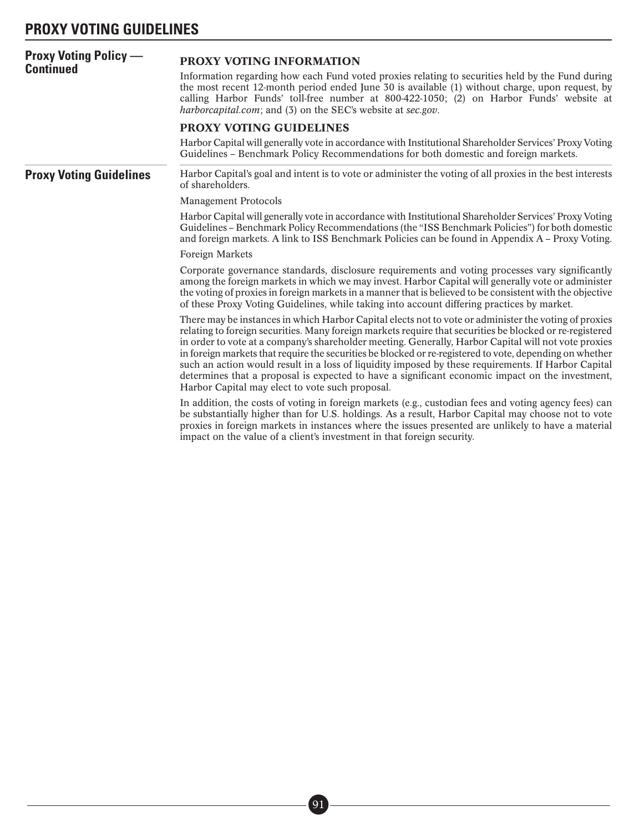## **PROXY VOTING GUIDELINES**

| <b>Proxy Voting Policy —</b><br><b>Continued</b> | PROXY VOTING INFORMATION<br>Information regarding how each Fund voted proxies relating to securities held by the Fund during<br>the most recent 12-month period ended June 30 is available (1) without charge, upon request, by<br>calling Harbor Funds' toll-free number at 800-422-1050; (2) on Harbor Funds' website at<br>harborcapital.com; and (3) on the SEC's website at sec.gov.                                                                                                                                                                                                                                                                                                          |  |  |  |
|--------------------------------------------------|----------------------------------------------------------------------------------------------------------------------------------------------------------------------------------------------------------------------------------------------------------------------------------------------------------------------------------------------------------------------------------------------------------------------------------------------------------------------------------------------------------------------------------------------------------------------------------------------------------------------------------------------------------------------------------------------------|--|--|--|
|                                                  | PROXY VOTING GUIDELINES                                                                                                                                                                                                                                                                                                                                                                                                                                                                                                                                                                                                                                                                            |  |  |  |
|                                                  | Harbor Capital will generally vote in accordance with Institutional Shareholder Services' Proxy Voting<br>Guidelines - Benchmark Policy Recommendations for both domestic and foreign markets.                                                                                                                                                                                                                                                                                                                                                                                                                                                                                                     |  |  |  |
| <b>Proxy Voting Guidelines</b>                   | Harbor Capital's goal and intent is to vote or administer the voting of all proxies in the best interests<br>of shareholders.                                                                                                                                                                                                                                                                                                                                                                                                                                                                                                                                                                      |  |  |  |
|                                                  | <b>Management Protocols</b>                                                                                                                                                                                                                                                                                                                                                                                                                                                                                                                                                                                                                                                                        |  |  |  |
|                                                  | Harbor Capital will generally vote in accordance with Institutional Shareholder Services' Proxy Voting<br>Guidelines – Benchmark Policy Recommendations (the "ISS Benchmark Policies") for both domestic<br>and foreign markets. A link to ISS Benchmark Policies can be found in Appendix A – Proxy Voting.                                                                                                                                                                                                                                                                                                                                                                                       |  |  |  |
|                                                  | Foreign Markets                                                                                                                                                                                                                                                                                                                                                                                                                                                                                                                                                                                                                                                                                    |  |  |  |
|                                                  | Corporate governance standards, disclosure requirements and voting processes vary significantly<br>among the foreign markets in which we may invest. Harbor Capital will generally vote or administer<br>the voting of proxies in foreign markets in a manner that is believed to be consistent with the objective<br>of these Proxy Voting Guidelines, while taking into account differing practices by market.                                                                                                                                                                                                                                                                                   |  |  |  |
|                                                  | There may be instances in which Harbor Capital elects not to vote or administer the voting of proxies<br>relating to foreign securities. Many foreign markets require that securities be blocked or re-registered<br>in order to vote at a company's shareholder meeting. Generally, Harbor Capital will not vote proxies<br>in foreign markets that require the securities be blocked or re-registered to vote, depending on whether<br>such an action would result in a loss of liquidity imposed by these requirements. If Harbor Capital<br>determines that a proposal is expected to have a significant economic impact on the investment,<br>Harbor Capital may elect to vote such proposal. |  |  |  |
|                                                  | In addition, the costs of voting in foreign markets (e.g., custodian fees and voting agency fees) can<br>be substantially higher than for U.S. holdings. As a result, Harbor Capital may choose not to vote<br>proxies in foreign markets in instances where the issues presented are unlikely to have a material<br>impact on the value of a client's investment in that foreign security.                                                                                                                                                                                                                                                                                                        |  |  |  |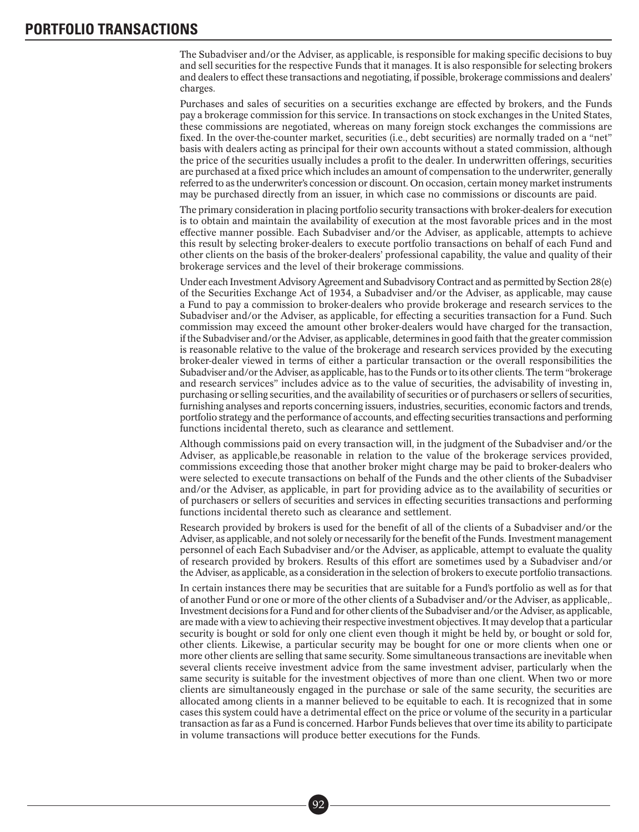### **PORTFOLIO TRANSACTIONS**

The Subadviser and/or the Adviser, as applicable, is responsible for making specific decisions to buy and sell securities for the respective Funds that it manages. It is also responsible for selecting brokers and dealers to effect these transactions and negotiating, if possible, brokerage commissions and dealers' charges.

Purchases and sales of securities on a securities exchange are effected by brokers, and the Funds pay a brokerage commission for this service. In transactions on stock exchanges in the United States, these commissions are negotiated, whereas on many foreign stock exchanges the commissions are fixed. In the over-the-counter market, securities (i.e., debt securities) are normally traded on a "net" basis with dealers acting as principal for their own accounts without a stated commission, although the price of the securities usually includes a profit to the dealer. In underwritten offerings, securities are purchased at a fixed price which includes an amount of compensation to the underwriter, generally referred to as the underwriter's concession or discount. On occasion, certain money market instruments may be purchased directly from an issuer, in which case no commissions or discounts are paid.

The primary consideration in placing portfolio security transactions with broker-dealers for execution is to obtain and maintain the availability of execution at the most favorable prices and in the most effective manner possible. Each Subadviser and/or the Adviser, as applicable, attempts to achieve this result by selecting broker-dealers to execute portfolio transactions on behalf of each Fund and other clients on the basis of the broker-dealers' professional capability, the value and quality of their brokerage services and the level of their brokerage commissions.

Under each Investment Advisory Agreement and Subadvisory Contract and as permitted by Section 28(e) of the Securities Exchange Act of 1934, a Subadviser and/or the Adviser, as applicable, may cause a Fund to pay a commission to broker-dealers who provide brokerage and research services to the Subadviser and/or the Adviser, as applicable, for effecting a securities transaction for a Fund. Such commission may exceed the amount other broker-dealers would have charged for the transaction, if the Subadviser and/or the Adviser, as applicable, determines in good faith that the greater commission is reasonable relative to the value of the brokerage and research services provided by the executing broker-dealer viewed in terms of either a particular transaction or the overall responsibilities the Subadviser and/or the Adviser, as applicable, has to the Funds or to its other clients. The term "brokerage and research services" includes advice as to the value of securities, the advisability of investing in, purchasing or selling securities, and the availability of securities or of purchasers or sellers of securities, furnishing analyses and reports concerning issuers, industries, securities, economic factors and trends, portfolio strategy and the performance of accounts, and effecting securities transactions and performing functions incidental thereto, such as clearance and settlement.

Although commissions paid on every transaction will, in the judgment of the Subadviser and/or the Adviser, as applicable,be reasonable in relation to the value of the brokerage services provided, commissions exceeding those that another broker might charge may be paid to broker-dealers who were selected to execute transactions on behalf of the Funds and the other clients of the Subadviser and/or the Adviser, as applicable, in part for providing advice as to the availability of securities or of purchasers or sellers of securities and services in effecting securities transactions and performing functions incidental thereto such as clearance and settlement.

Research provided by brokers is used for the benefit of all of the clients of a Subadviser and/or the Adviser, as applicable, and not solely or necessarily for the benefit of the Funds. Investment management personnel of each Each Subadviser and/or the Adviser, as applicable, attempt to evaluate the quality of research provided by brokers. Results of this effort are sometimes used by a Subadviser and/or the Adviser, as applicable, as a consideration in the selection of brokers to execute portfolio transactions.

In certain instances there may be securities that are suitable for a Fund's portfolio as well as for that of another Fund or one or more of the other clients of a Subadviser and/or the Adviser, as applicable,. Investment decisions for a Fund and for other clients of the Subadviser and/or the Adviser, as applicable, are made with a view to achieving their respective investment objectives. It may develop that a particular security is bought or sold for only one client even though it might be held by, or bought or sold for, other clients. Likewise, a particular security may be bought for one or more clients when one or more other clients are selling that same security. Some simultaneous transactions are inevitable when several clients receive investment advice from the same investment adviser, particularly when the same security is suitable for the investment objectives of more than one client. When two or more clients are simultaneously engaged in the purchase or sale of the same security, the securities are allocated among clients in a manner believed to be equitable to each. It is recognized that in some cases this system could have a detrimental effect on the price or volume of the security in a particular transaction as far as a Fund is concerned. Harbor Funds believes that over time its ability to participate in volume transactions will produce better executions for the Funds.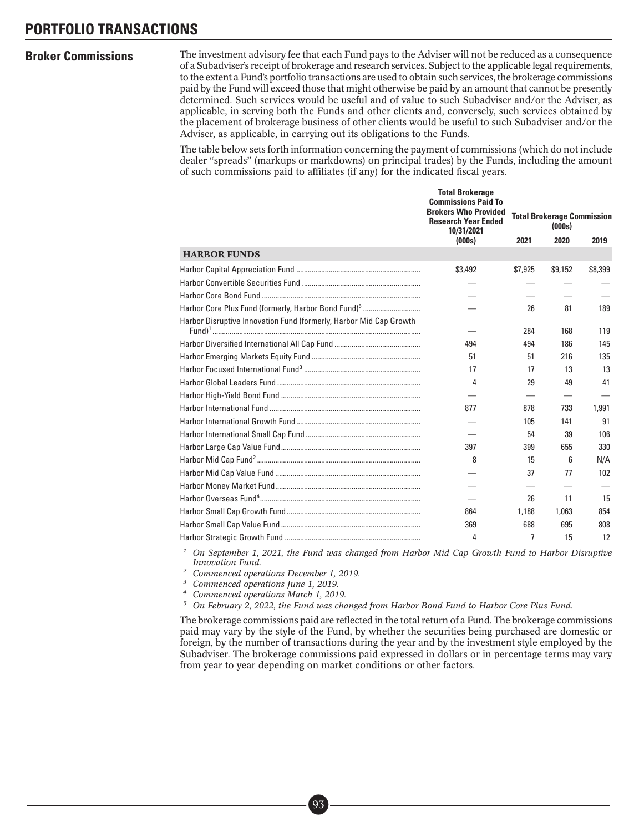**Broker Commissions** The investment advisory fee that each Fund pays to the Adviser will not be reduced as a consequence of a Subadviser's receipt of brokerage and research services. Subject to the applicable legal requirements, to the extent a Fund's portfolio transactions are used to obtain such services, the brokerage commissions paid by the Fund will exceed those that might otherwise be paid by an amount that cannot be presently determined. Such services would be useful and of value to such Subadviser and/or the Adviser, as applicable, in serving both the Funds and other clients and, conversely, such services obtained by the placement of brokerage business of other clients would be useful to such Subadviser and/or the Adviser, as applicable, in carrying out its obligations to the Funds.

> The table below sets forth information concerning the payment of commissions (which do not include dealer "spreads" (markups or markdowns) on principal trades) by the Funds, including the amount of such commissions paid to affiliates (if any) for the indicated fiscal years.

|                                                                    | <b>Total Brokerage</b><br><b>Commissions Paid To</b><br><b>Brokers Who Provided</b><br><b>Research Year Ended</b><br>10/31/2021 | <b>Total Brokerage Commission</b><br>(000s) |         |         |
|--------------------------------------------------------------------|---------------------------------------------------------------------------------------------------------------------------------|---------------------------------------------|---------|---------|
|                                                                    | (000s)                                                                                                                          | 2021                                        | 2020    | 2019    |
| <b>HARBOR FUNDS</b>                                                |                                                                                                                                 |                                             |         |         |
|                                                                    | \$3,492                                                                                                                         | \$7,925                                     | \$9,152 | \$8,399 |
|                                                                    |                                                                                                                                 |                                             |         |         |
|                                                                    |                                                                                                                                 |                                             |         |         |
|                                                                    |                                                                                                                                 | 26                                          | 81      | 189     |
| Harbor Disruptive Innovation Fund (formerly, Harbor Mid Cap Growth |                                                                                                                                 | 284                                         | 168     | 119     |
|                                                                    | 494                                                                                                                             | 494                                         | 186     | 145     |
|                                                                    | 51                                                                                                                              | 51                                          | 216     | 135     |
|                                                                    | 17                                                                                                                              | 17                                          | 13      | 13      |
|                                                                    | 4                                                                                                                               | 29                                          | 49      | 41      |
|                                                                    |                                                                                                                                 |                                             |         |         |
|                                                                    | 877                                                                                                                             | 878                                         | 733     | 1.991   |
|                                                                    |                                                                                                                                 | 105                                         | 141     | 91      |
|                                                                    |                                                                                                                                 | 54                                          | 39      | 106     |
|                                                                    | 397                                                                                                                             | 399                                         | 655     | 330     |
|                                                                    | 8                                                                                                                               | 15                                          | 6       | N/A     |
|                                                                    |                                                                                                                                 | 37                                          | 77      | 102     |
|                                                                    |                                                                                                                                 |                                             |         |         |
|                                                                    |                                                                                                                                 | 26                                          | 11      | 15      |
|                                                                    | 864                                                                                                                             | 1,188                                       | 1.063   | 854     |
|                                                                    | 369                                                                                                                             | 688                                         | 695     | 808     |
|                                                                    | 4                                                                                                                               | 7                                           | 15      | 12      |

*<sup>1</sup> On September 1, 2021, the Fund was changed from Harbor Mid Cap Growth Fund to Harbor Disruptive Innovation Fund.*

*<sup>2</sup> Commenced operations December 1, 2019.*

*<sup>3</sup> Commenced operations June 1, 2019.*

*<sup>4</sup> Commenced operations March 1, 2019.*

*<sup>5</sup> On February 2, 2022, the Fund was changed from Harbor Bond Fund to Harbor Core Plus Fund.*

The brokerage commissions paid are reflected in the total return of a Fund. The brokerage commissions paid may vary by the style of the Fund, by whether the securities being purchased are domestic or foreign, by the number of transactions during the year and by the investment style employed by the Subadviser. The brokerage commissions paid expressed in dollars or in percentage terms may vary from year to year depending on market conditions or other factors.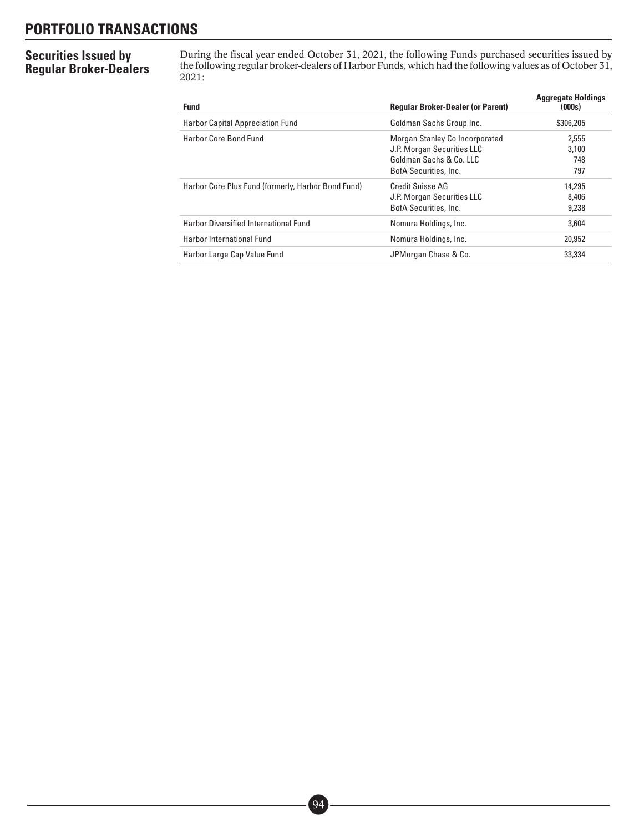## **PORTFOLIO TRANSACTIONS**

### **Securities Issued by Regular Broker-Dealers**

During the fiscal year ended October 31, 2021, the following Funds purchased securities issued by the following regular broker-dealers of Harbor Funds, which had the following values as of October 31, 2021:

| <b>Fund</b>                                        | <b>Regular Broker-Dealer (or Parent)</b>                                                                         | <b>Aggregate Holdings</b><br>(000s) |
|----------------------------------------------------|------------------------------------------------------------------------------------------------------------------|-------------------------------------|
| <b>Harbor Capital Appreciation Fund</b>            | Goldman Sachs Group Inc.                                                                                         | \$306,205                           |
| Harbor Core Bond Fund                              | Morgan Stanley Co Incorporated<br>J.P. Morgan Securities LLC<br>Goldman Sachs & Co. LLC<br>BofA Securities, Inc. | 2.555<br>3.100<br>748<br>797        |
| Harbor Core Plus Fund (formerly, Harbor Bond Fund) | Credit Suisse AG<br>J.P. Morgan Securities LLC<br>BofA Securities, Inc.                                          | 14.295<br>8,406<br>9,238            |
| <b>Harbor Diversified International Fund</b>       | Nomura Holdings, Inc.                                                                                            | 3.604                               |
| Harbor International Fund                          | Nomura Holdings, Inc.                                                                                            | 20,952                              |
| Harbor Large Cap Value Fund                        | JPMorgan Chase & Co.                                                                                             | 33.334                              |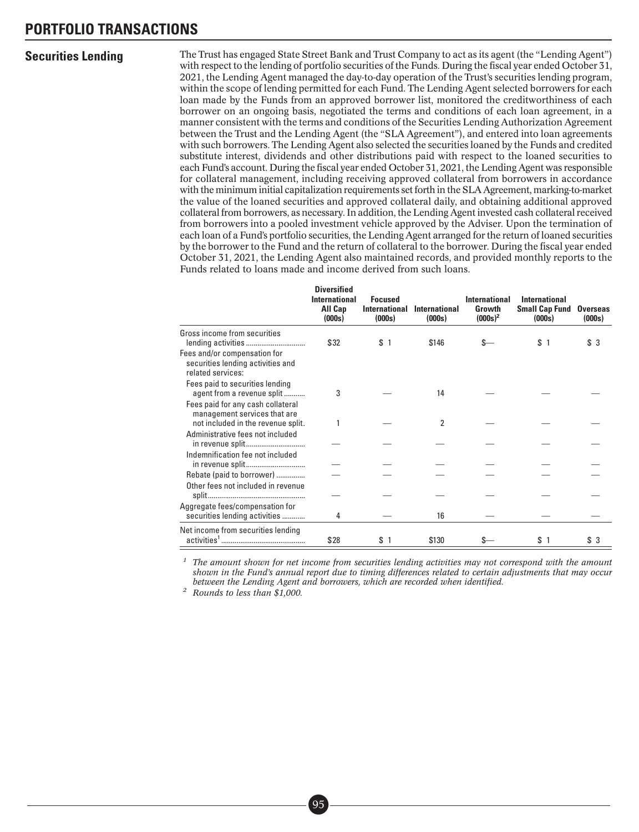**Securities Lending** The Trust has engaged State Street Bank and Trust Company to act as its agent (the "Lending Agent") with respect to the lending of portfolio securities of the Funds. During the fiscal year ended October 31, 2021, the Lending Agent managed the day-to-day operation of the Trust's securities lending program, within the scope of lending permitted for each Fund. The Lending Agent selected borrowers for each loan made by the Funds from an approved borrower list, monitored the creditworthiness of each borrower on an ongoing basis, negotiated the terms and conditions of each loan agreement, in a manner consistent with the terms and conditions of the Securities Lending Authorization Agreement between the Trust and the Lending Agent (the "SLA Agreement"), and entered into loan agreements with such borrowers. The Lending Agent also selected the securities loaned by the Funds and credited substitute interest, dividends and other distributions paid with respect to the loaned securities to each Fund's account. During the fiscal year ended October 31, 2021, the Lending Agent was responsible for collateral management, including receiving approved collateral from borrowers in accordance with the minimum initial capitalization requirements set forth in the SLA Agreement, marking-to-market the value of the loaned securities and approved collateral daily, and obtaining additional approved collateral from borrowers, as necessary. In addition, the Lending Agent invested cash collateral received from borrowers into a pooled investment vehicle approved by the Adviser. Upon the termination of each loan of a Fund's portfolio securities, the Lending Agent arranged for the return of loaned securities by the borrower to the Fund and the return of collateral to the borrower. During the fiscal year ended October 31, 2021, the Lending Agent also maintained records, and provided monthly reports to the Funds related to loans made and income derived from such loans.

|                                                                                        | <b>Diversified</b><br>International<br>All Cap<br>(000s) | <b>Focused</b><br><b>International</b><br>(000s) | International<br>(000s) | International<br>Growth<br>$(000s)^2$ | International<br><b>Small Cap Fund</b><br>(000s) | <b>Overseas</b><br>(000s) |
|----------------------------------------------------------------------------------------|----------------------------------------------------------|--------------------------------------------------|-------------------------|---------------------------------------|--------------------------------------------------|---------------------------|
| Gross income from securities                                                           |                                                          |                                                  |                         |                                       |                                                  |                           |
|                                                                                        | \$32                                                     | \$1                                              | \$146                   | S-                                    | \$1                                              | \$ 3                      |
| Fees and/or compensation for<br>securities lending activities and<br>related services: |                                                          |                                                  |                         |                                       |                                                  |                           |
| Fees paid to securities lending                                                        |                                                          |                                                  |                         |                                       |                                                  |                           |
| agent from a revenue split                                                             | 3                                                        |                                                  | 14                      |                                       |                                                  |                           |
| Fees paid for any cash collateral<br>management services that are                      |                                                          |                                                  |                         |                                       |                                                  |                           |
| not included in the revenue split.                                                     |                                                          |                                                  | 2                       |                                       |                                                  |                           |
| Administrative fees not included                                                       |                                                          |                                                  |                         |                                       |                                                  |                           |
| Indemnification fee not included                                                       |                                                          |                                                  |                         |                                       |                                                  |                           |
|                                                                                        |                                                          |                                                  |                         |                                       |                                                  |                           |
| Rebate (paid to borrower)                                                              |                                                          |                                                  |                         |                                       |                                                  |                           |
| Other fees not included in revenue                                                     |                                                          |                                                  |                         |                                       |                                                  |                           |
|                                                                                        |                                                          |                                                  |                         |                                       |                                                  |                           |
| Aggregate fees/compensation for                                                        |                                                          |                                                  |                         |                                       |                                                  |                           |
| securities lending activities                                                          | 4                                                        |                                                  | 16                      |                                       |                                                  |                           |
| Net income from securities lending                                                     |                                                          |                                                  |                         |                                       |                                                  |                           |
|                                                                                        | \$28                                                     | \$1                                              | \$130                   |                                       | \$1                                              | \$ 3                      |

*<sup>1</sup> The amount shown for net income from securities lending activities may not correspond with the amount shown in the Fund's annual report due to timing differences related to certain adjustments that may occur between the Lending Agent and borrowers, which are recorded when identified.*

*<sup>2</sup> Rounds to less than \$1,000.*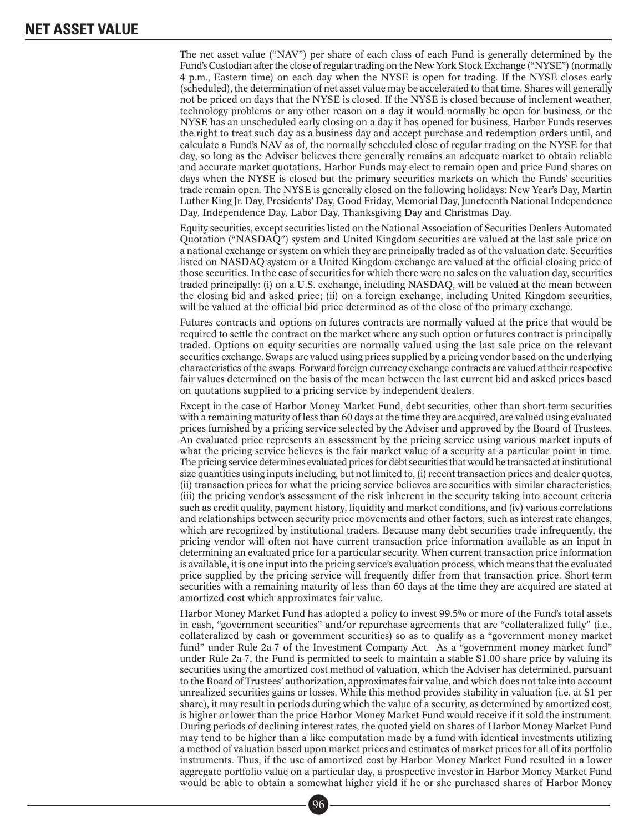The net asset value ("NAV") per share of each class of each Fund is generally determined by the Fund's Custodian after the close of regular trading on the New York Stock Exchange ("NYSE") (normally 4 p.m., Eastern time) on each day when the NYSE is open for trading. If the NYSE closes early (scheduled), the determination of net asset value may be accelerated to that time. Shares will generally not be priced on days that the NYSE is closed. If the NYSE is closed because of inclement weather, technology problems or any other reason on a day it would normally be open for business, or the NYSE has an unscheduled early closing on a day it has opened for business, Harbor Funds reserves the right to treat such day as a business day and accept purchase and redemption orders until, and calculate a Fund's NAV as of, the normally scheduled close of regular trading on the NYSE for that day, so long as the Adviser believes there generally remains an adequate market to obtain reliable and accurate market quotations. Harbor Funds may elect to remain open and price Fund shares on days when the NYSE is closed but the primary securities markets on which the Funds' securities trade remain open. The NYSE is generally closed on the following holidays: New Year's Day, Martin Luther King Jr. Day, Presidents' Day, Good Friday, Memorial Day, Juneteenth National Independence Day, Independence Day, Labor Day, Thanksgiving Day and Christmas Day.

Equity securities, except securities listed on the National Association of Securities Dealers Automated Quotation ("NASDAQ") system and United Kingdom securities are valued at the last sale price on a national exchange or system on which they are principally traded as of the valuation date. Securities listed on NASDAQ system or a United Kingdom exchange are valued at the official closing price of those securities. In the case of securities for which there were no sales on the valuation day, securities traded principally: (i) on a U.S. exchange, including NASDAQ, will be valued at the mean between the closing bid and asked price; (ii) on a foreign exchange, including United Kingdom securities, will be valued at the official bid price determined as of the close of the primary exchange.

Futures contracts and options on futures contracts are normally valued at the price that would be required to settle the contract on the market where any such option or futures contract is principally traded. Options on equity securities are normally valued using the last sale price on the relevant securities exchange. Swaps are valued using prices supplied by a pricing vendor based on the underlying characteristics of the swaps. Forward foreign currency exchange contracts are valued at their respective fair values determined on the basis of the mean between the last current bid and asked prices based on quotations supplied to a pricing service by independent dealers.

Except in the case of Harbor Money Market Fund, debt securities, other than short-term securities with a remaining maturity of less than 60 days at the time they are acquired, are valued using evaluated prices furnished by a pricing service selected by the Adviser and approved by the Board of Trustees. An evaluated price represents an assessment by the pricing service using various market inputs of what the pricing service believes is the fair market value of a security at a particular point in time. The pricing service determines evaluated prices for debt securities that would be transacted at institutional size quantities using inputs including, but not limited to, (i) recent transaction prices and dealer quotes, (ii) transaction prices for what the pricing service believes are securities with similar characteristics, (iii) the pricing vendor's assessment of the risk inherent in the security taking into account criteria such as credit quality, payment history, liquidity and market conditions, and (iv) various correlations and relationships between security price movements and other factors, such as interest rate changes, which are recognized by institutional traders. Because many debt securities trade infrequently, the pricing vendor will often not have current transaction price information available as an input in determining an evaluated price for a particular security. When current transaction price information is available, it is one input into the pricing service's evaluation process, which means that the evaluated price supplied by the pricing service will frequently differ from that transaction price. Short-term securities with a remaining maturity of less than 60 days at the time they are acquired are stated at amortized cost which approximates fair value.

Harbor Money Market Fund has adopted a policy to invest 99.5% or more of the Fund's total assets in cash, "government securities" and/or repurchase agreements that are "collateralized fully" (i.e., collateralized by cash or government securities) so as to qualify as a "government money market fund" under Rule 2a-7 of the Investment Company Act. As a "government money market fund" under Rule 2a-7, the Fund is permitted to seek to maintain a stable \$1.00 share price by valuing its securities using the amortized cost method of valuation, which the Adviser has determined, pursuant to the Board of Trustees' authorization, approximates fair value, and which does not take into account unrealized securities gains or losses. While this method provides stability in valuation (i.e. at \$1 per share), it may result in periods during which the value of a security, as determined by amortized cost, is higher or lower than the price Harbor Money Market Fund would receive if it sold the instrument. During periods of declining interest rates, the quoted yield on shares of Harbor Money Market Fund may tend to be higher than a like computation made by a fund with identical investments utilizing a method of valuation based upon market prices and estimates of market prices for all of its portfolio instruments. Thus, if the use of amortized cost by Harbor Money Market Fund resulted in a lower aggregate portfolio value on a particular day, a prospective investor in Harbor Money Market Fund would be able to obtain a somewhat higher yield if he or she purchased shares of Harbor Money<br>
96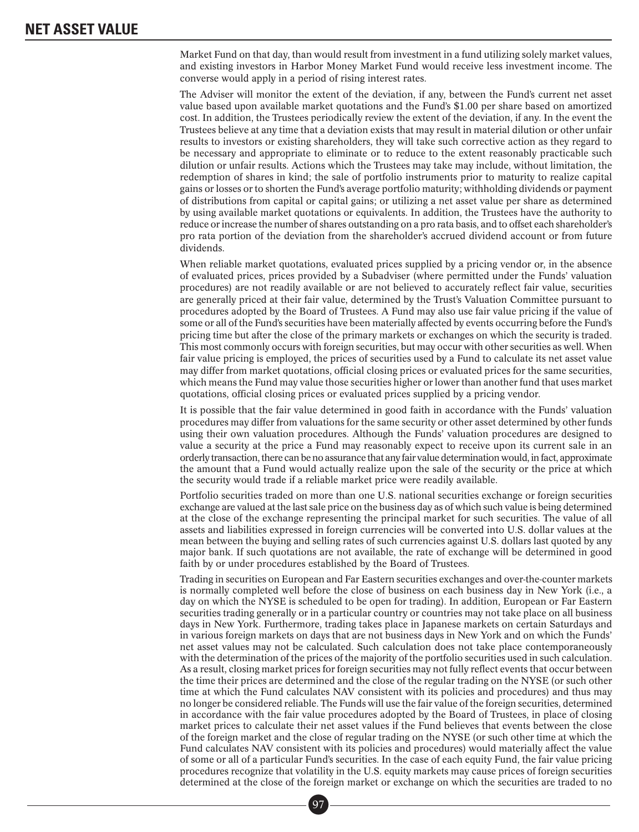Market Fund on that day, than would result from investment in a fund utilizing solely market values, and existing investors in Harbor Money Market Fund would receive less investment income. The converse would apply in a period of rising interest rates.

The Adviser will monitor the extent of the deviation, if any, between the Fund's current net asset value based upon available market quotations and the Fund's \$1.00 per share based on amortized cost. In addition, the Trustees periodically review the extent of the deviation, if any. In the event the Trustees believe at any time that a deviation exists that may result in material dilution or other unfair results to investors or existing shareholders, they will take such corrective action as they regard to be necessary and appropriate to eliminate or to reduce to the extent reasonably practicable such dilution or unfair results. Actions which the Trustees may take may include, without limitation, the redemption of shares in kind; the sale of portfolio instruments prior to maturity to realize capital gains or losses or to shorten the Fund's average portfolio maturity; withholding dividends or payment of distributions from capital or capital gains; or utilizing a net asset value per share as determined by using available market quotations or equivalents. In addition, the Trustees have the authority to reduce or increase the number of shares outstanding on a pro rata basis, and to offset each shareholder's pro rata portion of the deviation from the shareholder's accrued dividend account or from future dividends.

When reliable market quotations, evaluated prices supplied by a pricing vendor or, in the absence of evaluated prices, prices provided by a Subadviser (where permitted under the Funds' valuation procedures) are not readily available or are not believed to accurately reflect fair value, securities are generally priced at their fair value, determined by the Trust's Valuation Committee pursuant to procedures adopted by the Board of Trustees. A Fund may also use fair value pricing if the value of some or all of the Fund's securities have been materially affected by events occurring before the Fund's pricing time but after the close of the primary markets or exchanges on which the security is traded. This most commonly occurs with foreign securities, but may occur with other securities as well. When fair value pricing is employed, the prices of securities used by a Fund to calculate its net asset value may differ from market quotations, official closing prices or evaluated prices for the same securities, which means the Fund may value those securities higher or lower than another fund that uses market quotations, official closing prices or evaluated prices supplied by a pricing vendor.

It is possible that the fair value determined in good faith in accordance with the Funds' valuation procedures may differ from valuations for the same security or other asset determined by other funds using their own valuation procedures. Although the Funds' valuation procedures are designed to value a security at the price a Fund may reasonably expect to receive upon its current sale in an orderly transaction, there can be no assurance that any fair value determination would, in fact, approximate the amount that a Fund would actually realize upon the sale of the security or the price at which the security would trade if a reliable market price were readily available.

Portfolio securities traded on more than one U.S. national securities exchange or foreign securities exchange are valued at the last sale price on the business day as of which such value is being determined at the close of the exchange representing the principal market for such securities. The value of all assets and liabilities expressed in foreign currencies will be converted into U.S. dollar values at the mean between the buying and selling rates of such currencies against U.S. dollars last quoted by any major bank. If such quotations are not available, the rate of exchange will be determined in good faith by or under procedures established by the Board of Trustees.

Trading in securities on European and Far Eastern securities exchanges and over-the-counter markets is normally completed well before the close of business on each business day in New York (i.e., a day on which the NYSE is scheduled to be open for trading). In addition, European or Far Eastern securities trading generally or in a particular country or countries may not take place on all business days in New York. Furthermore, trading takes place in Japanese markets on certain Saturdays and in various foreign markets on days that are not business days in New York and on which the Funds' net asset values may not be calculated. Such calculation does not take place contemporaneously with the determination of the prices of the majority of the portfolio securities used in such calculation. As a result, closing market prices for foreign securities may not fully reflect events that occur between the time their prices are determined and the close of the regular trading on the NYSE (or such other time at which the Fund calculates NAV consistent with its policies and procedures) and thus may no longer be considered reliable. The Funds will use the fair value of the foreign securities, determined in accordance with the fair value procedures adopted by the Board of Trustees, in place of closing market prices to calculate their net asset values if the Fund believes that events between the close of the foreign market and the close of regular trading on the NYSE (or such other time at which the Fund calculates NAV consistent with its policies and procedures) would materially affect the value of some or all of a particular Fund's securities. In the case of each equity Fund, the fair value pricing procedures recognize that volatility in the U.S. equity markets may cause prices of foreign securities determined at the close of the foreign market or exchange on which the securities are traded to no<br>  $\boxed{97}$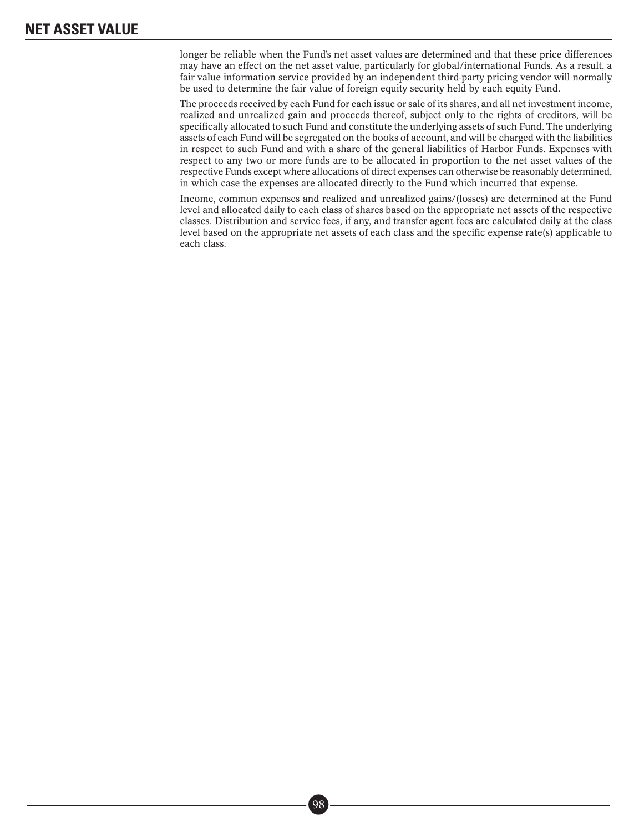longer be reliable when the Fund's net asset values are determined and that these price differences may have an effect on the net asset value, particularly for global/international Funds. As a result, a fair value information service provided by an independent third-party pricing vendor will normally be used to determine the fair value of foreign equity security held by each equity Fund.

The proceeds received by each Fund for each issue or sale of its shares, and all net investment income, realized and unrealized gain and proceeds thereof, subject only to the rights of creditors, will be specifically allocated to such Fund and constitute the underlying assets of such Fund. The underlying assets of each Fund will be segregated on the books of account, and will be charged with the liabilities in respect to such Fund and with a share of the general liabilities of Harbor Funds. Expenses with respect to any two or more funds are to be allocated in proportion to the net asset values of the respective Funds except where allocations of direct expenses can otherwise be reasonably determined, in which case the expenses are allocated directly to the Fund which incurred that expense.

Income, common expenses and realized and unrealized gains/(losses) are determined at the Fund level and allocated daily to each class of shares based on the appropriate net assets of the respective classes. Distribution and service fees, if any, and transfer agent fees are calculated daily at the class level based on the appropriate net assets of each class and the specific expense rate(s) applicable to each class.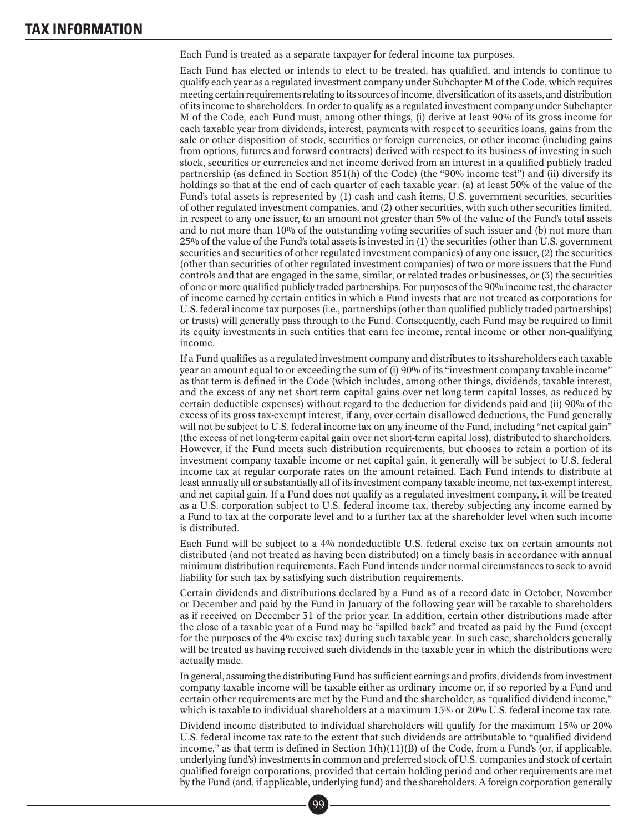### **TAX INFORMATION**

Each Fund is treated as a separate taxpayer for federal income tax purposes.

Each Fund has elected or intends to elect to be treated, has qualified, and intends to continue to qualify each year as a regulated investment company under Subchapter M of the Code, which requires meeting certain requirements relating to its sources of income, diversification of its assets, and distribution of its income to shareholders. In order to qualify as a regulated investment company under Subchapter M of the Code, each Fund must, among other things, (i) derive at least 90% of its gross income for each taxable year from dividends, interest, payments with respect to securities loans, gains from the sale or other disposition of stock, securities or foreign currencies, or other income (including gains from options, futures and forward contracts) derived with respect to its business of investing in such stock, securities or currencies and net income derived from an interest in a qualified publicly traded partnership (as defined in Section 851(h) of the Code) (the "90% income test") and (ii) diversify its holdings so that at the end of each quarter of each taxable year: (a) at least 50% of the value of the Fund's total assets is represented by (1) cash and cash items, U.S. government securities, securities of other regulated investment companies, and (2) other securities, with such other securities limited, in respect to any one issuer, to an amount not greater than 5% of the value of the Fund's total assets and to not more than 10% of the outstanding voting securities of such issuer and (b) not more than 25% of the value of the Fund's total assets is invested in (1) the securities (other than U.S. government securities and securities of other regulated investment companies) of any one issuer, (2) the securities (other than securities of other regulated investment companies) of two or more issuers that the Fund controls and that are engaged in the same, similar, or related trades or businesses, or (3) the securities of one or more qualified publicly traded partnerships. For purposes of the 90% income test, the character of income earned by certain entities in which a Fund invests that are not treated as corporations for U.S. federal income tax purposes (i.e., partnerships (other than qualified publicly traded partnerships) or trusts) will generally pass through to the Fund. Consequently, each Fund may be required to limit its equity investments in such entities that earn fee income, rental income or other non-qualifying income.

If a Fund qualifies as a regulated investment company and distributes to its shareholders each taxable year an amount equal to or exceeding the sum of (i) 90% of its "investment company taxable income" as that term is defined in the Code (which includes, among other things, dividends, taxable interest, and the excess of any net short-term capital gains over net long-term capital losses, as reduced by certain deductible expenses) without regard to the deduction for dividends paid and (ii) 90% of the excess of its gross tax-exempt interest, if any, over certain disallowed deductions, the Fund generally will not be subject to U.S. federal income tax on any income of the Fund, including "net capital gain" (the excess of net long-term capital gain over net short-term capital loss), distributed to shareholders. However, if the Fund meets such distribution requirements, but chooses to retain a portion of its investment company taxable income or net capital gain, it generally will be subject to U.S. federal income tax at regular corporate rates on the amount retained. Each Fund intends to distribute at least annually all or substantially all of its investment company taxable income, net tax-exempt interest, and net capital gain. If a Fund does not qualify as a regulated investment company, it will be treated as a U.S. corporation subject to U.S. federal income tax, thereby subjecting any income earned by a Fund to tax at the corporate level and to a further tax at the shareholder level when such income is distributed.

Each Fund will be subject to a 4% nondeductible U.S. federal excise tax on certain amounts not distributed (and not treated as having been distributed) on a timely basis in accordance with annual minimum distribution requirements. Each Fund intends under normal circumstances to seek to avoid liability for such tax by satisfying such distribution requirements.

Certain dividends and distributions declared by a Fund as of a record date in October, November or December and paid by the Fund in January of the following year will be taxable to shareholders as if received on December 31 of the prior year. In addition, certain other distributions made after the close of a taxable year of a Fund may be "spilled back" and treated as paid by the Fund (except for the purposes of the 4% excise tax) during such taxable year. In such case, shareholders generally will be treated as having received such dividends in the taxable year in which the distributions were actually made.

In general, assuming the distributing Fund has sufficient earnings and profits, dividends from investment company taxable income will be taxable either as ordinary income or, if so reported by a Fund and certain other requirements are met by the Fund and the shareholder, as "qualified dividend income," which is taxable to individual shareholders at a maximum 15% or 20% U.S. federal income tax rate.

Dividend income distributed to individual shareholders will qualify for the maximum 15% or 20% U.S. federal income tax rate to the extent that such dividends are attributable to "qualified dividend income," as that term is defined in Section  $1(h)(11)(B)$  of the Code, from a Fund's (or, if applicable, underlying fund's) investments in common and preferred stock of U.S. companies and stock of certain qualified foreign corporations, provided that certain holding period and other requirements are met by the Fund (and, if applicable, underlying fund) and the shareholders. A foreign corporation generally<br>  $\boxed{99}$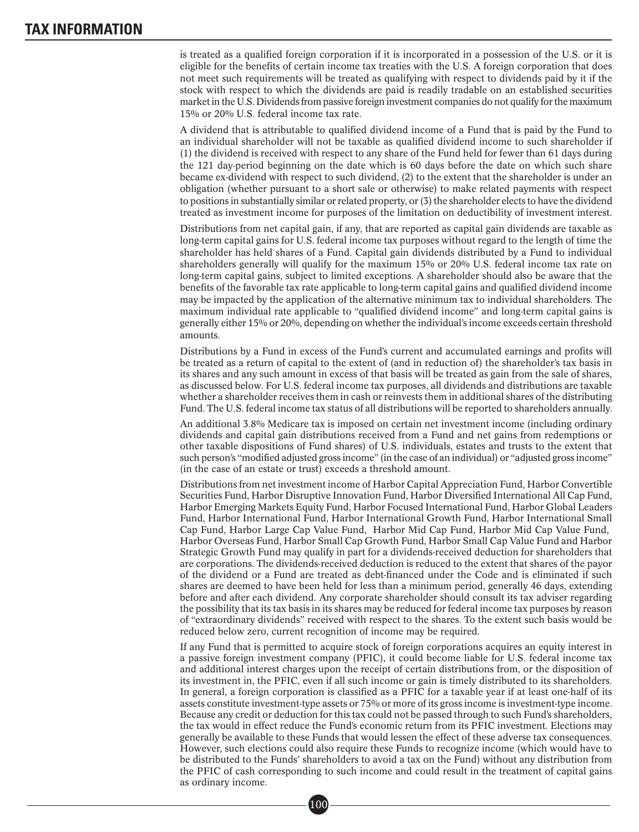### **TAX INFORMATION**

is treated as a qualified foreign corporation if it is incorporated in a possession of the U.S. or it is eligible for the benefits of certain income tax treaties with the U.S. A foreign corporation that does not meet such requirements will be treated as qualifying with respect to dividends paid by it if the stock with respect to which the dividends are paid is readily tradable on an established securities market in the U.S. Dividends from passive foreign investment companies do not qualify for the maximum 15% or 20% U.S. federal income tax rate.

A dividend that is attributable to qualified dividend income of a Fund that is paid by the Fund to an individual shareholder will not be taxable as qualified dividend income to such shareholder if (1) the dividend is received with respect to any share of the Fund held for fewer than 61 days during the 121 day-period beginning on the date which is 60 days before the date on which such share became ex-dividend with respect to such dividend, (2) to the extent that the shareholder is under an obligation (whether pursuant to a short sale or otherwise) to make related payments with respect to positions in substantially similar or related property, or (3) the shareholder elects to have the dividend treated as investment income for purposes of the limitation on deductibility of investment interest.

Distributions from net capital gain, if any, that are reported as capital gain dividends are taxable as long-term capital gains for U.S. federal income tax purposes without regard to the length of time the shareholder has held shares of a Fund. Capital gain dividends distributed by a Fund to individual shareholders generally will qualify for the maximum 15% or 20% U.S. federal income tax rate on long-term capital gains, subject to limited exceptions. A shareholder should also be aware that the benefits of the favorable tax rate applicable to long-term capital gains and qualified dividend income may be impacted by the application of the alternative minimum tax to individual shareholders. The maximum individual rate applicable to "qualified dividend income" and long-term capital gains is generally either 15% or 20%, depending on whether the individual's income exceeds certain threshold amounts.

Distributions by a Fund in excess of the Fund's current and accumulated earnings and profits will be treated as a return of capital to the extent of (and in reduction of) the shareholder's tax basis in its shares and any such amount in excess of that basis will be treated as gain from the sale of shares, as discussed below. For U.S. federal income tax purposes, all dividends and distributions are taxable whether a shareholder receives them in cash or reinvests them in additional shares of the distributing Fund. The U.S. federal income tax status of all distributions will be reported to shareholders annually.

An additional 3.8% Medicare tax is imposed on certain net investment income (including ordinary dividends and capital gain distributions received from a Fund and net gains from redemptions or other taxable dispositions of Fund shares) of U.S. individuals, estates and trusts to the extent that such person's "modified adjusted gross income" (in the case of an individual) or "adjusted gross income" (in the case of an estate or trust) exceeds a threshold amount.

Distributions from net investment income of Harbor Capital Appreciation Fund, Harbor Convertible Securities Fund, Harbor Disruptive Innovation Fund, Harbor Diversified International All Cap Fund, Harbor Emerging Markets Equity Fund, Harbor Focused International Fund, Harbor Global Leaders Fund, Harbor International Fund, Harbor International Growth Fund, Harbor International Small Cap Fund, Harbor Large Cap Value Fund, Harbor Mid Cap Fund, Harbor Mid Cap Value Fund, Harbor Overseas Fund, Harbor Small Cap Growth Fund, Harbor Small Cap Value Fund and Harbor Strategic Growth Fund may qualify in part for a dividends-received deduction for shareholders that are corporations. The dividends-received deduction is reduced to the extent that shares of the payor of the dividend or a Fund are treated as debt-financed under the Code and is eliminated if such shares are deemed to have been held for less than a minimum period, generally 46 days, extending before and after each dividend. Any corporate shareholder should consult its tax adviser regarding the possibility that its tax basis in its shares may be reduced for federal income tax purposes by reason of "extraordinary dividends" received with respect to the shares. To the extent such basis would be reduced below zero, current recognition of income may be required.

If any Fund that is permitted to acquire stock of foreign corporations acquires an equity interest in a passive foreign investment company (PFIC), it could become liable for U.S. federal income tax and additional interest charges upon the receipt of certain distributions from, or the disposition of its investment in, the PFIC, even if all such income or gain is timely distributed to its shareholders. In general, a foreign corporation is classified as a PFIC for a taxable year if at least one-half of its assets constitute investment-type assets or 75% or more of its gross income is investment-type income. Because any credit or deduction for this tax could not be passed through to such Fund's shareholders, the tax would in effect reduce the Fund's economic return from its PFIC investment. Elections may generally be available to these Funds that would lessen the effect of these adverse tax consequences. However, such elections could also require these Funds to recognize income (which would have to be distributed to the Funds' shareholders to avoid a tax on the Fund) without any distribution from the PFIC of cash corresponding to such income and could result in the treatment of capital gains as ordinary income. ■•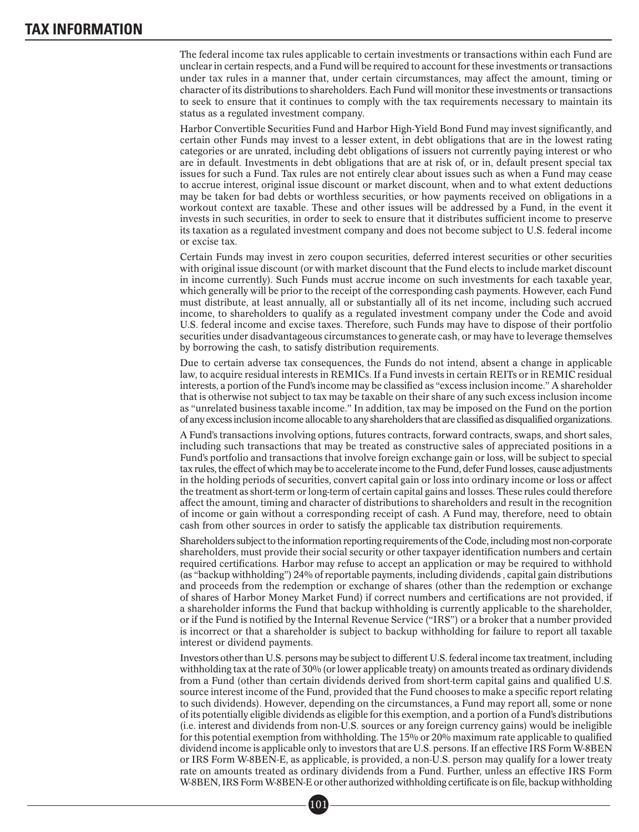The federal income tax rules applicable to certain investments or transactions within each Fund are unclear in certain respects, and a Fund will be required to account for these investments or transactions under tax rules in a manner that, under certain circumstances, may affect the amount, timing or character of its distributions to shareholders. Each Fund will monitor these investments or transactions to seek to ensure that it continues to comply with the tax requirements necessary to maintain its status as a regulated investment company.

Harbor Convertible Securities Fund and Harbor High-Yield Bond Fund may invest significantly, and certain other Funds may invest to a lesser extent, in debt obligations that are in the lowest rating categories or are unrated, including debt obligations of issuers not currently paying interest or who are in default. Investments in debt obligations that are at risk of, or in, default present special tax issues for such a Fund. Tax rules are not entirely clear about issues such as when a Fund may cease to accrue interest, original issue discount or market discount, when and to what extent deductions may be taken for bad debts or worthless securities, or how payments received on obligations in a workout context are taxable. These and other issues will be addressed by a Fund, in the event it invests in such securities, in order to seek to ensure that it distributes sufficient income to preserve its taxation as a regulated investment company and does not become subject to U.S. federal income or excise tax.

Certain Funds may invest in zero coupon securities, deferred interest securities or other securities with original issue discount (or with market discount that the Fund elects to include market discount in income currently). Such Funds must accrue income on such investments for each taxable year, which generally will be prior to the receipt of the corresponding cash payments. However, each Fund must distribute, at least annually, all or substantially all of its net income, including such accrued income, to shareholders to qualify as a regulated investment company under the Code and avoid U.S. federal income and excise taxes. Therefore, such Funds may have to dispose of their portfolio securities under disadvantageous circumstances to generate cash, or may have to leverage themselves by borrowing the cash, to satisfy distribution requirements.

Due to certain adverse tax consequences, the Funds do not intend, absent a change in applicable law, to acquire residual interests in REMICs. If a Fund invests in certain REITs or in REMIC residual interests, a portion of the Fund's income may be classified as "excess inclusion income." A shareholder that is otherwise not subject to tax may be taxable on their share of any such excess inclusion income as "unrelated business taxable income." In addition, tax may be imposed on the Fund on the portion of any excessinclusionincome allocable to any shareholders that are classified as disqualified organizations.

A Fund's transactions involving options, futures contracts, forward contracts, swaps, and short sales, including such transactions that may be treated as constructive sales of appreciated positions in a Fund's portfolio and transactions that involve foreign exchange gain or loss, will be subject to special tax rules, the effect of which may be to accelerate income to the Fund, defer Fund losses, cause adjustments in the holding periods of securities, convert capital gain or loss into ordinary income or loss or affect the treatment as short-term or long-term of certain capital gains and losses. These rules could therefore affect the amount, timing and character of distributions to shareholders and result in the recognition of income or gain without a corresponding receipt of cash. A Fund may, therefore, need to obtain cash from other sources in order to satisfy the applicable tax distribution requirements.

Shareholders subject to the information reporting requirements of the Code, including most non-corporate shareholders, must provide their social security or other taxpayer identification numbers and certain required certifications. Harbor may refuse to accept an application or may be required to withhold (as "backup withholding") 24% of reportable payments, including dividends , capital gain distributions and proceeds from the redemption or exchange of shares (other than the redemption or exchange of shares of Harbor Money Market Fund) if correct numbers and certifications are not provided, if a shareholder informs the Fund that backup withholding is currently applicable to the shareholder, or if the Fund is notified by the Internal Revenue Service ("IRS") or a broker that a number provided is incorrect or that a shareholder is subject to backup withholding for failure to report all taxable interest or dividend payments.

Investors other than U.S. persons may be subject to different U.S. federal income tax treatment, including withholding tax at the rate of 30% (or lower applicable treaty) on amounts treated as ordinary dividends from a Fund (other than certain dividends derived from short-term capital gains and qualified U.S. source interest income of the Fund, provided that the Fund chooses to make a specific report relating to such dividends). However, depending on the circumstances, a Fund may report all, some or none of its potentially eligible dividends as eligible for this exemption, and a portion of a Fund's distributions (i.e. interest and dividends from non-U.S. sources or any foreign currency gains) would be ineligible for this potential exemption from withholding. The 15% or 20% maximum rate applicable to qualified dividend income is applicable only to investors that are U.S. persons. If an effective IRS Form W-8BEN or IRS Form W-8BEN-E, as applicable, is provided, a non-U.S. person may qualify for a lower treaty rate on amounts treated as ordinary dividends from a Fund. Further, unless an effective IRS Form W-8BEN, IRS Form W-8BEN-E or other authorized withholding certificate is on file, backup withholding<br>  $\boxed{01}$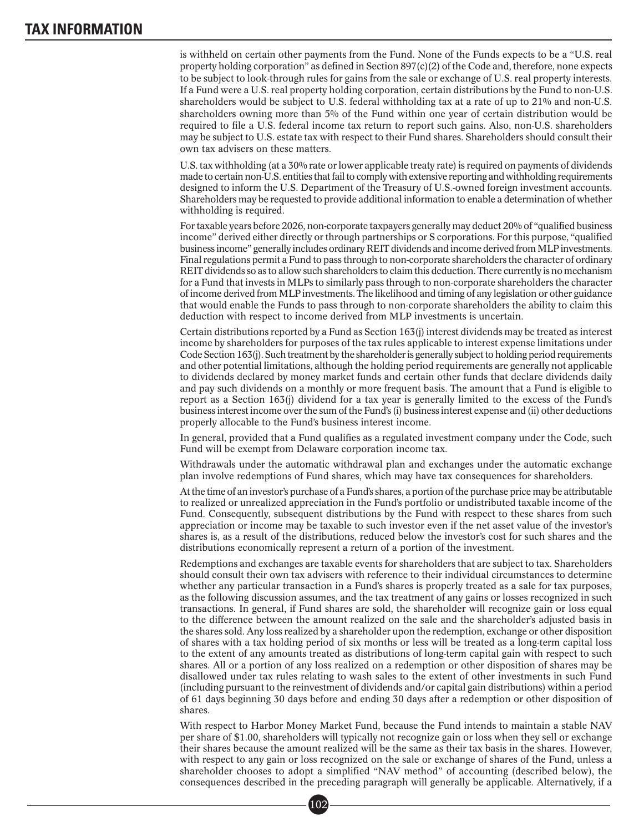is withheld on certain other payments from the Fund. None of the Funds expects to be a "U.S. real property holding corporation" as defined in Section  $897(c)(2)$  of the Code and, therefore, none expects to be subject to look-through rules for gains from the sale or exchange of U.S. real property interests. If a Fund were a U.S. real property holding corporation, certain distributions by the Fund to non-U.S. shareholders would be subject to U.S. federal withholding tax at a rate of up to 21% and non-U.S. shareholders owning more than 5% of the Fund within one year of certain distribution would be required to file a U.S. federal income tax return to report such gains. Also, non-U.S. shareholders may be subject to U.S. estate tax with respect to their Fund shares. Shareholders should consult their own tax advisers on these matters.

U.S. tax withholding (at a 30% rate or lower applicable treaty rate) is required on payments of dividends made to certain non-U.S. entities that fail to comply with extensive reporting and withholding requirements designed to inform the U.S. Department of the Treasury of U.S.-owned foreign investment accounts. Shareholders may be requested to provide additional information to enable a determination of whether withholding is required.

For taxable years before 2026, non-corporate taxpayers generally may deduct 20% of "qualified business income" derived either directly or through partnerships or S corporations. For this purpose, "qualified business income" generally includes ordinary REIT dividends and income derived fromMLP investments. Final regulations permit a Fund to pass through to non-corporate shareholders the character of ordinary REIT dividends so as to allow such shareholders to claim this deduction. There currently is no mechanism for a Fund that invests in MLPs to similarly pass through to non-corporate shareholders the character of income derived from MLP investments. The likelihood and timing of any legislation or other guidance that would enable the Funds to pass through to non-corporate shareholders the ability to claim this deduction with respect to income derived from MLP investments is uncertain.

Certain distributions reported by a Fund as Section 163(j) interest dividends may be treated as interest income by shareholders for purposes of the tax rules applicable to interest expense limitations under Code Section 163(j). Such treatment by the shareholder is generally subject to holding period requirements and other potential limitations, although the holding period requirements are generally not applicable to dividends declared by money market funds and certain other funds that declare dividends daily and pay such dividends on a monthly or more frequent basis. The amount that a Fund is eligible to report as a Section 163(j) dividend for a tax year is generally limited to the excess of the Fund's business interest income over the sum of the Fund's (i) business interest expense and (ii) other deductions properly allocable to the Fund's business interest income.

In general, provided that a Fund qualifies as a regulated investment company under the Code, such Fund will be exempt from Delaware corporation income tax.

Withdrawals under the automatic withdrawal plan and exchanges under the automatic exchange plan involve redemptions of Fund shares, which may have tax consequences for shareholders.

At the time of an investor's purchase of a Fund's shares, a portion of the purchase price may be attributable to realized or unrealized appreciation in the Fund's portfolio or undistributed taxable income of the Fund. Consequently, subsequent distributions by the Fund with respect to these shares from such appreciation or income may be taxable to such investor even if the net asset value of the investor's shares is, as a result of the distributions, reduced below the investor's cost for such shares and the distributions economically represent a return of a portion of the investment.

Redemptions and exchanges are taxable events for shareholders that are subject to tax. Shareholders should consult their own tax advisers with reference to their individual circumstances to determine whether any particular transaction in a Fund's shares is properly treated as a sale for tax purposes, as the following discussion assumes, and the tax treatment of any gains or losses recognized in such transactions. In general, if Fund shares are sold, the shareholder will recognize gain or loss equal to the difference between the amount realized on the sale and the shareholder's adjusted basis in the shares sold. Any loss realized by a shareholder upon the redemption, exchange or other disposition of shares with a tax holding period of six months or less will be treated as a long-term capital loss to the extent of any amounts treated as distributions of long-term capital gain with respect to such shares. All or a portion of any loss realized on a redemption or other disposition of shares may be disallowed under tax rules relating to wash sales to the extent of other investments in such Fund (including pursuant to the reinvestment of dividends and/or capital gain distributions) within a period of 61 days beginning 30 days before and ending 30 days after a redemption or other disposition of shares.

With respect to Harbor Money Market Fund, because the Fund intends to maintain a stable NAV per share of \$1.00, shareholders will typically not recognize gain or loss when they sell or exchange their shares because the amount realized will be the same as their tax basis in the shares. However, with respect to any gain or loss recognized on the sale or exchange of shares of the Fund, unless a shareholder chooses to adopt a simplified "NAV method" of accounting (described below), the consequences described in the preceding paragraph will generally be applicable. Alternatively, if a<br>  $\boxed{02}$ 

 $[102]$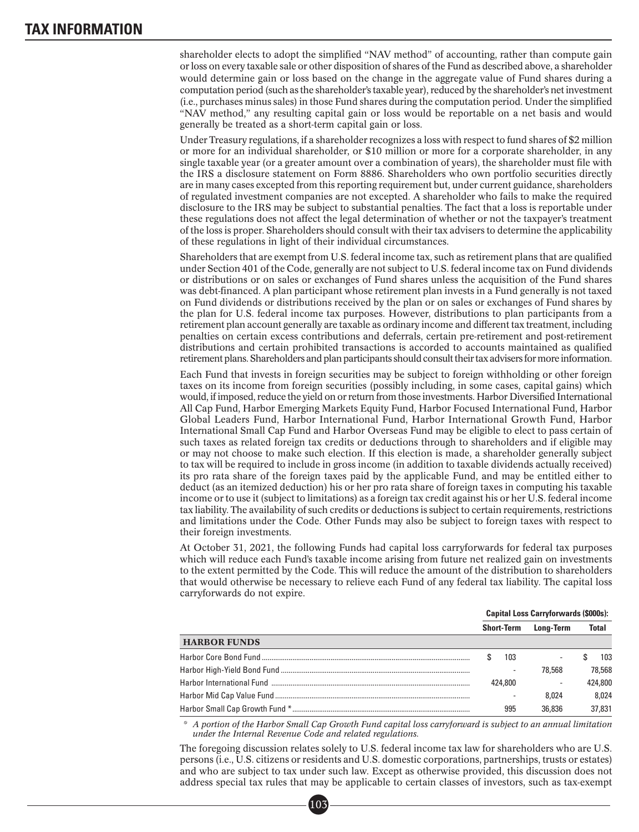shareholder elects to adopt the simplified "NAV method" of accounting, rather than compute gain or loss on every taxable sale or other disposition of shares of the Fund as described above, a shareholder would determine gain or loss based on the change in the aggregate value of Fund shares during a computation period (such as the shareholder's taxable year), reduced by the shareholder's net investment (i.e., purchases minus sales) in those Fund shares during the computation period. Under the simplified "NAV method," any resulting capital gain or loss would be reportable on a net basis and would generally be treated as a short-term capital gain or loss.

Under Treasury regulations, if a shareholder recognizes a loss with respect to fund shares of \$2 million or more for an individual shareholder, or \$10 million or more for a corporate shareholder, in any single taxable year (or a greater amount over a combination of years), the shareholder must file with the IRS a disclosure statement on Form 8886. Shareholders who own portfolio securities directly are in many cases excepted from this reporting requirement but, under current guidance, shareholders of regulated investment companies are not excepted. A shareholder who fails to make the required disclosure to the IRS may be subject to substantial penalties. The fact that a loss is reportable under these regulations does not affect the legal determination of whether or not the taxpayer's treatment of the loss is proper. Shareholders should consult with their tax advisers to determine the applicability of these regulations in light of their individual circumstances.

Shareholders that are exempt from U.S. federal income tax, such as retirement plans that are qualified under Section 401 of the Code, generally are not subject to U.S. federal income tax on Fund dividends or distributions or on sales or exchanges of Fund shares unless the acquisition of the Fund shares was debt-financed. A plan participant whose retirement plan invests in a Fund generally is not taxed on Fund dividends or distributions received by the plan or on sales or exchanges of Fund shares by the plan for U.S. federal income tax purposes. However, distributions to plan participants from a retirement plan account generally are taxable as ordinary income and different tax treatment, including penalties on certain excess contributions and deferrals, certain pre-retirement and post-retirement distributions and certain prohibited transactions is accorded to accounts maintained as qualified retirement plans. Shareholders and plan participants should consult their tax advisers formoreinformation.

Each Fund that invests in foreign securities may be subject to foreign withholding or other foreign taxes on its income from foreign securities (possibly including, in some cases, capital gains) which would, if imposed, reduce the yield on or return from those investments. Harbor Diversified International All Cap Fund, Harbor Emerging Markets Equity Fund, Harbor Focused International Fund, Harbor Global Leaders Fund, Harbor International Fund, Harbor International Growth Fund, Harbor International Small Cap Fund and Harbor Overseas Fund may be eligible to elect to pass certain of such taxes as related foreign tax credits or deductions through to shareholders and if eligible may or may not choose to make such election. If this election is made, a shareholder generally subject to tax will be required to include in gross income (in addition to taxable dividends actually received) its pro rata share of the foreign taxes paid by the applicable Fund, and may be entitled either to deduct (as an itemized deduction) his or her pro rata share of foreign taxes in computing his taxable income or to use it (subject to limitations) as a foreign tax credit against his or her U.S. federal income tax liability. The availability of such credits or deductions is subject to certain requirements, restrictions and limitations under the Code. Other Funds may also be subject to foreign taxes with respect to their foreign investments.

At October 31, 2021, the following Funds had capital loss carryforwards for federal tax purposes which will reduce each Fund's taxable income arising from future net realized gain on investments to the extent permitted by the Code. This will reduce the amount of the distribution to shareholders that would otherwise be necessary to relieve each Fund of any federal tax liability. The capital loss carryforwards do not expire.

|                     | <b>Capital Loss Carryforwards (\$000s):</b> |                   |                  |              |         |  |
|---------------------|---------------------------------------------|-------------------|------------------|--------------|---------|--|
|                     |                                             | <b>Short-Term</b> | <b>Long-Term</b> | <b>Total</b> |         |  |
| <b>HARBOR FUNDS</b> |                                             |                   |                  |              |         |  |
|                     |                                             | 103               |                  |              | 103     |  |
|                     |                                             |                   | 78.568           |              | 78.568  |  |
|                     | 424,800                                     |                   |                  |              | 424,800 |  |
|                     |                                             |                   | 8.024            |              | 8.024   |  |
|                     |                                             | 995               | 36,836           |              | 37.831  |  |

*\* A portion of the Harbor Small Cap Growth Fund capital loss carryforward is subject to an annual limitation under the Internal Revenue Code and related regulations.*

The foregoing discussion relates solely to U.S. federal income tax law for shareholders who are U.S. persons (i.e., U.S. citizens or residents and U.S. domestic corporations, partnerships, trusts or estates) and who are subject to tax under such law. Except as otherwise provided, this discussion does not address special tax rules that may be applicable to certain classes of investors, such as tax-exempt<br>  $\boxed{03}$ 

103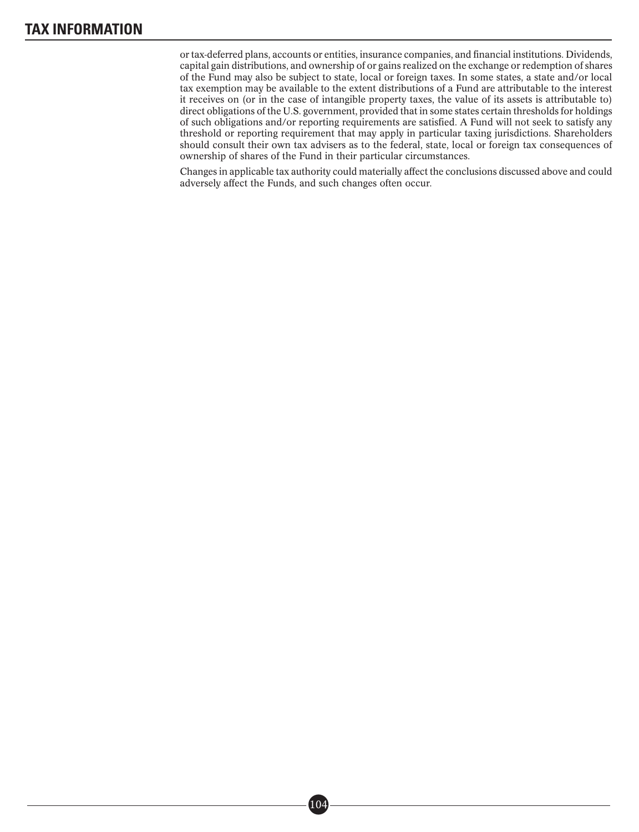or tax-deferred plans, accounts or entities, insurance companies, and financial institutions. Dividends, capital gain distributions, and ownership of or gains realized on the exchange or redemption of shares of the Fund may also be subject to state, local or foreign taxes. In some states, a state and/or local tax exemption may be available to the extent distributions of a Fund are attributable to the interest it receives on (or in the case of intangible property taxes, the value of its assets is attributable to) direct obligations of the U.S. government, provided that in some states certain thresholds for holdings of such obligations and/or reporting requirements are satisfied. A Fund will not seek to satisfy any threshold or reporting requirement that may apply in particular taxing jurisdictions. Shareholders should consult their own tax advisers as to the federal, state, local or foreign tax consequences of ownership of shares of the Fund in their particular circumstances.

Changes in applicable tax authority could materially affect the conclusions discussed above and could adversely affect the Funds, and such changes often occur.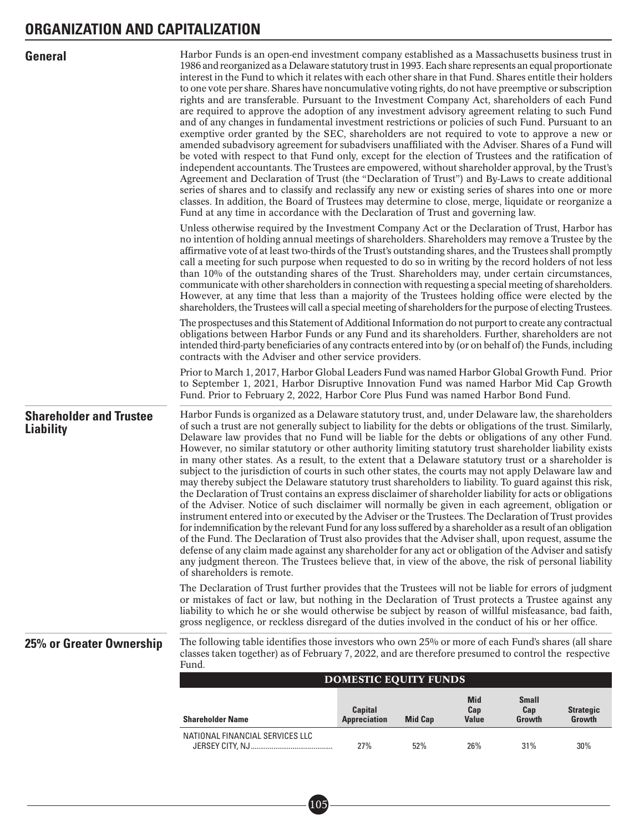| <b>General</b>                                     | Harbor Funds is an open-end investment company established as a Massachusetts business trust in<br>1986 and reorganized as a Delaware statutory trust in 1993. Each share represents an equal proportionate<br>interest in the Fund to which it relates with each other share in that Fund. Shares entitle their holders<br>to one vote per share. Shares have noncumulative voting rights, do not have preemptive or subscription<br>rights and are transferable. Pursuant to the Investment Company Act, shareholders of each Fund<br>are required to approve the adoption of any investment advisory agreement relating to such Fund<br>and of any changes in fundamental investment restrictions or policies of such Fund. Pursuant to an<br>exemptive order granted by the SEC, shareholders are not required to vote to approve a new or<br>amended subadvisory agreement for subadvisers unaffiliated with the Adviser. Shares of a Fund will<br>be voted with respect to that Fund only, except for the election of Trustees and the ratification of<br>independent accountants. The Trustees are empowered, without shareholder approval, by the Trust's<br>Agreement and Declaration of Trust (the "Declaration of Trust") and By-Laws to create additional<br>series of shares and to classify and reclassify any new or existing series of shares into one or more<br>classes. In addition, the Board of Trustees may determine to close, merge, liquidate or reorganize a<br>Fund at any time in accordance with the Declaration of Trust and governing law.<br>Unless otherwise required by the Investment Company Act or the Declaration of Trust, Harbor has<br>no intention of holding annual meetings of shareholders. Shareholders may remove a Trustee by the<br>affirmative vote of at least two-thirds of the Trust's outstanding shares, and the Trustees shall promptly<br>call a meeting for such purpose when requested to do so in writing by the record holders of not less<br>than 10% of the outstanding shares of the Trust. Shareholders may, under certain circumstances,<br>communicate with other shareholders in connection with requesting a special meeting of shareholders.<br>However, at any time that less than a majority of the Trustees holding office were elected by the<br>shareholders, the Trustees will call a special meeting of shareholders for the purpose of electing Trustees.<br>The prospectuses and this Statement of Additional Information do not purport to create any contractual<br>obligations between Harbor Funds or any Fund and its shareholders. Further, shareholders are not<br>intended third-party beneficiaries of any contracts entered into by (or on behalf of) the Funds, including<br>contracts with the Adviser and other service providers.<br>Prior to March 1, 2017, Harbor Global Leaders Fund was named Harbor Global Growth Fund. Prior<br>to September 1, 2021, Harbor Disruptive Innovation Fund was named Harbor Mid Cap Growth<br>Fund. Prior to February 2, 2022, Harbor Core Plus Fund was named Harbor Bond Fund. |                                       |                |                            |                               |                            |
|----------------------------------------------------|------------------------------------------------------------------------------------------------------------------------------------------------------------------------------------------------------------------------------------------------------------------------------------------------------------------------------------------------------------------------------------------------------------------------------------------------------------------------------------------------------------------------------------------------------------------------------------------------------------------------------------------------------------------------------------------------------------------------------------------------------------------------------------------------------------------------------------------------------------------------------------------------------------------------------------------------------------------------------------------------------------------------------------------------------------------------------------------------------------------------------------------------------------------------------------------------------------------------------------------------------------------------------------------------------------------------------------------------------------------------------------------------------------------------------------------------------------------------------------------------------------------------------------------------------------------------------------------------------------------------------------------------------------------------------------------------------------------------------------------------------------------------------------------------------------------------------------------------------------------------------------------------------------------------------------------------------------------------------------------------------------------------------------------------------------------------------------------------------------------------------------------------------------------------------------------------------------------------------------------------------------------------------------------------------------------------------------------------------------------------------------------------------------------------------------------------------------------------------------------------------------------------------------------------------------------------------------------------------------------------------------------------------------------------------------------------------------------------------------------------------------------------------------------------------------------------------------------------------------------------------------------------------------------------------------------------------------------------------------------------------------------------------------------------------------------------------------------------------------------|---------------------------------------|----------------|----------------------------|-------------------------------|----------------------------|
| <b>Shareholder and Trustee</b><br><b>Liability</b> | Harbor Funds is organized as a Delaware statutory trust, and, under Delaware law, the shareholders<br>of such a trust are not generally subject to liability for the debts or obligations of the trust. Similarly,<br>Delaware law provides that no Fund will be liable for the debts or obligations of any other Fund.<br>However, no similar statutory or other authority limiting statutory trust shareholder liability exists<br>in many other states. As a result, to the extent that a Delaware statutory trust or a shareholder is<br>subject to the jurisdiction of courts in such other states, the courts may not apply Delaware law and<br>may thereby subject the Delaware statutory trust shareholders to liability. To guard against this risk,<br>the Declaration of Trust contains an express disclaimer of shareholder liability for acts or obligations<br>of the Adviser. Notice of such disclaimer will normally be given in each agreement, obligation or<br>instrument entered into or executed by the Adviser or the Trustees. The Declaration of Trust provides<br>for indemnification by the relevant Fund for any loss suffered by a shareholder as a result of an obligation<br>of the Fund. The Declaration of Trust also provides that the Adviser shall, upon request, assume the<br>defense of any claim made against any shareholder for any act or obligation of the Adviser and satisfy<br>any judgment thereon. The Trustees believe that, in view of the above, the risk of personal liability<br>of shareholders is remote.<br>The Declaration of Trust further provides that the Trustees will not be liable for errors of judgment<br>or mistakes of fact or law, but nothing in the Declaration of Trust protects a Trustee against any<br>liability to which he or she would otherwise be subject by reason of willful misfeasance, bad faith,                                                                                                                                                                                                                                                                                                                                                                                                                                                                                                                                                                                                                                                                                                                                                                                                                                                                                                                                                                                                                                                                                                                                                                                                                          |                                       |                |                            |                               |                            |
| 25% or Greater Ownership                           | gross negligence, or reckless disregard of the duties involved in the conduct of his or her office.<br>The following table identifies those investors who own 25% or more of each Fund's shares (all share<br>classes taken together) as of February 7, 2022, and are therefore presumed to control the respective<br>Fund.                                                                                                                                                                                                                                                                                                                                                                                                                                                                                                                                                                                                                                                                                                                                                                                                                                                                                                                                                                                                                                                                                                                                                                                                                                                                                                                                                                                                                                                                                                                                                                                                                                                                                                                                                                                                                                                                                                                                                                                                                                                                                                                                                                                                                                                                                                                                                                                                                                                                                                                                                                                                                                                                                                                                                                                      |                                       |                |                            |                               |                            |
|                                                    |                                                                                                                                                                                                                                                                                                                                                                                                                                                                                                                                                                                                                                                                                                                                                                                                                                                                                                                                                                                                                                                                                                                                                                                                                                                                                                                                                                                                                                                                                                                                                                                                                                                                                                                                                                                                                                                                                                                                                                                                                                                                                                                                                                                                                                                                                                                                                                                                                                                                                                                                                                                                                                                                                                                                                                                                                                                                                                                                                                                                                                                                                                                  | <b>DOMESTIC EQUITY FUNDS</b>          |                |                            |                               |                            |
|                                                    | <b>Shareholder Name</b>                                                                                                                                                                                                                                                                                                                                                                                                                                                                                                                                                                                                                                                                                                                                                                                                                                                                                                                                                                                                                                                                                                                                                                                                                                                                                                                                                                                                                                                                                                                                                                                                                                                                                                                                                                                                                                                                                                                                                                                                                                                                                                                                                                                                                                                                                                                                                                                                                                                                                                                                                                                                                                                                                                                                                                                                                                                                                                                                                                                                                                                                                          | <b>Capital</b><br><b>Appreciation</b> | <b>Mid Cap</b> | <b>Mid</b><br>Cap<br>Value | <b>Small</b><br>Cap<br>Growth | <b>Strategic</b><br>Growth |
|                                                    | NATIONAL FINANCIAL SERVICES LLC                                                                                                                                                                                                                                                                                                                                                                                                                                                                                                                                                                                                                                                                                                                                                                                                                                                                                                                                                                                                                                                                                                                                                                                                                                                                                                                                                                                                                                                                                                                                                                                                                                                                                                                                                                                                                                                                                                                                                                                                                                                                                                                                                                                                                                                                                                                                                                                                                                                                                                                                                                                                                                                                                                                                                                                                                                                                                                                                                                                                                                                                                  |                                       |                |                            |                               |                            |
|                                                    |                                                                                                                                                                                                                                                                                                                                                                                                                                                                                                                                                                                                                                                                                                                                                                                                                                                                                                                                                                                                                                                                                                                                                                                                                                                                                                                                                                                                                                                                                                                                                                                                                                                                                                                                                                                                                                                                                                                                                                                                                                                                                                                                                                                                                                                                                                                                                                                                                                                                                                                                                                                                                                                                                                                                                                                                                                                                                                                                                                                                                                                                                                                  | 27%                                   | 52%            | 26%                        | 31%                           | 30%                        |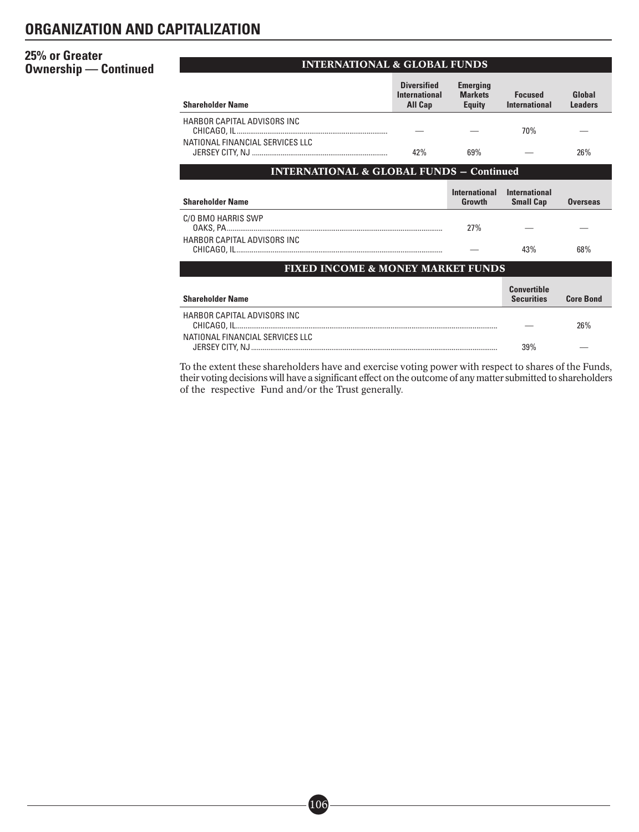# **25% or Greater Ownership — Continued CONTERNATIONAL & GLOBAL FUNDS**

| <b>Shareholder Name</b>                             | <b>Diversified</b><br><b>International</b><br>All Cap | <b>Emerging</b><br><b>Markets</b><br><b>Equity</b> | <b>Focused</b><br><b>International</b>   | Global<br><b>Leaders</b> |
|-----------------------------------------------------|-------------------------------------------------------|----------------------------------------------------|------------------------------------------|--------------------------|
| HARBOR CAPITAL ADVISORS INC                         |                                                       |                                                    | 70%                                      |                          |
| NATIONAL FINANCIAL SERVICES LLC                     | 42%                                                   | 69%                                                |                                          | 26%                      |
| <b>INTERNATIONAL &amp; GLOBAL FUNDS - Continued</b> |                                                       |                                                    |                                          |                          |
| <b>Shareholder Name</b>                             |                                                       | <b>International</b><br>Growth                     | <b>International</b><br><b>Small Cap</b> | <b>Overseas</b>          |
| C/O BMO HARRIS SWP                                  |                                                       | 27%                                                |                                          |                          |
| HARBOR CAPITAL ADVISORS INC.                        |                                                       |                                                    | 43%                                      | 68%                      |
| <b>FIXED INCOME &amp; MONEY MARKET FUNDS</b>        |                                                       |                                                    |                                          |                          |
| <b>Shareholder Name</b>                             |                                                       |                                                    | <b>Convertible</b><br><b>Securities</b>  | <b>Core Bond</b>         |
| HARBOR CAPITAL ADVISORS INC                         |                                                       |                                                    |                                          | 26%                      |
| NATIONAL FINANCIAL SERVICES LLC                     |                                                       |                                                    | 39%                                      |                          |

To the extent these shareholders have and exercise voting power with respect to shares of the Funds, their voting decisions will have a significant effect on the outcome of any matter submitted to shareholders of the respective Fund and/or the Trust generally.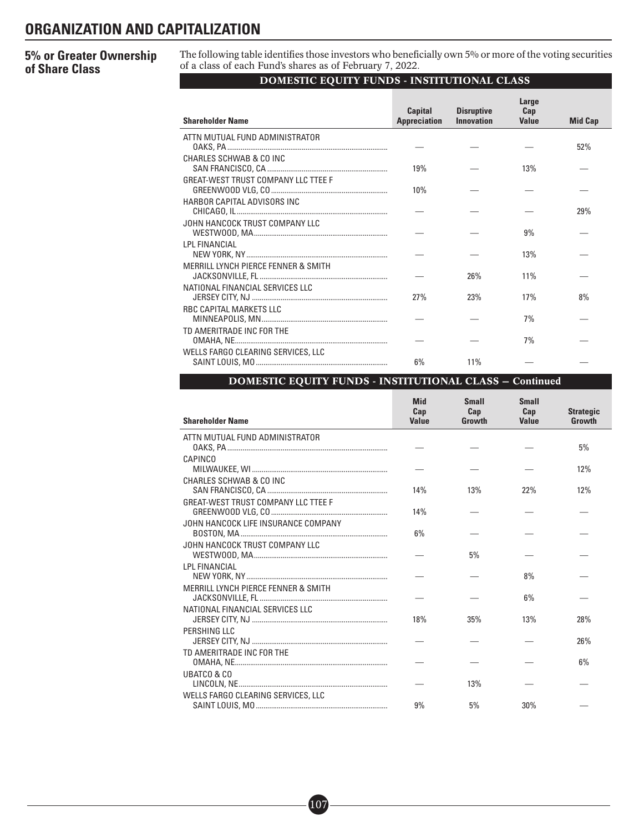# **5% or Greater Ownership of Share Class**

The following table identifies those investors who beneficially own 5% or more of the voting securities of a class of each Fund's shares as of February 7, 2022.

# DOMESTIC EQUITY FUNDS - INSTITUTIONAL CLASS

| <b>Shareholder Name</b>                        | <b>Capital</b><br><b>Appreciation</b> | <b>Disruptive</b><br><b>Innovation</b> | Large<br>Cap<br><b>Value</b> | <b>Mid Cap</b> |
|------------------------------------------------|---------------------------------------|----------------------------------------|------------------------------|----------------|
| ATTN MUTUAL FUND ADMINISTRATOR                 |                                       |                                        |                              | 52%            |
| CHARLES SCHWAB & CO INC                        | 19%                                   |                                        | 13%                          |                |
| <b>GREAT-WEST TRUST COMPANY LLC TTEE F</b>     | 10%                                   |                                        |                              |                |
| HARBOR CAPITAL ADVISORS INC                    |                                       |                                        |                              | 29%            |
| JOHN HANCOCK TRUST COMPANY LLC                 |                                       |                                        | 9%                           |                |
| <b>LPL FINANCIAL</b>                           |                                       |                                        | 13%                          |                |
| <b>MERRILL LYNCH PIERCE FENNER &amp; SMITH</b> |                                       | 26%                                    | 11%                          |                |
| NATIONAL FINANCIAL SERVICES LLC                | 27%                                   | 23%                                    | 17%                          | 8%             |
| <b>RBC CAPITAL MARKETS LLC</b>                 |                                       |                                        | 7%                           |                |
| TD AMERITRADE INC FOR THE                      |                                       |                                        | 7%                           |                |
| WELLS FARGO CLEARING SERVICES, LLC             | 6%                                    | 11%                                    |                              |                |

# DOMESTIC EQUITY FUNDS - INSTITUTIONAL CLASS — Continued

| <b>Shareholder Name</b>             | <b>Mid</b><br>Cap<br><b>Value</b> | <b>Small</b><br>Cap<br>Growth | <b>Small</b><br>Cap<br><b>Value</b> | <b>Strategic</b><br>Growth |
|-------------------------------------|-----------------------------------|-------------------------------|-------------------------------------|----------------------------|
|                                     |                                   |                               |                                     |                            |
| ATTN MUTUAL FUND ADMINISTRATOR      |                                   |                               |                                     | 5%                         |
| CAPINCO                             |                                   |                               |                                     |                            |
|                                     |                                   |                               |                                     | 12%                        |
| CHARLES SCHWAB & CO INC             |                                   |                               |                                     |                            |
|                                     | 14%                               | 13%                           | 22%                                 | 12%                        |
| GREAT-WEST TRUST COMPANY LLC TTEE F |                                   |                               |                                     |                            |
|                                     | 14%                               |                               |                                     |                            |
| JOHN HANCOCK LIFE INSURANCE COMPANY |                                   |                               |                                     |                            |
|                                     | 6%                                |                               |                                     |                            |
| JOHN HANCOCK TRUST COMPANY LLC      |                                   |                               |                                     |                            |
|                                     |                                   | 5%                            |                                     |                            |
| LPL FINANCIAL                       |                                   |                               |                                     |                            |
|                                     |                                   |                               | 8%                                  |                            |
| MERRILL LYNCH PIERCE FENNER & SMITH |                                   |                               |                                     |                            |
|                                     |                                   |                               | 6%                                  |                            |
| NATIONAL FINANCIAL SERVICES LLC     | 18%                               | 35%                           | 13%                                 | 28%                        |
| PERSHING LLC                        |                                   |                               |                                     |                            |
|                                     |                                   |                               |                                     | 26%                        |
| TD AMFRITRADE INC FOR THE           |                                   |                               |                                     |                            |
|                                     |                                   |                               |                                     | 6%                         |
| <b>UBATCO &amp; CO</b>              |                                   |                               |                                     |                            |
|                                     |                                   | 13%                           |                                     |                            |
| WELLS FARGO CLEARING SERVICES, LLC  |                                   |                               |                                     |                            |
|                                     | 9%                                | 5%                            | 30%                                 |                            |
|                                     |                                   |                               |                                     |                            |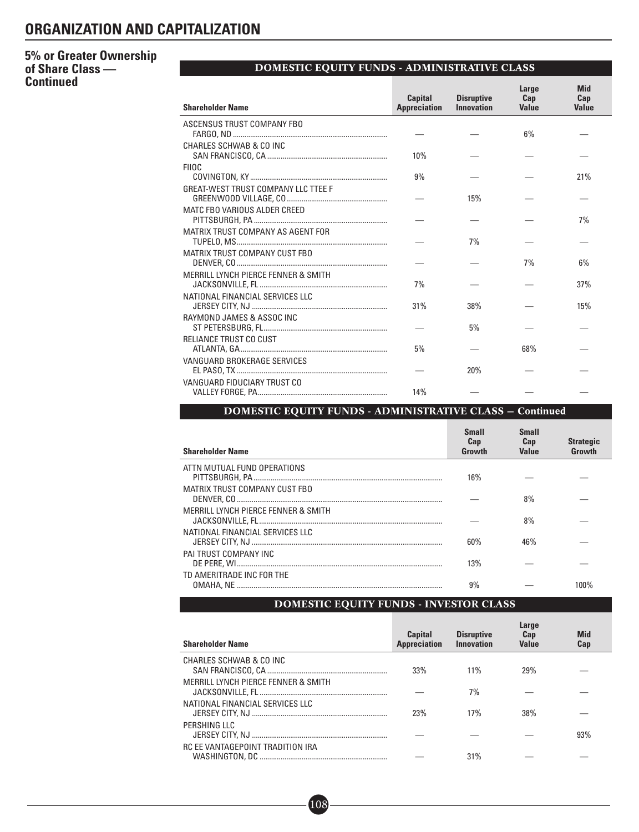# **5% or Greater Ownership of Share Class — Continued**

# DOMESTIC EQUITY FUNDS - ADMINISTRATIVE CLASS

| <b>Shareholder Name</b>                    | <b>Capital</b><br><b>Appreciation</b> | <b>Disruptive</b><br><b>Innovation</b> | Large<br>Cap<br><b>Value</b> | <b>Mid</b><br>Cap<br><b>Value</b> |
|--------------------------------------------|---------------------------------------|----------------------------------------|------------------------------|-----------------------------------|
| ASCENSUS TRUST COMPANY FBO                 |                                       |                                        | 6%                           |                                   |
| CHARLES SCHWAB & CO INC                    | 10%                                   |                                        |                              |                                   |
| <b>FIIOC</b>                               | 9%                                    |                                        |                              | 21%                               |
| <b>GREAT-WEST TRUST COMPANY LLC TTEE F</b> |                                       | 15%                                    |                              |                                   |
| MATC FBO VARIOUS ALDER CREED               |                                       |                                        |                              | 7%                                |
| MATRIX TRUST COMPANY AS AGENT FOR          |                                       | 7%                                     |                              |                                   |
| MATRIX TRUST COMPANY CUST FBO              |                                       |                                        | 7%                           | 6%                                |
| MERRILL LYNCH PIERCE FENNER & SMITH        | 7%                                    |                                        |                              | 37%                               |
| NATIONAL FINANCIAL SERVICES LLC            | 31%                                   | 38%                                    |                              | 15%                               |
| RAYMOND JAMES & ASSOC INC                  |                                       | 5%                                     |                              |                                   |
| RELIANCE TRUST CO CUST                     | 5%                                    |                                        | 68%                          |                                   |
| VANGUARD BROKERAGE SERVICES                |                                       | 20%                                    |                              |                                   |
| VANGUARD FIDUCIARY TRUST CO                | 14%                                   |                                        |                              |                                   |

# DOMESTIC EQUITY FUNDS - ADMINISTRATIVE CLASS — Continued

| <b>Shareholder Name</b>             | <b>Small</b><br>Cap<br>Growth | <b>Small</b><br>Cap<br><b>Value</b> | <b>Strategic</b><br>Growth |
|-------------------------------------|-------------------------------|-------------------------------------|----------------------------|
| ATTN MUTUAL FUND OPERATIONS         | 16%                           |                                     |                            |
| MATRIX TRUST COMPANY CUST FBO       |                               | 8%                                  |                            |
| MERRILL LYNCH PIERCE FENNER & SMITH |                               | 8%                                  |                            |
| NATIONAL FINANCIAL SERVICES LLC     | 60%                           | 46%                                 |                            |
| PAI TRUST COMPANY INC               | 13%                           |                                     |                            |
| TD AMERITRADE INC FOR THE           | 9%                            |                                     |                            |

# DOMESTIC EQUITY FUNDS - INVESTOR CLASS

| <b>Shareholder Name</b>             | <b>Capital</b><br><b>Appreciation</b> | <b>Disruptive</b><br>Innovation | Large<br>Cap<br>Value | <b>Mid</b><br>Cap |
|-------------------------------------|---------------------------------------|---------------------------------|-----------------------|-------------------|
| CHARLES SCHWAB & CO INC             | 33%                                   | $11\%$                          | 29%                   |                   |
| MERRILL LYNCH PIERCE FENNER & SMITH |                                       | 7%                              |                       |                   |
| NATIONAL FINANCIAL SERVICES LLC     | 23%                                   | 17%                             | 38%                   |                   |
| PERSHING LLC                        |                                       |                                 |                       | 93%               |
| RC EE VANTAGEPOINT TRADITION IRA    |                                       | 31%                             |                       |                   |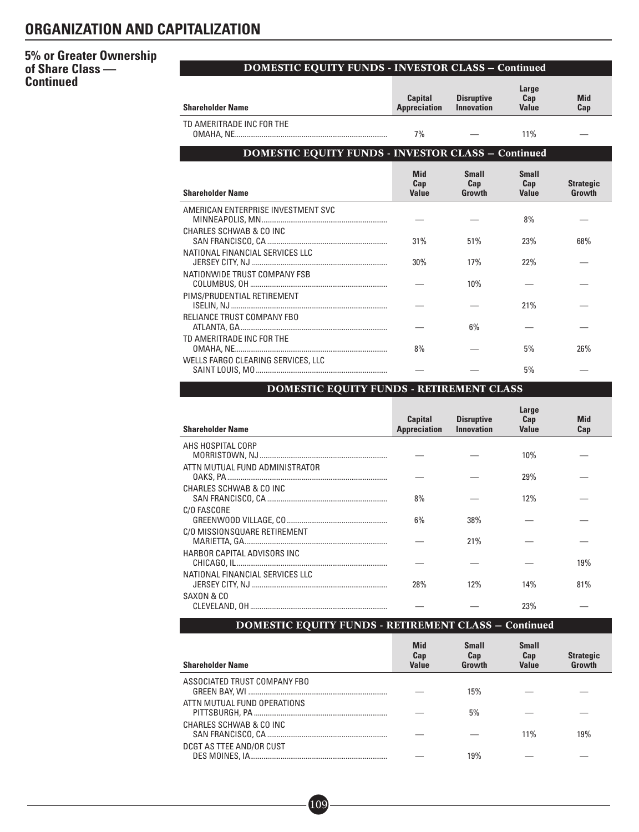# **5% or Greater Ownership of Share Class — Continued**

# DOMESTIC EQUITY FUNDS - INVESTOR CLASS — Continued

| <b>Shareholder Name</b>                                   | <b>Capital</b><br><b>Appreciation</b> | <b>Disruptive</b><br><b>Innovation</b> | Large<br>Cap<br><b>Value</b>        | <b>Mid</b><br>Cap          |
|-----------------------------------------------------------|---------------------------------------|----------------------------------------|-------------------------------------|----------------------------|
| TD AMERITRADE INC FOR THE                                 | 7%                                    |                                        | 11%                                 |                            |
| <b>DOMESTIC EQUITY FUNDS - INVESTOR CLASS - Continued</b> |                                       |                                        |                                     |                            |
| <b>Shareholder Name</b>                                   | <b>Mid</b><br>Cap<br><b>Value</b>     | <b>Small</b><br>Cap<br>Growth          | <b>Small</b><br>Cap<br><b>Value</b> | <b>Strategic</b><br>Growth |
| AMERICAN ENTERPRISE INVESTMENT SVC                        |                                       |                                        | 8%                                  |                            |
| CHARLES SCHWAB & CO INC                                   | 31%                                   | 51%                                    | 23%                                 | 68%                        |
| NATIONAL FINANCIAL SERVICES LLC                           | 30%                                   | 17%                                    | 22%                                 |                            |
| NATIONWIDE TRUST COMPANY FSB                              |                                       | 10%                                    |                                     |                            |
| PIMS/PRUDENTIAL RETIREMENT                                |                                       |                                        | 21%                                 |                            |
| RELIANCE TRUST COMPANY FBO                                |                                       | 6%                                     |                                     |                            |
| TD AMERITRADE INC FOR THE                                 | 8%                                    |                                        | 5%                                  | 26%                        |
| WELLS FARGO CLEARING SERVICES, LLC                        |                                       |                                        | 5%                                  |                            |

# DOMESTIC EQUITY FUNDS - RETIREMENT CLASS

| <b>Shareholder Name</b>         | <b>Capital</b><br><b>Appreciation</b> | <b>Disruptive</b><br><b>Innovation</b> | Large<br>Cap<br><b>Value</b> | Mid<br>Cap |
|---------------------------------|---------------------------------------|----------------------------------------|------------------------------|------------|
| AHS HOSPITAL CORP               |                                       |                                        |                              |            |
|                                 |                                       |                                        | 10%                          |            |
| ATTN MUTUAL FUND ADMINISTRATOR  |                                       |                                        | 29%                          |            |
| CHARLES SCHWAB & CO INC         |                                       |                                        |                              |            |
|                                 | 8%                                    |                                        | 12%                          |            |
| C/O FASCORE                     |                                       |                                        |                              |            |
|                                 | 6%                                    | 38%                                    |                              |            |
| C/O MISSIONSQUARE RETIREMENT    |                                       |                                        |                              |            |
|                                 |                                       | 21%                                    |                              |            |
| HARBOR CAPITAL ADVISORS INC     |                                       |                                        |                              |            |
|                                 |                                       |                                        |                              | 19%        |
| NATIONAL FINANCIAL SERVICES LLC |                                       |                                        |                              |            |
|                                 | <b>28%</b>                            | 12%                                    | 14%                          | 81%        |
| SAXON & CO                      |                                       |                                        |                              |            |
|                                 |                                       |                                        | 23%                          |            |

# DOMESTIC EQUITY FUNDS - RETIREMENT CLASS — Continued

| <b>Shareholder Name</b>      | <b>Mid</b><br>Cap<br><b>Value</b> | <b>Small</b><br>Cap<br>Growth | <b>Small</b><br>Cap<br><b>Value</b> | <b>Strategic</b><br>Growth |
|------------------------------|-----------------------------------|-------------------------------|-------------------------------------|----------------------------|
| ASSOCIATED TRUST COMPANY FBO |                                   | 15%                           |                                     |                            |
| ATTN MUTUAL FUND OPERATIONS  |                                   | 5%                            |                                     |                            |
| CHARLES SCHWAB & CO INC      |                                   |                               | 11%                                 | 19%                        |
| DCGT AS TTEE AND/OR CUST     |                                   | 19%                           |                                     |                            |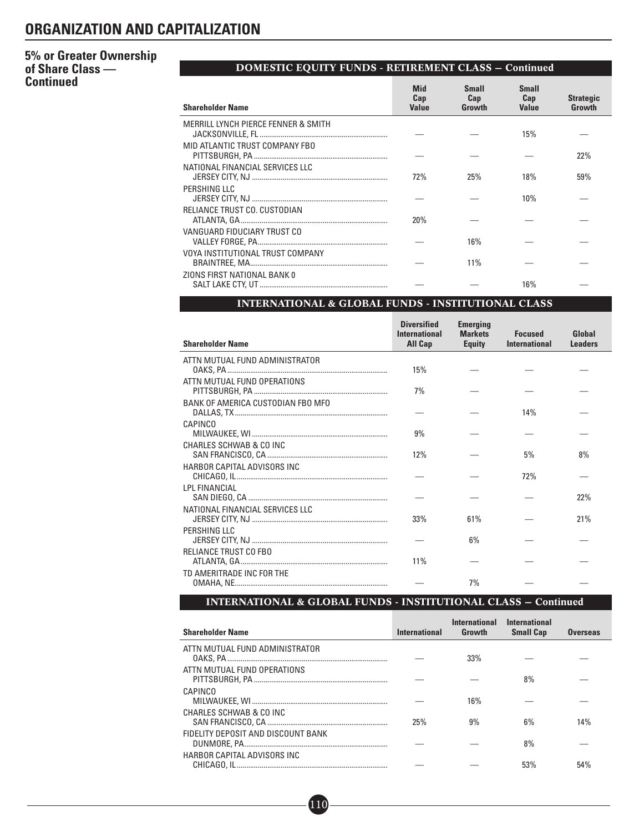# **5% or Greater Ownership of Share Class — Continued**

|                                                | <b>DOMESTIC EQUITY FUNDS - RETIREMENT CLASS - Continued</b> |                               |                                     |                            |
|------------------------------------------------|-------------------------------------------------------------|-------------------------------|-------------------------------------|----------------------------|
| <b>Shareholder Name</b>                        | <b>Mid</b><br>Cap<br><b>Value</b>                           | <b>Small</b><br>Cap<br>Growth | <b>Small</b><br>Cap<br><b>Value</b> | <b>Strategic</b><br>Growth |
| <b>MERRILL LYNCH PIERCE FENNER &amp; SMITH</b> |                                                             |                               | 15%                                 |                            |
| MID ATLANTIC TRUST COMPANY FBO                 |                                                             |                               |                                     | 22%                        |
| NATIONAL FINANCIAL SERVICES LLC                | 72%                                                         | 25%                           | 18%                                 | 59%                        |
| PERSHING LLC                                   |                                                             |                               | 10%                                 |                            |
| RELIANCE TRUST CO. CUSTODIAN                   | 20%                                                         |                               |                                     |                            |
| VANGUARD FIDUCIARY TRUST CO                    |                                                             | 16%                           |                                     |                            |
| VOYA INSTITUTIONAL TRUST COMPANY               |                                                             | 11%                           |                                     |                            |
| ZIONS FIRST NATIONAL BANK 0                    |                                                             |                               | 16%                                 |                            |

# INTERNATIONAL & GLOBAL FUNDS - INSTITUTIONAL CLASS

| <b>Shareholder Name</b>           | <b>Diversified</b><br><b>International</b><br><b>All Cap</b> | <b>Emerging</b><br><b>Markets</b><br><b>Equity</b> | <b>Focused</b><br><b>International</b> | Global<br><b>Leaders</b> |
|-----------------------------------|--------------------------------------------------------------|----------------------------------------------------|----------------------------------------|--------------------------|
| ATTN MUTUAL FUND ADMINISTRATOR    | 15%                                                          |                                                    |                                        |                          |
| ATTN MUTUAL FUND OPERATIONS       | 7%                                                           |                                                    |                                        |                          |
| BANK OF AMERICA CUSTODIAN FBO MFO |                                                              |                                                    | 14%                                    |                          |
| <b>CAPINCO</b>                    | 9%                                                           |                                                    |                                        |                          |
| CHARLES SCHWAB & CO INC           | 12%                                                          |                                                    | 5%                                     | 8%                       |
| HARBOR CAPITAL ADVISORS INC       |                                                              |                                                    | 72%                                    |                          |
| <b>LPL FINANCIAL</b>              |                                                              |                                                    |                                        | 22%                      |
| NATIONAL FINANCIAL SERVICES LLC   | 33%                                                          | 61%                                                |                                        | 21%                      |
| PERSHING LLC                      |                                                              | 6%                                                 |                                        |                          |
| RELIANCE TRUST CO FBO             | 11%                                                          |                                                    |                                        |                          |
| TD AMERITRADE INC FOR THE         |                                                              | 7%                                                 |                                        |                          |

# INTERNATIONAL & GLOBAL FUNDS - INSTITUTIONAL CLASS — Continued

| <b>Shareholder Name</b>            | <b>International</b> | <b>International</b><br>Growth | <b>International</b><br><b>Small Cap</b> | <b>Overseas</b> |
|------------------------------------|----------------------|--------------------------------|------------------------------------------|-----------------|
| ATTN MUTUAL FUND ADMINISTRATOR     |                      | 33%                            |                                          |                 |
| ATTN MUTUAL FUND OPERATIONS        |                      |                                | 8%                                       |                 |
| CAPINCO                            |                      | 16%                            |                                          |                 |
| CHARLES SCHWAB & CO INC            | 25%                  | 9%                             | $6\%$                                    | 14%             |
| FIDELITY DEPOSIT AND DISCOUNT BANK |                      |                                | 8%                                       |                 |
| HARBOR CAPITAL ADVISORS INC        |                      |                                | 53%                                      | 54%             |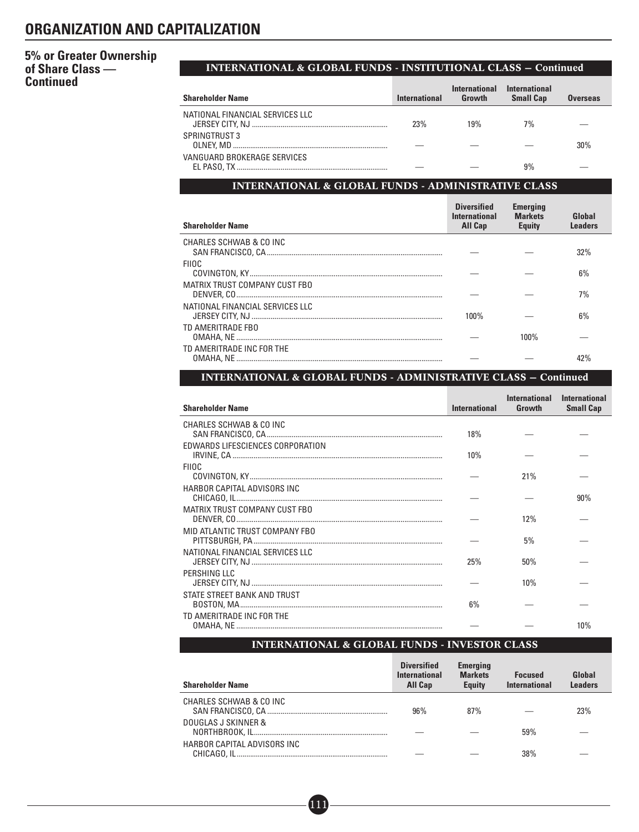# **5% or Greater Ownership of Share Class — Continued**

# INTERNATIONAL & GLOBAL FUNDS - INSTITUTIONAL CLASS — Continued

| <b>Shareholder Name</b>         | International | <b>International</b><br>Growth | <b>International</b><br><b>Small Cap</b> | <b>Overseas</b> |
|---------------------------------|---------------|--------------------------------|------------------------------------------|-----------------|
| NATIONAL FINANCIAL SERVICES LLC | 23%           | 19%                            | 7%                                       |                 |
| SPRINGTRUST 3                   |               |                                |                                          | 30%             |
| VANGUARD BROKERAGE SERVICES     |               |                                | 9%                                       |                 |

# INTERNATIONAL & GLOBAL FUNDS - ADMINISTRATIVE CLASS

| <b>Shareholder Name</b>         | <b>Diversified</b><br><b>International</b><br><b>All Cap</b> | <b>Emerging</b><br><b>Markets</b><br><b>Equity</b> | Global<br><b>Leaders</b> |
|---------------------------------|--------------------------------------------------------------|----------------------------------------------------|--------------------------|
| CHARLES SCHWAB & CO INC         |                                                              |                                                    | 32%                      |
| <b>FIIOC</b>                    |                                                              |                                                    | 6%                       |
| MATRIX TRUST COMPANY CUST FBO   |                                                              |                                                    | 7%                       |
| NATIONAL FINANCIAL SERVICES LLC | 100%                                                         |                                                    | 6%                       |
| TD AMERITRADE FBO               |                                                              | 100%                                               |                          |
| TD AMERITRADE INC FOR THE       |                                                              |                                                    |                          |

# INTERNATIONAL & GLOBAL FUNDS - ADMINISTRATIVE CLASS — Continued

| <b>Shareholder Name</b>          | <b>International</b> | <b>International</b><br>Growth | <b>International</b><br><b>Small Cap</b> |
|----------------------------------|----------------------|--------------------------------|------------------------------------------|
| CHARLES SCHWAB & CO INC          | 18%                  |                                |                                          |
| EDWARDS LIFESCIENCES CORPORATION | 10%                  |                                |                                          |
| <b>FIIOC</b>                     |                      | 21%                            |                                          |
| HARBOR CAPITAL ADVISORS INC      |                      |                                |                                          |
| MATRIX TRUST COMPANY CUST FBO    |                      |                                | 90%                                      |
| MID ATLANTIC TRUST COMPANY FBO   |                      | 12%                            |                                          |
| NATIONAL FINANCIAL SERVICES LLC  |                      | 5%                             |                                          |
| PERSHING LLC                     | 25%                  | 50%                            |                                          |
| STATE STREET BANK AND TRUST      |                      | 10%                            |                                          |
| TD AMERITRADE INC FOR THE        | 6%                   |                                |                                          |
|                                  |                      |                                | 10%                                      |

## INTERNATIONAL & GLOBAL FUNDS - INVESTOR CLASS

| <b>Shareholder Name</b>     | <b>Diversified</b><br><b>International</b><br><b>All Cap</b> | <b>Emerging</b><br><b>Markets</b><br><b>Equity</b> | <b>Focused</b><br><b>International</b> | Global<br>Leaders |
|-----------------------------|--------------------------------------------------------------|----------------------------------------------------|----------------------------------------|-------------------|
| CHARLES SCHWAB & CO INC     | 96%                                                          | 87%                                                |                                        | 23%               |
| DOUGLAS J SKINNER &         |                                                              |                                                    | 59%                                    |                   |
| HARBOR CAPITAL ADVISORS INC |                                                              |                                                    | 38%                                    |                   |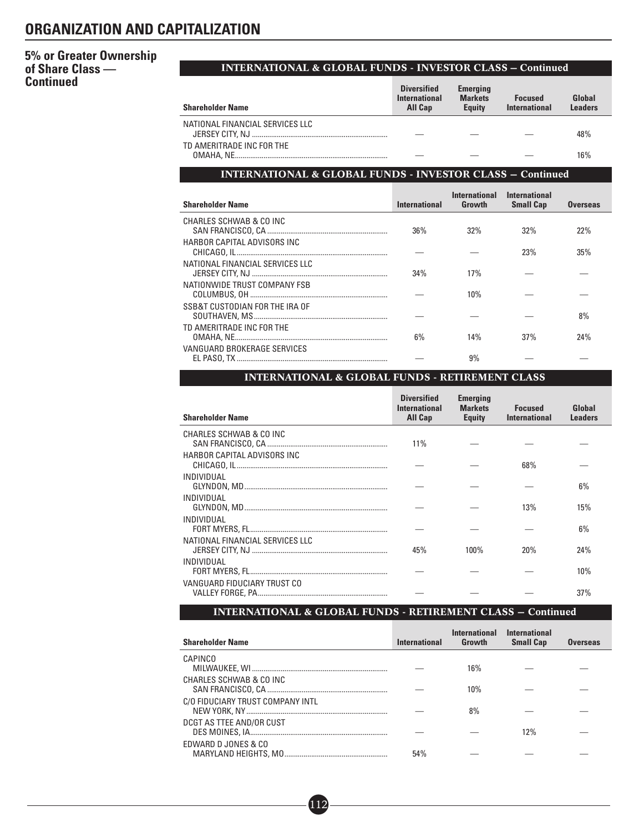# **5% or Greater Ownership of Share Class — Continued**

## INTERNATIONAL & GLOBAL FUNDS - INVESTOR CLASS — Continued

| <b>Shareholder Name</b>         | <b>Diversified</b><br><b>International</b><br><b>All Cap</b> | <b>Emerging</b><br><b>Markets</b><br><b>Equity</b> | <b>Focused</b><br>International | Global<br><b>Leaders</b> |
|---------------------------------|--------------------------------------------------------------|----------------------------------------------------|---------------------------------|--------------------------|
| NATIONAL FINANCIAL SERVICES LLC |                                                              |                                                    |                                 | 48%                      |
| TD AMERITRADE INC FOR THE       |                                                              |                                                    |                                 | 16%                      |

# INTERNATIONAL & GLOBAL FUNDS - INVESTOR CLASS — Continued

| <b>Shareholder Name</b>         | <b>International</b> | International<br>Growth | <b>International</b><br><b>Small Cap</b> | <b>Overseas</b> |
|---------------------------------|----------------------|-------------------------|------------------------------------------|-----------------|
| CHARLES SCHWAB & CO INC         | 36%                  | 32%                     | 32%                                      | 22%             |
| HARBOR CAPITAL ADVISORS INC     |                      |                         | 23%                                      | 35%             |
| NATIONAL FINANCIAL SERVICES LLC | 34%                  | 17%                     |                                          |                 |
| NATIONWIDE TRUST COMPANY FSB    |                      | 10%                     |                                          |                 |
| SSB&T CUSTODIAN FOR THE IRA OF  |                      |                         |                                          | 8%              |
| TD AMERITRADE INC FOR THE       | 6%                   | 14%                     | 37%                                      | 24%             |
| VANGUARD BROKERAGE SERVICES     |                      | 9%                      |                                          |                 |

# INTERNATIONAL & GLOBAL FUNDS - RETIREMENT CLASS

| <b>Shareholder Name</b>         | <b>Diversified</b><br><b>International</b><br>All Cap | <b>Emerging</b><br><b>Markets</b><br><b>Equity</b> | <b>Focused</b><br><b>International</b> | Global<br><b>Leaders</b> |
|---------------------------------|-------------------------------------------------------|----------------------------------------------------|----------------------------------------|--------------------------|
| CHARLES SCHWAB & CO INC         | 11%                                                   |                                                    |                                        |                          |
| HARBOR CAPITAL ADVISORS INC     |                                                       |                                                    | 68%                                    |                          |
| INDIVIDUAL                      |                                                       |                                                    |                                        | 6%                       |
| INDIVIDUAL                      |                                                       |                                                    | 13%                                    | 15%                      |
| INDIVIDUAL                      |                                                       |                                                    |                                        | 6%                       |
| NATIONAL FINANCIAL SERVICES LLC | 45%                                                   | $100\%$                                            | 20%                                    | 24%                      |
| INDIVIDUAL                      |                                                       |                                                    |                                        | 10%                      |
| VANGUARD FIDUCIARY TRUST CO     |                                                       |                                                    |                                        | 37%                      |

# INTERNATIONAL & GLOBAL FUNDS - RETIREMENT CLASS — Continued

| <b>Shareholder Name</b>          | <b>International</b> | <b>International</b><br>Growth | <b>International</b><br><b>Small Cap</b> | <b>Overseas</b> |
|----------------------------------|----------------------|--------------------------------|------------------------------------------|-----------------|
| CAPINCO                          |                      | 16%                            |                                          |                 |
| CHARLES SCHWAB & CO INC          |                      | 10%                            |                                          |                 |
| C/O FIDUCIARY TRUST COMPANY INTL |                      | 8%                             |                                          |                 |
| DCGT AS TTEE AND/OR CUST         |                      |                                | 12%                                      |                 |
| EDWARD D JONES & CO              | 54%                  |                                |                                          |                 |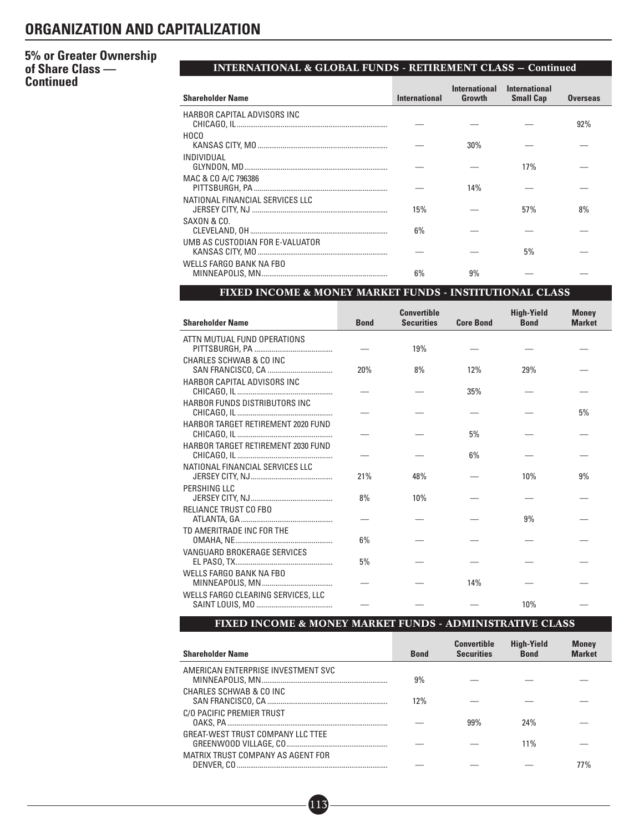# **5% or Greater Ownership of Share Class — Continued**

# INTERNATIONAL & GLOBAL FUNDS - RETIREMENT CLASS — Continued

| <b>Shareholder Name</b>         | <b>International</b> | <b>International</b><br>Growth | International<br><b>Small Cap</b> | <b>Overseas</b> |
|---------------------------------|----------------------|--------------------------------|-----------------------------------|-----------------|
| HARBOR CAPITAL ADVISORS INC     |                      |                                |                                   | 92%             |
| HOCO                            |                      | 30%                            |                                   |                 |
| INDIVIDUAL                      |                      |                                | 17%                               |                 |
| MAC & CO A/C 796386             |                      | 14%                            |                                   |                 |
| NATIONAL FINANCIAL SERVICES LLC | 15%                  |                                | 57%                               | 8%              |
| SAXON & CO.                     | 6%                   |                                |                                   |                 |
| UMB AS CUSTODIAN FOR E-VALUATOR |                      |                                | 5%                                |                 |
| WELLS FARGO BANK NA FBO         | 6%                   | 9%                             |                                   |                 |

## FIXED INCOME & MONEY MARKET FUNDS - INSTITUTIONAL CLASS

| <b>Shareholder Name</b>            | <b>Bond</b> | <b>Convertible</b><br><b>Securities</b> | <b>Core Bond</b> | <b>High-Yield</b><br><b>Bond</b> | <b>Money</b><br><b>Market</b> |
|------------------------------------|-------------|-----------------------------------------|------------------|----------------------------------|-------------------------------|
| ATTN MUTUAL FUND OPERATIONS        |             | 19%                                     |                  |                                  |                               |
| CHARLES SCHWAB & CO INC            | 20%         | 8%                                      | 12%              | 29%                              |                               |
| HARBOR CAPITAL ADVISORS INC        |             |                                         | 35%              |                                  |                               |
| HARBOR FUNDS DISTRIBUTORS INC      |             |                                         |                  |                                  | 5%                            |
| HARBOR TARGET RETIREMENT 2020 FUND |             |                                         | 5%               |                                  |                               |
| HARBOR TARGET RETIREMENT 2030 FUND |             |                                         | 6%               |                                  |                               |
| NATIONAL FINANCIAL SERVICES LLC    | 21%         | 48%                                     |                  | 10%                              | 9%                            |
| PERSHING LLC                       | 8%          | 10%                                     |                  |                                  |                               |
| RELIANCE TRUST CO FBO              |             |                                         |                  | 9%                               |                               |
| TD AMERITRADE INC FOR THE          | 6%          |                                         |                  |                                  |                               |
| VANGUARD BROKERAGE SERVICES        | 5%          |                                         |                  |                                  |                               |
| <b>WELLS FARGO BANK NA FBO</b>     |             |                                         | 14%              |                                  |                               |
| WELLS FARGO CLEARING SERVICES, LLC |             |                                         |                  | 10%                              |                               |

# FIXED INCOME & MONEY MARKET FUNDS - ADMINISTRATIVE CLASS

| <b>Shareholder Name</b>            | <b>Bond</b> | <b>Convertible</b><br><b>Securities</b> | <b>High-Yield</b><br><b>Bond</b> | <b>Money</b><br><b>Market</b> |
|------------------------------------|-------------|-----------------------------------------|----------------------------------|-------------------------------|
| AMERICAN ENTERPRISE INVESTMENT SVC | 9%          |                                         |                                  |                               |
| CHARLES SCHWAB & CO INC            | 12%         |                                         |                                  |                               |
| C/O PACIFIC PREMIER TRUST          |             | 99%                                     | 24%                              |                               |
| GREAT-WEST TRUST COMPANY LLC TTEE  |             |                                         | 11%                              |                               |
| MATRIX TRUST COMPANY AS AGENT FOR  |             |                                         |                                  | 77%                           |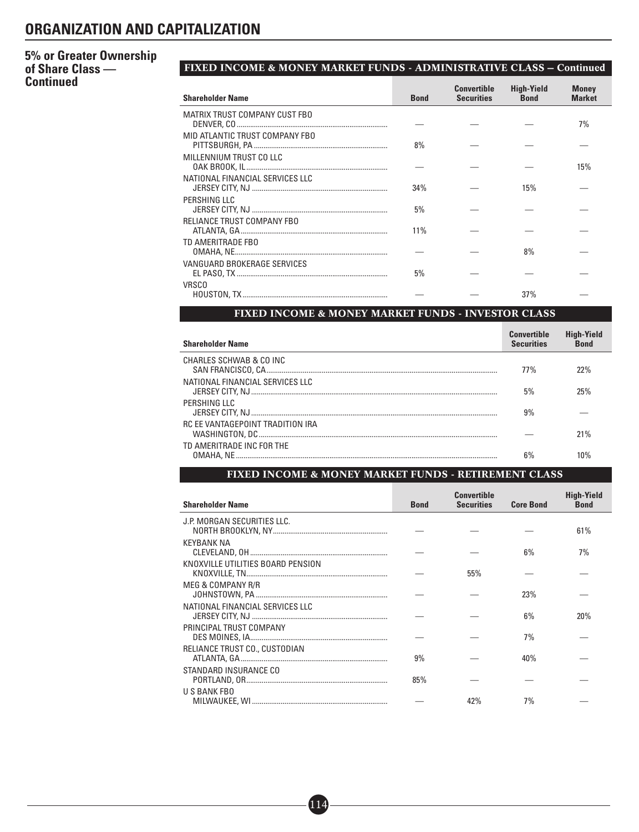# **5% or Greater Ownership of Share Class — Continued**

# FIXED INCOME & MONEY MARKET FUNDS - ADMINISTRATIVE CLASS — Continued

| <b>Shareholder Name</b>         | <b>Bond</b> | <b>Convertible</b><br><b>Securities</b> | <b>High-Yield</b><br><b>Bond</b> | <b>Money</b><br><b>Market</b> |
|---------------------------------|-------------|-----------------------------------------|----------------------------------|-------------------------------|
| MATRIX TRUST COMPANY CUST FBO   |             |                                         |                                  | 7%                            |
| MID ATLANTIC TRUST COMPANY FBO  | 8%          |                                         |                                  |                               |
| MILLENNIUM TRUST CO LLC         |             |                                         |                                  | 15%                           |
| NATIONAL FINANCIAL SERVICES LLC | 34%         |                                         | 15%                              |                               |
| PERSHING LLC                    | 5%          |                                         |                                  |                               |
| RELIANCE TRUST COMPANY FBO      | 11%         |                                         |                                  |                               |
| TD AMERITRADE FBO               |             |                                         | 8%                               |                               |
| VANGUARD BROKERAGE SERVICES     | 5%          |                                         |                                  |                               |
| <b>VRSCO</b>                    |             |                                         | 37%                              |                               |

# FIXED INCOME & MONEY MARKET FUNDS - INVESTOR CLASS

| <b>Shareholder Name</b>          | <b>Convertible</b><br><b>Securities</b> | <b>High-Yield</b><br><b>Bond</b> |
|----------------------------------|-----------------------------------------|----------------------------------|
| CHARLES SCHWAB & CO INC          | <b>77%</b>                              | 22%                              |
| NATIONAL FINANCIAL SERVICES LLC  | 5%                                      | 25%                              |
| PERSHING IIC                     | 9%                                      |                                  |
| RC FF VANTAGFPOINT TRADITION IRA |                                         | 21%                              |
| TD AMERITRADE INC FOR THE        | 6%                                      | 1በ%                              |

# FIXED INCOME & MONEY MARKET FUNDS - RETIREMENT CLASS

| <b>Shareholder Name</b>           | <b>Bond</b> | <b>Convertible</b><br><b>Securities</b> | <b>Core Bond</b> | <b>High-Yield</b><br><b>Bond</b> |
|-----------------------------------|-------------|-----------------------------------------|------------------|----------------------------------|
| J.P. MORGAN SECURITIES LLC.       |             |                                         |                  | 61%                              |
| KEYBANK NA                        |             |                                         | $6\%$            | 7%                               |
| KNOXVILLE UTILITIES BOARD PENSION |             | 55%                                     |                  |                                  |
| MEG & COMPANY R/R                 |             |                                         | 23%              |                                  |
| NATIONAL FINANCIAL SERVICES LLC   |             |                                         | $6\%$            | 20%                              |
| PRINCIPAL TRUST COMPANY           |             |                                         | 7%               |                                  |
| RELIANCE TRUST CO., CUSTODIAN     | 9%          |                                         | 40%              |                                  |
| STANDARD INSURANCE CO             | 85%         |                                         |                  |                                  |
| U S BANK FBO                      |             | 42%                                     | 7%               |                                  |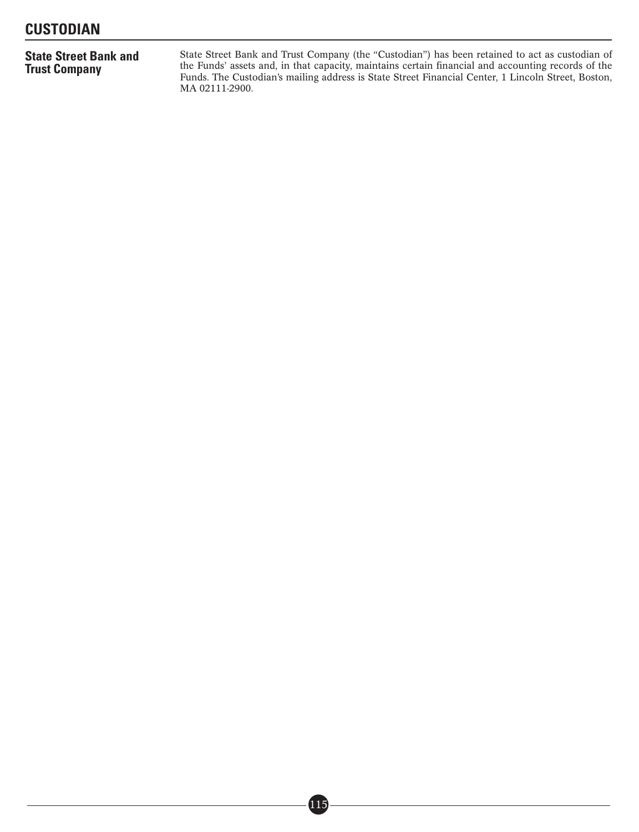# **State Street Bank and Trust Company**

State Street Bank and Trust Company (the "Custodian") has been retained to act as custodian of the Funds' assets and, in that capacity, maintains certain financial and accounting records of the Funds. The Custodian's mailing address is State Street Financial Center, 1 Lincoln Street, Boston, MA 02111-2900.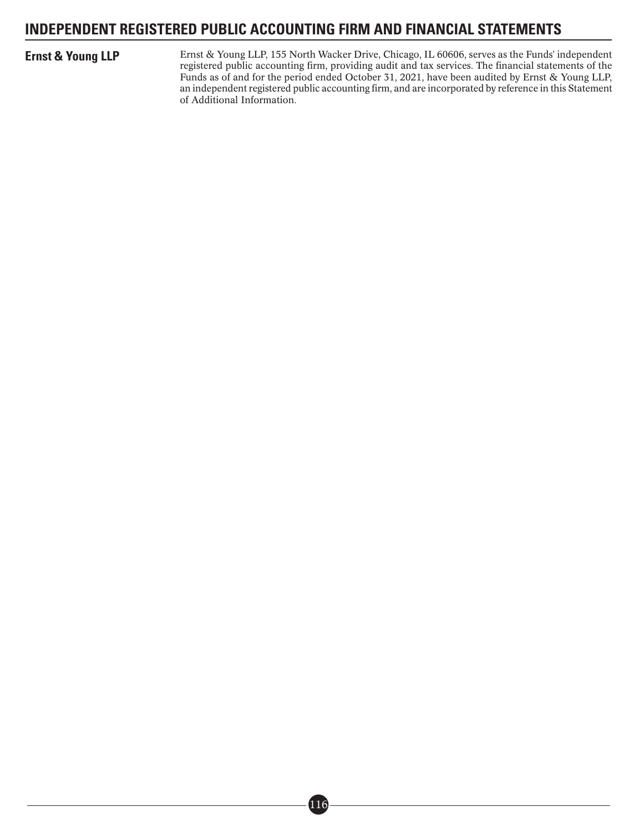# **INDEPENDENT REGISTERED PUBLIC ACCOUNTING FIRM AND FINANCIAL STATEMENTS**

**Ernst & Young LLP** Ernst & Young LLP, 155 North Wacker Drive, Chicago, IL 60606, serves as the Funds' independent registered public accounting firm, providing audit and tax services. The financial statements of the Funds as of and for the period ended October 31, 2021, have been audited by Ernst & Young LLP, an independent registered public accounting firm, and are incorporated by reference in this Statement of Additional Information.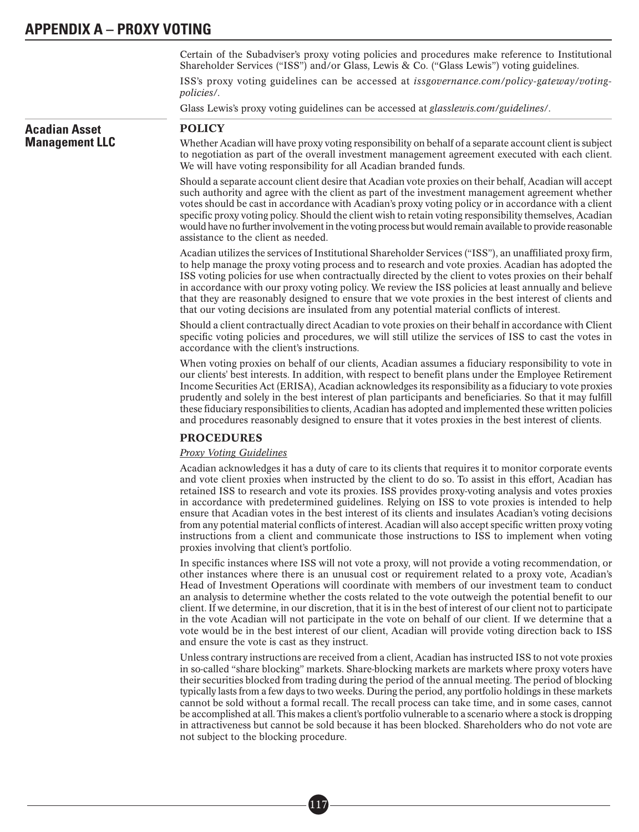Certain of the Subadviser's proxy voting policies and procedures make reference to Institutional Shareholder Services ("ISS") and/or Glass, Lewis & Co. ("Glass Lewis") voting guidelines.

ISS's proxy voting guidelines can be accessed at *issgovernance.com/policy-gateway/votingpolicies/*.

Glass Lewis's proxy voting guidelines can be accessed at *glasslewis.com/guidelines/*.

### **Acadian Asset Management LLC** POLICY Whether Acadian will have proxy voting responsibility on behalf of a separate account client is subject to negotiation as part of the overall investment management agreement executed with each client. We will have voting responsibility for all Acadian branded funds. Should a separate account client desire that Acadian vote proxies on their behalf, Acadian will accept such authority and agree with the client as part of the investment management agreement whether votes should be cast in accordance with Acadian's proxy voting policy or in accordance with a client specific proxy voting policy. Should the client wish to retain voting responsibility themselves, Acadian would have no further involvement in the voting process but would remain available to provide reasonable assistance to the client as needed. Acadian utilizes the services of Institutional Shareholder Services ("ISS"), an unaffiliated proxy firm, to help manage the proxy voting process and to research and vote proxies. Acadian has adopted the ISS voting policies for use when contractually directed by the client to votes proxies on their behalf in accordance with our proxy voting policy. We review the ISS policies at least annually and believe that they are reasonably designed to ensure that we vote proxies in the best interest of clients and that our voting decisions are insulated from any potential material conflicts of interest. Should a client contractually direct Acadian to vote proxies on their behalf in accordance with Client specific voting policies and procedures, we will still utilize the services of ISS to cast the votes in accordance with the client's instructions. When voting proxies on behalf of our clients, Acadian assumes a fiduciary responsibility to vote in our clients' best interests. In addition, with respect to benefit plans under the Employee Retirement Income Securities Act (ERISA), Acadian acknowledges its responsibility as a fiduciary to vote proxies prudently and solely in the best interest of plan participants and beneficiaries. So that it may fulfill these fiduciary responsibilities to clients, Acadian has adopted and implemented these written policies and procedures reasonably designed to ensure that it votes proxies in the best interest of clients. PROCEDURES *Proxy Voting Guidelines* Acadian acknowledges it has a duty of care to its clients that requires it to monitor corporate events and vote client proxies when instructed by the client to do so. To assist in this effort, Acadian has retained ISS to research and vote its proxies. ISS provides proxy-voting analysis and votes proxies in accordance with predetermined guidelines. Relying on ISS to vote proxies is intended to help ensure that Acadian votes in the best interest of its clients and insulates Acadian's voting decisions from any potential material conflicts of interest. Acadian will also accept specific written proxy voting instructions from a client and communicate those instructions to ISS to implement when voting proxies involving that client's portfolio. In specific instances where ISS will not vote a proxy, will not provide a voting recommendation, or

■• 117

other instances where there is an unusual cost or requirement related to a proxy vote, Acadian's Head of Investment Operations will coordinate with members of our investment team to conduct an analysis to determine whether the costs related to the vote outweigh the potential benefit to our client. If we determine, in our discretion, that it is in the best of interest of our client not to participate in the vote Acadian will not participate in the vote on behalf of our client. If we determine that a vote would be in the best interest of our client, Acadian will provide voting direction back to ISS and ensure the vote is cast as they instruct.

Unless contrary instructions are received from a client, Acadian has instructed ISS to not vote proxies in so-called "share blocking" markets. Share-blocking markets are markets where proxy voters have their securities blocked from trading during the period of the annual meeting. The period of blocking typically lasts from a few days to two weeks. During the period, any portfolio holdings in these markets cannot be sold without a formal recall. The recall process can take time, and in some cases, cannot be accomplished at all. This makes a client's portfolio vulnerable to a scenario where a stock is dropping in attractiveness but cannot be sold because it has been blocked. Shareholders who do not vote are not subject to the blocking procedure.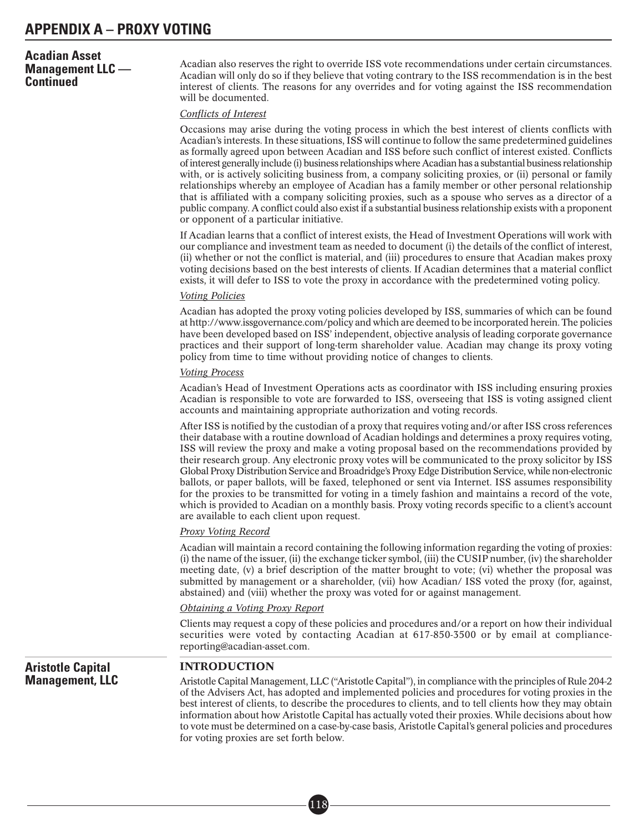# **Acadian Asset Management LLC — Continued**

Acadian also reserves the right to override ISS vote recommendations under certain circumstances. Acadian will only do so if they believe that voting contrary to the ISS recommendation is in the best interest of clients. The reasons for any overrides and for voting against the ISS recommendation will be documented.

#### *Conflicts of Interest*

Occasions may arise during the voting process in which the best interest of clients conflicts with Acadian's interests. In these situations, ISS will continue to follow the same predetermined guidelines as formally agreed upon between Acadian and ISS before such conflict of interest existed. Conflicts of interest generally include (i) business relationships where Acadian has a substantial business relationship with, or is actively soliciting business from, a company soliciting proxies, or (ii) personal or family relationships whereby an employee of Acadian has a family member or other personal relationship that is affiliated with a company soliciting proxies, such as a spouse who serves as a director of a public company. A conflict could also exist if a substantial business relationship exists with a proponent or opponent of a particular initiative.

If Acadian learns that a conflict of interest exists, the Head of Investment Operations will work with our compliance and investment team as needed to document (i) the details of the conflict of interest, (ii) whether or not the conflict is material, and (iii) procedures to ensure that Acadian makes proxy voting decisions based on the best interests of clients. If Acadian determines that a material conflict exists, it will defer to ISS to vote the proxy in accordance with the predetermined voting policy.

#### *Voting Policies*

Acadian has adopted the proxy voting policies developed by ISS, summaries of which can be found at http://www.issgovernance.com/policy and which are deemed to be incorporated herein. The policies have been developed based on ISS' independent, objective analysis of leading corporate governance practices and their support of long-term shareholder value. Acadian may change its proxy voting policy from time to time without providing notice of changes to clients.

#### *Voting Process*

Acadian's Head of Investment Operations acts as coordinator with ISS including ensuring proxies Acadian is responsible to vote are forwarded to ISS, overseeing that ISS is voting assigned client accounts and maintaining appropriate authorization and voting records.

After ISS is notified by the custodian of a proxy that requires voting and/or after ISS cross references their database with a routine download of Acadian holdings and determines a proxy requires voting, ISS will review the proxy and make a voting proposal based on the recommendations provided by their research group. Any electronic proxy votes will be communicated to the proxy solicitor by ISS Global Proxy Distribution Service and Broadridge's Proxy Edge Distribution Service, while non-electronic ballots, or paper ballots, will be faxed, telephoned or sent via Internet. ISS assumes responsibility for the proxies to be transmitted for voting in a timely fashion and maintains a record of the vote, which is provided to Acadian on a monthly basis. Proxy voting records specific to a client's account are available to each client upon request.

#### *Proxy Voting Record*

Acadian will maintain a record containing the following information regarding the voting of proxies: (i) the name of the issuer, (ii) the exchange ticker symbol, (iii) the CUSIP number, (iv) the shareholder meeting date, (v) a brief description of the matter brought to vote; (vi) whether the proposal was submitted by management or a shareholder, (vii) how Acadian/ ISS voted the proxy (for, against, abstained) and (viii) whether the proxy was voted for or against management.

#### *Obtaining a Voting Proxy Report*

Clients may request a copy of these policies and procedures and/or a report on how their individual securities were voted by contacting Acadian at 617-850-3500 or by email at compliancereporting@acadian-asset.com.

# **Aristotle Capital Management, LLC**

## INTRODUCTION

Aristotle Capital Management, LLC ("Aristotle Capital"), in compliance with the principles of Rule 204-2 of the Advisers Act, has adopted and implemented policies and procedures for voting proxies in the best interest of clients, to describe the procedures to clients, and to tell clients how they may obtain information about how Aristotle Capital has actually voted their proxies. While decisions about how to vote must be determined on a case-by-case basis, Aristotle Capital's general policies and procedures for voting proxies are set forth below.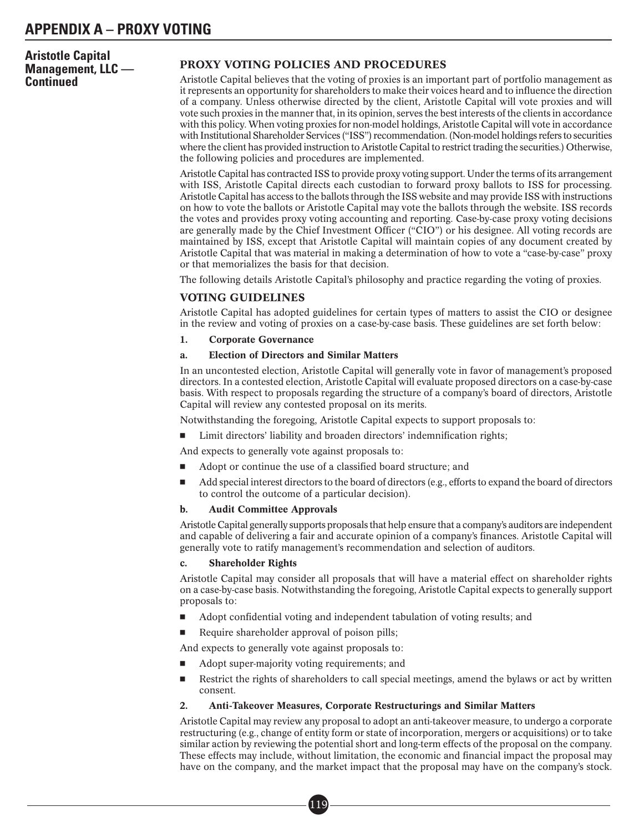**Aristotle Capital Management, LLC — Continued**

# PROXY VOTING POLICIES AND PROCEDURES

Aristotle Capital believes that the voting of proxies is an important part of portfolio management as it represents an opportunity for shareholders to make their voices heard and to influence the direction of a company. Unless otherwise directed by the client, Aristotle Capital will vote proxies and will vote such proxies in the manner that, in its opinion, serves the best interests of the clients in accordance with this policy. When voting proxies for non-model holdings, Aristotle Capital will vote in accordance with Institutional Shareholder Services ("ISS") recommendation. (Non-model holdings refers to securities where the client has provided instruction to Aristotle Capital to restrict trading the securities.) Otherwise, the following policies and procedures are implemented.

Aristotle Capital has contracted ISS to provide proxy voting support. Under the terms of its arrangement with ISS, Aristotle Capital directs each custodian to forward proxy ballots to ISS for processing. Aristotle Capital has access to the ballots through the ISS website and may provide ISS with instructions on how to vote the ballots or Aristotle Capital may vote the ballots through the website. ISS records the votes and provides proxy voting accounting and reporting. Case-by-case proxy voting decisions are generally made by the Chief Investment Officer ("CIO") or his designee. All voting records are maintained by ISS, except that Aristotle Capital will maintain copies of any document created by Aristotle Capital that was material in making a determination of how to vote a "case-by-case" proxy or that memorializes the basis for that decision.

The following details Aristotle Capital's philosophy and practice regarding the voting of proxies.

## VOTING GUIDELINES

Aristotle Capital has adopted guidelines for certain types of matters to assist the CIO or designee in the review and voting of proxies on a case-by-case basis. These guidelines are set forth below:

#### 1. Corporate Governance

#### a. Election of Directors and Similar Matters

In an uncontested election, Aristotle Capital will generally vote in favor of management's proposed directors. In a contested election, Aristotle Capital will evaluate proposed directors on a case-by-case basis. With respect to proposals regarding the structure of a company's board of directors, Aristotle Capital will review any contested proposal on its merits.

Notwithstanding the foregoing, Aristotle Capital expects to support proposals to:

-Limit directors' liability and broaden directors' indemnification rights;

And expects to generally vote against proposals to:

- -Adopt or continue the use of a classified board structure; and
- - Add special interest directors to the board of directors (e.g., efforts to expand the board of directors to control the outcome of a particular decision).

#### b. Audit Committee Approvals

Aristotle Capital generally supports proposals that help ensure that a company's auditors are independent and capable of delivering a fair and accurate opinion of a company's finances. Aristotle Capital will generally vote to ratify management's recommendation and selection of auditors.

#### c. Shareholder Rights

Aristotle Capital may consider all proposals that will have a material effect on shareholder rights on a case-by-case basis. Notwithstanding the foregoing, Aristotle Capital expects to generally support proposals to:

- -Adopt confidential voting and independent tabulation of voting results; and
- -Require shareholder approval of poison pills;

And expects to generally vote against proposals to:

- -Adopt super-majority voting requirements; and
- - Restrict the rights of shareholders to call special meetings, amend the bylaws or act by written consent.

#### 2. Anti-Takeover Measures, Corporate Restructurings and Similar Matters

Aristotle Capital may review any proposal to adopt an anti-takeover measure, to undergo a corporate restructuring (e.g., change of entity form or state of incorporation, mergers or acquisitions) or to take similar action by reviewing the potential short and long-term effects of the proposal on the company. These effects may include, without limitation, the economic and financial impact the proposal may have on the company, and the market impact that the proposal may have on the company's stock.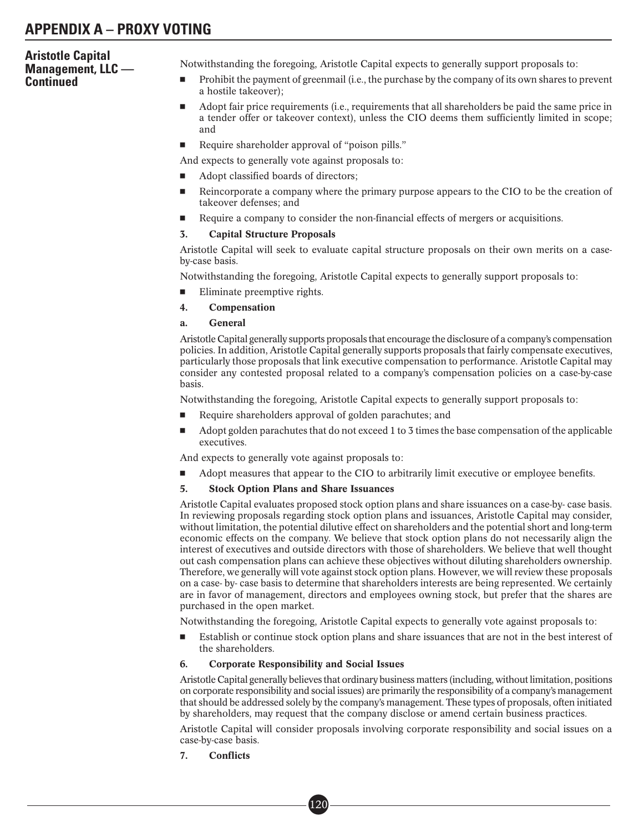# **Aristotle Capital Management, LLC — Continued**

Notwithstanding the foregoing, Aristotle Capital expects to generally support proposals to:

- - Prohibit the payment of greenmail (i.e., the purchase by the company of its own shares to prevent a hostile takeover);
- - Adopt fair price requirements (i.e., requirements that all shareholders be paid the same price in a tender offer or takeover context), unless the CIO deems them sufficiently limited in scope; and
- -Require shareholder approval of "poison pills."

And expects to generally vote against proposals to:

- -Adopt classified boards of directors;
- - Reincorporate a company where the primary purpose appears to the CIO to be the creation of takeover defenses; and
- -Require a company to consider the non-financial effects of mergers or acquisitions.

#### 3. Capital Structure Proposals

Aristotle Capital will seek to evaluate capital structure proposals on their own merits on a caseby-case basis.

Notwithstanding the foregoing, Aristotle Capital expects to generally support proposals to:

- -Eliminate preemptive rights.
- 4. Compensation
- a. General

Aristotle Capital generally supports proposals that encourage the disclosure of a company's compensation policies. In addition, Aristotle Capital generally supports proposals that fairly compensate executives, particularly those proposals that link executive compensation to performance. Aristotle Capital may consider any contested proposal related to a company's compensation policies on a case-by-case basis.

Notwithstanding the foregoing, Aristotle Capital expects to generally support proposals to:

- -Require shareholders approval of golden parachutes; and
- - Adopt golden parachutes that do not exceed 1 to 3 times the base compensation of the applicable executives.

And expects to generally vote against proposals to:

-Adopt measures that appear to the CIO to arbitrarily limit executive or employee benefits.

## 5. Stock Option Plans and Share Issuances

Aristotle Capital evaluates proposed stock option plans and share issuances on a case-by- case basis. In reviewing proposals regarding stock option plans and issuances, Aristotle Capital may consider, without limitation, the potential dilutive effect on shareholders and the potential short and long-term economic effects on the company. We believe that stock option plans do not necessarily align the interest of executives and outside directors with those of shareholders. We believe that well thought out cash compensation plans can achieve these objectives without diluting shareholders ownership. Therefore, we generally will vote against stock option plans. However, we will review these proposals on a case- by- case basis to determine that shareholders interests are being represented. We certainly are in favor of management, directors and employees owning stock, but prefer that the shares are purchased in the open market.

Notwithstanding the foregoing, Aristotle Capital expects to generally vote against proposals to:

- Establish or continue stock option plans and share issuances that are not in the best interest of the shareholders.

## 6. Corporate Responsibility and Social Issues

■• 120

Aristotle Capital generally believes that ordinary business matters (including, without limitation, positions on corporate responsibility and social issues) are primarily the responsibility of a company's management that should be addressed solely by the company's management. These types of proposals, often initiated by shareholders, may request that the company disclose or amend certain business practices.

Aristotle Capital will consider proposals involving corporate responsibility and social issues on a case-by-case basis.

7. Conflicts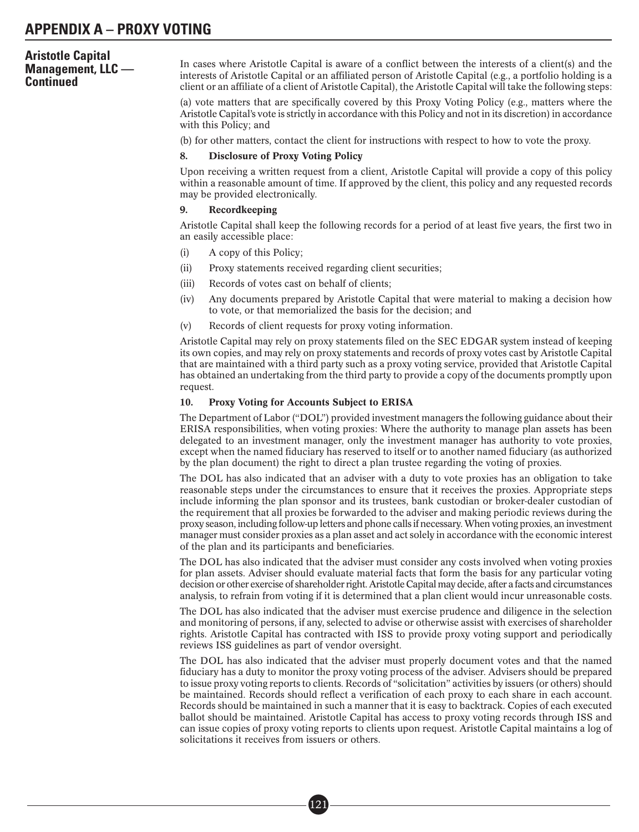# **Aristotle Capital Management, LLC — Continued**

In cases where Aristotle Capital is aware of a conflict between the interests of a client(s) and the interests of Aristotle Capital or an affiliated person of Aristotle Capital (e.g., a portfolio holding is a client or an affiliate of a client of Aristotle Capital), the Aristotle Capital will take the following steps:

(a) vote matters that are specifically covered by this Proxy Voting Policy (e.g., matters where the Aristotle Capital's vote is strictly in accordance with this Policy and not in its discretion) in accordance with this Policy; and

(b) for other matters, contact the client for instructions with respect to how to vote the proxy.

#### 8. Disclosure of Proxy Voting Policy

Upon receiving a written request from a client, Aristotle Capital will provide a copy of this policy within a reasonable amount of time. If approved by the client, this policy and any requested records may be provided electronically.

#### 9. Recordkeeping

Aristotle Capital shall keep the following records for a period of at least five years, the first two in an easily accessible place:

- (i) A copy of this Policy;
- (ii) Proxy statements received regarding client securities;
- (iii) Records of votes cast on behalf of clients;
- (iv) Any documents prepared by Aristotle Capital that were material to making a decision how to vote, or that memorialized the basis for the decision; and
- (v) Records of client requests for proxy voting information.

Aristotle Capital may rely on proxy statements filed on the SEC EDGAR system instead of keeping its own copies, and may rely on proxy statements and records of proxy votes cast by Aristotle Capital that are maintained with a third party such as a proxy voting service, provided that Aristotle Capital has obtained an undertaking from the third party to provide a copy of the documents promptly upon request.

#### 10. Proxy Voting for Accounts Subject to ERISA

The Department of Labor ("DOL") provided investment managers the following guidance about their ERISA responsibilities, when voting proxies: Where the authority to manage plan assets has been delegated to an investment manager, only the investment manager has authority to vote proxies, except when the named fiduciary has reserved to itself or to another named fiduciary (as authorized by the plan document) the right to direct a plan trustee regarding the voting of proxies.

The DOL has also indicated that an adviser with a duty to vote proxies has an obligation to take reasonable steps under the circumstances to ensure that it receives the proxies. Appropriate steps include informing the plan sponsor and its trustees, bank custodian or broker-dealer custodian of the requirement that all proxies be forwarded to the adviser and making periodic reviews during the proxy season, including follow-up letters and phone calls if necessary.When voting proxies, an investment manager must consider proxies as a plan asset and act solely in accordance with the economic interest of the plan and its participants and beneficiaries.

The DOL has also indicated that the adviser must consider any costs involved when voting proxies for plan assets. Adviser should evaluate material facts that form the basis for any particular voting decision or other exercise of shareholder right. Aristotle Capital may decide, after a facts and circumstances analysis, to refrain from voting if it is determined that a plan client would incur unreasonable costs.

The DOL has also indicated that the adviser must exercise prudence and diligence in the selection and monitoring of persons, if any, selected to advise or otherwise assist with exercises of shareholder rights. Aristotle Capital has contracted with ISS to provide proxy voting support and periodically reviews ISS guidelines as part of vendor oversight.

The DOL has also indicated that the adviser must properly document votes and that the named fiduciary has a duty to monitor the proxy voting process of the adviser. Advisers should be prepared to issue proxy voting reports to clients. Records of "solicitation" activities by issuers (or others) should be maintained. Records should reflect a verification of each proxy to each share in each account. Records should be maintained in such a manner that it is easy to backtrack. Copies of each executed ballot should be maintained. Aristotle Capital has access to proxy voting records through ISS and can issue copies of proxy voting reports to clients upon request. Aristotle Capital maintains a log of solicitations it receives from issuers or others.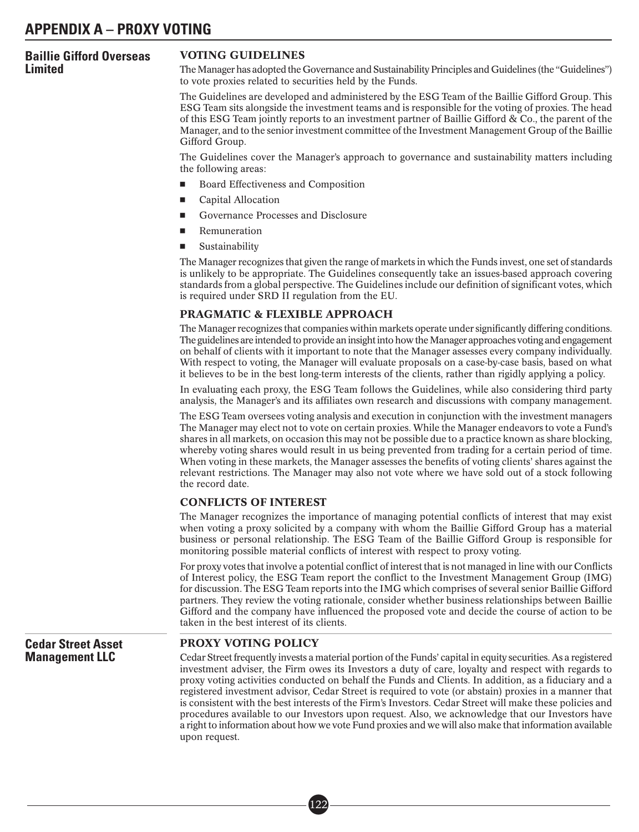# **Baillie Gifford Overseas Limited**

### VOTING GUIDELINES

The Manager has adopted the Governance and Sustainability Principles and Guidelines (the "Guidelines") to vote proxies related to securities held by the Funds.

The Guidelines are developed and administered by the ESG Team of the Baillie Gifford Group. This ESG Team sits alongside the investment teams and is responsible for the voting of proxies. The head of this ESG Team jointly reports to an investment partner of Baillie Gifford & Co., the parent of the Manager, and to the senior investment committee of the Investment Management Group of the Baillie Gifford Group.

The Guidelines cover the Manager's approach to governance and sustainability matters including the following areas:

- -Board Effectiveness and Composition
- -Capital Allocation
- -Governance Processes and Disclosure
- -Remuneration
- -Sustainability

The Manager recognizes that given the range of markets in which the Funds invest, one set of standards is unlikely to be appropriate. The Guidelines consequently take an issues-based approach covering standards from a global perspective. The Guidelines include our definition of significant votes, which is required under SRD II regulation from the EU.

#### PRAGMATIC & FLEXIBLE APPROACH

The Manager recognizes that companies within markets operate under significantly differing conditions. The guidelines are intended to provide an insight into how the Manager approaches voting and engagement on behalf of clients with it important to note that the Manager assesses every company individually. With respect to voting, the Manager will evaluate proposals on a case-by-case basis, based on what it believes to be in the best long-term interests of the clients, rather than rigidly applying a policy.

In evaluating each proxy, the ESG Team follows the Guidelines, while also considering third party analysis, the Manager's and its affiliates own research and discussions with company management.

The ESG Team oversees voting analysis and execution in conjunction with the investment managers The Manager may elect not to vote on certain proxies. While the Manager endeavors to vote a Fund's shares in all markets, on occasion this may not be possible due to a practice known as share blocking, whereby voting shares would result in us being prevented from trading for a certain period of time. When voting in these markets, the Manager assesses the benefits of voting clients' shares against the relevant restrictions. The Manager may also not vote where we have sold out of a stock following the record date.

## CONFLICTS OF INTEREST

The Manager recognizes the importance of managing potential conflicts of interest that may exist when voting a proxy solicited by a company with whom the Baillie Gifford Group has a material business or personal relationship. The ESG Team of the Baillie Gifford Group is responsible for monitoring possible material conflicts of interest with respect to proxy voting.

For proxy votes that involve a potential conflict of interest that is not managed in line with our Conflicts of Interest policy, the ESG Team report the conflict to the Investment Management Group (IMG) for discussion. The ESG Team reports into the IMG which comprises of several senior Baillie Gifford partners. They review the voting rationale, consider whether business relationships between Baillie Gifford and the company have influenced the proposed vote and decide the course of action to be taken in the best interest of its clients.

**Cedar Street Asset Management LLC**

### PROXY VOTING POLICY

Cedar Street frequently invests a material portion of the Funds' capital in equity securities. As a registered investment adviser, the Firm owes its Investors a duty of care, loyalty and respect with regards to proxy voting activities conducted on behalf the Funds and Clients. In addition, as a fiduciary and a registered investment advisor, Cedar Street is required to vote (or abstain) proxies in a manner that is consistent with the best interests of the Firm's Investors. Cedar Street will make these policies and procedures available to our Investors upon request. Also, we acknowledge that our Investors have a right to information about how we vote Fund proxies and we will also make that information available upon request.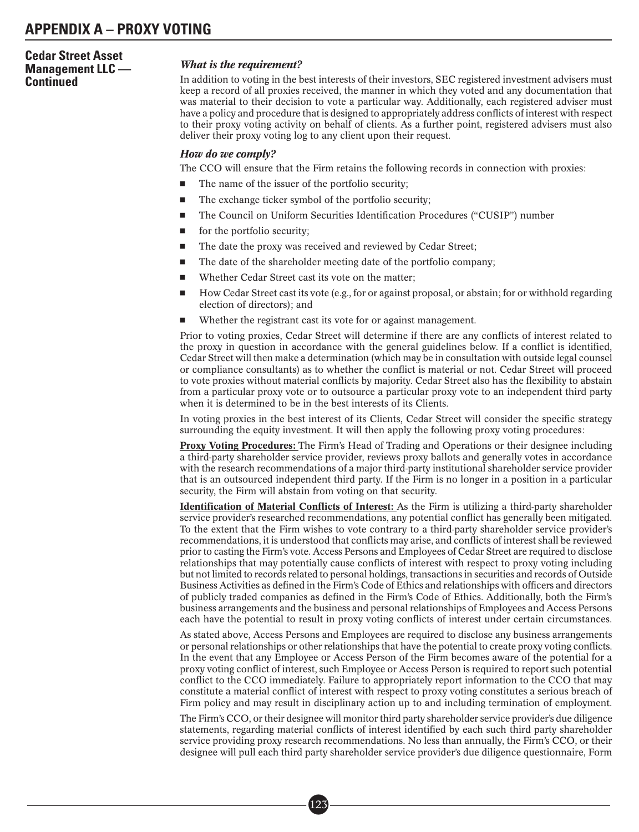# **Cedar Street Asset Management LLC — Continued**

## *What is the requirement?*

In addition to voting in the best interests of their investors, SEC registered investment advisers must keep a record of all proxies received, the manner in which they voted and any documentation that was material to their decision to vote a particular way. Additionally, each registered adviser must have a policy and procedure that is designed to appropriately address conflicts of interest with respect to their proxy voting activity on behalf of clients. As a further point, registered advisers must also deliver their proxy voting log to any client upon their request.

## *How do we comply?*

The CCO will ensure that the Firm retains the following records in connection with proxies:

- -The name of the issuer of the portfolio security;
- -The exchange ticker symbol of the portfolio security;
- -The Council on Uniform Securities Identification Procedures ("CUSIP") number
- for the portfolio security;
- -The date the proxy was received and reviewed by Cedar Street;
- -The date of the shareholder meeting date of the portfolio company;
- -Whether Cedar Street cast its vote on the matter;
- - How Cedar Street cast its vote (e.g., for or against proposal, or abstain; for or withhold regarding election of directors); and
- -Whether the registrant cast its vote for or against management.

Prior to voting proxies, Cedar Street will determine if there are any conflicts of interest related to the proxy in question in accordance with the general guidelines below. If a conflict is identified, Cedar Street will then make a determination (which may be in consultation with outside legal counsel or compliance consultants) as to whether the conflict is material or not. Cedar Street will proceed to vote proxies without material conflicts by majority. Cedar Street also has the flexibility to abstain from a particular proxy vote or to outsource a particular proxy vote to an independent third party when it is determined to be in the best interests of its Clients.

In voting proxies in the best interest of its Clients, Cedar Street will consider the specific strategy surrounding the equity investment. It will then apply the following proxy voting procedures:

Proxy Voting Procedures: The Firm's Head of Trading and Operations or their designee including a third-party shareholder service provider, reviews proxy ballots and generally votes in accordance with the research recommendations of a major third-party institutional shareholder service provider that is an outsourced independent third party. If the Firm is no longer in a position in a particular security, the Firm will abstain from voting on that security.

Identification of Material Conflicts of Interest: As the Firm is utilizing a third-party shareholder service provider's researched recommendations, any potential conflict has generally been mitigated. To the extent that the Firm wishes to vote contrary to a third-party shareholder service provider's recommendations, it is understood that conflicts may arise, and conflicts of interest shall be reviewed prior to casting the Firm's vote. Access Persons and Employees of Cedar Street are required to disclose relationships that may potentially cause conflicts of interest with respect to proxy voting including but not limited to records related to personal holdings, transactions in securities and records of Outside Business Activities as defined in the Firm's Code of Ethics and relationships with officers and directors of publicly traded companies as defined in the Firm's Code of Ethics. Additionally, both the Firm's business arrangements and the business and personal relationships of Employees and Access Persons each have the potential to result in proxy voting conflicts of interest under certain circumstances.

As stated above, Access Persons and Employees are required to disclose any business arrangements or personal relationships or other relationships that have the potential to create proxy voting conflicts. In the event that any Employee or Access Person of the Firm becomes aware of the potential for a proxy voting conflict of interest, such Employee or Access Person is required to report such potential conflict to the CCO immediately. Failure to appropriately report information to the CCO that may constitute a material conflict of interest with respect to proxy voting constitutes a serious breach of Firm policy and may result in disciplinary action up to and including termination of employment.

The Firm's CCO, or their designee will monitor third party shareholder service provider's due diligence statements, regarding material conflicts of interest identified by each such third party shareholder service providing proxy research recommendations. No less than annually, the Firm's CCO, or their designee will pull each third party shareholder service provider's due diligence questionnaire, Form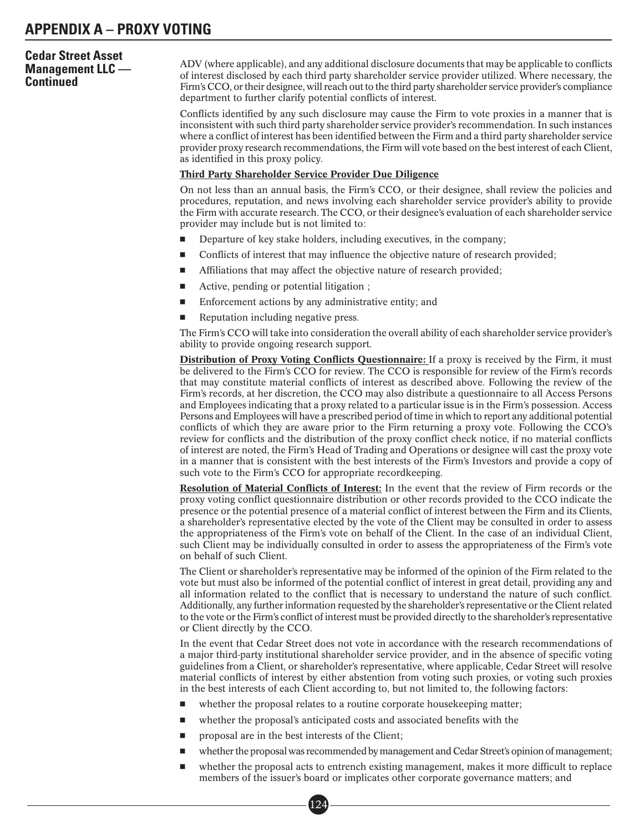# **Cedar Street Asset Management LLC — Continued**

ADV (where applicable), and any additional disclosure documents that may be applicable to conflicts of interest disclosed by each third party shareholder service provider utilized. Where necessary, the Firm's CCO, or their designee, will reach out to the third party shareholder service provider's compliance department to further clarify potential conflicts of interest.

Conflicts identified by any such disclosure may cause the Firm to vote proxies in a manner that is inconsistent with such third party shareholder service provider's recommendation. In such instances where a conflict of interest has been identified between the Firm and a third party shareholder service provider proxy research recommendations, the Firm will vote based on the best interest of each Client, as identified in this proxy policy.

#### Third Party Shareholder Service Provider Due Diligence

On not less than an annual basis, the Firm's CCO, or their designee, shall review the policies and procedures, reputation, and news involving each shareholder service provider's ability to provide the Firm with accurate research. The CCO, or their designee's evaluation of each shareholder service provider may include but is not limited to:

- -Departure of key stake holders, including executives, in the company;
- -Conflicts of interest that may influence the objective nature of research provided;
- -Affiliations that may affect the objective nature of research provided;
- -Active, pending or potential litigation ;
- -Enforcement actions by any administrative entity; and
- -Reputation including negative press.

The Firm's CCO will take into consideration the overall ability of each shareholder service provider's ability to provide ongoing research support.

**Distribution of Proxy Voting Conflicts Questionnaire:** If a proxy is received by the Firm, it must be delivered to the Firm's CCO for review. The CCO is responsible for review of the Firm's records that may constitute material conflicts of interest as described above. Following the review of the Firm's records, at her discretion, the CCO may also distribute a questionnaire to all Access Persons and Employees indicating that a proxy related to a particular issue is in the Firm's possession. Access Persons and Employees will have a prescribed period of time in which to report any additional potential conflicts of which they are aware prior to the Firm returning a proxy vote. Following the CCO's review for conflicts and the distribution of the proxy conflict check notice, if no material conflicts of interest are noted, the Firm's Head of Trading and Operations or designee will cast the proxy vote in a manner that is consistent with the best interests of the Firm's Investors and provide a copy of such vote to the Firm's CCO for appropriate recordkeeping.

Resolution of Material Conflicts of Interest: In the event that the review of Firm records or the proxy voting conflict questionnaire distribution or other records provided to the CCO indicate the presence or the potential presence of a material conflict of interest between the Firm and its Clients, a shareholder's representative elected by the vote of the Client may be consulted in order to assess the appropriateness of the Firm's vote on behalf of the Client. In the case of an individual Client, such Client may be individually consulted in order to assess the appropriateness of the Firm's vote on behalf of such Client.

The Client or shareholder's representative may be informed of the opinion of the Firm related to the vote but must also be informed of the potential conflict of interest in great detail, providing any and all information related to the conflict that is necessary to understand the nature of such conflict. Additionally, any further information requested by the shareholder's representative or the Client related to the vote or the Firm's conflict of interest must be provided directly to the shareholder's representative or Client directly by the CCO.

In the event that Cedar Street does not vote in accordance with the research recommendations of a major third-party institutional shareholder service provider, and in the absence of specific voting guidelines from a Client, or shareholder's representative, where applicable, Cedar Street will resolve material conflicts of interest by either abstention from voting such proxies, or voting such proxies in the best interests of each Client according to, but not limited to, the following factors:

- whether the proposal relates to a routine corporate housekeeping matter;
- whether the proposal's anticipated costs and associated benefits with the
- proposal are in the best interests of the Client;

124

- whether the proposal was recommended by management and Cedar Street's opinion of management;
- whether the proposal acts to entrench existing management, makes it more difficult to replace members of the issuer's board or implicates other corporate governance matters; and  $\overline{124}$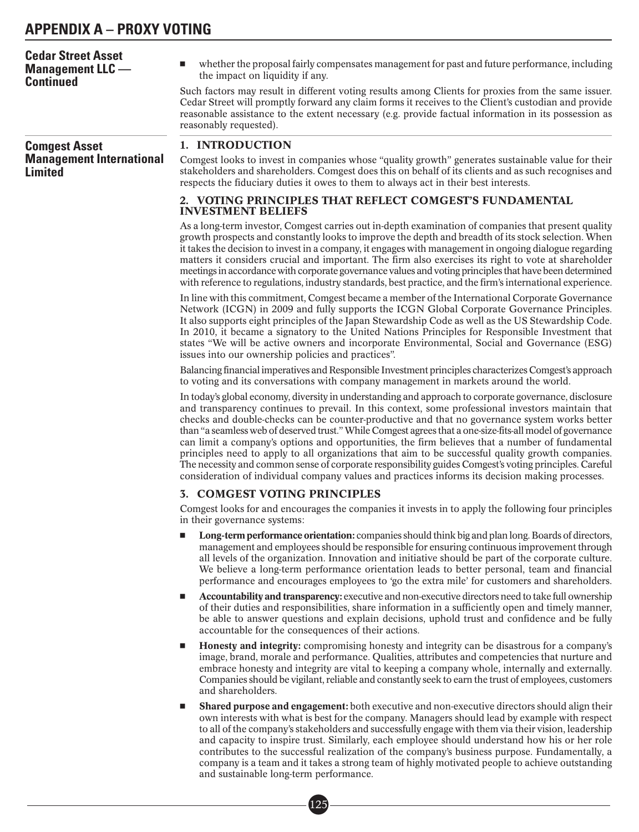| <b>Cedar Street Asset</b><br><b>Management LLC</b> —<br><b>Continued</b> | whether the proposal fairly compensates management for past and future performance, including<br>ш<br>the impact on liquidity if any.                                                                                                                                                                                                                                                                                                                                                                                                                                                                                                                                                                                                                                                                                                           |
|--------------------------------------------------------------------------|-------------------------------------------------------------------------------------------------------------------------------------------------------------------------------------------------------------------------------------------------------------------------------------------------------------------------------------------------------------------------------------------------------------------------------------------------------------------------------------------------------------------------------------------------------------------------------------------------------------------------------------------------------------------------------------------------------------------------------------------------------------------------------------------------------------------------------------------------|
|                                                                          | Such factors may result in different voting results among Clients for proxies from the same issuer.<br>Cedar Street will promptly forward any claim forms it receives to the Client's custodian and provide<br>reasonable assistance to the extent necessary (e.g. provide factual information in its possession as<br>reasonably requested).                                                                                                                                                                                                                                                                                                                                                                                                                                                                                                   |
| <b>Comgest Asset</b>                                                     | 1. INTRODUCTION                                                                                                                                                                                                                                                                                                                                                                                                                                                                                                                                                                                                                                                                                                                                                                                                                                 |
| <b>Management International</b><br><b>Limited</b>                        | Comgest looks to invest in companies whose "quality growth" generates sustainable value for their<br>stakeholders and shareholders. Comgest does this on behalf of its clients and as such recognises and<br>respects the fiduciary duties it owes to them to always act in their best interests.                                                                                                                                                                                                                                                                                                                                                                                                                                                                                                                                               |
|                                                                          | 2. VOTING PRINCIPLES THAT REFLECT COMGEST'S FUNDAMENTAL<br><b>INVESTMENT BELIEFS</b>                                                                                                                                                                                                                                                                                                                                                                                                                                                                                                                                                                                                                                                                                                                                                            |
|                                                                          | As a long-term investor, Comgest carries out in-depth examination of companies that present quality<br>growth prospects and constantly looks to improve the depth and breadth of its stock selection. When<br>it takes the decision to invest in a company, it engages with management in ongoing dialogue regarding<br>matters it considers crucial and important. The firm also exercises its right to vote at shareholder<br>meetings in accordance with corporate governance values and voting principles that have been determined<br>with reference to regulations, industry standards, best practice, and the firm's international experience.                                                                                                                                                                                           |
|                                                                          | In line with this commitment, Comgest became a member of the International Corporate Governance<br>Network (ICGN) in 2009 and fully supports the ICGN Global Corporate Governance Principles.<br>It also supports eight principles of the Japan Stewardship Code as well as the US Stewardship Code.<br>In 2010, it became a signatory to the United Nations Principles for Responsible Investment that<br>states "We will be active owners and incorporate Environmental, Social and Governance (ESG)<br>issues into our ownership policies and practices".                                                                                                                                                                                                                                                                                    |
|                                                                          | Balancing financial imperatives and Responsible Investment principles characterizes Comgest's approach<br>to voting and its conversations with company management in markets around the world.                                                                                                                                                                                                                                                                                                                                                                                                                                                                                                                                                                                                                                                  |
|                                                                          | In today's global economy, diversity in understanding and approach to corporate governance, disclosure<br>and transparency continues to prevail. In this context, some professional investors maintain that<br>checks and double-checks can be counter-productive and that no governance system works better<br>than "a seamless web of deserved trust." While Comgest agrees that a one-size-fits-all model of governance<br>can limit a company's options and opportunities, the firm believes that a number of fundamental<br>principles need to apply to all organizations that aim to be successful quality growth companies.<br>The necessity and common sense of corporate responsibility guides Comgest's voting principles. Careful<br>consideration of individual company values and practices informs its decision making processes. |
|                                                                          | <b>3. COMGEST VOTING PRINCIPLES</b>                                                                                                                                                                                                                                                                                                                                                                                                                                                                                                                                                                                                                                                                                                                                                                                                             |
|                                                                          | Comgest looks for and encourages the companies it invests in to apply the following four principles<br>in their governance systems:                                                                                                                                                                                                                                                                                                                                                                                                                                                                                                                                                                                                                                                                                                             |
|                                                                          | Long-term performance orientation: companies should think big and plan long. Boards of directors,<br>ш<br>management and employees should be responsible for ensuring continuous improvement through<br>all levels of the organization. Innovation and initiative should be part of the corporate culture.<br>We believe a long-term performance orientation leads to better personal, team and financial<br>performance and encourages employees to 'go the extra mile' for customers and shareholders.                                                                                                                                                                                                                                                                                                                                        |
|                                                                          | Accountability and transparency: executive and non-executive directors need to take full ownership<br>ш<br>of their duties and responsibilities, share information in a sufficiently open and timely manner,<br>be able to answer questions and explain decisions, uphold trust and confidence and be fully<br>accountable for the consequences of their actions.                                                                                                                                                                                                                                                                                                                                                                                                                                                                               |
|                                                                          | Honesty and integrity: compromising honesty and integrity can be disastrous for a company's<br>ш<br>image, brand, morale and performance. Qualities, attributes and competencies that nurture and<br>embrace honesty and integrity are vital to keeping a company whole, internally and externally.<br>Companies should be vigilant, reliable and constantly seek to earn the trust of employees, customers<br>and shareholders.                                                                                                                                                                                                                                                                                                                                                                                                                |
|                                                                          | <b>Shared purpose and engagement:</b> both executive and non-executive directors should align their<br>ш<br>own interests with what is best for the company. Managers should lead by example with respect<br>to all of the company's stakeholders and successfully engage with them via their vision, leadership<br>and capacity to inspire trust. Similarly, each employee should understand how his or her role                                                                                                                                                                                                                                                                                                                                                                                                                               |

and sustainable long-term performance.

contributes to the successful realization of the company's business purpose. Fundamentally, a company is a team and it takes a strong team of highly motivated people to achieve outstanding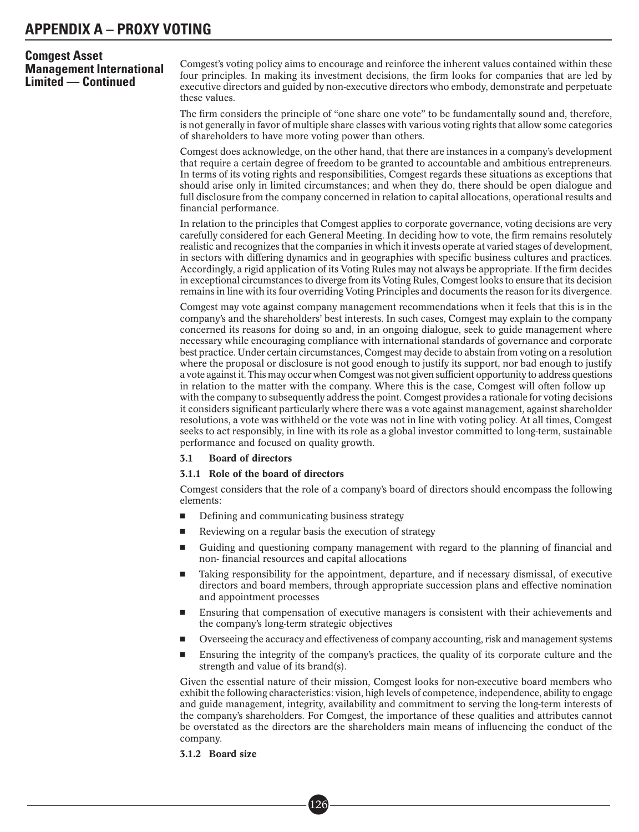Comgest's voting policy aims to encourage and reinforce the inherent values contained within these four principles. In making its investment decisions, the firm looks for companies that are led by executive directors and guided by non-executive directors who embody, demonstrate and perpetuate these values.

The firm considers the principle of "one share one vote" to be fundamentally sound and, therefore, is not generally in favor of multiple share classes with various voting rights that allow some categories of shareholders to have more voting power than others.

Comgest does acknowledge, on the other hand, that there are instances in a company's development that require a certain degree of freedom to be granted to accountable and ambitious entrepreneurs. In terms of its voting rights and responsibilities, Comgest regards these situations as exceptions that should arise only in limited circumstances; and when they do, there should be open dialogue and full disclosure from the company concerned in relation to capital allocations, operational results and financial performance.

In relation to the principles that Comgest applies to corporate governance, voting decisions are very carefully considered for each General Meeting. In deciding how to vote, the firm remains resolutely realistic and recognizes that the companies in which it invests operate at varied stages of development, in sectors with differing dynamics and in geographies with specific business cultures and practices. Accordingly, a rigid application of its Voting Rules may not always be appropriate. If the firm decides in exceptional circumstances to diverge from its Voting Rules, Comgest looks to ensure that its decision remains in line with its four overriding Voting Principles and documents the reason for its divergence.

Comgest may vote against company management recommendations when it feels that this is in the company's and the shareholders' best interests. In such cases, Comgest may explain to the company concerned its reasons for doing so and, in an ongoing dialogue, seek to guide management where necessary while encouraging compliance with international standards of governance and corporate best practice. Under certain circumstances, Comgest may decide to abstain from voting on a resolution where the proposal or disclosure is not good enough to justify its support, nor bad enough to justify a vote against it. This may occur when Comgest was not given sufficient opportunity to address questions in relation to the matter with the company. Where this is the case, Comgest will often follow up with the company to subsequently address the point. Comgest provides a rationale for voting decisions it considers significant particularly where there was a vote against management, against shareholder resolutions, a vote was withheld or the vote was not in line with voting policy. At all times, Comgest seeks to act responsibly, in line with its role as a global investor committed to long-term, sustainable performance and focused on quality growth.

#### 3.1 Board of directors

#### 3.1.1 Role of the board of directors

Comgest considers that the role of a company's board of directors should encompass the following elements:

- -Defining and communicating business strategy
- -Reviewing on a regular basis the execution of strategy
- - Guiding and questioning company management with regard to the planning of financial and non-financial resources and capital allocations
- - Taking responsibility for the appointment, departure, and if necessary dismissal, of executive directors and board members, through appropriate succession plans and effective nomination and appointment processes
- - Ensuring that compensation of executive managers is consistent with their achievements and the company's long-term strategic objectives
- -Overseeing the accuracy and effectiveness of company accounting, risk and management systems
- - Ensuring the integrity of the company's practices, the quality of its corporate culture and the strength and value of its brand(s).

Given the essential nature of their mission, Comgest looks for non-executive board members who exhibit the following characteristics: vision, high levels of competence, independence, ability to engage and guide management, integrity, availability and commitment to serving the long-term interests of the company's shareholders. For Comgest, the importance of these qualities and attributes cannot be overstated as the directors are the shareholders main means of influencing the conduct of the company.

#### 3.1.2 Board size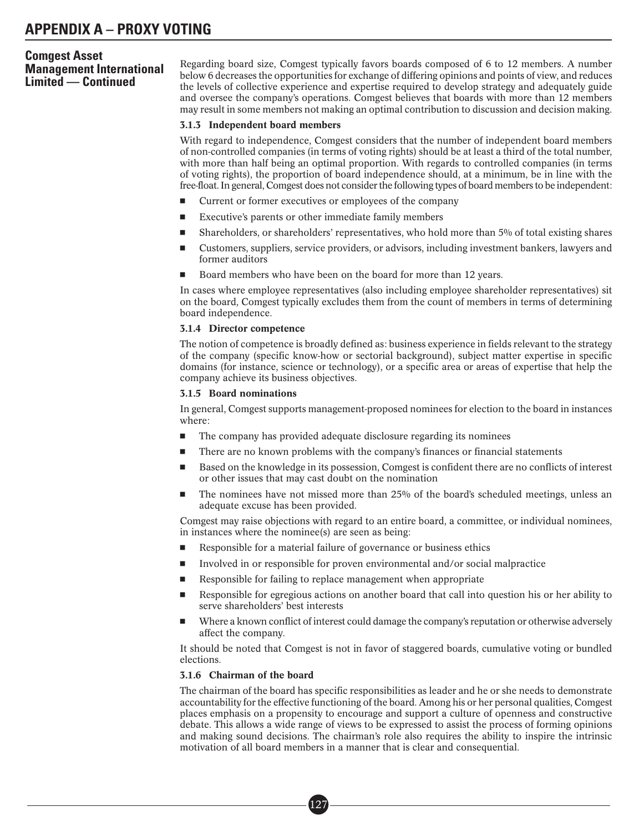Regarding board size, Comgest typically favors boards composed of 6 to 12 members. A number below 6 decreases the opportunities for exchange of differing opinions and points of view, and reduces the levels of collective experience and expertise required to develop strategy and adequately guide and oversee the company's operations. Comgest believes that boards with more than 12 members may result in some members not making an optimal contribution to discussion and decision making.

#### 3.1.3 Independent board members

With regard to independence, Comgest considers that the number of independent board members of non-controlled companies (in terms of voting rights) should be at least a third of the total number, with more than half being an optimal proportion. With regards to controlled companies (in terms of voting rights), the proportion of board independence should, at a minimum, be in line with the free-float. In general, Comgest does not consider the following types of board members to be independent:

- -Current or former executives or employees of the company
- -Executive's parents or other immediate family members
- -Shareholders, or shareholders' representatives, who hold more than 5% of total existing shares
- - Customers, suppliers, service providers, or advisors, including investment bankers, lawyers and former auditors
- -Board members who have been on the board for more than 12 years.

In cases where employee representatives (also including employee shareholder representatives) sit on the board, Comgest typically excludes them from the count of members in terms of determining board independence.

#### 3.1.4 Director competence

The notion of competence is broadly defined as: business experience in fields relevant to the strategy of the company (specific know-how or sectorial background), subject matter expertise in specific domains (for instance, science or technology), or a specific area or areas of expertise that help the company achieve its business objectives.

#### 3.1.5 Board nominations

In general, Comgest supports management-proposed nominees for election to the board in instances where:

- -The company has provided adequate disclosure regarding its nominees
- -There are no known problems with the company's finances or financial statements
- - Based on the knowledge in its possession, Comgest is confident there are no conflicts of interest or other issues that may cast doubt on the nomination
- - The nominees have not missed more than 25% of the board's scheduled meetings, unless an adequate excuse has been provided.

Comgest may raise objections with regard to an entire board, a committee, or individual nominees, in instances where the nominee(s) are seen as being:

- -Responsible for a material failure of governance or business ethics
- -Involved in or responsible for proven environmental and/or social malpractice
- -Responsible for failing to replace management when appropriate
- - Responsible for egregious actions on another board that call into question his or her ability to serve shareholders' best interests
- - Where a known conflict of interest could damage the company's reputation or otherwise adversely affect the company.

It should be noted that Comgest is not in favor of staggered boards, cumulative voting or bundled elections.

## 3.1.6 Chairman of the board

The chairman of the board has specific responsibilities as leader and he or she needs to demonstrate accountability for the effective functioning of the board. Among his or her personal qualities, Comgest places emphasis on a propensity to encourage and support a culture of openness and constructive debate. This allows a wide range of views to be expressed to assist the process of forming opinions and making sound decisions. The chairman's role also requires the ability to inspire the intrinsic motivation of all board members in a manner that is clear and consequential.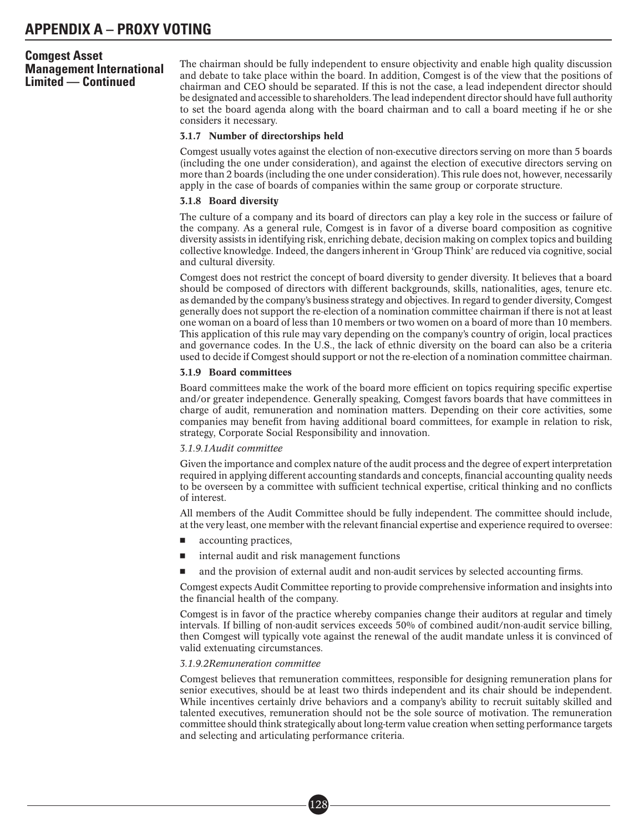The chairman should be fully independent to ensure objectivity and enable high quality discussion and debate to take place within the board. In addition, Comgest is of the view that the positions of chairman and CEO should be separated. If this is not the case, a lead independent director should be designated and accessible to shareholders. The lead independent director should have full authority to set the board agenda along with the board chairman and to call a board meeting if he or she considers it necessary.

#### 3.1.7 Number of directorships held

Comgest usually votes against the election of non-executive directors serving on more than 5 boards (including the one under consideration), and against the election of executive directors serving on more than 2 boards (including the one under consideration). This rule does not, however, necessarily apply in the case of boards of companies within the same group or corporate structure.

#### 3.1.8 Board diversity

The culture of a company and its board of directors can play a key role in the success or failure of the company. As a general rule, Comgest is in favor of a diverse board composition as cognitive diversity assists in identifying risk, enriching debate, decision making on complex topics and building collective knowledge. Indeed, the dangers inherent in 'Group Think' are reduced via cognitive, social and cultural diversity.

Comgest does not restrict the concept of board diversity to gender diversity. It believes that a board should be composed of directors with different backgrounds, skills, nationalities, ages, tenure etc. as demanded by the company's business strategy and objectives. In regard to gender diversity, Comgest generally does not support the re-election of a nomination committee chairman if there is not at least one woman on a board of less than 10 members or two women on a board of more than 10 members. This application of this rule may vary depending on the company's country of origin, local practices and governance codes. In the U.S., the lack of ethnic diversity on the board can also be a criteria used to decide if Comgest should support or not the re-election of a nomination committee chairman.

#### 3.1.9 Board committees

Board committees make the work of the board more efficient on topics requiring specific expertise and/or greater independence. Generally speaking, Comgest favors boards that have committees in charge of audit, remuneration and nomination matters. Depending on their core activities, some companies may benefit from having additional board committees, for example in relation to risk, strategy, Corporate Social Responsibility and innovation.

#### *3.1.9.1Audit committee*

Given the importance and complex nature of the audit process and the degree of expert interpretation required in applying different accounting standards and concepts, financial accounting quality needs to be overseen by a committee with sufficient technical expertise, critical thinking and no conflicts of interest.

All members of the Audit Committee should be fully independent. The committee should include, at the very least, one member with the relevant financial expertise and experience required to oversee:

- accounting practices,
- internal audit and risk management functions

■• 128

and the provision of external audit and non-audit services by selected accounting firms.

Comgest expects Audit Committee reporting to provide comprehensive information and insights into the financial health of the company.

Comgest is in favor of the practice whereby companies change their auditors at regular and timely intervals. If billing of non-audit services exceeds 50% of combined audit/non-audit service billing, then Comgest will typically vote against the renewal of the audit mandate unless it is convinced of valid extenuating circumstances.

#### *3.1.9.2Remuneration committee*

Comgest believes that remuneration committees, responsible for designing remuneration plans for senior executives, should be at least two thirds independent and its chair should be independent. While incentives certainly drive behaviors and a company's ability to recruit suitably skilled and talented executives, remuneration should not be the sole source of motivation. The remuneration committee should think strategically about long-term value creation when setting performance targets and selecting and articulating performance criteria.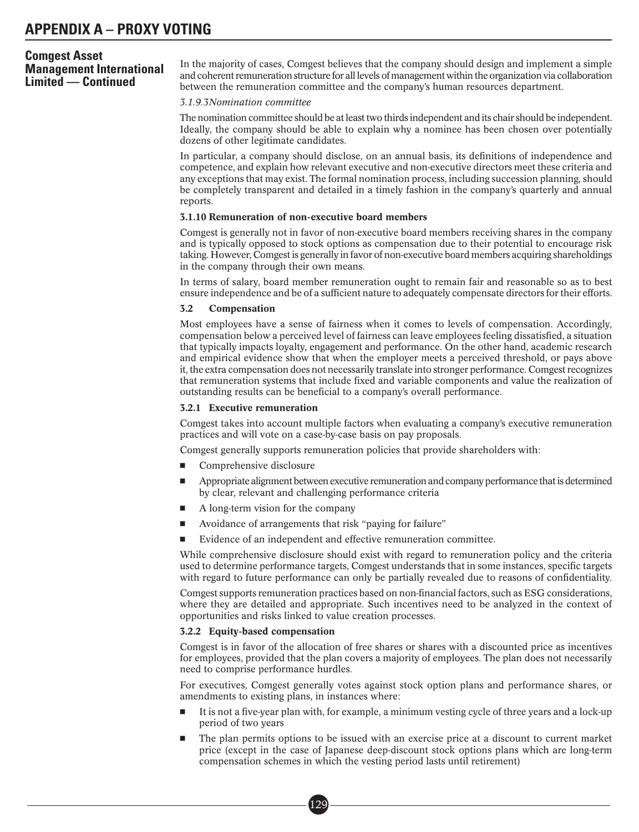In the majority of cases, Comgest believes that the company should design and implement a simple and coherent remuneration structure for all levels of management within the organization via collaboration between the remuneration committee and the company's human resources department.

#### *3.1.9.3Nomination committee*

The nomination committee should be at least two thirds independent and its chair should be independent. Ideally, the company should be able to explain why a nominee has been chosen over potentially dozens of other legitimate candidates.

In particular, a company should disclose, on an annual basis, its definitions of independence and competence, and explain how relevant executive and non-executive directors meet these criteria and any exceptions that may exist. The formal nomination process, including succession planning, should be completely transparent and detailed in a timely fashion in the company's quarterly and annual reports.

#### 3.1.10 Remuneration of non-executive board members

Comgest is generally not in favor of non-executive board members receiving shares in the company and is typically opposed to stock options as compensation due to their potential to encourage risk taking. However, Comgest is generally in favor of non-executive board members acquiring shareholdings in the company through their own means.

In terms of salary, board member remuneration ought to remain fair and reasonable so as to best ensure independence and be of a sufficient nature to adequately compensate directors for their efforts.

#### 3.2 Compensation

Most employees have a sense of fairness when it comes to levels of compensation. Accordingly, compensation below a perceived level of fairness can leave employees feeling dissatisfied, a situation that typically impacts loyalty, engagement and performance. On the other hand, academic research and empirical evidence show that when the employer meets a perceived threshold, or pays above it, the extra compensation does not necessarily translate into stronger performance. Comgest recognizes that remuneration systems that include fixed and variable components and value the realization of outstanding results can be beneficial to a company's overall performance.

#### 3.2.1 Executive remuneration

Comgest takes into account multiple factors when evaluating a company's executive remuneration practices and will vote on a case-by-case basis on pay proposals.

Comgest generally supports remuneration policies that provide shareholders with:

- -Comprehensive disclosure
- - Appropriate alignment between executive remuneration and company performance thatis determined by clear, relevant and challenging performance criteria
- -A long-term vision for the company
- -Avoidance of arrangements that risk "paying for failure"
- -Evidence of an independent and effective remuneration committee.

While comprehensive disclosure should exist with regard to remuneration policy and the criteria used to determine performance targets, Comgest understands that in some instances, specific targets with regard to future performance can only be partially revealed due to reasons of confidentiality.

Comgest supports remuneration practices based on non-financial factors, such as ESG considerations, where they are detailed and appropriate. Such incentives need to be analyzed in the context of opportunities and risks linked to value creation processes.

#### 3.2.2 Equity-based compensation

Comgest is in favor of the allocation of free shares or shares with a discounted price as incentives for employees, provided that the plan covers a majority of employees. The plan does not necessarily need to comprise performance hurdles.

For executives, Comgest generally votes against stock option plans and performance shares, or amendments to existing plans, in instances where:

- - It is not a five-year plan with, for example, a minimum vesting cycle of three years and a lock-up period of two years
- - The plan permits options to be issued with an exercise price at a discount to current market price (except in the case of Japanese deep-discount stock options plans which are long-term compensation schemes in which the vesting period lasts until retirement)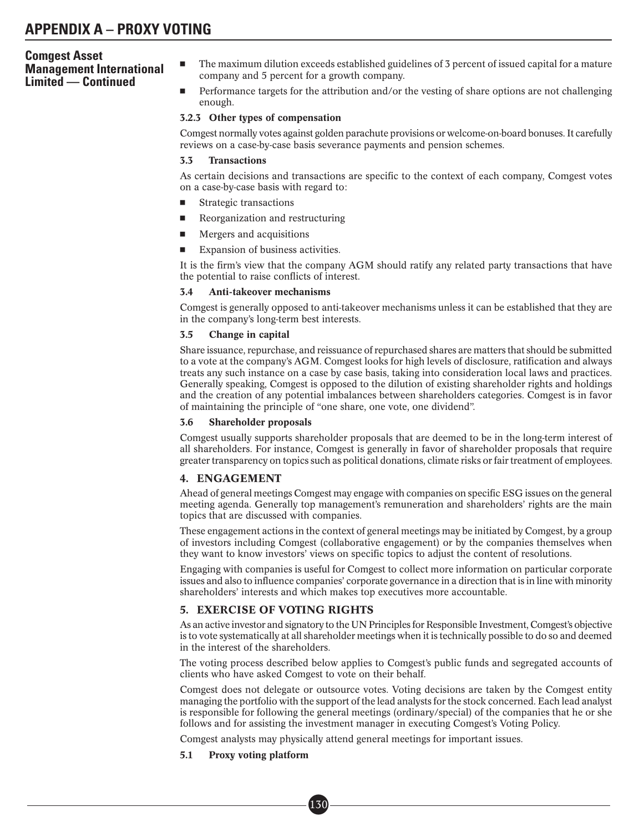- - The maximum dilution exceeds established guidelines of 3 percent of issued capital for a mature company and 5 percent for a growth company.
- - Performance targets for the attribution and/or the vesting of share options are not challenging enough.

#### 3.2.3 Other types of compensation

Comgest normally votes against golden parachute provisions or welcome-on-board bonuses. It carefully reviews on a case-by-case basis severance payments and pension schemes.

#### 3.3 Transactions

As certain decisions and transactions are specific to the context of each company, Comgest votes on a case-by-case basis with regard to:

- -Strategic transactions
- -Reorganization and restructuring
- -Mergers and acquisitions
- -Expansion of business activities.

It is the firm's view that the company AGM should ratify any related party transactions that have the potential to raise conflicts of interest.

#### 3.4 Anti-takeover mechanisms

Comgest is generally opposed to anti-takeover mechanisms unless it can be established that they are in the company's long-term best interests.

#### 3.5 Change in capital

Share issuance, repurchase, and reissuance of repurchased shares are matters that should be submitted to a vote at the company's AGM. Comgest looks for high levels of disclosure, ratification and always treats any such instance on a case by case basis, taking into consideration local laws and practices. Generally speaking, Comgest is opposed to the dilution of existing shareholder rights and holdings and the creation of any potential imbalances between shareholders categories. Comgest is in favor of maintaining the principle of "one share, one vote, one dividend".

#### 3.6 Shareholder proposals

Comgest usually supports shareholder proposals that are deemed to be in the long-term interest of all shareholders. For instance, Comgest is generally in favor of shareholder proposals that require greater transparency on topics such as political donations, climate risks or fair treatment of employees.

#### 4. ENGAGEMENT

Ahead of general meetings Comgest may engage with companies on specific ESG issues on the general meeting agenda. Generally top management's remuneration and shareholders' rights are the main topics that are discussed with companies.

These engagement actions in the context of general meetings may be initiated by Comgest, by a group of investors including Comgest (collaborative engagement) or by the companies themselves when they want to know investors' views on specific topics to adjust the content of resolutions.

Engaging with companies is useful for Comgest to collect more information on particular corporate issues and also to influence companies' corporate governance in a direction that is in line with minority shareholders' interests and which makes top executives more accountable.

#### 5. EXERCISE OF VOTING RIGHTS

As an active investor and signatory to the UN Principles for Responsible Investment, Comgest's objective is to vote systematically at all shareholder meetings when it is technically possible to do so and deemed in the interest of the shareholders.

The voting process described below applies to Comgest's public funds and segregated accounts of clients who have asked Comgest to vote on their behalf.

Comgest does not delegate or outsource votes. Voting decisions are taken by the Comgest entity managing the portfolio with the support of the lead analysts for the stock concerned. Each lead analyst is responsible for following the general meetings (ordinary/special) of the companies that he or she follows and for assisting the investment manager in executing Comgest's Voting Policy.

Comgest analysts may physically attend general meetings for important issues.

#### 5.1 Proxy voting platform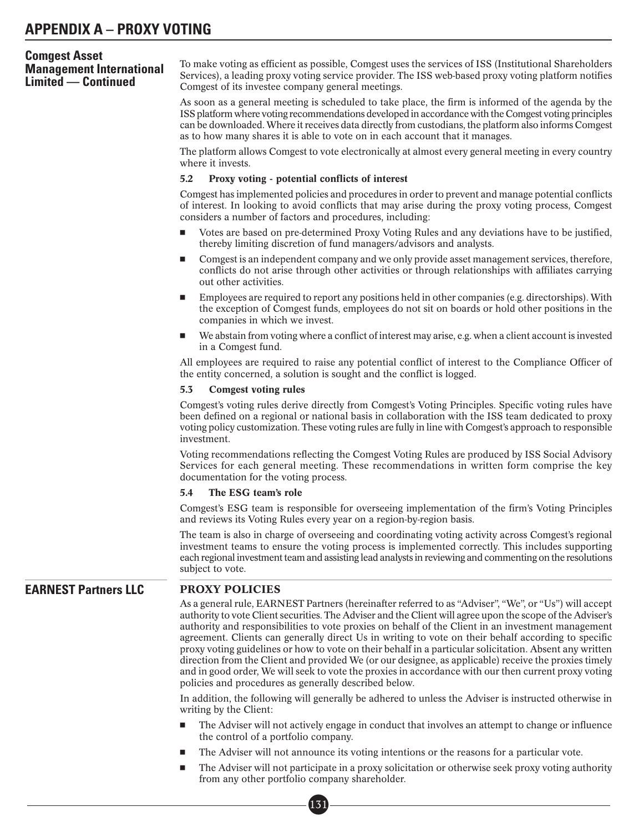To make voting as efficient as possible, Comgest uses the services of ISS (Institutional Shareholders Services), a leading proxy voting service provider. The ISS web-based proxy voting platform notifies Comgest of its investee company general meetings.

As soon as a general meeting is scheduled to take place, the firm is informed of the agenda by the ISS platform where voting recommendations developed in accordance with the Comgest voting principles can be downloaded. Where it receives data directly from custodians, the platform also informs Comgest as to how many shares it is able to vote on in each account that it manages.

The platform allows Comgest to vote electronically at almost every general meeting in every country where it invests.

#### 5.2 Proxy voting - potential conflicts of interest

Comgest has implemented policies and procedures in order to prevent and manage potential conflicts of interest. In looking to avoid conflicts that may arise during the proxy voting process, Comgest considers a number of factors and procedures, including:

- - Votes are based on pre-determined Proxy Voting Rules and any deviations have to be justified, thereby limiting discretion of fund managers/advisors and analysts.
- - Comgest is an independent company and we only provide asset management services, therefore, conflicts do not arise through other activities or through relationships with affiliates carrying out other activities.
- - Employees are required to report any positions held in other companies (e.g. directorships). With the exception of Comgest funds, employees do not sit on boards or hold other positions in the companies in which we invest.
- - We abstain from voting where a conflict of interest may arise, e.g. when a client account is invested in a Comgest fund.

All employees are required to raise any potential conflict of interest to the Compliance Officer of the entity concerned, a solution is sought and the conflict is logged.

#### 5.3 Comgest voting rules

Comgest's voting rules derive directly from Comgest's Voting Principles. Specific voting rules have been defined on a regional or national basis in collaboration with the ISS team dedicated to proxy voting policy customization. These voting rules are fully in line with Comgest's approach to responsible investment.

Voting recommendations reflecting the Comgest Voting Rules are produced by ISS Social Advisory Services for each general meeting. These recommendations in written form comprise the key documentation for the voting process.

#### 5.4 The ESG team's role

Comgest's ESG team is responsible for overseeing implementation of the firm's Voting Principles and reviews its Voting Rules every year on a region-by-region basis.

The team is also in charge of overseeing and coordinating voting activity across Comgest's regional investment teams to ensure the voting process is implemented correctly. This includes supporting each regional investment team and assisting lead analysts in reviewing and commenting on the resolutions subject to vote.

# **EARNEST Partners LLC** PROXY POLICIES

As a general rule, EARNEST Partners (hereinafter referred to as "Adviser", "We", or "Us") will accept authority to vote Client securities. The Adviser and the Client will agree upon the scope of the Adviser's authority and responsibilities to vote proxies on behalf of the Client in an investment management agreement. Clients can generally direct Us in writing to vote on their behalf according to specific proxy voting guidelines or how to vote on their behalf in a particular solicitation. Absent any written direction from the Client and provided We (or our designee, as applicable) receive the proxies timely and in good order, We will seek to vote the proxies in accordance with our then current proxy voting policies and procedures as generally described below.

In addition, the following will generally be adhered to unless the Adviser is instructed otherwise in writing by the Client:

- - The Adviser will not actively engage in conduct that involves an attempt to change or influence the control of a portfolio company.
- -The Adviser will not announce its voting intentions or the reasons for a particular vote.
- - The Adviser will not participate in a proxy solicitation or otherwise seek proxy voting authority from any other portfolio company shareholder. eomp<br>131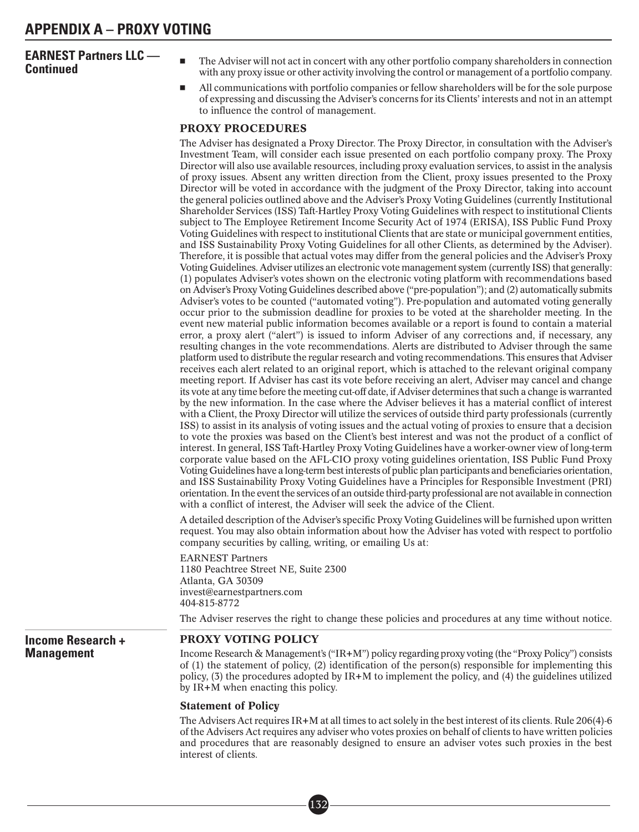# **EARNEST Partners LLC — Continued** -

- The Adviser will not act in concert with any other portfolio company shareholders in connection with any proxy issue or other activity involving the control or management of a portfolio company.
- - All communications with portfolio companies or fellow shareholders will be for the sole purpose of expressing and discussing the Adviser's concerns for its Clients' interests and not in an attempt to influence the control of management.

# PROXY PROCEDURES

The Adviser has designated a Proxy Director. The Proxy Director, in consultation with the Adviser's Investment Team, will consider each issue presented on each portfolio company proxy. The Proxy Director will also use available resources, including proxy evaluation services, to assist in the analysis of proxy issues. Absent any written direction from the Client, proxy issues presented to the Proxy Director will be voted in accordance with the judgment of the Proxy Director, taking into account the general policies outlined above and the Adviser's Proxy Voting Guidelines (currently Institutional Shareholder Services (ISS) Taft-Hartley Proxy Voting Guidelines with respect to institutional Clients subject to The Employee Retirement Income Security Act of 1974 (ERISA), ISS Public Fund Proxy Voting Guidelines with respect to institutional Clients that are state or municipal government entities, and ISS Sustainability Proxy Voting Guidelines for all other Clients, as determined by the Adviser). Therefore, it is possible that actual votes may differ from the general policies and the Adviser's Proxy Voting Guidelines. Adviser utilizes an electronic vote management system (currently ISS) that generally: (1) populates Adviser's votes shown on the electronic voting platform with recommendations based on Adviser's Proxy Voting Guidelines described above ("pre-population"); and (2) automatically submits Adviser's votes to be counted ("automated voting"). Pre-population and automated voting generally occur prior to the submission deadline for proxies to be voted at the shareholder meeting. In the event new material public information becomes available or a report is found to contain a material error, a proxy alert ("alert") is issued to inform Adviser of any corrections and, if necessary, any resulting changes in the vote recommendations. Alerts are distributed to Adviser through the same platform used to distribute the regular research and voting recommendations. This ensures that Adviser receives each alert related to an original report, which is attached to the relevant original company meeting report. If Adviser has cast its vote before receiving an alert, Adviser may cancel and change its vote at any time before the meeting cut-off date, if Adviser determines that such a change is warranted by the new information. In the case where the Adviser believes it has a material conflict of interest with a Client, the Proxy Director will utilize the services of outside third party professionals (currently ISS) to assist in its analysis of voting issues and the actual voting of proxies to ensure that a decision to vote the proxies was based on the Client's best interest and was not the product of a conflict of interest. In general, ISS Taft-Hartley Proxy Voting Guidelines have a worker-owner view of long-term corporate value based on the AFL-CIO proxy voting guidelines orientation, ISS Public Fund Proxy Voting Guidelines have a long-term best interests of public plan participants and beneficiaries orientation, and ISS Sustainability Proxy Voting Guidelines have a Principles for Responsible Investment (PRI) orientation. In the event the services of an outside third-party professional are not available in connection with a conflict of interest, the Adviser will seek the advice of the Client.

A detailed description of the Adviser's specific Proxy Voting Guidelines will be furnished upon written request. You may also obtain information about how the Adviser has voted with respect to portfolio company securities by calling, writing, or emailing Us at:

EARNEST Partners 1180 Peachtree Street NE, Suite 2300 Atlanta, GA 30309 invest@earnestpartners.com 404-815-8772

The Adviser reserves the right to change these policies and procedures at any time without notice.

# **Income Research + Management**

## PROXY VOTING POLICY

Income Research & Management's ("IR+M") policy regarding proxy voting (the "Proxy Policy") consists of (1) the statement of policy, (2) identification of the person(s) responsible for implementing this policy, (3) the procedures adopted by IR+M to implement the policy, and (4) the guidelines utilized by IR+M when enacting this policy.

#### Statement of Policy

The Advisers Act requires IR+M at all times to act solely in the best interest of its clients. Rule 206(4)-6 of the Advisers Act requires any adviser who votes proxies on behalf of clients to have written policies and procedures that are reasonably designed to ensure an adviser votes such proxies in the best interest of clients.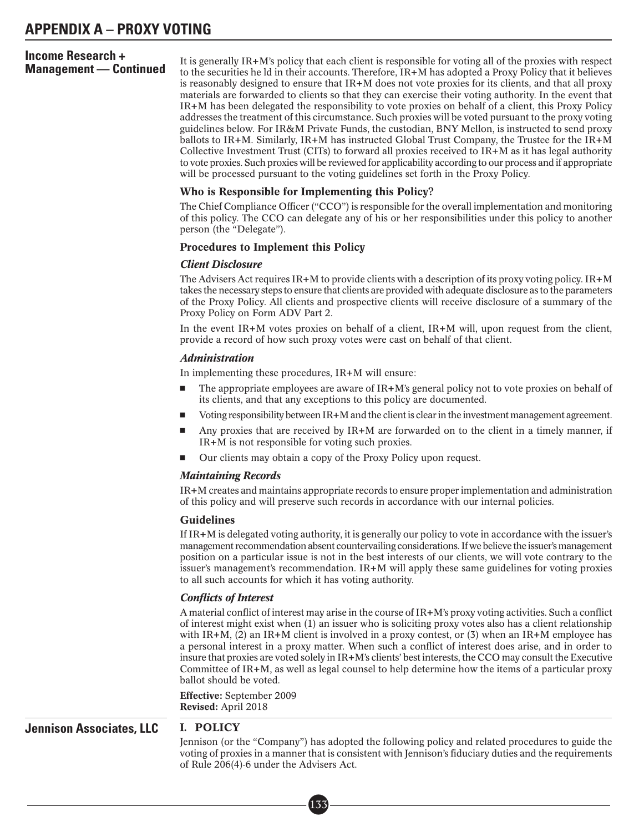# **Income Research +**

**Management — Continued** It is generally IR+M's policy that each client is responsible for voting all of the proxies with respect to the securities he Id in their accounts. Therefore, IR+M has adopted a Proxy Policy that i is reasonably designed to ensure that IR+M does not vote proxies for its clients, and that all proxy materials are forwarded to clients so that they can exercise their voting authority. In the event that IR+M has been delegated the responsibility to vote proxies on behalf of a client, this Proxy Policy addresses the treatment of this circumstance. Such proxies will be voted pursuant to the proxy voting guidelines below. For IR&M Private Funds, the custodian, BNY Mellon, is instructed to send proxy ballots to IR+M. Similarly, IR+M has instructed Global Trust Company, the Trustee for the IR+M Collective Investment Trust (CITs) to forward all proxies received to IR+M as it has legal authority to vote proxies. Such proxies will be reviewed for applicability according to our process and if appropriate will be processed pursuant to the voting guidelines set forth in the Proxy Policy.

## Who is Responsible for Implementing this Policy?

The Chief Compliance Officer ("CCO") is responsible for the overall implementation and monitoring of this policy. The CCO can delegate any of his or her responsibilities under this policy to another person (the "Delegate").

## Procedures to Implement this Policy

# *Client Disclosure*

The Advisers Act requires IR+M to provide clients with a description of its proxy voting policy. IR+M takes the necessary steps to ensure that clients are provided with adequate disclosure as to the parameters of the Proxy Policy. All clients and prospective clients will receive disclosure of a summary of the Proxy Policy on Form ADV Part 2.

In the event  $IR+M$  votes proxies on behalf of a client,  $IR+M$  will, upon request from the client, provide a record of how such proxy votes were cast on behalf of that client.

#### *Administration*

In implementing these procedures, IR+M will ensure:

- - The appropriate employees are aware of IR+M's general policy not to vote proxies on behalf of its clients, and that any exceptions to this policy are documented.
- -Voting responsibility between IR+M and the client is clear in the investment management agreement.
- - Any proxies that are received by IR+M are forwarded on to the client in a timely manner, if IR+M is not responsible for voting such proxies.
- -Our clients may obtain a copy of the Proxy Policy upon request.

#### *Maintaining Records*

IR+M creates and maintains appropriate records to ensure proper implementation and administration of this policy and will preserve such records in accordance with our internal policies.

#### Guidelines

If IR+M is delegated voting authority, it is generally our policy to vote in accordance with the issuer's management recommendation absent countervailing considerations. If we believe the issuer's management position on a particular issue is not in the best interests of our clients, we will vote contrary to the issuer's management's recommendation. IR+M will apply these same guidelines for voting proxies to all such accounts for which it has voting authority.

#### *Conflicts of Interest*

A material conflict of interest may arise in the course of IR+M's proxy voting activities. Such a conflict of interest might exist when (1) an issuer who is soliciting proxy votes also has a client relationship with IR+M, (2) an IR+M client is involved in a proxy contest, or (3) when an IR+M employee has a personal interest in a proxy matter. When such a conflict of interest does arise, and in order to insure that proxies are voted solely in IR+M's clients' best interests, the CCO may consult the Executive Committee of IR+M, as well as legal counsel to help determine how the items of a particular proxy ballot should be voted.

Effective: September 2009 Revised: April 2018

# **Jennison Associates, LLC I. POLICY**

Jennison (or the "Company") has adopted the following policy and related procedures to guide the voting of proxies in a manner that is consistent with Jennison's fiduciary duties and the requirements of Rule 206(4)-6 under the Advisers Act.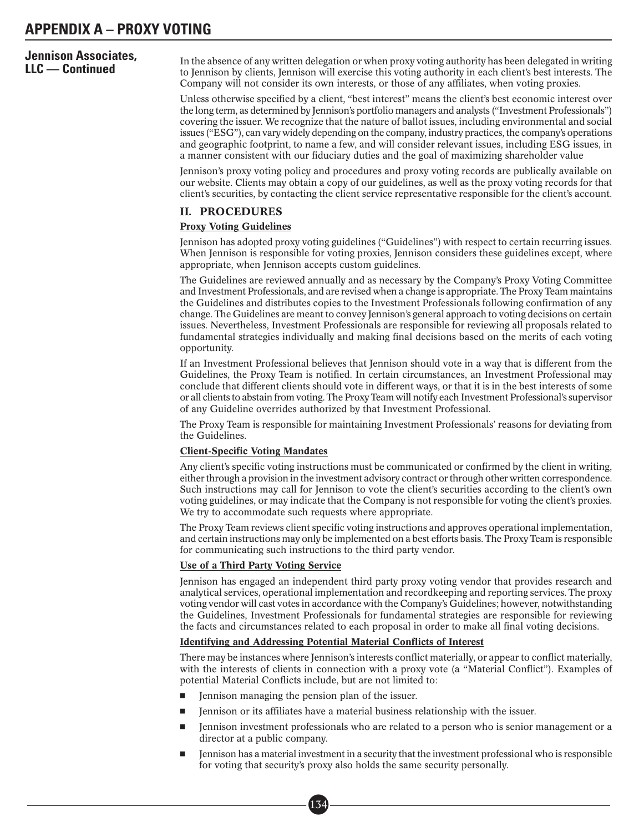# **Jennison Associates,**

**LLC — Continued**<br>**LLC — Continued** to Jennison by clients, Jennison will exercise this voting authority in each client's best interests. The Company will not consider its own interests, or those of any affiliates, when voting proxies.

> Unless otherwise specified by a client, "best interest" means the client's best economic interest over the long term, as determined by Jennison's portfolio managers and analysts ("Investment Professionals") covering the issuer. We recognize that the nature of ballot issues, including environmental and social issues ("ESG"), can vary widely depending on the company, industry practices, the company's operations and geographic footprint, to name a few, and will consider relevant issues, including ESG issues, in a manner consistent with our fiduciary duties and the goal of maximizing shareholder value

> Jennison's proxy voting policy and procedures and proxy voting records are publically available on our website. Clients may obtain a copy of our guidelines, as well as the proxy voting records for that client's securities, by contacting the client service representative responsible for the client's account.

#### II. PROCEDURES

#### Proxy Voting Guidelines

Jennison has adopted proxy voting guidelines ("Guidelines") with respect to certain recurring issues. When Jennison is responsible for voting proxies, Jennison considers these guidelines except, where appropriate, when Jennison accepts custom guidelines.

The Guidelines are reviewed annually and as necessary by the Company's Proxy Voting Committee and Investment Professionals, and are revised when a change is appropriate. The Proxy Team maintains the Guidelines and distributes copies to the Investment Professionals following confirmation of any change. The Guidelines are meant to convey Jennison's general approach to voting decisions on certain issues. Nevertheless, Investment Professionals are responsible for reviewing all proposals related to fundamental strategies individually and making final decisions based on the merits of each voting opportunity.

If an Investment Professional believes that Jennison should vote in a way that is different from the Guidelines, the Proxy Team is notified. In certain circumstances, an Investment Professional may conclude that different clients should vote in different ways, or that it is in the best interests of some or all clients to abstain from voting. The Proxy Team will notify each Investment Professional's supervisor of any Guideline overrides authorized by that Investment Professional.

The Proxy Team is responsible for maintaining Investment Professionals' reasons for deviating from the Guidelines.

#### Client-Specific Voting Mandates

Any client's specific voting instructions must be communicated or confirmed by the client in writing, either through a provision in the investment advisory contract or through other written correspondence. Such instructions may call for Jennison to vote the client's securities according to the client's own voting guidelines, or may indicate that the Company is not responsible for voting the client's proxies. We try to accommodate such requests where appropriate.

The Proxy Team reviews client specific voting instructions and approves operational implementation, and certain instructions may only be implemented on a best efforts basis. The Proxy Team is responsible for communicating such instructions to the third party vendor.

#### Use of a Third Party Voting Service

Jennison has engaged an independent third party proxy voting vendor that provides research and analytical services, operational implementation and recordkeeping and reporting services. The proxy voting vendor will cast votes in accordance with the Company's Guidelines; however, notwithstanding the Guidelines, Investment Professionals for fundamental strategies are responsible for reviewing the facts and circumstances related to each proposal in order to make all final voting decisions.

#### Identifying and Addressing Potential Material Conflicts of Interest

There may be instances where Jennison's interests conflict materially, or appear to conflict materially, with the interests of clients in connection with a proxy vote (a "Material Conflict"). Examples of potential Material Conflicts include, but are not limited to:

- -Jennison managing the pension plan of the issuer.
- -Jennison or its affiliates have a material business relationship with the issuer.
- - Jennison investment professionals who are related to a person who is senior management or a director at a public company.
- - Jennison has a material investment in a security that the investment professional who is responsible for voting that security's proxy also holds the same security personally.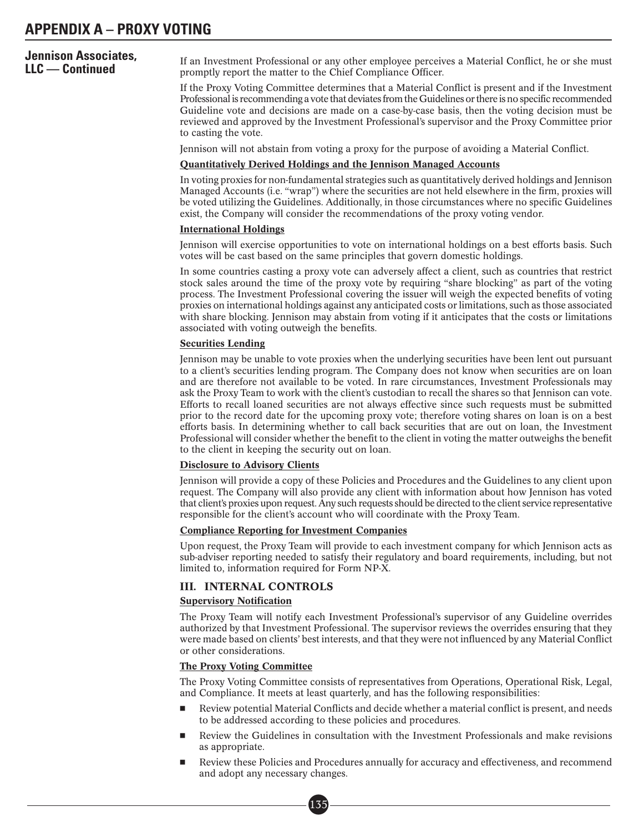# **Jennison Associates,**

If an Investment Professional or any other employee perceives a Material Conflict, he or she must promptly report the matter to the Chief Compliance Officer.

If the Proxy Voting Committee determines that a Material Conflict is present and if the Investment Professional is recommending a vote that deviates from the Guidelines or there is no specific recommended Guideline vote and decisions are made on a case-by-case basis, then the voting decision must be reviewed and approved by the Investment Professional's supervisor and the Proxy Committee prior to casting the vote.

Jennison will not abstain from voting a proxy for the purpose of avoiding a Material Conflict.

#### Quantitatively Derived Holdings and the Jennison Managed Accounts

In voting proxies for non-fundamental strategies such as quantitatively derived holdings and Jennison Managed Accounts (i.e. "wrap") where the securities are not held elsewhere in the firm, proxies will be voted utilizing the Guidelines. Additionally, in those circumstances where no specific Guidelines exist, the Company will consider the recommendations of the proxy voting vendor.

#### International Holdings

Jennison will exercise opportunities to vote on international holdings on a best efforts basis. Such votes will be cast based on the same principles that govern domestic holdings.

In some countries casting a proxy vote can adversely affect a client, such as countries that restrict stock sales around the time of the proxy vote by requiring "share blocking" as part of the voting process. The Investment Professional covering the issuer will weigh the expected benefits of voting proxies on international holdings against any anticipated costs or limitations, such as those associated with share blocking. Jennison may abstain from voting if it anticipates that the costs or limitations associated with voting outweigh the benefits.

#### Securities Lending

Jennison may be unable to vote proxies when the underlying securities have been lent out pursuant to a client's securities lending program. The Company does not know when securities are on loan and are therefore not available to be voted. In rare circumstances, Investment Professionals may ask the Proxy Team to work with the client's custodian to recall the shares so that Jennison can vote. Efforts to recall loaned securities are not always effective since such requests must be submitted prior to the record date for the upcoming proxy vote; therefore voting shares on loan is on a best efforts basis. In determining whether to call back securities that are out on loan, the Investment Professional will consider whether the benefit to the client in voting the matter outweighs the benefit to the client in keeping the security out on loan.

#### Disclosure to Advisory Clients

Jennison will provide a copy of these Policies and Procedures and the Guidelines to any client upon request. The Company will also provide any client with information about how Jennison has voted that client's proxies upon request. Any such requests should be directed to the client service representative responsible for the client's account who will coordinate with the Proxy Team.

#### Compliance Reporting for Investment Companies

Upon request, the Proxy Team will provide to each investment company for which Jennison acts as sub-adviser reporting needed to satisfy their regulatory and board requirements, including, but not limited to, information required for Form NP-X.

## III. INTERNAL CONTROLS

#### Supervisory Notification

The Proxy Team will notify each Investment Professional's supervisor of any Guideline overrides authorized by that Investment Professional. The supervisor reviews the overrides ensuring that they were made based on clients' best interests, and that they were not influenced by any Material Conflict or other considerations.

#### The Proxy Voting Committee

The Proxy Voting Committee consists of representatives from Operations, Operational Risk, Legal, and Compliance. It meets at least quarterly, and has the following responsibilities:

- - Review potential Material Conflicts and decide whether a material conflict is present, and needs to be addressed according to these policies and procedures.
- - Review the Guidelines in consultation with the Investment Professionals and make revisions as appropriate.
- - Review these Policies and Procedures annually for accuracy and effectiveness, and recommend and adopt any necessary changes.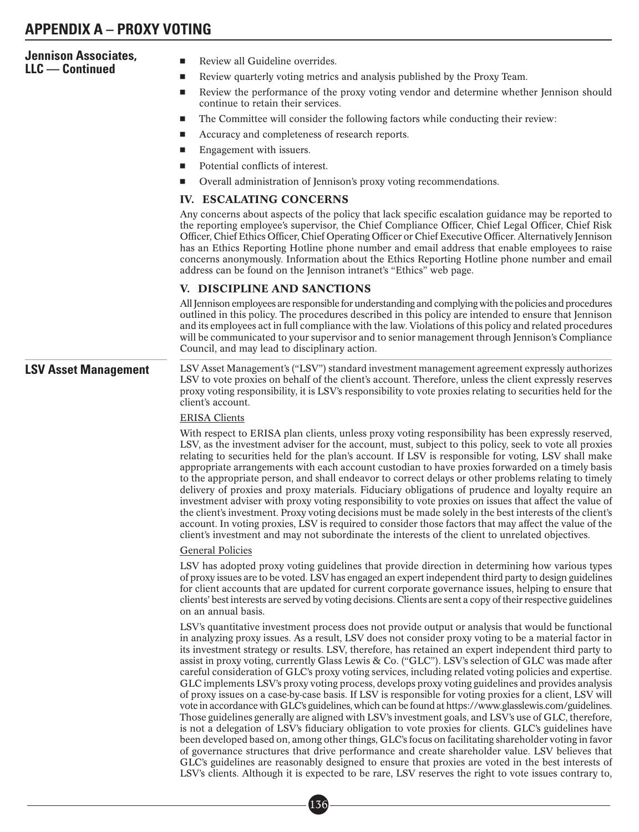| <b>Jennison Associates,</b><br>LLC — Continued | Review all Guideline overrides.<br>П                                                                                                                                                                                                                                                                                                                                                                                                                                                                                                                                                                                                                                                                                                                                                                                                                                                                                                                                                                                                                                                                                                                                                                                                                                                                                                                                                                                                                                                                      |
|------------------------------------------------|-----------------------------------------------------------------------------------------------------------------------------------------------------------------------------------------------------------------------------------------------------------------------------------------------------------------------------------------------------------------------------------------------------------------------------------------------------------------------------------------------------------------------------------------------------------------------------------------------------------------------------------------------------------------------------------------------------------------------------------------------------------------------------------------------------------------------------------------------------------------------------------------------------------------------------------------------------------------------------------------------------------------------------------------------------------------------------------------------------------------------------------------------------------------------------------------------------------------------------------------------------------------------------------------------------------------------------------------------------------------------------------------------------------------------------------------------------------------------------------------------------------|
|                                                | Review quarterly voting metrics and analysis published by the Proxy Team.<br>$\blacksquare$                                                                                                                                                                                                                                                                                                                                                                                                                                                                                                                                                                                                                                                                                                                                                                                                                                                                                                                                                                                                                                                                                                                                                                                                                                                                                                                                                                                                               |
|                                                | Review the performance of the proxy voting vendor and determine whether Jennison should<br>$\blacksquare$<br>continue to retain their services.                                                                                                                                                                                                                                                                                                                                                                                                                                                                                                                                                                                                                                                                                                                                                                                                                                                                                                                                                                                                                                                                                                                                                                                                                                                                                                                                                           |
|                                                | The Committee will consider the following factors while conducting their review:<br>$\blacksquare$                                                                                                                                                                                                                                                                                                                                                                                                                                                                                                                                                                                                                                                                                                                                                                                                                                                                                                                                                                                                                                                                                                                                                                                                                                                                                                                                                                                                        |
|                                                | Accuracy and completeness of research reports.                                                                                                                                                                                                                                                                                                                                                                                                                                                                                                                                                                                                                                                                                                                                                                                                                                                                                                                                                                                                                                                                                                                                                                                                                                                                                                                                                                                                                                                            |
|                                                | Engagement with issuers.<br>$\blacksquare$                                                                                                                                                                                                                                                                                                                                                                                                                                                                                                                                                                                                                                                                                                                                                                                                                                                                                                                                                                                                                                                                                                                                                                                                                                                                                                                                                                                                                                                                |
|                                                | Potential conflicts of interest.                                                                                                                                                                                                                                                                                                                                                                                                                                                                                                                                                                                                                                                                                                                                                                                                                                                                                                                                                                                                                                                                                                                                                                                                                                                                                                                                                                                                                                                                          |
|                                                | Overall administration of Jennison's proxy voting recommendations.<br>ш                                                                                                                                                                                                                                                                                                                                                                                                                                                                                                                                                                                                                                                                                                                                                                                                                                                                                                                                                                                                                                                                                                                                                                                                                                                                                                                                                                                                                                   |
|                                                | <b>IV. ESCALATING CONCERNS</b>                                                                                                                                                                                                                                                                                                                                                                                                                                                                                                                                                                                                                                                                                                                                                                                                                                                                                                                                                                                                                                                                                                                                                                                                                                                                                                                                                                                                                                                                            |
|                                                | Any concerns about aspects of the policy that lack specific escalation guidance may be reported to<br>the reporting employee's supervisor, the Chief Compliance Officer, Chief Legal Officer, Chief Risk<br>Officer, Chief Ethics Officer, Chief Operating Officer or Chief Executive Officer. Alternatively Jennison<br>has an Ethics Reporting Hotline phone number and email address that enable employees to raise<br>concerns anonymously. Information about the Ethics Reporting Hotline phone number and email<br>address can be found on the Jennison intranet's "Ethics" web page.                                                                                                                                                                                                                                                                                                                                                                                                                                                                                                                                                                                                                                                                                                                                                                                                                                                                                                               |
|                                                | V. DISCIPLINE AND SANCTIONS                                                                                                                                                                                                                                                                                                                                                                                                                                                                                                                                                                                                                                                                                                                                                                                                                                                                                                                                                                                                                                                                                                                                                                                                                                                                                                                                                                                                                                                                               |
|                                                | All Jennison employees are responsible for understanding and complying with the policies and procedures<br>outlined in this policy. The procedures described in this policy are intended to ensure that Jennison<br>and its employees act in full compliance with the law. Violations of this policy and related procedures<br>will be communicated to your supervisor and to senior management through Jennison's Compliance<br>Council, and may lead to disciplinary action.                                                                                                                                                                                                                                                                                                                                                                                                                                                                                                                                                                                                                                                                                                                                                                                                                                                                                                                                                                                                                            |
| <b>LSV Asset Management</b>                    | LSV Asset Management's ("LSV") standard investment management agreement expressly authorizes<br>LSV to vote proxies on behalf of the client's account. Therefore, unless the client expressly reserves<br>proxy voting responsibility, it is LSV's responsibility to vote proxies relating to securities held for the<br>client's account.                                                                                                                                                                                                                                                                                                                                                                                                                                                                                                                                                                                                                                                                                                                                                                                                                                                                                                                                                                                                                                                                                                                                                                |
|                                                | <b>ERISA Clients</b>                                                                                                                                                                                                                                                                                                                                                                                                                                                                                                                                                                                                                                                                                                                                                                                                                                                                                                                                                                                                                                                                                                                                                                                                                                                                                                                                                                                                                                                                                      |
|                                                | With respect to ERISA plan clients, unless proxy voting responsibility has been expressly reserved,<br>LSV, as the investment adviser for the account, must, subject to this policy, seek to vote all proxies<br>relating to securities held for the plan's account. If LSV is responsible for voting, LSV shall make<br>appropriate arrangements with each account custodian to have proxies forwarded on a timely basis<br>to the appropriate person, and shall endeavor to correct delays or other problems relating to timely<br>delivery of proxies and proxy materials. Fiduciary obligations of prudence and loyalty require an<br>investment adviser with proxy voting responsibility to vote proxies on issues that affect the value of<br>the client's investment. Proxy voting decisions must be made solely in the best interests of the client's<br>account. In voting proxies, LSV is required to consider those factors that may affect the value of the<br>client's investment and may not subordinate the interests of the client to unrelated objectives.                                                                                                                                                                                                                                                                                                                                                                                                                               |
|                                                | <b>General Policies</b>                                                                                                                                                                                                                                                                                                                                                                                                                                                                                                                                                                                                                                                                                                                                                                                                                                                                                                                                                                                                                                                                                                                                                                                                                                                                                                                                                                                                                                                                                   |
|                                                | LSV has adopted proxy voting guidelines that provide direction in determining how various types<br>of proxy issues are to be voted. LSV has engaged an expert independent third party to design guidelines<br>for client accounts that are updated for current corporate governance issues, helping to ensure that<br>clients' best interests are served by voting decisions. Clients are sent a copy of their respective guidelines<br>on an annual basis.                                                                                                                                                                                                                                                                                                                                                                                                                                                                                                                                                                                                                                                                                                                                                                                                                                                                                                                                                                                                                                               |
|                                                | LSV's quantitative investment process does not provide output or analysis that would be functional<br>in analyzing proxy issues. As a result, LSV does not consider proxy voting to be a material factor in<br>its investment strategy or results. LSV, therefore, has retained an expert independent third party to<br>assist in proxy voting, currently Glass Lewis & Co. ("GLC"). LSV's selection of GLC was made after<br>careful consideration of GLC's proxy voting services, including related voting policies and expertise.<br>GLC implements LSV's proxy voting process, develops proxy voting guidelines and provides analysis<br>of proxy issues on a case-by-case basis. If LSV is responsible for voting proxies for a client, LSV will<br>vote in accordance with GLC's guidelines, which can be found at https://www.glasslewis.com/guidelines.<br>Those guidelines generally are aligned with LSV's investment goals, and LSV's use of GLC, therefore,<br>is not a delegation of LSV's fiduciary obligation to vote proxies for clients. GLC's guidelines have<br>been developed based on, among other things, GLC's focus on facilitating shareholder voting in favor<br>of governance structures that drive performance and create shareholder value. LSV believes that<br>GLC's guidelines are reasonably designed to ensure that proxies are voted in the best interests of<br>LSV's clients. Although it is expected to be rare, LSV reserves the right to vote issues contrary to, |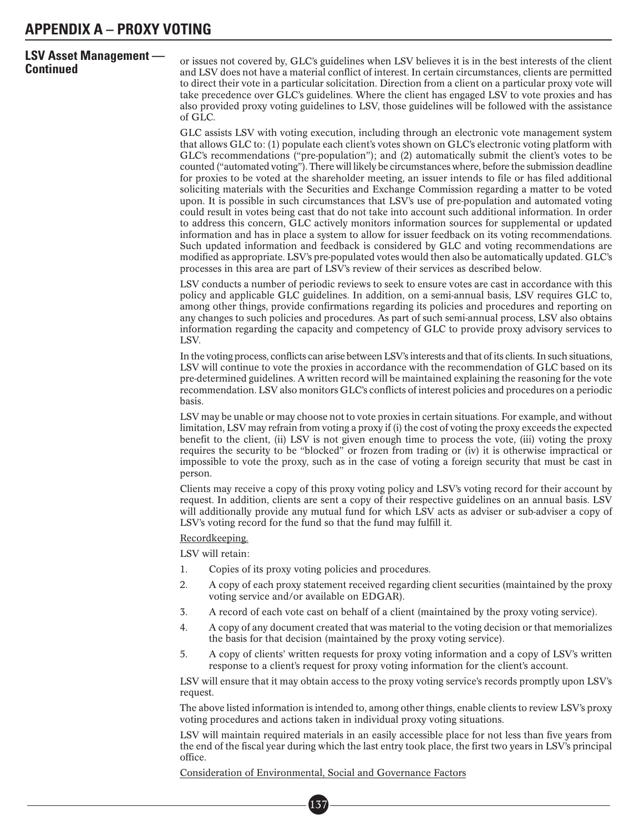# **LSV Asset Management —**

**Continued** or issues not covered by, GLC's guidelines when LSV believes it is in the best interests of the client<br>**Continued** and LSV does not have a material conflict of interest. In certain circumstances, clients are pe to direct their vote in a particular solicitation. Direction from a client on a particular proxy vote will take precedence over GLC's guidelines. Where the client has engaged LSV to vote proxies and has also provided proxy voting guidelines to LSV, those guidelines will be followed with the assistance of GLC.

> GLC assists LSV with voting execution, including through an electronic vote management system that allows GLC to: (1) populate each client's votes shown on GLC's electronic voting platform with GLC's recommendations ("pre-population"); and (2) automatically submit the client's votes to be counted ("automated voting"). There will likely be circumstances where, before the submission deadline for proxies to be voted at the shareholder meeting, an issuer intends to file or has filed additional soliciting materials with the Securities and Exchange Commission regarding a matter to be voted upon. It is possible in such circumstances that LSV's use of pre-population and automated voting could result in votes being cast that do not take into account such additional information. In order to address this concern, GLC actively monitors information sources for supplemental or updated information and has in place a system to allow for issuer feedback on its voting recommendations. Such updated information and feedback is considered by GLC and voting recommendations are modified as appropriate. LSV's pre-populated votes would then also be automatically updated. GLC's processes in this area are part of LSV's review of their services as described below.

> LSV conducts a number of periodic reviews to seek to ensure votes are cast in accordance with this policy and applicable GLC guidelines. In addition, on a semi-annual basis, LSV requires GLC to, among other things, provide confirmations regarding its policies and procedures and reporting on any changes to such policies and procedures. As part of such semi-annual process, LSV also obtains information regarding the capacity and competency of GLC to provide proxy advisory services to LSV.

> In the voting process, conflicts can arise between LSV's interests and that of its clients. In such situations, LSV will continue to vote the proxies in accordance with the recommendation of GLC based on its pre-determined guidelines. A written record will be maintained explaining the reasoning for the vote recommendation. LSV also monitors GLC's conflicts of interest policies and procedures on a periodic basis.

> LSV may be unable or may choose not to vote proxies in certain situations. For example, and without limitation, LSV may refrain from voting a proxy if (i) the cost of voting the proxy exceeds the expected benefit to the client, (ii) LSV is not given enough time to process the vote, (iii) voting the proxy requires the security to be "blocked" or frozen from trading or (iv) it is otherwise impractical or impossible to vote the proxy, such as in the case of voting a foreign security that must be cast in person.

> Clients may receive a copy of this proxy voting policy and LSV's voting record for their account by request. In addition, clients are sent a copy of their respective guidelines on an annual basis. LSV will additionally provide any mutual fund for which LSV acts as adviser or sub-adviser a copy of LSV's voting record for the fund so that the fund may fulfill it.

Recordkeeping.

LSV will retain:

- 1. Copies of its proxy voting policies and procedures.
- 2. A copy of each proxy statement received regarding client securities (maintained by the proxy voting service and/or available on EDGAR).
- 3. A record of each vote cast on behalf of a client (maintained by the proxy voting service).
- 4. A copy of any document created that was material to the voting decision or that memorializes the basis for that decision (maintained by the proxy voting service).
- 5. A copy of clients' written requests for proxy voting information and a copy of LSV's written response to a client's request for proxy voting information for the client's account.

LSV will ensure that it may obtain access to the proxy voting service's records promptly upon LSV's request.

The above listed information is intended to, among other things, enable clients to review LSV's proxy voting procedures and actions taken in individual proxy voting situations.

LSV will maintain required materials in an easily accessible place for not less than five years from the end of the fiscal year during which the last entry took place, the first two years in LSV's principal office.

Consideration of Environmental, Social and Governance Factors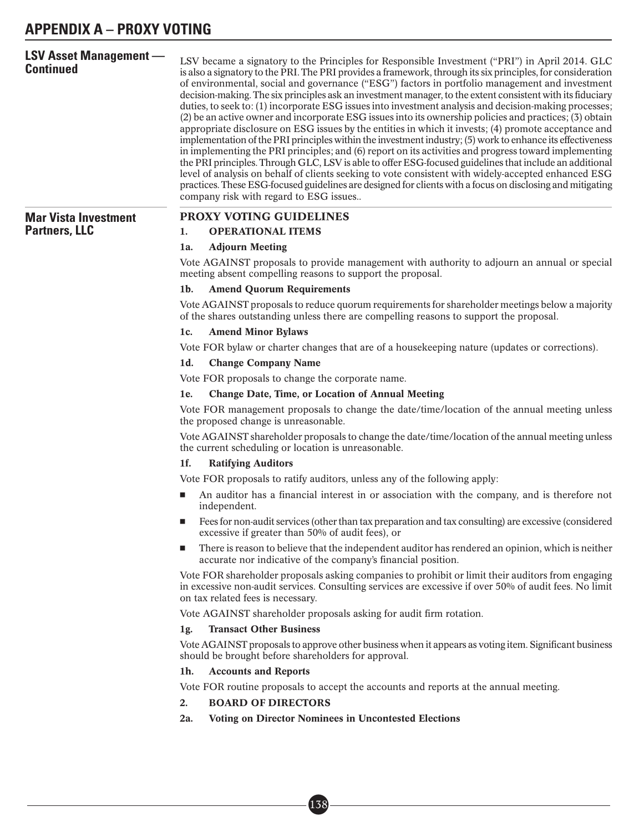| <b>LSV Asset Management -</b><br>Continued | LSV became a signatory to the Principles for Responsible Investment ("PRI") in April 2014. GLC<br>is also a signatory to the PRI. The PRI provides a framework, through its six principles, for consideration<br>of environmental, social and governance ("ESG") factors in portfolio management and investment<br>decision-making. The six principles ask an investment manager, to the extent consistent with its fiduciary<br>duties, to seek to: (1) incorporate ESG issues into investment analysis and decision-making processes;<br>(2) be an active owner and incorporate ESG issues into its ownership policies and practices; (3) obtain<br>appropriate disclosure on ESG issues by the entities in which it invests; (4) promote acceptance and<br>implementation of the PRI principles within the investment industry; (5) work to enhance its effectiveness<br>in implementing the PRI principles; and (6) report on its activities and progress toward implementing<br>the PRI principles. Through GLC, LSV is able to offer ESG-focused guidelines that include an additional<br>level of analysis on behalf of clients seeking to vote consistent with widely-accepted enhanced ESG<br>practices. These ESG-focused guidelines are designed for clients with a focus on disclosing and mitigating<br>company risk with regard to ESG issues |
|--------------------------------------------|-------------------------------------------------------------------------------------------------------------------------------------------------------------------------------------------------------------------------------------------------------------------------------------------------------------------------------------------------------------------------------------------------------------------------------------------------------------------------------------------------------------------------------------------------------------------------------------------------------------------------------------------------------------------------------------------------------------------------------------------------------------------------------------------------------------------------------------------------------------------------------------------------------------------------------------------------------------------------------------------------------------------------------------------------------------------------------------------------------------------------------------------------------------------------------------------------------------------------------------------------------------------------------------------------------------------------------------------------------------|
| <b>Mar Vista Investment</b>                | PROXY VOTING GUIDELINES                                                                                                                                                                                                                                                                                                                                                                                                                                                                                                                                                                                                                                                                                                                                                                                                                                                                                                                                                                                                                                                                                                                                                                                                                                                                                                                                     |
| <b>Partners, LLC</b>                       | <b>OPERATIONAL ITEMS</b><br>1.                                                                                                                                                                                                                                                                                                                                                                                                                                                                                                                                                                                                                                                                                                                                                                                                                                                                                                                                                                                                                                                                                                                                                                                                                                                                                                                              |
|                                            | <b>Adjourn Meeting</b><br>1a.                                                                                                                                                                                                                                                                                                                                                                                                                                                                                                                                                                                                                                                                                                                                                                                                                                                                                                                                                                                                                                                                                                                                                                                                                                                                                                                               |
|                                            | Vote AGAINST proposals to provide management with authority to adjourn an annual or special<br>meeting absent compelling reasons to support the proposal.                                                                                                                                                                                                                                                                                                                                                                                                                                                                                                                                                                                                                                                                                                                                                                                                                                                                                                                                                                                                                                                                                                                                                                                                   |
|                                            | $1b$ .<br><b>Amend Quorum Requirements</b>                                                                                                                                                                                                                                                                                                                                                                                                                                                                                                                                                                                                                                                                                                                                                                                                                                                                                                                                                                                                                                                                                                                                                                                                                                                                                                                  |
|                                            | Vote AGAINST proposals to reduce quorum requirements for shareholder meetings below a majority<br>of the shares outstanding unless there are compelling reasons to support the proposal.                                                                                                                                                                                                                                                                                                                                                                                                                                                                                                                                                                                                                                                                                                                                                                                                                                                                                                                                                                                                                                                                                                                                                                    |
|                                            | <b>Amend Minor Bylaws</b><br>1c.                                                                                                                                                                                                                                                                                                                                                                                                                                                                                                                                                                                                                                                                                                                                                                                                                                                                                                                                                                                                                                                                                                                                                                                                                                                                                                                            |
|                                            | Vote FOR bylaw or charter changes that are of a house keeping nature (updates or corrections).                                                                                                                                                                                                                                                                                                                                                                                                                                                                                                                                                                                                                                                                                                                                                                                                                                                                                                                                                                                                                                                                                                                                                                                                                                                              |
|                                            | <b>Change Company Name</b><br>1d.                                                                                                                                                                                                                                                                                                                                                                                                                                                                                                                                                                                                                                                                                                                                                                                                                                                                                                                                                                                                                                                                                                                                                                                                                                                                                                                           |
|                                            | Vote FOR proposals to change the corporate name.                                                                                                                                                                                                                                                                                                                                                                                                                                                                                                                                                                                                                                                                                                                                                                                                                                                                                                                                                                                                                                                                                                                                                                                                                                                                                                            |
|                                            | <b>Change Date, Time, or Location of Annual Meeting</b><br>1e.                                                                                                                                                                                                                                                                                                                                                                                                                                                                                                                                                                                                                                                                                                                                                                                                                                                                                                                                                                                                                                                                                                                                                                                                                                                                                              |
|                                            | Vote FOR management proposals to change the date/time/location of the annual meeting unless<br>the proposed change is unreasonable.                                                                                                                                                                                                                                                                                                                                                                                                                                                                                                                                                                                                                                                                                                                                                                                                                                                                                                                                                                                                                                                                                                                                                                                                                         |
|                                            | Vote AGAINST shareholder proposals to change the date/time/location of the annual meeting unless<br>the current scheduling or location is unreasonable.                                                                                                                                                                                                                                                                                                                                                                                                                                                                                                                                                                                                                                                                                                                                                                                                                                                                                                                                                                                                                                                                                                                                                                                                     |
|                                            | 1f.<br><b>Ratifying Auditors</b>                                                                                                                                                                                                                                                                                                                                                                                                                                                                                                                                                                                                                                                                                                                                                                                                                                                                                                                                                                                                                                                                                                                                                                                                                                                                                                                            |
|                                            | Vote FOR proposals to ratify auditors, unless any of the following apply:                                                                                                                                                                                                                                                                                                                                                                                                                                                                                                                                                                                                                                                                                                                                                                                                                                                                                                                                                                                                                                                                                                                                                                                                                                                                                   |
|                                            | An auditor has a financial interest in or association with the company, and is therefore not<br>independent.                                                                                                                                                                                                                                                                                                                                                                                                                                                                                                                                                                                                                                                                                                                                                                                                                                                                                                                                                                                                                                                                                                                                                                                                                                                |
|                                            | Fees for non-audit services (other than tax preparation and tax consulting) are excessive (considered<br>excessive if greater than 50% of audit fees), or                                                                                                                                                                                                                                                                                                                                                                                                                                                                                                                                                                                                                                                                                                                                                                                                                                                                                                                                                                                                                                                                                                                                                                                                   |
|                                            | There is reason to believe that the independent auditor has rendered an opinion, which is neither<br>ш<br>accurate nor indicative of the company's financial position.                                                                                                                                                                                                                                                                                                                                                                                                                                                                                                                                                                                                                                                                                                                                                                                                                                                                                                                                                                                                                                                                                                                                                                                      |
|                                            | Vote FOR shareholder proposals asking companies to prohibit or limit their auditors from engaging<br>in excessive non-audit services. Consulting services are excessive if over 50% of audit fees. No limit<br>on tax related fees is necessary.                                                                                                                                                                                                                                                                                                                                                                                                                                                                                                                                                                                                                                                                                                                                                                                                                                                                                                                                                                                                                                                                                                            |
|                                            | Vote AGAINST shareholder proposals asking for audit firm rotation.                                                                                                                                                                                                                                                                                                                                                                                                                                                                                                                                                                                                                                                                                                                                                                                                                                                                                                                                                                                                                                                                                                                                                                                                                                                                                          |
|                                            | <b>Transact Other Business</b><br>1g.                                                                                                                                                                                                                                                                                                                                                                                                                                                                                                                                                                                                                                                                                                                                                                                                                                                                                                                                                                                                                                                                                                                                                                                                                                                                                                                       |
|                                            | Vote AGAINST proposals to approve other business when it appears as voting item. Significant business<br>should be brought before shareholders for approval.                                                                                                                                                                                                                                                                                                                                                                                                                                                                                                                                                                                                                                                                                                                                                                                                                                                                                                                                                                                                                                                                                                                                                                                                |
|                                            | <b>Accounts and Reports</b><br>1h.                                                                                                                                                                                                                                                                                                                                                                                                                                                                                                                                                                                                                                                                                                                                                                                                                                                                                                                                                                                                                                                                                                                                                                                                                                                                                                                          |
|                                            | Vote FOR routine proposals to accept the accounts and reports at the annual meeting.                                                                                                                                                                                                                                                                                                                                                                                                                                                                                                                                                                                                                                                                                                                                                                                                                                                                                                                                                                                                                                                                                                                                                                                                                                                                        |
|                                            | <b>BOARD OF DIRECTORS</b><br>2.                                                                                                                                                                                                                                                                                                                                                                                                                                                                                                                                                                                                                                                                                                                                                                                                                                                                                                                                                                                                                                                                                                                                                                                                                                                                                                                             |
|                                            | 2a.<br><b>Voting on Director Nominees in Uncontested Elections</b>                                                                                                                                                                                                                                                                                                                                                                                                                                                                                                                                                                                                                                                                                                                                                                                                                                                                                                                                                                                                                                                                                                                                                                                                                                                                                          |
|                                            |                                                                                                                                                                                                                                                                                                                                                                                                                                                                                                                                                                                                                                                                                                                                                                                                                                                                                                                                                                                                                                                                                                                                                                                                                                                                                                                                                             |

■• 138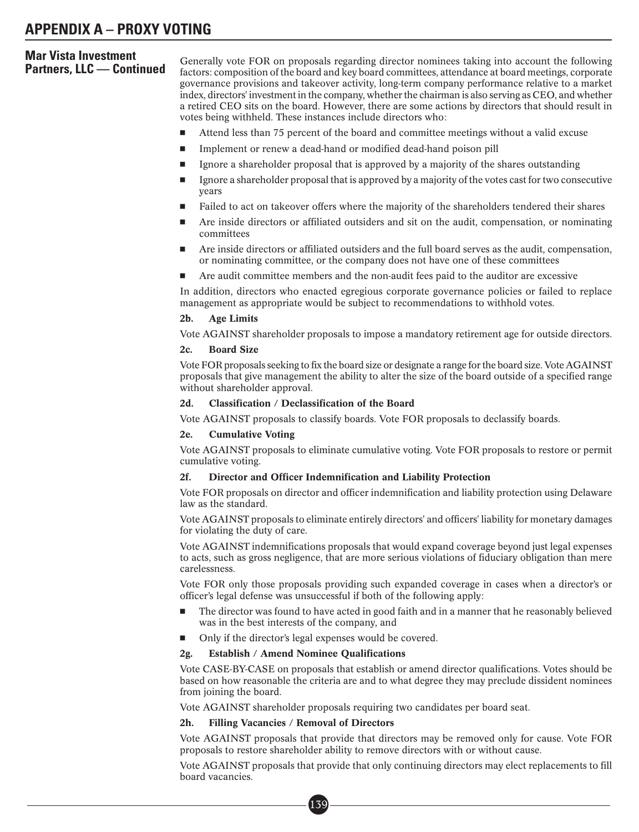# **Mar Vista Investment**

**Partners, LLC — Continued** Generally vote FOR on proposals regarding director nominees taking into account the following<br>**Partners, LLC — Continued** factors: composition of the board and key board committees, attendance a governance provisions and takeover activity, long-term company performance relative to a market index, directors' investment in the company, whether the chairman is also serving as CEO, and whether a retired CEO sits on the board. However, there are some actions by directors that should result in votes being withheld. These instances include directors who:

- -Attend less than 75 percent of the board and committee meetings without a valid excuse
- -Implement or renew a dead-hand or modified dead-hand poison pill
- -Ignore a shareholder proposal that is approved by a majority of the shares outstanding
- - Ignore a shareholder proposal that is approved by a majority of the votes cast for two consecutive years
- -Failed to act on takeover offers where the majority of the shareholders tendered their shares
- - Are inside directors or affiliated outsiders and sit on the audit, compensation, or nominating committees
- - Are inside directors or affiliated outsiders and the full board serves as the audit, compensation, or nominating committee, or the company does not have one of these committees
- -Are audit committee members and the non-audit fees paid to the auditor are excessive

In addition, directors who enacted egregious corporate governance policies or failed to replace management as appropriate would be subject to recommendations to withhold votes.

#### 2b. Age Limits

Vote AGAINST shareholder proposals to impose a mandatory retirement age for outside directors.

#### 2c. Board Size

Vote FOR proposals seeking to fix the board size or designate a range for the board size. Vote AGAINST proposals that give management the ability to alter the size of the board outside of a specified range without shareholder approval.

#### 2d. Classification / Declassification of the Board

Vote AGAINST proposals to classify boards. Vote FOR proposals to declassify boards.

#### 2e. Cumulative Voting

Vote AGAINST proposals to eliminate cumulative voting. Vote FOR proposals to restore or permit cumulative voting.

#### 2f. Director and Officer Indemnification and Liability Protection

Vote FOR proposals on director and officer indemnification and liability protection using Delaware law as the standard.

Vote AGAINST proposals to eliminate entirely directors' and officers' liability for monetary damages for violating the duty of care.

Vote AGAINST indemnifications proposals that would expand coverage beyond just legal expenses to acts, such as gross negligence, that are more serious violations of fiduciary obligation than mere carelessness.

Vote FOR only those proposals providing such expanded coverage in cases when a director's or officer's legal defense was unsuccessful if both of the following apply:

- - The director was found to have acted in good faith and in a manner that he reasonably believed was in the best interests of the company, and
- -Only if the director's legal expenses would be covered.

#### 2g. Establish / Amend Nominee Qualifications

Vote CASE-BY-CASE on proposals that establish or amend director qualifications. Votes should be based on how reasonable the criteria are and to what degree they may preclude dissident nominees from joining the board.

Vote AGAINST shareholder proposals requiring two candidates per board seat.

#### 2h. Filling Vacancies / Removal of Directors

Vote AGAINST proposals that provide that directors may be removed only for cause. Vote FOR proposals to restore shareholder ability to remove directors with or without cause.

Vote AGAINST proposals that provide that only continuing directors may elect replacements to fill board vacancies.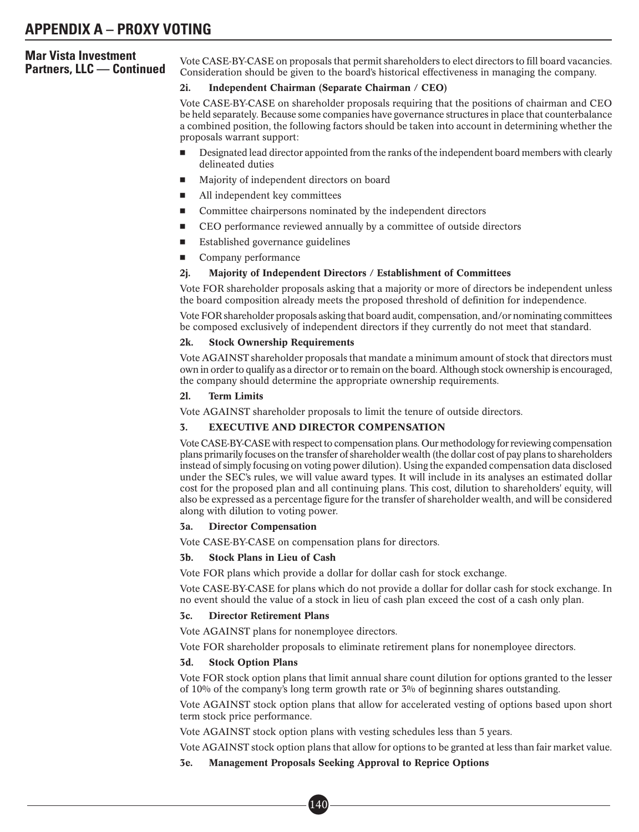Vote CASE-BY-CASE on proposals that permit shareholders to elect directors to fill board vacancies. Consideration should be given to the board's historical effectiveness in managing the company.

## 2i. Independent Chairman (Separate Chairman / CEO)

Vote CASE-BY-CASE on shareholder proposals requiring that the positions of chairman and CEO be held separately. Because some companies have governance structures in place that counterbalance a combined position, the following factors should be taken into account in determining whether the proposals warrant support:

- - Designated lead director appointed from the ranks of the independent board members with clearly delineated duties
- -Majority of independent directors on board
- -All independent key committees
- -Committee chairpersons nominated by the independent directors
- -CEO performance reviewed annually by a committee of outside directors
- -Established governance guidelines
- -Company performance

## 2j. Majority of Independent Directors / Establishment of Committees

Vote FOR shareholder proposals asking that a majority or more of directors be independent unless the board composition already meets the proposed threshold of definition for independence.

Vote FOR shareholder proposals asking that board audit, compensation, and/or nominating committees be composed exclusively of independent directors if they currently do not meet that standard.

## 2k. Stock Ownership Requirements

Vote AGAINST shareholder proposals that mandate a minimum amount of stock that directors must own in order to qualify as a director or to remain on the board. Although stock ownership is encouraged, the company should determine the appropriate ownership requirements.

## 2l. Term Limits

Vote AGAINST shareholder proposals to limit the tenure of outside directors.

## 3. EXECUTIVE AND DIRECTOR COMPENSATION

Vote CASE-BY-CASE with respect to compensation plans. Our methodology for reviewing compensation plans primarily focuses on the transfer of shareholder wealth (the dollar cost of pay plans to shareholders instead of simply focusing on voting power dilution). Using the expanded compensation data disclosed under the SEC's rules, we will value award types. It will include in its analyses an estimated dollar cost for the proposed plan and all continuing plans. This cost, dilution to shareholders' equity, will also be expressed as a percentage figure for the transfer of shareholder wealth, and will be considered along with dilution to voting power.

## 3a. Director Compensation

Vote CASE-BY-CASE on compensation plans for directors.

## 3b. Stock Plans in Lieu of Cash

Vote FOR plans which provide a dollar for dollar cash for stock exchange.

Vote CASE-BY-CASE for plans which do not provide a dollar for dollar cash for stock exchange. In no event should the value of a stock in lieu of cash plan exceed the cost of a cash only plan.

## 3c. Director Retirement Plans

Vote AGAINST plans for nonemployee directors.

Vote FOR shareholder proposals to eliminate retirement plans for nonemployee directors.

## 3d. Stock Option Plans

Vote FOR stock option plans that limit annual share count dilution for options granted to the lesser of 10% of the company's long term growth rate or 3% of beginning shares outstanding.

Vote AGAINST stock option plans that allow for accelerated vesting of options based upon short term stock price performance.

Vote AGAINST stock option plans with vesting schedules less than 5 years.

Vote AGAINST stock option plans that allow for options to be granted at less than fair market value.

## 3e. Management Proposals Seeking Approval to Reprice Options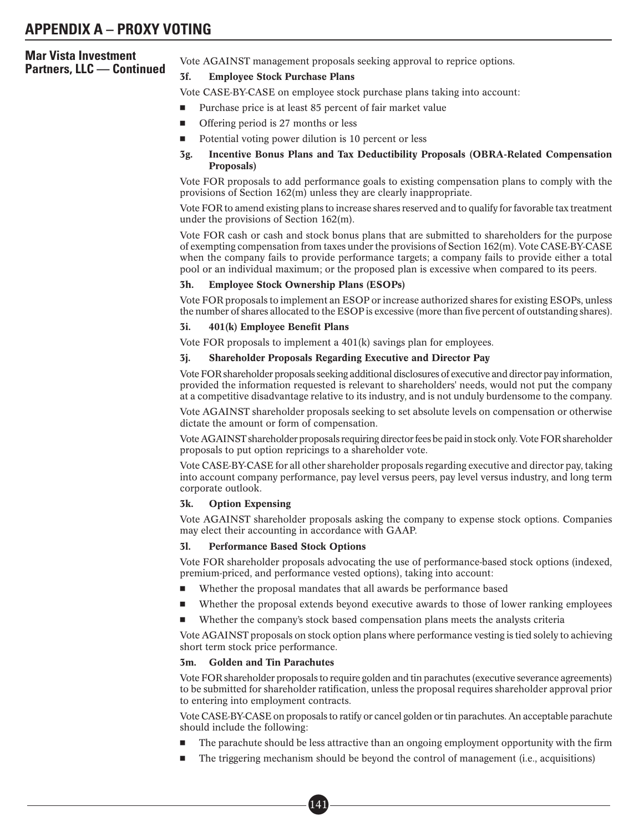Vote AGAINST management proposals seeking approval to reprice options.<br>**3f.** Emplovee Stock Purchase Plans

## **Employee Stock Purchase Plans**

Vote CASE-BY-CASE on employee stock purchase plans taking into account:

- -Purchase price is at least 85 percent of fair market value
- -Offering period is 27 months or less
- -Potential voting power dilution is 10 percent or less
- 3g. Incentive Bonus Plans and Tax Deductibility Proposals (OBRA-Related Compensation Proposals)

Vote FOR proposals to add performance goals to existing compensation plans to comply with the provisions of Section 162(m) unless they are clearly inappropriate.

Vote FOR to amend existing plans to increase shares reserved and to qualify for favorable tax treatment under the provisions of Section 162(m).

Vote FOR cash or cash and stock bonus plans that are submitted to shareholders for the purpose of exempting compensation from taxes under the provisions of Section 162(m). Vote CASE-BY-CASE when the company fails to provide performance targets; a company fails to provide either a total pool or an individual maximum; or the proposed plan is excessive when compared to its peers.

## 3h. Employee Stock Ownership Plans (ESOPs)

Vote FOR proposals to implement an ESOP or increase authorized shares for existing ESOPs, unless the number of shares allocated to the ESOP is excessive (more than five percent of outstanding shares).

#### 3i. 401(k) Employee Benefit Plans

Vote FOR proposals to implement a 401(k) savings plan for employees.

## 3j. Shareholder Proposals Regarding Executive and Director Pay

Vote FOR shareholder proposals seeking additional disclosures of executive and director pay information, provided the information requested is relevant to shareholders' needs, would not put the company at a competitive disadvantage relative to its industry, and is not unduly burdensome to the company.

Vote AGAINST shareholder proposals seeking to set absolute levels on compensation or otherwise dictate the amount or form of compensation.

Vote AGAINST shareholder proposals requiring director fees be paid in stock only. Vote FOR shareholder proposals to put option repricings to a shareholder vote.

Vote CASE-BY-CASE for all other shareholder proposals regarding executive and director pay, taking into account company performance, pay level versus peers, pay level versus industry, and long term corporate outlook.

## 3k. Option Expensing

Vote AGAINST shareholder proposals asking the company to expense stock options. Companies may elect their accounting in accordance with GAAP.

## 3l. Performance Based Stock Options

Vote FOR shareholder proposals advocating the use of performance-based stock options (indexed, premium-priced, and performance vested options), taking into account:

- -Whether the proposal mandates that all awards be performance based
- -Whether the proposal extends beyond executive awards to those of lower ranking employees
- -Whether the company's stock based compensation plans meets the analysts criteria

Vote AGAINST proposals on stock option plans where performance vesting is tied solely to achieving short term stock price performance.

#### 3m. Golden and Tin Parachutes

Vote FOR shareholder proposals to require golden and tin parachutes (executive severance agreements) to be submitted for shareholder ratification, unless the proposal requires shareholder approval prior to entering into employment contracts.

Vote CASE-BY-CASE on proposals to ratify or cancel golden or tin parachutes. An acceptable parachute should include the following:

- -The parachute should be less attractive than an ongoing employment opportunity with the firm
- -The triggering mechanism should be beyond the control of management (i.e., acquisitions)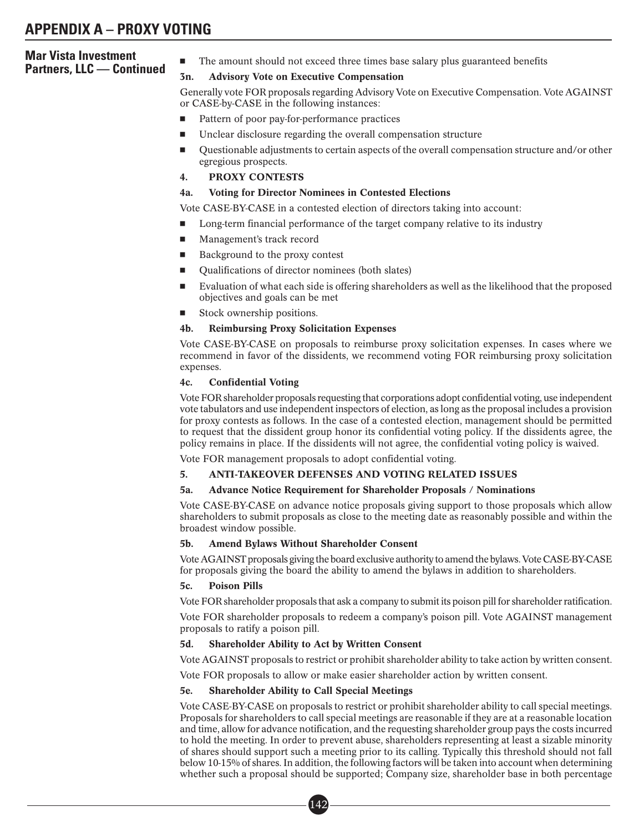# **Mar Vista Investment Partners, LLC — Continued**  $\frac{1}{3}$

The amount should not exceed three times base salary plus guaranteed benefits

## Advisory Vote on Executive Compensation

Generally vote FOR proposals regarding Advisory Vote on Executive Compensation. Vote AGAINST or CASE-by-CASE in the following instances:

- -Pattern of poor pay-for-performance practices
- -Unclear disclosure regarding the overall compensation structure
- - Questionable adjustments to certain aspects of the overall compensation structure and/or other egregious prospects.
- 4. PROXY CONTESTS

## 4a. Voting for Director Nominees in Contested Elections

Vote CASE-BY-CASE in a contested election of directors taking into account:

- -Long-term financial performance of the target company relative to its industry
- -Management's track record
- -Background to the proxy contest
- -Qualifications of director nominees (both slates)
- - Evaluation of what each side is offering shareholders as well as the likelihood that the proposed objectives and goals can be met
- -Stock ownership positions.

## 4b. Reimbursing Proxy Solicitation Expenses

Vote CASE-BY-CASE on proposals to reimburse proxy solicitation expenses. In cases where we recommend in favor of the dissidents, we recommend voting FOR reimbursing proxy solicitation expenses.

## 4c. Confidential Voting

Vote FOR shareholder proposals requesting that corporations adopt confidential voting, use independent vote tabulators and use independent inspectors of election, as long as the proposal includes a provision for proxy contests as follows. In the case of a contested election, management should be permitted to request that the dissident group honor its confidential voting policy. If the dissidents agree, the policy remains in place. If the dissidents will not agree, the confidential voting policy is waived.

Vote FOR management proposals to adopt confidential voting.

## 5. ANTI-TAKEOVER DEFENSES AND VOTING RELATED ISSUES

## 5a. Advance Notice Requirement for Shareholder Proposals / Nominations

Vote CASE-BY-CASE on advance notice proposals giving support to those proposals which allow shareholders to submit proposals as close to the meeting date as reasonably possible and within the broadest window possible.

## 5b. Amend Bylaws Without Shareholder Consent

Vote AGAINST proposals giving the board exclusive authority to amend the bylaws. Vote CASE-BY-CASE for proposals giving the board the ability to amend the bylaws in addition to shareholders.

## 5c. Poison Pills

Vote FOR shareholder proposals that ask a company to submit its poison pill for shareholder ratification.

Vote FOR shareholder proposals to redeem a company's poison pill. Vote AGAINST management proposals to ratify a poison pill.

## 5d. Shareholder Ability to Act by Written Consent

Vote AGAINST proposals to restrict or prohibit shareholder ability to take action by written consent.

Vote FOR proposals to allow or make easier shareholder action by written consent.

## 5e. Shareholder Ability to Call Special Meetings

Vote CASE-BY-CASE on proposals to restrict or prohibit shareholder ability to call special meetings. Proposals for shareholders to call special meetings are reasonable if they are at a reasonable location and time, allow for advance notification, and the requesting shareholder group pays the costs incurred to hold the meeting. In order to prevent abuse, shareholders representing at least a sizable minority of shares should support such a meeting prior to its calling. Typically this threshold should not fall below 10-15% of shares. In addition, the following factors will be taken into account when determining whether such a proposal should be supported; Company size, shareholder base in both percentage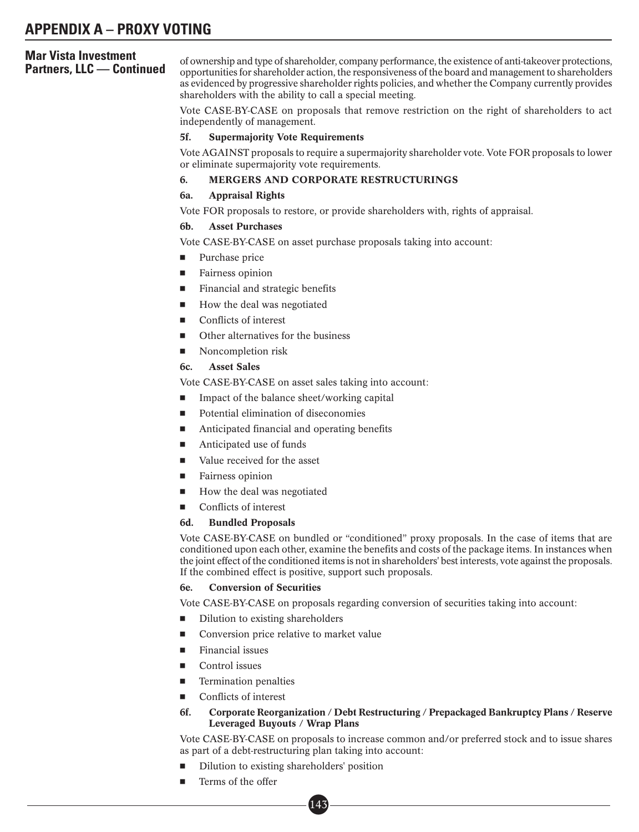of ownership and type of shareholder, company performance, the existence of anti-takeover protections,<br>**Partners, LLC — Continued** poportunities for shareholder action, the responsiveness of the board and management to sha as evidenced by progressive shareholder rights policies, and whether the Company currently provides shareholders with the ability to call a special meeting.

> Vote CASE-BY-CASE on proposals that remove restriction on the right of shareholders to act independently of management.

## 5f. Supermajority Vote Requirements

Vote AGAINST proposals to require a supermajority shareholder vote. Vote FOR proposals to lower or eliminate supermajority vote requirements.

## 6. MERGERS AND CORPORATE RESTRUCTURINGS

## 6a. Appraisal Rights

Vote FOR proposals to restore, or provide shareholders with, rights of appraisal.

## 6b. Asset Purchases

Vote CASE-BY-CASE on asset purchase proposals taking into account:

- -Purchase price
- -Fairness opinion
- -Financial and strategic benefits
- -How the deal was negotiated
- -Conflicts of interest
- -Other alternatives for the business
- -Noncompletion risk

## 6c. Asset Sales

Vote CASE-BY-CASE on asset sales taking into account:

- -Impact of the balance sheet/working capital
- -Potential elimination of diseconomies
- -Anticipated financial and operating benefits
- -Anticipated use of funds
- -Value received for the asset
- -Fairness opinion
- -How the deal was negotiated
- -Conflicts of interest

## 6d. Bundled Proposals

Vote CASE-BY-CASE on bundled or "conditioned" proxy proposals. In the case of items that are conditioned upon each other, examine the benefits and costs of the package items. In instances when the joint effect of the conditioned items is not in shareholders' best interests, vote against the proposals. If the combined effect is positive, support such proposals.

## 6e. Conversion of Securities

Vote CASE-BY-CASE on proposals regarding conversion of securities taking into account:

- -Dilution to existing shareholders
- -Conversion price relative to market value
- -Financial issues
- -Control issues
- -Termination penalties
- -Conflicts of interest

## 6f. Corporate Reorganization / Debt Restructuring / Prepackaged Bankruptcy Plans / Reserve Leveraged Buyouts / Wrap Plans

Vote CASE-BY-CASE on proposals to increase common and/or preferred stock and to issue shares as part of a debt-restructuring plan taking into account:

- -Dilution to existing shareholders' position
- -Terms of the offer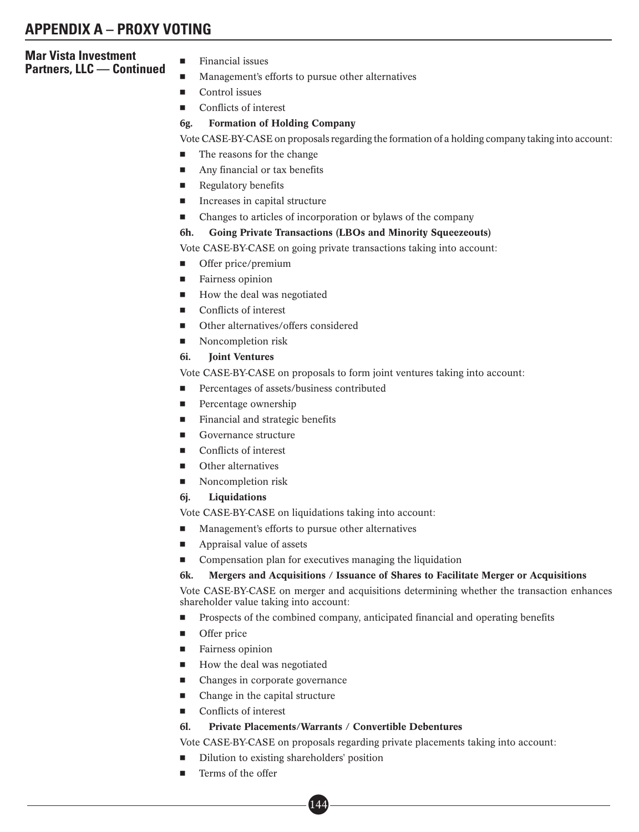## **Mar Vista Investment Partners, LLC — Continued**

- Financial issues
- -Management's efforts to pursue other alternatives
- -Control issues
- -Conflicts of interest

## 6g. Formation of Holding Company

Vote CASE-BY-CASE on proposals regarding the formation of a holding company taking into account:

- -The reasons for the change
- -Any financial or tax benefits
- -Regulatory benefits
- -Increases in capital structure
- -Changes to articles of incorporation or bylaws of the company

## 6h. Going Private Transactions (LBOs and Minority Squeezeouts)

Vote CASE-BY-CASE on going private transactions taking into account:

- -Offer price/premium
- -Fairness opinion
- -How the deal was negotiated
- -Conflicts of interest
- -Other alternatives/offers considered
- -Noncompletion risk

## 6i. Joint Ventures

Vote CASE-BY-CASE on proposals to form joint ventures taking into account:

- -Percentages of assets/business contributed
- -Percentage ownership
- -Financial and strategic benefits
- -Governance structure
- -Conflicts of interest
- -Other alternatives
- -Noncompletion risk
- 6j. Liquidations

Vote CASE-BY-CASE on liquidations taking into account:

- -Management's efforts to pursue other alternatives
- -Appraisal value of assets
- -Compensation plan for executives managing the liquidation

## 6k. Mergers and Acquisitions / Issuance of Shares to Facilitate Merger or Acquisitions

Vote CASE-BY-CASE on merger and acquisitions determining whether the transaction enhances shareholder value taking into account:

- -Prospects of the combined company, anticipated financial and operating benefits
- -Offer price
- -Fairness opinion
- -How the deal was negotiated
- -Changes in corporate governance
- -Change in the capital structure
- Conflicts of interest

## 6l. Private Placements/Warrants / Convertible Debentures

Vote CASE-BY-CASE on proposals regarding private placements taking into account:

- -Dilution to existing shareholders' position
- -Terms of the offer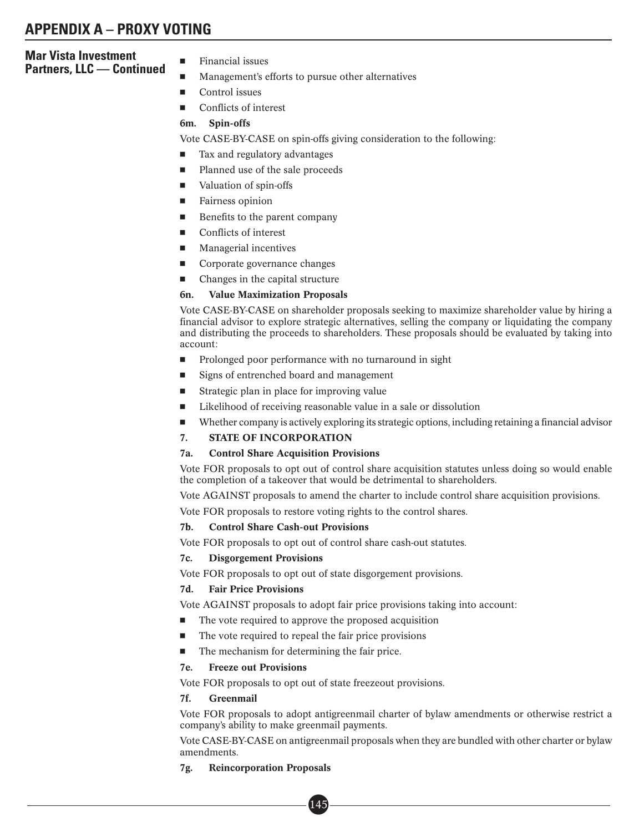## **Mar Vista Investment Partners, LLC — Continued**

- Financial issues
- -Management's efforts to pursue other alternatives
- -Control issues
- -Conflicts of interest

## 6m. Spin-offs

Vote CASE-BY-CASE on spin-offs giving consideration to the following:

- -Tax and regulatory advantages
- -Planned use of the sale proceeds
- -Valuation of spin-offs
- -Fairness opinion
- -Benefits to the parent company
- -Conflicts of interest
- -Managerial incentives
- -Corporate governance changes
- -Changes in the capital structure

## 6n. Value Maximization Proposals

Vote CASE-BY-CASE on shareholder proposals seeking to maximize shareholder value by hiring a financial advisor to explore strategic alternatives, selling the company or liquidating the company and distributing the proceeds to shareholders. These proposals should be evaluated by taking into account:

- -Prolonged poor performance with no turnaround in sight
- -Signs of entrenched board and management
- -Strategic plan in place for improving value
- -Likelihood of receiving reasonable value in a sale or dissolution
- -Whether company is actively exploring its strategic options, including retaining a financial advisor
- 7. STATE OF INCORPORATION

## 7a. Control Share Acquisition Provisions

Vote FOR proposals to opt out of control share acquisition statutes unless doing so would enable the completion of a takeover that would be detrimental to shareholders.

Vote AGAINST proposals to amend the charter to include control share acquisition provisions.

Vote FOR proposals to restore voting rights to the control shares.

## 7b. Control Share Cash-out Provisions

Vote FOR proposals to opt out of control share cash-out statutes.

## 7c. Disgorgement Provisions

Vote FOR proposals to opt out of state disgorgement provisions.

## 7d. Fair Price Provisions

Vote AGAINST proposals to adopt fair price provisions taking into account:

- -The vote required to approve the proposed acquisition
- -The vote required to repeal the fair price provisions
- -The mechanism for determining the fair price.

## 7e. Freeze out Provisions

Vote FOR proposals to opt out of state freezeout provisions.

## 7f. Greenmail

Vote FOR proposals to adopt antigreenmail charter of bylaw amendments or otherwise restrict a company's ability to make greenmail payments.

Vote CASE-BY-CASE on antigreenmail proposals when they are bundled with other charter or bylaw amendments.

## 7g. Reincorporation Proposals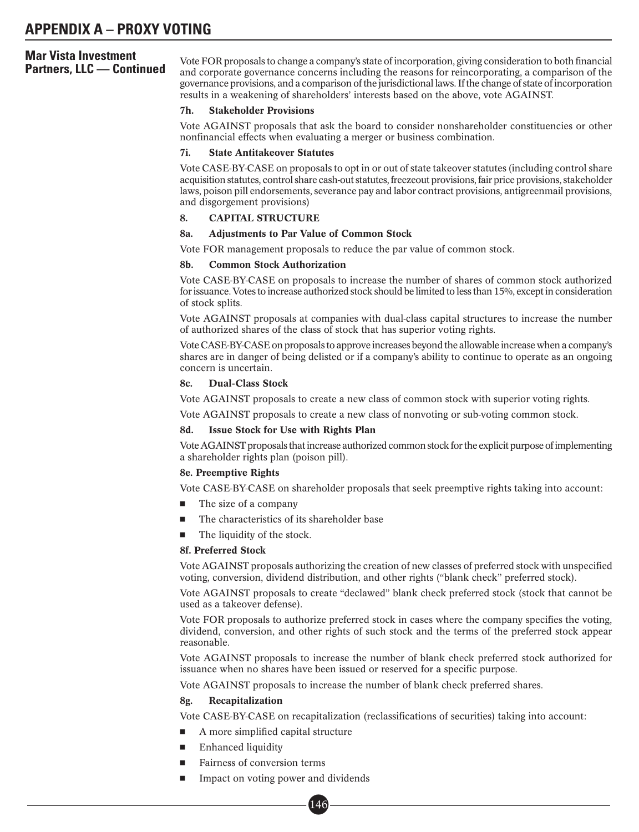**Partners, LLC** — **Continued** Mote FOR proposals to change a company's state of incorporation, giving consideration to both financial and corporate governance concerns including the reasons for reincorporating, a compariso governance provisions, and a comparison of the jurisdictional laws. If the change of state of incorporation results in a weakening of shareholders' interests based on the above, vote AGAINST.

## 7h. Stakeholder Provisions

Vote AGAINST proposals that ask the board to consider nonshareholder constituencies or other nonfinancial effects when evaluating a merger or business combination.

## 7i. State Antitakeover Statutes

Vote CASE-BY-CASE on proposals to opt in or out of state takeover statutes (including control share acquisition statutes, control share cash-out statutes, freezeout provisions, fair price provisions, stakeholder laws, poison pill endorsements, severance pay and labor contract provisions, antigreenmail provisions, and disgorgement provisions)

## 8. CAPITAL STRUCTURE

## 8a. Adjustments to Par Value of Common Stock

Vote FOR management proposals to reduce the par value of common stock.

## 8b. Common Stock Authorization

Vote CASE-BY-CASE on proposals to increase the number of shares of common stock authorized for issuance. Votes to increase authorized stock should be limited to less than 15%, except in consideration of stock splits.

Vote AGAINST proposals at companies with dual-class capital structures to increase the number of authorized shares of the class of stock that has superior voting rights.

Vote CASE-BY-CASE on proposals to approve increases beyond the allowable increase when a company's shares are in danger of being delisted or if a company's ability to continue to operate as an ongoing concern is uncertain.

## 8c. Dual-Class Stock

Vote AGAINST proposals to create a new class of common stock with superior voting rights.

Vote AGAINST proposals to create a new class of nonvoting or sub-voting common stock.

## 8d. Issue Stock for Use with Rights Plan

Vote AGAINST proposals thatincrease authorized common stock for the explicit purpose ofimplementing a shareholder rights plan (poison pill).

## 8e. Preemptive Rights

Vote CASE-BY-CASE on shareholder proposals that seek preemptive rights taking into account:

- -The size of a company
- -The characteristics of its shareholder base
- -The liquidity of the stock.

## 8f. Preferred Stock

Vote AGAINST proposals authorizing the creation of new classes of preferred stock with unspecified voting, conversion, dividend distribution, and other rights ("blank check" preferred stock).

Vote AGAINST proposals to create "declawed" blank check preferred stock (stock that cannot be used as a takeover defense).

Vote FOR proposals to authorize preferred stock in cases where the company specifies the voting, dividend, conversion, and other rights of such stock and the terms of the preferred stock appear reasonable.

Vote AGAINST proposals to increase the number of blank check preferred stock authorized for issuance when no shares have been issued or reserved for a specific purpose.

Vote AGAINST proposals to increase the number of blank check preferred shares.

## 8g. Recapitalization

Vote CASE-BY-CASE on recapitalization (reclassifications of securities) taking into account:

- -A more simplified capital structure
- -Enhanced liquidity
- -Fairness of conversion terms
- - Impact on voting power and dividends and d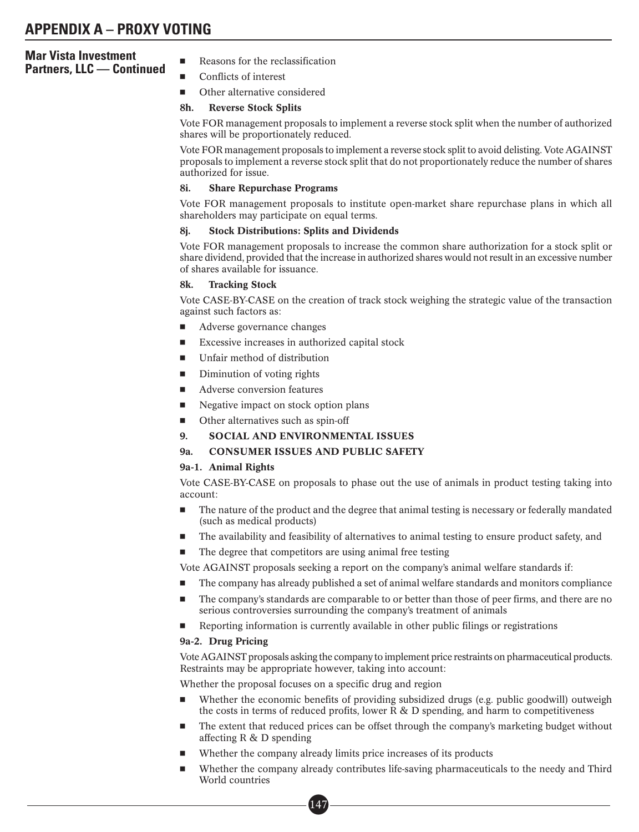# **Mar Vista Investment Partners, LLC — Continued**

- Reasons for the reclassification
- -Conflicts of interest
- -Other alternative considered

## 8h. Reverse Stock Splits

Vote FOR management proposals to implement a reverse stock split when the number of authorized shares will be proportionately reduced.

Vote FOR management proposals to implement a reverse stock split to avoid delisting. Vote AGAINST proposals to implement a reverse stock split that do not proportionately reduce the number of shares authorized for issue.

## 8i. Share Repurchase Programs

Vote FOR management proposals to institute open-market share repurchase plans in which all shareholders may participate on equal terms.

## 8j. Stock Distributions: Splits and Dividends

Vote FOR management proposals to increase the common share authorization for a stock split or share dividend, provided that the increase in authorized shares would not result in an excessive number of shares available for issuance.

## 8k. Tracking Stock

Vote CASE-BY-CASE on the creation of track stock weighing the strategic value of the transaction against such factors as:

- -Adverse governance changes
- -Excessive increases in authorized capital stock
- -Unfair method of distribution
- -Diminution of voting rights
- -Adverse conversion features
- -Negative impact on stock option plans
- -Other alternatives such as spin-off
- 9. SOCIAL AND ENVIRONMENTAL ISSUES

# 9a. CONSUMER ISSUES AND PUBLIC SAFETY

## 9a-1. Animal Rights

Vote CASE-BY-CASE on proposals to phase out the use of animals in product testing taking into account:

- - The nature of the product and the degree that animal testing is necessary or federally mandated (such as medical products)
- -The availability and feasibility of alternatives to animal testing to ensure product safety, and

-The degree that competitors are using animal free testing

Vote AGAINST proposals seeking a report on the company's animal welfare standards if:

- -The company has already published a set of animal welfare standards and monitors compliance
- - The company's standards are comparable to or better than those of peer firms, and there are no serious controversies surrounding the company's treatment of animals
- -Reporting information is currently available in other public filings or registrations

## 9a-2. Drug Pricing

Vote AGAINST proposals asking the company to implement price restraints on pharmaceutical products. Restraints may be appropriate however, taking into account:

Whether the proposal focuses on a specific drug and region

- - Whether the economic benefits of providing subsidized drugs (e.g. public goodwill) outweigh the costs in terms of reduced profits, lower  $R \& D$  spending, and harm to competitiveness
- - The extent that reduced prices can be offset through the company's marketing budget without affecting R & D spending
- -Whether the company already limits price increases of its products

 $\left[147\right]$ 

- Whether the company already contributes life-saving pharmaceuticals to the needy and Third World countries ■•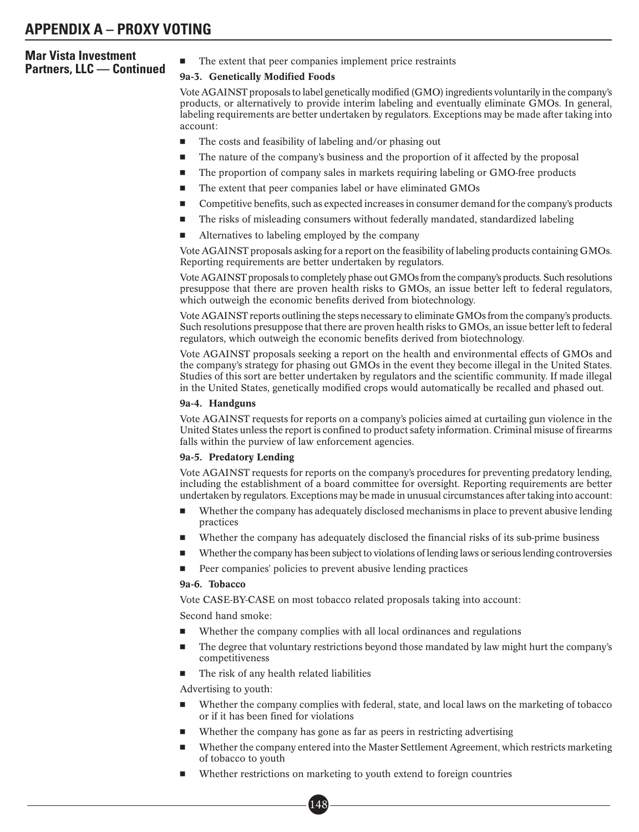# **Mar Vista Investment Partners, LLC — Continued** -

The extent that peer companies implement price restraints

## 9a-3. Genetically Modified Foods

Vote AGAINST proposals to label genetically modified (GMO) ingredients voluntarily in the company's products, or alternatively to provide interim labeling and eventually eliminate GMOs. In general, labeling requirements are better undertaken by regulators. Exceptions may be made after taking into account:

- -The costs and feasibility of labeling and/or phasing out
- -The nature of the company's business and the proportion of it affected by the proposal
- -The proportion of company sales in markets requiring labeling or GMO-free products
- -The extent that peer companies label or have eliminated GMOs
- -Competitive benefits, such as expected increases in consumer demand for the company's products
- -The risks of misleading consumers without federally mandated, standardized labeling
- -Alternatives to labeling employed by the company

Vote AGAINST proposals asking for a report on the feasibility of labeling products containing GMOs. Reporting requirements are better undertaken by regulators.

Vote AGAINST proposals to completely phase out GMOs from the company's products. Such resolutions presuppose that there are proven health risks to GMOs, an issue better left to federal regulators, which outweigh the economic benefits derived from biotechnology.

Vote AGAINST reports outlining the steps necessary to eliminate GMOs from the company's products. Such resolutions presuppose that there are proven health risks to GMOs, an issue better left to federal regulators, which outweigh the economic benefits derived from biotechnology.

Vote AGAINST proposals seeking a report on the health and environmental effects of GMOs and the company's strategy for phasing out GMOs in the event they become illegal in the United States. Studies of this sort are better undertaken by regulators and the scientific community. If made illegal in the United States, genetically modified crops would automatically be recalled and phased out.

## 9a-4. Handguns

Vote AGAINST requests for reports on a company's policies aimed at curtailing gun violence in the United States unless the report is confined to product safety information. Criminal misuse of firearms falls within the purview of law enforcement agencies.

## 9a-5. Predatory Lending

Vote AGAINST requests for reports on the company's procedures for preventing predatory lending, including the establishment of a board committee for oversight. Reporting requirements are better undertaken by regulators. Exceptions may be made in unusual circumstances after taking into account:

- - Whether the company has adequately disclosed mechanisms in place to prevent abusive lending practices
- -Whether the company has adequately disclosed the financial risks of its sub-prime business
- -Whether the company has been subject to violations of lending laws or serious lending controversies
- -Peer companies' policies to prevent abusive lending practices

## 9a-6. Tobacco

Vote CASE-BY-CASE on most tobacco related proposals taking into account:

Second hand smoke:

- -Whether the company complies with all local ordinances and regulations
- - The degree that voluntary restrictions beyond those mandated by law might hurt the company's competitiveness
- -The risk of any health related liabilities

Advertising to youth:

- - Whether the company complies with federal, state, and local laws on the marketing of tobacco or if it has been fined for violations
- -Whether the company has gone as far as peers in restricting advertising
- - Whether the company entered into the Master Settlement Agreement, which restricts marketing of tobacco to youth
- - Whether restrictions on marketing to youth extend to foreign countries ■•

148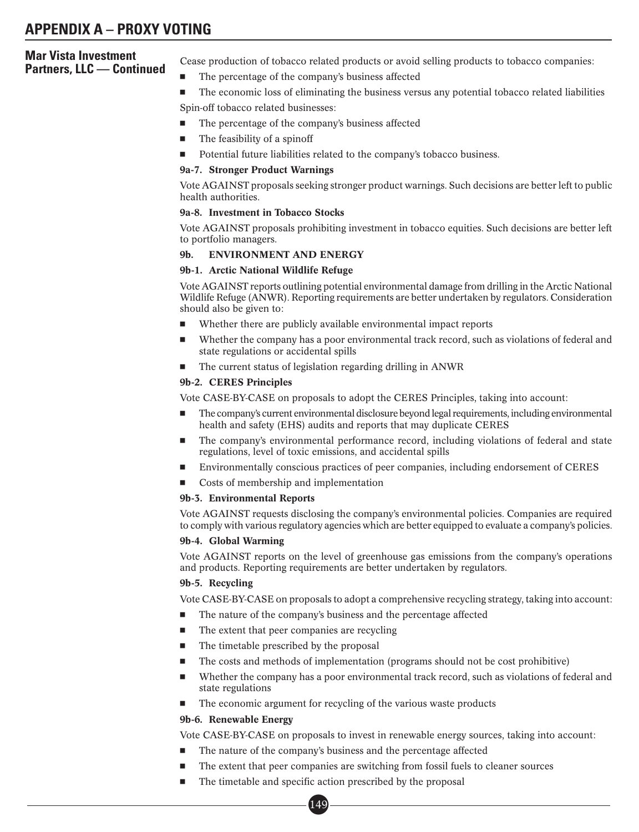Cease production of tobacco related products or avoid selling products to tobacco companies:

- -The percentage of the company's business affected
- - The economic loss of eliminating the business versus any potential tobacco related liabilities Spin-off tobacco related businesses:
- -The percentage of the company's business affected
- -The feasibility of a spinoff
- -Potential future liabilities related to the company's tobacco business.

## 9a-7. Stronger Product Warnings

Vote AGAINST proposals seeking stronger product warnings. Such decisions are better left to public health authorities.

## 9a-8. Investment in Tobacco Stocks

Vote AGAINST proposals prohibiting investment in tobacco equities. Such decisions are better left to portfolio managers.

## 9b. ENVIRONMENT AND ENERGY

## 9b-1. Arctic National Wildlife Refuge

Vote AGAINST reports outlining potential environmental damage from drilling in the Arctic National Wildlife Refuge (ANWR). Reporting requirements are better undertaken by regulators. Consideration should also be given to:

- -Whether there are publicly available environmental impact reports
- - Whether the company has a poor environmental track record, such as violations of federal and state regulations or accidental spills
- -The current status of legislation regarding drilling in ANWR

## 9b-2. CERES Principles

Vote CASE-BY-CASE on proposals to adopt the CERES Principles, taking into account:

- - The company's current environmental disclosure beyond legal requirements, including environmental health and safety (EHS) audits and reports that may duplicate CERES
- - The company's environmental performance record, including violations of federal and state regulations, level of toxic emissions, and accidental spills
- -Environmentally conscious practices of peer companies, including endorsement of CERES
- -Costs of membership and implementation

#### 9b-3. Environmental Reports

Vote AGAINST requests disclosing the company's environmental policies. Companies are required to comply with various regulatory agencies which are better equipped to evaluate a company's policies.

## 9b-4. Global Warming

Vote AGAINST reports on the level of greenhouse gas emissions from the company's operations and products. Reporting requirements are better undertaken by regulators.

#### 9b-5. Recycling

Vote CASE-BY-CASE on proposals to adopt a comprehensive recycling strategy, taking into account:

- -The nature of the company's business and the percentage affected
- -The extent that peer companies are recycling
- -The timetable prescribed by the proposal
- -The costs and methods of implementation (programs should not be cost prohibitive)
- - Whether the company has a poor environmental track record, such as violations of federal and state regulations
- -The economic argument for recycling of the various waste products

## 9b-6. Renewable Energy

Vote CASE-BY-CASE on proposals to invest in renewable energy sources, taking into account:

- -The nature of the company's business and the percentage affected
- -The extent that peer companies are switching from fossil fuels to cleaner sources
- -The timetable and specific action prescribed by the proposal<br>  $\boxed{149}$

 $14<sup>c</sup>$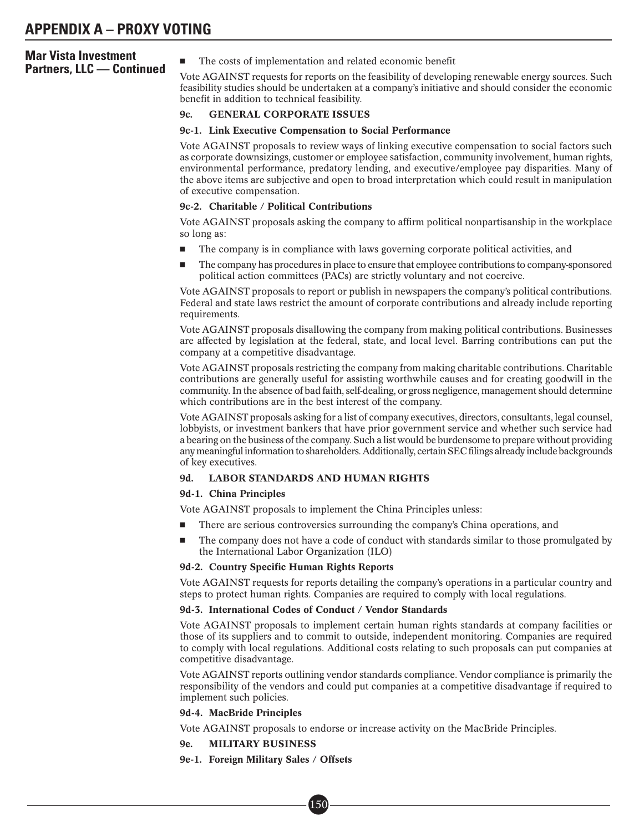## **Mar Vista Investment Partners, LLC — Continued**

The costs of implementation and related economic benefit

Vote AGAINST requests for reports on the feasibility of developing renewable energy sources. Such feasibility studies should be undertaken at a company's initiative and should consider the economic benefit in addition to technical feasibility.

## 9c. GENERAL CORPORATE ISSUES

#### 9c-1. Link Executive Compensation to Social Performance

Vote AGAINST proposals to review ways of linking executive compensation to social factors such as corporate downsizings, customer or employee satisfaction, community involvement, human rights, environmental performance, predatory lending, and executive/employee pay disparities. Many of the above items are subjective and open to broad interpretation which could result in manipulation of executive compensation.

#### 9c-2. Charitable / Political Contributions

Vote AGAINST proposals asking the company to affirm political nonpartisanship in the workplace so long as:

- -The company is in compliance with laws governing corporate political activities, and
- - The company has procedures in place to ensure that employee contributions to company-sponsored political action committees (PACs) are strictly voluntary and not coercive.

Vote AGAINST proposals to report or publish in newspapers the company's political contributions. Federal and state laws restrict the amount of corporate contributions and already include reporting requirements.

Vote AGAINST proposals disallowing the company from making political contributions. Businesses are affected by legislation at the federal, state, and local level. Barring contributions can put the company at a competitive disadvantage.

Vote AGAINST proposals restricting the company from making charitable contributions. Charitable contributions are generally useful for assisting worthwhile causes and for creating goodwill in the community. In the absence of bad faith, self-dealing, or gross negligence, management should determine which contributions are in the best interest of the company.

Vote AGAINST proposals asking for a list of company executives, directors, consultants, legal counsel, lobbyists, or investment bankers that have prior government service and whether such service had a bearing on the business of the company. Such a list would be burdensome to prepare without providing any meaningful information to shareholders. Additionally, certain SEC filings already include backgrounds of key executives.

## 9d. LABOR STANDARDS AND HUMAN RIGHTS

#### 9d-1. China Principles

Vote AGAINST proposals to implement the China Principles unless:

- -There are serious controversies surrounding the company's China operations, and
- - The company does not have a code of conduct with standards similar to those promulgated by the International Labor Organization (ILO)

#### 9d-2. Country Specific Human Rights Reports

Vote AGAINST requests for reports detailing the company's operations in a particular country and steps to protect human rights. Companies are required to comply with local regulations.

#### 9d-3. International Codes of Conduct / Vendor Standards

Vote AGAINST proposals to implement certain human rights standards at company facilities or those of its suppliers and to commit to outside, independent monitoring. Companies are required to comply with local regulations. Additional costs relating to such proposals can put companies at competitive disadvantage.

Vote AGAINST reports outlining vendor standards compliance. Vendor compliance is primarily the responsibility of the vendors and could put companies at a competitive disadvantage if required to implement such policies.

## 9d-4. MacBride Principles

Vote AGAINST proposals to endorse or increase activity on the MacBride Principles.

## 9e. MILITARY BUSINESS

9e-1. Foreign Military Sales / Offsets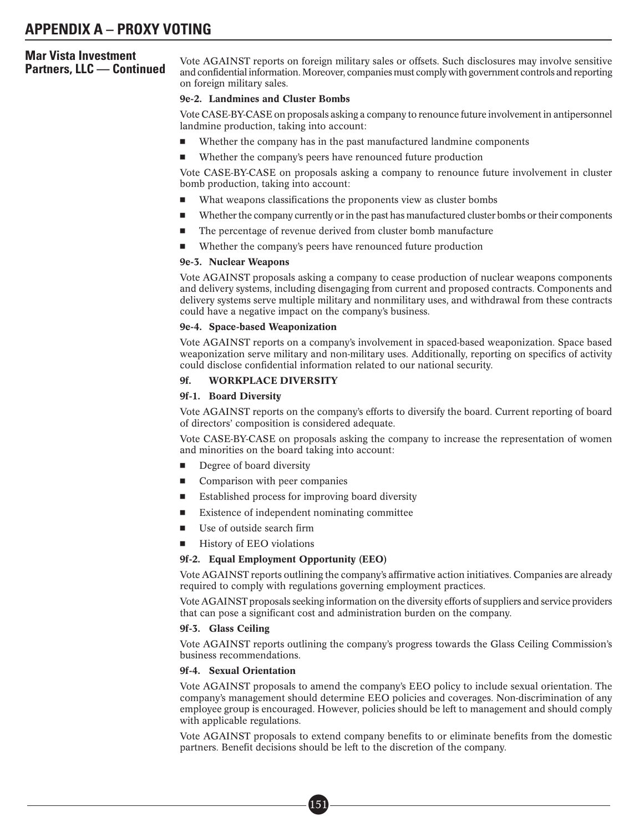**Partners, LLC — Continued** and confidential information. Moreover, companies must comply with government controls and reporting and confidential information. Moreover, companies must comply with government controls and re on foreign military sales.

#### 9e-2. Landmines and Cluster Bombs

Vote CASE-BY-CASE on proposals asking a company to renounce future involvement in antipersonnel landmine production, taking into account:

- -Whether the company has in the past manufactured landmine components
- -Whether the company's peers have renounced future production

Vote CASE-BY-CASE on proposals asking a company to renounce future involvement in cluster bomb production, taking into account:

- -What weapons classifications the proponents view as cluster bombs
- -Whether the company currently or in the past has manufactured cluster bombs or their components
- -The percentage of revenue derived from cluster bomb manufacture
- -Whether the company's peers have renounced future production

## 9e-3. Nuclear Weapons

Vote AGAINST proposals asking a company to cease production of nuclear weapons components and delivery systems, including disengaging from current and proposed contracts. Components and delivery systems serve multiple military and nonmilitary uses, and withdrawal from these contracts could have a negative impact on the company's business.

#### 9e-4. Space-based Weaponization

Vote AGAINST reports on a company's involvement in spaced-based weaponization. Space based weaponization serve military and non-military uses. Additionally, reporting on specifics of activity could disclose confidential information related to our national security.

## 9f. WORKPLACE DIVERSITY

## 9f-1. Board Diversity

Vote AGAINST reports on the company's efforts to diversify the board. Current reporting of board of directors' composition is considered adequate.

Vote CASE-BY-CASE on proposals asking the company to increase the representation of women and minorities on the board taking into account:

- -Degree of board diversity
- -Comparison with peer companies
- -Established process for improving board diversity
- -Existence of independent nominating committee

■• 151

- -Use of outside search firm
- -History of EEO violations

#### 9f-2. Equal Employment Opportunity (EEO)

Vote AGAINST reports outlining the company's affirmative action initiatives. Companies are already required to comply with regulations governing employment practices.

Vote AGAINST proposals seeking information on the diversity efforts of suppliers and service providers that can pose a significant cost and administration burden on the company.

#### 9f-3. Glass Ceiling

Vote AGAINST reports outlining the company's progress towards the Glass Ceiling Commission's business recommendations.

## 9f-4. Sexual Orientation

Vote AGAINST proposals to amend the company's EEO policy to include sexual orientation. The company's management should determine EEO policies and coverages. Non-discrimination of any employee group is encouraged. However, policies should be left to management and should comply with applicable regulations.

Vote AGAINST proposals to extend company benefits to or eliminate benefits from the domestic partners. Benefit decisions should be left to the discretion of the company.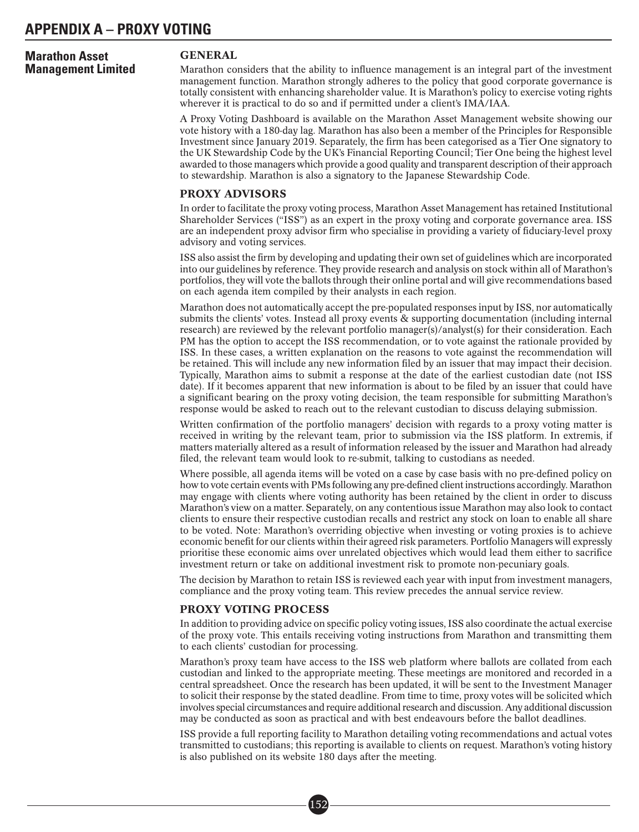# **Marathon Asset Management Limited**

## GENERAL

Marathon considers that the ability to influence management is an integral part of the investment management function. Marathon strongly adheres to the policy that good corporate governance is totally consistent with enhancing shareholder value. It is Marathon's policy to exercise voting rights wherever it is practical to do so and if permitted under a client's IMA/IAA.

A Proxy Voting Dashboard is available on the Marathon Asset Management website showing our vote history with a 180-day lag. Marathon has also been a member of the Principles for Responsible Investment since January 2019. Separately, the firm has been categorised as a Tier One signatory to the UK Stewardship Code by the UK's Financial Reporting Council; Tier One being the highest level awarded to those managers which provide a good quality and transparent description of their approach to stewardship. Marathon is also a signatory to the Japanese Stewardship Code.

## PROXY ADVISORS

In order to facilitate the proxy voting process, Marathon Asset Management has retained Institutional Shareholder Services ("ISS") as an expert in the proxy voting and corporate governance area. ISS are an independent proxy advisor firm who specialise in providing a variety of fiduciary-level proxy advisory and voting services.

ISS also assist the firm by developing and updating their own set of guidelines which are incorporated into our guidelines by reference. They provide research and analysis on stock within all of Marathon's portfolios, they will vote the ballots through their online portal and will give recommendations based on each agenda item compiled by their analysts in each region.

Marathon does not automatically accept the pre-populated responses input by ISS, nor automatically submits the clients' votes. Instead all proxy events & supporting documentation (including internal research) are reviewed by the relevant portfolio manager(s)/analyst(s) for their consideration. Each PM has the option to accept the ISS recommendation, or to vote against the rationale provided by ISS. In these cases, a written explanation on the reasons to vote against the recommendation will be retained. This will include any new information filed by an issuer that may impact their decision. Typically, Marathon aims to submit a response at the date of the earliest custodian date (not ISS date). If it becomes apparent that new information is about to be filed by an issuer that could have a significant bearing on the proxy voting decision, the team responsible for submitting Marathon's response would be asked to reach out to the relevant custodian to discuss delaying submission.

Written confirmation of the portfolio managers' decision with regards to a proxy voting matter is received in writing by the relevant team, prior to submission via the ISS platform. In extremis, if matters materially altered as a result of information released by the issuer and Marathon had already filed, the relevant team would look to re-submit, talking to custodians as needed.

Where possible, all agenda items will be voted on a case by case basis with no pre-defined policy on how to vote certain events with PMs following any pre-defined client instructions accordingly. Marathon may engage with clients where voting authority has been retained by the client in order to discuss Marathon's view on a matter. Separately, on any contentious issue Marathon may also look to contact clients to ensure their respective custodian recalls and restrict any stock on loan to enable all share to be voted. Note: Marathon's overriding objective when investing or voting proxies is to achieve economic benefit for our clients within their agreed risk parameters. Portfolio Managers will expressly prioritise these economic aims over unrelated objectives which would lead them either to sacrifice investment return or take on additional investment risk to promote non-pecuniary goals.

The decision by Marathon to retain ISS is reviewed each year with input from investment managers, compliance and the proxy voting team. This review precedes the annual service review.

## PROXY VOTING PROCESS

In addition to providing advice on specific policy voting issues, ISS also coordinate the actual exercise of the proxy vote. This entails receiving voting instructions from Marathon and transmitting them to each clients' custodian for processing.

Marathon's proxy team have access to the ISS web platform where ballots are collated from each custodian and linked to the appropriate meeting. These meetings are monitored and recorded in a central spreadsheet. Once the research has been updated, it will be sent to the Investment Manager to solicit their response by the stated deadline. From time to time, proxy votes will be solicited which involves special circumstances and require additional research and discussion. Any additional discussion may be conducted as soon as practical and with best endeavours before the ballot deadlines.

ISS provide a full reporting facility to Marathon detailing voting recommendations and actual votes transmitted to custodians; this reporting is available to clients on request. Marathon's voting history is also published on its website 180 days after the meeting.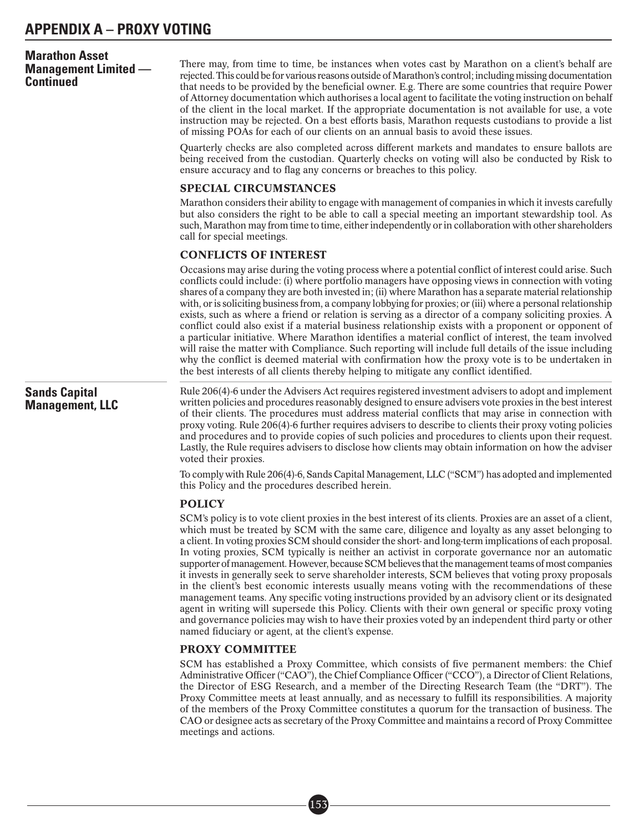| <b>Marathon Asset</b><br><b>Management Limited —</b><br><b>Continued</b> | There may, from time to time, be instances when votes cast by Marathon on a client's behalf are<br>rejected. This could be for various reasons outside of Marathon's control; including missing documentation<br>that needs to be provided by the beneficial owner. E.g. There are some countries that require Power<br>of Attorney documentation which authorises a local agent to facilitate the voting instruction on behalf<br>of the client in the local market. If the appropriate documentation is not available for use, a vote<br>instruction may be rejected. On a best efforts basis, Marathon requests custodians to provide a list<br>of missing POAs for each of our clients on an annual basis to avoid these issues.<br>Quarterly checks are also completed across different markets and mandates to ensure ballots are<br>being received from the custodian. Quarterly checks on voting will also be conducted by Risk to<br>ensure accuracy and to flag any concerns or breaches to this policy.                                                                                                                             |
|--------------------------------------------------------------------------|------------------------------------------------------------------------------------------------------------------------------------------------------------------------------------------------------------------------------------------------------------------------------------------------------------------------------------------------------------------------------------------------------------------------------------------------------------------------------------------------------------------------------------------------------------------------------------------------------------------------------------------------------------------------------------------------------------------------------------------------------------------------------------------------------------------------------------------------------------------------------------------------------------------------------------------------------------------------------------------------------------------------------------------------------------------------------------------------------------------------------------------------|
|                                                                          | SPECIAL CIRCUMSTANCES                                                                                                                                                                                                                                                                                                                                                                                                                                                                                                                                                                                                                                                                                                                                                                                                                                                                                                                                                                                                                                                                                                                          |
|                                                                          | Marathon considers their ability to engage with management of companies in which it invests carefully<br>but also considers the right to be able to call a special meeting an important stewardship tool. As<br>such, Marathon may from time to time, either independently or in collaboration with other shareholders<br>call for special meetings.                                                                                                                                                                                                                                                                                                                                                                                                                                                                                                                                                                                                                                                                                                                                                                                           |
|                                                                          | <b>CONFLICTS OF INTEREST</b>                                                                                                                                                                                                                                                                                                                                                                                                                                                                                                                                                                                                                                                                                                                                                                                                                                                                                                                                                                                                                                                                                                                   |
|                                                                          | Occasions may arise during the voting process where a potential conflict of interest could arise. Such<br>conflicts could include: (i) where portfolio managers have opposing views in connection with voting<br>shares of a company they are both invested in; (ii) where Marathon has a separate material relationship<br>with, or is soliciting business from, a company lobbying for proxies; or (iii) where a personal relationship<br>exists, such as where a friend or relation is serving as a director of a company soliciting proxies. A<br>conflict could also exist if a material business relationship exists with a proponent or opponent of<br>a particular initiative. Where Marathon identifies a material conflict of interest, the team involved<br>will raise the matter with Compliance. Such reporting will include full details of the issue including<br>why the conflict is deemed material with confirmation how the proxy vote is to be undertaken in<br>the best interests of all clients thereby helping to mitigate any conflict identified.                                                                     |
| <b>Sands Capital</b><br><b>Management, LLC</b>                           | Rule 206(4)-6 under the Advisers Act requires registered investment advisers to adopt and implement<br>written policies and procedures reasonably designed to ensure advisers vote proxies in the best interest<br>of their clients. The procedures must address material conflicts that may arise in connection with<br>proxy voting. Rule 206(4)-6 further requires advisers to describe to clients their proxy voting policies<br>and procedures and to provide copies of such policies and procedures to clients upon their request.<br>Lastly, the Rule requires advisers to disclose how clients may obtain information on how the adviser<br>voted their proxies.                                                                                                                                                                                                                                                                                                                                                                                                                                                                       |
|                                                                          | To comply with Rule 206(4)-6, Sands Capital Management, LLC ("SCM") has adopted and implemented<br>this Policy and the procedures described herein.                                                                                                                                                                                                                                                                                                                                                                                                                                                                                                                                                                                                                                                                                                                                                                                                                                                                                                                                                                                            |
|                                                                          |                                                                                                                                                                                                                                                                                                                                                                                                                                                                                                                                                                                                                                                                                                                                                                                                                                                                                                                                                                                                                                                                                                                                                |
|                                                                          | <b>POLICY</b><br>SCM's policy is to vote client proxies in the best interest of its clients. Proxies are an asset of a client,<br>which must be treated by SCM with the same care, diligence and loyalty as any asset belonging to<br>a client. In voting proxies SCM should consider the short- and long-term implications of each proposal.<br>In voting proxies, SCM typically is neither an activist in corporate governance nor an automatic<br>supporter of management. However, because SCM believes that the management teams of most companies<br>it invests in generally seek to serve shareholder interests, SCM believes that voting proxy proposals<br>in the client's best economic interests usually means voting with the recommendations of these<br>management teams. Any specific voting instructions provided by an advisory client or its designated<br>agent in writing will supersede this Policy. Clients with their own general or specific proxy voting<br>and governance policies may wish to have their proxies voted by an independent third party or other<br>named fiduciary or agent, at the client's expense. |
|                                                                          | <b>PROXY COMMITTEE</b>                                                                                                                                                                                                                                                                                                                                                                                                                                                                                                                                                                                                                                                                                                                                                                                                                                                                                                                                                                                                                                                                                                                         |
|                                                                          | SCM has established a Proxy Committee, which consists of five permanent members: the Chief<br>Administrative Officer ("CAO"), the Chief Compliance Officer ("CCO"), a Director of Client Relations,                                                                                                                                                                                                                                                                                                                                                                                                                                                                                                                                                                                                                                                                                                                                                                                                                                                                                                                                            |

■• 153

the Director of ESG Research, and a member of the Directing Research Team (the "DRT"). The Proxy Committee meets at least annually, and as necessary to fulfill its responsibilities. A majority of the members of the Proxy Committee constitutes a quorum for the transaction of business. The CAO or designee acts as secretary of the Proxy Committee and maintains a record of Proxy Committee meetings and actions.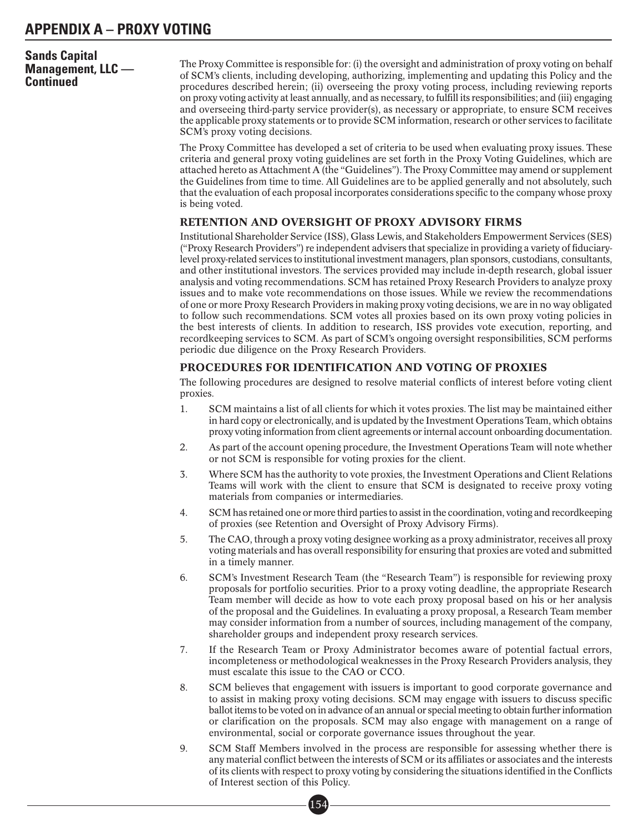# **Sands Capital Management, LLC — Continued**

The Proxy Committee is responsible for: (i) the oversight and administration of proxy voting on behalf of SCM's clients, including developing, authorizing, implementing and updating this Policy and the procedures described herein; (ii) overseeing the proxy voting process, including reviewing reports on proxy voting activity at least annually, and as necessary, to fulfill its responsibilities; and (iii) engaging and overseeing third-party service provider(s), as necessary or appropriate, to ensure SCM receives the applicable proxy statements or to provide SCM information, research or other services to facilitate SCM's proxy voting decisions.

The Proxy Committee has developed a set of criteria to be used when evaluating proxy issues. These criteria and general proxy voting guidelines are set forth in the Proxy Voting Guidelines, which are attached hereto as Attachment A (the "Guidelines"). The Proxy Committee may amend or supplement the Guidelines from time to time. All Guidelines are to be applied generally and not absolutely, such that the evaluation of each proposal incorporates considerations specific to the company whose proxy is being voted.

# RETENTION AND OVERSIGHT OF PROXY ADVISORY FIRMS

Institutional Shareholder Service (ISS), Glass Lewis, and Stakeholders Empowerment Services (SES) ("Proxy Research Providers") re independent advisers that specialize in providing a variety of fiduciarylevel proxy-related services to institutional investment managers, plan sponsors, custodians, consultants, and other institutional investors. The services provided may include in-depth research, global issuer analysis and voting recommendations. SCM has retained Proxy Research Providers to analyze proxy issues and to make vote recommendations on those issues. While we review the recommendations of one or more Proxy Research Providers in making proxy voting decisions, we are in no way obligated to follow such recommendations. SCM votes all proxies based on its own proxy voting policies in the best interests of clients. In addition to research, ISS provides vote execution, reporting, and recordkeeping services to SCM. As part of SCM's ongoing oversight responsibilities, SCM performs periodic due diligence on the Proxy Research Providers.

## PROCEDURES FOR IDENTIFICATION AND VOTING OF PROXIES

The following procedures are designed to resolve material conflicts of interest before voting client proxies.

- 1. SCM maintains a list of all clients for which it votes proxies. The list may be maintained either in hard copy or electronically, and is updated by the Investment Operations Team, which obtains proxy voting information from client agreements or internal account onboarding documentation.
- 2. As part of the account opening procedure, the Investment Operations Team will note whether or not SCM is responsible for voting proxies for the client.
- 3. Where SCM has the authority to vote proxies, the Investment Operations and Client Relations Teams will work with the client to ensure that SCM is designated to receive proxy voting materials from companies or intermediaries.
- 4. SCM has retained one or more third parties to assist in the coordination, voting and recordkeeping of proxies (see Retention and Oversight of Proxy Advisory Firms).
- 5. The CAO, through a proxy voting designee working as a proxy administrator, receives all proxy voting materials and has overall responsibility for ensuring that proxies are voted and submitted in a timely manner.
- 6. SCM's Investment Research Team (the "Research Team") is responsible for reviewing proxy proposals for portfolio securities. Prior to a proxy voting deadline, the appropriate Research Team member will decide as how to vote each proxy proposal based on his or her analysis of the proposal and the Guidelines. In evaluating a proxy proposal, a Research Team member may consider information from a number of sources, including management of the company, shareholder groups and independent proxy research services.
- 7. If the Research Team or Proxy Administrator becomes aware of potential factual errors, incompleteness or methodological weaknesses in the Proxy Research Providers analysis, they must escalate this issue to the CAO or CCO.
- 8. SCM believes that engagement with issuers is important to good corporate governance and to assist in making proxy voting decisions. SCM may engage with issuers to discuss specific ballot items to be voted on in advance of an annual or special meeting to obtain further information or clarification on the proposals. SCM may also engage with management on a range of environmental, social or corporate governance issues throughout the year.
- 9. SCM Staff Members involved in the process are responsible for assessing whether there is any material conflict between the interests of SCM or its affiliates or associates and the interests of its clients with respect to proxy voting by considering the situations identified in the Conflicts of Interest section of this Policy.<br>
• 154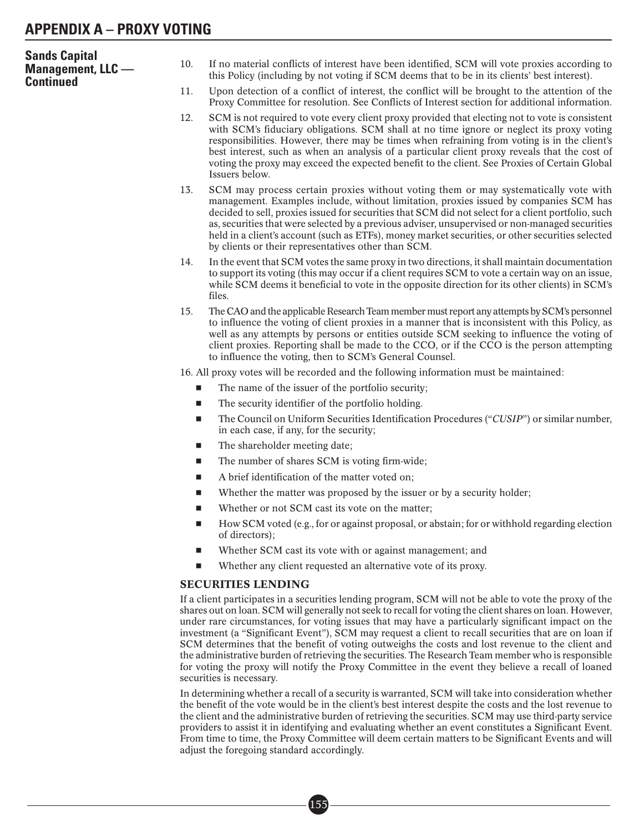| <b>Sands Capital</b><br><b>Management, LLC</b> —<br><b>Continued</b> | 10.               | If no material conflicts of interest have been identified, SCM will vote proxies according to<br>this Policy (including by not voting if SCM deems that to be in its clients' best interest).                                                                                                                                                                                                                                                                                                                                                     |
|----------------------------------------------------------------------|-------------------|---------------------------------------------------------------------------------------------------------------------------------------------------------------------------------------------------------------------------------------------------------------------------------------------------------------------------------------------------------------------------------------------------------------------------------------------------------------------------------------------------------------------------------------------------|
|                                                                      | 11.               | Upon detection of a conflict of interest, the conflict will be brought to the attention of the<br>Proxy Committee for resolution. See Conflicts of Interest section for additional information.                                                                                                                                                                                                                                                                                                                                                   |
|                                                                      | 12.               | SCM is not required to vote every client proxy provided that electing not to vote is consistent<br>with SCM's fiduciary obligations. SCM shall at no time ignore or neglect its proxy voting<br>responsibilities. However, there may be times when refraining from voting is in the client's<br>best interest, such as when an analysis of a particular client proxy reveals that the cost of<br>voting the proxy may exceed the expected benefit to the client. See Proxies of Certain Global<br>Issuers below.                                  |
|                                                                      | 13.               | SCM may process certain proxies without voting them or may systematically vote with<br>management. Examples include, without limitation, proxies issued by companies SCM has<br>decided to sell, proxies issued for securities that SCM did not select for a client portfolio, such<br>as, securities that were selected by a previous adviser, unsupervised or non-managed securities<br>held in a client's account (such as ETFs), money market securities, or other securities selected<br>by clients or their representatives other than SCM. |
|                                                                      | 14.               | In the event that SCM votes the same proxy in two directions, it shall maintain documentation<br>to support its voting (this may occur if a client requires SCM to vote a certain way on an issue,<br>while SCM deems it beneficial to vote in the opposite direction for its other clients) in SCM's<br>files.                                                                                                                                                                                                                                   |
|                                                                      | 15.               | The CAO and the applicable Research Team member must report any attempts by SCM's personnel<br>to influence the voting of client proxies in a manner that is inconsistent with this Policy, as<br>well as any attempts by persons or entities outside SCM seeking to influence the voting of<br>client proxies. Reporting shall be made to the CCO, or if the CCO is the person attempting<br>to influence the voting, then to SCM's General Counsel.                                                                                             |
|                                                                      |                   | 16. All proxy votes will be recorded and the following information must be maintained:                                                                                                                                                                                                                                                                                                                                                                                                                                                            |
|                                                                      | $\blacksquare$    | The name of the issuer of the portfolio security;                                                                                                                                                                                                                                                                                                                                                                                                                                                                                                 |
|                                                                      | <b>The Second</b> | The security identifier of the portfolio holding.                                                                                                                                                                                                                                                                                                                                                                                                                                                                                                 |
|                                                                      | $\blacksquare$    | The Council on Uniform Securities Identification Procedures ("CUSIP") or similar number,<br>in each case, if any, for the security;                                                                                                                                                                                                                                                                                                                                                                                                               |
|                                                                      | $\blacksquare$    | The shareholder meeting date;                                                                                                                                                                                                                                                                                                                                                                                                                                                                                                                     |
|                                                                      | п                 | The number of shares SCM is voting firm-wide;                                                                                                                                                                                                                                                                                                                                                                                                                                                                                                     |
|                                                                      | ш                 | A brief identification of the matter voted on;                                                                                                                                                                                                                                                                                                                                                                                                                                                                                                    |
|                                                                      | $\blacksquare$    | Whether the matter was proposed by the issuer or by a security holder;                                                                                                                                                                                                                                                                                                                                                                                                                                                                            |
|                                                                      | П                 | Whether or not SCM cast its vote on the matter;                                                                                                                                                                                                                                                                                                                                                                                                                                                                                                   |
|                                                                      | ш                 | How SCM voted (e.g., for or against proposal, or abstain; for or withhold regarding election<br>of directors);                                                                                                                                                                                                                                                                                                                                                                                                                                    |

- -Whether SCM cast its vote with or against management; and
- -Whether any client requested an alternative vote of its proxy.

## SECURITIES LENDING

If a client participates in a securities lending program, SCM will not be able to vote the proxy of the shares out on loan. SCM will generally not seek to recall for voting the client shares on loan. However, under rare circumstances, for voting issues that may have a particularly significant impact on the investment (a "Significant Event"), SCM may request a client to recall securities that are on loan if SCM determines that the benefit of voting outweighs the costs and lost revenue to the client and the administrative burden of retrieving the securities. The Research Team member who is responsible for voting the proxy will notify the Proxy Committee in the event they believe a recall of loaned securities is necessary.

In determining whether a recall of a security is warranted, SCM will take into consideration whether the benefit of the vote would be in the client's best interest despite the costs and the lost revenue to the client and the administrative burden of retrieving the securities. SCM may use third-party service providers to assist it in identifying and evaluating whether an event constitutes a Significant Event. From time to time, the Proxy Committee will deem certain matters to be Significant Events and will adjust the foregoing standard accordingly.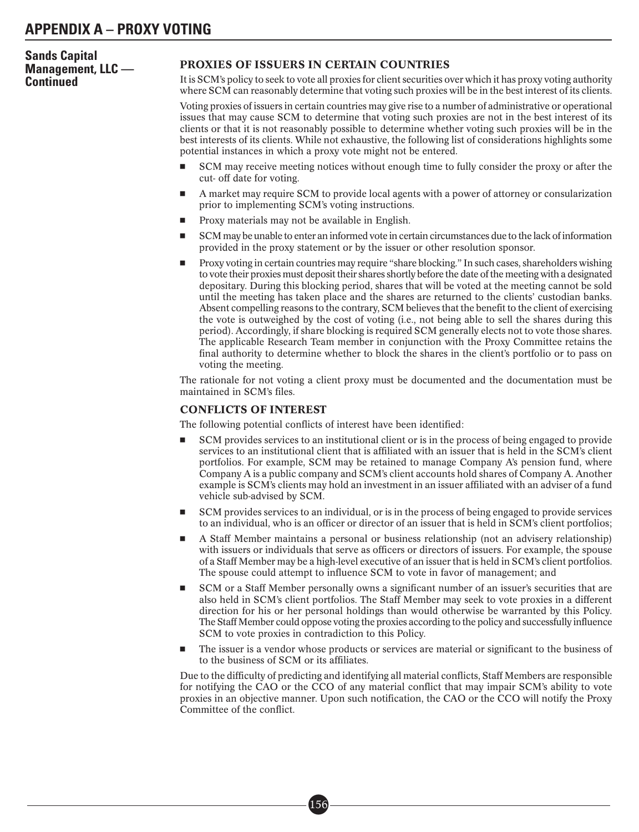#### **Sands Capital Management, LLC — Continued** PROXIES OF ISSUERS IN CERTAIN COUNTRIES It is SCM's policy to seek to vote all proxies for client securities over which it has proxy voting authority where SCM can reasonably determine that voting such proxies will be in the best interest of its clients. Voting proxies of issuers in certain countries may give rise to a number of administrative or operational issues that may cause SCM to determine that voting such proxies are not in the best interest of its clients or that it is not reasonably possible to determine whether voting such proxies will be in the best interests of its clients. While not exhaustive, the following list of considerations highlights some potential instances in which a proxy vote might not be entered. - SCM may receive meeting notices without enough time to fully consider the proxy or after the cut- off date for voting. - A market may require SCM to provide local agents with a power of attorney or consularization prior to implementing SCM's voting instructions. -Proxy materials may not be available in English.

- - SCM may be unable to enter an informed vote in certain circumstances due to the lack of information provided in the proxy statement or by the issuer or other resolution sponsor.
- - Proxy voting in certain countries may require "share blocking." In such cases, shareholders wishing to vote their proxies must deposit their shares shortly before the date of the meeting with a designated depositary. During this blocking period, shares that will be voted at the meeting cannot be sold until the meeting has taken place and the shares are returned to the clients' custodian banks. Absent compelling reasons to the contrary, SCM believes that the benefit to the client of exercising the vote is outweighed by the cost of voting (i.e., not being able to sell the shares during this period). Accordingly, if share blocking is required SCM generally elects not to vote those shares. The applicable Research Team member in conjunction with the Proxy Committee retains the final authority to determine whether to block the shares in the client's portfolio or to pass on voting the meeting.

The rationale for not voting a client proxy must be documented and the documentation must be maintained in SCM's files.

# CONFLICTS OF INTEREST

The following potential conflicts of interest have been identified:

- - SCM provides services to an institutional client or is in the process of being engaged to provide services to an institutional client that is affiliated with an issuer that is held in the SCM's client portfolios. For example, SCM may be retained to manage Company A's pension fund, where Company A is a public company and SCM's client accounts hold shares of Company A. Another example is SCM's clients may hold an investment in an issuer affiliated with an adviser of a fund vehicle sub-advised by SCM.
- - SCM provides services to an individual, or is in the process of being engaged to provide services to an individual, who is an officer or director of an issuer that is held in SCM's client portfolios;
- - A Staff Member maintains a personal or business relationship (not an advisery relationship) with issuers or individuals that serve as officers or directors of issuers. For example, the spouse of a Staff Member may be a high-level executive of an issuer that is held in SCM's client portfolios. The spouse could attempt to influence SCM to vote in favor of management; and
- - SCM or a Staff Member personally owns a significant number of an issuer's securities that are also held in SCM's client portfolios. The Staff Member may seek to vote proxies in a different direction for his or her personal holdings than would otherwise be warranted by this Policy. The Staff Member could oppose voting the proxies according to the policy and successfully influence SCM to vote proxies in contradiction to this Policy.
- - The issuer is a vendor whose products or services are material or significant to the business of to the business of SCM or its affiliates.

Due to the difficulty of predicting and identifying all material conflicts, Staff Members are responsible for notifying the CAO or the CCO of any material conflict that may impair SCM's ability to vote proxies in an objective manner. Upon such notification, the CAO or the CCO will notify the Proxy Committee of the conflict.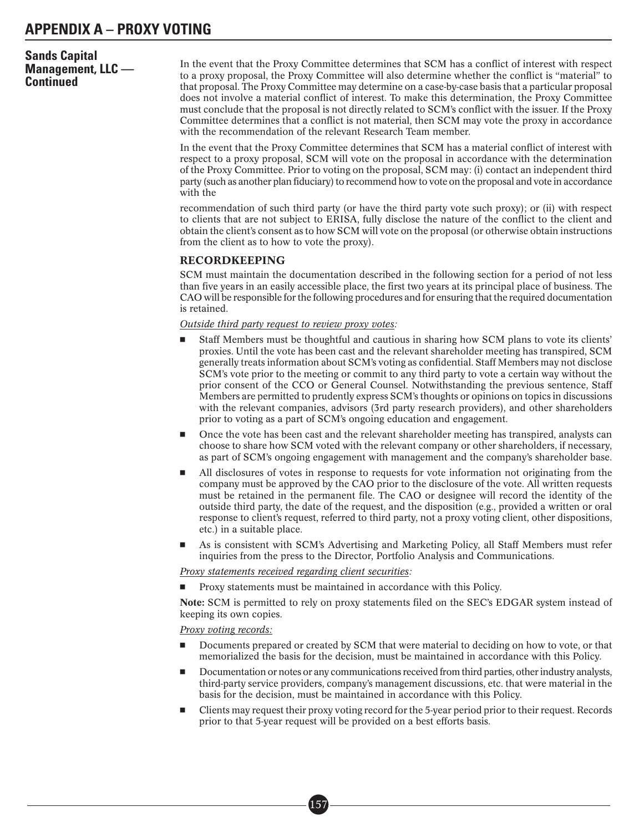# **Sands Capital Management, LLC — Continued**

In the event that the Proxy Committee determines that SCM has a conflict of interest with respect to a proxy proposal, the Proxy Committee will also determine whether the conflict is "material" to that proposal. The Proxy Committee may determine on a case-by-case basis that a particular proposal does not involve a material conflict of interest. To make this determination, the Proxy Committee must conclude that the proposal is not directly related to SCM's conflict with the issuer. If the Proxy Committee determines that a conflict is not material, then SCM may vote the proxy in accordance with the recommendation of the relevant Research Team member.

In the event that the Proxy Committee determines that SCM has a material conflict of interest with respect to a proxy proposal, SCM will vote on the proposal in accordance with the determination of the Proxy Committee. Prior to voting on the proposal, SCM may: (i) contact an independent third party (such as another plan fiduciary) to recommend how to vote on the proposal and vote in accordance with the

recommendation of such third party (or have the third party vote such proxy); or (ii) with respect to clients that are not subject to ERISA, fully disclose the nature of the conflict to the client and obtain the client's consent as to how SCM will vote on the proposal (or otherwise obtain instructions from the client as to how to vote the proxy).

## RECORDKEEPING

SCM must maintain the documentation described in the following section for a period of not less than five years in an easily accessible place, the first two years at its principal place of business. The CAO will be responsible for the following procedures and for ensuring that the required documentation is retained.

#### *Outside third party request to review proxy votes:*

- - Staff Members must be thoughtful and cautious in sharing how SCM plans to vote its clients' proxies. Until the vote has been cast and the relevant shareholder meeting has transpired, SCM generally treats information about SCM's voting as confidential. Staff Members may not disclose SCM's vote prior to the meeting or commit to any third party to vote a certain way without the prior consent of the CCO or General Counsel. Notwithstanding the previous sentence, Staff Members are permitted to prudently express SCM's thoughts or opinions on topics in discussions with the relevant companies, advisors (3rd party research providers), and other shareholders prior to voting as a part of SCM's ongoing education and engagement.
- - Once the vote has been cast and the relevant shareholder meeting has transpired, analysts can choose to share how SCM voted with the relevant company or other shareholders, if necessary, as part of SCM's ongoing engagement with management and the company's shareholder base.
- - All disclosures of votes in response to requests for vote information not originating from the company must be approved by the CAO prior to the disclosure of the vote. All written requests must be retained in the permanent file. The CAO or designee will record the identity of the outside third party, the date of the request, and the disposition (e.g., provided a written or oral response to client's request, referred to third party, not a proxy voting client, other dispositions, etc.) in a suitable place.
- - As is consistent with SCM's Advertising and Marketing Policy, all Staff Members must refer inquiries from the press to the Director, Portfolio Analysis and Communications.

*Proxy statements received regarding client securities:*

-Proxy statements must be maintained in accordance with this Policy.

Note: SCM is permitted to rely on proxy statements filed on the SEC's EDGAR system instead of keeping its own copies.

## *Proxy voting records:*

- - Documents prepared or created by SCM that were material to deciding on how to vote, or that memorialized the basis for the decision, must be maintained in accordance with this Policy.
- - Documentation or notes or any communications received from third parties, other industry analysts, third-party service providers, company's management discussions, etc. that were material in the basis for the decision, must be maintained in accordance with this Policy.
- - Clients may request their proxy voting record for the 5-year period prior to their request. Records prior to that 5-year request will be provided on a best efforts basis.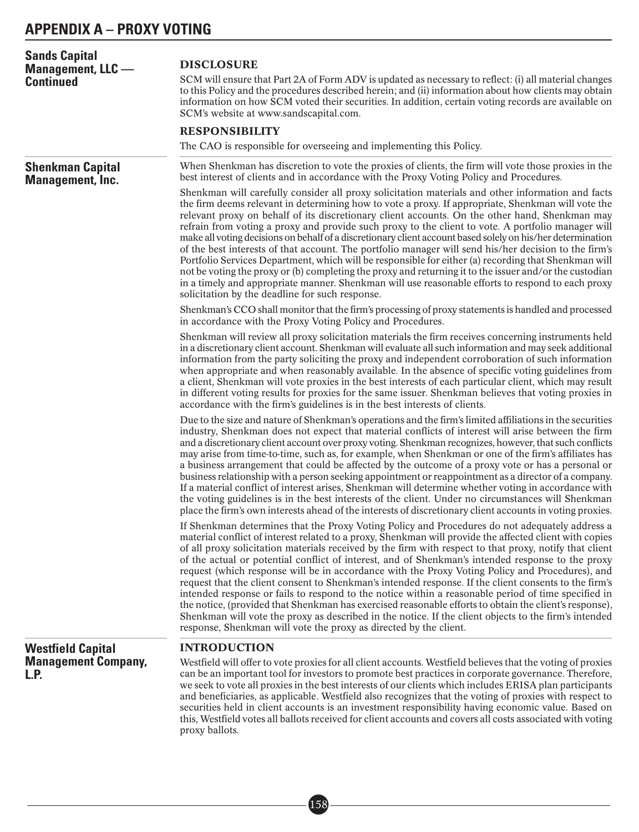| <b>Sands Capital</b><br><b>Management, LLC</b> —<br><b>Continued</b> | <b>DISCLOSURE</b><br>SCM will ensure that Part 2A of Form ADV is updated as necessary to reflect: (i) all material changes<br>to this Policy and the procedures described herein; and (ii) information about how clients may obtain                                                                                                                                                                                                                                                                                                                                                                                                                                                                                                                                                                                                                                                                                                                                                                                                  |
|----------------------------------------------------------------------|--------------------------------------------------------------------------------------------------------------------------------------------------------------------------------------------------------------------------------------------------------------------------------------------------------------------------------------------------------------------------------------------------------------------------------------------------------------------------------------------------------------------------------------------------------------------------------------------------------------------------------------------------------------------------------------------------------------------------------------------------------------------------------------------------------------------------------------------------------------------------------------------------------------------------------------------------------------------------------------------------------------------------------------|
|                                                                      | information on how SCM voted their securities. In addition, certain voting records are available on<br>SCM's website at www.sandscapital.com.                                                                                                                                                                                                                                                                                                                                                                                                                                                                                                                                                                                                                                                                                                                                                                                                                                                                                        |
|                                                                      | <b>RESPONSIBILITY</b>                                                                                                                                                                                                                                                                                                                                                                                                                                                                                                                                                                                                                                                                                                                                                                                                                                                                                                                                                                                                                |
|                                                                      | The CAO is responsible for overseeing and implementing this Policy.                                                                                                                                                                                                                                                                                                                                                                                                                                                                                                                                                                                                                                                                                                                                                                                                                                                                                                                                                                  |
| <b>Shenkman Capital</b><br><b>Management, Inc.</b>                   | When Shenkman has discretion to vote the proxies of clients, the firm will vote those proxies in the<br>best interest of clients and in accordance with the Proxy Voting Policy and Procedures.                                                                                                                                                                                                                                                                                                                                                                                                                                                                                                                                                                                                                                                                                                                                                                                                                                      |
|                                                                      | Shenkman will carefully consider all proxy solicitation materials and other information and facts<br>the firm deems relevant in determining how to vote a proxy. If appropriate, Shenkman will vote the<br>relevant proxy on behalf of its discretionary client accounts. On the other hand, Shenkman may<br>refrain from voting a proxy and provide such proxy to the client to vote. A portfolio manager will<br>make all voting decisions on behalf of a discretionary client account based solely on his/her determination<br>of the best interests of that account. The portfolio manager will send his/her decision to the firm's<br>Portfolio Services Department, which will be responsible for either (a) recording that Shenkman will<br>not be voting the proxy or (b) completing the proxy and returning it to the issuer and/or the custodian<br>in a timely and appropriate manner. Shenkman will use reasonable efforts to respond to each proxy<br>solicitation by the deadline for such response.                   |
|                                                                      | Shenkman's CCO shall monitor that the firm's processing of proxy statements is handled and processed<br>in accordance with the Proxy Voting Policy and Procedures.                                                                                                                                                                                                                                                                                                                                                                                                                                                                                                                                                                                                                                                                                                                                                                                                                                                                   |
|                                                                      | Shenkman will review all proxy solicitation materials the firm receives concerning instruments held<br>in a discretionary client account. Shenkman will evaluate all such information and may seek additional<br>information from the party soliciting the proxy and independent corroboration of such information<br>when appropriate and when reasonably available. In the absence of specific voting guidelines from<br>a client, Shenkman will vote proxies in the best interests of each particular client, which may result<br>in different voting results for proxies for the same issuer. Shenkman believes that voting proxies in<br>accordance with the firm's guidelines is in the best interests of clients.                                                                                                                                                                                                                                                                                                             |
|                                                                      | Due to the size and nature of Shenkman's operations and the firm's limited affiliations in the securities<br>industry, Shenkman does not expect that material conflicts of interest will arise between the firm<br>and a discretionary client account over proxy voting. Shenkman recognizes, however, that such conflicts<br>may arise from time-to-time, such as, for example, when Shenkman or one of the firm's affiliates has<br>a business arrangement that could be affected by the outcome of a proxy vote or has a personal or<br>business relationship with a person seeking appointment or reappointment as a director of a company.<br>If a material conflict of interest arises, Shenkman will determine whether voting in accordance with<br>the voting guidelines is in the best interests of the client. Under no circumstances will Shenkman<br>place the firm's own interests ahead of the interests of discretionary client accounts in voting proxies.                                                           |
|                                                                      | If Shenkman determines that the Proxy Voting Policy and Procedures do not adequately address a<br>material conflict of interest related to a proxy, Shenkman will provide the affected client with copies<br>of all proxy solicitation materials received by the firm with respect to that proxy, notify that client<br>of the actual or potential conflict of interest, and of Shenkman's intended response to the proxy<br>request (which response will be in accordance with the Proxy Voting Policy and Procedures), and<br>request that the client consent to Shenkman's intended response. If the client consents to the firm's<br>intended response or fails to respond to the notice within a reasonable period of time specified in<br>the notice, (provided that Shenkman has exercised reasonable efforts to obtain the client's response),<br>Shenkman will vote the proxy as described in the notice. If the client objects to the firm's intended<br>response, Shenkman will vote the proxy as directed by the client. |
| <b>Westfield Capital</b><br><b>Management Company,</b><br>L.P.       | <b>INTRODUCTION</b>                                                                                                                                                                                                                                                                                                                                                                                                                                                                                                                                                                                                                                                                                                                                                                                                                                                                                                                                                                                                                  |
|                                                                      | Westfield will offer to vote proxies for all client accounts. Westfield believes that the voting of proxies<br>can be an important tool for investors to promote best practices in corporate governance. Therefore,<br>we seek to vote all proxies in the best interests of our clients which includes ERISA plan participants<br>and beneficiaries, as applicable. Westfield also recognizes that the voting of proxies with respect to<br>securities held in client accounts is an investment responsibility having economic value. Based on<br>this, Westfield votes all ballots received for client accounts and covers all costs associated with voting<br>proxy ballots.                                                                                                                                                                                                                                                                                                                                                       |

■• 158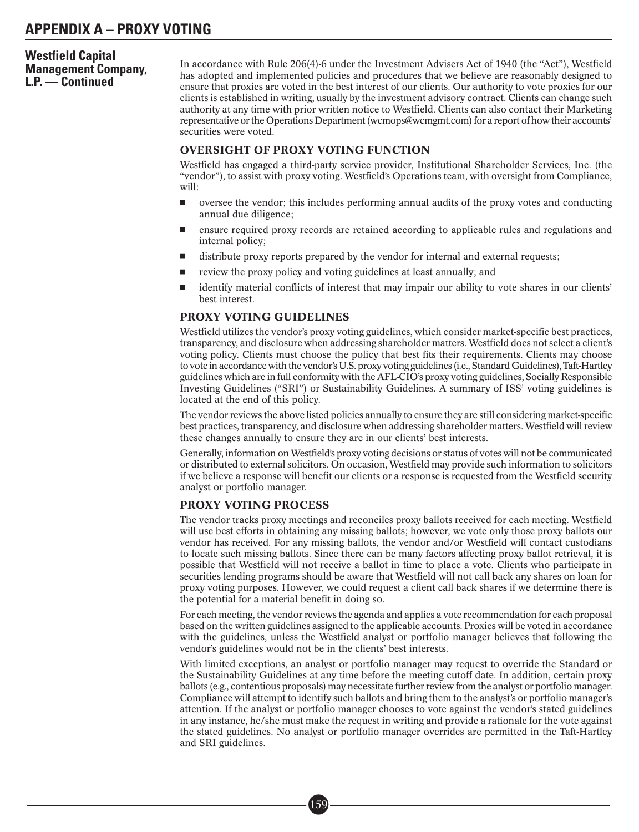# **Westfield Capital Management Company, L.P. — Continued**

In accordance with Rule 206(4)-6 under the Investment Advisers Act of 1940 (the "Act"), Westfield has adopted and implemented policies and procedures that we believe are reasonably designed to ensure that proxies are voted in the best interest of our clients. Our authority to vote proxies for our clients is established in writing, usually by the investment advisory contract. Clients can change such authority at any time with prior written notice to Westfield. Clients can also contact their Marketing representative or the Operations Department (wcmops@wcmgmt.com) for a report of how their accounts' securities were voted.

## OVERSIGHT OF PROXY VOTING FUNCTION

Westfield has engaged a third-party service provider, Institutional Shareholder Services, Inc. (the "vendor"), to assist with proxy voting. Westfield's Operations team, with oversight from Compliance, will:

- oversee the vendor; this includes performing annual audits of the proxy votes and conducting annual due diligence;
- ensure required proxy records are retained according to applicable rules and regulations and internal policy;
- distribute proxy reports prepared by the vendor for internal and external requests;
- review the proxy policy and voting guidelines at least annually; and
- identify material conflicts of interest that may impair our ability to vote shares in our clients' best interest.

## PROXY VOTING GUIDELINES

Westfield utilizes the vendor's proxy voting guidelines, which consider market-specific best practices, transparency, and disclosure when addressing shareholder matters. Westfield does not select a client's voting policy. Clients must choose the policy that best fits their requirements. Clients may choose to votein accordance with the vendor's U.S. proxy voting guidelines (i.e., Standard Guidelines), Taft-Hartley guidelines which are in full conformity with the AFL-CIO's proxy voting guidelines, Socially Responsible Investing Guidelines ("SRI") or Sustainability Guidelines. A summary of ISS' voting guidelines is located at the end of this policy.

The vendor reviews the above listed policies annually to ensure they are still considering market-specific best practices, transparency, and disclosure when addressing shareholder matters. Westfield will review these changes annually to ensure they are in our clients' best interests.

Generally, information onWestfield's proxy voting decisions or status of votes will not be communicated or distributed to external solicitors. On occasion, Westfield may provide such information to solicitors if we believe a response will benefit our clients or a response is requested from the Westfield security analyst or portfolio manager.

## PROXY VOTING PROCESS

The vendor tracks proxy meetings and reconciles proxy ballots received for each meeting. Westfield will use best efforts in obtaining any missing ballots; however, we vote only those proxy ballots our vendor has received. For any missing ballots, the vendor and/or Westfield will contact custodians to locate such missing ballots. Since there can be many factors affecting proxy ballot retrieval, it is possible that Westfield will not receive a ballot in time to place a vote. Clients who participate in securities lending programs should be aware that Westfield will not call back any shares on loan for proxy voting purposes. However, we could request a client call back shares if we determine there is the potential for a material benefit in doing so.

For each meeting, the vendor reviews the agenda and applies a vote recommendation for each proposal based on the written guidelines assigned to the applicable accounts. Proxies will be voted in accordance with the guidelines, unless the Westfield analyst or portfolio manager believes that following the vendor's guidelines would not be in the clients' best interests.

With limited exceptions, an analyst or portfolio manager may request to override the Standard or the Sustainability Guidelines at any time before the meeting cutoff date. In addition, certain proxy ballots (e.g., contentious proposals) may necessitate further review from the analyst or portfolio manager. Compliance will attempt to identify such ballots and bring them to the analyst's or portfolio manager's attention. If the analyst or portfolio manager chooses to vote against the vendor's stated guidelines in any instance, he/she must make the request in writing and provide a rationale for the vote against the stated guidelines. No analyst or portfolio manager overrides are permitted in the Taft-Hartley and SRI guidelines.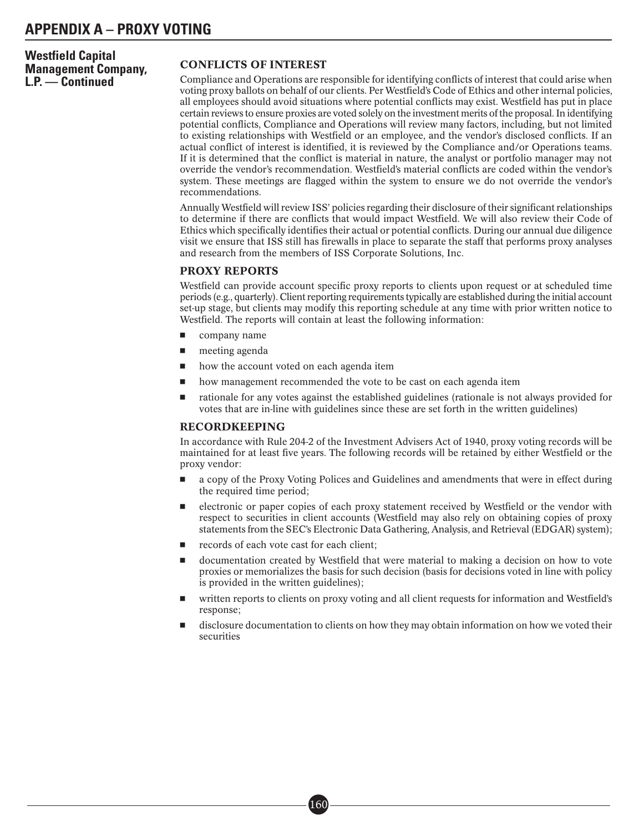**Westfield Capital Management Company, L.P. — Continued**

## CONFLICTS OF INTEREST

Compliance and Operations are responsible for identifying conflicts of interest that could arise when voting proxy ballots on behalf of our clients. Per Westfield's Code of Ethics and other internal policies, all employees should avoid situations where potential conflicts may exist. Westfield has put in place certain reviews to ensure proxies are voted solely on the investment merits of the proposal. In identifying potential conflicts, Compliance and Operations will review many factors, including, but not limited to existing relationships with Westfield or an employee, and the vendor's disclosed conflicts. If an actual conflict of interest is identified, it is reviewed by the Compliance and/or Operations teams. If it is determined that the conflict is material in nature, the analyst or portfolio manager may not override the vendor's recommendation. Westfield's material conflicts are coded within the vendor's system. These meetings are flagged within the system to ensure we do not override the vendor's recommendations.

Annually Westfield will review ISS' policies regarding their disclosure of their significant relationships to determine if there are conflicts that would impact Westfield. We will also review their Code of Ethics which specifically identifies their actual or potential conflicts. During our annual due diligence visit we ensure that ISS still has firewalls in place to separate the staff that performs proxy analyses and research from the members of ISS Corporate Solutions, Inc.

## PROXY REPORTS

Westfield can provide account specific proxy reports to clients upon request or at scheduled time periods (e.g., quarterly). Client reporting requirements typically are established during the initial account set-up stage, but clients may modify this reporting schedule at any time with prior written notice to Westfield. The reports will contain at least the following information:

- company name
- meeting agenda
- how the account voted on each agenda item
- how management recommended the vote to be cast on each agenda item
- rationale for any votes against the established guidelines (rationale is not always provided for votes that are in-line with guidelines since these are set forth in the written guidelines)

## RECORDKEEPING

In accordance with Rule 204-2 of the Investment Advisers Act of 1940, proxy voting records will be maintained for at least five years. The following records will be retained by either Westfield or the proxy vendor:

- a copy of the Proxy Voting Polices and Guidelines and amendments that were in effect during the required time period;
- electronic or paper copies of each proxy statement received by Westfield or the vendor with respect to securities in client accounts (Westfield may also rely on obtaining copies of proxy statements from the SEC's Electronic Data Gathering, Analysis, and Retrieval (EDGAR) system);
- records of each vote cast for each client;
- documentation created by Westfield that were material to making a decision on how to vote proxies or memorializes the basis for such decision (basis for decisions voted in line with policy is provided in the written guidelines);
- written reports to clients on proxy voting and all client requests for information and Westfield's response;
- disclosure documentation to clients on how they may obtain information on how we voted their securities